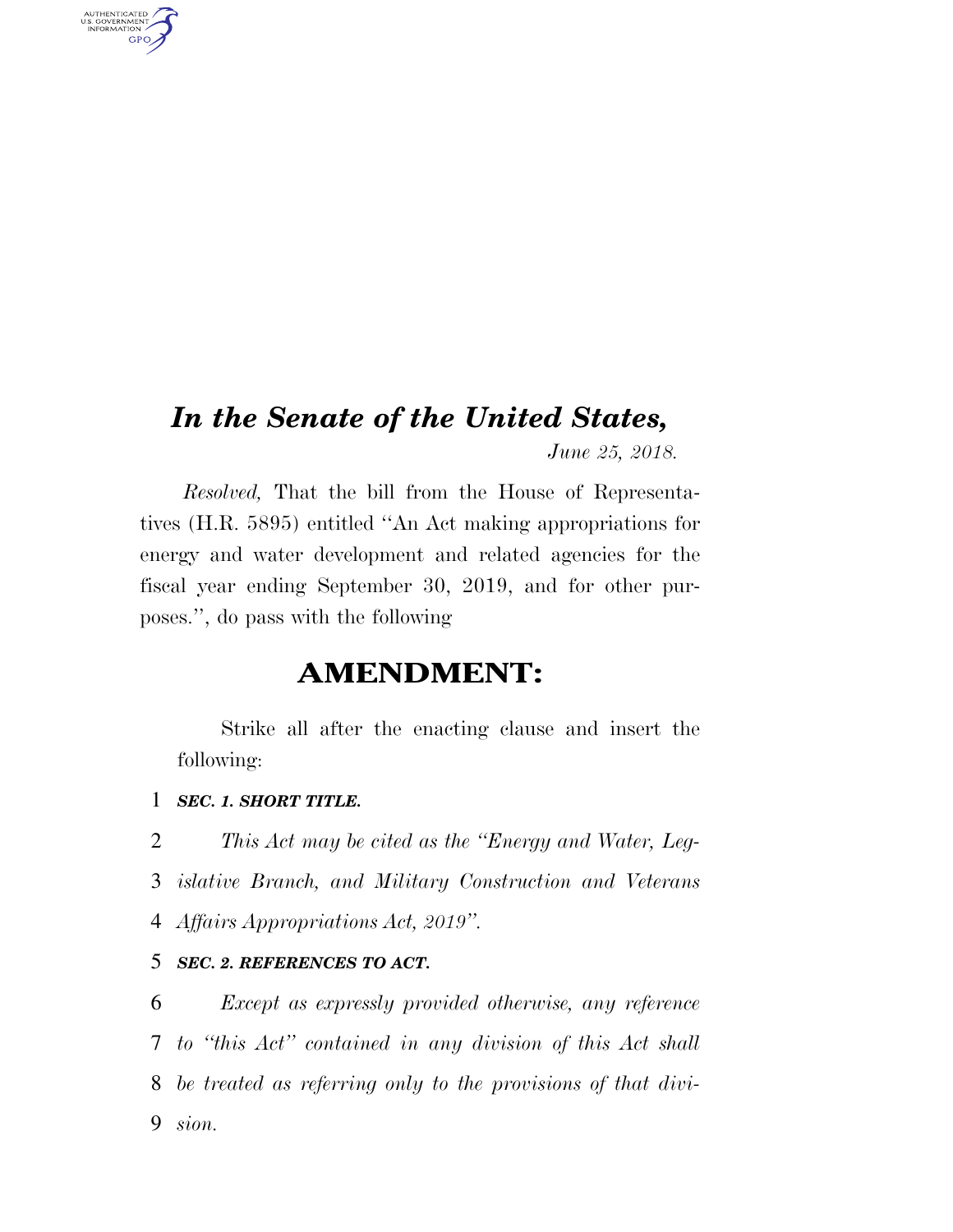# *In the Senate of the United States,*

*June 25, 2018.* 

*Resolved,* That the bill from the House of Representatives (H.R. 5895) entitled ''An Act making appropriations for energy and water development and related agencies for the fiscal year ending September 30, 2019, and for other purposes.'', do pass with the following

# **AMENDMENT:**

Strike all after the enacting clause and insert the following:

1 *SEC. 1. SHORT TITLE.* 

AUTHENTICATED<br>U.S. GOVERNMENT<br>INFORMATION

**GPO** 

2 *This Act may be cited as the ''Energy and Water, Leg-*3 *islative Branch, and Military Construction and Veterans*  4 *Affairs Appropriations Act, 2019''.* 

# 5 *SEC. 2. REFERENCES TO ACT.*

 *Except as expressly provided otherwise, any reference to ''this Act'' contained in any division of this Act shall be treated as referring only to the provisions of that divi-*9 *sion.*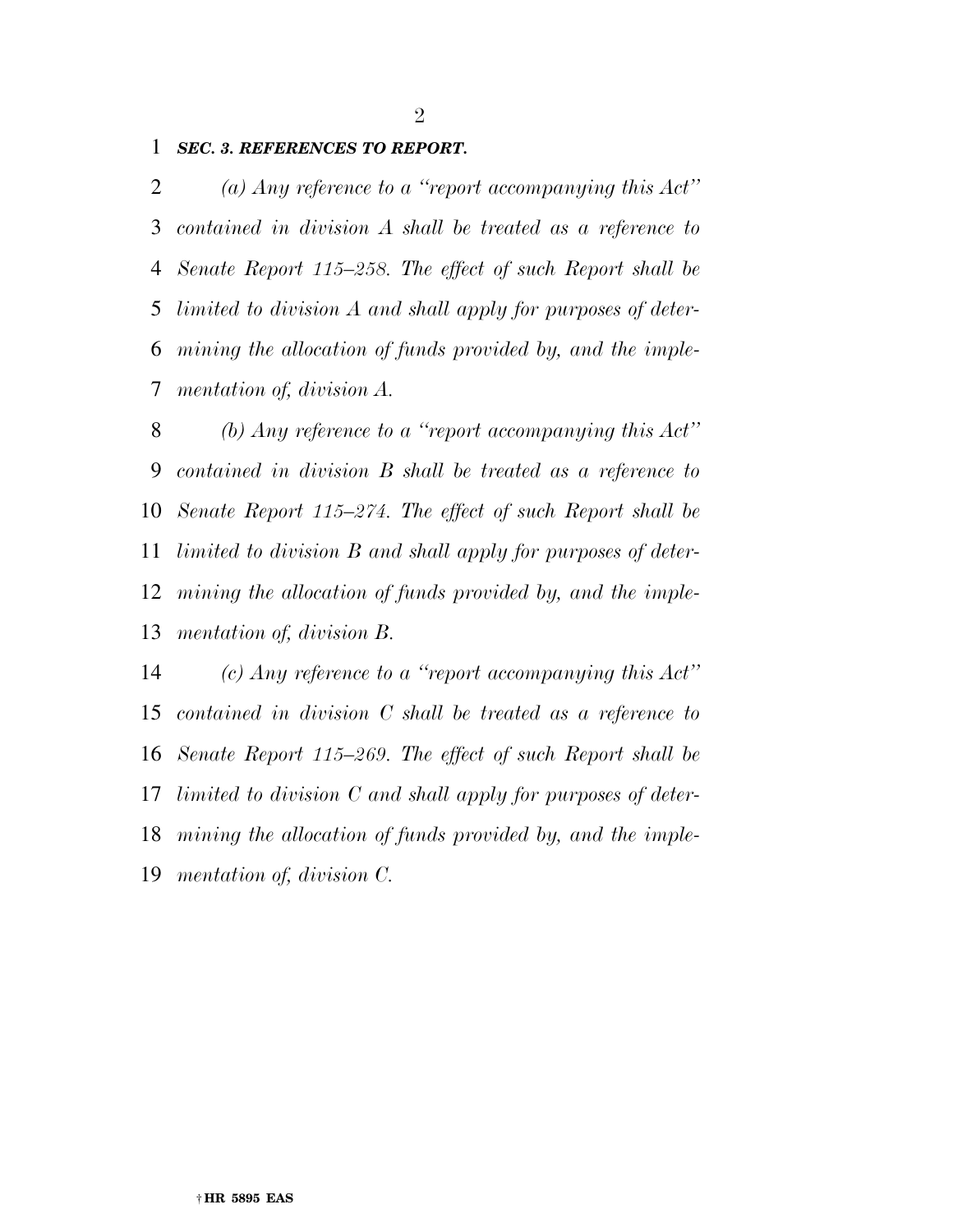#### 

#### *SEC. 3. REFERENCES TO REPORT.*

 *(a) Any reference to a ''report accompanying this Act'' contained in division A shall be treated as a reference to Senate Report 115–258. The effect of such Report shall be limited to division A and shall apply for purposes of deter- mining the allocation of funds provided by, and the imple-mentation of, division A.* 

 *(b) Any reference to a ''report accompanying this Act'' contained in division B shall be treated as a reference to Senate Report 115–274. The effect of such Report shall be limited to division B and shall apply for purposes of deter- mining the allocation of funds provided by, and the imple-mentation of, division B.* 

 *(c) Any reference to a ''report accompanying this Act'' contained in division C shall be treated as a reference to Senate Report 115–269. The effect of such Report shall be limited to division C and shall apply for purposes of deter- mining the allocation of funds provided by, and the imple-mentation of, division C.*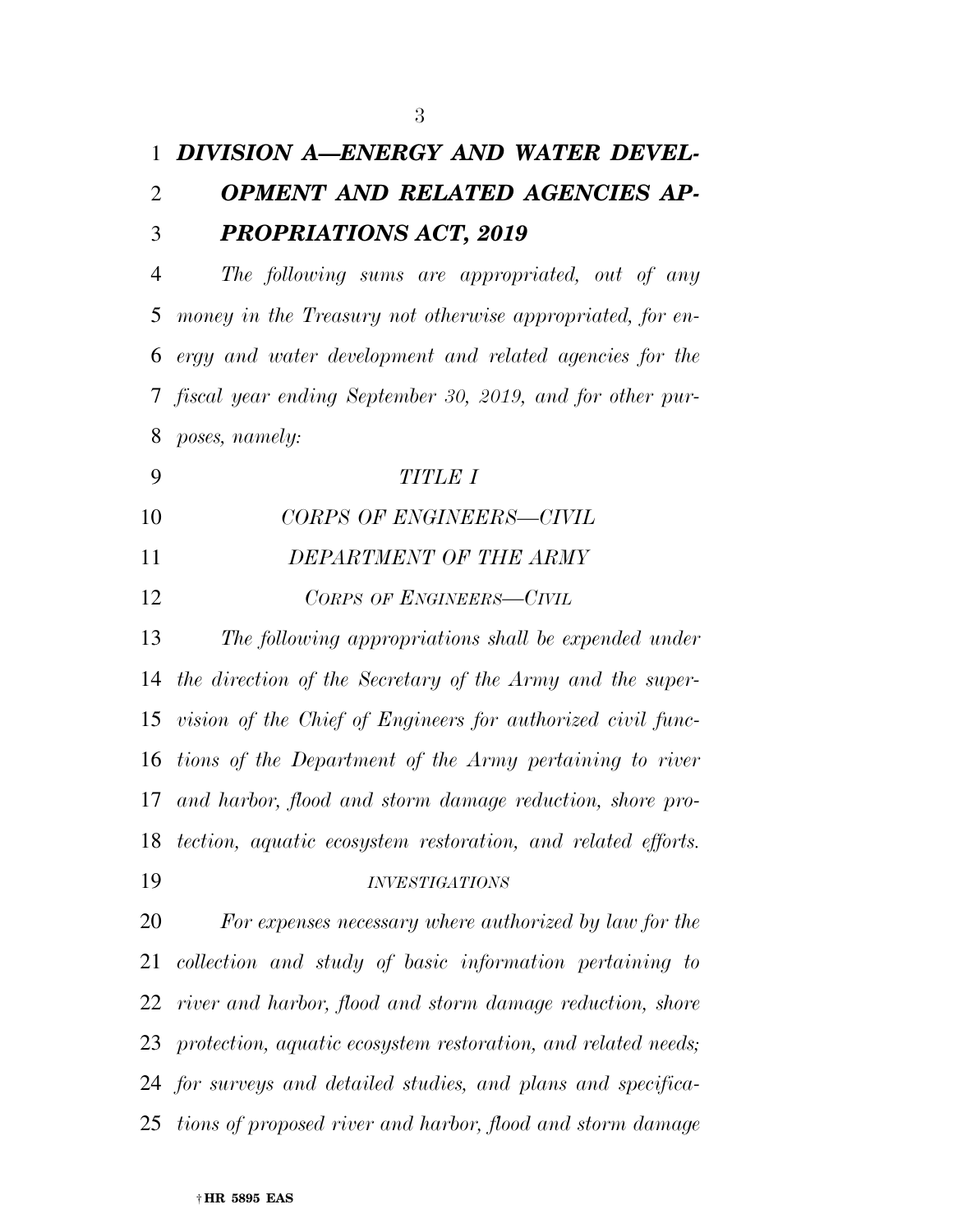| $\mathbf{1}$   | DIVISION A-ENERGY AND WATER DEVEL-                               |
|----------------|------------------------------------------------------------------|
| $\overline{2}$ | OPMENT AND RELATED AGENCIES AP-                                  |
| 3              | PROPRIATIONS ACT, 2019                                           |
| $\overline{4}$ | The following sums are appropriated, out of any                  |
| 5              | money in the Treasury not otherwise appropriated, for en-        |
| 6              | ergy and water development and related agencies for the          |
| 7              | fiscal year ending September 30, 2019, and for other pur-        |
| 8              | poses, namely:                                                   |
| 9              | <b>TITLE I</b>                                                   |
| 10             | CORPS OF ENGINEERS-CIVIL                                         |
| 11             | DEPARTMENT OF THE ARMY                                           |
| 12             | CORPS OF ENGINEERS-CIVIL                                         |
| 13             | The following appropriations shall be expended under             |
| 14             | the direction of the Secretary of the Army and the super-        |
| 15             | vision of the Chief of Engineers for authorized civil func-      |
| 16             | tions of the Department of the Army pertaining to river          |
| 17             | and harbor, flood and storm damage reduction, shore pro-         |
|                | 18 tection, aquatic ecosystem restoration, and related efforts.  |
| 19             | <b>INVESTIGATIONS</b>                                            |
| 20             | For expenses necessary where authorized by law for the           |
| 21             | collection and study of basic information pertaining to          |
| 22             | river and harbor, flood and storm damage reduction, shore        |
|                | 23 protection, aquatic ecosystem restoration, and related needs; |
|                | 24 for surveys and detailed studies, and plans and specifica-    |
| 25             | tions of proposed river and harbor, flood and storm damage       |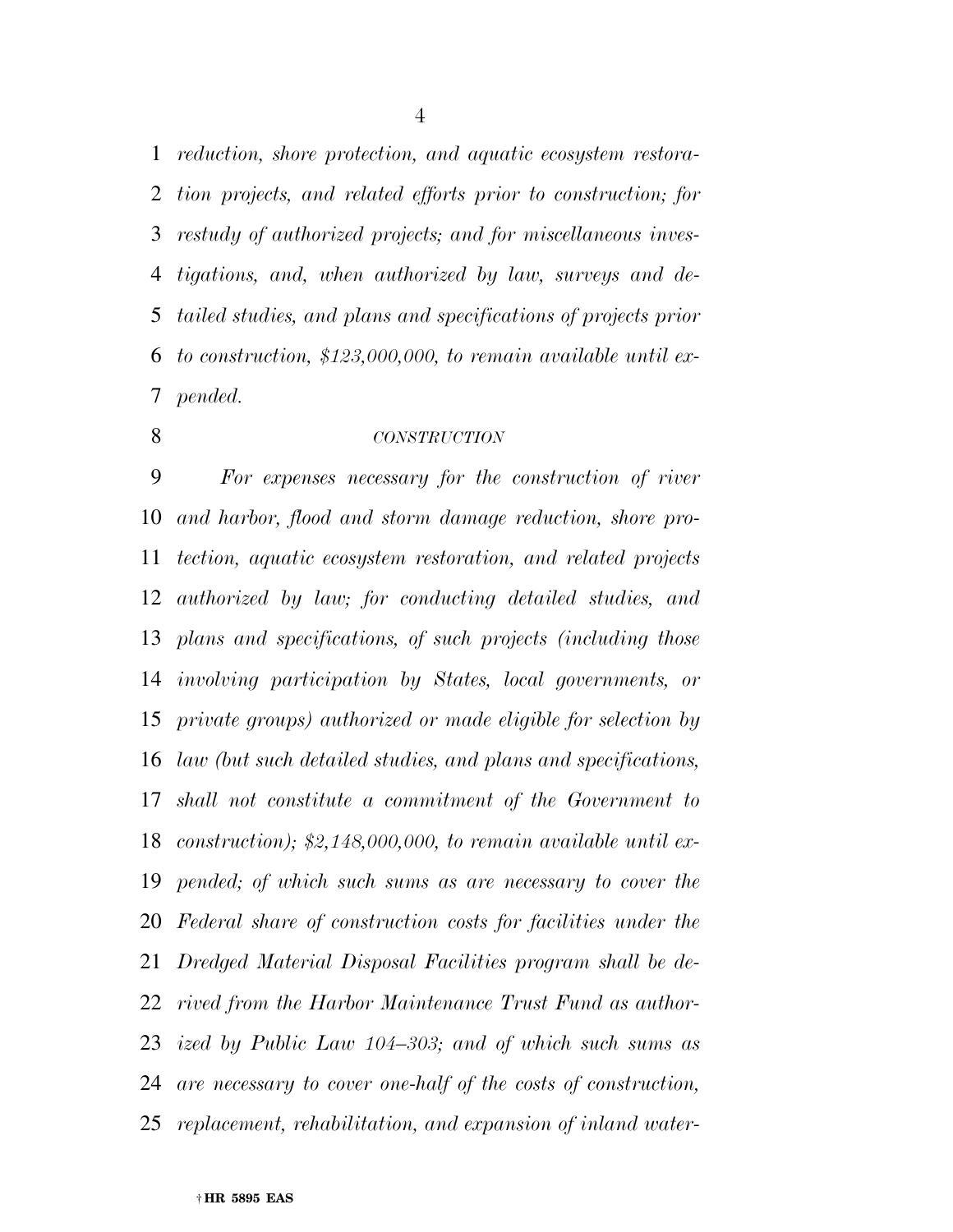*reduction, shore protection, and aquatic ecosystem restora- tion projects, and related efforts prior to construction; for restudy of authorized projects; and for miscellaneous inves- tigations, and, when authorized by law, surveys and de- tailed studies, and plans and specifications of projects prior to construction, \$123,000,000, to remain available until ex-pended.* 

# *CONSTRUCTION*

 *For expenses necessary for the construction of river and harbor, flood and storm damage reduction, shore pro- tection, aquatic ecosystem restoration, and related projects authorized by law; for conducting detailed studies, and plans and specifications, of such projects (including those involving participation by States, local governments, or private groups) authorized or made eligible for selection by law (but such detailed studies, and plans and specifications, shall not constitute a commitment of the Government to construction); \$2,148,000,000, to remain available until ex- pended; of which such sums as are necessary to cover the Federal share of construction costs for facilities under the Dredged Material Disposal Facilities program shall be de- rived from the Harbor Maintenance Trust Fund as author- ized by Public Law 104–303; and of which such sums as are necessary to cover one-half of the costs of construction, replacement, rehabilitation, and expansion of inland water-*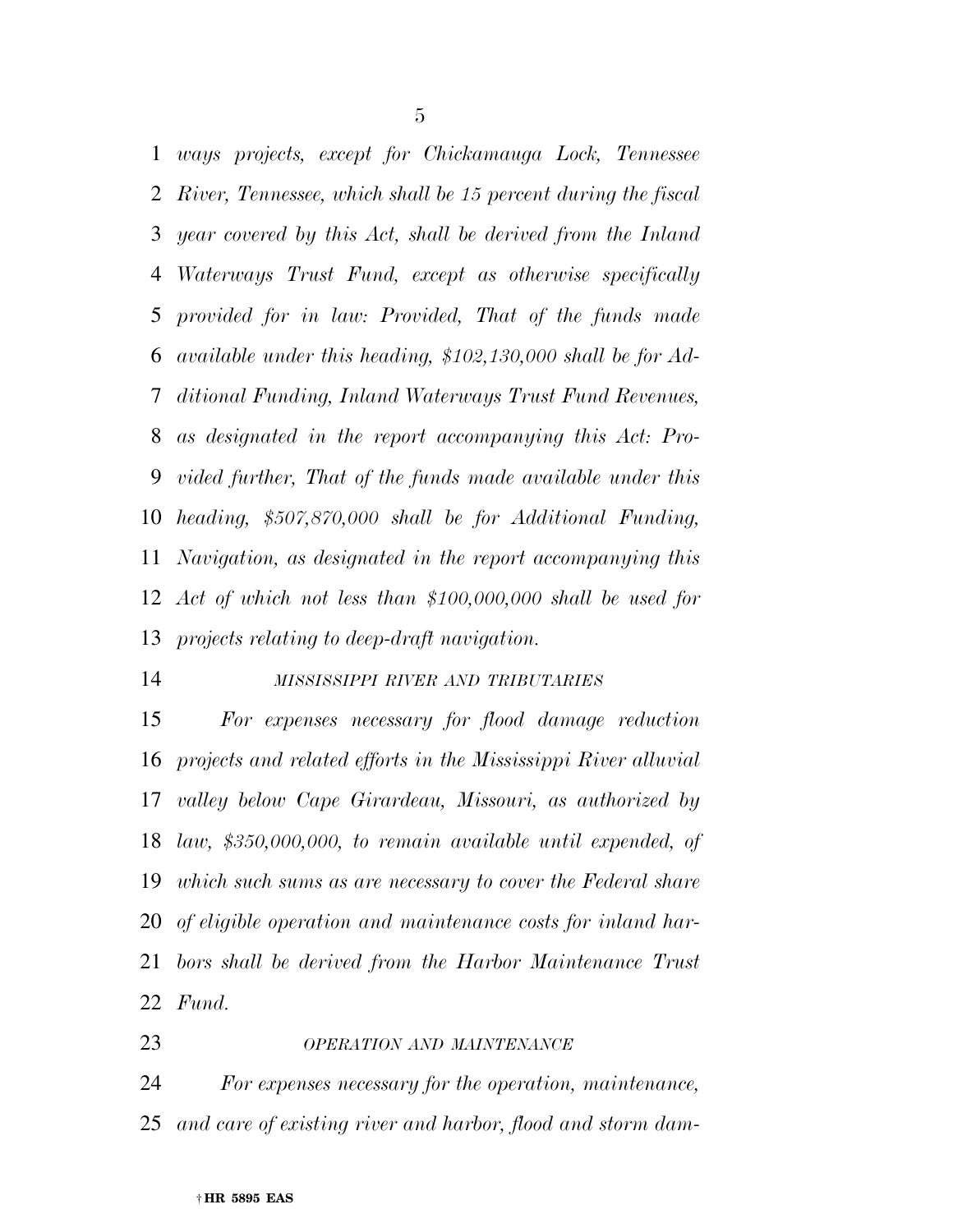*ways projects, except for Chickamauga Lock, Tennessee River, Tennessee, which shall be 15 percent during the fiscal year covered by this Act, shall be derived from the Inland Waterways Trust Fund, except as otherwise specifically provided for in law: Provided, That of the funds made available under this heading, \$102,130,000 shall be for Ad- ditional Funding, Inland Waterways Trust Fund Revenues, as designated in the report accompanying this Act: Pro- vided further, That of the funds made available under this heading, \$507,870,000 shall be for Additional Funding, Navigation, as designated in the report accompanying this Act of which not less than \$100,000,000 shall be used for projects relating to deep-draft navigation.* 

# *MISSISSIPPI RIVER AND TRIBUTARIES*

 *For expenses necessary for flood damage reduction projects and related efforts in the Mississippi River alluvial valley below Cape Girardeau, Missouri, as authorized by law, \$350,000,000, to remain available until expended, of which such sums as are necessary to cover the Federal share of eligible operation and maintenance costs for inland har- bors shall be derived from the Harbor Maintenance Trust Fund.* 

*OPERATION AND MAINTENANCE*

 *For expenses necessary for the operation, maintenance, and care of existing river and harbor, flood and storm dam-*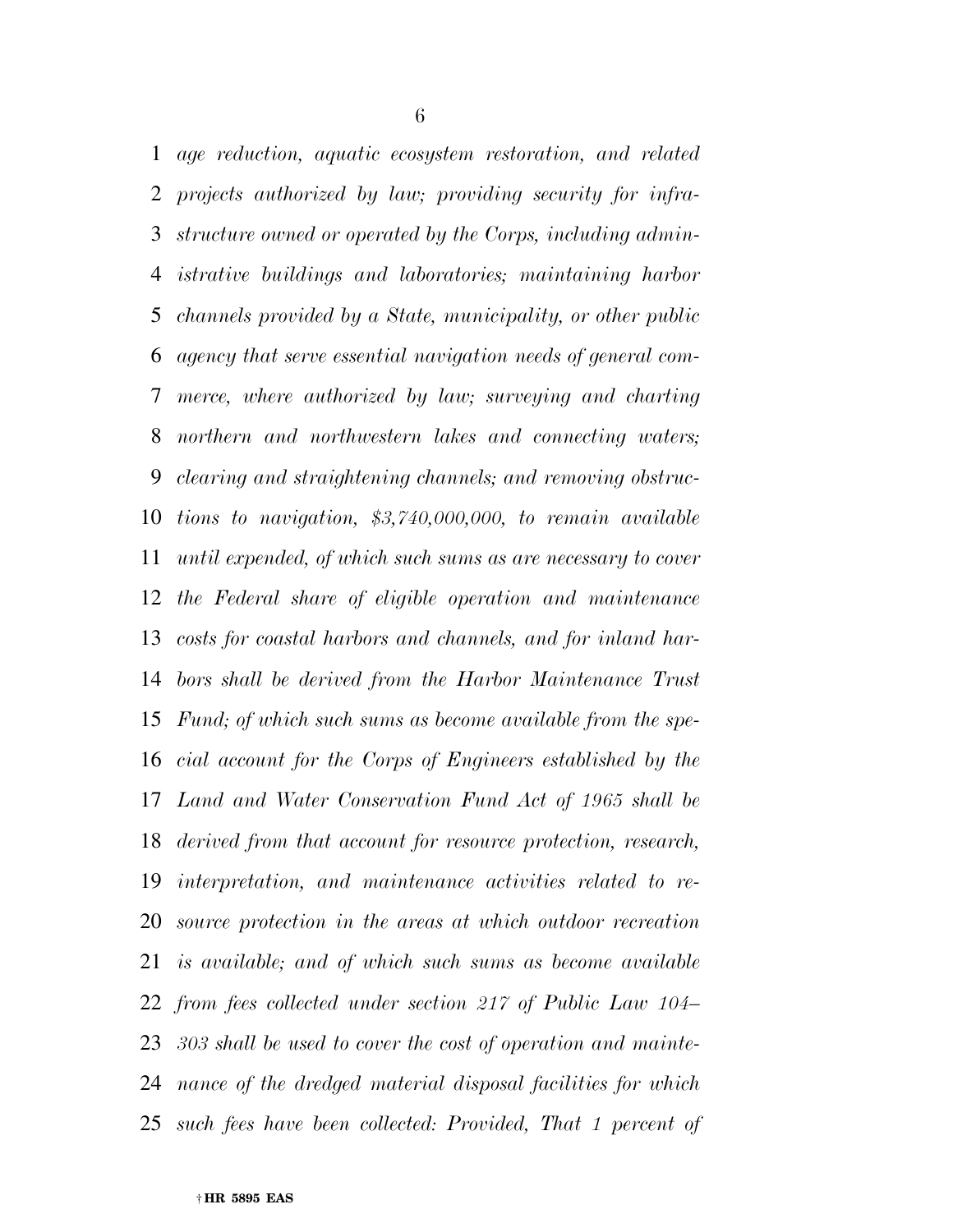*age reduction, aquatic ecosystem restoration, and related projects authorized by law; providing security for infra- structure owned or operated by the Corps, including admin- istrative buildings and laboratories; maintaining harbor channels provided by a State, municipality, or other public agency that serve essential navigation needs of general com- merce, where authorized by law; surveying and charting northern and northwestern lakes and connecting waters; clearing and straightening channels; and removing obstruc- tions to navigation, \$3,740,000,000, to remain available until expended, of which such sums as are necessary to cover the Federal share of eligible operation and maintenance costs for coastal harbors and channels, and for inland har- bors shall be derived from the Harbor Maintenance Trust Fund; of which such sums as become available from the spe- cial account for the Corps of Engineers established by the Land and Water Conservation Fund Act of 1965 shall be derived from that account for resource protection, research, interpretation, and maintenance activities related to re- source protection in the areas at which outdoor recreation is available; and of which such sums as become available from fees collected under section 217 of Public Law 104– 303 shall be used to cover the cost of operation and mainte- nance of the dredged material disposal facilities for which such fees have been collected: Provided, That 1 percent of*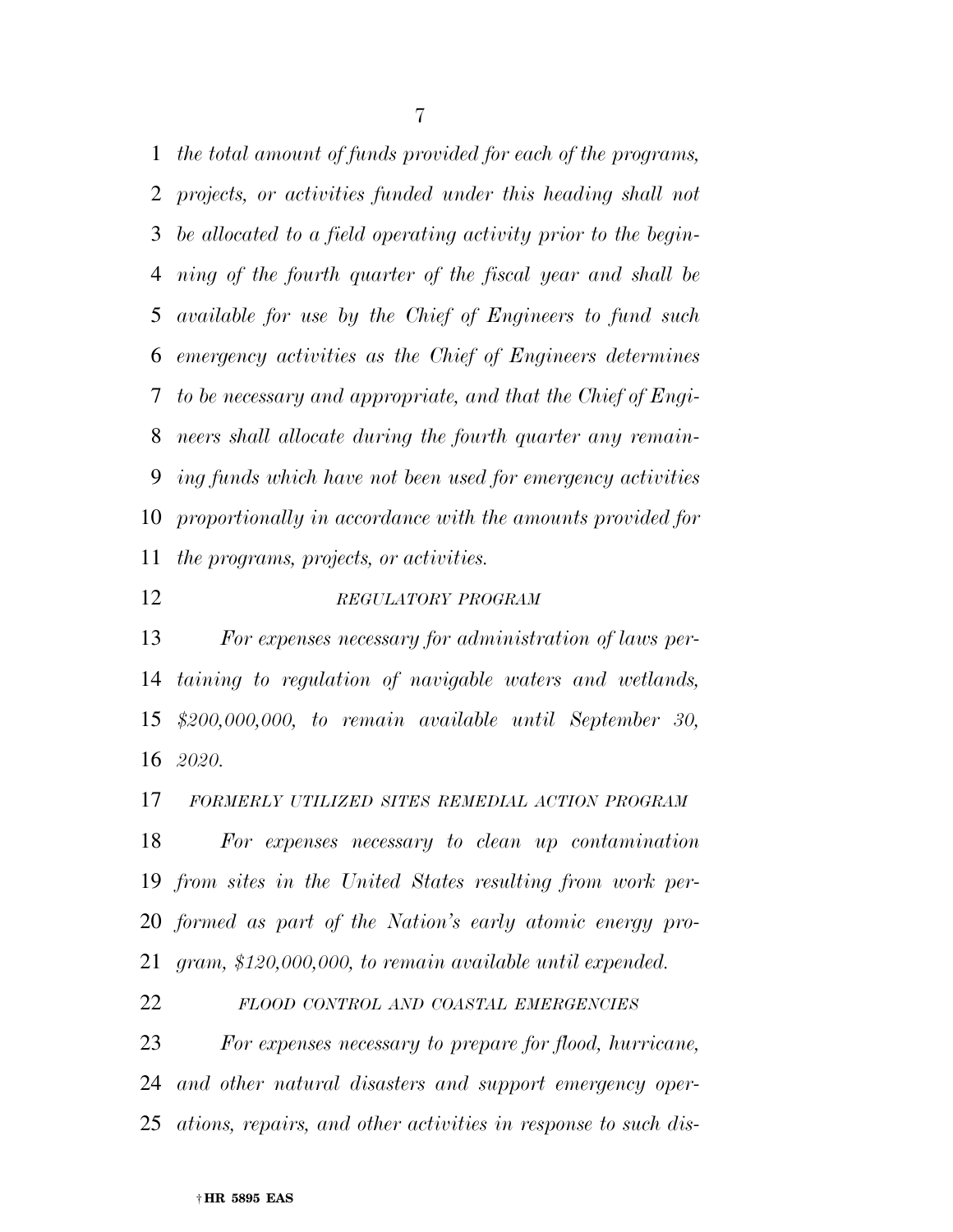*the total amount of funds provided for each of the programs, projects, or activities funded under this heading shall not be allocated to a field operating activity prior to the begin- ning of the fourth quarter of the fiscal year and shall be available for use by the Chief of Engineers to fund such emergency activities as the Chief of Engineers determines to be necessary and appropriate, and that the Chief of Engi- neers shall allocate during the fourth quarter any remain- ing funds which have not been used for emergency activities proportionally in accordance with the amounts provided for the programs, projects, or activities.* 

# *REGULATORY PROGRAM*

 *For expenses necessary for administration of laws per- taining to regulation of navigable waters and wetlands, \$200,000,000, to remain available until September 30, 2020.* 

*FORMERLY UTILIZED SITES REMEDIAL ACTION PROGRAM*

 *For expenses necessary to clean up contamination from sites in the United States resulting from work per- formed as part of the Nation's early atomic energy pro-gram, \$120,000,000, to remain available until expended.* 

*FLOOD CONTROL AND COASTAL EMERGENCIES*

 *For expenses necessary to prepare for flood, hurricane, and other natural disasters and support emergency oper-ations, repairs, and other activities in response to such dis-*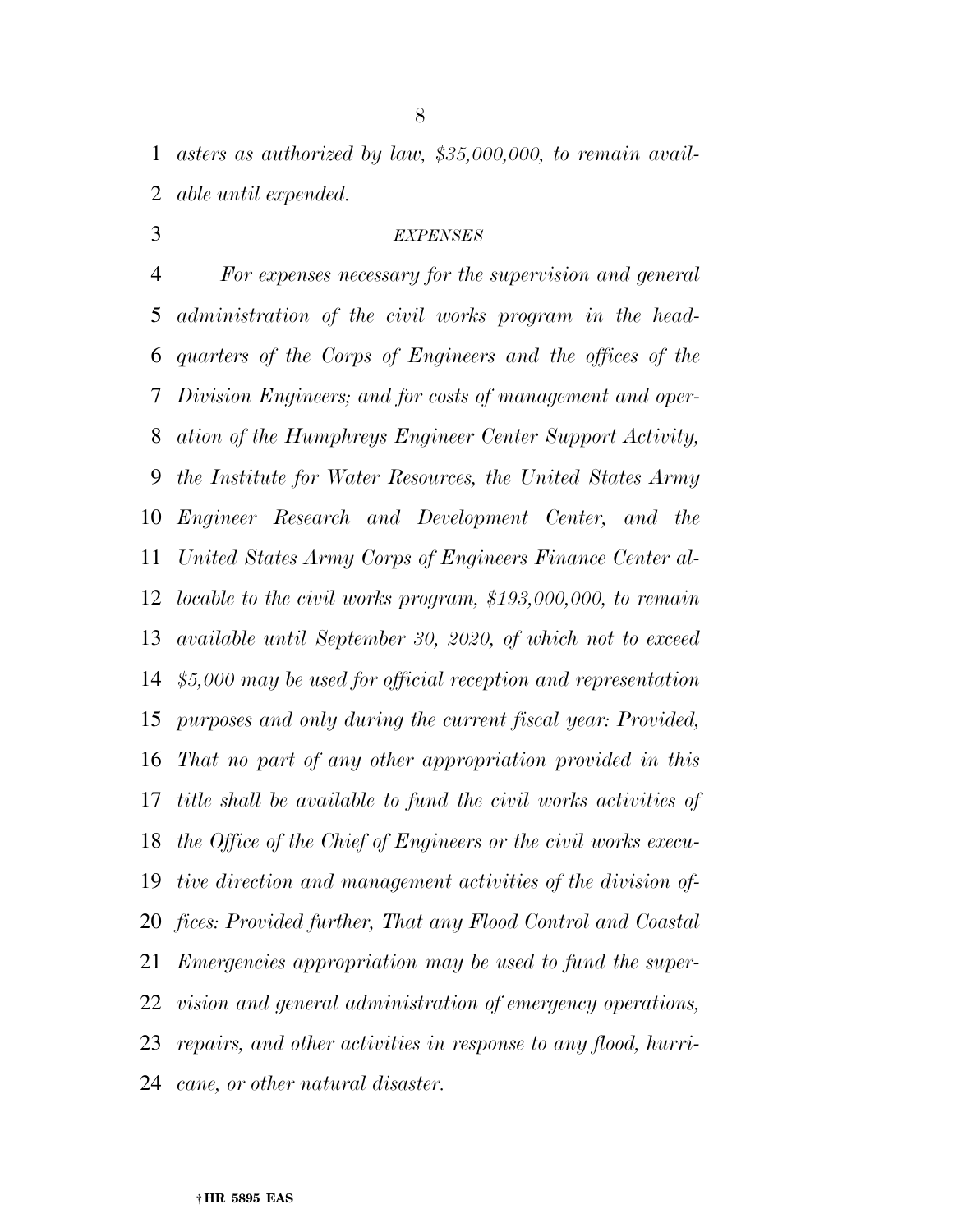*asters as authorized by law, \$35,000,000, to remain avail-able until expended.* 

# *EXPENSES*

 *For expenses necessary for the supervision and general administration of the civil works program in the head- quarters of the Corps of Engineers and the offices of the Division Engineers; and for costs of management and oper- ation of the Humphreys Engineer Center Support Activity, the Institute for Water Resources, the United States Army Engineer Research and Development Center, and the United States Army Corps of Engineers Finance Center al- locable to the civil works program, \$193,000,000, to remain available until September 30, 2020, of which not to exceed \$5,000 may be used for official reception and representation purposes and only during the current fiscal year: Provided, That no part of any other appropriation provided in this title shall be available to fund the civil works activities of the Office of the Chief of Engineers or the civil works execu- tive direction and management activities of the division of- fices: Provided further, That any Flood Control and Coastal Emergencies appropriation may be used to fund the super- vision and general administration of emergency operations, repairs, and other activities in response to any flood, hurri-cane, or other natural disaster.*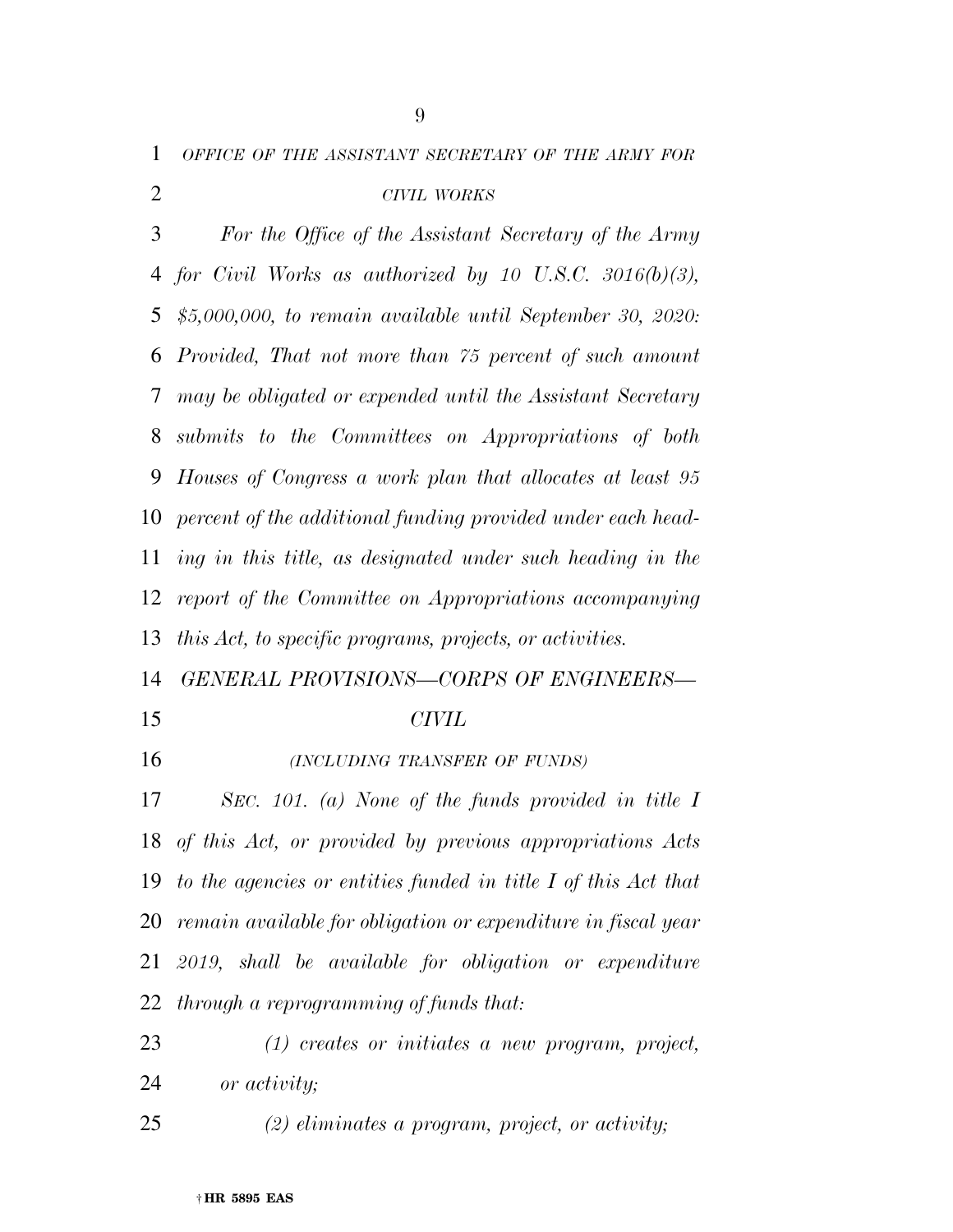*OFFICE OF THE ASSISTANT SECRETARY OF THE ARMY FOR*

# *CIVIL WORKS*

 *For the Office of the Assistant Secretary of the Army for Civil Works as authorized by 10 U.S.C. 3016(b)(3), \$5,000,000, to remain available until September 30, 2020: Provided, That not more than 75 percent of such amount may be obligated or expended until the Assistant Secretary submits to the Committees on Appropriations of both Houses of Congress a work plan that allocates at least 95 percent of the additional funding provided under each head- ing in this title, as designated under such heading in the report of the Committee on Appropriations accompanying this Act, to specific programs, projects, or activities. GENERAL PROVISIONS—CORPS OF ENGINEERS— CIVIL (INCLUDING TRANSFER OF FUNDS)*

 *SEC. 101. (a) None of the funds provided in title I of this Act, or provided by previous appropriations Acts to the agencies or entities funded in title I of this Act that remain available for obligation or expenditure in fiscal year 2019*, shall be available for obligation or expenditure *through a reprogramming of funds that:* 

 *(1) creates or initiates a new program, project, or activity;* 

*(2) eliminates a program, project, or activity;*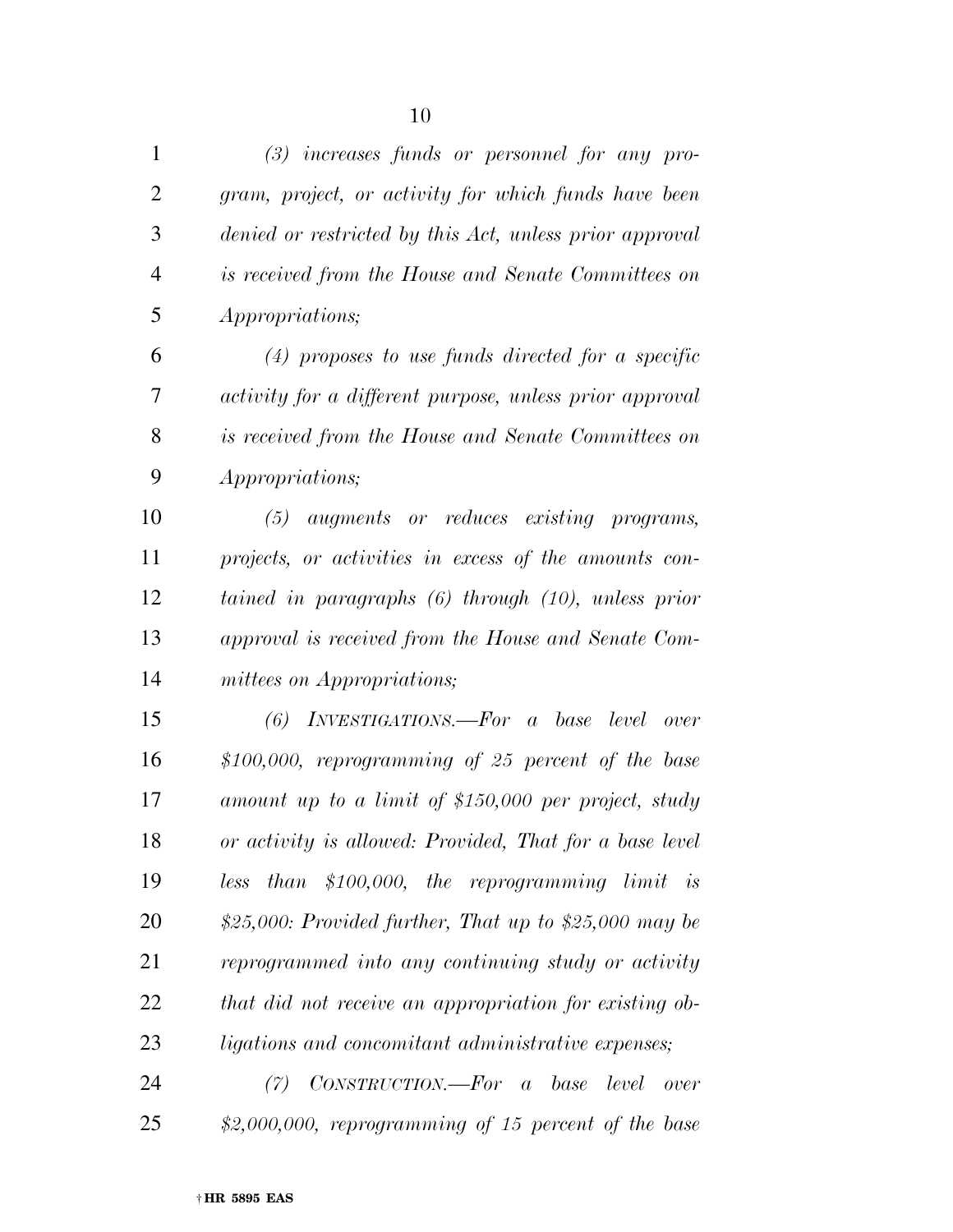| 1              | $(3)$ increases funds or personnel for any pro-                |
|----------------|----------------------------------------------------------------|
| $\overline{2}$ | gram, project, or activity for which funds have been           |
| 3              | denied or restricted by this Act, unless prior approval        |
| $\overline{4}$ | is received from the House and Senate Committees on            |
| 5              | <i>Appropriations</i> ;                                        |
| 6              | $(4)$ proposes to use funds directed for a specific            |
| 7              | activity for a different purpose, unless prior approval        |
| 8              | is received from the House and Senate Committees on            |
| 9              | Appropriations;                                                |
| 10             | $(5)$ augments or reduces existing programs,                   |
| 11             | projects, or activities in excess of the amounts con-          |
| 12             | tained in paragraphs $(6)$ through $(10)$ , unless prior       |
| 13             | approval is received from the House and Senate Com-            |
| 14             | mittees on Appropriations;                                     |
| 15             | $(6)$ INVESTIGATIONS.—For a base level over                    |
| 16             | $$100,000$ , reprogramming of 25 percent of the base           |
| 17             | amount up to a limit of \$150,000 per project, study           |
| 18             | or activity is allowed: Provided, That for a base level        |
| 19             | $$100,000$ , the reprogramming limit is<br><i>than</i><br>less |
| 20             | \$25,000: Provided further, That up to \$25,000 may be         |
| 21             | reprogrammed into any continuing study or activity             |
| 22             | that did not receive an appropriation for existing ob-         |

*ligations and concomitant administrative expenses;* 

 *(7) CONSTRUCTION.—For a base level over \$2,000,000, reprogramming of 15 percent of the base*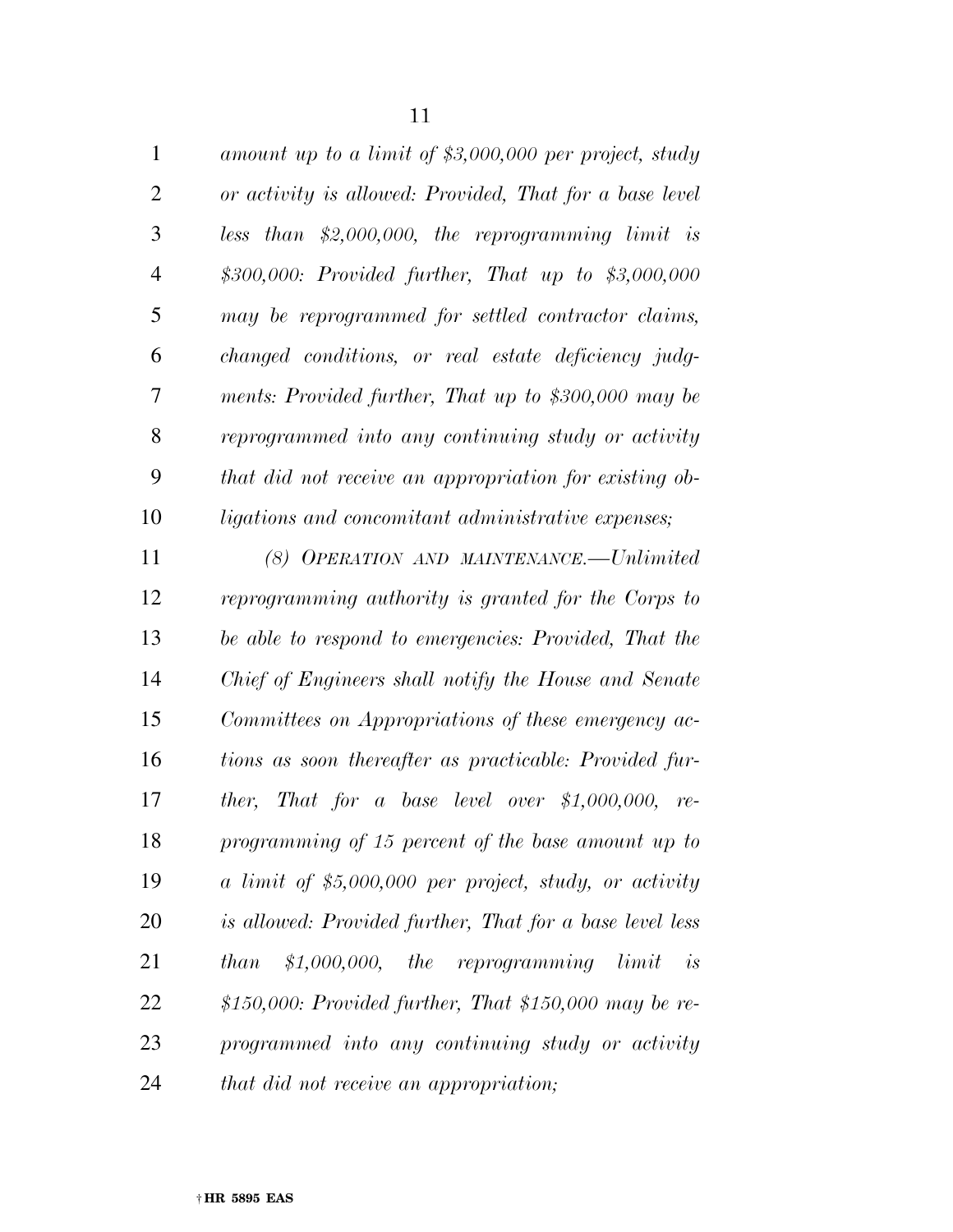| $\mathbf{1}$   | amount up to a limit of \$3,000,000 per project, study        |
|----------------|---------------------------------------------------------------|
| $\overline{2}$ | or activity is allowed: Provided, That for a base level       |
| 3              | less than $$2,000,000,$ the reprogramming limit is            |
| 4              | $$300,000: Provided further, That up to $3,000,000$           |
| 5              | may be reprogrammed for settled contractor claims,            |
| 6              | changed conditions, or real estate deficiency judg-           |
| 7              | ments: Provided further, That up to \$300,000 may be          |
| 8              | reprogrammed into any continuing study or activity            |
| 9              | that did not receive an appropriation for existing ob-        |
| 10             | ligations and concomitant administrative expenses;            |
| 11             | (8) OPERATION AND MAINTENANCE.-Unlimited                      |
| 12             | reprogramming authority is granted for the Corps to           |
| 13             | be able to respond to emergencies: Provided, That the         |
| 14             | Chief of Engineers shall notify the House and Senate          |
| 15             | Committees on Appropriations of these emergency ac-           |
| 16             | tions as soon thereafter as practicable: Provided fur-        |
| 17             | ther, That for a base level over $$1,000,000$ , re-           |
| 18             | programming of 15 percent of the base amount up to            |
| 19             | $a$ limit of \$5,000,000 per project, study, or activity      |
| 20             | is allowed: Provided further, That for a base level less      |
| 21             | $$1,000,000,$ the reprogramming<br>limit<br><i>than</i><br>is |
| 22             | \$150,000: Provided further, That \$150,000 may be re-        |
| 23             | programmed into any continuing study or activity              |
| 24             | that did not receive an appropriation;                        |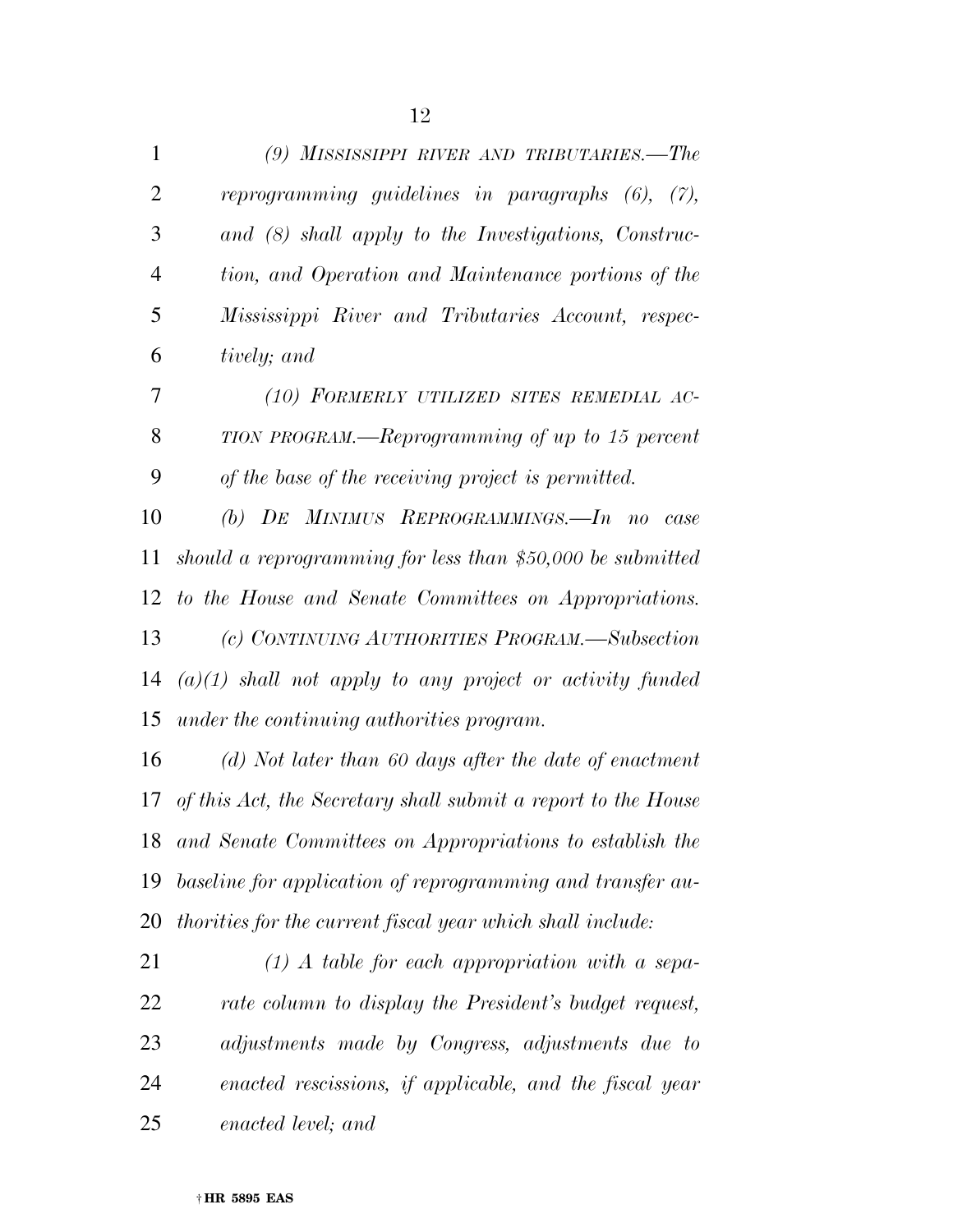| $\mathbf{1}$   | (9) MISSISSIPPI RIVER AND TRIBUTARIES.—The                    |
|----------------|---------------------------------------------------------------|
| $\overline{2}$ | reprogramming guidelines in paragraphs $(6)$ , $(7)$ ,        |
| 3              | and (8) shall apply to the Investigations, Construc-          |
| $\overline{4}$ | tion, and Operation and Maintenance portions of the           |
| 5              | Mississippi River and Tributaries Account, respec-            |
| 6              | tively; and                                                   |
| 7              | (10) FORMERLY UTILIZED SITES REMEDIAL AC-                     |
| 8              | TION PROGRAM.—Reprogramming of up to 15 percent               |
| 9              | of the base of the receiving project is permitted.            |
| 10             | (b) DE MINIMUS REPROGRAMMINGS.—In no case                     |
| 11             | should a reprogramming for less than \$50,000 be submitted    |
|                | 12 to the House and Senate Committees on Appropriations.      |
| 13             | (c) CONTINUING AUTHORITIES PROGRAM.—Subsection                |
|                | 14 $(a)(1)$ shall not apply to any project or activity funded |
| 15             | under the continuing authorities program.                     |
| 16             | $(d)$ Not later than 60 days after the date of enactment      |

 *of this Act, the Secretary shall submit a report to the House and Senate Committees on Appropriations to establish the baseline for application of reprogramming and transfer au-thorities for the current fiscal year which shall include:* 

 *(1) A table for each appropriation with a sepa- rate column to display the President's budget request, adjustments made by Congress, adjustments due to enacted rescissions, if applicable, and the fiscal year enacted level; and*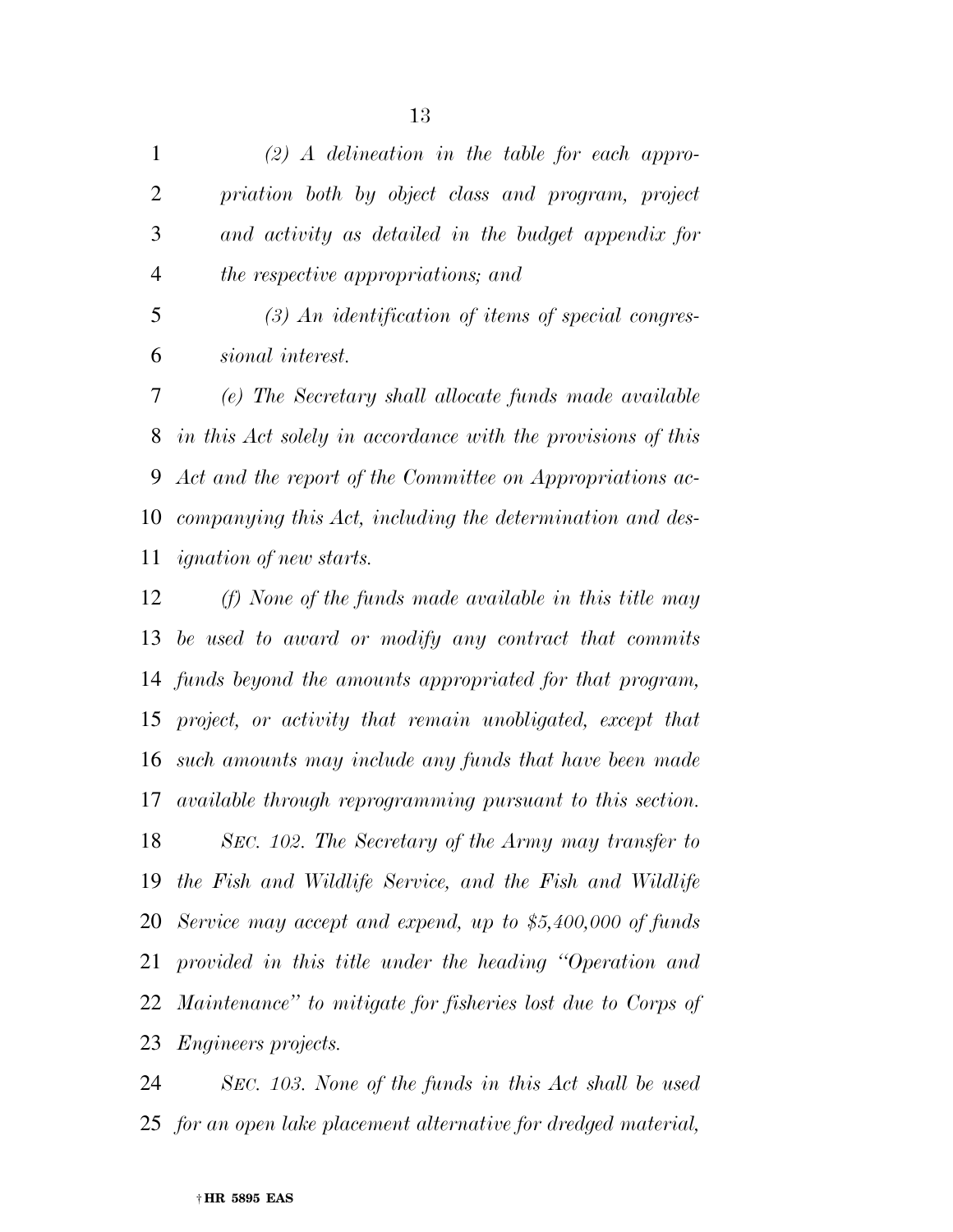*(2) A delineation in the table for each appro- priation both by object class and program, project and activity as detailed in the budget appendix for the respective appropriations; and* 

 *(3) An identification of items of special congres-sional interest.* 

 *(e) The Secretary shall allocate funds made available in this Act solely in accordance with the provisions of this Act and the report of the Committee on Appropriations ac- companying this Act, including the determination and des-ignation of new starts.* 

 *(f) None of the funds made available in this title may be used to award or modify any contract that commits funds beyond the amounts appropriated for that program, project, or activity that remain unobligated, except that such amounts may include any funds that have been made available through reprogramming pursuant to this section. SEC. 102. The Secretary of the Army may transfer to the Fish and Wildlife Service, and the Fish and Wildlife Service may accept and expend, up to \$5,400,000 of funds provided in this title under the heading ''Operation and Maintenance'' to mitigate for fisheries lost due to Corps of Engineers projects.* 

 *SEC. 103. None of the funds in this Act shall be used for an open lake placement alternative for dredged material,*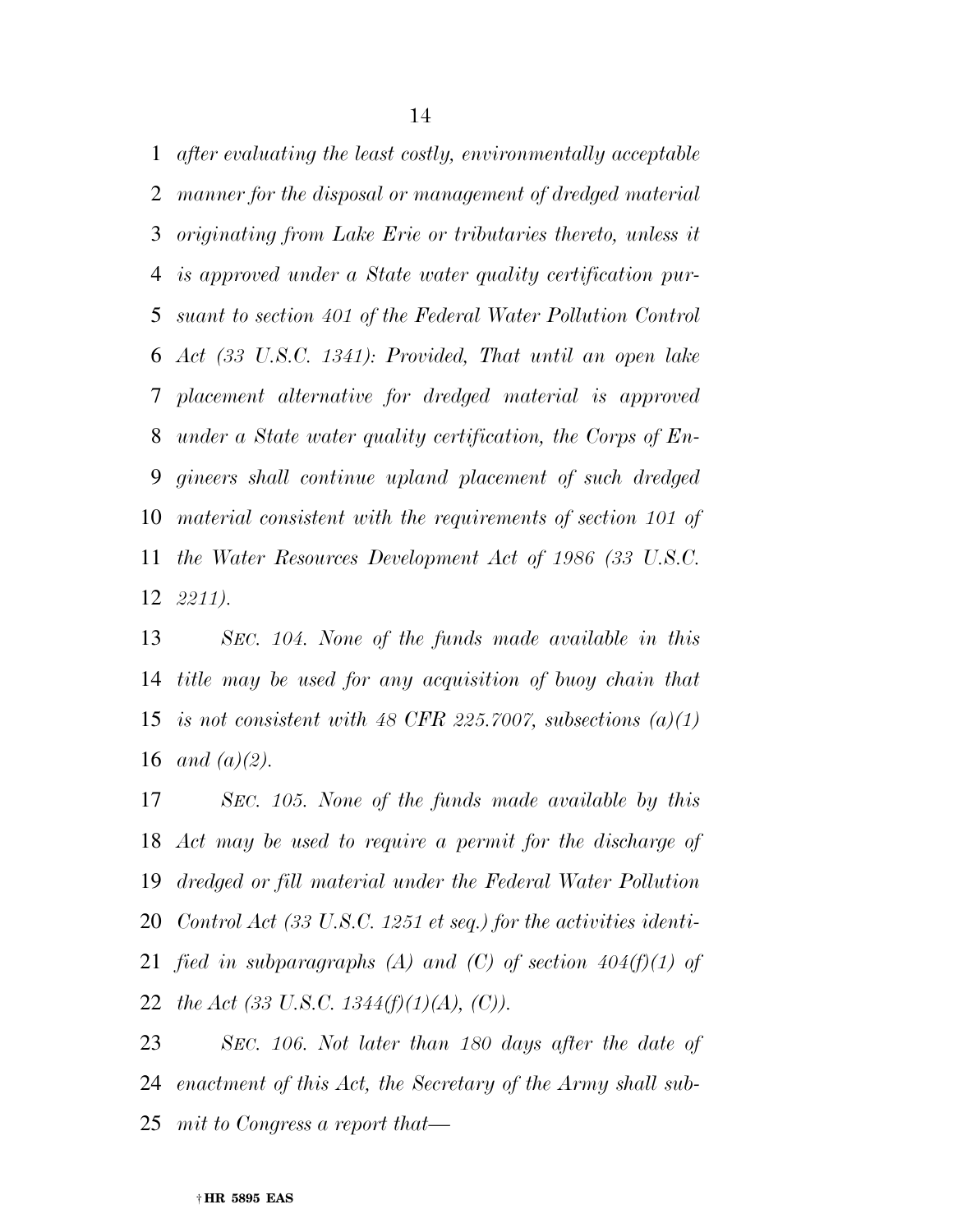*after evaluating the least costly, environmentally acceptable manner for the disposal or management of dredged material originating from Lake Erie or tributaries thereto, unless it is approved under a State water quality certification pur- suant to section 401 of the Federal Water Pollution Control Act (33 U.S.C. 1341): Provided, That until an open lake placement alternative for dredged material is approved under a State water quality certification, the Corps of En- gineers shall continue upland placement of such dredged material consistent with the requirements of section 101 of the Water Resources Development Act of 1986 (33 U.S.C. 2211).* 

 *SEC. 104. None of the funds made available in this title may be used for any acquisition of buoy chain that is not consistent with 48 CFR 225.7007, subsections (a)(1) and (a)(2)*.

 *SEC. 105. None of the funds made available by this Act may be used to require a permit for the discharge of dredged or fill material under the Federal Water Pollution Control Act (33 U.S.C. 1251 et seq.) for the activities identi- fied in subparagraphs (A) and (C) of section 404(f)(1) of the Act (33 U.S.C. 1344(f)(1)(A), (C)).* 

 *SEC. 106. Not later than 180 days after the date of enactment of this Act, the Secretary of the Army shall sub-mit to Congress a report that—*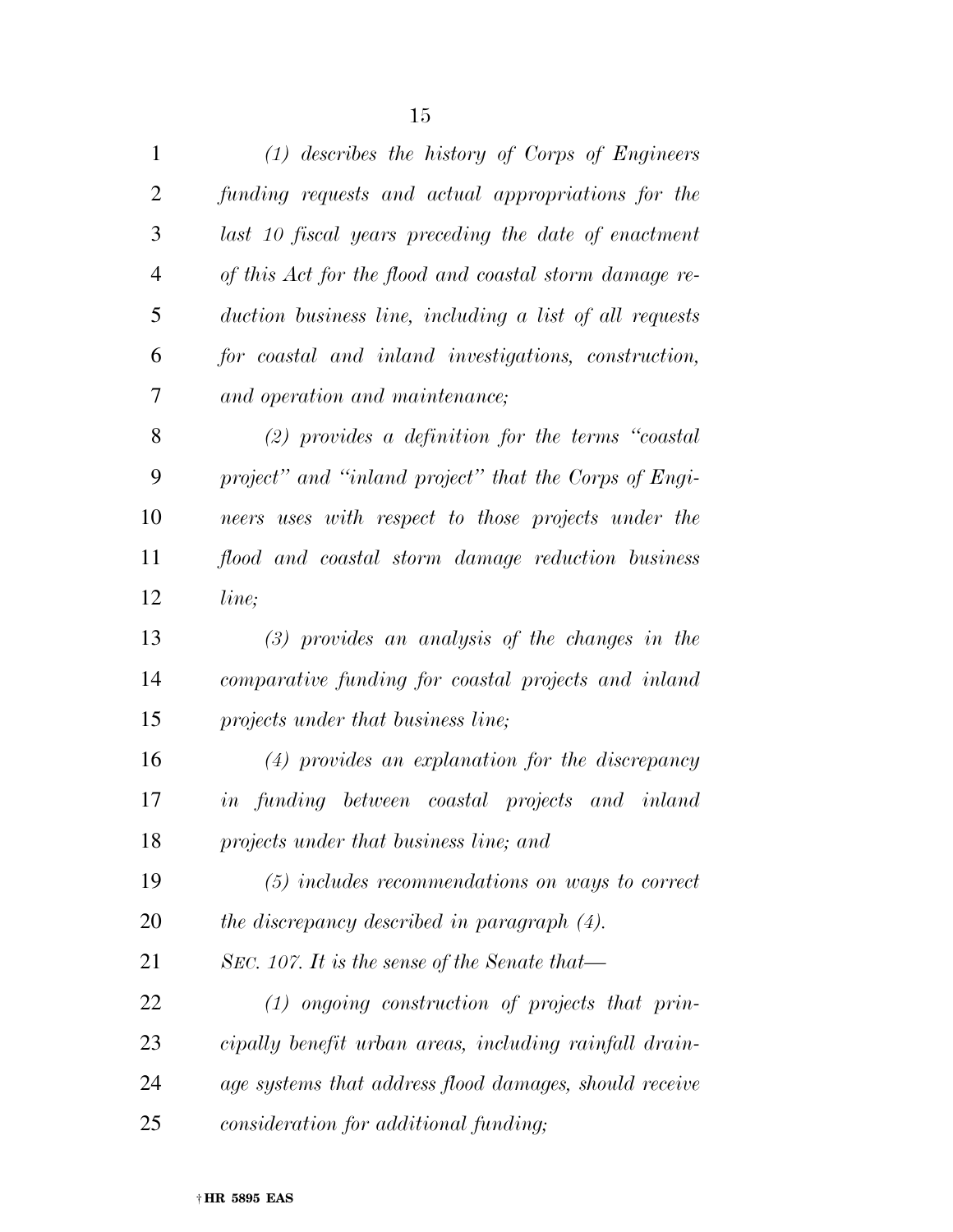| $\mathbf{1}$   | $(1)$ describes the history of Corps of Engineers       |
|----------------|---------------------------------------------------------|
| $\overline{2}$ | funding requests and actual appropriations for the      |
| 3              | last 10 fiscal years preceding the date of enactment    |
| 4              | of this Act for the flood and coastal storm damage re-  |
| 5              | duction business line, including a list of all requests |
| 6              | for coastal and inland investigations, construction,    |
| 7              | and operation and maintenance;                          |
| 8              | $(2)$ provides a definition for the terms "coastal"     |
| 9              | project" and "inland project" that the Corps of Engi-   |
| 10             | neers uses with respect to those projects under the     |
| 11             | flood and coastal storm damage reduction business       |
| 12             | line;                                                   |
| 13             | $(3)$ provides an analysis of the changes in the        |
| 14             | comparative funding for coastal projects and inland     |
| 15             | projects under that business line;                      |
| 16             | (4) provides an explanation for the discrepancy         |
| 17             | in funding between coastal projects and inland          |
| 18             | projects under that business line; and                  |
| 19             | $(5)$ includes recommendations on ways to correct       |
| 20             | the discrepancy described in paragraph $(4)$ .          |
| 21             | SEC. 107. It is the sense of the Senate that—           |
| 22             | $(1)$ ongoing construction of projects that prin-       |
| 23             | cipally benefit urban areas, including rainfall drain-  |
| 24             | age systems that address flood damages, should receive  |
| 25             | consideration for additional funding;                   |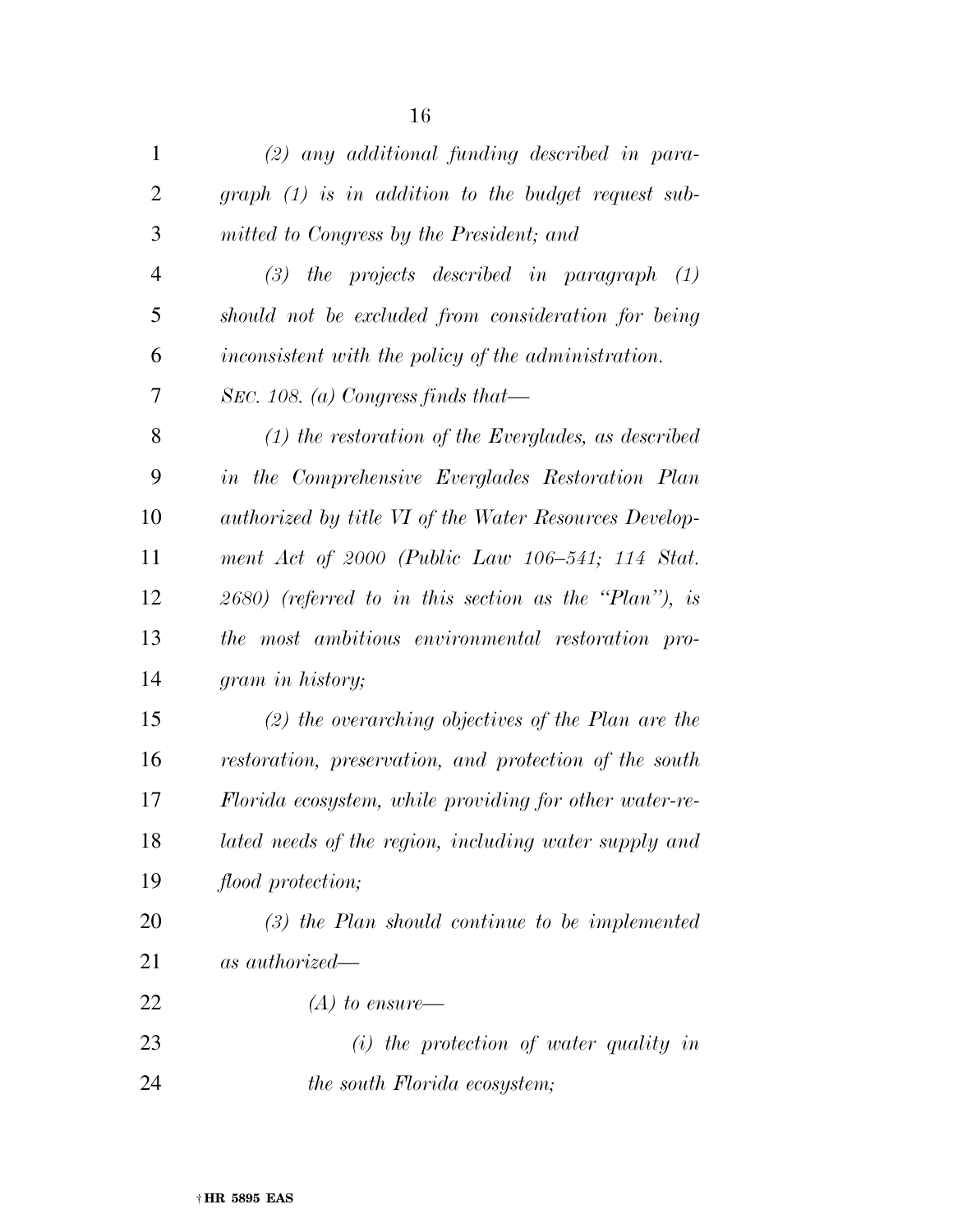| $\mathbf{1}$   | $(2)$ any additional funding described in para-         |
|----------------|---------------------------------------------------------|
| $\overline{2}$ | $graph (1)$ is in addition to the budget request sub-   |
| 3              | mitted to Congress by the President; and                |
| $\overline{4}$ | $(3)$ the projects described in paragraph<br>(1)        |
| 5              | should not be excluded from consideration for being     |
| 6              | inconsistent with the policy of the administration.     |
| 7              | SEC. 108. (a) Congress finds that—                      |
| 8              | $(1)$ the restoration of the Everglades, as described   |
| 9              | in the Comprehensive Everglades Restoration Plan        |
| 10             | authorized by title VI of the Water Resources Develop-  |
| 11             | ment Act of 2000 (Public Law $106-541$ ; 114 Stat.      |
| 12             | $2680)$ (referred to in this section as the "Plan"), is |
| 13             | the most ambitious environmental restoration pro-       |
| 14             | gram in history;                                        |
| 15             | $(2)$ the overarching objectives of the Plan are the    |
| 16             | restoration, preservation, and protection of the south  |
| 17             | Florida ecosystem, while providing for other water-re-  |
| 18             | lated needs of the region, including water supply and   |
| 19             | flood protection;                                       |
| 20             | $(3)$ the Plan should continue to be implemented        |
| 21             | as authorized—                                          |
| 22             | $(A)$ to ensure—                                        |
| 23             | $(i)$ the protection of water quality in                |
| 24             | the south Florida ecosystem;                            |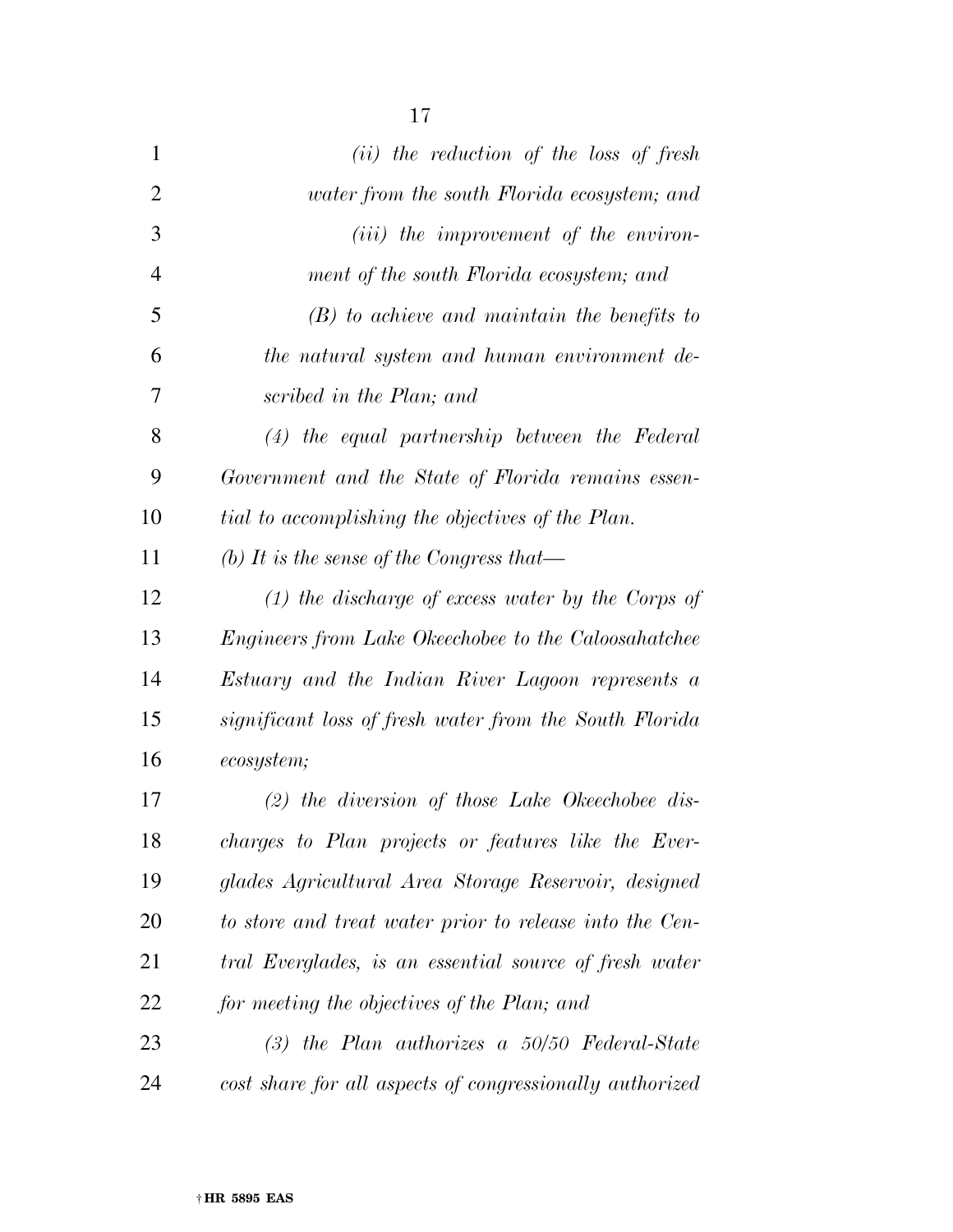| $\mathbf{1}$   | (ii) the reduction of the loss of fresh                  |
|----------------|----------------------------------------------------------|
| $\overline{2}$ | water from the south Florida ecosystem; and              |
| 3              | ( <i>iii</i> ) the improvement of the environ-           |
| $\overline{4}$ | ment of the south Florida ecosystem; and                 |
| 5              | $(B)$ to achieve and maintain the benefits to            |
| 6              | the natural system and human environment de-             |
| 7              | scribed in the Plan; and                                 |
| 8              | $(4)$ the equal partnership between the Federal          |
| 9              | Government and the State of Florida remains essen-       |
| 10             | tial to accomplishing the objectives of the Plan.        |
| 11             | (b) It is the sense of the Congress that—                |
| 12             | $(1)$ the discharge of excess water by the Corps of      |
| 13             | Engineers from Lake Okeechobee to the Caloosahatchee     |
| 14             | Estuary and the Indian River Lagoon represents a         |
| 15             | significant loss of fresh water from the South Florida   |
| 16             | ecosystem;                                               |
| 17             | $(2)$ the diversion of those Lake Okeechobee dis-        |
| 18             | charges to Plan projects or features like the Ever-      |
| 19             | glades Agricultural Area Storage Reservoir, designed     |
| 20             | to store and treat water prior to release into the Cen-  |
| 21             | tral Everglades, is an essential source of fresh water   |
| 22             | for meeting the objectives of the Plan; and              |
| 23             | $(3)$ the Plan authorizes a $50/50$ Federal-State        |
| 24             | cost share for all aspects of congressionally authorized |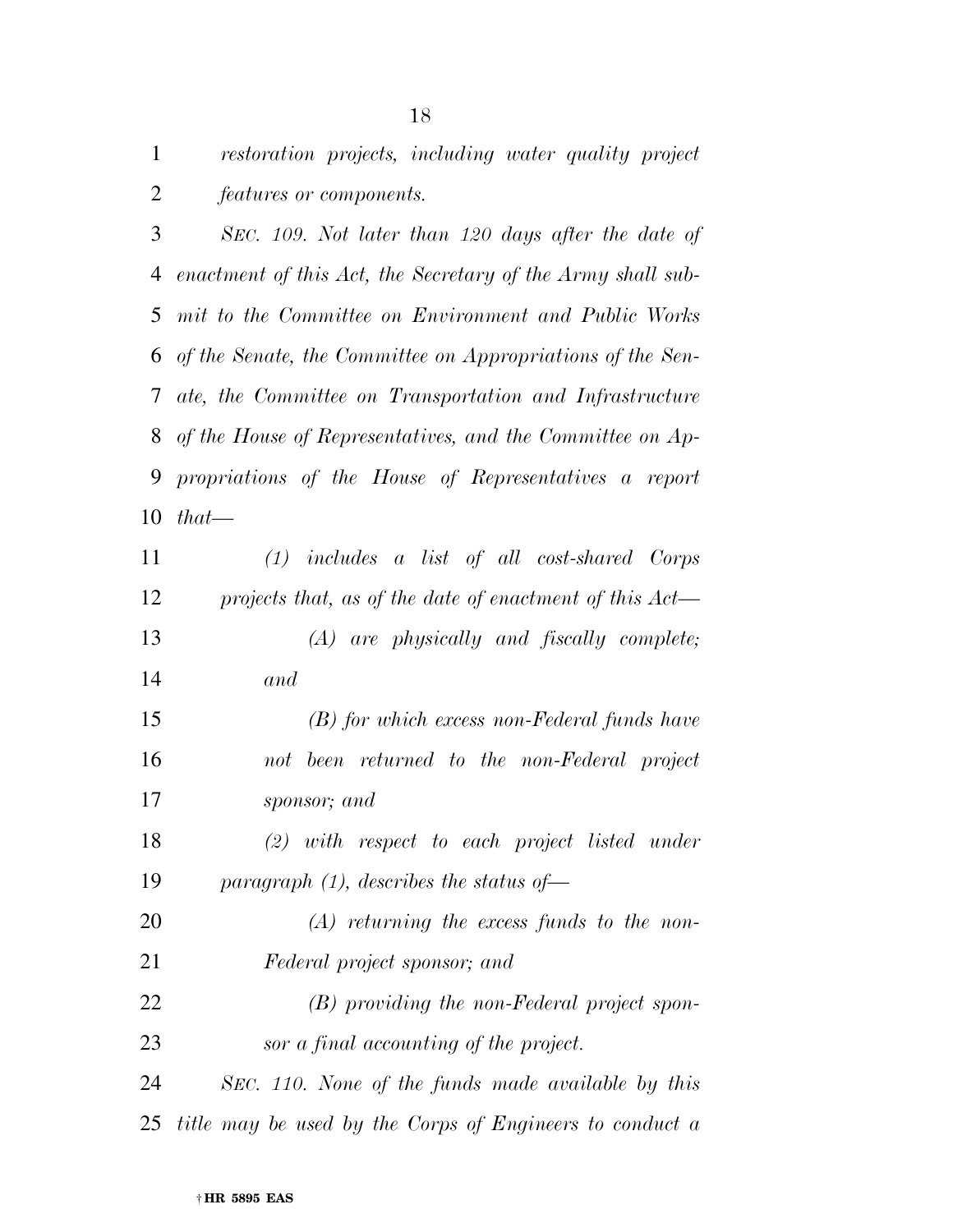*restoration projects, including water quality project features or components.* 

 *SEC. 109. Not later than 120 days after the date of enactment of this Act, the Secretary of the Army shall sub- mit to the Committee on Environment and Public Works of the Senate, the Committee on Appropriations of the Sen- ate, the Committee on Transportation and Infrastructure of the House of Representatives, and the Committee on Ap- propriations of the House of Representatives a report that—* 

 *(1) includes a list of all cost-shared Corps projects that, as of the date of enactment of this Act— (A) are physically and fiscally complete; and (B) for which excess non-Federal funds have not been returned to the non-Federal project sponsor; and (2) with respect to each project listed under paragraph (1), describes the status of— (A) returning the excess funds to the non- Federal project sponsor; and (B) providing the non-Federal project spon- sor a final accounting of the project. SEC. 110. None of the funds made available by this title may be used by the Corps of Engineers to conduct a*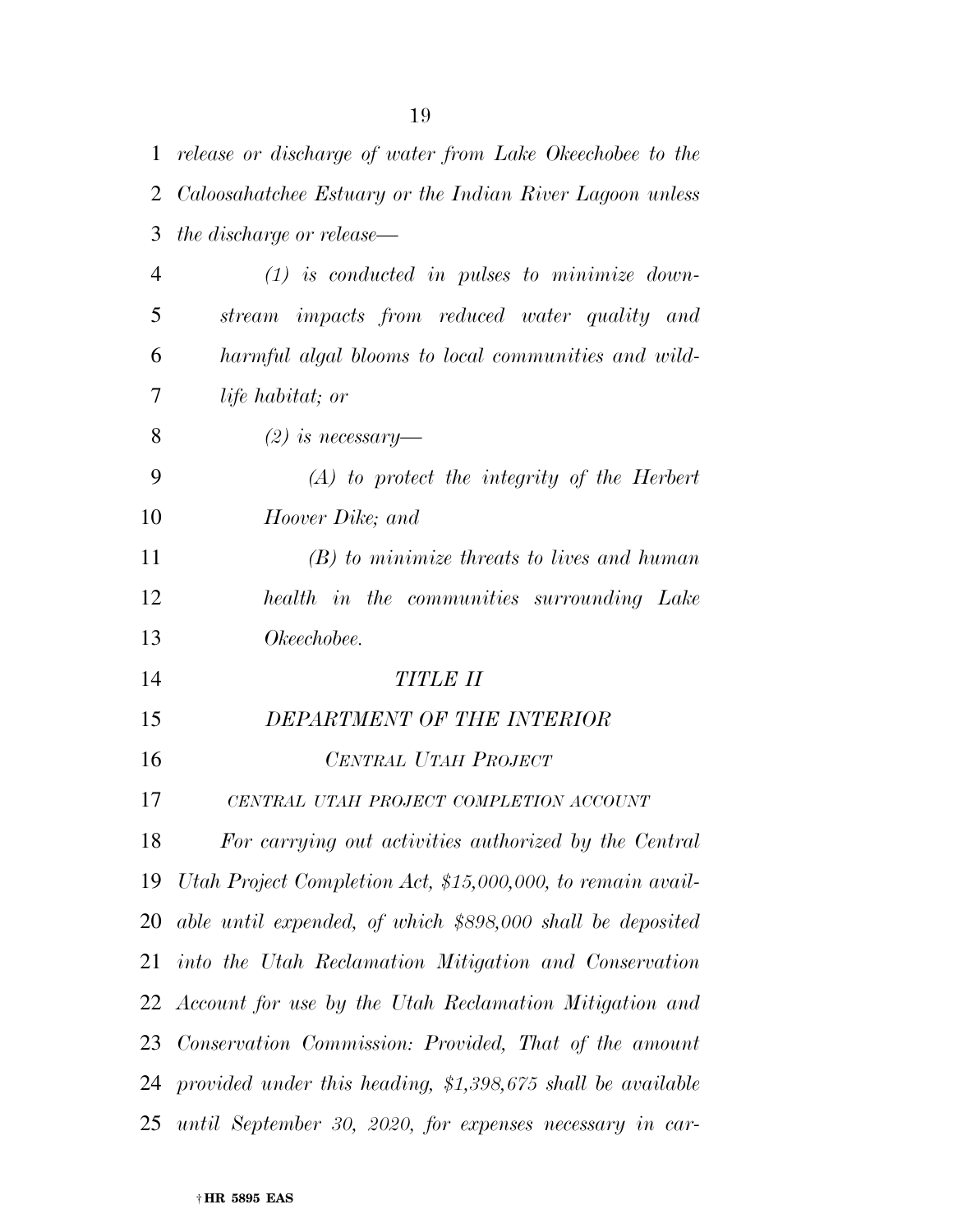| $\mathbf{1}$   | release or discharge of water from Lake Okeechobee to the    |
|----------------|--------------------------------------------------------------|
| 2              | Caloosahatchee Estuary or the Indian River Lagoon unless     |
| 3              | the discharge or release—                                    |
| $\overline{4}$ | $(1)$ is conducted in pulses to minimize down-               |
| 5              | stream impacts from reduced water quality and                |
| 6              | harmful algal blooms to local communities and wild-          |
| 7              | <i>life habitat</i> ; <i>or</i>                              |
| 8              | $(2)$ is necessary—                                          |
| 9              | $(A)$ to protect the integrity of the Herbert                |
| 10             | Hoover Dike; and                                             |
| 11             | $(B)$ to minimize threats to lives and human                 |
| 12             | health in the communities surrounding Lake                   |
| 13             | Okeechobee.                                                  |
| 14             | <b>TITLE II</b>                                              |
| 15             | DEPARTMENT OF THE INTERIOR                                   |
| 16             | CENTRAL UTAH PROJECT                                         |
| 17             | CENTRAL UTAH PROJECT COMPLETION ACCOUNT                      |
| 18             | For carrying out activities authorized by the Central        |
| 19             | Utah Project Completion Act, \$15,000,000, to remain avail-  |
| 20             | able until expended, of which \$898,000 shall be deposited   |
| 21             | into the Utah Reclamation Mitigation and Conservation        |
| 22             | Account for use by the Utah Reclamation Mitigation and       |
| 23             | Conservation Commission: Provided, That of the amount        |
| 24             | provided under this heading, $$1,398,675$ shall be available |
| 25             | until September 30, 2020, for expenses necessary in car-     |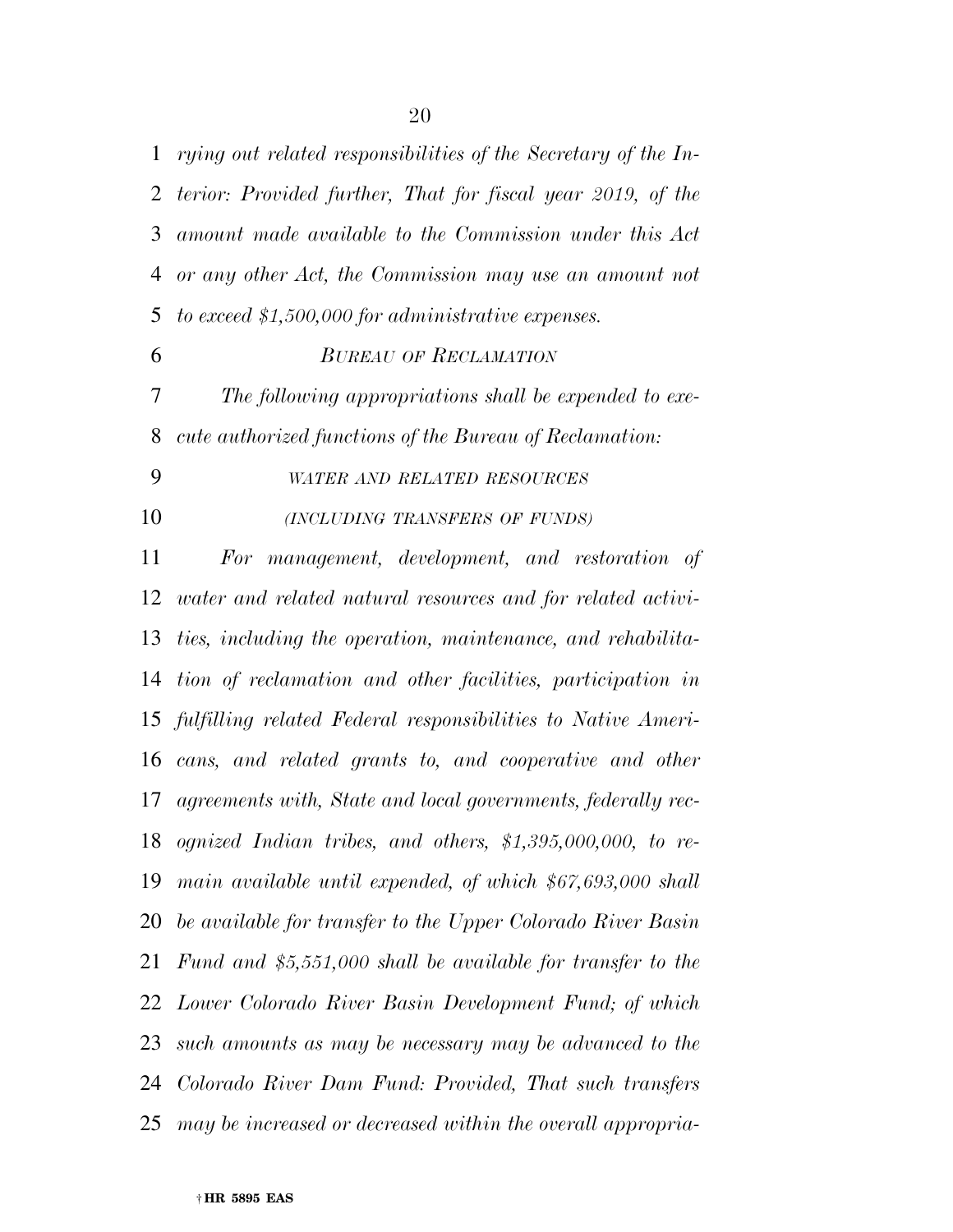*rying out related responsibilities of the Secretary of the In- terior: Provided further, That for fiscal year 2019, of the amount made available to the Commission under this Act or any other Act, the Commission may use an amount not to exceed \$1,500,000 for administrative expenses.* 

#### *BUREAU OF RECLAMATION*

 *The following appropriations shall be expended to exe-cute authorized functions of the Bureau of Reclamation:* 

*WATER AND RELATED RESOURCES*

*(INCLUDING TRANSFERS OF FUNDS)*

 *For management, development, and restoration of water and related natural resources and for related activi- ties, including the operation, maintenance, and rehabilita- tion of reclamation and other facilities, participation in fulfilling related Federal responsibilities to Native Ameri- cans, and related grants to, and cooperative and other agreements with, State and local governments, federally rec- ognized Indian tribes, and others, \$1,395,000,000, to re- main available until expended, of which \$67,693,000 shall be available for transfer to the Upper Colorado River Basin Fund and \$5,551,000 shall be available for transfer to the Lower Colorado River Basin Development Fund; of which such amounts as may be necessary may be advanced to the Colorado River Dam Fund: Provided, That such transfers may be increased or decreased within the overall appropria-*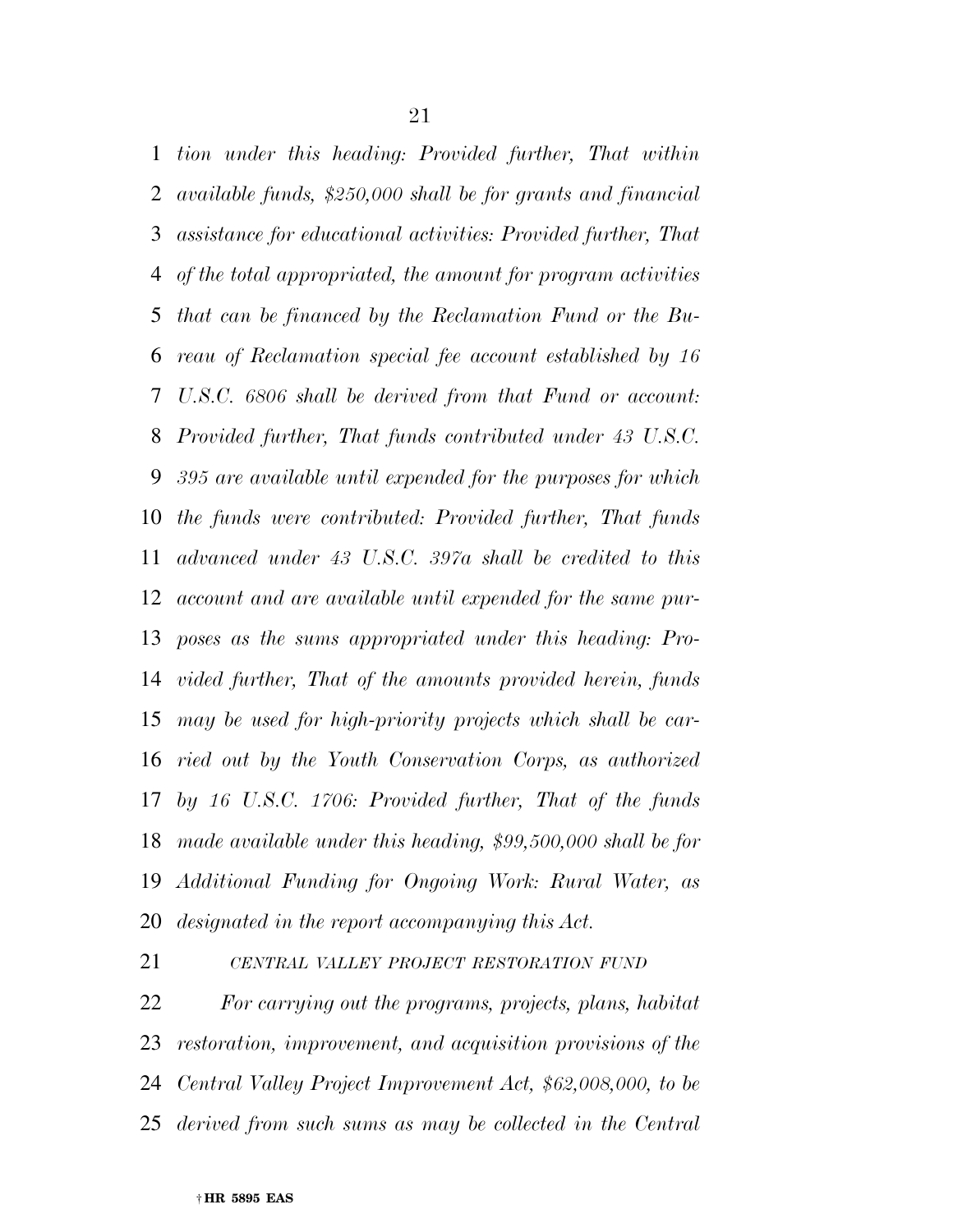*tion under this heading: Provided further, That within available funds, \$250,000 shall be for grants and financial assistance for educational activities: Provided further, That of the total appropriated, the amount for program activities that can be financed by the Reclamation Fund or the Bu- reau of Reclamation special fee account established by 16 U.S.C. 6806 shall be derived from that Fund or account: Provided further, That funds contributed under 43 U.S.C. 395 are available until expended for the purposes for which the funds were contributed: Provided further, That funds advanced under 43 U.S.C. 397a shall be credited to this account and are available until expended for the same pur- poses as the sums appropriated under this heading: Pro- vided further, That of the amounts provided herein, funds may be used for high-priority projects which shall be car- ried out by the Youth Conservation Corps, as authorized by 16 U.S.C. 1706: Provided further, That of the funds made available under this heading, \$99,500,000 shall be for Additional Funding for Ongoing Work: Rural Water, as designated in the report accompanying this Act.* 

*CENTRAL VALLEY PROJECT RESTORATION FUND*

 *For carrying out the programs, projects, plans, habitat restoration, improvement, and acquisition provisions of the Central Valley Project Improvement Act, \$62,008,000, to be derived from such sums as may be collected in the Central*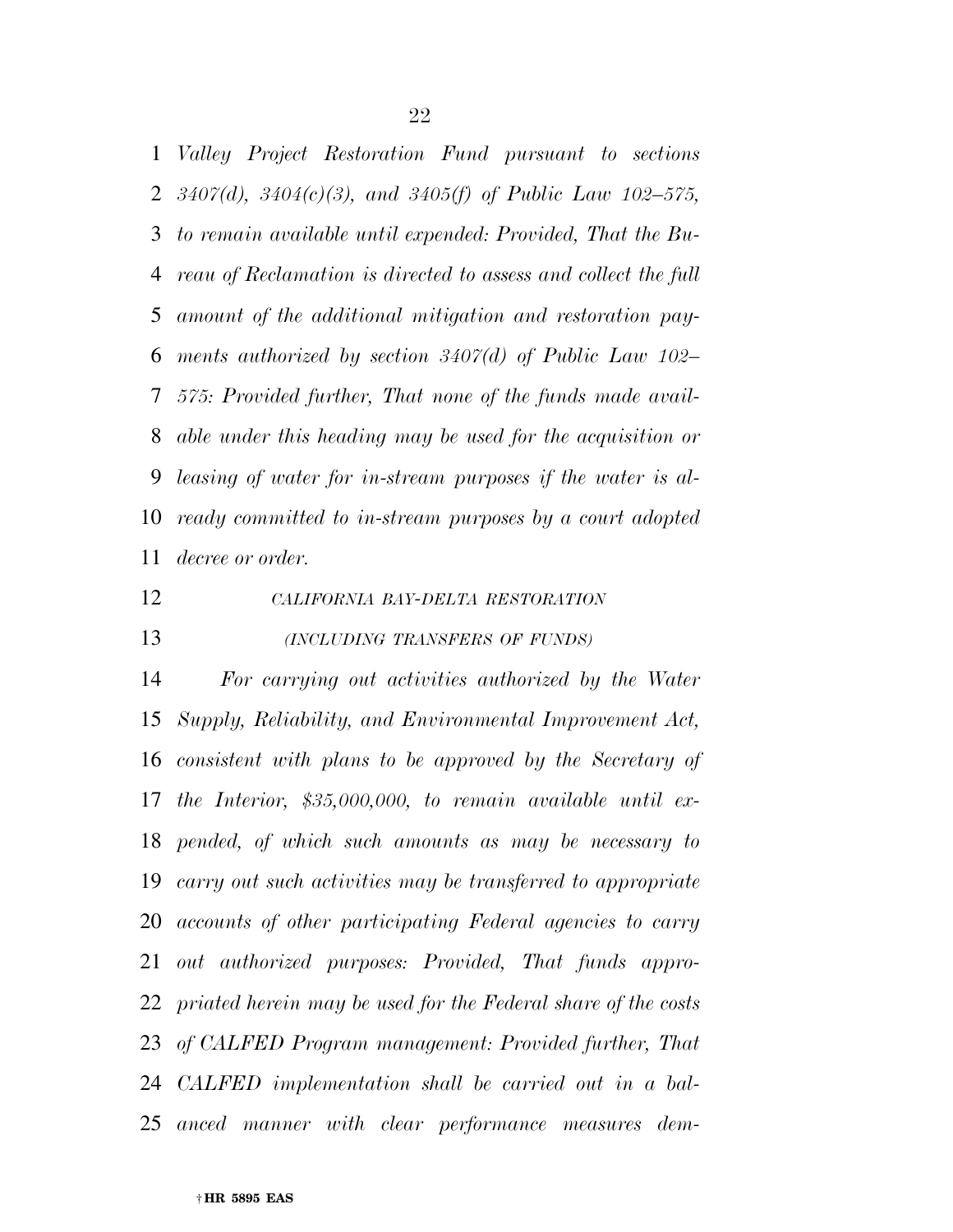*Valley Project Restoration Fund pursuant to sections 3407(d), 3404(c)(3), and 3405(f) of Public Law 102–575, to remain available until expended: Provided, That the Bu- reau of Reclamation is directed to assess and collect the full amount of the additional mitigation and restoration pay- ments authorized by section 3407(d) of Public Law 102– 575: Provided further, That none of the funds made avail- able under this heading may be used for the acquisition or leasing of water for in-stream purposes if the water is al- ready committed to in-stream purposes by a court adopted decree or order.* 

*CALIFORNIA BAY-DELTA RESTORATION*

*(INCLUDING TRANSFERS OF FUNDS)*

 *For carrying out activities authorized by the Water Supply, Reliability, and Environmental Improvement Act, consistent with plans to be approved by the Secretary of the Interior, \$35,000,000, to remain available until ex- pended, of which such amounts as may be necessary to carry out such activities may be transferred to appropriate accounts of other participating Federal agencies to carry out authorized purposes: Provided, That funds appro- priated herein may be used for the Federal share of the costs of CALFED Program management: Provided further, That CALFED implementation shall be carried out in a bal-anced manner with clear performance measures dem-*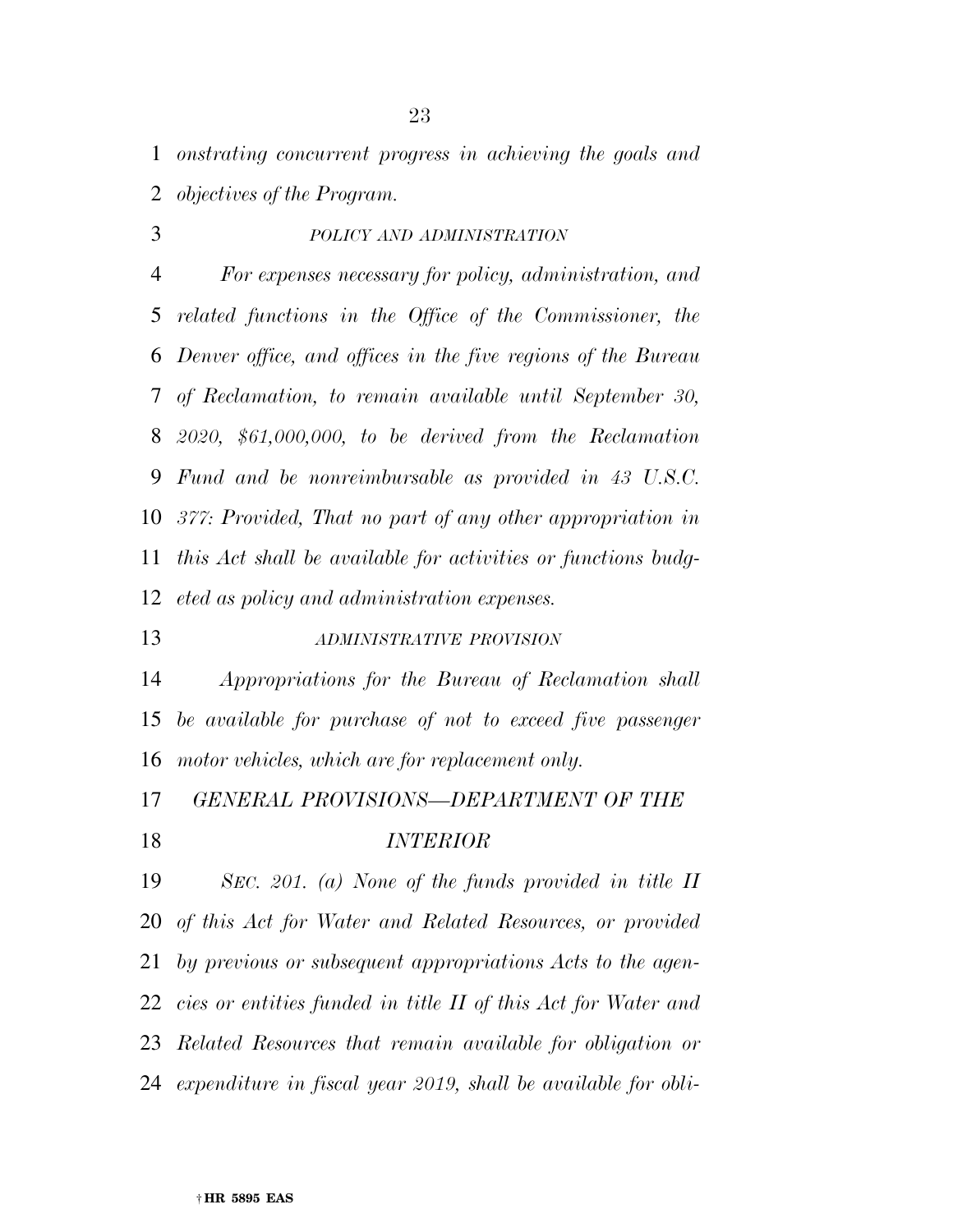*onstrating concurrent progress in achieving the goals and objectives of the Program.* 

*POLICY AND ADMINISTRATION*

 *For expenses necessary for policy, administration, and related functions in the Office of the Commissioner, the Denver office, and offices in the five regions of the Bureau of Reclamation, to remain available until September 30, 2020, \$61,000,000, to be derived from the Reclamation Fund and be nonreimbursable as provided in 43 U.S.C. 377: Provided, That no part of any other appropriation in this Act shall be available for activities or functions budg-eted as policy and administration expenses.* 

*ADMINISTRATIVE PROVISION*

 *Appropriations for the Bureau of Reclamation shall be available for purchase of not to exceed five passenger motor vehicles, which are for replacement only.* 

*GENERAL PROVISIONS—DEPARTMENT OF THE* 

# *INTERIOR*

 *SEC. 201. (a) None of the funds provided in title II of this Act for Water and Related Resources, or provided by previous or subsequent appropriations Acts to the agen- cies or entities funded in title II of this Act for Water and Related Resources that remain available for obligation or expenditure in fiscal year 2019, shall be available for obli-*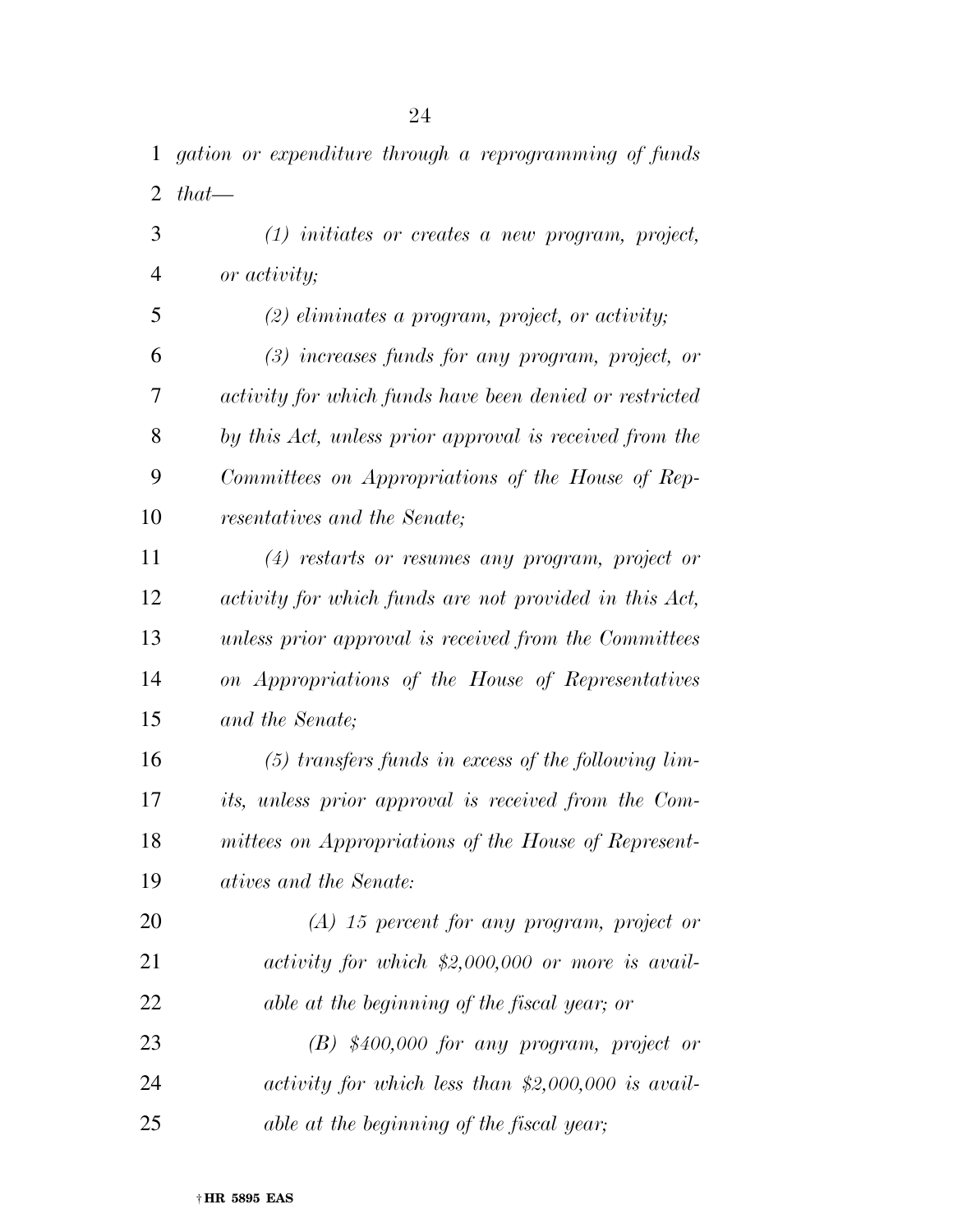*gation or expenditure through a reprogramming of funds that—* 

 *(1) initiates or creates a new program, project, or activity; (2) eliminates a program, project, or activity; (3) increases funds for any program, project, or activity for which funds have been denied or restricted by this Act, unless prior approval is received from the Committees on Appropriations of the House of Rep- resentatives and the Senate; (4) restarts or resumes any program, project or activity for which funds are not provided in this Act, unless prior approval is received from the Committees on Appropriations of the House of Representatives and the Senate; (5) transfers funds in excess of the following lim-*

 *its, unless prior approval is received from the Com- mittees on Appropriations of the House of Represent-atives and the Senate:* 

 *(A) 15 percent for any program, project or activity for which \$2,000,000 or more is avail- able at the beginning of the fiscal year; or (B) \$400,000 for any program, project or activity for which less than \$2,000,000 is avail-*

*able at the beginning of the fiscal year;*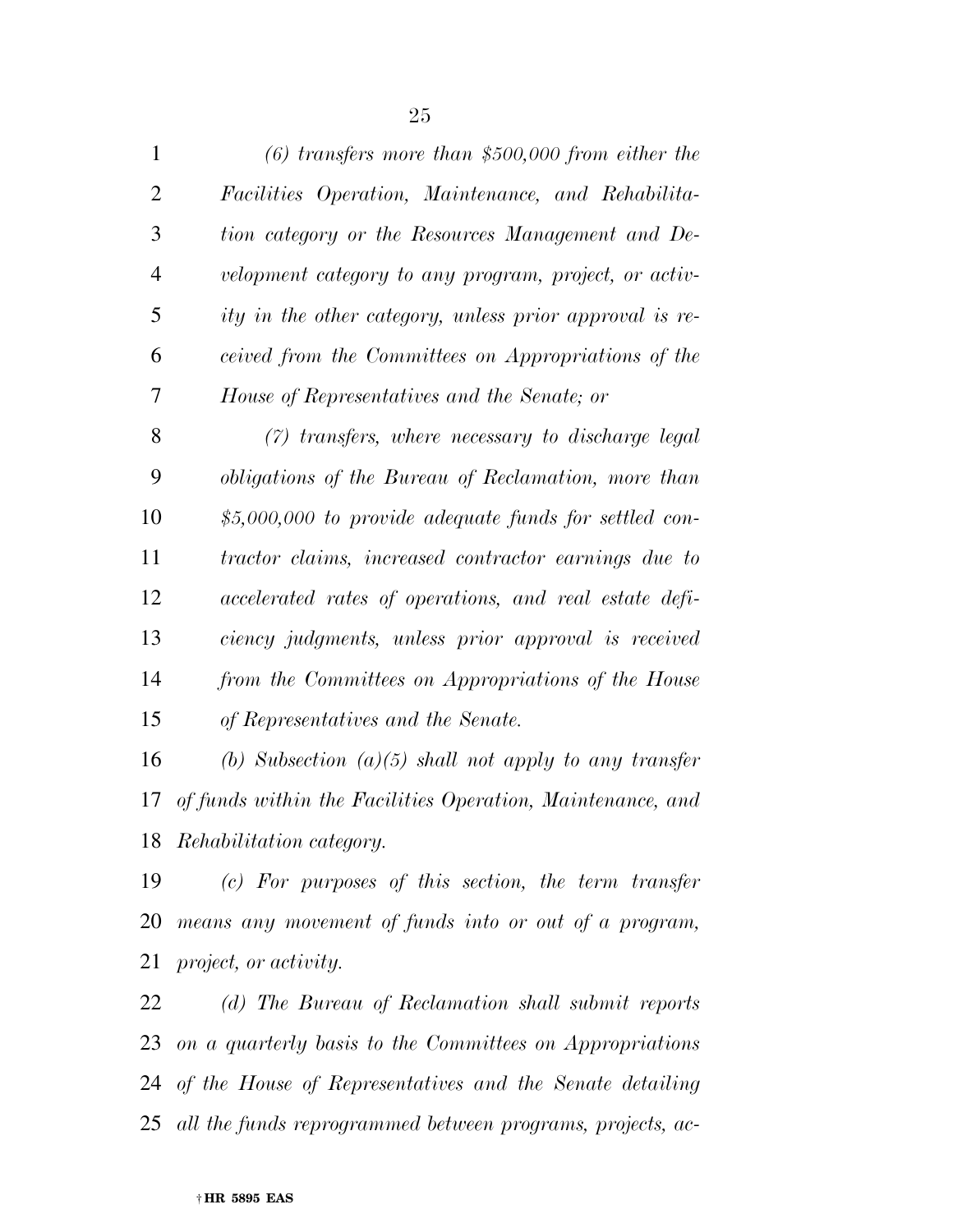| $\mathbf{1}$   | $(6)$ transfers more than \$500,000 from either the                            |
|----------------|--------------------------------------------------------------------------------|
| $\overline{2}$ | Facilities Operation, Maintenance, and Rehabilita-                             |
| 3              | tion category or the Resources Management and De-                              |
| $\overline{4}$ | velopment category to any program, project, or activ-                          |
| 5              | ity in the other category, unless prior approval is re-                        |
| 6              | ceived from the Committees on Appropriations of the                            |
| 7              | House of Representatives and the Senate; or                                    |
| 8              | $(7)$ transfers, where necessary to discharge legal                            |
| 9              | obligations of the Bureau of Reclamation, more than                            |
| 10             | $$5,000,000$ to provide adequate funds for settled con-                        |
| 11             | tractor claims, increased contractor earnings due to                           |
| 12             | accelerated rates of operations, and real estate defi-                         |
| 13             | ciency judgments, unless prior approval is received                            |
| 14             | from the Committees on Appropriations of the House                             |
| 15             | of Representatives and the Senate.                                             |
| 16             | (b) Subsection $(a)(5)$ shall not apply to any transfer                        |
| 1 <sub>7</sub> | $\alpha \alpha$ is the finite function of $\alpha$ is the function of $\alpha$ |

 *of funds within the Facilities Operation, Maintenance, and Rehabilitation category.* 

 *(c) For purposes of this section, the term transfer means any movement of funds into or out of a program, project, or activity.* 

 *(d) The Bureau of Reclamation shall submit reports on a quarterly basis to the Committees on Appropriations of the House of Representatives and the Senate detailing all the funds reprogrammed between programs, projects, ac-*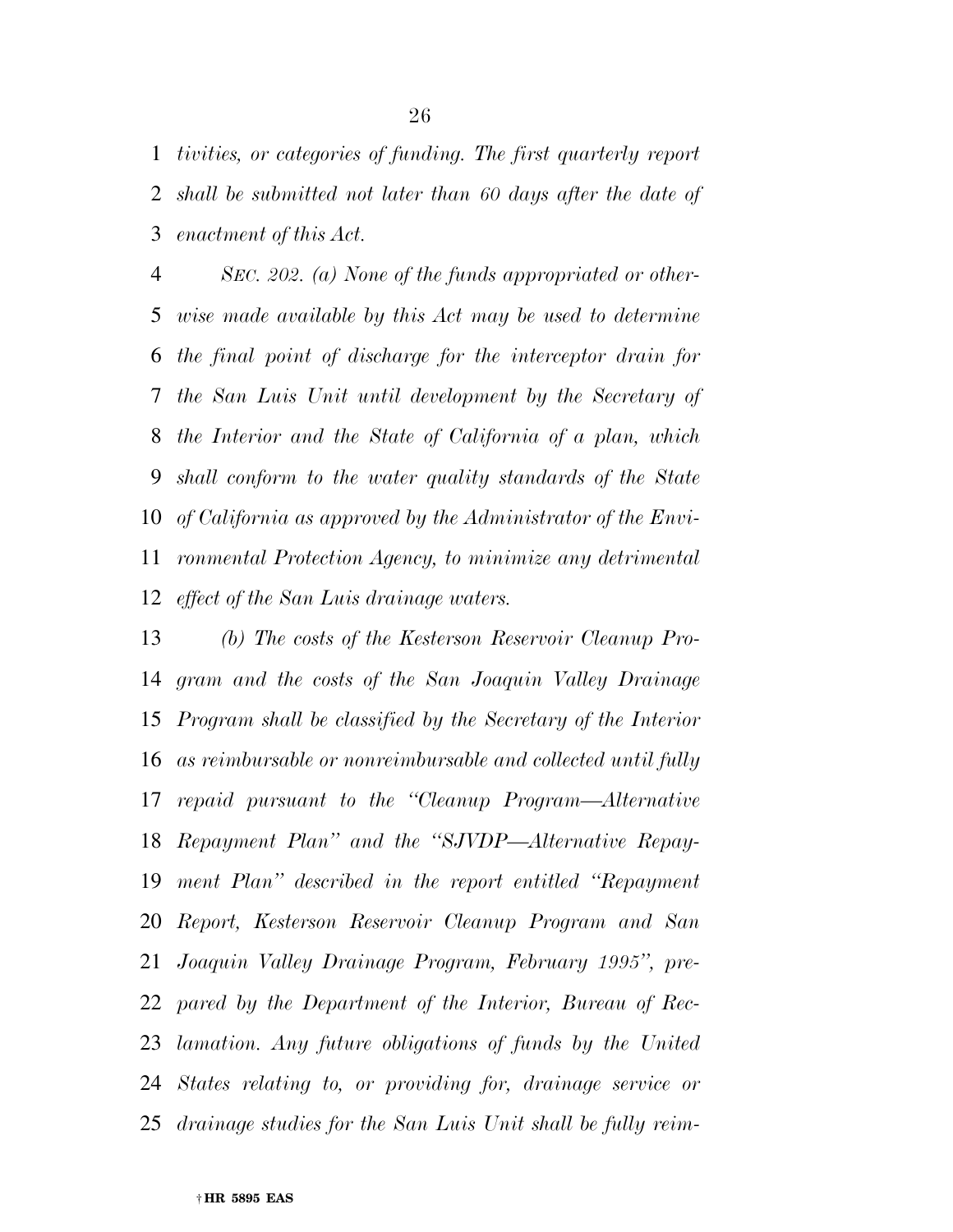*tivities, or categories of funding. The first quarterly report shall be submitted not later than 60 days after the date of enactment of this Act.* 

 *SEC. 202. (a) None of the funds appropriated or other- wise made available by this Act may be used to determine the final point of discharge for the interceptor drain for the San Luis Unit until development by the Secretary of the Interior and the State of California of a plan, which shall conform to the water quality standards of the State of California as approved by the Administrator of the Envi- ronmental Protection Agency, to minimize any detrimental effect of the San Luis drainage waters.* 

 *(b) The costs of the Kesterson Reservoir Cleanup Pro- gram and the costs of the San Joaquin Valley Drainage Program shall be classified by the Secretary of the Interior as reimbursable or nonreimbursable and collected until fully repaid pursuant to the ''Cleanup Program—Alternative Repayment Plan'' and the ''SJVDP—Alternative Repay- ment Plan'' described in the report entitled ''Repayment Report, Kesterson Reservoir Cleanup Program and San Joaquin Valley Drainage Program, February 1995'', pre- pared by the Department of the Interior, Bureau of Rec- lamation. Any future obligations of funds by the United States relating to, or providing for, drainage service or drainage studies for the San Luis Unit shall be fully reim-*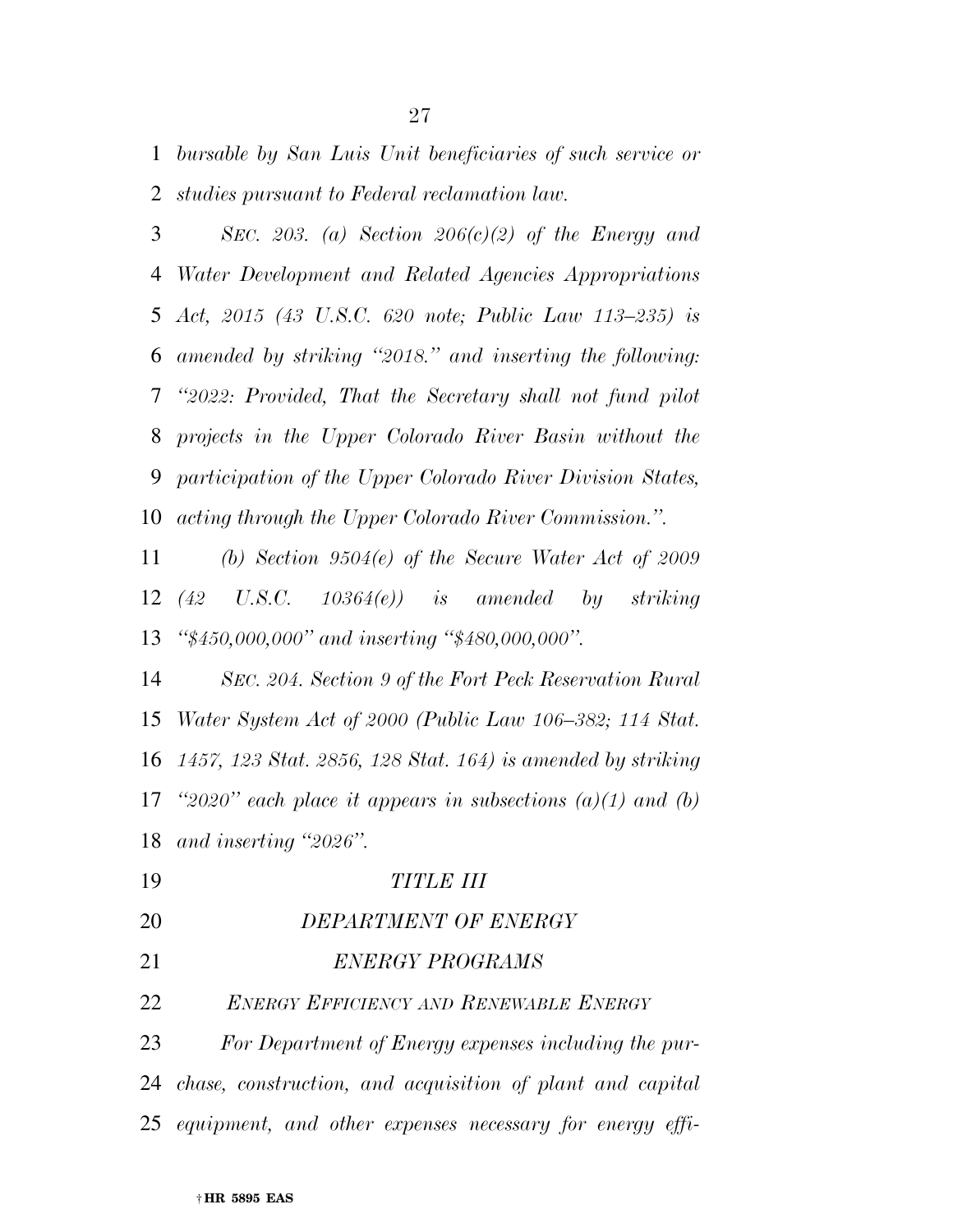*bursable by San Luis Unit beneficiaries of such service or studies pursuant to Federal reclamation law.* 

 *SEC. 203. (a) Section 206(c)(2) of the Energy and Water Development and Related Agencies Appropriations Act, 2015 (43 U.S.C. 620 note; Public Law 113–235) is amended by striking ''2018.'' and inserting the following: ''2022: Provided, That the Secretary shall not fund pilot projects in the Upper Colorado River Basin without the participation of the Upper Colorado River Division States, acting through the Upper Colorado River Commission.''.* 

 *(b) Section 9504(e) of the Secure Water Act of 2009 (42 U.S.C. 10364(e)) is amended by striking ''\$450,000,000'' and inserting ''\$480,000,000''.* 

 *SEC. 204. Section 9 of the Fort Peck Reservation Rural Water System Act of 2000 (Public Law 106–382; 114 Stat. 1457, 123 Stat. 2856, 128 Stat. 164) is amended by striking ''2020'' each place it appears in subsections (a)(1) and (b) and inserting ''2026''.* 

- *TITLE III*
- *DEPARTMENT OF ENERGY*
- *ENERGY PROGRAMS*

*ENERGY EFFICIENCY AND RENEWABLE ENERGY*

 *For Department of Energy expenses including the pur- chase, construction, and acquisition of plant and capital equipment, and other expenses necessary for energy effi-*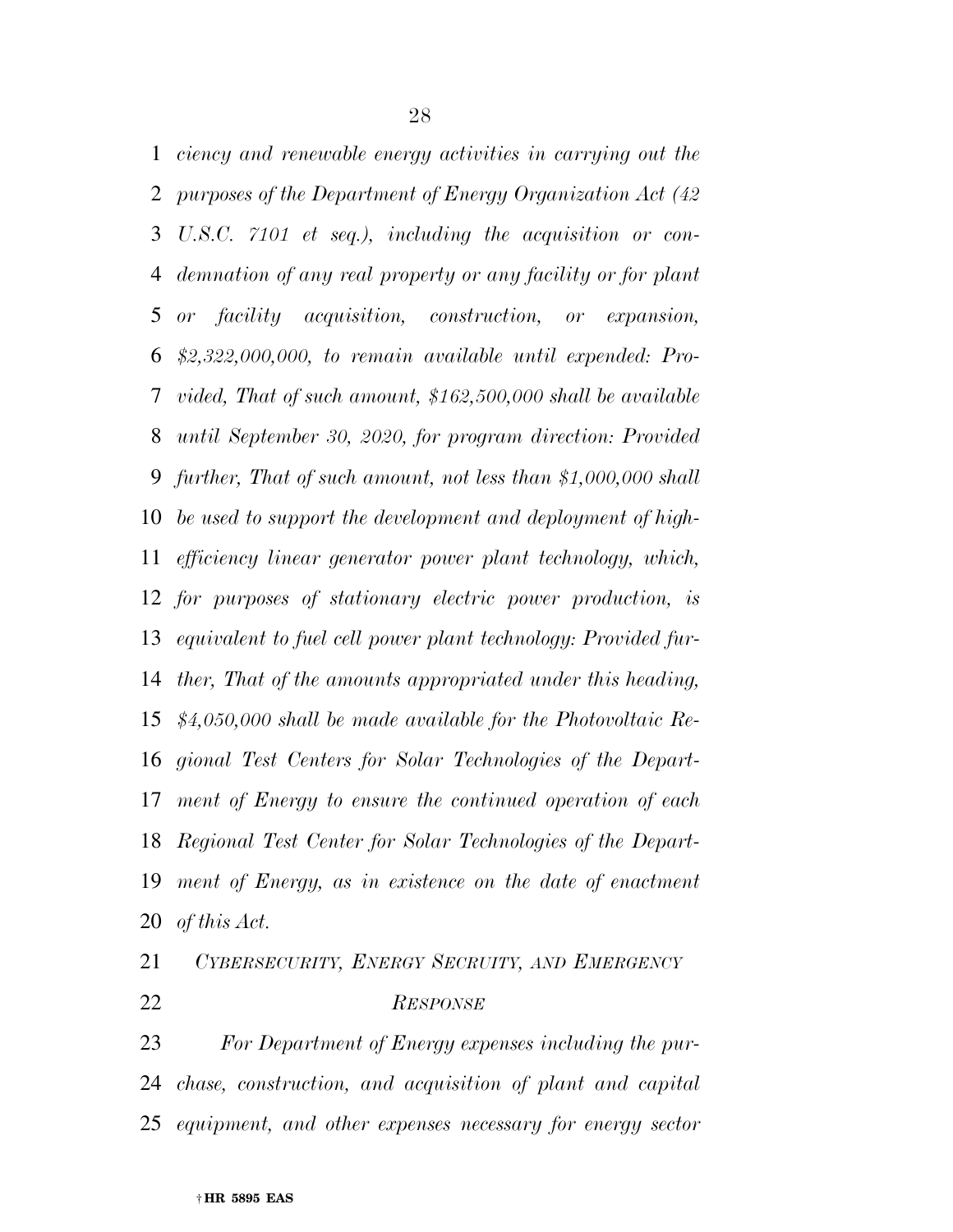*ciency and renewable energy activities in carrying out the purposes of the Department of Energy Organization Act (42 U.S.C. 7101 et seq.), including the acquisition or con- demnation of any real property or any facility or for plant or facility acquisition, construction, or expansion, \$2,322,000,000, to remain available until expended: Pro- vided, That of such amount, \$162,500,000 shall be available until September 30, 2020, for program direction: Provided further, That of such amount, not less than \$1,000,000 shall be used to support the development and deployment of high- efficiency linear generator power plant technology, which, for purposes of stationary electric power production, is equivalent to fuel cell power plant technology: Provided fur- ther, That of the amounts appropriated under this heading, \$4,050,000 shall be made available for the Photovoltaic Re- gional Test Centers for Solar Technologies of the Depart- ment of Energy to ensure the continued operation of each Regional Test Center for Solar Technologies of the Depart- ment of Energy, as in existence on the date of enactment of this Act.* 

|    | 21 CYBERSECURITY, ENERGY SECRUITY, AND EMERGENCY |
|----|--------------------------------------------------|
| 22 | <b>RESPONSE</b>                                  |

 *For Department of Energy expenses including the pur- chase, construction, and acquisition of plant and capital equipment, and other expenses necessary for energy sector*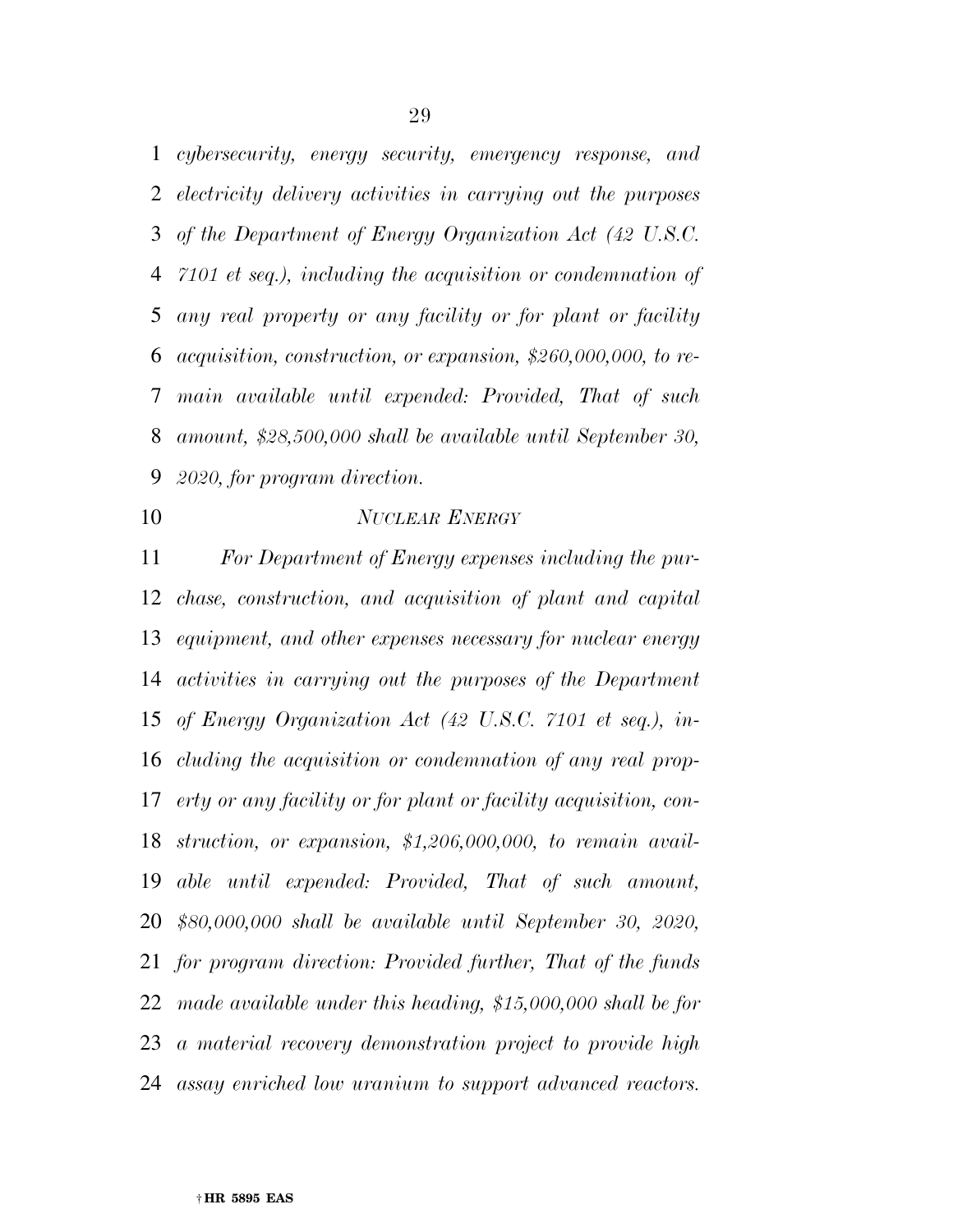*cybersecurity, energy security, emergency response, and electricity delivery activities in carrying out the purposes of the Department of Energy Organization Act (42 U.S.C. 7101 et seq.), including the acquisition or condemnation of any real property or any facility or for plant or facility acquisition, construction, or expansion, \$260,000,000, to re- main available until expended: Provided, That of such amount, \$28,500,000 shall be available until September 30, 2020, for program direction.* 

# *NUCLEAR ENERGY*

 *For Department of Energy expenses including the pur- chase, construction, and acquisition of plant and capital equipment, and other expenses necessary for nuclear energy activities in carrying out the purposes of the Department of Energy Organization Act (42 U.S.C. 7101 et seq.), in- cluding the acquisition or condemnation of any real prop- erty or any facility or for plant or facility acquisition, con- struction, or expansion, \$1,206,000,000, to remain avail- able until expended: Provided, That of such amount, \$80,000,000 shall be available until September 30, 2020, for program direction: Provided further, That of the funds made available under this heading, \$15,000,000 shall be for a material recovery demonstration project to provide high assay enriched low uranium to support advanced reactors.*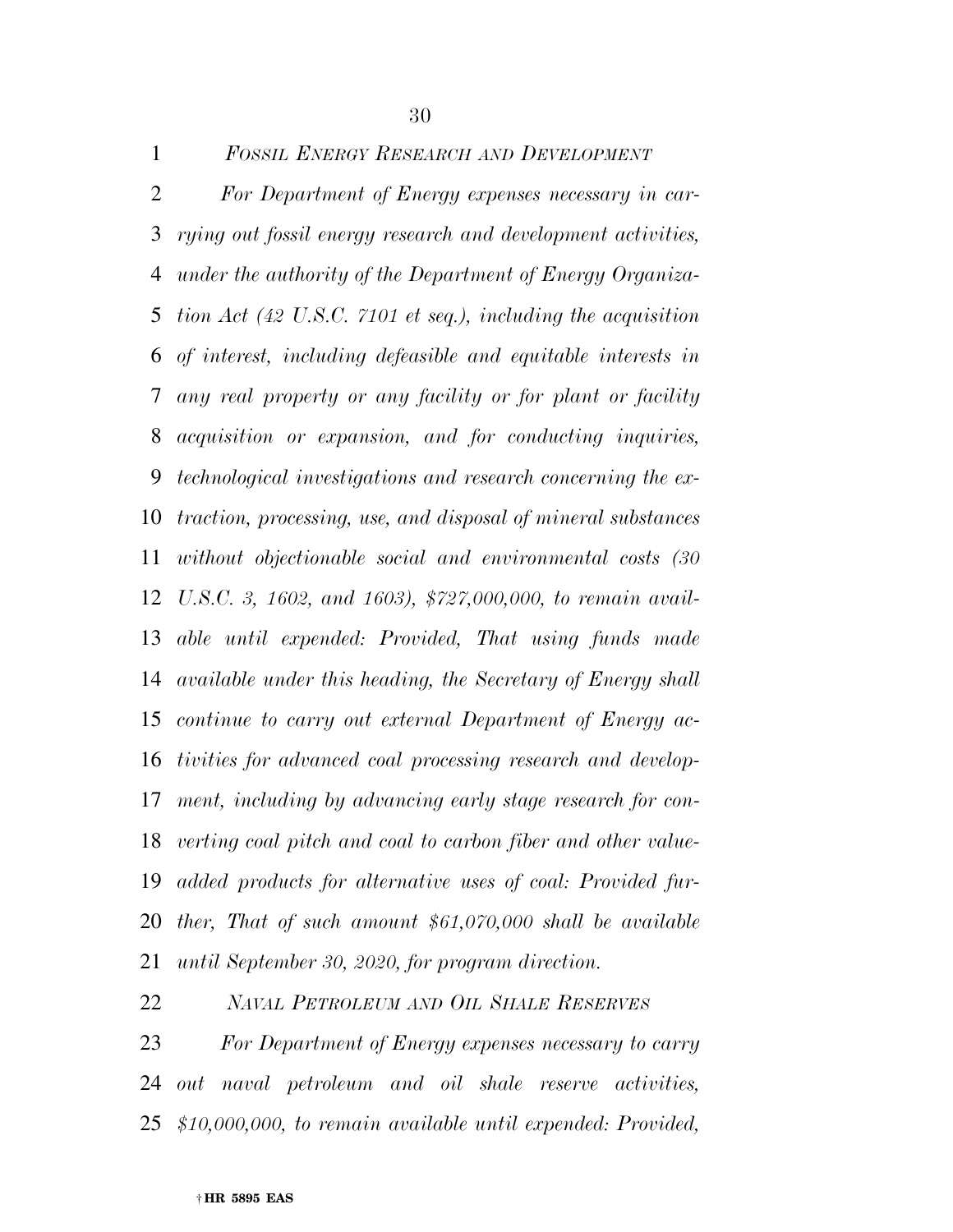*FOSSIL ENERGY RESEARCH AND DEVELOPMENT For Department of Energy expenses necessary in car- rying out fossil energy research and development activities, under the authority of the Department of Energy Organiza- tion Act (42 U.S.C. 7101 et seq.), including the acquisition of interest, including defeasible and equitable interests in any real property or any facility or for plant or facility acquisition or expansion, and for conducting inquiries, technological investigations and research concerning the ex- traction, processing, use, and disposal of mineral substances without objectionable social and environmental costs (30 U.S.C. 3, 1602, and 1603), \$727,000,000, to remain avail- able until expended: Provided, That using funds made available under this heading, the Secretary of Energy shall continue to carry out external Department of Energy ac- tivities for advanced coal processing research and develop- ment, including by advancing early stage research for con- verting coal pitch and coal to carbon fiber and other value- added products for alternative uses of coal: Provided fur- ther, That of such amount \$61,070,000 shall be available until September 30, 2020, for program direction.* 

*NAVAL PETROLEUM AND OIL SHALE RESERVES*

 *For Department of Energy expenses necessary to carry out naval petroleum and oil shale reserve activities, \$10,000,000, to remain available until expended: Provided,*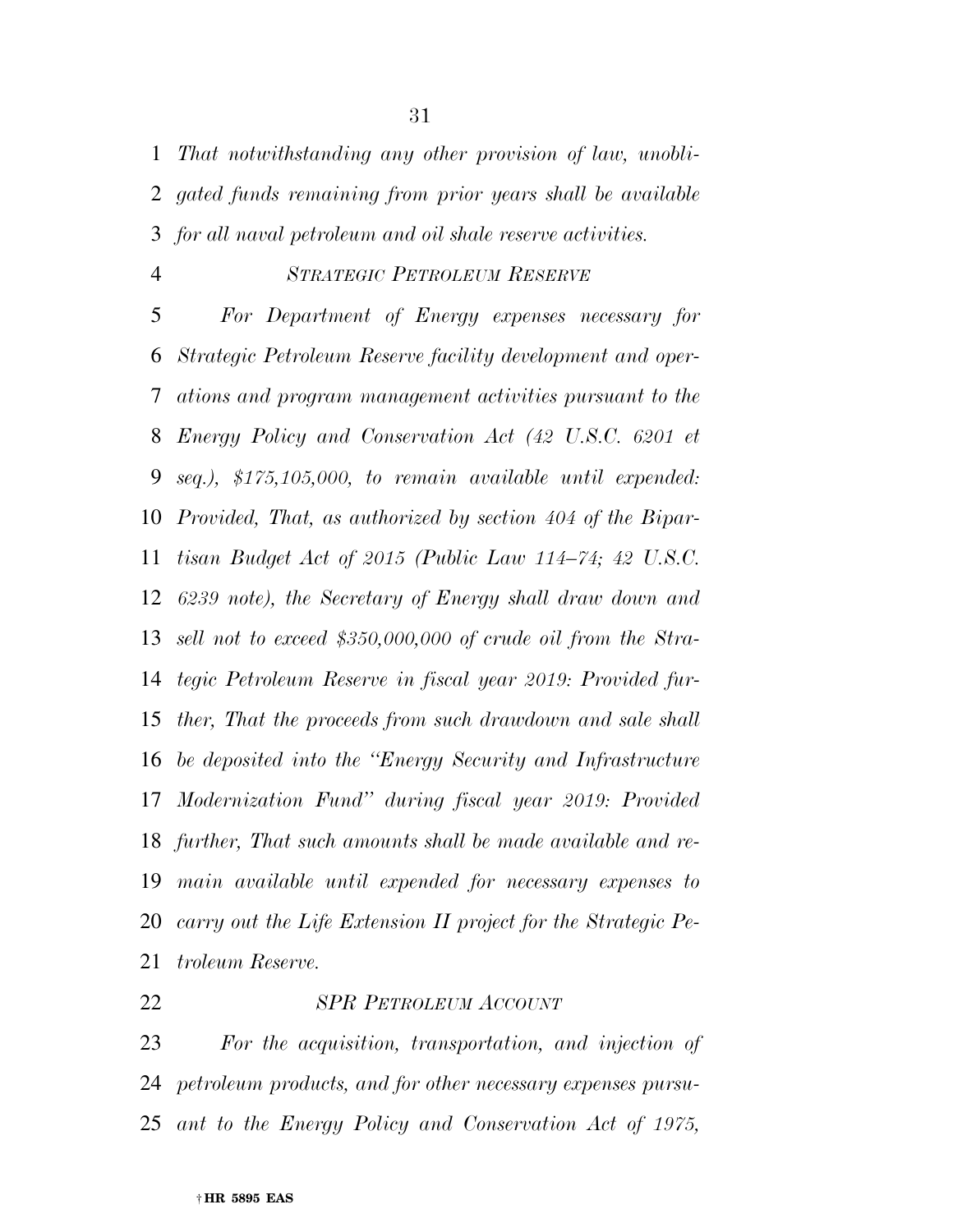*That notwithstanding any other provision of law, unobli- gated funds remaining from prior years shall be available for all naval petroleum and oil shale reserve activities.* 

# *STRATEGIC PETROLEUM RESERVE*

 *For Department of Energy expenses necessary for Strategic Petroleum Reserve facility development and oper- ations and program management activities pursuant to the Energy Policy and Conservation Act (42 U.S.C. 6201 et seq.), \$175,105,000, to remain available until expended: Provided, That, as authorized by section 404 of the Bipar- tisan Budget Act of 2015 (Public Law 114–74; 42 U.S.C. 6239 note), the Secretary of Energy shall draw down and sell not to exceed \$350,000,000 of crude oil from the Stra- tegic Petroleum Reserve in fiscal year 2019: Provided fur- ther, That the proceeds from such drawdown and sale shall be deposited into the ''Energy Security and Infrastructure Modernization Fund'' during fiscal year 2019: Provided further, That such amounts shall be made available and re- main available until expended for necessary expenses to carry out the Life Extension II project for the Strategic Pe-troleum Reserve.* 

# *SPR PETROLEUM ACCOUNT*

 *For the acquisition, transportation, and injection of petroleum products, and for other necessary expenses pursu-ant to the Energy Policy and Conservation Act of 1975,*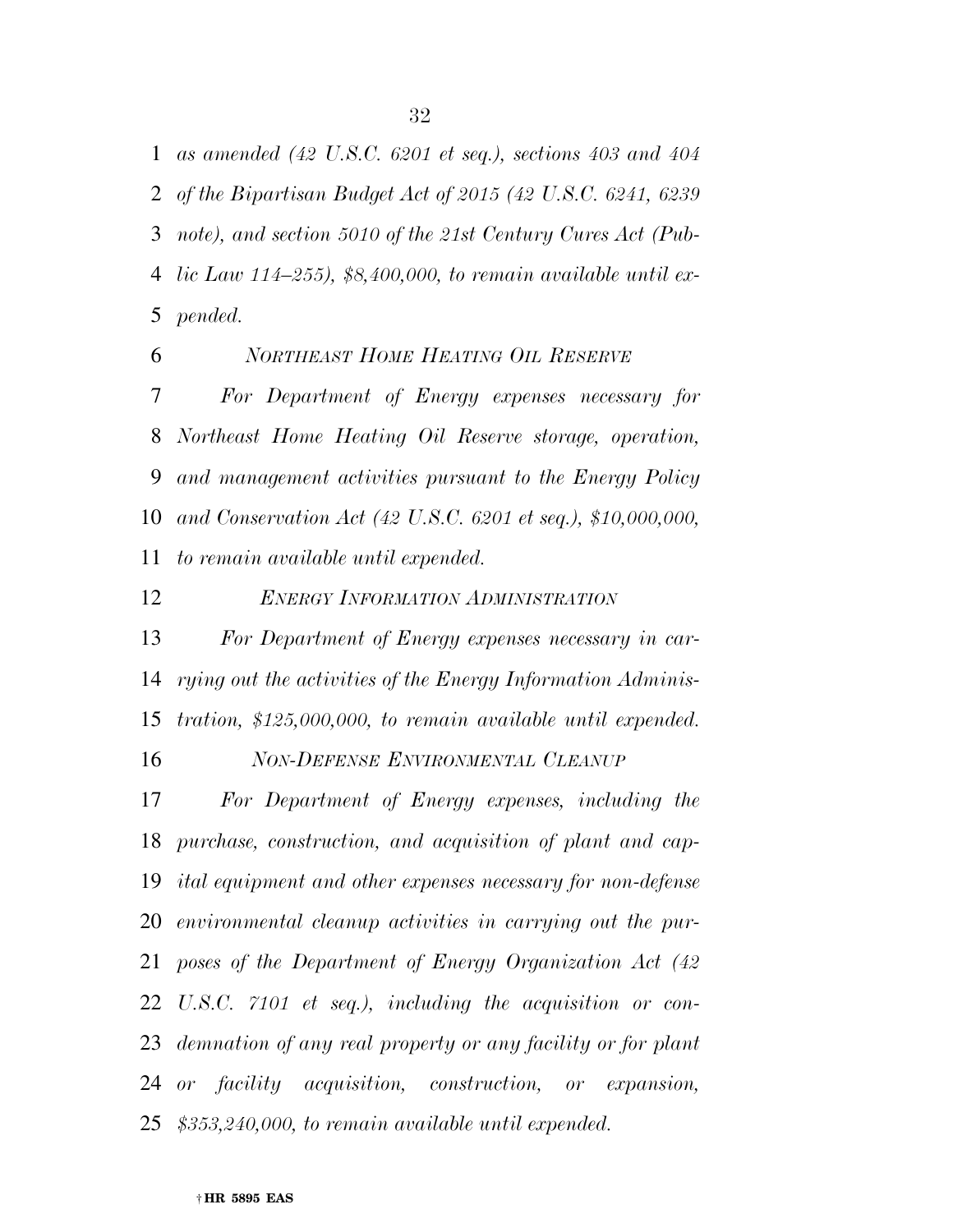*as amended (42 U.S.C. 6201 et seq.), sections 403 and 404 of the Bipartisan Budget Act of 2015 (42 U.S.C. 6241, 6239 note), and section 5010 of the 21st Century Cures Act (Pub- lic Law 114–255), \$8,400,000, to remain available until ex-pended.* 

 *NORTHEAST HOME HEATING OIL RESERVE For Department of Energy expenses necessary for Northeast Home Heating Oil Reserve storage, operation, and management activities pursuant to the Energy Policy and Conservation Act (42 U.S.C. 6201 et seq.), \$10,000,000, to remain available until expended.* 

*ENERGY INFORMATION ADMINISTRATION*

 *For Department of Energy expenses necessary in car- rying out the activities of the Energy Information Adminis-tration, \$125,000,000, to remain available until expended.* 

*NON-DEFENSE ENVIRONMENTAL CLEANUP*

 *For Department of Energy expenses, including the purchase, construction, and acquisition of plant and cap- ital equipment and other expenses necessary for non-defense environmental cleanup activities in carrying out the pur- poses of the Department of Energy Organization Act (42 U.S.C. 7101 et seq.), including the acquisition or con- demnation of any real property or any facility or for plant or facility acquisition, construction, or expansion, \$353,240,000, to remain available until expended.*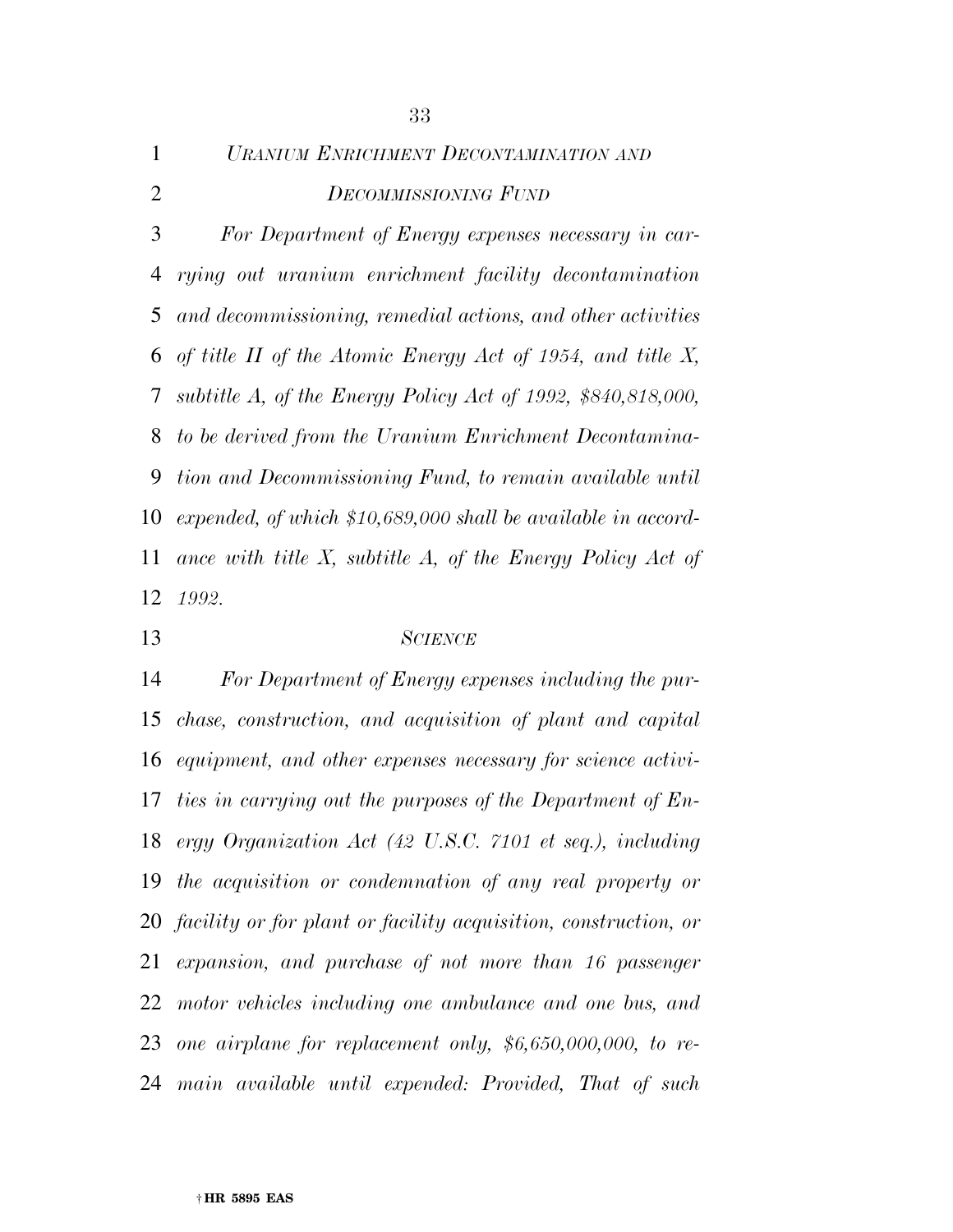*For Department of Energy expenses necessary in car- rying out uranium enrichment facility decontamination and decommissioning, remedial actions, and other activities of title II of the Atomic Energy Act of 1954, and title X, subtitle A, of the Energy Policy Act of 1992, \$840,818,000, to be derived from the Uranium Enrichment Decontamina- tion and Decommissioning Fund, to remain available until expended, of which \$10,689,000 shall be available in accord- ance with title X, subtitle A, of the Energy Policy Act of 1992.* 

#### *SCIENCE*

 *For Department of Energy expenses including the pur- chase, construction, and acquisition of plant and capital equipment, and other expenses necessary for science activi- ties in carrying out the purposes of the Department of En- ergy Organization Act (42 U.S.C. 7101 et seq.), including the acquisition or condemnation of any real property or facility or for plant or facility acquisition, construction, or expansion, and purchase of not more than 16 passenger motor vehicles including one ambulance and one bus, and one airplane for replacement only, \$6,650,000,000, to re-main available until expended: Provided, That of such*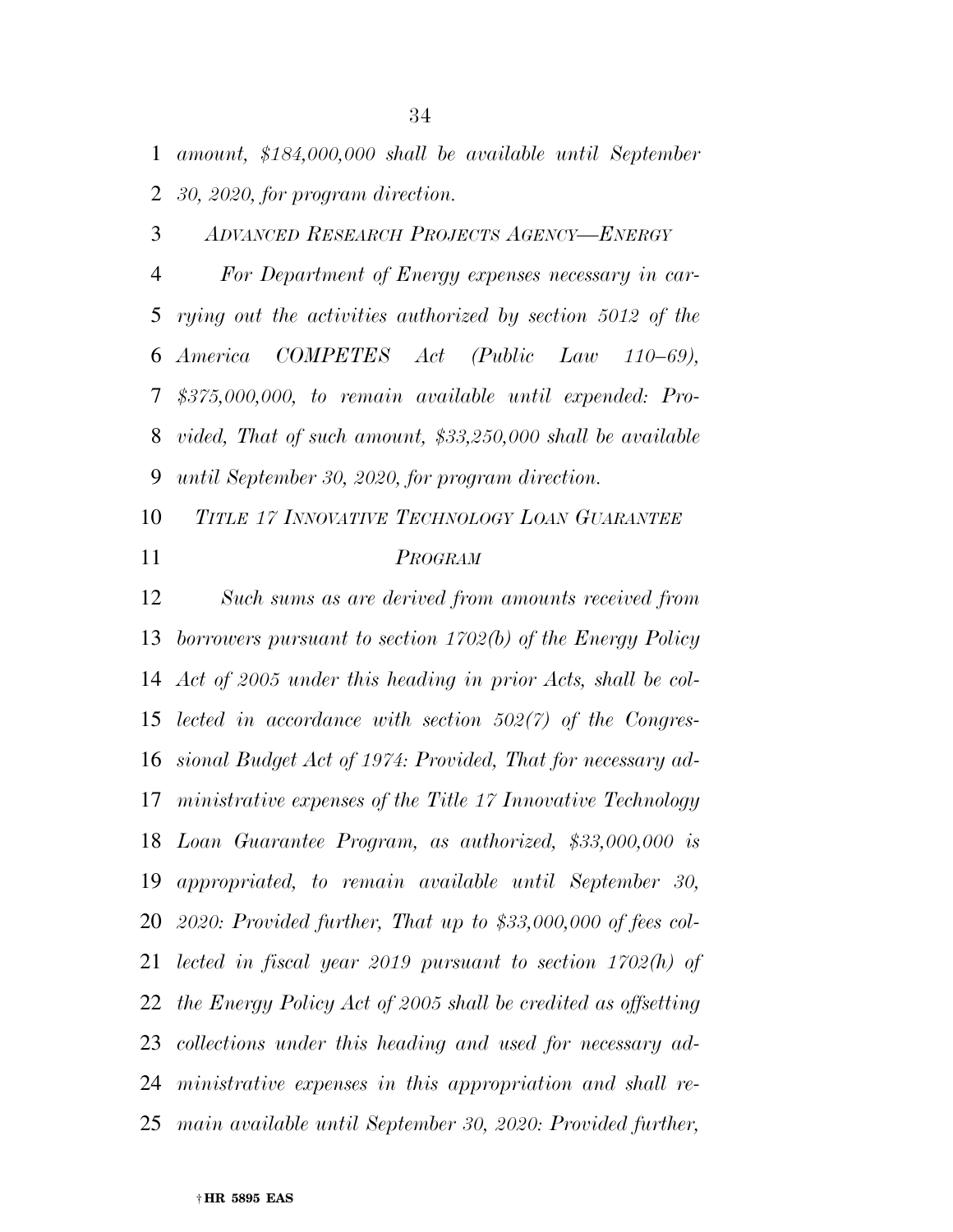*amount, \$184,000,000 shall be available until September 30, 2020, for program direction.* 

*ADVANCED RESEARCH PROJECTS AGENCY—ENERGY*

 *For Department of Energy expenses necessary in car- rying out the activities authorized by section 5012 of the America COMPETES Act (Public Law 110–69), \$375,000,000, to remain available until expended: Pro- vided, That of such amount, \$33,250,000 shall be available until September 30, 2020, for program direction.* 

*TITLE 17 INNOVATIVE TECHNOLOGY LOAN GUARANTEE*

# *PROGRAM*

 *Such sums as are derived from amounts received from borrowers pursuant to section 1702(b) of the Energy Policy Act of 2005 under this heading in prior Acts, shall be col- lected in accordance with section 502(7) of the Congres- sional Budget Act of 1974: Provided, That for necessary ad- ministrative expenses of the Title 17 Innovative Technology Loan Guarantee Program, as authorized, \$33,000,000 is appropriated, to remain available until September 30, 2020: Provided further, That up to \$33,000,000 of fees col- lected in fiscal year 2019 pursuant to section 1702(h) of the Energy Policy Act of 2005 shall be credited as offsetting collections under this heading and used for necessary ad- ministrative expenses in this appropriation and shall re-main available until September 30, 2020: Provided further,*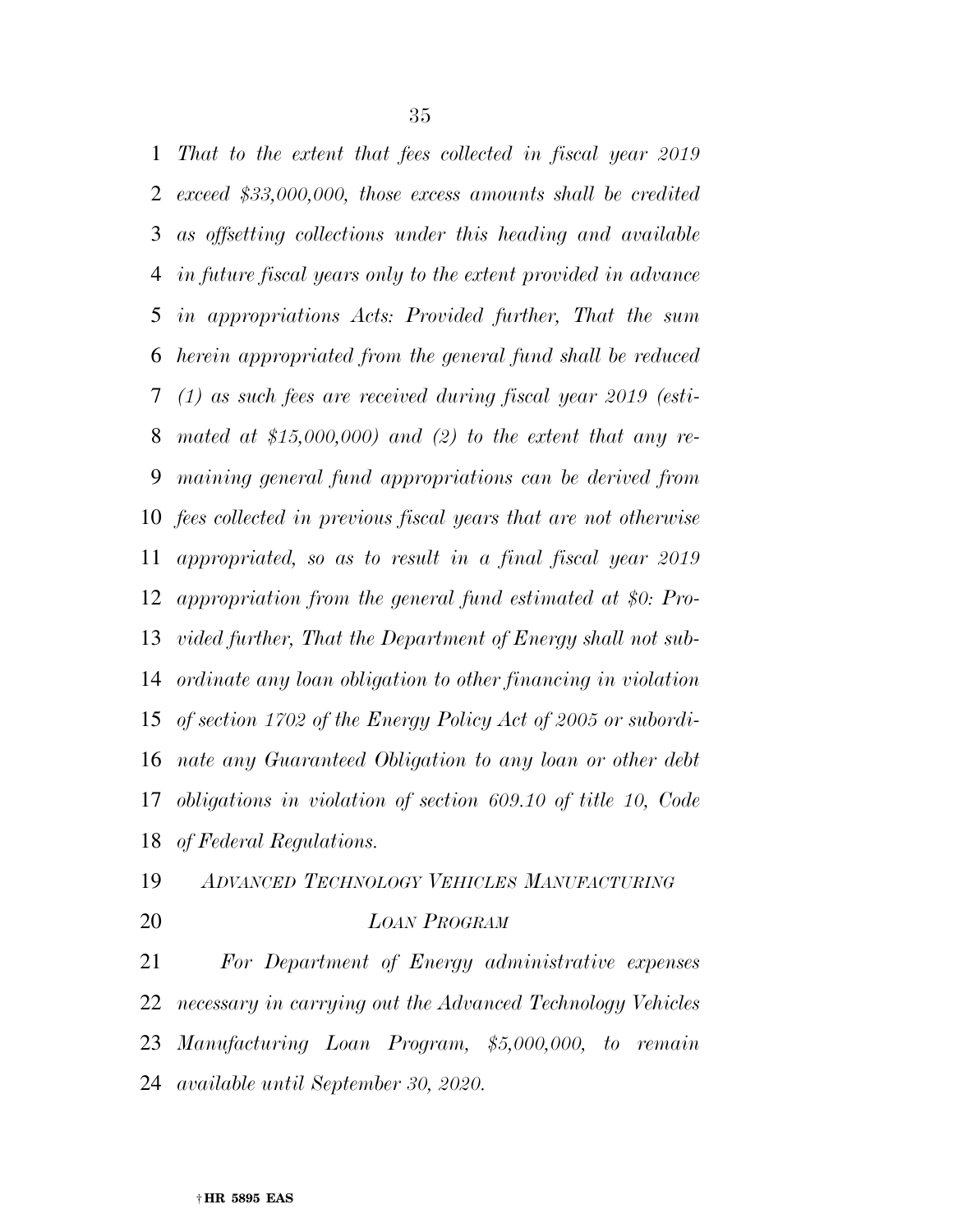*That to the extent that fees collected in fiscal year 2019 exceed \$33,000,000, those excess amounts shall be credited as offsetting collections under this heading and available in future fiscal years only to the extent provided in advance in appropriations Acts: Provided further, That the sum herein appropriated from the general fund shall be reduced (1) as such fees are received during fiscal year 2019 (esti- mated at \$15,000,000) and (2) to the extent that any re- maining general fund appropriations can be derived from fees collected in previous fiscal years that are not otherwise appropriated, so as to result in a final fiscal year 2019 appropriation from the general fund estimated at \$0: Pro- vided further, That the Department of Energy shall not sub- ordinate any loan obligation to other financing in violation of section 1702 of the Energy Policy Act of 2005 or subordi- nate any Guaranteed Obligation to any loan or other debt obligations in violation of section 609.10 of title 10, Code of Federal Regulations.* 

*ADVANCED TECHNOLOGY VEHICLES MANUFACTURING*

# *LOAN PROGRAM*

 *For Department of Energy administrative expenses necessary in carrying out the Advanced Technology Vehicles Manufacturing Loan Program, \$5,000,000, to remain available until September 30, 2020.*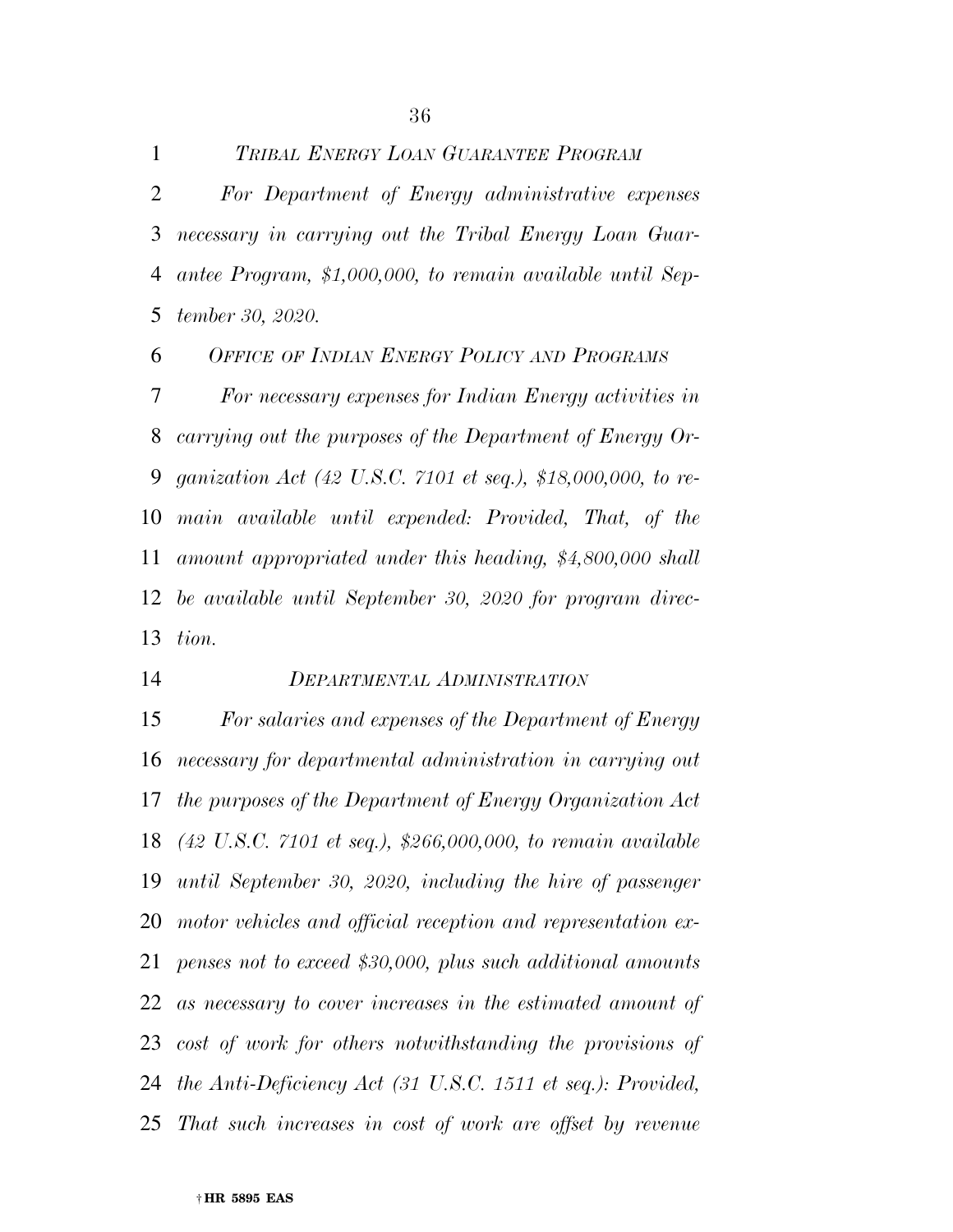*TRIBAL ENERGY LOAN GUARANTEE PROGRAM For Department of Energy administrative expenses necessary in carrying out the Tribal Energy Loan Guar- antee Program, \$1,000,000, to remain available until Sep-tember 30, 2020.* 

 *OFFICE OF INDIAN ENERGY POLICY AND PROGRAMS For necessary expenses for Indian Energy activities in carrying out the purposes of the Department of Energy Or- ganization Act (42 U.S.C. 7101 et seq.), \$18,000,000, to re- main available until expended: Provided, That, of the amount appropriated under this heading, \$4,800,000 shall be available until September 30, 2020 for program direc-tion.* 

*DEPARTMENTAL ADMINISTRATION*

 *For salaries and expenses of the Department of Energy necessary for departmental administration in carrying out the purposes of the Department of Energy Organization Act (42 U.S.C. 7101 et seq.), \$266,000,000, to remain available until September 30, 2020, including the hire of passenger motor vehicles and official reception and representation ex- penses not to exceed \$30,000, plus such additional amounts as necessary to cover increases in the estimated amount of cost of work for others notwithstanding the provisions of the Anti-Deficiency Act (31 U.S.C. 1511 et seq.): Provided, That such increases in cost of work are offset by revenue*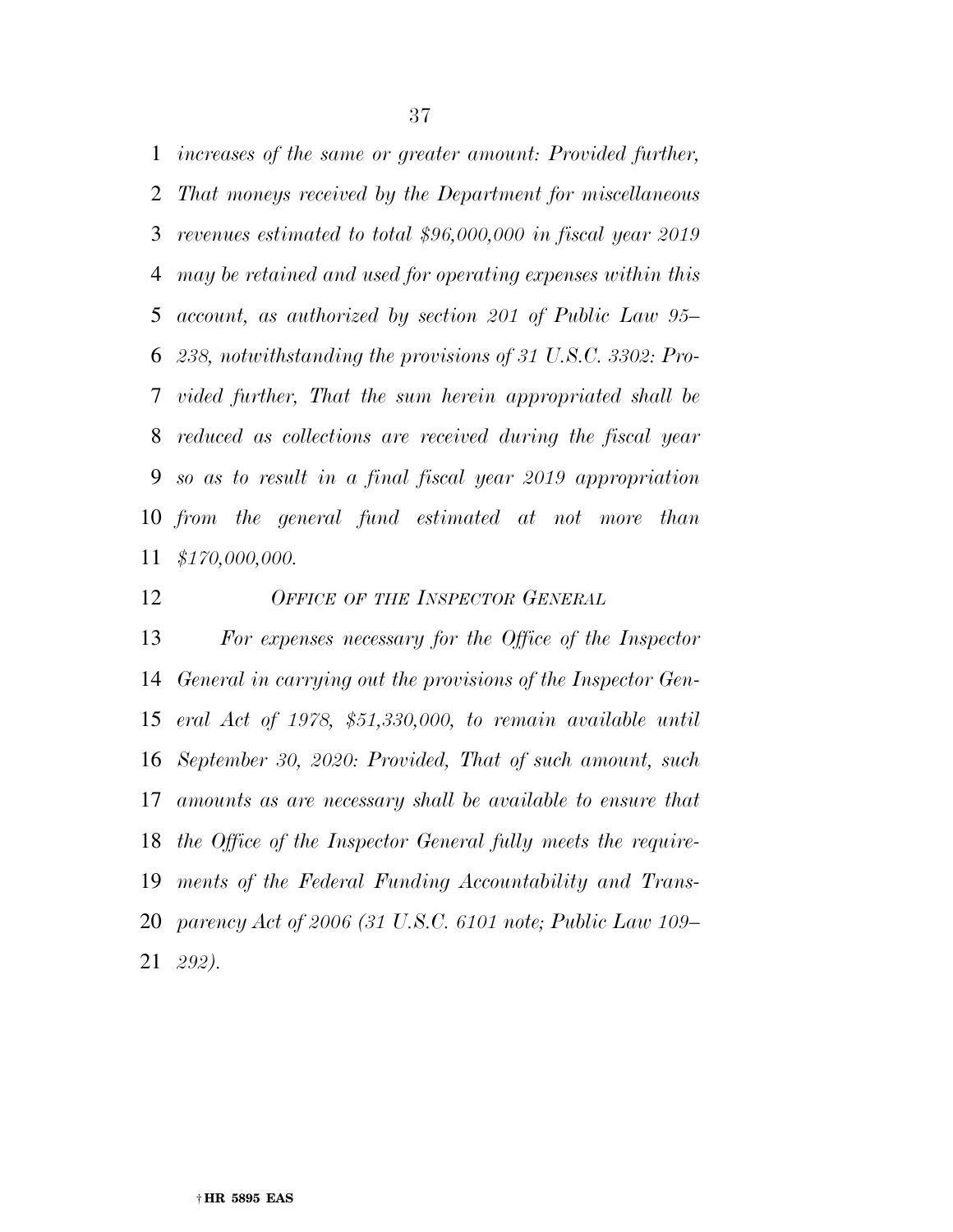*increases of the same or greater amount: Provided further, That moneys received by the Department for miscellaneous revenues estimated to total \$96,000,000 in fiscal year 2019 may be retained and used for operating expenses within this account, as authorized by section 201 of Public Law 95– 238, notwithstanding the provisions of 31 U.S.C. 3302: Pro- vided further, That the sum herein appropriated shall be reduced as collections are received during the fiscal year so as to result in a final fiscal year 2019 appropriation from the general fund estimated at not more than \$170,000,000.* 

### *OFFICE OF THE INSPECTOR GENERAL*

 *For expenses necessary for the Office of the Inspector General in carrying out the provisions of the Inspector Gen- eral Act of 1978, \$51,330,000, to remain available until September 30, 2020: Provided, That of such amount, such amounts as are necessary shall be available to ensure that the Office of the Inspector General fully meets the require- ments of the Federal Funding Accountability and Trans- parency Act of 2006 (31 U.S.C. 6101 note; Public Law 109– 292).*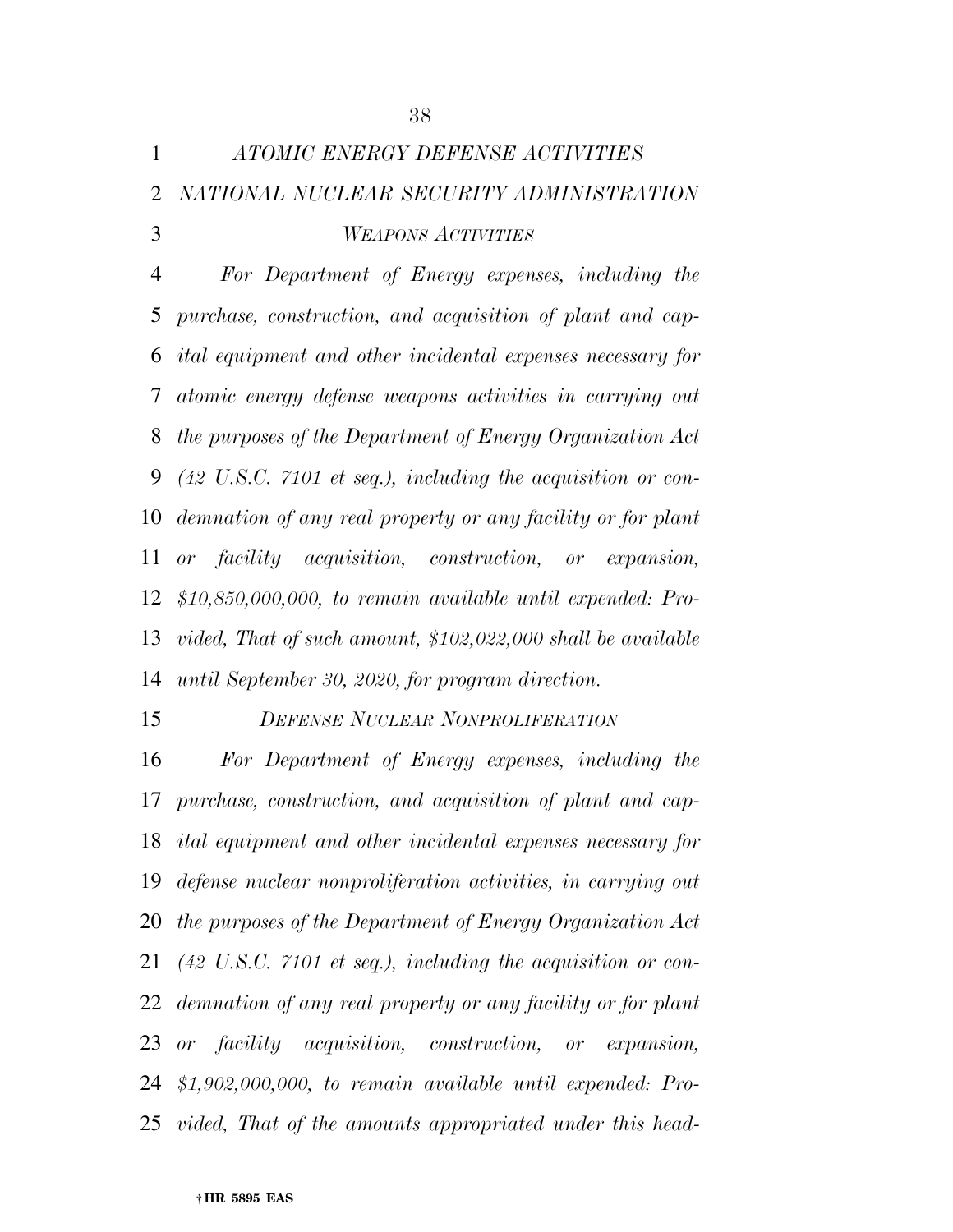| $\mathbf{1}$ | ATOMIC ENERGY DEFENSE ACTIVITIES           |
|--------------|--------------------------------------------|
|              | 2 NATIONAL NUCLEAR SECURITY ADMINISTRATION |
| 3            | <b>WEAPONS ACTIVITIES</b>                  |

 *For Department of Energy expenses, including the purchase, construction, and acquisition of plant and cap- ital equipment and other incidental expenses necessary for atomic energy defense weapons activities in carrying out the purposes of the Department of Energy Organization Act (42 U.S.C. 7101 et seq.), including the acquisition or con- demnation of any real property or any facility or for plant or facility acquisition, construction, or expansion, \$10,850,000,000, to remain available until expended: Pro- vided, That of such amount, \$102,022,000 shall be available until September 30, 2020, for program direction.* 

*DEFENSE NUCLEAR NONPROLIFERATION*

 *For Department of Energy expenses, including the purchase, construction, and acquisition of plant and cap- ital equipment and other incidental expenses necessary for defense nuclear nonproliferation activities, in carrying out the purposes of the Department of Energy Organization Act (42 U.S.C. 7101 et seq.), including the acquisition or con- demnation of any real property or any facility or for plant or facility acquisition, construction, or expansion, \$1,902,000,000, to remain available until expended: Pro-vided, That of the amounts appropriated under this head-*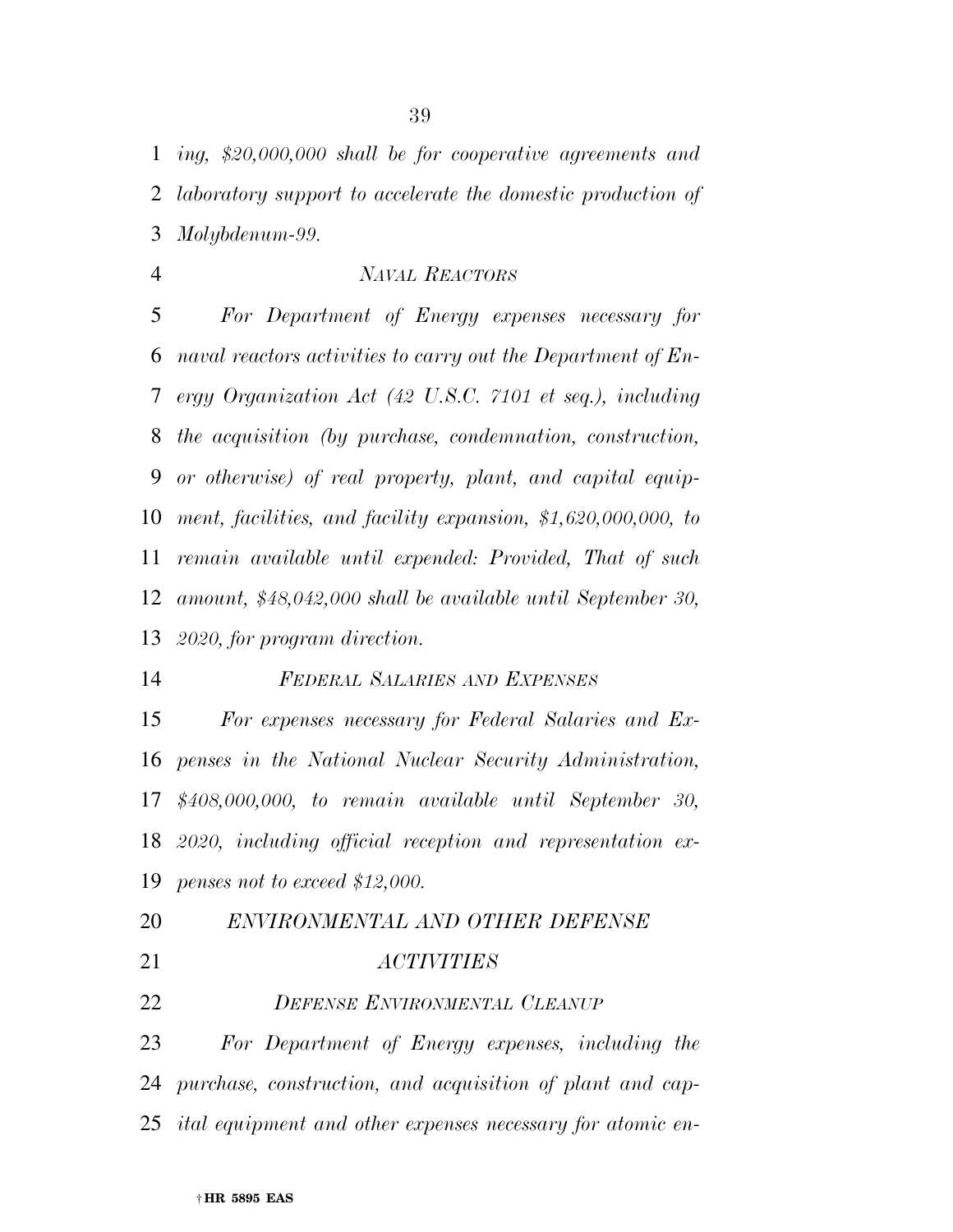*ing, \$20,000,000 shall be for cooperative agreements and laboratory support to accelerate the domestic production of Molybdenum-99.* 

### *NAVAL REACTORS*

 *For Department of Energy expenses necessary for naval reactors activities to carry out the Department of En- ergy Organization Act (42 U.S.C. 7101 et seq.), including the acquisition (by purchase, condemnation, construction, or otherwise) of real property, plant, and capital equip- ment, facilities, and facility expansion, \$1,620,000,000, to remain available until expended: Provided, That of such amount, \$48,042,000 shall be available until September 30, 2020, for program direction.* 

*FEDERAL SALARIES AND EXPENSES*

 *For expenses necessary for Federal Salaries and Ex- penses in the National Nuclear Security Administration, \$408,000,000, to remain available until September 30, 2020, including official reception and representation ex-penses not to exceed \$12,000.* 

 *ENVIRONMENTAL AND OTHER DEFENSE ACTIVITIES* 

*DEFENSE ENVIRONMENTAL CLEANUP*

 *For Department of Energy expenses, including the purchase, construction, and acquisition of plant and cap-ital equipment and other expenses necessary for atomic en-*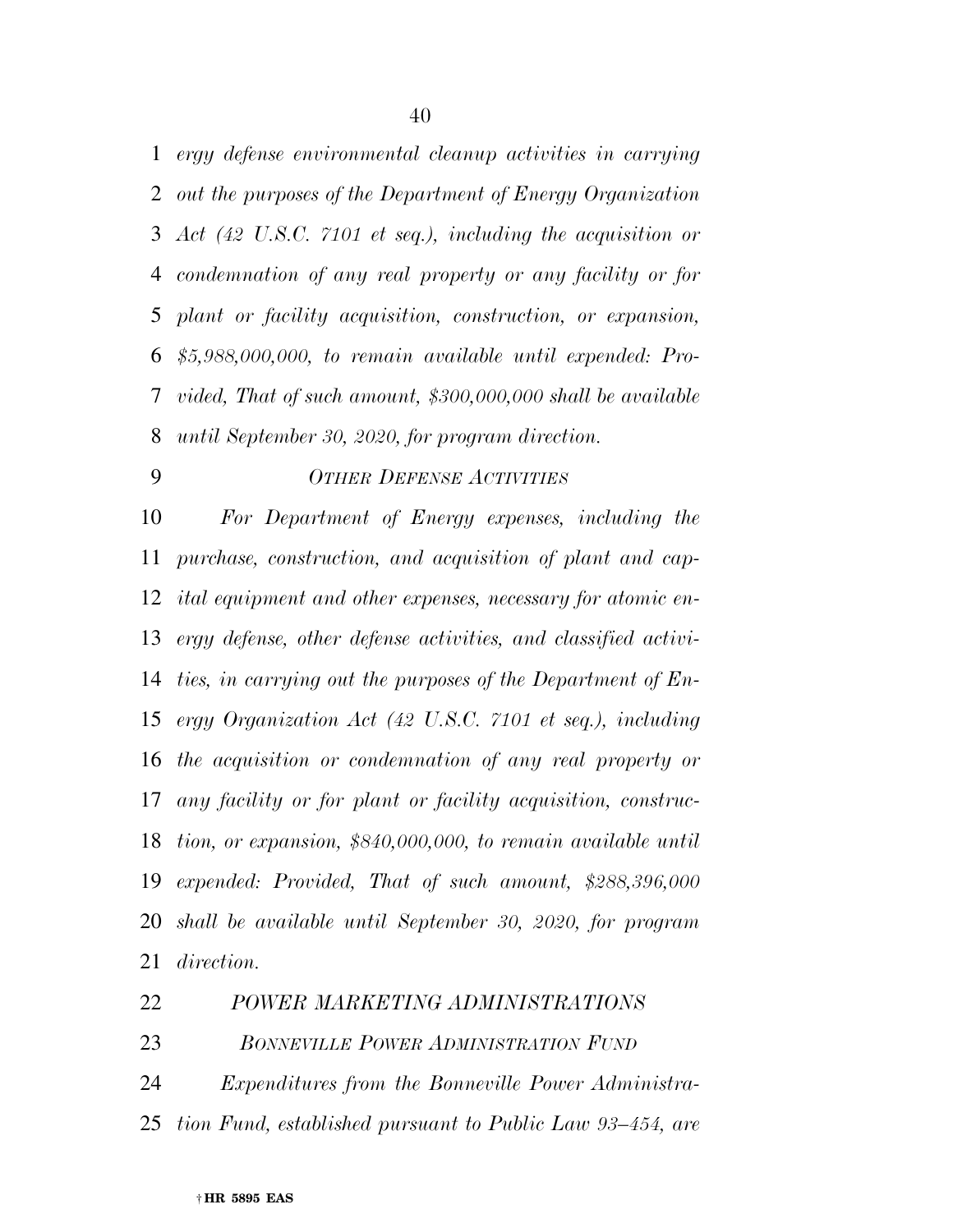*ergy defense environmental cleanup activities in carrying out the purposes of the Department of Energy Organization Act (42 U.S.C. 7101 et seq.), including the acquisition or condemnation of any real property or any facility or for plant or facility acquisition, construction, or expansion, \$5,988,000,000, to remain available until expended: Pro- vided, That of such amount, \$300,000,000 shall be available until September 30, 2020, for program direction.* 

### *OTHER DEFENSE ACTIVITIES*

 *For Department of Energy expenses, including the purchase, construction, and acquisition of plant and cap- ital equipment and other expenses, necessary for atomic en- ergy defense, other defense activities, and classified activi- ties, in carrying out the purposes of the Department of En- ergy Organization Act (42 U.S.C. 7101 et seq.), including the acquisition or condemnation of any real property or any facility or for plant or facility acquisition, construc- tion, or expansion, \$840,000,000, to remain available until expended: Provided, That of such amount, \$288,396,000 shall be available until September 30, 2020, for program direction.* 

| 22 | POWER MARKETING ADMINISTRATIONS                              |
|----|--------------------------------------------------------------|
| 23 | <b>BONNEVILLE POWER ADMINISTRATION FUND</b>                  |
| 24 | <i>Expenditures from the Bonneville Power Administra-</i>    |
|    | 25 tion Fund, established pursuant to Public Law 93–454, are |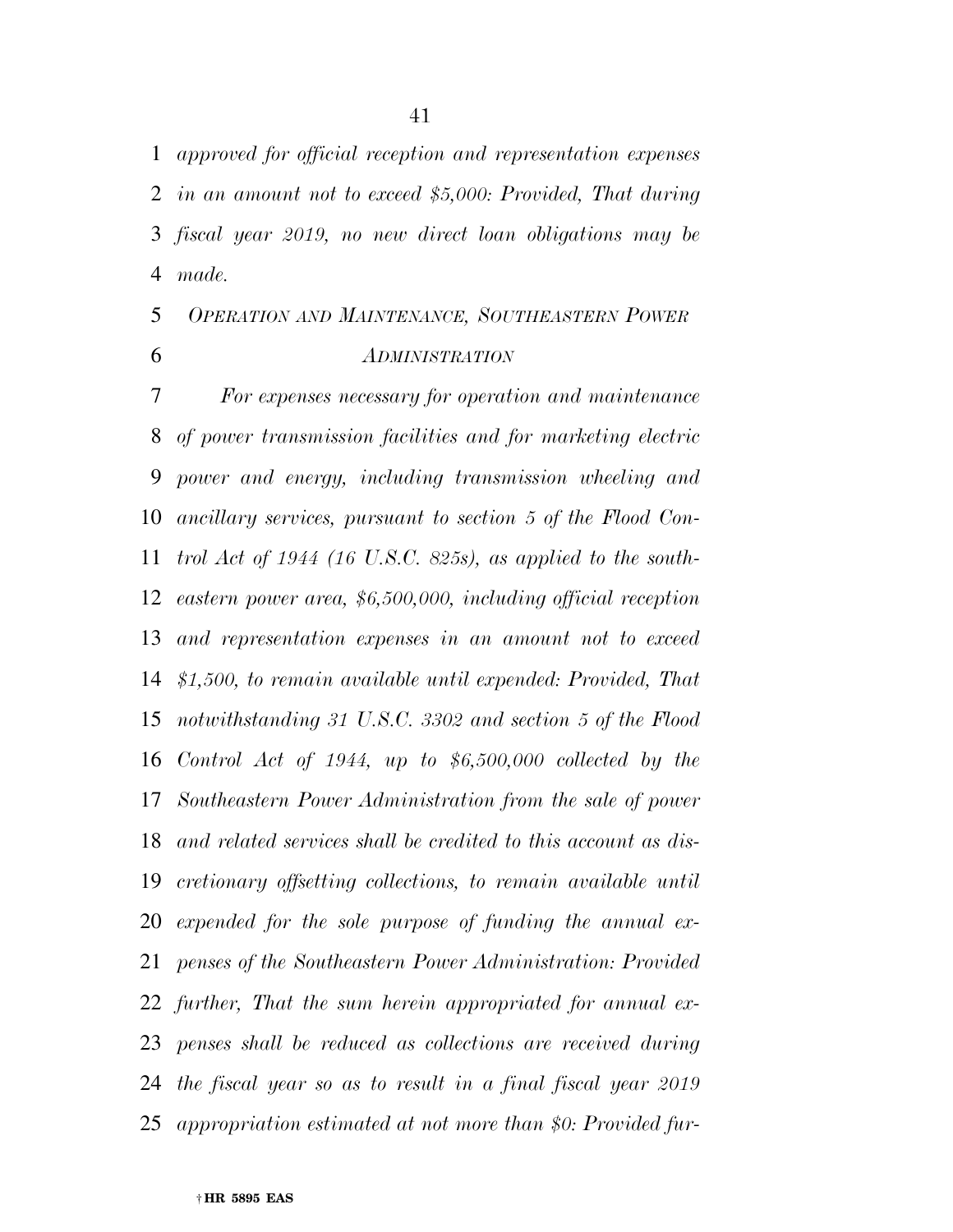*approved for official reception and representation expenses in an amount not to exceed \$5,000: Provided, That during fiscal year 2019, no new direct loan obligations may be made.* 

## *OPERATION AND MAINTENANCE, SOUTHEASTERN POWER ADMINISTRATION*

 *For expenses necessary for operation and maintenance of power transmission facilities and for marketing electric power and energy, including transmission wheeling and ancillary services, pursuant to section 5 of the Flood Con- trol Act of 1944 (16 U.S.C. 825s), as applied to the south- eastern power area, \$6,500,000, including official reception and representation expenses in an amount not to exceed \$1,500, to remain available until expended: Provided, That notwithstanding 31 U.S.C. 3302 and section 5 of the Flood Control Act of 1944, up to \$6,500,000 collected by the Southeastern Power Administration from the sale of power and related services shall be credited to this account as dis- cretionary offsetting collections, to remain available until expended for the sole purpose of funding the annual ex- penses of the Southeastern Power Administration: Provided further, That the sum herein appropriated for annual ex- penses shall be reduced as collections are received during the fiscal year so as to result in a final fiscal year 2019 appropriation estimated at not more than \$0: Provided fur-*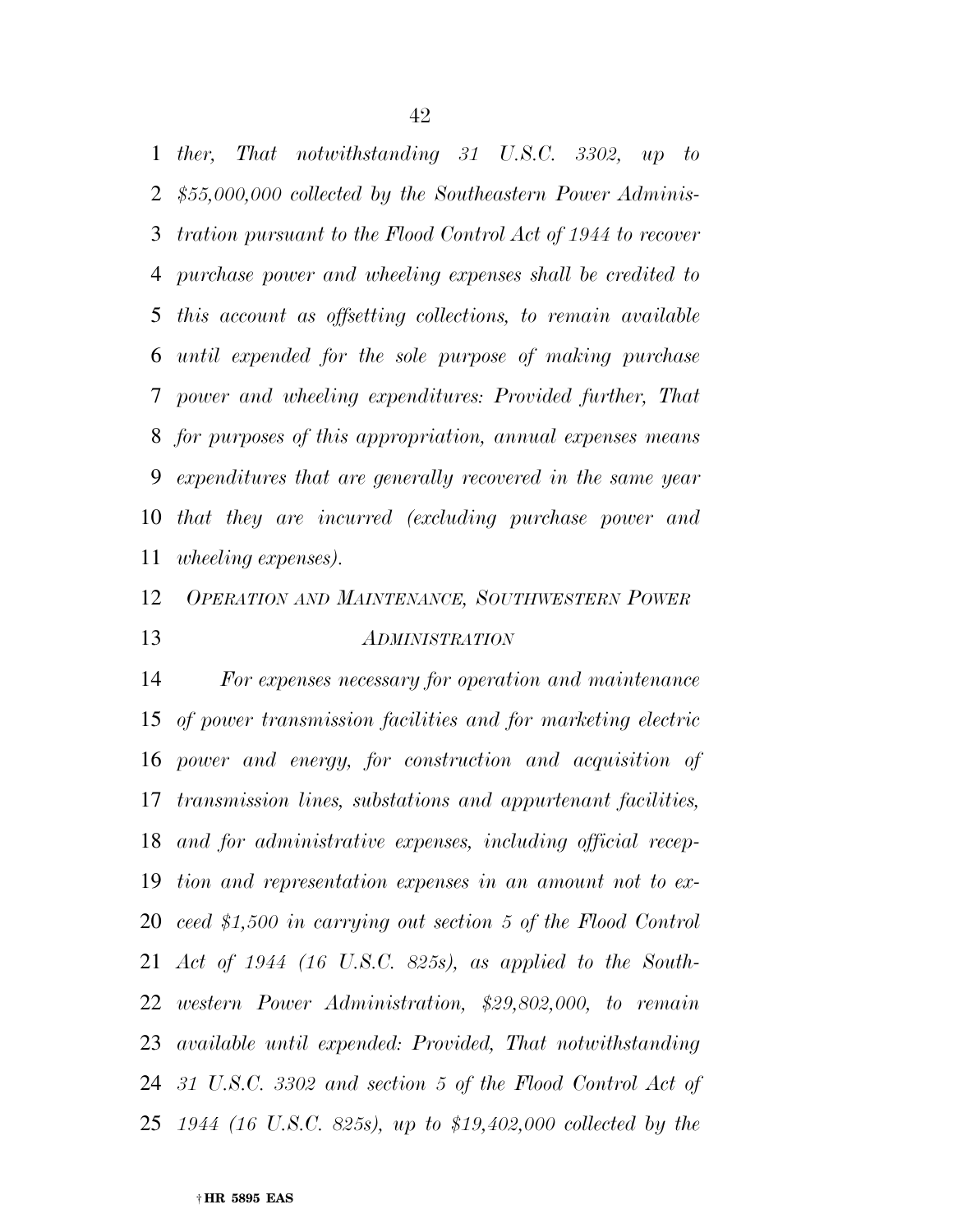*ther, That notwithstanding 31 U.S.C. 3302, up to \$55,000,000 collected by the Southeastern Power Adminis- tration pursuant to the Flood Control Act of 1944 to recover purchase power and wheeling expenses shall be credited to this account as offsetting collections, to remain available until expended for the sole purpose of making purchase power and wheeling expenditures: Provided further, That for purposes of this appropriation, annual expenses means expenditures that are generally recovered in the same year that they are incurred (excluding purchase power and wheeling expenses).* 

# *OPERATION AND MAINTENANCE, SOUTHWESTERN POWER ADMINISTRATION*

 *For expenses necessary for operation and maintenance of power transmission facilities and for marketing electric power and energy, for construction and acquisition of transmission lines, substations and appurtenant facilities, and for administrative expenses, including official recep- tion and representation expenses in an amount not to ex- ceed \$1,500 in carrying out section 5 of the Flood Control Act of 1944 (16 U.S.C. 825s), as applied to the South- western Power Administration, \$29,802,000, to remain available until expended: Provided, That notwithstanding 31 U.S.C. 3302 and section 5 of the Flood Control Act of 1944 (16 U.S.C. 825s), up to \$19,402,000 collected by the*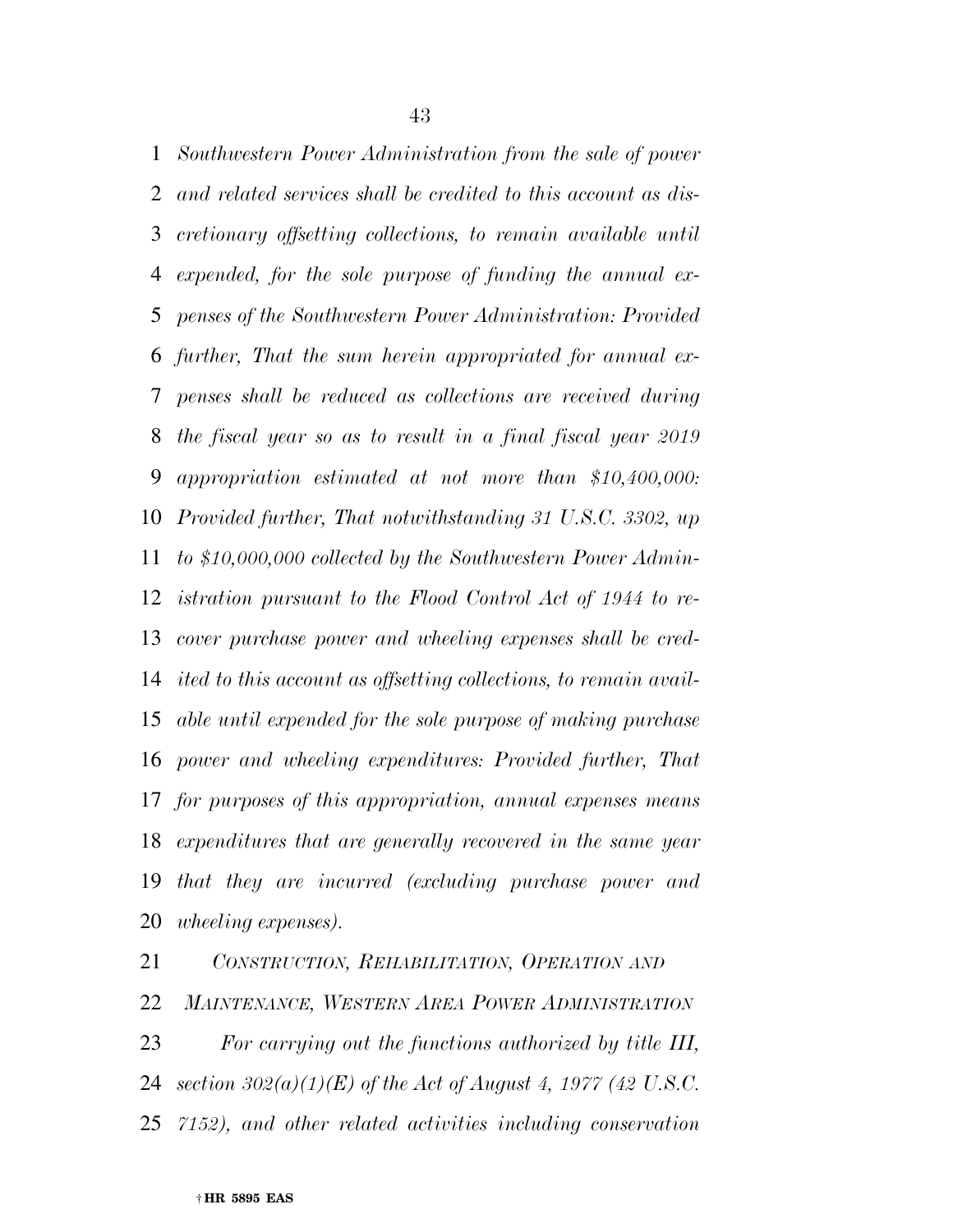*Southwestern Power Administration from the sale of power and related services shall be credited to this account as dis- cretionary offsetting collections, to remain available until expended, for the sole purpose of funding the annual ex- penses of the Southwestern Power Administration: Provided further, That the sum herein appropriated for annual ex- penses shall be reduced as collections are received during the fiscal year so as to result in a final fiscal year 2019 appropriation estimated at not more than \$10,400,000: Provided further, That notwithstanding 31 U.S.C. 3302, up to \$10,000,000 collected by the Southwestern Power Admin- istration pursuant to the Flood Control Act of 1944 to re- cover purchase power and wheeling expenses shall be cred- ited to this account as offsetting collections, to remain avail- able until expended for the sole purpose of making purchase power and wheeling expenditures: Provided further, That for purposes of this appropriation, annual expenses means expenditures that are generally recovered in the same year that they are incurred (excluding purchase power and wheeling expenses).* 

 *CONSTRUCTION, REHABILITATION, OPERATION AND MAINTENANCE, WESTERN AREA POWER ADMINISTRATION For carrying out the functions authorized by title III, section 302(a)(1)(E) of the Act of August 4, 1977 (42 U.S.C. 7152), and other related activities including conservation*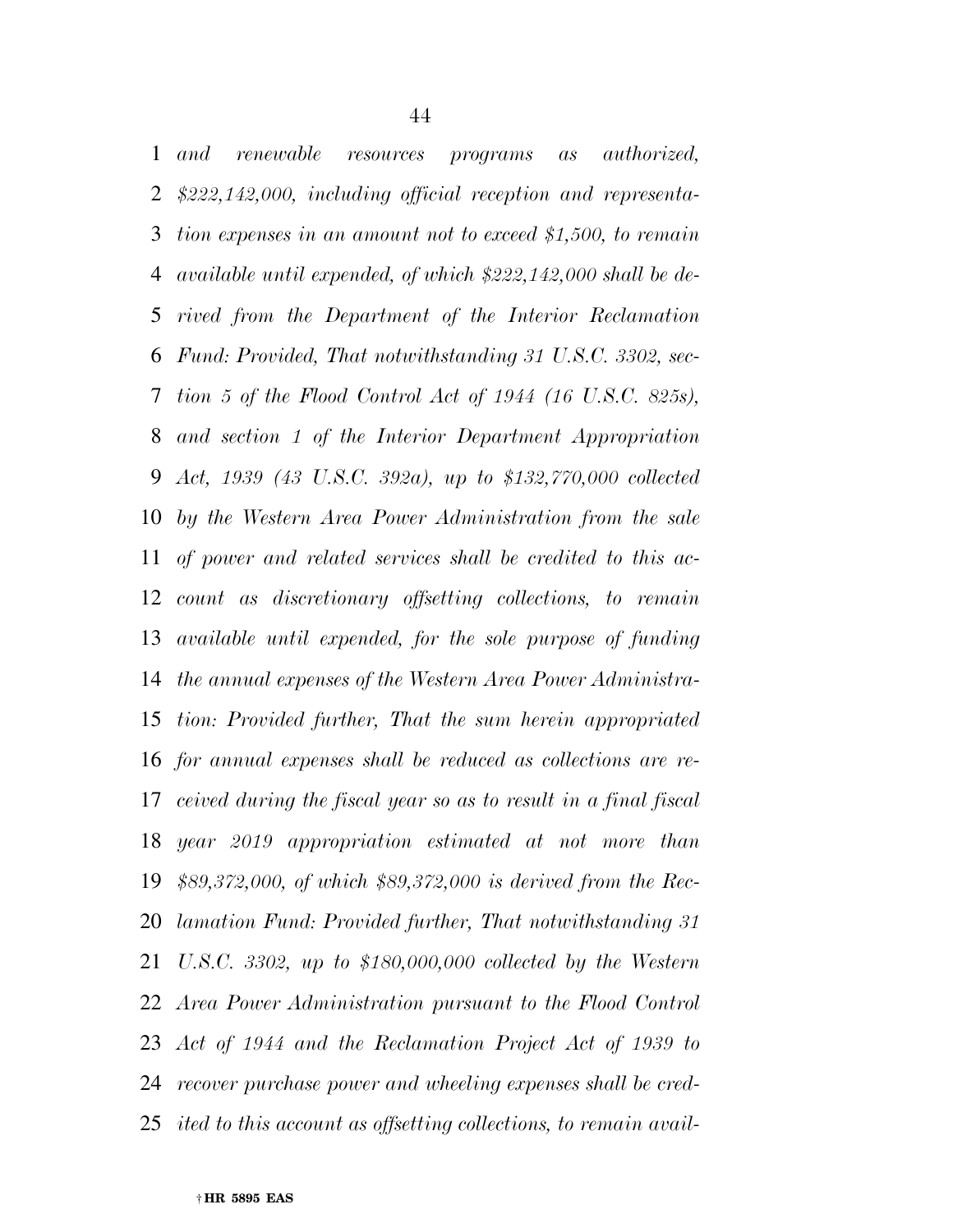*and renewable resources programs as authorized, \$222,142,000, including official reception and representa- tion expenses in an amount not to exceed \$1,500, to remain available until expended, of which \$222,142,000 shall be de- rived from the Department of the Interior Reclamation Fund: Provided, That notwithstanding 31 U.S.C. 3302, sec- tion 5 of the Flood Control Act of 1944 (16 U.S.C. 825s), and section 1 of the Interior Department Appropriation Act, 1939 (43 U.S.C. 392a), up to \$132,770,000 collected by the Western Area Power Administration from the sale of power and related services shall be credited to this ac- count as discretionary offsetting collections, to remain available until expended, for the sole purpose of funding the annual expenses of the Western Area Power Administra- tion: Provided further, That the sum herein appropriated for annual expenses shall be reduced as collections are re- ceived during the fiscal year so as to result in a final fiscal year 2019 appropriation estimated at not more than \$89,372,000, of which \$89,372,000 is derived from the Rec- lamation Fund: Provided further, That notwithstanding 31 U.S.C. 3302, up to \$180,000,000 collected by the Western Area Power Administration pursuant to the Flood Control Act of 1944 and the Reclamation Project Act of 1939 to recover purchase power and wheeling expenses shall be cred-ited to this account as offsetting collections, to remain avail-*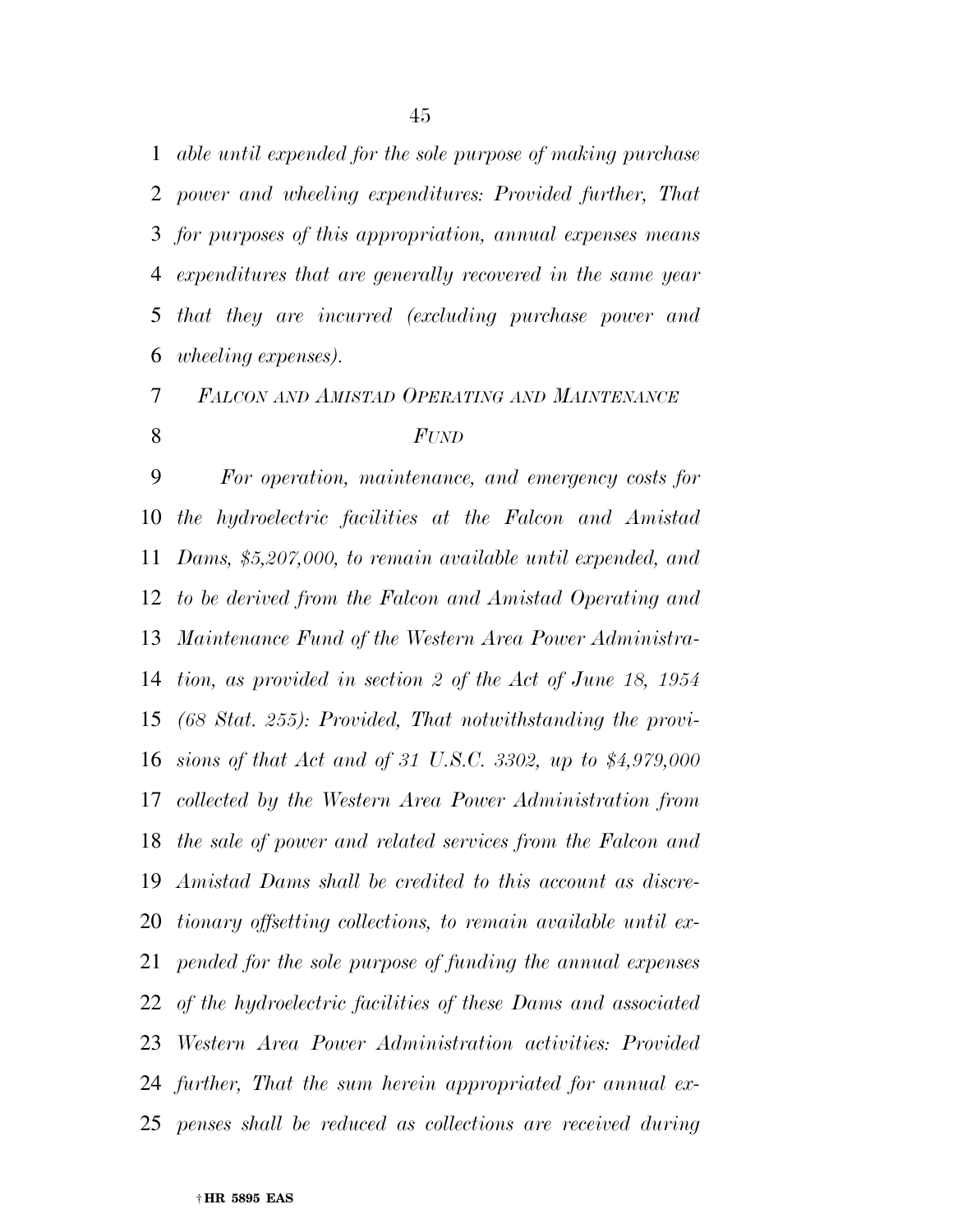*able until expended for the sole purpose of making purchase power and wheeling expenditures: Provided further, That for purposes of this appropriation, annual expenses means expenditures that are generally recovered in the same year that they are incurred (excluding purchase power and wheeling expenses).* 

## *FALCON AND AMISTAD OPERATING AND MAINTENANCE FUND*

 *For operation, maintenance, and emergency costs for the hydroelectric facilities at the Falcon and Amistad Dams, \$5,207,000, to remain available until expended, and to be derived from the Falcon and Amistad Operating and Maintenance Fund of the Western Area Power Administra- tion, as provided in section 2 of the Act of June 18, 1954 (68 Stat. 255): Provided, That notwithstanding the provi- sions of that Act and of 31 U.S.C. 3302, up to \$4,979,000 collected by the Western Area Power Administration from the sale of power and related services from the Falcon and Amistad Dams shall be credited to this account as discre- tionary offsetting collections, to remain available until ex- pended for the sole purpose of funding the annual expenses of the hydroelectric facilities of these Dams and associated Western Area Power Administration activities: Provided further, That the sum herein appropriated for annual ex-penses shall be reduced as collections are received during*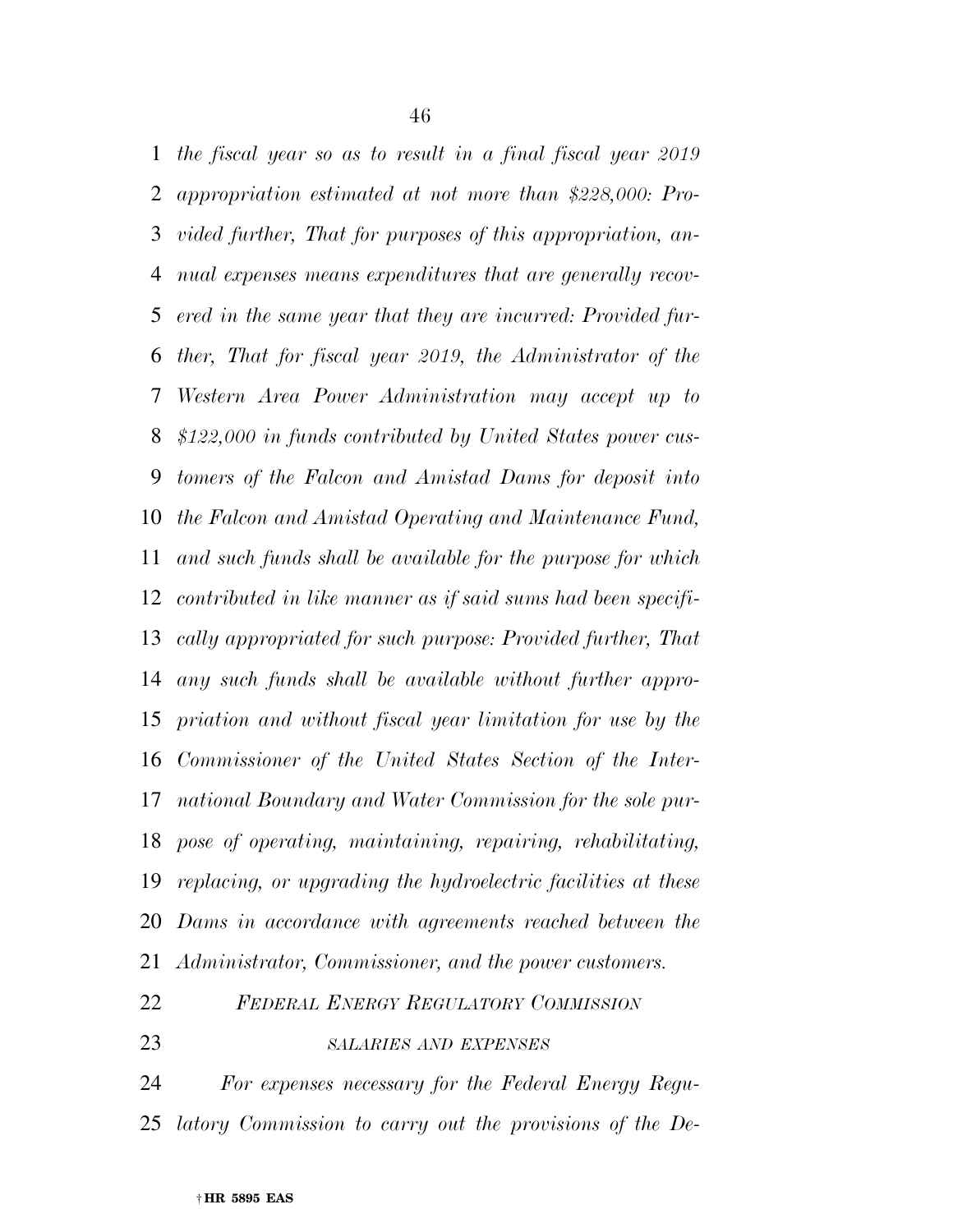*the fiscal year so as to result in a final fiscal year 2019 appropriation estimated at not more than \$228,000: Pro- vided further, That for purposes of this appropriation, an- nual expenses means expenditures that are generally recov- ered in the same year that they are incurred: Provided fur- ther, That for fiscal year 2019, the Administrator of the Western Area Power Administration may accept up to \$122,000 in funds contributed by United States power cus- tomers of the Falcon and Amistad Dams for deposit into the Falcon and Amistad Operating and Maintenance Fund, and such funds shall be available for the purpose for which contributed in like manner as if said sums had been specifi- cally appropriated for such purpose: Provided further, That any such funds shall be available without further appro- priation and without fiscal year limitation for use by the Commissioner of the United States Section of the Inter- national Boundary and Water Commission for the sole pur- pose of operating, maintaining, repairing, rehabilitating, replacing, or upgrading the hydroelectric facilities at these Dams in accordance with agreements reached between the Administrator, Commissioner, and the power customers. FEDERAL ENERGY REGULATORY COMMISSION*

*SALARIES AND EXPENSES*

 *For expenses necessary for the Federal Energy Regu-latory Commission to carry out the provisions of the De-*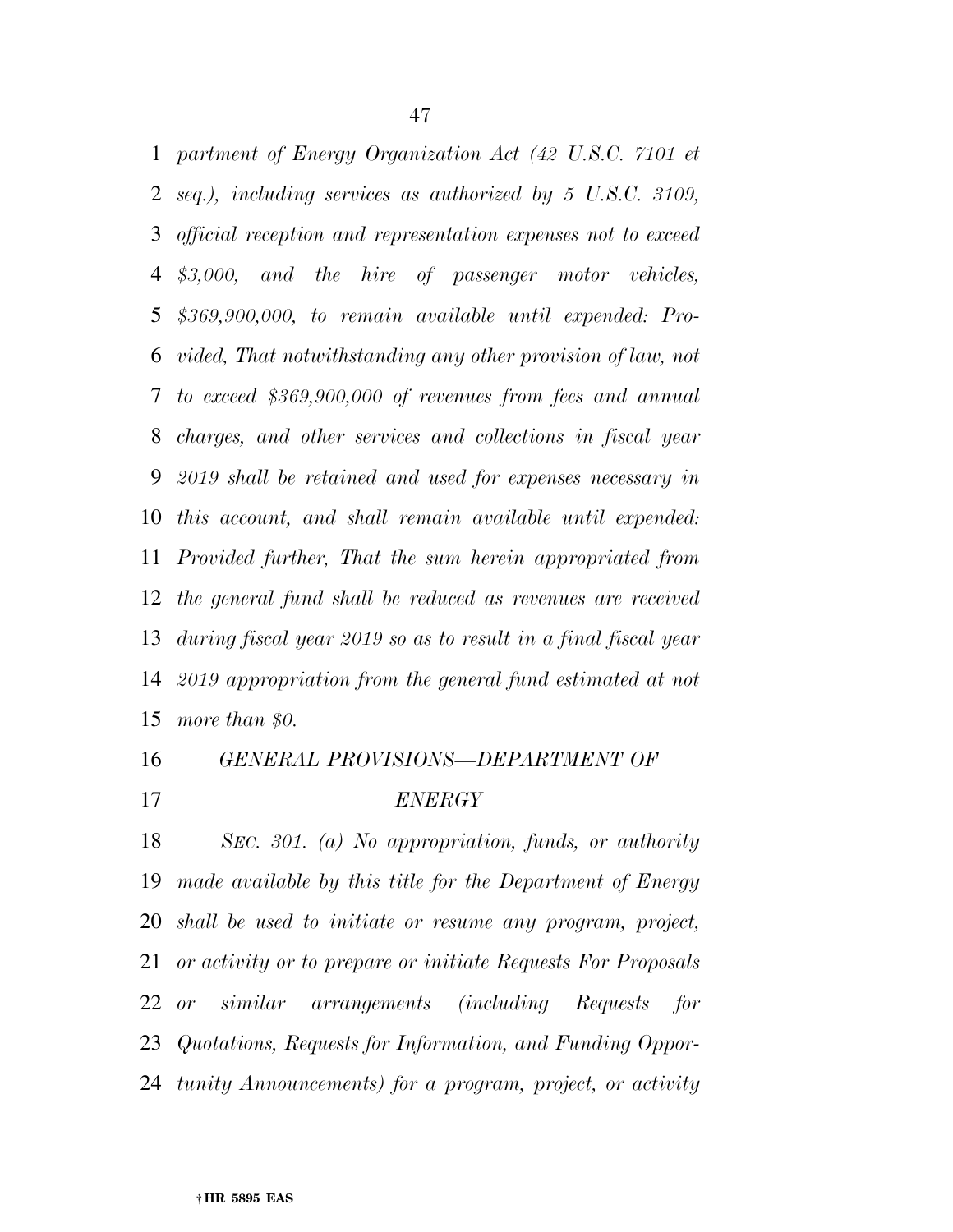*partment of Energy Organization Act (42 U.S.C. 7101 et seq.), including services as authorized by 5 U.S.C. 3109, official reception and representation expenses not to exceed \$3,000, and the hire of passenger motor vehicles, \$369,900,000, to remain available until expended: Pro- vided, That notwithstanding any other provision of law, not to exceed \$369,900,000 of revenues from fees and annual charges, and other services and collections in fiscal year 2019 shall be retained and used for expenses necessary in this account, and shall remain available until expended: Provided further, That the sum herein appropriated from the general fund shall be reduced as revenues are received during fiscal year 2019 so as to result in a final fiscal year 2019 appropriation from the general fund estimated at not more than \$0.* 

## *GENERAL PROVISIONS—DEPARTMENT OF*

### *ENERGY*

 *SEC. 301. (a) No appropriation, funds, or authority made available by this title for the Department of Energy shall be used to initiate or resume any program, project, or activity or to prepare or initiate Requests For Proposals or similar arrangements (including Requests for Quotations, Requests for Information, and Funding Oppor-tunity Announcements) for a program, project, or activity*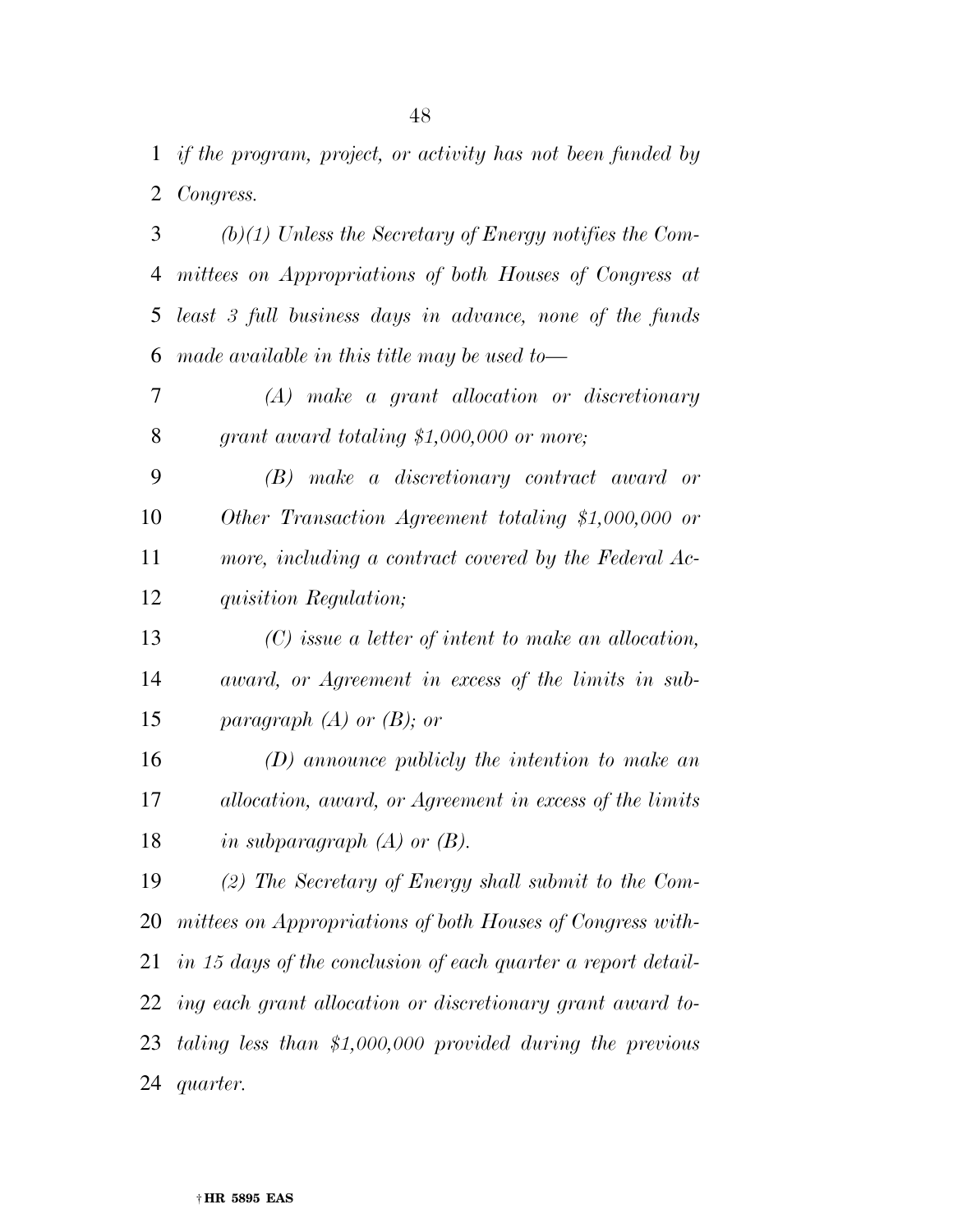*if the program, project, or activity has not been funded by Congress.* 

 *(b)(1) Unless the Secretary of Energy notifies the Com- mittees on Appropriations of both Houses of Congress at least 3 full business days in advance, none of the funds made available in this title may be used to—* 

 *(A) make a grant allocation or discretionary grant award totaling \$1,000,000 or more;* 

 *(B) make a discretionary contract award or Other Transaction Agreement totaling \$1,000,000 or more, including a contract covered by the Federal Ac-quisition Regulation;* 

 *(C) issue a letter of intent to make an allocation, award, or Agreement in excess of the limits in sub-paragraph (A) or (B); or* 

 *(D) announce publicly the intention to make an allocation, award, or Agreement in excess of the limits in subparagraph (A) or (B).* 

 *(2) The Secretary of Energy shall submit to the Com- mittees on Appropriations of both Houses of Congress with- in 15 days of the conclusion of each quarter a report detail- ing each grant allocation or discretionary grant award to- taling less than \$1,000,000 provided during the previous quarter.*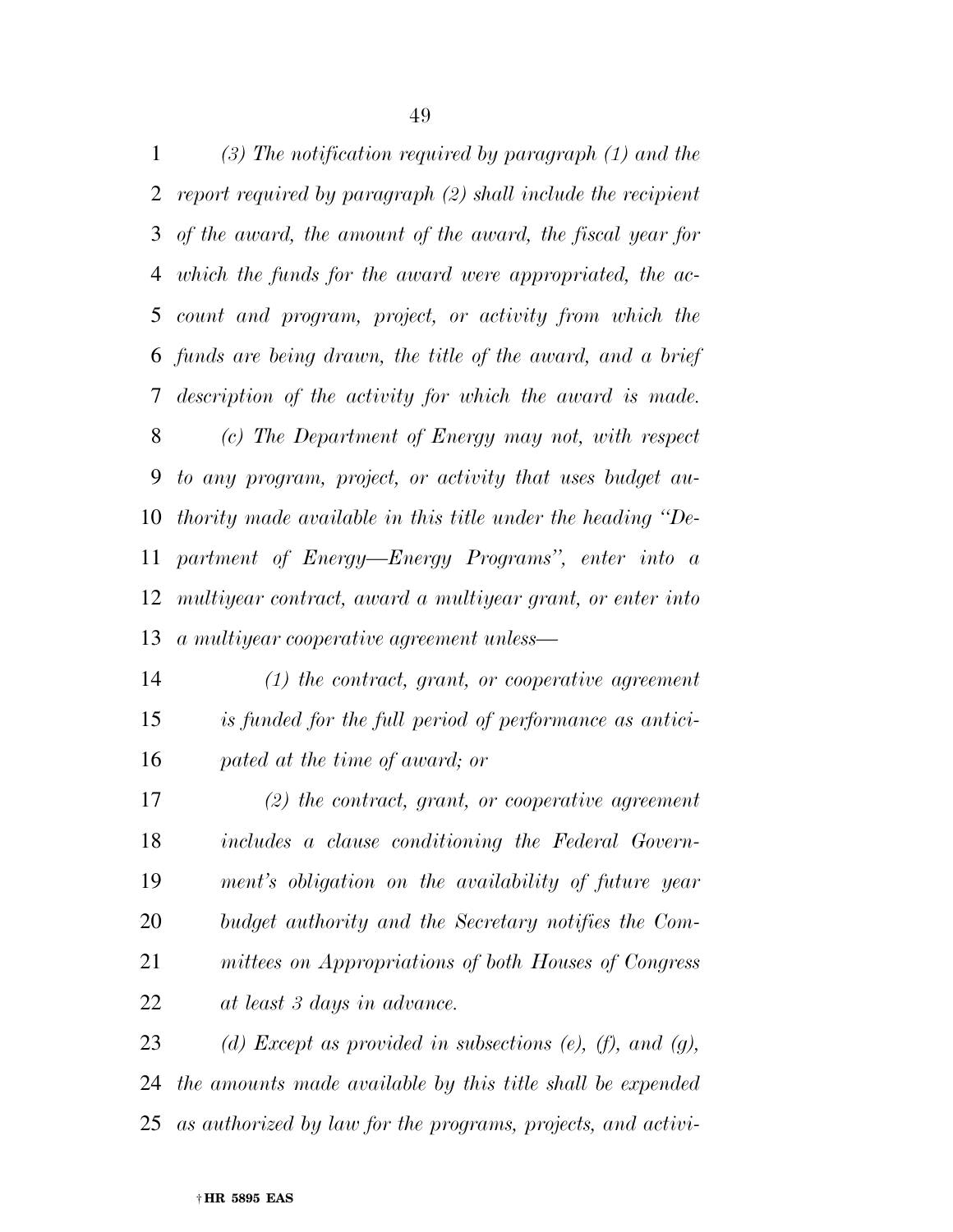*(3) The notification required by paragraph (1) and the report required by paragraph (2) shall include the recipient of the award, the amount of the award, the fiscal year for which the funds for the award were appropriated, the ac- count and program, project, or activity from which the funds are being drawn, the title of the award, and a brief description of the activity for which the award is made. (c) The Department of Energy may not, with respect to any program, project, or activity that uses budget au- thority made available in this title under the heading ''De- partment of Energy—Energy Programs'', enter into a multiyear contract, award a multiyear grant, or enter into a multiyear cooperative agreement unless—* 

 *(1) the contract, grant, or cooperative agreement is funded for the full period of performance as antici-pated at the time of award; or* 

 *(2) the contract, grant, or cooperative agreement includes a clause conditioning the Federal Govern- ment's obligation on the availability of future year budget authority and the Secretary notifies the Com- mittees on Appropriations of both Houses of Congress at least 3 days in advance.* 

 *(d) Except as provided in subsections (e), (f), and (g), the amounts made available by this title shall be expended as authorized by law for the programs, projects, and activi-*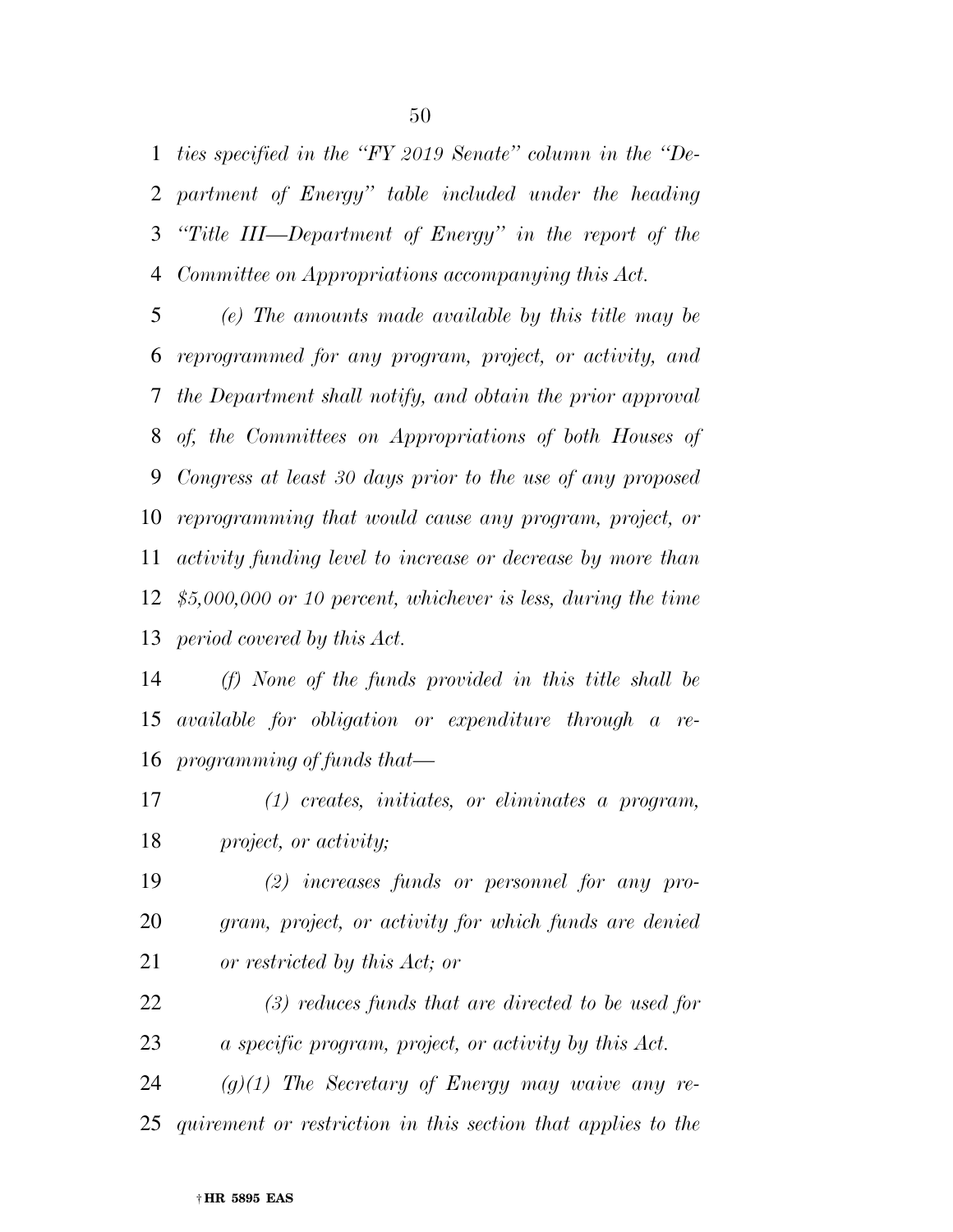*ties specified in the ''FY 2019 Senate'' column in the ''De- partment of Energy'' table included under the heading ''Title III—Department of Energy'' in the report of the Committee on Appropriations accompanying this Act.* 

 *(e) The amounts made available by this title may be reprogrammed for any program, project, or activity, and the Department shall notify, and obtain the prior approval of, the Committees on Appropriations of both Houses of Congress at least 30 days prior to the use of any proposed reprogramming that would cause any program, project, or activity funding level to increase or decrease by more than \$5,000,000 or 10 percent, whichever is less, during the time period covered by this Act.* 

 *(f) None of the funds provided in this title shall be available for obligation or expenditure through a re-programming of funds that—* 

 *(1) creates, initiates, or eliminates a program, project, or activity;* 

 *(2) increases funds or personnel for any pro- gram, project, or activity for which funds are denied or restricted by this Act; or* 

 *(3) reduces funds that are directed to be used for a specific program, project, or activity by this Act.* 

 *(g)(1) The Secretary of Energy may waive any re-quirement or restriction in this section that applies to the*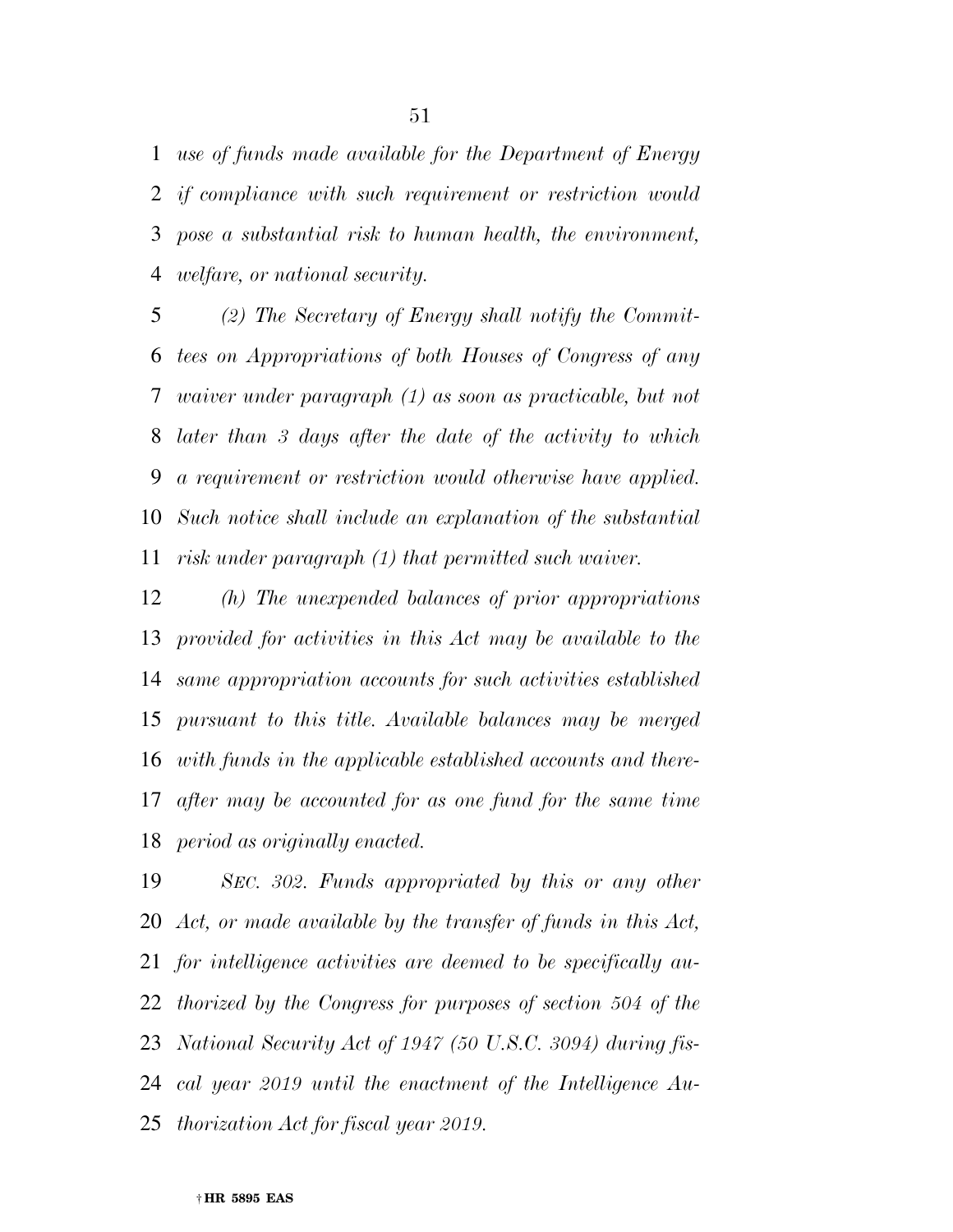*use of funds made available for the Department of Energy if compliance with such requirement or restriction would pose a substantial risk to human health, the environment, welfare, or national security.* 

 *(2) The Secretary of Energy shall notify the Commit- tees on Appropriations of both Houses of Congress of any waiver under paragraph (1) as soon as practicable, but not later than 3 days after the date of the activity to which a requirement or restriction would otherwise have applied. Such notice shall include an explanation of the substantial risk under paragraph (1) that permitted such waiver.* 

 *(h) The unexpended balances of prior appropriations provided for activities in this Act may be available to the same appropriation accounts for such activities established pursuant to this title. Available balances may be merged with funds in the applicable established accounts and there- after may be accounted for as one fund for the same time period as originally enacted.* 

 *SEC. 302. Funds appropriated by this or any other Act, or made available by the transfer of funds in this Act, for intelligence activities are deemed to be specifically au- thorized by the Congress for purposes of section 504 of the National Security Act of 1947 (50 U.S.C. 3094) during fis- cal year 2019 until the enactment of the Intelligence Au-thorization Act for fiscal year 2019.*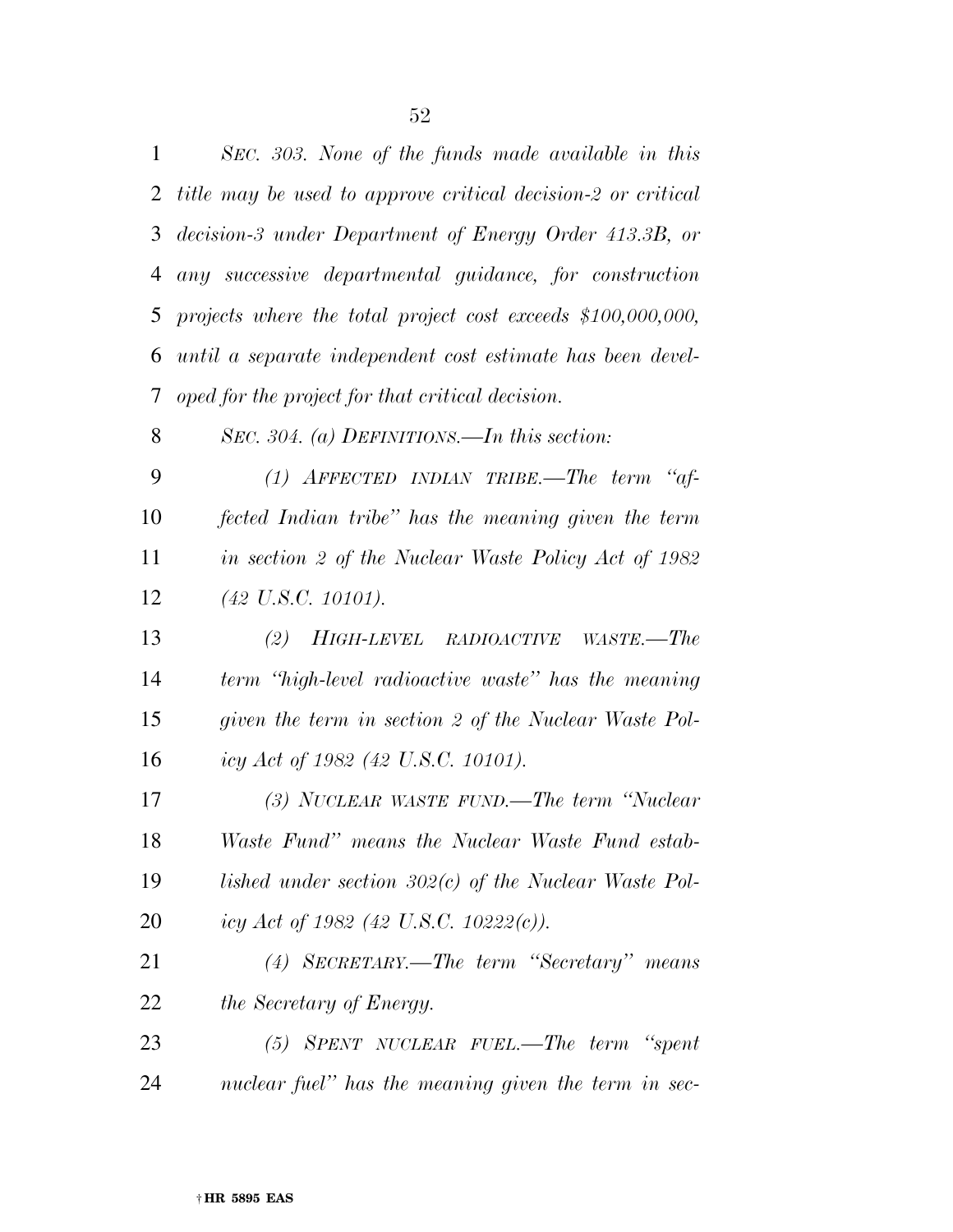| $\mathbf{1}$ | SEC. 303. None of the funds made available in this            |
|--------------|---------------------------------------------------------------|
| 2            | title may be used to approve critical decision-2 or critical  |
| 3            | decision-3 under Department of Energy Order 413.3B, or        |
| 4            | any successive departmental guidance, for construction        |
| 5            | projects where the total project cost exceeds $$100,000,000,$ |
| 6            | until a separate independent cost estimate has been devel-    |
| 7            | oped for the project for that critical decision.              |
| 8            | SEC. 304. (a) DEFINITIONS.—In this section:                   |
| 9            | $(1)$ AFFECTED INDIAN TRIBE.—The term "af-                    |
| 10           | fected Indian tribe" has the meaning given the term           |
| 11           | in section 2 of the Nuclear Waste Policy Act of 1982          |
| 12           | $(42 \text{ U.S.C. } 10101).$                                 |
| 13           | (2) HIGH-LEVEL RADIOACTIVE<br>$WASTE. - The$                  |
| 14           | term "high-level radioactive waste" has the meaning           |
| 15           | given the term in section 2 of the Nuclear Waste Pol-         |
| 16           | icy Act of 1982 (42 U.S.C. 10101).                            |
| 17           | (3) NUCLEAR WASTE FUND.—The term "Nuclear"                    |
| 18           | Waste Fund" means the Nuclear Waste Fund estab-               |
| 19           | lished under section $302(c)$ of the Nuclear Waste Pol-       |
| 20           | icy Act of 1982 (42 U.S.C. 10222(c)).                         |
| 21           | (4) SECRETARY.—The term "Secretary" means                     |
| 22           | the Secretary of Energy.                                      |
| 23           | $(5)$ SPENT NUCLEAR FUEL.—The term "spent"                    |
| 24           | nuclear fuel" has the meaning given the term in sec-          |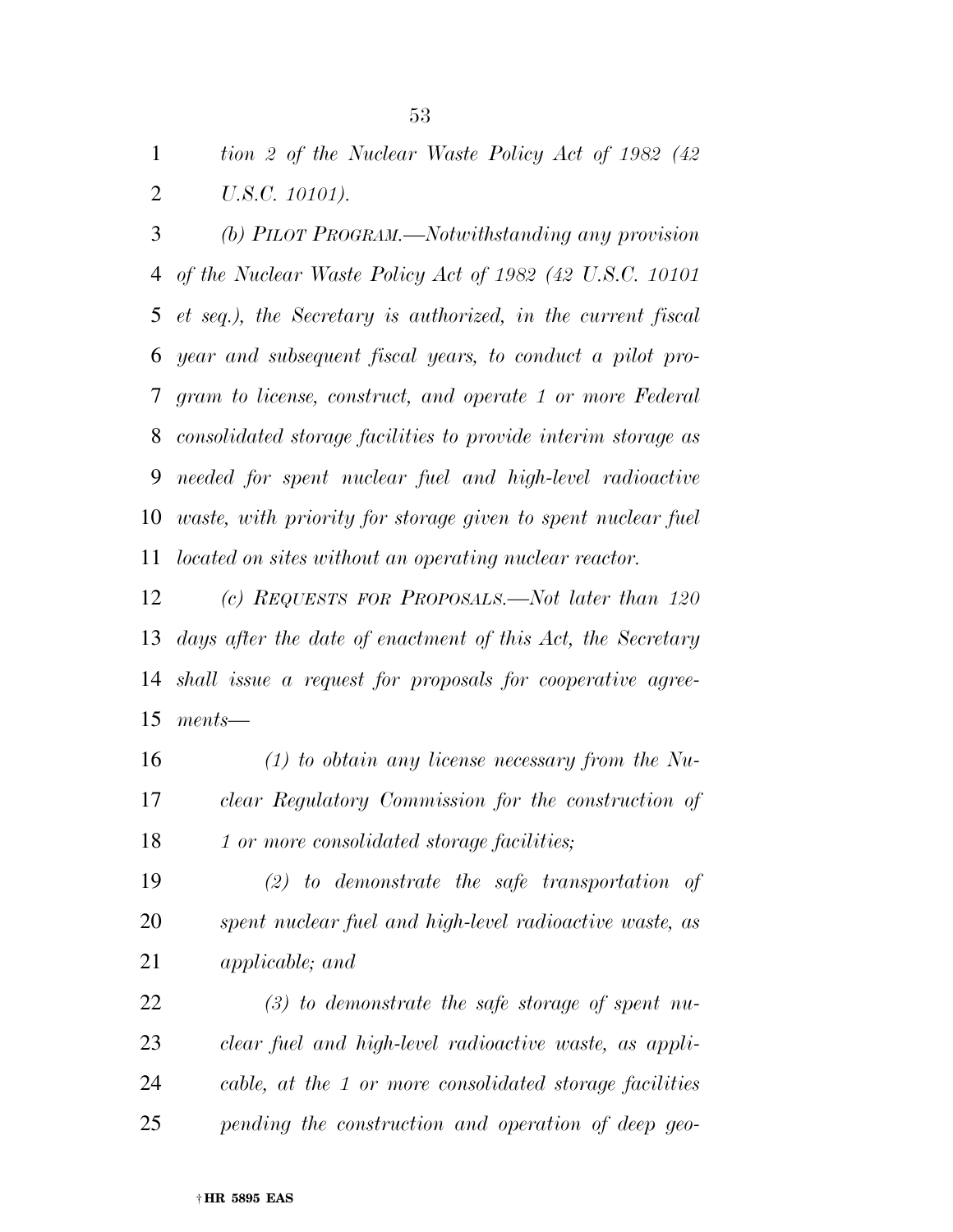*tion 2 of the Nuclear Waste Policy Act of 1982 (42 U.S.C. 10101).* 

 *(b) PILOT PROGRAM.—Notwithstanding any provision of the Nuclear Waste Policy Act of 1982 (42 U.S.C. 10101 et seq.), the Secretary is authorized, in the current fiscal year and subsequent fiscal years, to conduct a pilot pro- gram to license, construct, and operate 1 or more Federal consolidated storage facilities to provide interim storage as needed for spent nuclear fuel and high-level radioactive waste, with priority for storage given to spent nuclear fuel located on sites without an operating nuclear reactor.* 

 *(c) REQUESTS FOR PROPOSALS.—Not later than 120 days after the date of enactment of this Act, the Secretary shall issue a request for proposals for cooperative agree-ments—* 

 *(1) to obtain any license necessary from the Nu- clear Regulatory Commission for the construction of 1 or more consolidated storage facilities;* 

 *(2) to demonstrate the safe transportation of spent nuclear fuel and high-level radioactive waste, as applicable; and* 

 *(3) to demonstrate the safe storage of spent nu- clear fuel and high-level radioactive waste, as appli- cable, at the 1 or more consolidated storage facilities pending the construction and operation of deep geo-*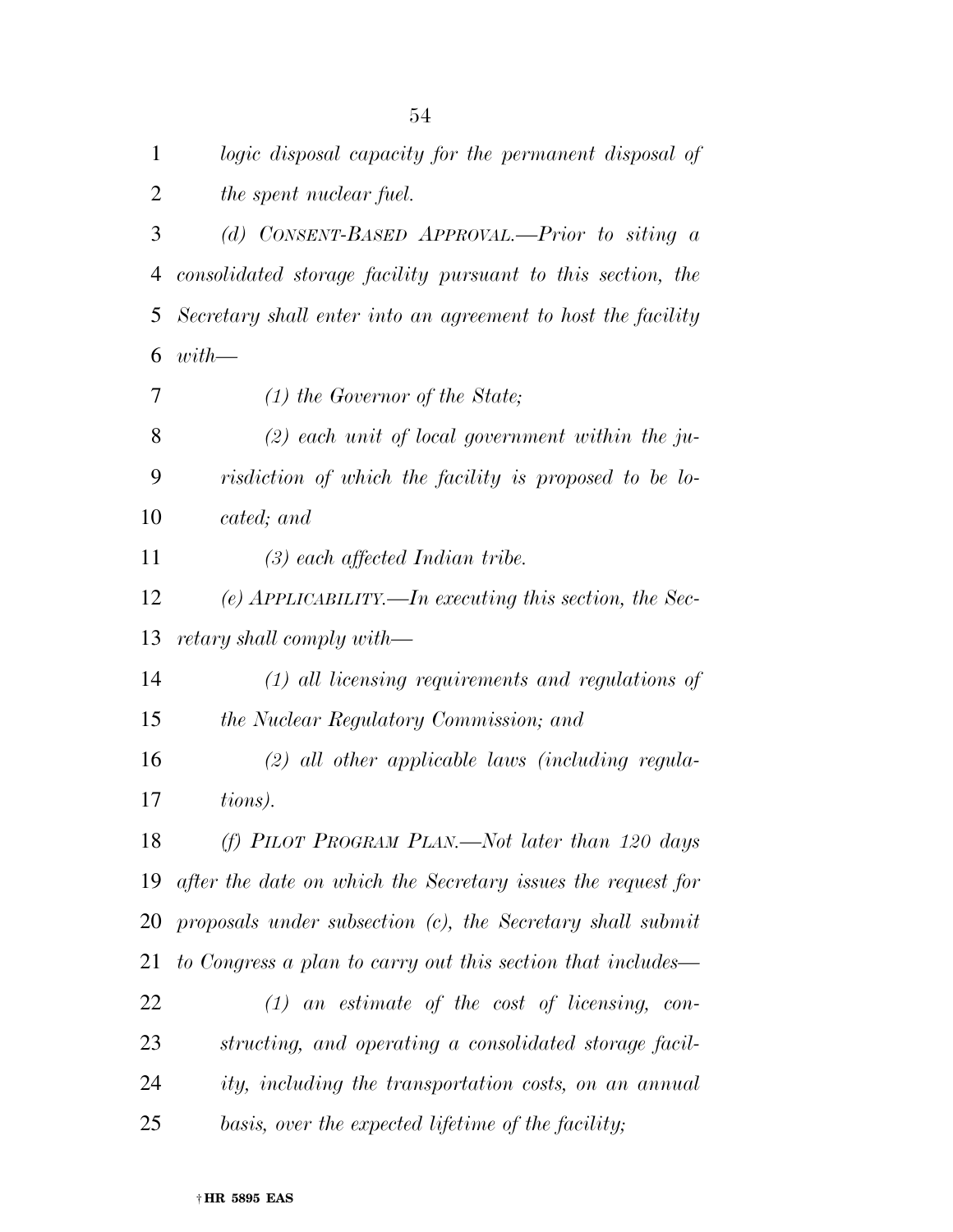| $\mathbf{1}$   | logic disposal capacity for the permanent disposal of         |
|----------------|---------------------------------------------------------------|
| $\overline{2}$ | the spent nuclear fuel.                                       |
| 3              | (d) CONSENT-BASED APPROVAL.-Prior to siting a                 |
| 4              | consolidated storage facility pursuant to this section, the   |
| 5              | Secretary shall enter into an agreement to host the facility  |
| 6              | $with$ —                                                      |
| 7              | $(1)$ the Governor of the State;                              |
| 8              | $(2)$ each unit of local government within the ju-            |
| 9              | risdiction of which the facility is proposed to be lo-        |
| 10             | cated; and                                                    |
| 11             | $(3)$ each affected Indian tribe.                             |
| 12             | $(e)$ APPLICABILITY.—In executing this section, the Sec-      |
| 13             | retary shall comply with—                                     |
| 14             | $(1)$ all licensing requirements and regulations of           |
| 15             | the Nuclear Regulatory Commission; and                        |
| 16             | $(2)$ all other applicable laws (including regula-            |
| 17             | tions).                                                       |
| 18             | (f) PILOT PROGRAM PLAN.—Not later than 120 days               |
| 19             | after the date on which the Secretary issues the request for  |
| 20             | proposals under subsection $(c)$ , the Secretary shall submit |
| 21             | to Congress a plan to carry out this section that includes—   |
| 22             | $(1)$ an estimate of the cost of licensing, con-              |
| 23             | structing, and operating a consolidated storage facil-        |
| 24             | ity, including the transportation costs, on an annual         |
| 25             | basis, over the expected lifetime of the facility;            |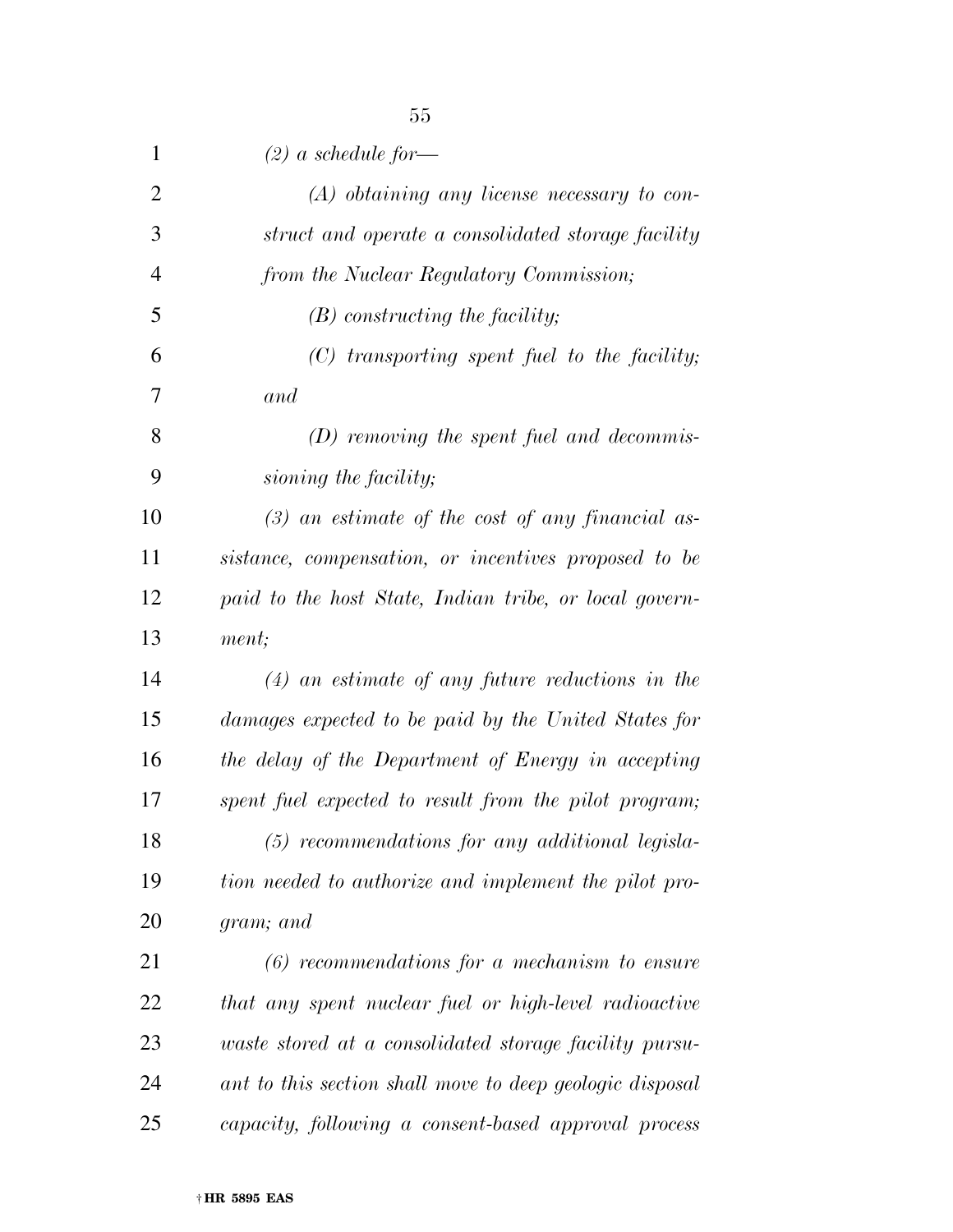| 1              | $(2)$ a schedule for—                                    |
|----------------|----------------------------------------------------------|
| $\overline{2}$ | $(A)$ obtaining any license necessary to con-            |
| 3              | struct and operate a consolidated storage facility       |
| $\overline{4}$ | from the Nuclear Regulatory Commission;                  |
| 5              | $(B)$ constructing the facility;                         |
| 6              | $(C)$ transporting spent fuel to the facility;           |
| 7              | and                                                      |
| 8              | $(D)$ removing the spent fuel and decommis-              |
| 9              | sioning the facility;                                    |
| 10             | $(3)$ an estimate of the cost of any financial as-       |
| 11             | sistance, compensation, or incentives proposed to be     |
| 12             | paid to the host State, Indian tribe, or local govern-   |
| 13             | ment;                                                    |
| 14             | $(4)$ an estimate of any future reductions in the        |
| 15             | damages expected to be paid by the United States for     |
| 16             | the delay of the Department of Energy in accepting       |
| 17             | spent fuel expected to result from the pilot program;    |
| 18             | $(5)$ recommendations for any additional legisla-        |
| 19             | tion needed to authorize and implement the pilot pro-    |
| 20             | gram; and                                                |
| 21             | $(6)$ recommendations for a mechanism to ensure          |
| 22             | that any spent nuclear fuel or high-level radioactive    |
| 23             | waste stored at a consolidated storage facility pursu-   |
| 24             | ant to this section shall move to deep geologic disposal |
| 25             | capacity, following a consent-based approval process     |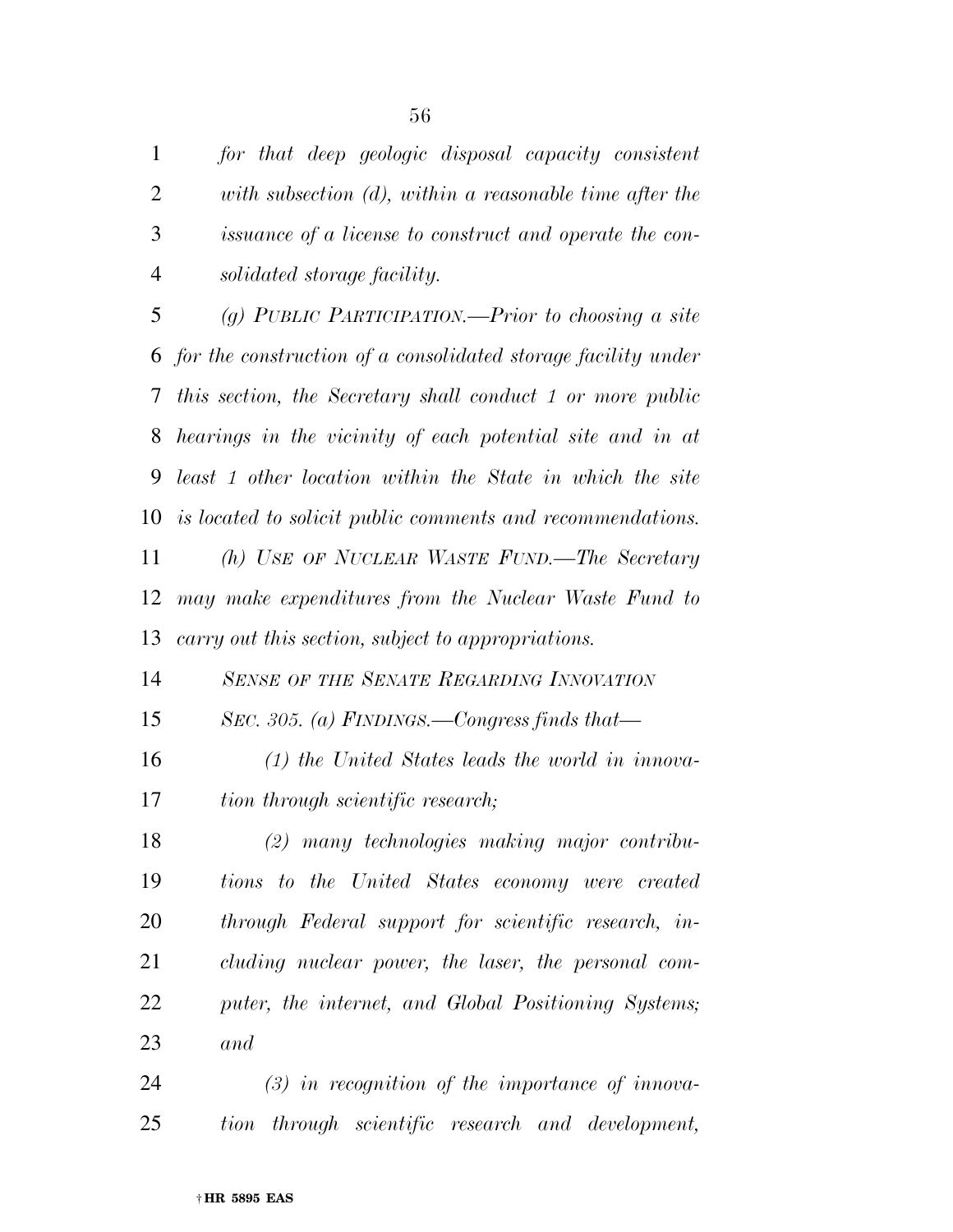*for that deep geologic disposal capacity consistent with subsection (d), within a reasonable time after the issuance of a license to construct and operate the con-solidated storage facility.* 

 *(g) PUBLIC PARTICIPATION.—Prior to choosing a site for the construction of a consolidated storage facility under this section, the Secretary shall conduct 1 or more public hearings in the vicinity of each potential site and in at least 1 other location within the State in which the site is located to solicit public comments and recommendations.* 

 *(h) USE OF NUCLEAR WASTE FUND.—The Secretary may make expenditures from the Nuclear Waste Fund to carry out this section, subject to appropriations.* 

 *SENSE OF THE SENATE REGARDING INNOVATION SEC. 305. (a) FINDINGS.—Congress finds that—* 

 *(1) the United States leads the world in innova-tion through scientific research;* 

 *(2) many technologies making major contribu- tions to the United States economy were created through Federal support for scientific research, in- cluding nuclear power, the laser, the personal com- puter, the internet, and Global Positioning Systems; and* 

 *(3) in recognition of the importance of innova-tion through scientific research and development,*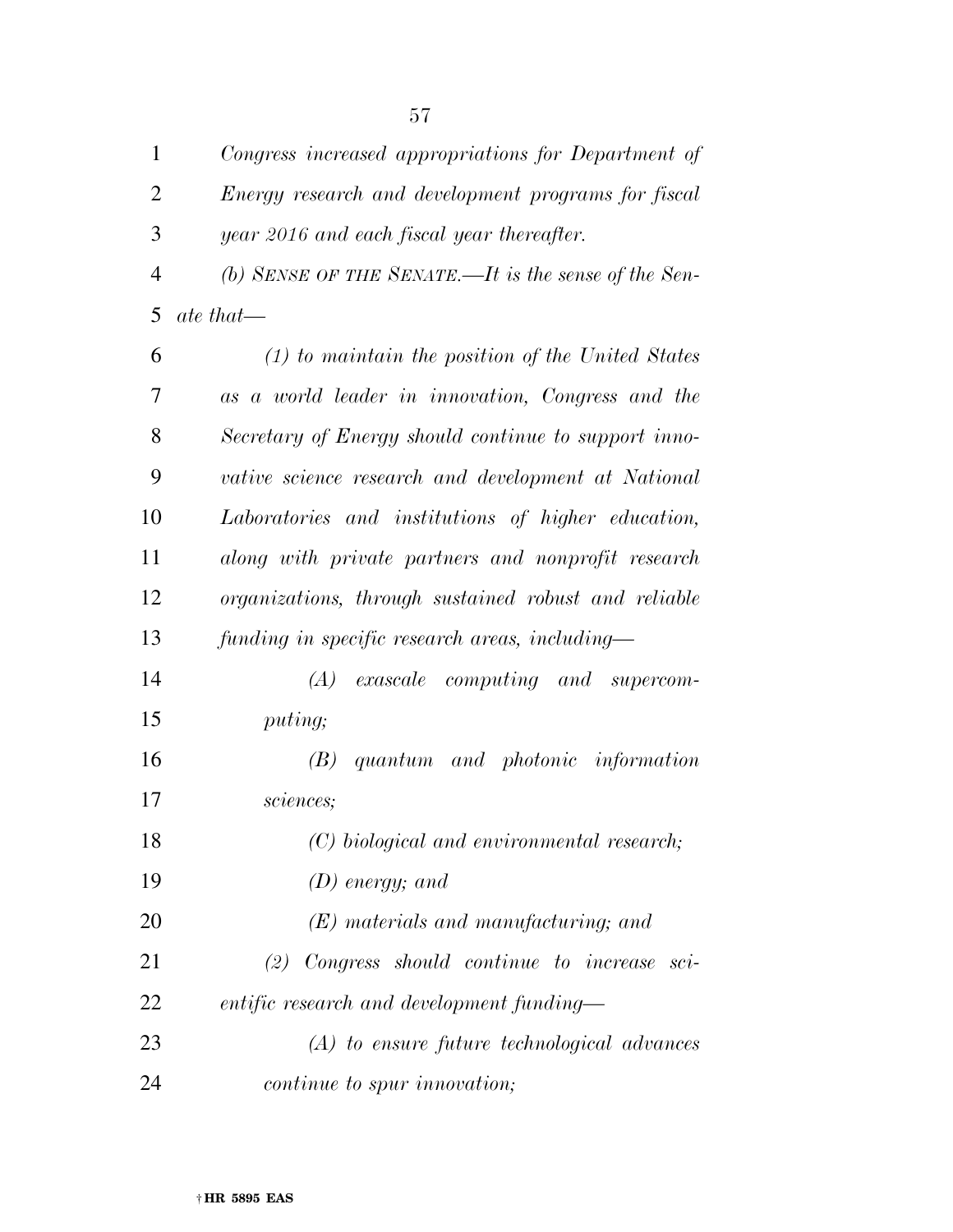| $\mathbf{1}$   | Congress increased appropriations for Department of             |
|----------------|-----------------------------------------------------------------|
| $\overline{2}$ | Energy research and development programs for fiscal             |
| 3              | year 2016 and each fiscal year thereafter.                      |
| $\overline{4}$ | (b) SENSE OF THE SENATE.—It is the sense of the Sen-            |
| 5              | $\it{ate~that}$                                                 |
| 6              | $(1)$ to maintain the position of the United States             |
| 7              | as a world leader in innovation, Congress and the               |
| 8              | Secretary of Energy should continue to support inno-            |
| 9              | vative science research and development at National             |
| 10             | Laboratories and institutions of higher education,              |
| 11             | along with private partners and nonprofit research              |
| 12             | organizations, through sustained robust and reliable            |
| 13             | funding in specific research areas, including—                  |
| 14             | (A)<br>exascale computing and supercom-                         |
| 15             | puting;                                                         |
| 16             | quantum and photonic information<br>(B)                         |
| 17             | sciences;                                                       |
| 18             | (C) biological and environmental research;                      |
| 19             | $(D)$ energy; and                                               |
| 20             | $(E)$ materials and manufacturing; and                          |
| 21             | Congress should continue to increase<br>(2)<br>$\overline{sci}$ |
| 22             | entific research and development funding—                       |
| 23             | $(A)$ to ensure future technological advances                   |
| 24             | <i>continue to spur innovation;</i>                             |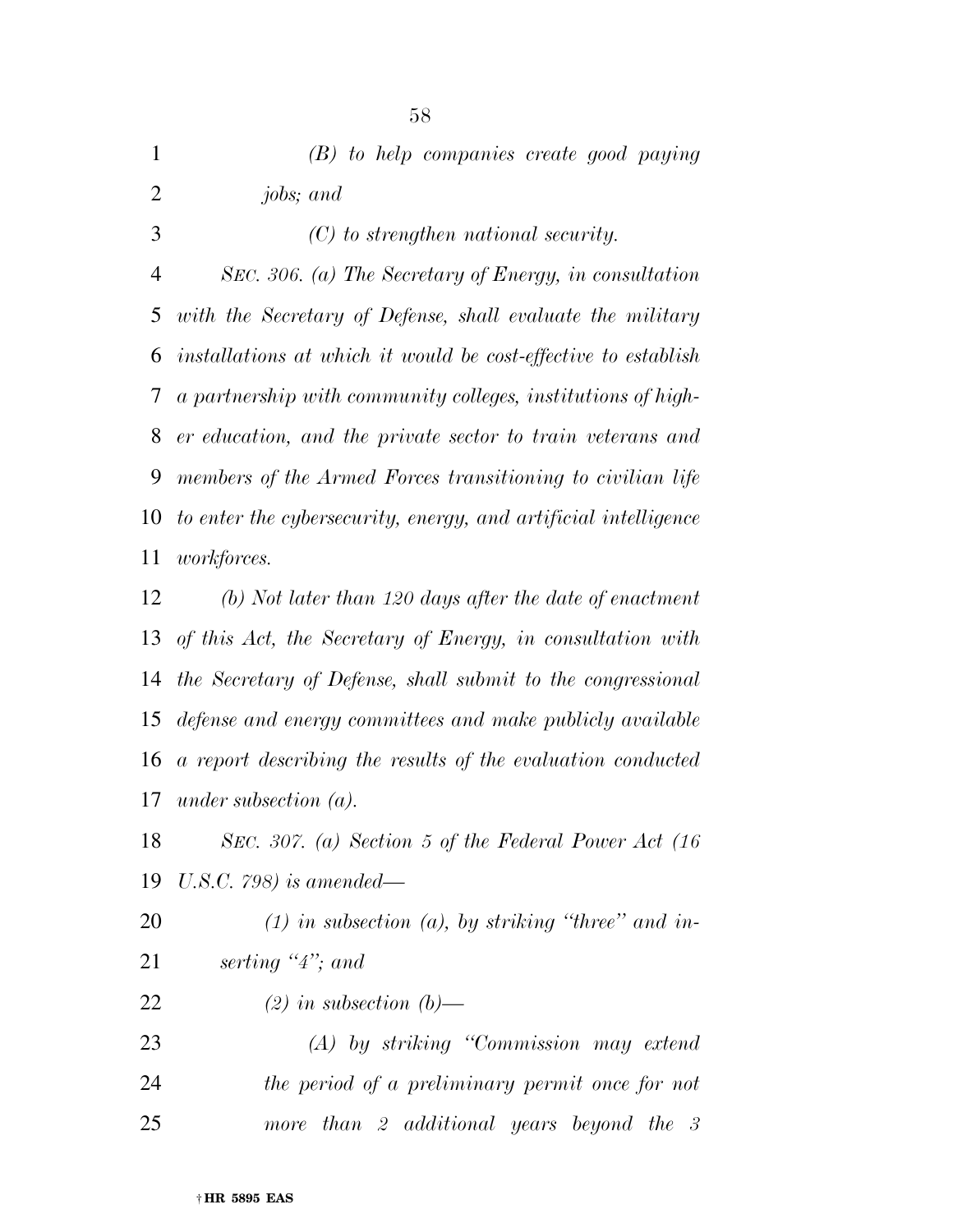*(B) to help companies create good paying jobs; and (C) to strengthen national security.* 

 *SEC. 306. (a) The Secretary of Energy, in consultation with the Secretary of Defense, shall evaluate the military installations at which it would be cost-effective to establish a partnership with community colleges, institutions of high- er education, and the private sector to train veterans and members of the Armed Forces transitioning to civilian life to enter the cybersecurity, energy, and artificial intelligence workforces.* 

 *(b) Not later than 120 days after the date of enactment of this Act, the Secretary of Energy, in consultation with the Secretary of Defense, shall submit to the congressional defense and energy committees and make publicly available a report describing the results of the evaluation conducted under subsection (a).* 

 *SEC. 307. (a) Section 5 of the Federal Power Act (16 U.S.C. 798) is amended—* 

 *(1) in subsection (a), by striking ''three'' and in-serting ''4''; and* 

*(2) in subsection (b)—* 

 *(A) by striking ''Commission may extend the period of a preliminary permit once for not more than 2 additional years beyond the 3*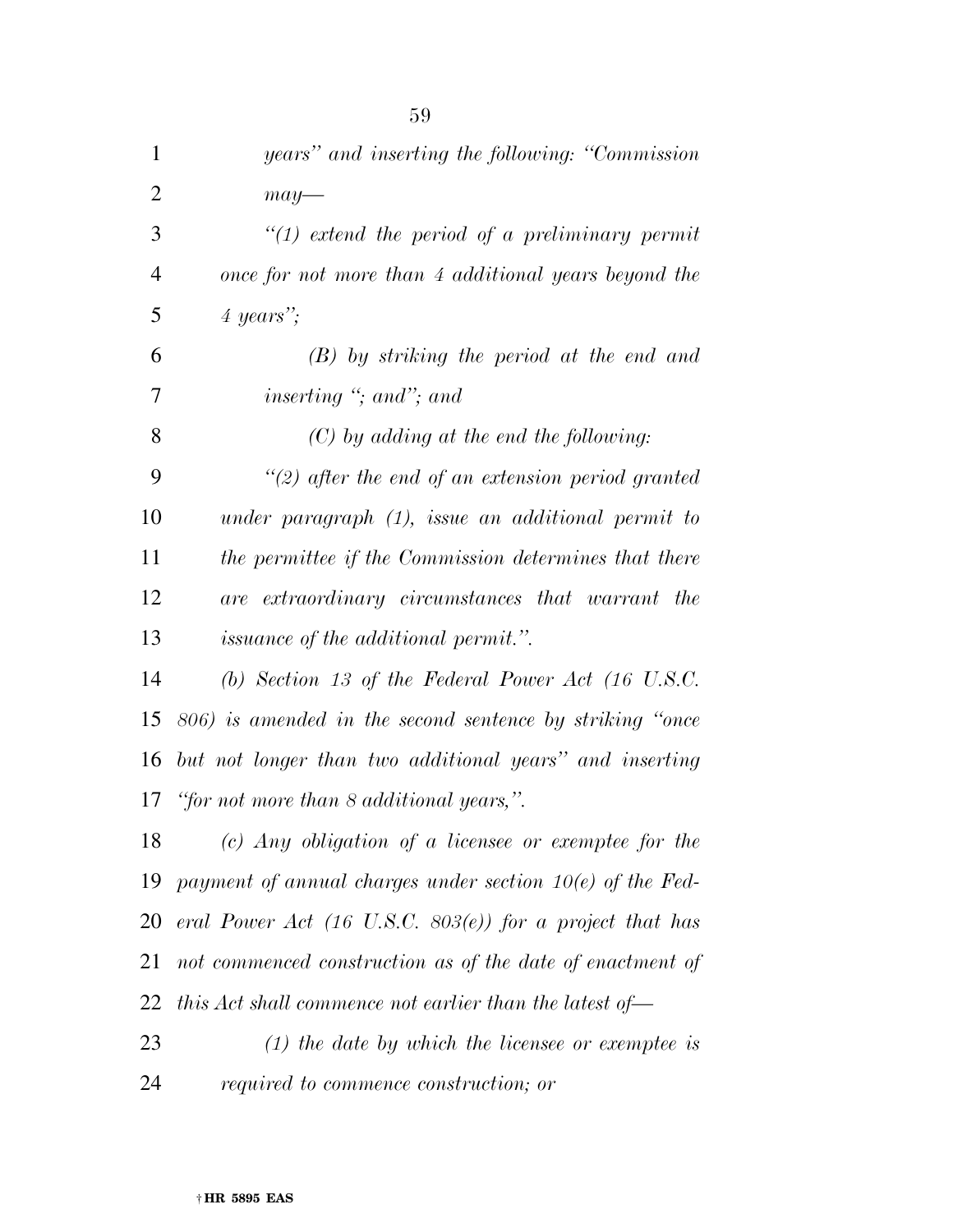| $\mathbf{1}$   | years" and inserting the following: "Commission"                    |
|----------------|---------------------------------------------------------------------|
| $\overline{2}$ | $may-$                                                              |
| 3              | $"(1)$ extend the period of a preliminary permit                    |
| $\overline{4}$ | once for not more than 4 additional years beyond the                |
| 5              | $4 \text{ years}$ ";                                                |
| 6              | $(B)$ by striking the period at the end and                         |
| 7              | inserting $\degree$ ; and $\degree$ ; and                           |
| 8              | $(C)$ by adding at the end the following:                           |
| 9              | $"(2)$ after the end of an extension period granted                 |
| 10             | under paragraph $(1)$ , issue an additional permit to               |
| 11             | the permittee if the Commission determines that there               |
| 12             | are extraordinary circumstances that warrant the                    |
| 13             | <i>issuance of the additional permit.".</i>                         |
| 14             | (b) Section 13 of the Federal Power Act $(16 \text{ U.S. C.})$      |
| 15             | 806) is amended in the second sentence by striking "once            |
| 16             | but not longer than two additional years" and inserting             |
| 17             | "for not more than $\delta$ additional years,".                     |
| 18             | $(c)$ Any obligation of a licensee or exemptee for the              |
| 19             | payment of annual charges under section $10(e)$ of the Fed-         |
| 20             | eral Power Act $(16 \text{ U.S.C. } 803(e))$ for a project that has |
| 21             | not commenced construction as of the date of enactment of           |
| 22             | this Act shall commence not earlier than the latest of—             |
| 23             | $(1)$ the date by which the licensee or exemptee is                 |
| 24             | required to commence construction; or                               |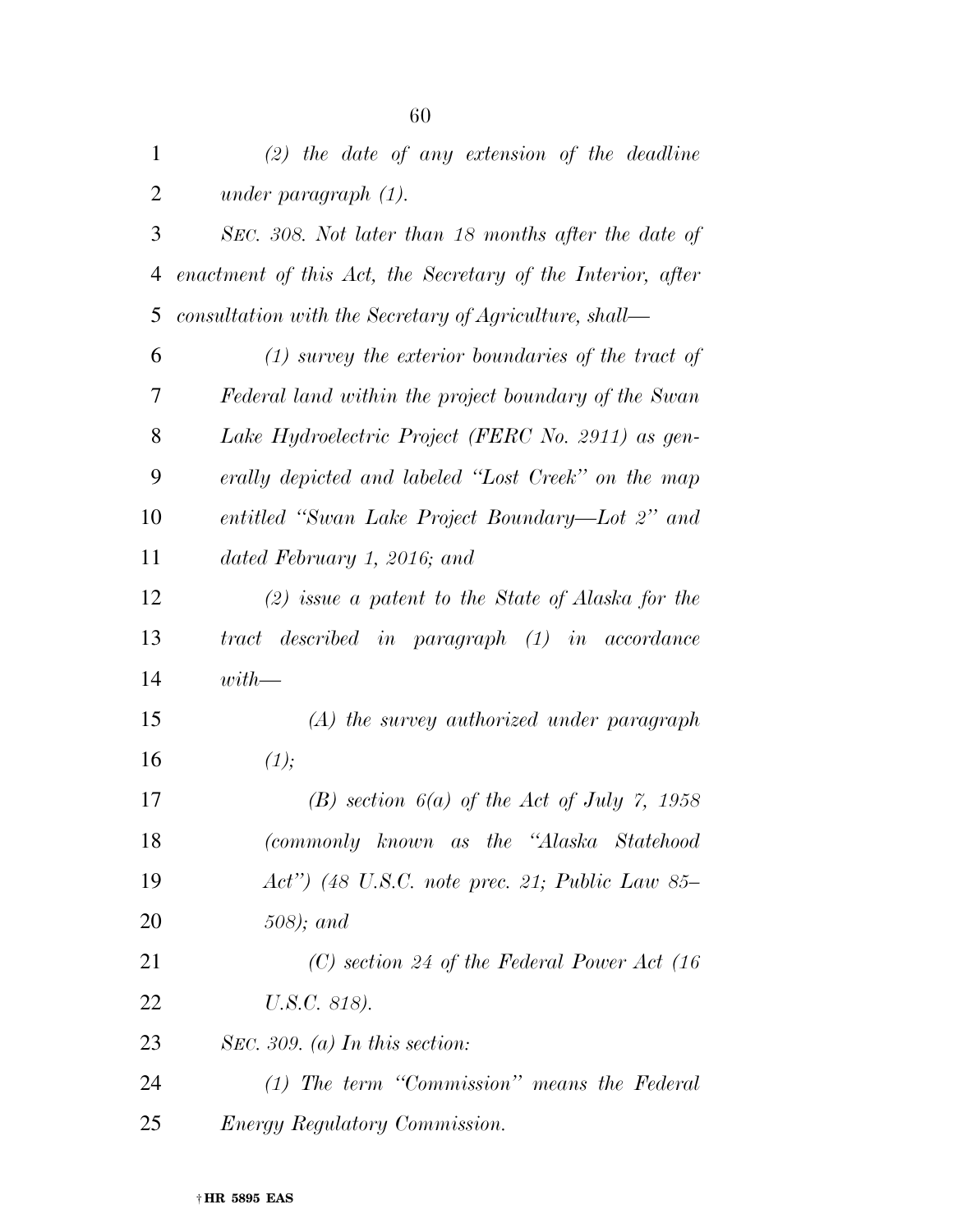| $\mathbf{1}$ | $(2)$ the date of any extension of the deadline             |
|--------------|-------------------------------------------------------------|
| 2            | under paragraph $(1)$ .                                     |
| 3            | SEC. 308. Not later than 18 months after the date of        |
| 4            | enactment of this Act, the Secretary of the Interior, after |
| 5            | consultation with the Secretary of Agriculture, shall—      |
| 6            | $(1)$ survey the exterior boundaries of the tract of        |
| 7            | Federal land within the project boundary of the Swan        |
| 8            | Lake Hydroelectric Project (FERC No. 2911) as gen-          |
| 9            | erally depicted and labeled "Lost Creek" on the map         |
| 10           | entitled "Swan Lake Project Boundary—Lot 2" and             |
| 11           | dated February 1, 2016; and                                 |
| 12           | $(2)$ issue a patent to the State of Alaska for the         |
| 13           | tract described in paragraph (1) in accordance              |
| 14           | $with$ —                                                    |
| 15           | $(A)$ the survey authorized under paragraph                 |
| 16           | (1);                                                        |
| 17           | (B) section $6(a)$ of the Act of July 7, 1958               |
| 18           | (commonly known as the "Alaska Statehood                    |
| 19           | $Act'')$ (48 U.S.C. note prec. 21; Public Law 85–           |
| 20           | $(508)$ ; and                                               |
| 21           | $(C)$ section 24 of the Federal Power Act (16)              |
| 22           | U.S.C. 818).                                                |
| 23           | SEC. 309. (a) In this section:                              |
| 24           | $(1)$ The term "Commission" means the Federal               |
| 25           | Energy Regulatory Commission.                               |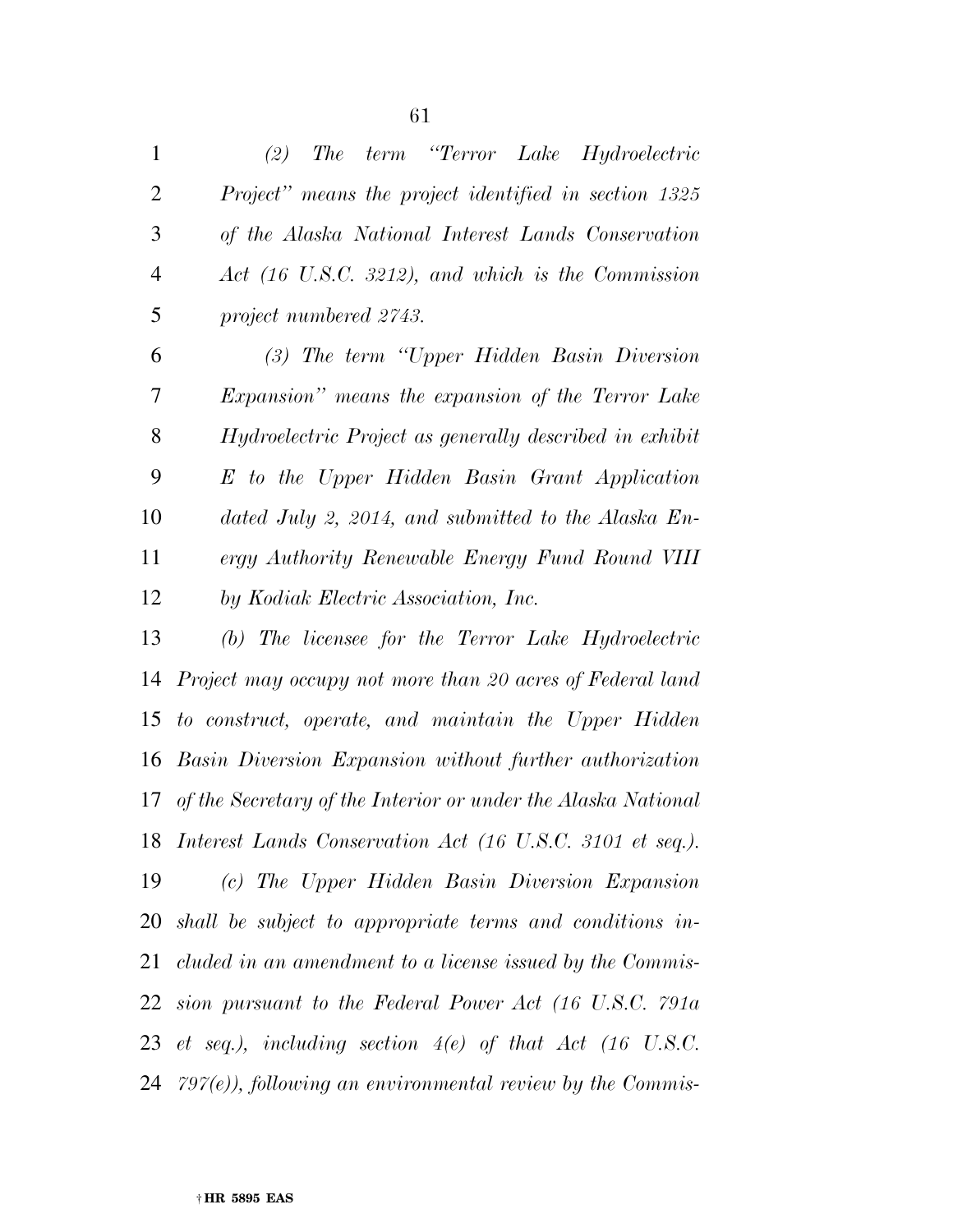| 1              | term "Terror Lake Hydroelectric<br>(2)<br>The                  |
|----------------|----------------------------------------------------------------|
| $\overline{2}$ | Project" means the project identified in section 1325          |
| 3              | of the Alaska National Interest Lands Conservation             |
| $\overline{4}$ | Act (16 U.S.C. 3212), and which is the Commission              |
| 5              | project numbered 2743.                                         |
| 6              | (3) The term "Upper Hidden Basin Diversion                     |
| 7              | Expansion" means the expansion of the Terror Lake              |
| $8\,$          | Hydroelectric Project as generally described in exhibit        |
| 9              | E to the Upper Hidden Basin Grant Application                  |
| 10             | dated July 2, 2014, and submitted to the Alaska $En-$          |
| 11             | ergy Authority Renewable Energy Fund Round VIII                |
| 12             | by Kodiak Electric Association, Inc.                           |
| 13             | (b) The licensee for the Terror Lake Hydroelectric             |
| 14             | Project may occupy not more than 20 acres of Federal land      |
| 15             | to construct, operate, and maintain the Upper Hidden           |
|                | 16 Basin Diversion Expansion without further authorization     |
| 17             | of the Secretary of the Interior or under the Alaska National  |
|                | 18 Interest Lands Conservation Act (16 U.S.C. 3101 et seq.).   |
| 19             | (c) The Upper Hidden Basin Diversion Expansion                 |
|                | 20 shall be subject to appropriate terms and conditions in-    |
| 21             | cluded in an amendment to a license issued by the Commis-      |
| 22             | sion pursuant to the Federal Power Act (16 U.S.C. 791a         |
|                | 23 et seq.), including section $4(e)$ of that Act (16 U.S.C.   |
|                | 24 $797(e)$ , following an environmental review by the Commis- |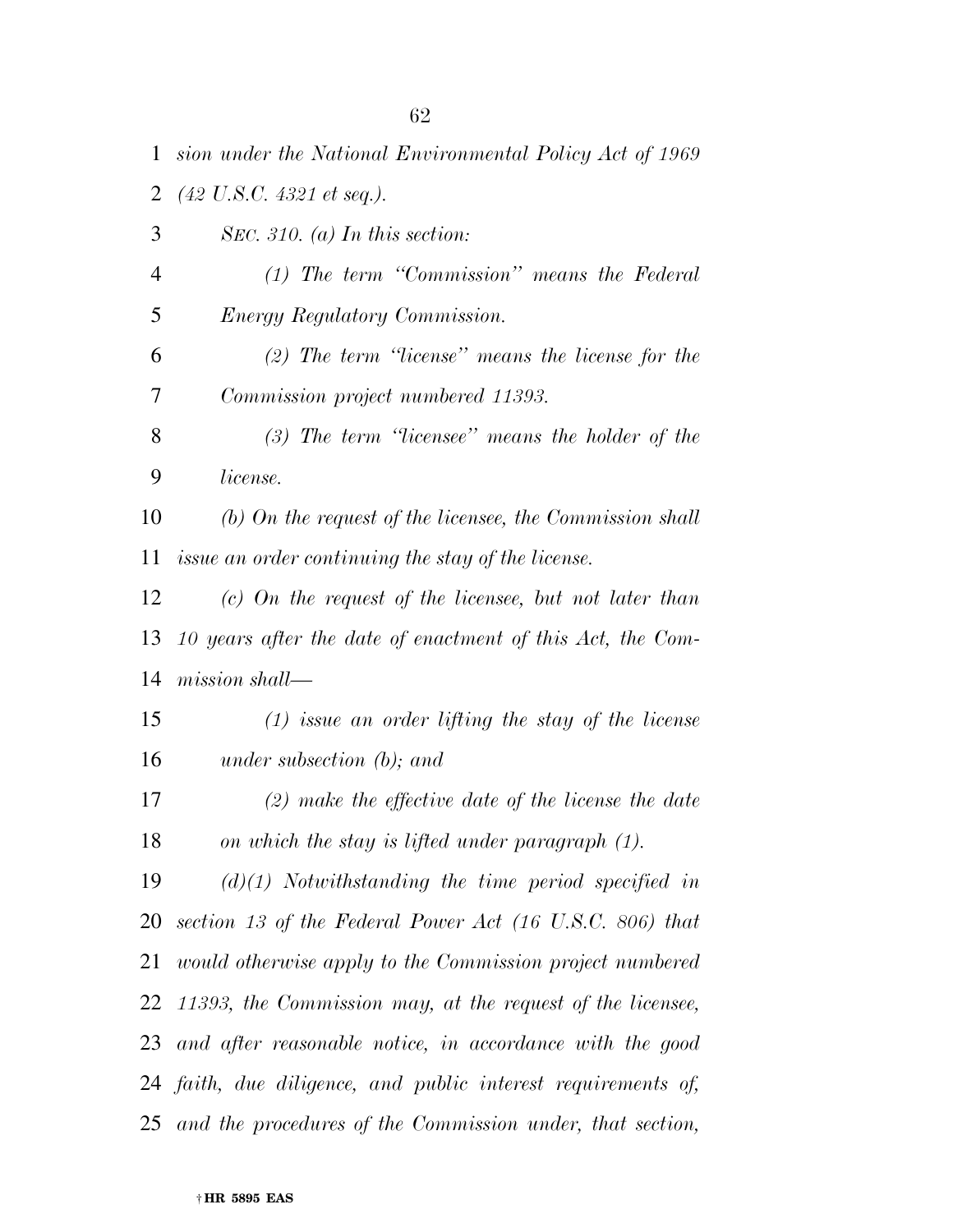| 1              | sion under the National Environmental Policy Act of 1969      |
|----------------|---------------------------------------------------------------|
| 2              | $(42 \text{ U.S.C. } 4321 \text{ et seq.}).$                  |
| 3              | SEC. 310. (a) In this section:                                |
| $\overline{4}$ | $(1)$ The term "Commission" means the Federal                 |
| 5              | <i>Energy Regulatory Commission.</i>                          |
| 6              | $(2)$ The term "license" means the license for the            |
| 7              | Commission project numbered 11393.                            |
| 8              | $(3)$ The term "licensee" means the holder of the             |
| 9              | license.                                                      |
| 10             | (b) On the request of the licensee, the Commission shall      |
| 11             | issue an order continuing the stay of the license.            |
| 12             | $(c)$ On the request of the licensee, but not later than      |
| 13             | 10 years after the date of enactment of this Act, the Com-    |
| 14             | mission shall—                                                |
| 15             | $(1)$ issue an order lifting the stay of the license          |
| 16             | under subsection $(b)$ ; and                                  |
| 17             | $(2)$ make the effective date of the license the date         |
| 18             | on which the stay is lifted under paragraph (1).              |
| 19             | $(d)(1)$ Notwithstanding the time period specified in         |
| 20             | section 13 of the Federal Power Act (16 U.S.C. 806) that      |
| 21             | would otherwise apply to the Commission project numbered      |
| 22             | 11393, the Commission may, at the request of the licensee,    |
|                | 23 and after reasonable notice, in accordance with the good   |
|                | 24 faith, due diligence, and public interest requirements of, |
|                | 25 and the procedures of the Commission under, that section,  |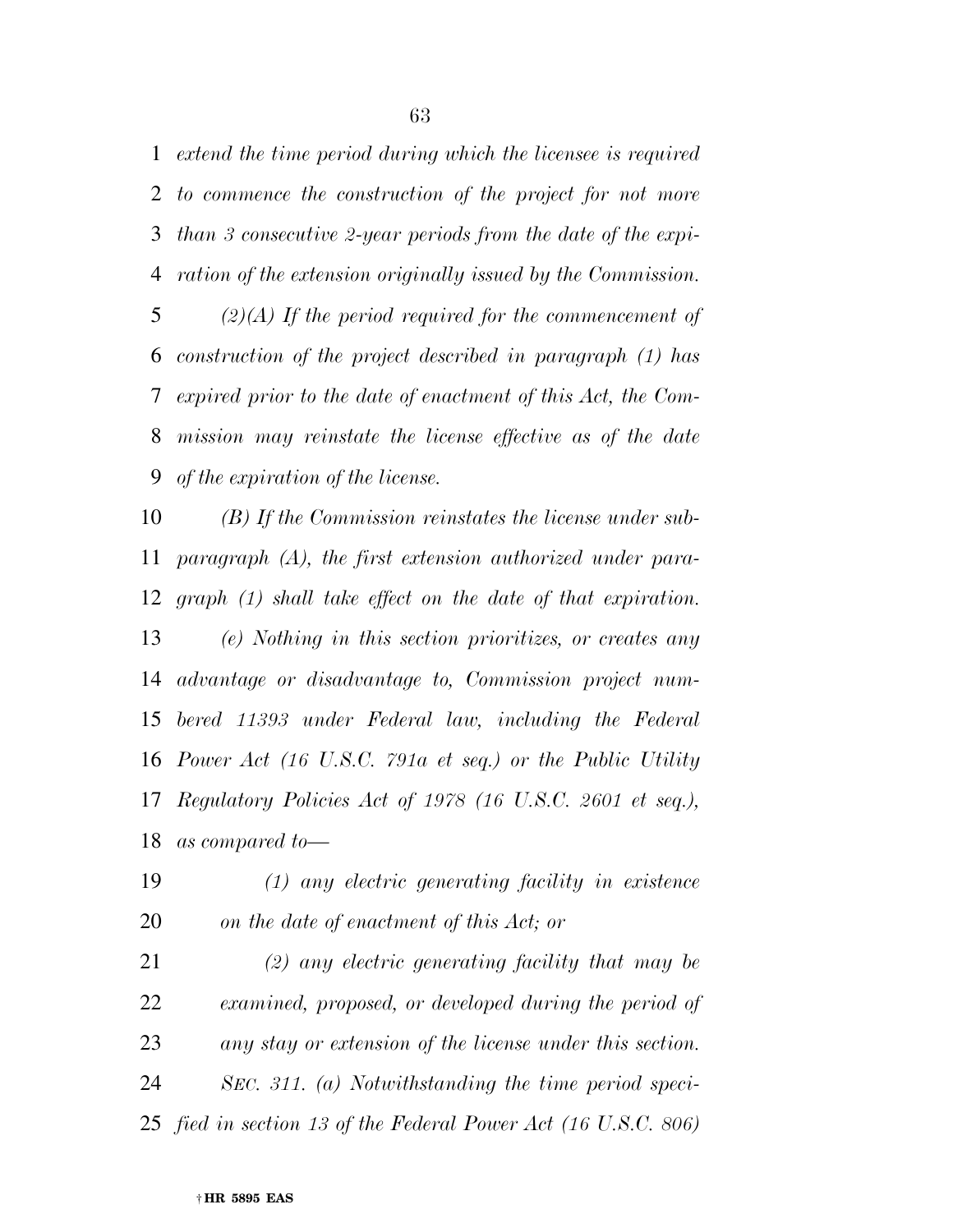*extend the time period during which the licensee is required to commence the construction of the project for not more than 3 consecutive 2-year periods from the date of the expi- ration of the extension originally issued by the Commission. (2)(A) If the period required for the commencement of* 

 *construction of the project described in paragraph (1) has expired prior to the date of enactment of this Act, the Com- mission may reinstate the license effective as of the date of the expiration of the license.* 

 *(B) If the Commission reinstates the license under sub- paragraph (A), the first extension authorized under para- graph (1) shall take effect on the date of that expiration. (e) Nothing in this section prioritizes, or creates any advantage or disadvantage to, Commission project num- bered 11393 under Federal law, including the Federal Power Act (16 U.S.C. 791a et seq.) or the Public Utility Regulatory Policies Act of 1978 (16 U.S.C. 2601 et seq.), as compared to—* 

 *(1) any electric generating facility in existence on the date of enactment of this Act; or* 

 *(2) any electric generating facility that may be examined, proposed, or developed during the period of any stay or extension of the license under this section. SEC. 311. (a) Notwithstanding the time period speci-fied in section 13 of the Federal Power Act (16 U.S.C. 806)*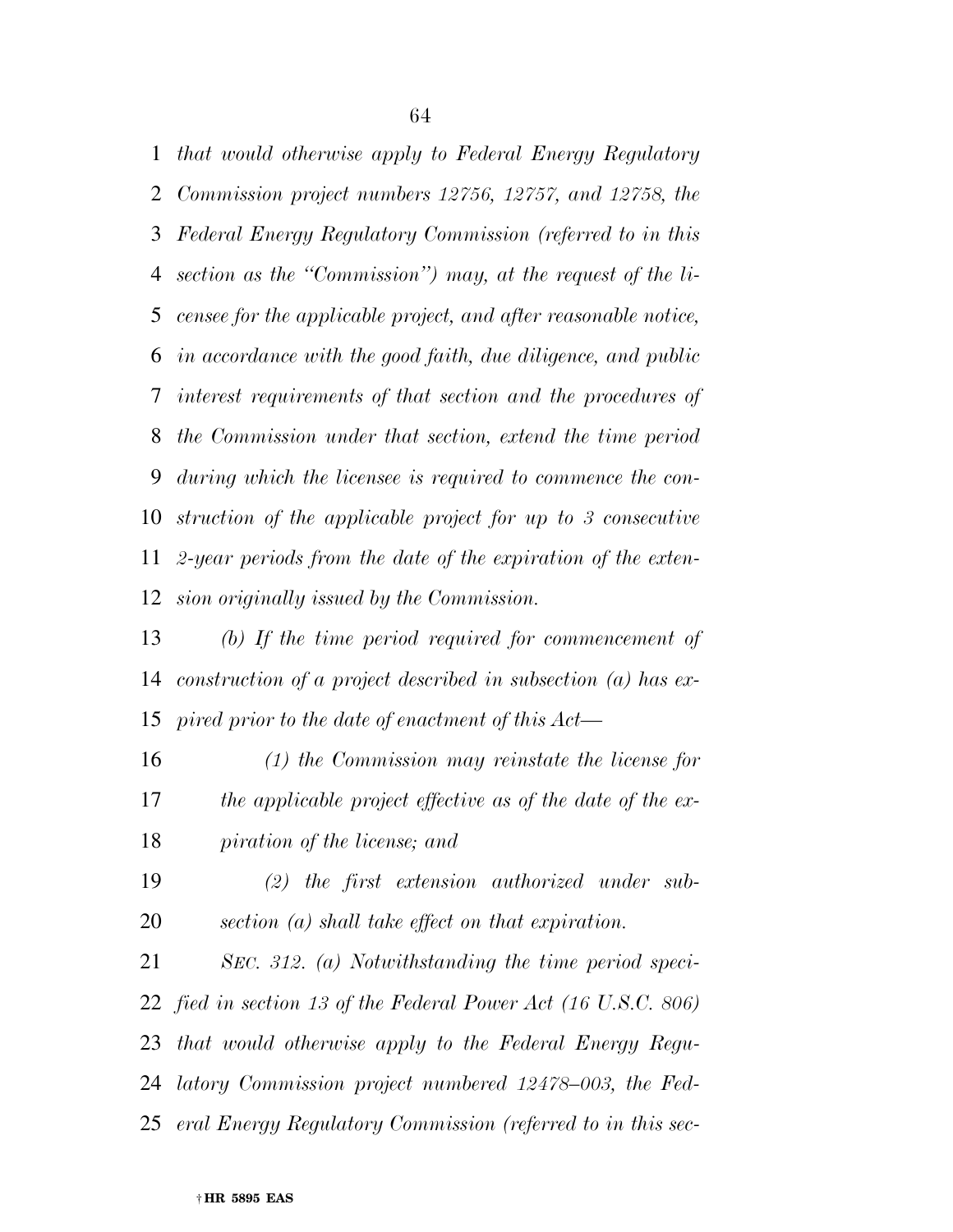*that would otherwise apply to Federal Energy Regulatory Commission project numbers 12756, 12757, and 12758, the Federal Energy Regulatory Commission (referred to in this section as the ''Commission'') may, at the request of the li- censee for the applicable project, and after reasonable notice, in accordance with the good faith, due diligence, and public interest requirements of that section and the procedures of the Commission under that section, extend the time period during which the licensee is required to commence the con- struction of the applicable project for up to 3 consecutive 2-year periods from the date of the expiration of the exten-sion originally issued by the Commission.* 

 *(b) If the time period required for commencement of construction of a project described in subsection (a) has ex-pired prior to the date of enactment of this Act—* 

 *(1) the Commission may reinstate the license for the applicable project effective as of the date of the ex-piration of the license; and* 

 *(2) the first extension authorized under sub-section (a) shall take effect on that expiration.* 

 *SEC. 312. (a) Notwithstanding the time period speci- fied in section 13 of the Federal Power Act (16 U.S.C. 806) that would otherwise apply to the Federal Energy Regu- latory Commission project numbered 12478–003, the Fed-eral Energy Regulatory Commission (referred to in this sec-*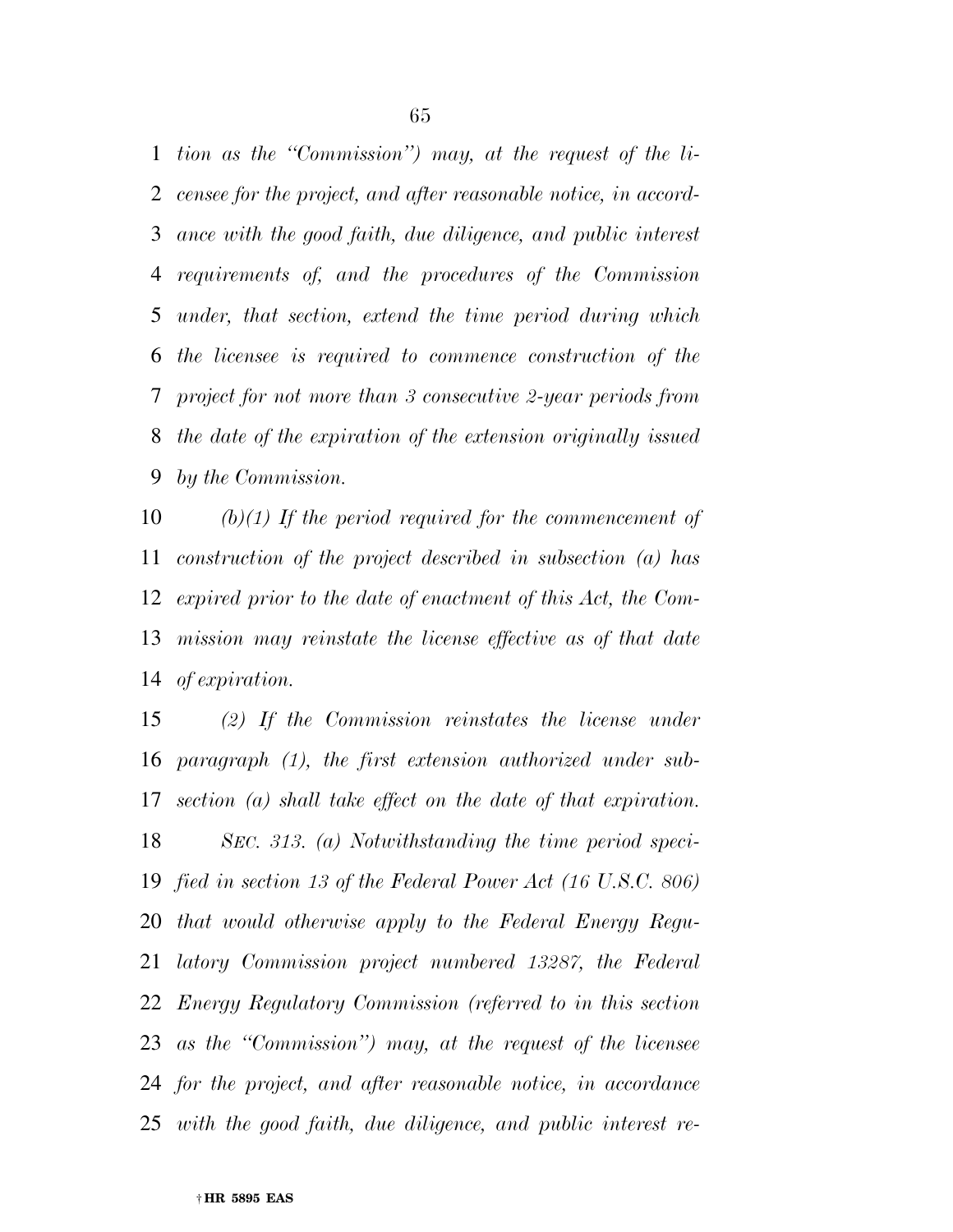*tion as the ''Commission'') may, at the request of the li- censee for the project, and after reasonable notice, in accord- ance with the good faith, due diligence, and public interest requirements of, and the procedures of the Commission under, that section, extend the time period during which the licensee is required to commence construction of the project for not more than 3 consecutive 2-year periods from the date of the expiration of the extension originally issued by the Commission.* 

 *(b)(1) If the period required for the commencement of construction of the project described in subsection (a) has expired prior to the date of enactment of this Act, the Com- mission may reinstate the license effective as of that date of expiration.* 

 *(2) If the Commission reinstates the license under paragraph (1), the first extension authorized under sub- section (a) shall take effect on the date of that expiration. SEC. 313. (a) Notwithstanding the time period speci- fied in section 13 of the Federal Power Act (16 U.S.C. 806) that would otherwise apply to the Federal Energy Regu- latory Commission project numbered 13287, the Federal Energy Regulatory Commission (referred to in this section as the ''Commission'') may, at the request of the licensee for the project, and after reasonable notice, in accordance with the good faith, due diligence, and public interest re-*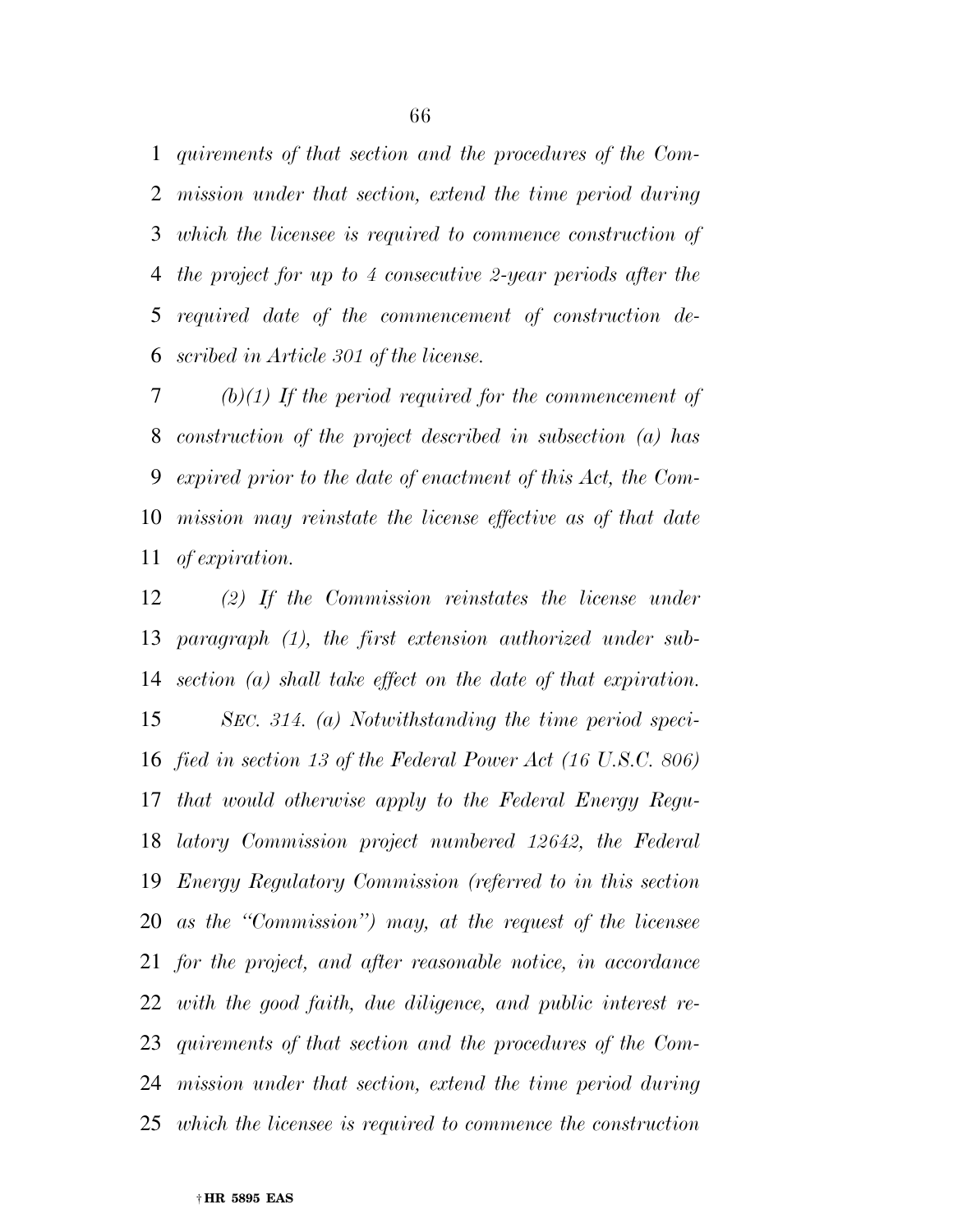*quirements of that section and the procedures of the Com- mission under that section, extend the time period during which the licensee is required to commence construction of the project for up to 4 consecutive 2-year periods after the required date of the commencement of construction de-scribed in Article 301 of the license.* 

 *(b)(1) If the period required for the commencement of construction of the project described in subsection (a) has expired prior to the date of enactment of this Act, the Com- mission may reinstate the license effective as of that date of expiration.* 

 *(2) If the Commission reinstates the license under paragraph (1), the first extension authorized under sub- section (a) shall take effect on the date of that expiration. SEC. 314. (a) Notwithstanding the time period speci- fied in section 13 of the Federal Power Act (16 U.S.C. 806) that would otherwise apply to the Federal Energy Regu- latory Commission project numbered 12642, the Federal Energy Regulatory Commission (referred to in this section as the ''Commission'') may, at the request of the licensee for the project, and after reasonable notice, in accordance with the good faith, due diligence, and public interest re- quirements of that section and the procedures of the Com- mission under that section, extend the time period during which the licensee is required to commence the construction*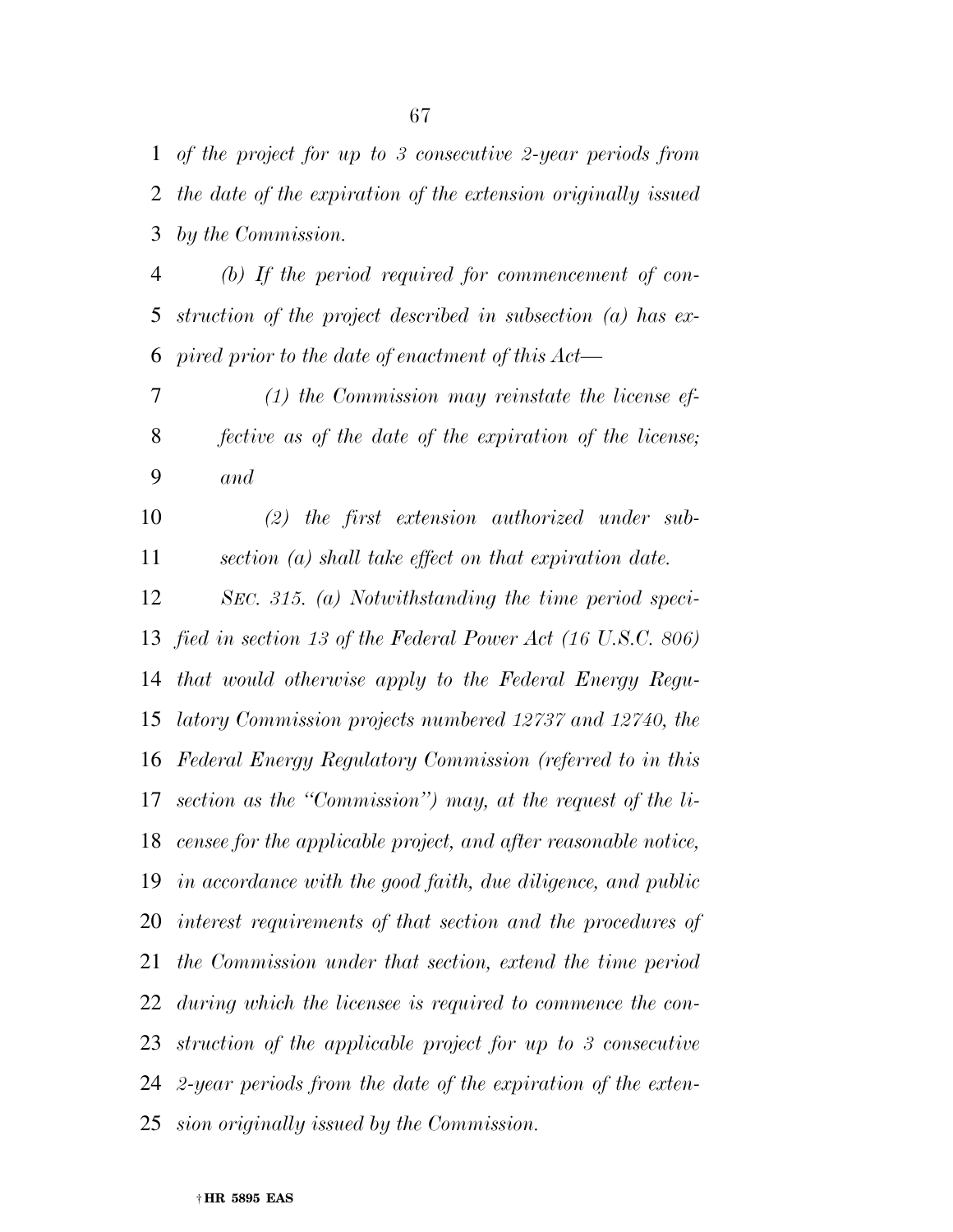*of the project for up to 3 consecutive 2-year periods from the date of the expiration of the extension originally issued by the Commission.* 

 *(b) If the period required for commencement of con- struction of the project described in subsection (a) has ex-pired prior to the date of enactment of this Act—* 

 *(1) the Commission may reinstate the license ef- fective as of the date of the expiration of the license; and* 

 *(2) the first extension authorized under sub-section (a) shall take effect on that expiration date.* 

 *SEC. 315. (a) Notwithstanding the time period speci- fied in section 13 of the Federal Power Act (16 U.S.C. 806) that would otherwise apply to the Federal Energy Regu- latory Commission projects numbered 12737 and 12740, the Federal Energy Regulatory Commission (referred to in this section as the ''Commission'') may, at the request of the li- censee for the applicable project, and after reasonable notice, in accordance with the good faith, due diligence, and public interest requirements of that section and the procedures of the Commission under that section, extend the time period during which the licensee is required to commence the con- struction of the applicable project for up to 3 consecutive 2-year periods from the date of the expiration of the exten-sion originally issued by the Commission.*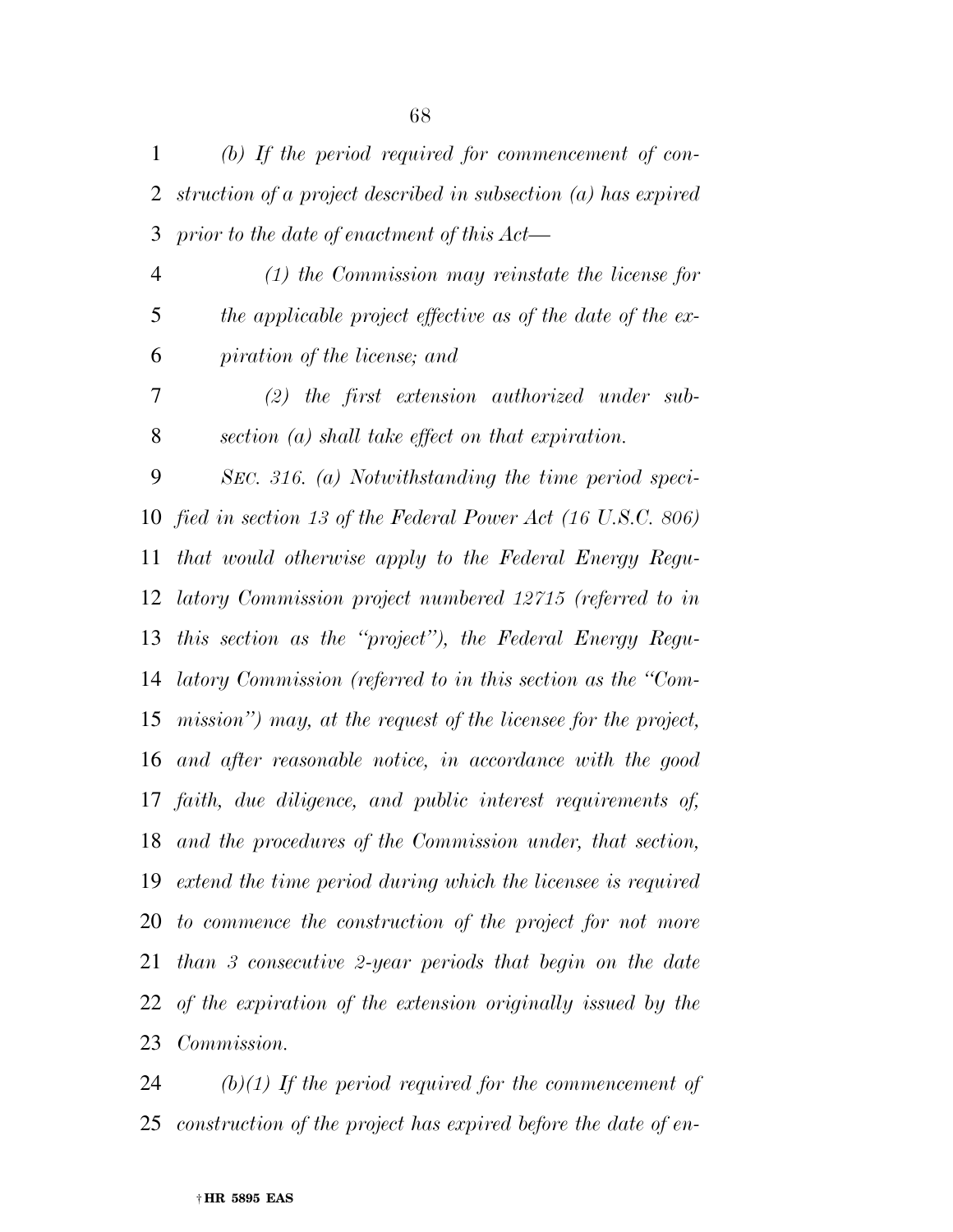*(b) If the period required for commencement of con- struction of a project described in subsection (a) has expired prior to the date of enactment of this Act—* 

 *(1) the Commission may reinstate the license for the applicable project effective as of the date of the ex-piration of the license; and* 

 *(2) the first extension authorized under sub-section (a) shall take effect on that expiration.* 

 *SEC. 316. (a) Notwithstanding the time period speci- fied in section 13 of the Federal Power Act (16 U.S.C. 806) that would otherwise apply to the Federal Energy Regu- latory Commission project numbered 12715 (referred to in this section as the ''project''), the Federal Energy Regu- latory Commission (referred to in this section as the ''Com- mission'') may, at the request of the licensee for the project, and after reasonable notice, in accordance with the good faith, due diligence, and public interest requirements of, and the procedures of the Commission under, that section, extend the time period during which the licensee is required to commence the construction of the project for not more than 3 consecutive 2-year periods that begin on the date of the expiration of the extension originally issued by the Commission.* 

 *(b)(1) If the period required for the commencement of construction of the project has expired before the date of en-*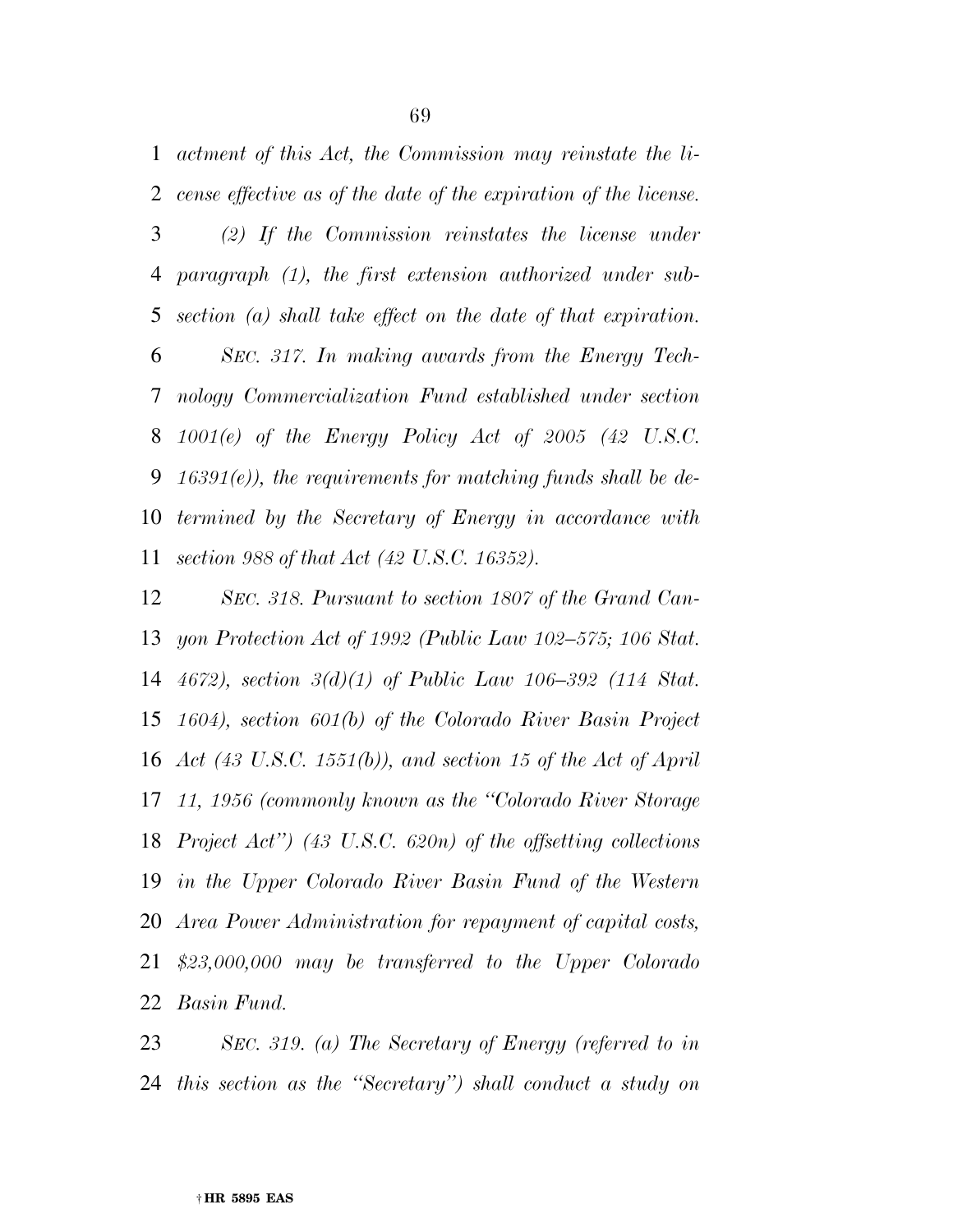*actment of this Act, the Commission may reinstate the li-cense effective as of the date of the expiration of the license.* 

 *(2) If the Commission reinstates the license under paragraph (1), the first extension authorized under sub- section (a) shall take effect on the date of that expiration. SEC. 317. In making awards from the Energy Tech- nology Commercialization Fund established under section 1001(e) of the Energy Policy Act of 2005 (42 U.S.C. 16391(e)), the requirements for matching funds shall be de- termined by the Secretary of Energy in accordance with section 988 of that Act (42 U.S.C. 16352).* 

 *SEC. 318. Pursuant to section 1807 of the Grand Can- yon Protection Act of 1992 (Public Law 102–575; 106 Stat. 4672), section 3(d)(1) of Public Law 106–392 (114 Stat. 1604), section 601(b) of the Colorado River Basin Project Act (43 U.S.C. 1551(b)), and section 15 of the Act of April 11, 1956 (commonly known as the ''Colorado River Storage Project Act'') (43 U.S.C. 620n) of the offsetting collections in the Upper Colorado River Basin Fund of the Western Area Power Administration for repayment of capital costs, \$23,000,000 may be transferred to the Upper Colorado Basin Fund.* 

 *SEC. 319. (a) The Secretary of Energy (referred to in this section as the ''Secretary'') shall conduct a study on*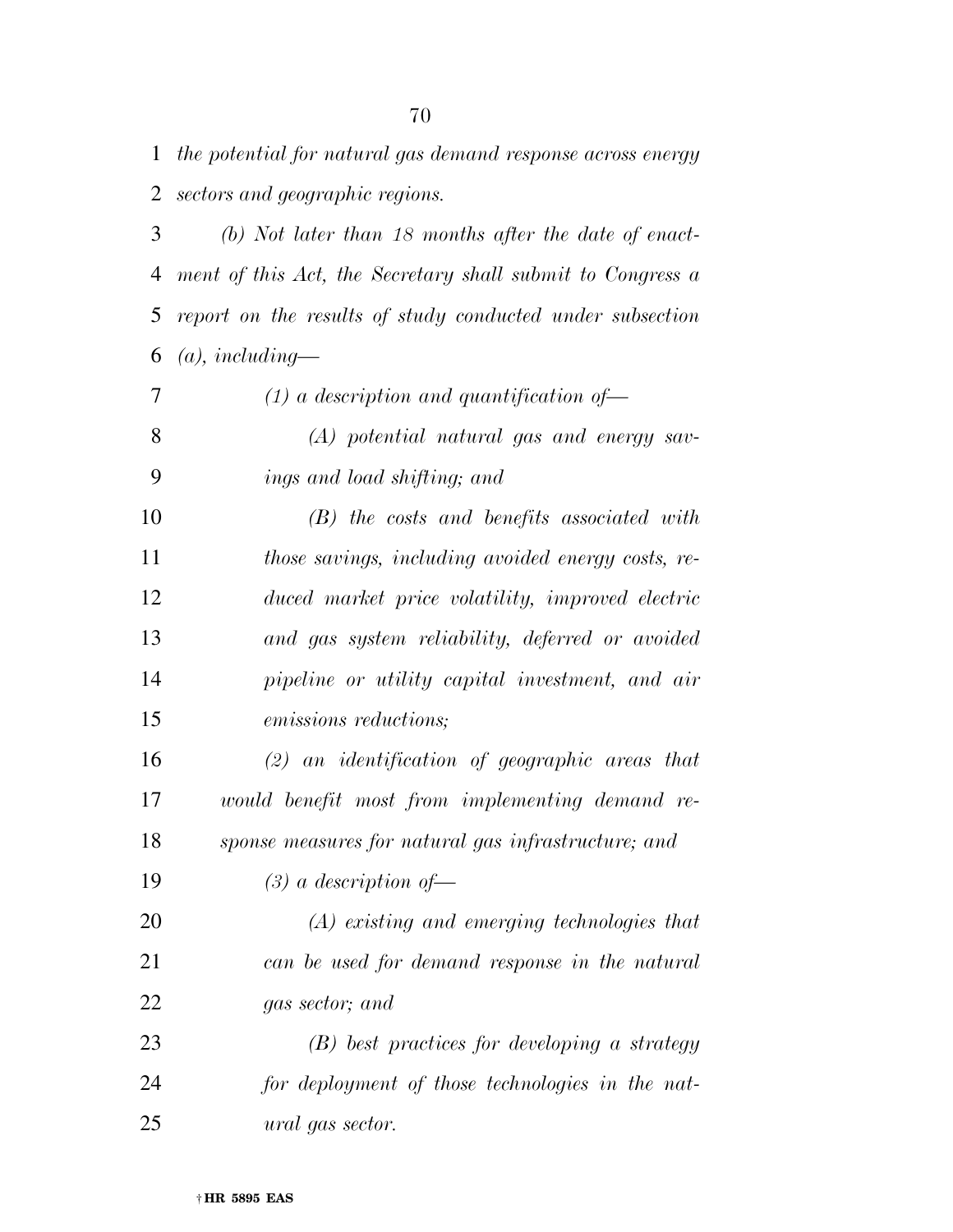*the potential for natural gas demand response across energy sectors and geographic regions.* 

 *(b) Not later than 18 months after the date of enact- ment of this Act, the Secretary shall submit to Congress a report on the results of study conducted under subsection (a), including—* 

 *(1) a description and quantification of— (A) potential natural gas and energy sav- ings and load shifting; and (B) the costs and benefits associated with those savings, including avoided energy costs, re- duced market price volatility, improved electric and gas system reliability, deferred or avoided pipeline or utility capital investment, and air emissions reductions; (2) an identification of geographic areas that would benefit most from implementing demand re- sponse measures for natural gas infrastructure; and (3) a description of— (A) existing and emerging technologies that can be used for demand response in the natural gas sector; and (B) best practices for developing a strategy for deployment of those technologies in the nat-ural gas sector.*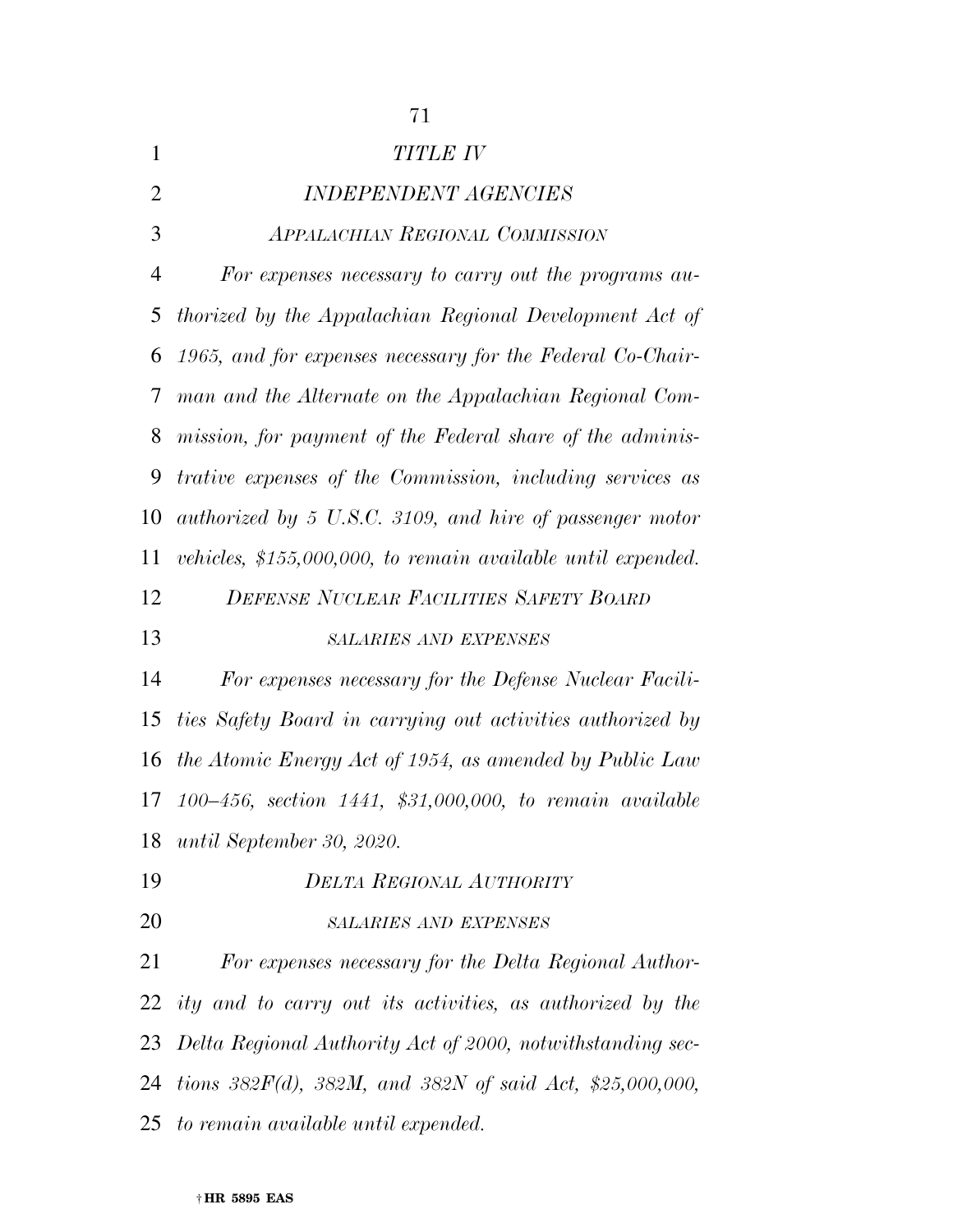| $\mathbf{1}$   | TITLE IV                                                         |
|----------------|------------------------------------------------------------------|
| $\overline{2}$ | <b>INDEPENDENT AGENCIES</b>                                      |
| 3              | <b>APPALACHIAN REGIONAL COMMISSION</b>                           |
| $\overline{4}$ | For expenses necessary to carry out the programs au-             |
| 5              | thorized by the Appalachian Regional Development Act of          |
| 6              | 1965, and for expenses necessary for the Federal Co-Chair-       |
| 7              | man and the Alternate on the Appalachian Regional Com-           |
| 8              | mission, for payment of the Federal share of the adminis-        |
| 9              | trative expenses of the Commission, including services as        |
| 10             | authorized by 5 U.S.C. 3109, and hire of passenger motor         |
| 11             | vehicles, \$155,000,000, to remain available until expended.     |
| 12             | <b>DEFENSE NUCLEAR FACILITIES SAFETY BOARD</b>                   |
| 13             | <b>SALARIES AND EXPENSES</b>                                     |
| 14             | For expenses necessary for the Defense Nuclear Facili-           |
| 15             | ties Safety Board in carrying out activities authorized by       |
| 16             | the Atomic Energy Act of 1954, as amended by Public Law          |
| 17             | $100-456$ , section 1441, \$31,000,000, to remain available      |
|                | 18 <i>until September 30, 2020</i> .                             |
| 19             | <b>DELTA REGIONAL AUTHORITY</b>                                  |
| 20             | <b>SALARIES AND EXPENSES</b>                                     |
| 21             | For expenses necessary for the Delta Regional Author-            |
| 22             | ity and to carry out its activities, as authorized by the        |
| 23             | Delta Regional Authority Act of 2000, notwithstanding sec-       |
| 24             | tions $382F(d)$ , $382M$ , and $382N$ of said Act, \$25,000,000, |
|                | 25 to remain available until expended.                           |

† **HR 5895 EAS**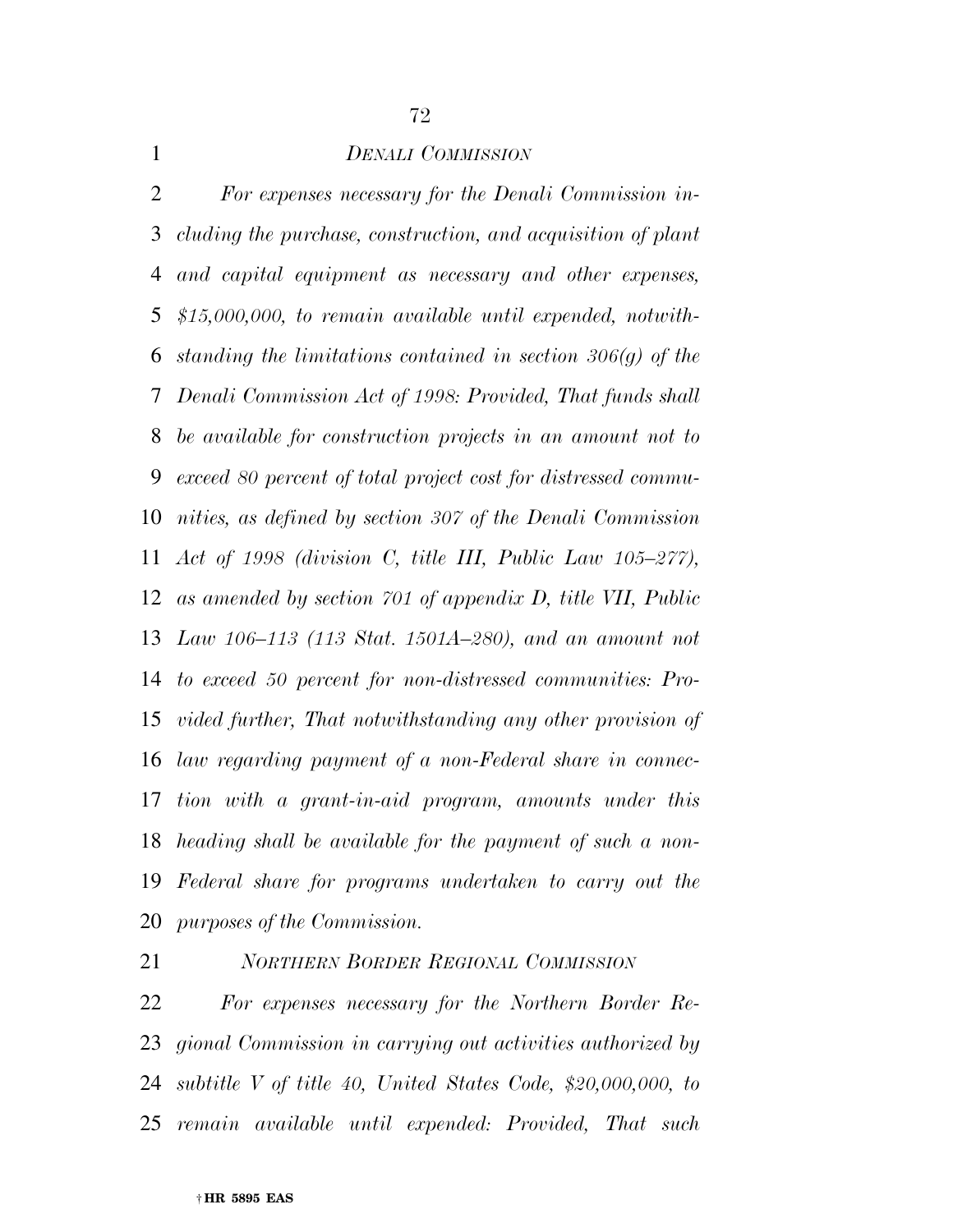#### *DENALI COMMISSION*

 *For expenses necessary for the Denali Commission in- cluding the purchase, construction, and acquisition of plant and capital equipment as necessary and other expenses, \$15,000,000, to remain available until expended, notwith- standing the limitations contained in section 306(g) of the Denali Commission Act of 1998: Provided, That funds shall be available for construction projects in an amount not to exceed 80 percent of total project cost for distressed commu- nities, as defined by section 307 of the Denali Commission Act of 1998 (division C, title III, Public Law 105–277), as amended by section 701 of appendix D, title VII, Public Law 106–113 (113 Stat. 1501A–280), and an amount not to exceed 50 percent for non-distressed communities: Pro- vided further, That notwithstanding any other provision of law regarding payment of a non-Federal share in connec- tion with a grant-in-aid program, amounts under this heading shall be available for the payment of such a non- Federal share for programs undertaken to carry out the purposes of the Commission.* 

*NORTHERN BORDER REGIONAL COMMISSION*

 *For expenses necessary for the Northern Border Re- gional Commission in carrying out activities authorized by subtitle V of title 40, United States Code, \$20,000,000, to remain available until expended: Provided, That such*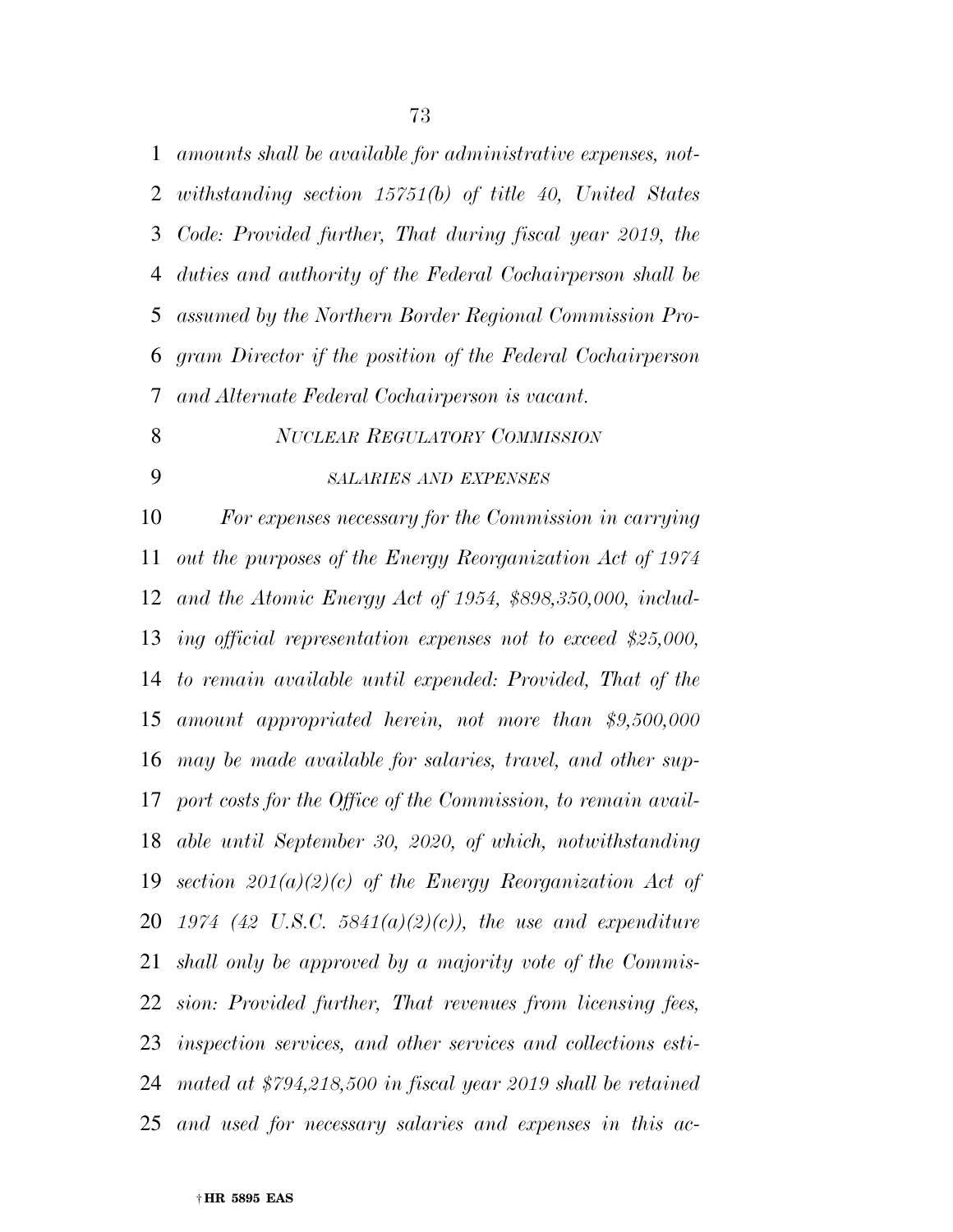*amounts shall be available for administrative expenses, not- withstanding section 15751(b) of title 40, United States Code: Provided further, That during fiscal year 2019, the duties and authority of the Federal Cochairperson shall be assumed by the Northern Border Regional Commission Pro- gram Director if the position of the Federal Cochairperson and Alternate Federal Cochairperson is vacant.* 

*NUCLEAR REGULATORY COMMISSION*

## *SALARIES AND EXPENSES*

 *For expenses necessary for the Commission in carrying out the purposes of the Energy Reorganization Act of 1974 and the Atomic Energy Act of 1954, \$898,350,000, includ- ing official representation expenses not to exceed \$25,000, to remain available until expended: Provided, That of the amount appropriated herein, not more than \$9,500,000 may be made available for salaries, travel, and other sup- port costs for the Office of the Commission, to remain avail- able until September 30, 2020, of which, notwithstanding section 201(a)(2)(c)* of the Energy Reorganization Act of *1974 (42 U.S.C. 5841(a)(2)(c)), the use and expenditure shall only be approved by a majority vote of the Commis- sion: Provided further, That revenues from licensing fees, inspection services, and other services and collections esti- mated at \$794,218,500 in fiscal year 2019 shall be retained and used for necessary salaries and expenses in this ac-*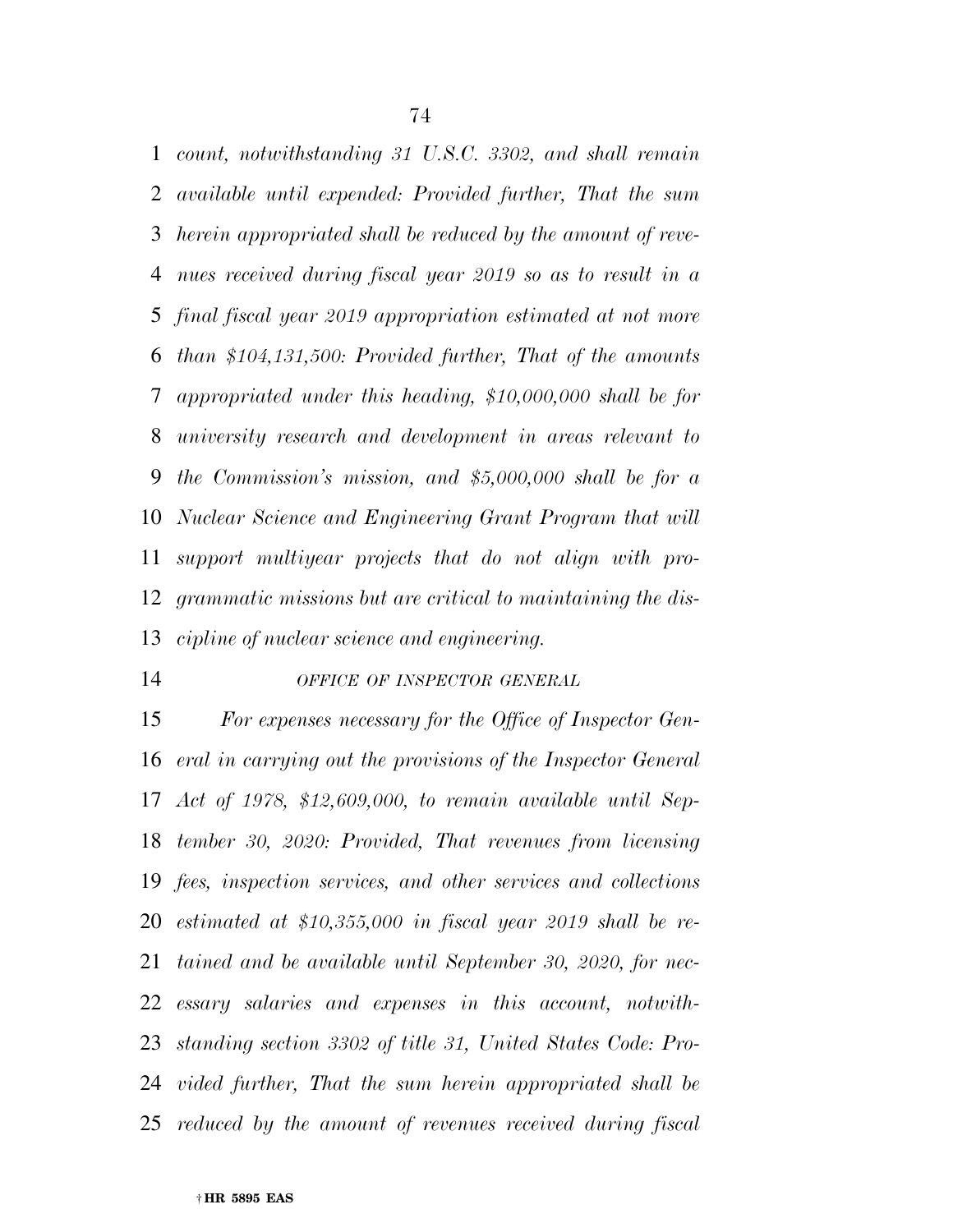*count, notwithstanding 31 U.S.C. 3302, and shall remain available until expended: Provided further, That the sum herein appropriated shall be reduced by the amount of reve- nues received during fiscal year 2019 so as to result in a final fiscal year 2019 appropriation estimated at not more than \$104,131,500: Provided further, That of the amounts appropriated under this heading, \$10,000,000 shall be for university research and development in areas relevant to the Commission's mission, and \$5,000,000 shall be for a Nuclear Science and Engineering Grant Program that will support multiyear projects that do not align with pro- grammatic missions but are critical to maintaining the dis-cipline of nuclear science and engineering.* 

#### *OFFICE OF INSPECTOR GENERAL*

 *For expenses necessary for the Office of Inspector Gen- eral in carrying out the provisions of the Inspector General Act of 1978, \$12,609,000, to remain available until Sep- tember 30, 2020: Provided, That revenues from licensing fees, inspection services, and other services and collections estimated at \$10,355,000 in fiscal year 2019 shall be re- tained and be available until September 30, 2020, for nec- essary salaries and expenses in this account, notwith- standing section 3302 of title 31, United States Code: Pro- vided further, That the sum herein appropriated shall be reduced by the amount of revenues received during fiscal*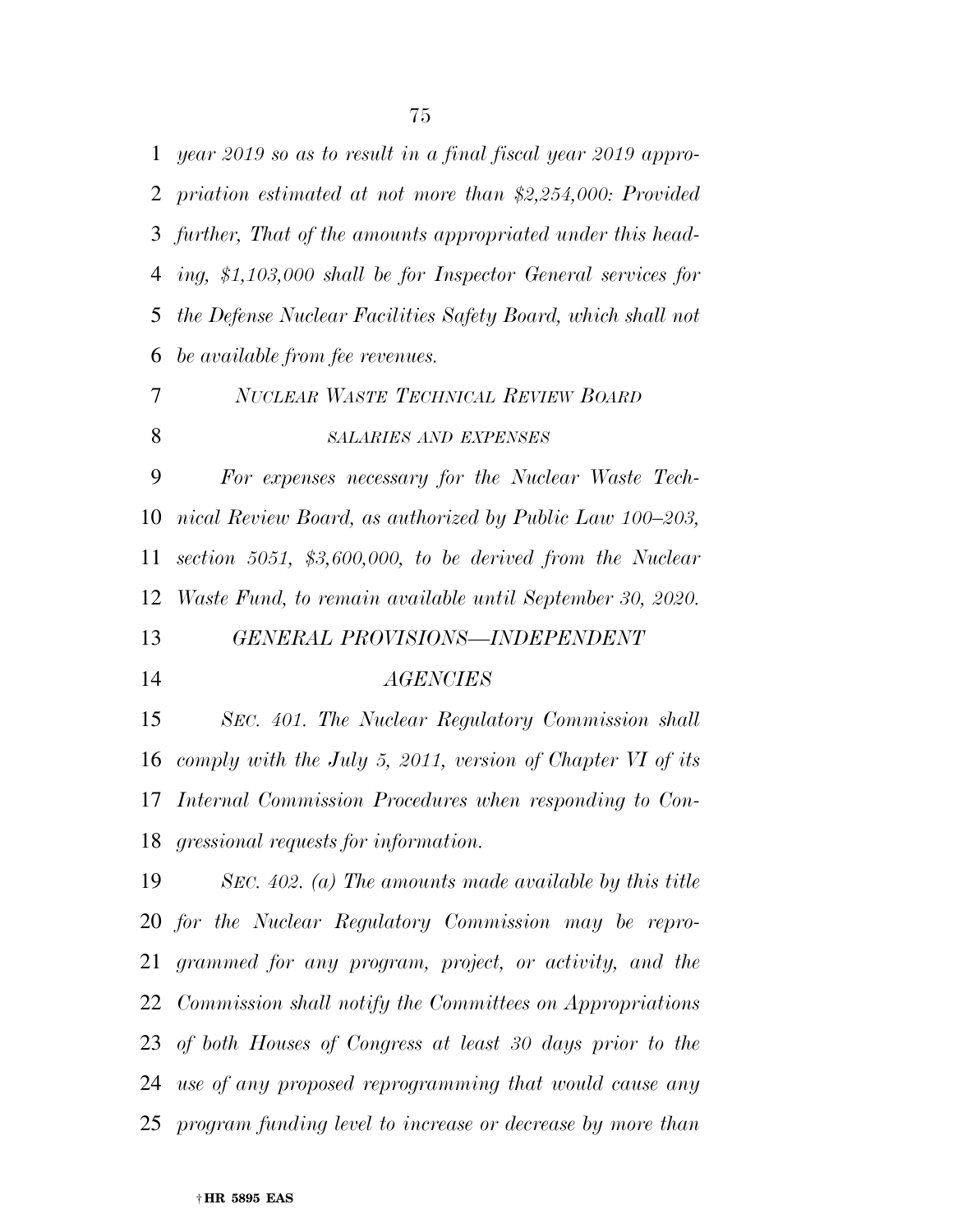*year 2019 so as to result in a final fiscal year 2019 appro- priation estimated at not more than \$2,254,000: Provided further, That of the amounts appropriated under this head- ing, \$1,103,000 shall be for Inspector General services for the Defense Nuclear Facilities Safety Board, which shall not be available from fee revenues. NUCLEAR WASTE TECHNICAL REVIEW BOARD SALARIES AND EXPENSES For expenses necessary for the Nuclear Waste Tech- nical Review Board, as authorized by Public Law 100–203, section 5051, \$3,600,000, to be derived from the Nuclear Waste Fund, to remain available until September 30, 2020. GENERAL PROVISIONS—INDEPENDENT AGENCIES SEC. 401. The Nuclear Regulatory Commission shall comply with the July 5, 2011, version of Chapter VI of its Internal Commission Procedures when responding to Con- gressional requests for information. SEC. 402. (a) The amounts made available by this title for the Nuclear Regulatory Commission may be repro- grammed for any program, project, or activity, and the Commission shall notify the Committees on Appropriations of both Houses of Congress at least 30 days prior to the* 

*use of any proposed reprogramming that would cause any* 

*program funding level to increase or decrease by more than*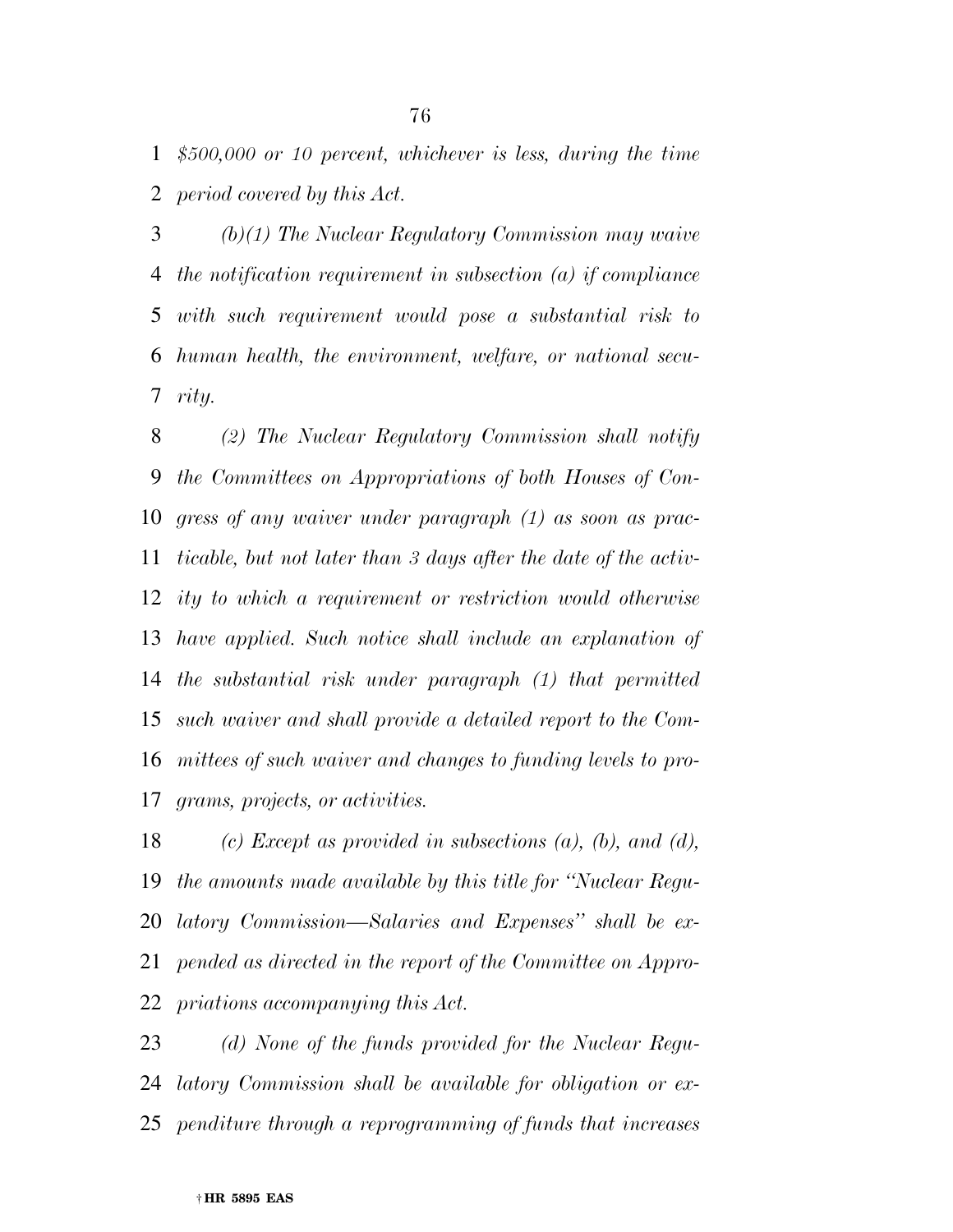*\$500,000 or 10 percent, whichever is less, during the time period covered by this Act.* 

 *(b)(1) The Nuclear Regulatory Commission may waive the notification requirement in subsection (a) if compliance with such requirement would pose a substantial risk to human health, the environment, welfare, or national secu-rity.* 

 *(2) The Nuclear Regulatory Commission shall notify the Committees on Appropriations of both Houses of Con- gress of any waiver under paragraph (1) as soon as prac- ticable, but not later than 3 days after the date of the activ- ity to which a requirement or restriction would otherwise have applied. Such notice shall include an explanation of the substantial risk under paragraph (1) that permitted such waiver and shall provide a detailed report to the Com- mittees of such waiver and changes to funding levels to pro-grams, projects, or activities.* 

 *(c) Except as provided in subsections (a), (b), and (d), the amounts made available by this title for ''Nuclear Regu- latory Commission—Salaries and Expenses'' shall be ex- pended as directed in the report of the Committee on Appro-priations accompanying this Act.* 

 *(d) None of the funds provided for the Nuclear Regu- latory Commission shall be available for obligation or ex-penditure through a reprogramming of funds that increases*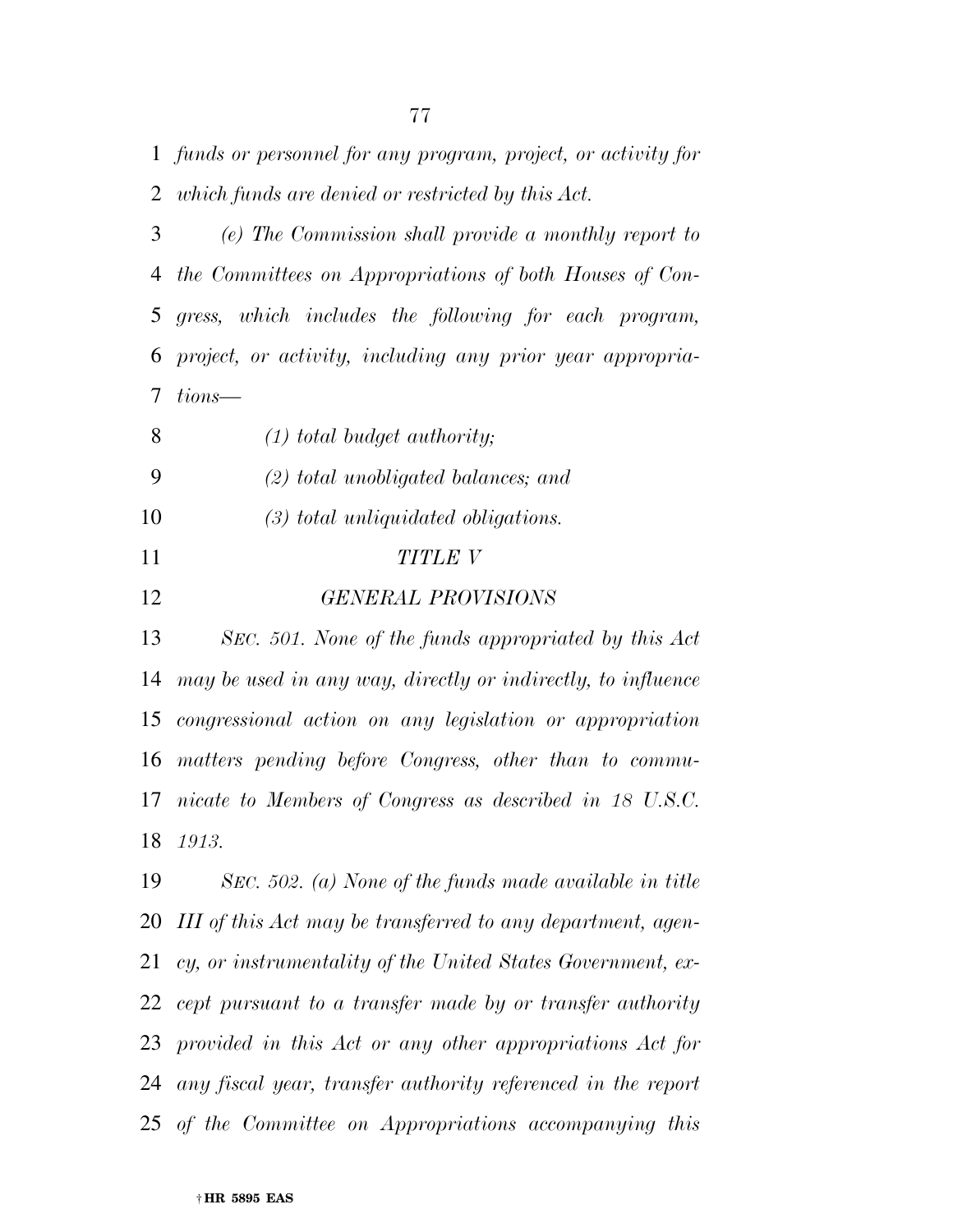*funds or personnel for any program, project, or activity for which funds are denied or restricted by this Act.* 

 *(e) The Commission shall provide a monthly report to the Committees on Appropriations of both Houses of Con- gress, which includes the following for each program, project, or activity, including any prior year appropria-tions—* 

*(1) total budget authority;* 

*(2) total unobligated balances; and* 

*(3) total unliquidated obligations.* 

## *TITLE V*

*GENERAL PROVISIONS* 

 *SEC. 501. None of the funds appropriated by this Act may be used in any way, directly or indirectly, to influence congressional action on any legislation or appropriation matters pending before Congress, other than to commu- nicate to Members of Congress as described in 18 U.S.C. 1913.* 

 *SEC. 502. (a) None of the funds made available in title III of this Act may be transferred to any department, agen- cy, or instrumentality of the United States Government, ex- cept pursuant to a transfer made by or transfer authority provided in this Act or any other appropriations Act for any fiscal year, transfer authority referenced in the report of the Committee on Appropriations accompanying this*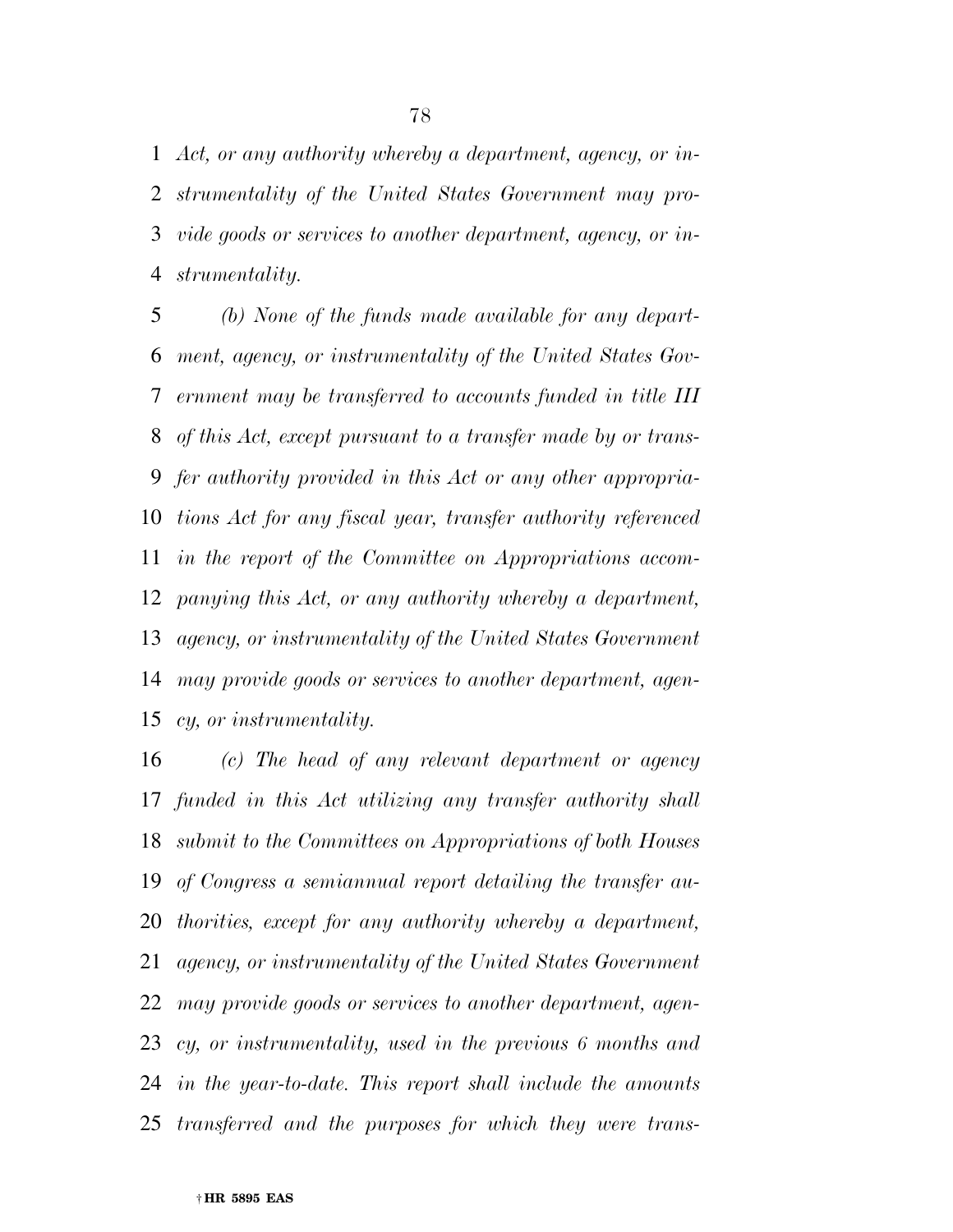*Act, or any authority whereby a department, agency, or in- strumentality of the United States Government may pro- vide goods or services to another department, agency, or in-strumentality.* 

 *(b) None of the funds made available for any depart- ment, agency, or instrumentality of the United States Gov- ernment may be transferred to accounts funded in title III of this Act, except pursuant to a transfer made by or trans- fer authority provided in this Act or any other appropria- tions Act for any fiscal year, transfer authority referenced in the report of the Committee on Appropriations accom- panying this Act, or any authority whereby a department, agency, or instrumentality of the United States Government may provide goods or services to another department, agen-cy, or instrumentality.* 

 *(c) The head of any relevant department or agency funded in this Act utilizing any transfer authority shall submit to the Committees on Appropriations of both Houses of Congress a semiannual report detailing the transfer au- thorities, except for any authority whereby a department, agency, or instrumentality of the United States Government may provide goods or services to another department, agen- cy, or instrumentality, used in the previous 6 months and in the year-to-date. This report shall include the amounts transferred and the purposes for which they were trans-*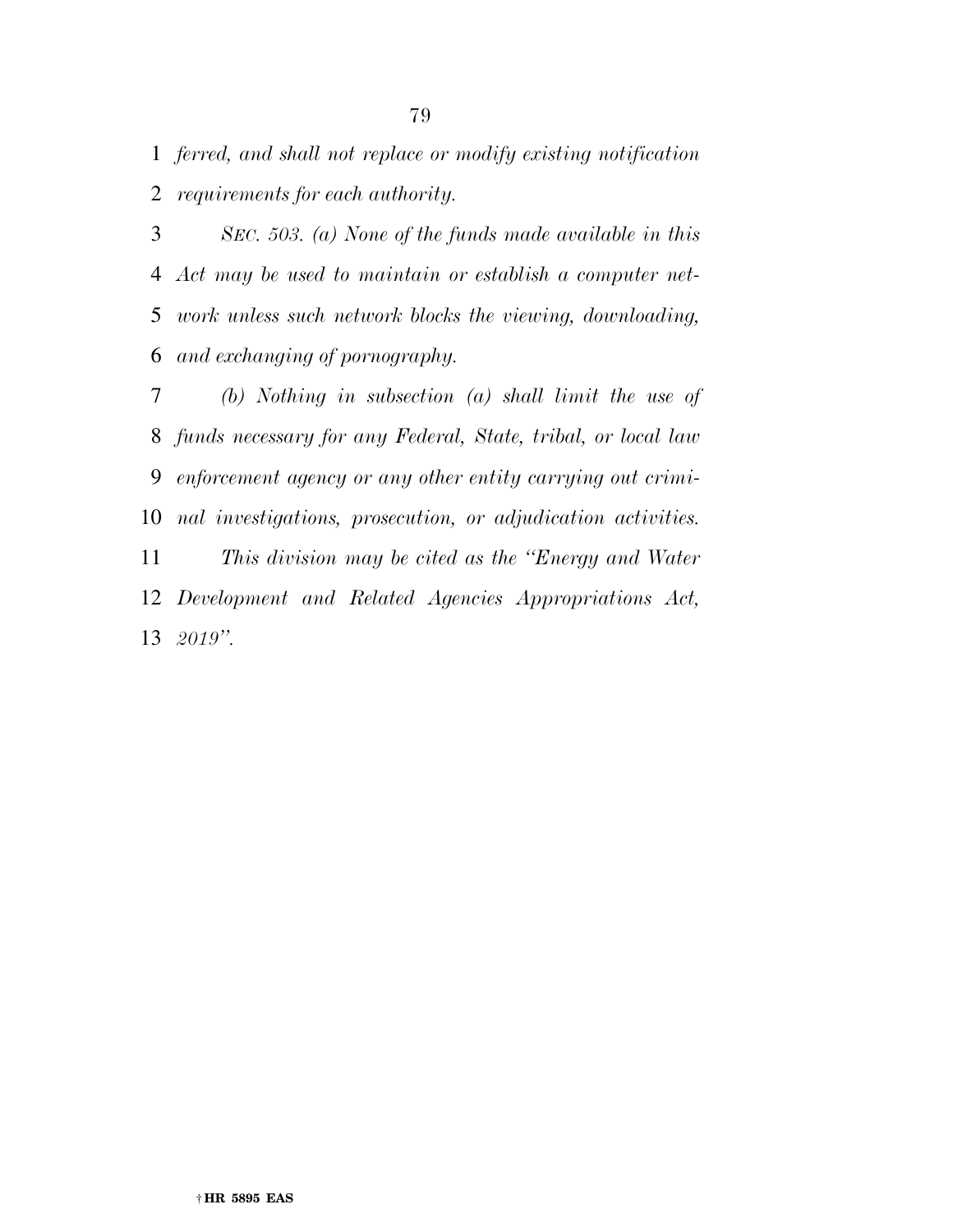*ferred, and shall not replace or modify existing notification requirements for each authority.* 

 *SEC. 503. (a) None of the funds made available in this Act may be used to maintain or establish a computer net- work unless such network blocks the viewing, downloading, and exchanging of pornography.* 

 *(b) Nothing in subsection (a) shall limit the use of funds necessary for any Federal, State, tribal, or local law enforcement agency or any other entity carrying out crimi- nal investigations, prosecution, or adjudication activities. This division may be cited as the ''Energy and Water Development and Related Agencies Appropriations Act, 2019''.*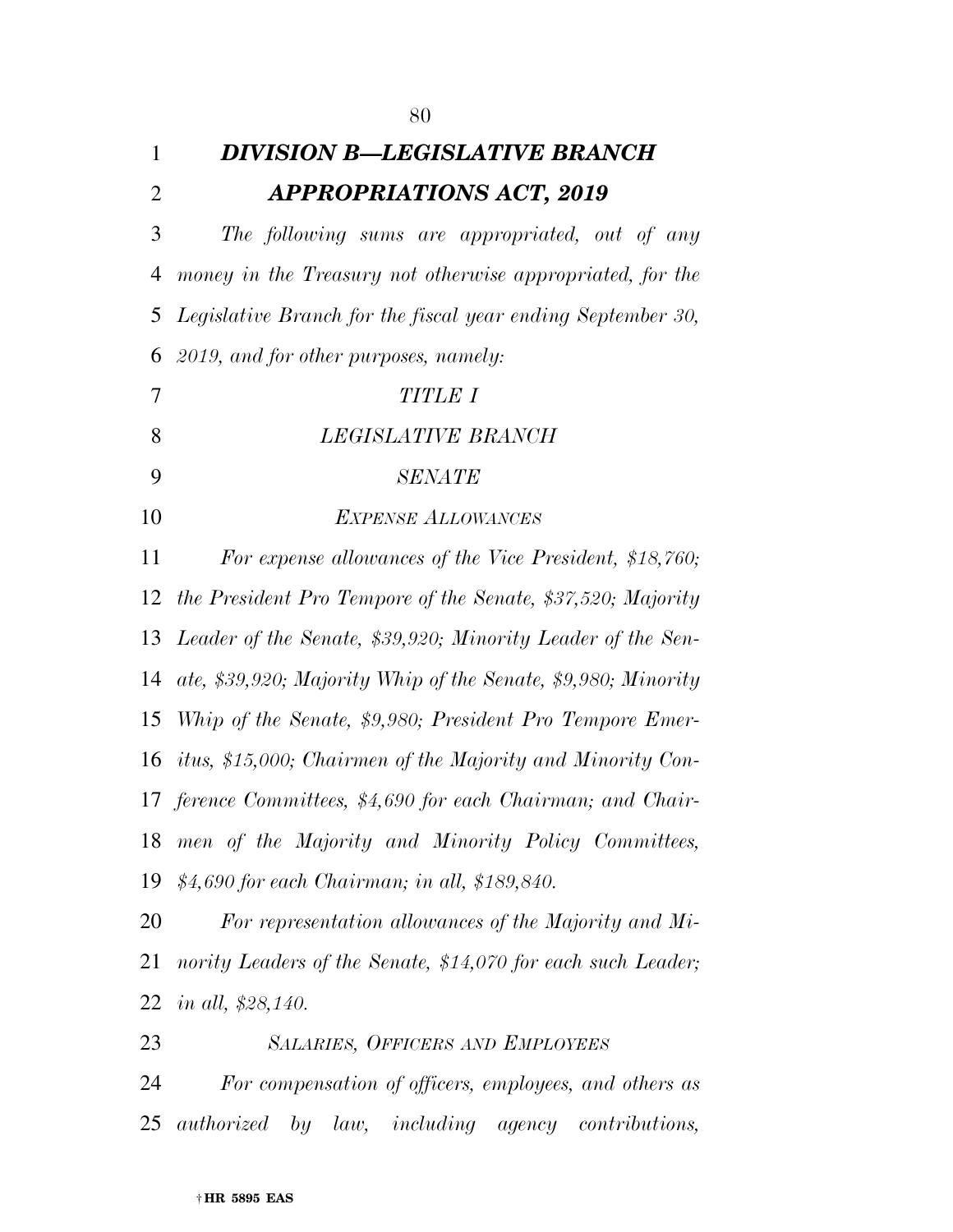| $\mathbf{1}$   | <b>DIVISION B-LEGISLATIVE BRANCH</b>                          |
|----------------|---------------------------------------------------------------|
| $\overline{2}$ | <b>APPROPRIATIONS ACT, 2019</b>                               |
| 3              | The following sums are appropriated, out of any               |
| 4              | money in the Treasury not otherwise appropriated, for the     |
| 5              | Legislative Branch for the fiscal year ending September 30,   |
| 6              | 2019, and for other purposes, namely:                         |
| 7              | <b>TITLE I</b>                                                |
| 8              | LEGISLATIVE BRANCH                                            |
| 9              | <i>SENATE</i>                                                 |
| 10             | <b>EXPENSE ALLOWANCES</b>                                     |
| 11             | For expense allowances of the Vice President, \$18,760;       |
| 12             | the President Pro Tempore of the Senate, \$37,520; Majority   |
| 13             | Leader of the Senate, \$39,920; Minority Leader of the Sen-   |
| 14             | ate, \$39,920; Majority Whip of the Senate, \$9,980; Minority |
| 15             | Whip of the Senate, \$9,980; President Pro Tempore Emer-      |
| 16             | itus, \$15,000; Chairmen of the Majority and Minority Con-    |
|                | 17 ference Committees, \$4,690 for each Chairman; and Chair-  |
| 18             | men of the Majority and Minority Policy Committees,           |
| 19             | \$4,690 for each Chairman; in all, \$189,840.                 |
| 20             | For representation allowances of the Majority and Mi-         |
| 21             | nority Leaders of the Senate, \$14,070 for each such Leader;  |
| 22             | <i>in all, \$28,140.</i>                                      |
| 23             | <b>SALARIES, OFFICERS AND EMPLOYEES</b>                       |
| 24             | For compensation of officers, employees, and others as        |
| 25             | authorized<br>by law, including agency contributions,         |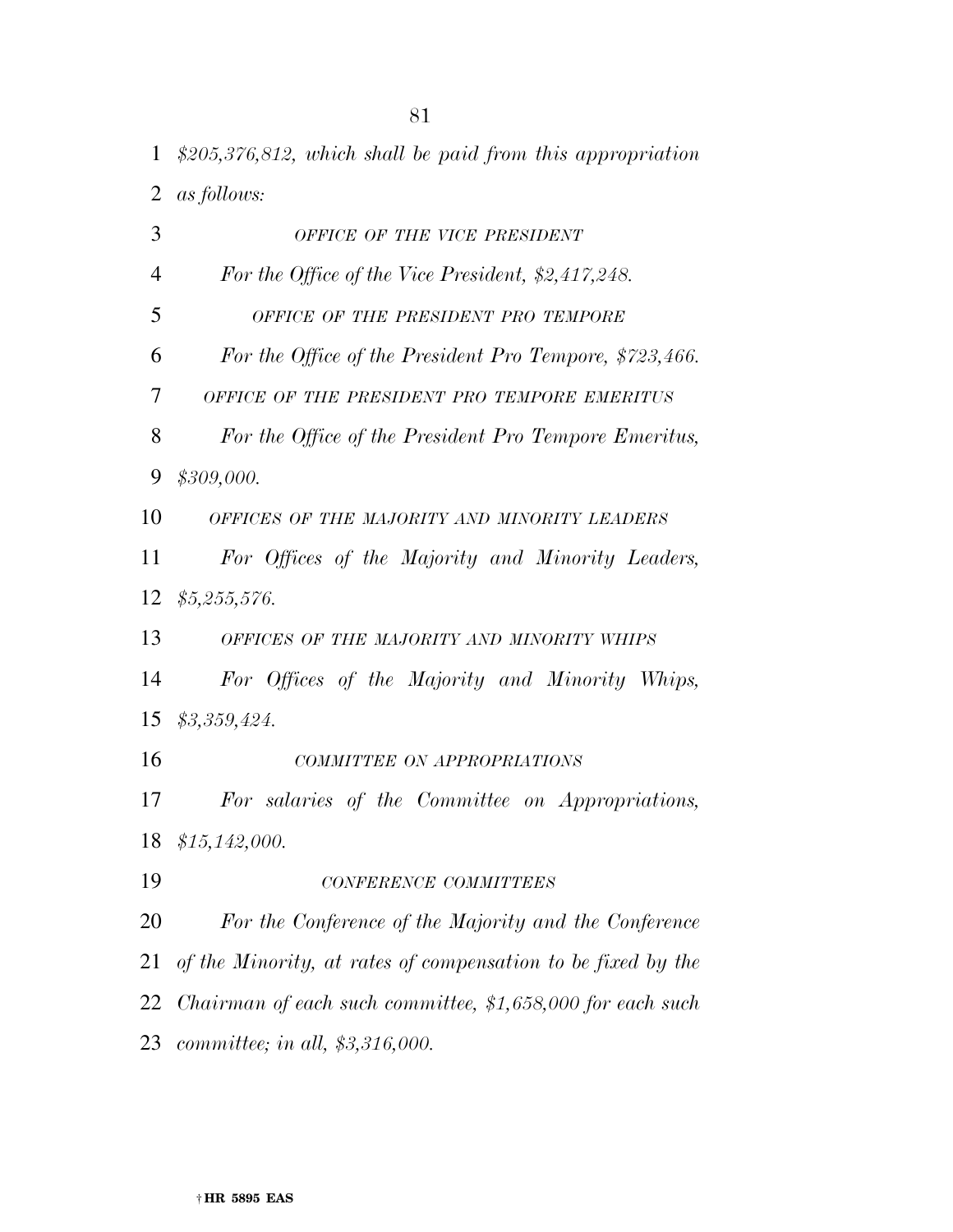*\$205,376,812, which shall be paid from this appropriation as follows:* 

| 3              | OFFICE OF THE VICE PRESIDENT                                 |
|----------------|--------------------------------------------------------------|
| $\overline{4}$ | For the Office of the Vice President, \$2,417,248.           |
| 5              | OFFICE OF THE PRESIDENT PRO TEMPORE                          |
| 6              | For the Office of the President Pro Tempore, \$723,466.      |
| 7              | OFFICE OF THE PRESIDENT PRO TEMPORE EMERITUS                 |
| 8              | For the Office of the President Pro Tempore Emeritus,        |
| 9              | \$309,000.                                                   |
| 10             | OFFICES OF THE MAJORITY AND MINORITY LEADERS                 |
| 11             | For Offices of the Majority and Minority Leaders,            |
| 12             | \$5,255,576.                                                 |
| 13             | OFFICES OF THE MAJORITY AND MINORITY WHIPS                   |
| 14             | For Offices of the Majority and Minority Whips,              |
| 15             | \$3,359,424.                                                 |
| 16             | COMMITTEE ON APPROPRIATIONS                                  |
| 17             | For salaries of the Committee on Appropriations,             |
| 18             | \$15,142,000.                                                |
| 19             | CONFERENCE COMMITTEES                                        |
| 20             | For the Conference of the Majority and the Conference        |
| 21             | of the Minority, at rates of compensation to be fixed by the |
| 22             | Chairman of each such committee, $$1,658,000$ for each such  |
| 23             | <i>committee; in all, <math>\$3,316,000</math>.</i>          |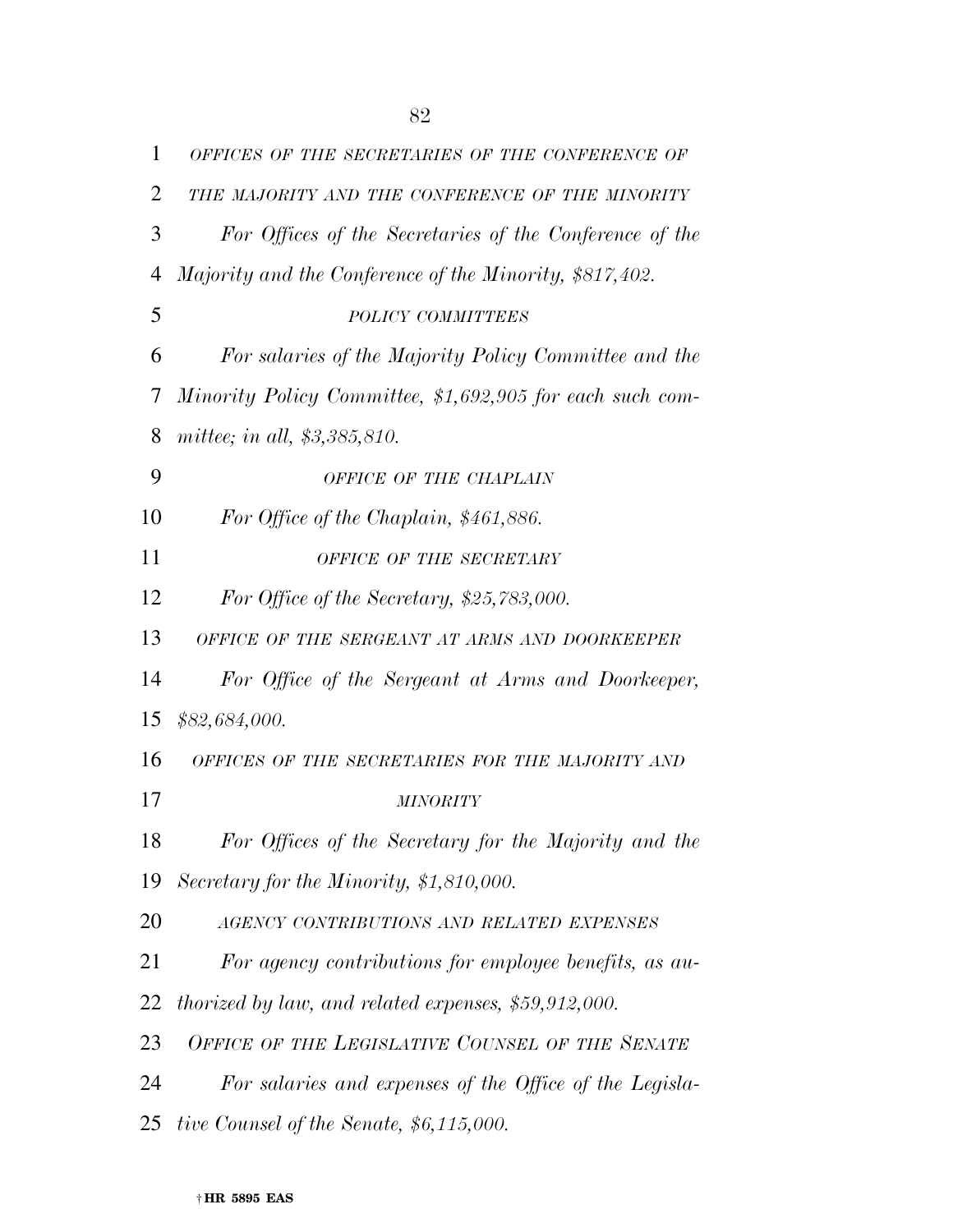| $\mathbf{1}$   | OFFICES OF THE SECRETARIES OF THE CONFERENCE OF           |
|----------------|-----------------------------------------------------------|
| $\overline{2}$ | THE MAJORITY AND THE CONFERENCE OF THE MINORITY           |
| 3              | For Offices of the Secretaries of the Conference of the   |
| 4              | Majority and the Conference of the Minority, \$817,402.   |
| 5              | POLICY COMMITTEES                                         |
| 6              | For salaries of the Majority Policy Committee and the     |
| 7              | Minority Policy Committee, \$1,692,905 for each such com- |
| 8              | mittee; in all, $$3,385,810$ .                            |
| 9              | OFFICE OF THE CHAPLAIN                                    |
| 10             | For Office of the Chaplain, \$461,886.                    |
| 11             | OFFICE OF THE SECRETARY                                   |
| 12             | For Office of the Secretary, $$25,783,000$ .              |
| 13             | OFFICE OF THE SERGEANT AT ARMS AND DOORKEEPER             |
| 14             | For Office of the Sergeant at Arms and Doorkeeper,        |
| 15             | \$82,684,000.                                             |
| 16             | OFFICES OF THE SECRETARIES FOR THE MAJORITY AND           |
| 17             | <i>MINORITY</i>                                           |
| 18             | For Offices of the Secretary for the Majority and the     |
| 19             | Secretary for the Minority, \$1,810,000.                  |
| 20             | AGENCY CONTRIBUTIONS AND RELATED EXPENSES                 |
| 21             | For agency contributions for employee benefits, as au-    |
| 22             | thorized by law, and related expenses, \$59,912,000.      |
| 23             | OFFICE OF THE LEGISLATIVE COUNSEL OF THE SENATE           |
| 24             | For salaries and expenses of the Office of the Legisla-   |
| 25             | tive Counsel of the Senate, \$6,115,000.                  |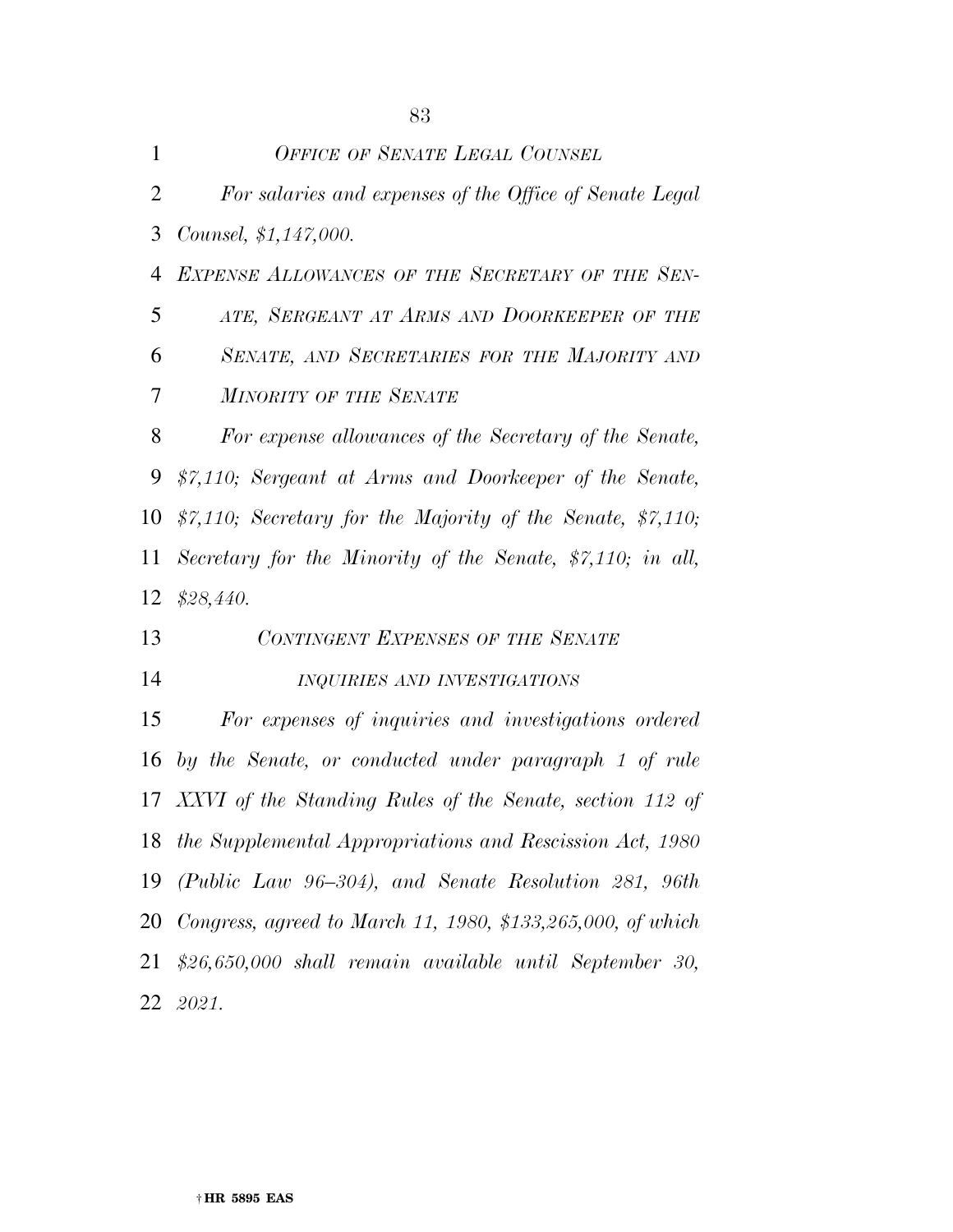| 1              | <b>OFFICE OF SENATE LEGAL COUNSEL</b>                           |
|----------------|-----------------------------------------------------------------|
| 2              | For salaries and expenses of the Office of Senate Legal         |
| 3              | Counsel, \$1,147,000.                                           |
| $\overline{4}$ | <b>EXPENSE ALLOWANCES OF THE SECRETARY OF THE SEN-</b>          |
| 5              | ATE, SERGEANT AT ARMS AND DOORKEEPER OF THE                     |
| 6              | SENATE, AND SECRETARIES FOR THE MAJORITY AND                    |
| 7              | <b>MINORITY OF THE SENATE</b>                                   |
| 8              | For expense allowances of the Secretary of the Senate,          |
| 9              | \$7,110; Sergeant at Arms and Doorkeeper of the Senate,         |
| 10             | $$7,110$ ; Secretary for the Majority of the Senate, $$7,110$ ; |
| 11             | Secretary for the Minority of the Senate, \$7,110; in all,      |
| 12             | \$28,440.                                                       |
| 13             | CONTINGENT EXPENSES OF THE SENATE                               |
| 14             | INQUIRIES AND INVESTIGATIONS                                    |
| 15             | For expenses of inquiries and investigations ordered            |
| 16             | by the Senate, or conducted under paragraph 1 of rule           |
| 17             | XXVI of the Standing Rules of the Senate, section 112 of        |
| 18             | the Supplemental Appropriations and Rescission Act, 1980        |
|                | 19 (Public Law 96–304), and Senate Resolution 281, 96th         |
| 20             | Congress, agreed to March 11, 1980, \$133,265,000, of which     |
|                | 21 \$26,650,000 shall remain available until September 30,      |
|                | 22 2021.                                                        |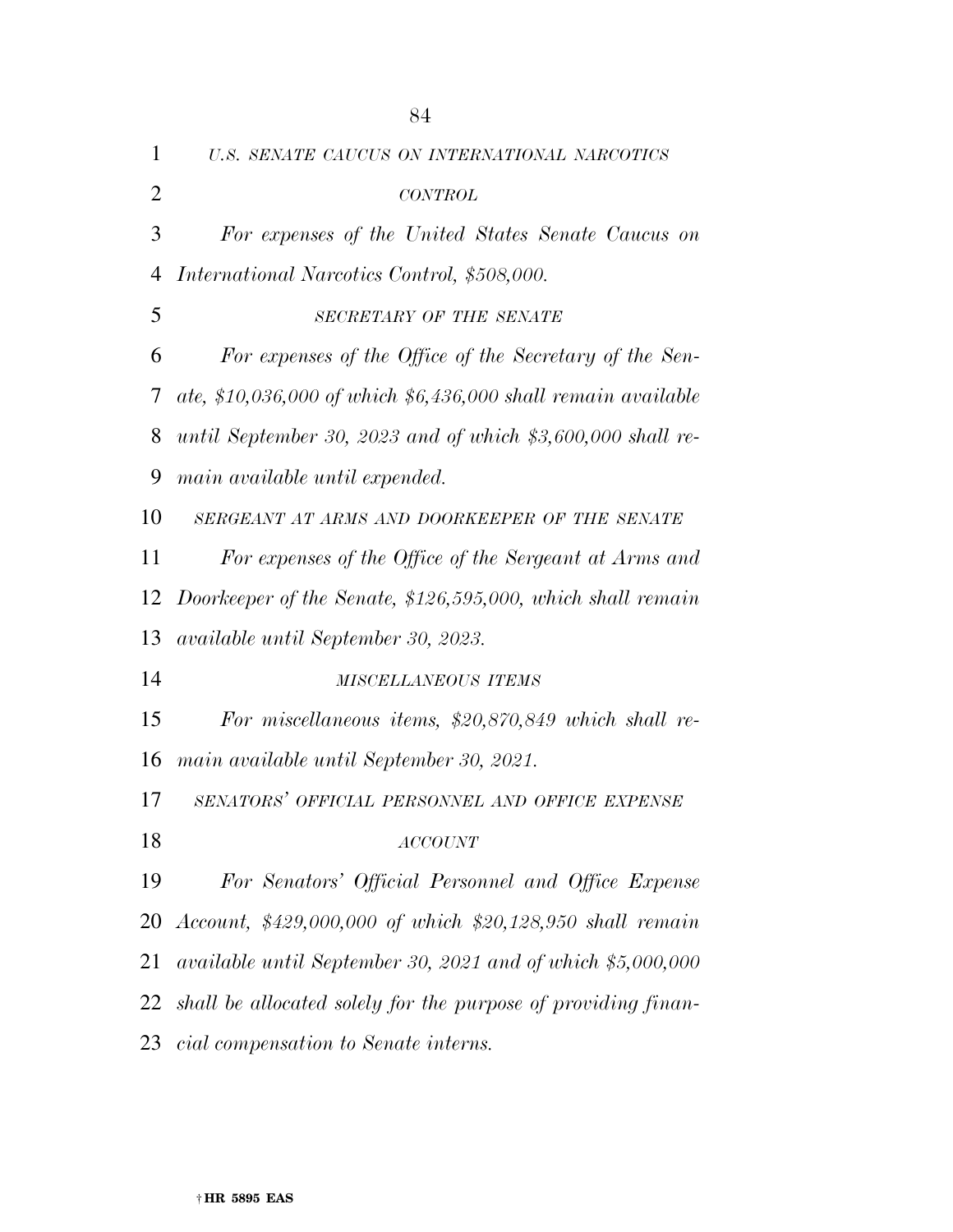| $\mathbf 1$ | U.S. SENATE CAUCUS ON INTERNATIONAL NARCOTICS                  |
|-------------|----------------------------------------------------------------|
| 2           | <b>CONTROL</b>                                                 |
| 3           | For expenses of the United States Senate Caucus on             |
| 4           | International Narcotics Control, \$508,000.                    |
| 5           | SECRETARY OF THE SENATE                                        |
| 6           | For expenses of the Office of the Secretary of the Sen-        |
| 7           | ate, \$10,036,000 of which $$6,436,000$ shall remain available |
| 8           | until September 30, 2023 and of which $$3,600,000$ shall re-   |
| 9           | main available until expended.                                 |
| 10          | SERGEANT AT ARMS AND DOORKEEPER OF THE SENATE                  |
| 11          | For expenses of the Office of the Sergeant at Arms and         |
| 12          | Doorkeeper of the Senate, \$126,595,000, which shall remain    |
| 13          | available until September 30, 2023.                            |
| 14          | MISCELLANEOUS ITEMS                                            |
| 15          | For miscellaneous items, \$20,870,849 which shall re-          |
| 16          | main available until September 30, 2021.                       |
| 17          | SENATORS' OFFICIAL PERSONNEL AND OFFICE EXPENSE                |
| 18          | <b>ACCOUNT</b>                                                 |
| 19          | For Senators' Official Personnel and Office Expense            |
| 20          | Account, \$429,000,000 of which \$20,128,950 shall remain      |
| 21          | available until September 30, 2021 and of which \$5,000,000    |
| 22          | shall be allocated solely for the purpose of providing finan-  |
| 23          | cial compensation to Senate interns.                           |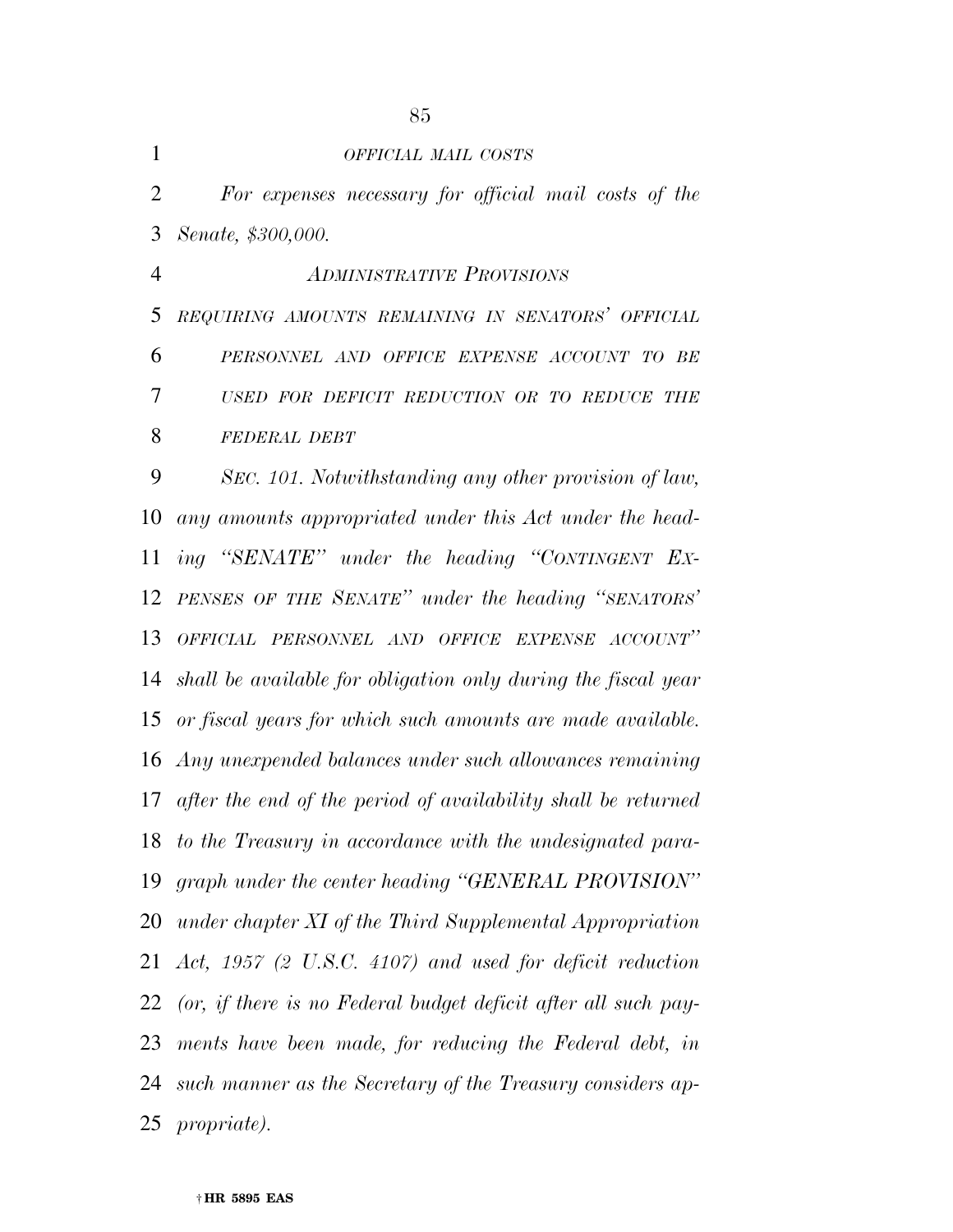*OFFICIAL MAIL COSTS For expenses necessary for official mail costs of the Senate, \$300,000. ADMINISTRATIVE PROVISIONS REQUIRING AMOUNTS REMAINING IN SENATORS' OFFICIAL PERSONNEL AND OFFICE EXPENSE ACCOUNT TO BE USED FOR DEFICIT REDUCTION OR TO REDUCE THE FEDERAL DEBT SEC. 101. Notwithstanding any other provision of law, any amounts appropriated under this Act under the head- ing ''SENATE'' under the heading ''CONTINGENT EX- PENSES OF THE SENATE'' under the heading ''SENATORS' OFFICIAL PERSONNEL AND OFFICE EXPENSE ACCOUNT'' shall be available for obligation only during the fiscal year or fiscal years for which such amounts are made available. Any unexpended balances under such allowances remaining after the end of the period of availability shall be returned to the Treasury in accordance with the undesignated para- graph under the center heading ''GENERAL PROVISION'' under chapter XI of the Third Supplemental Appropriation Act, 1957 (2 U.S.C. 4107) and used for deficit reduction (or, if there is no Federal budget deficit after all such pay-*

*ments have been made, for reducing the Federal debt, in* 

*such manner as the Secretary of the Treasury considers ap-*

*propriate).*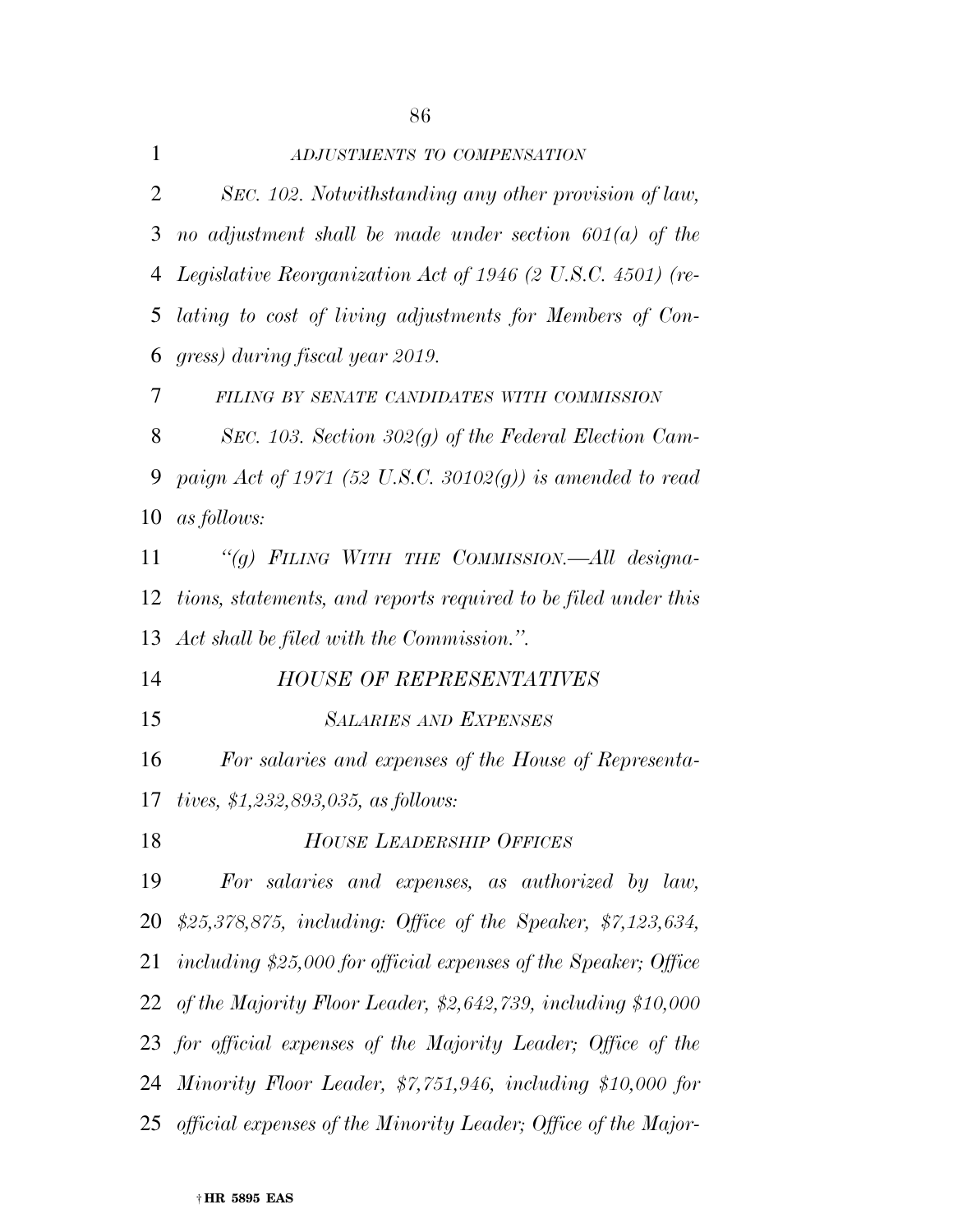| 1  | ADJUSTMENTS TO COMPENSATION                                        |
|----|--------------------------------------------------------------------|
| 2  | SEC. 102. Notwithstanding any other provision of law,              |
| 3  | no adjustment shall be made under section $601(a)$ of the          |
| 4  | <i>Legislative Reorganization Act of 1946 (2 U.S.C. 4501) (re-</i> |
| 5  | lating to cost of living adjustments for Members of Con-           |
| 6  | gress) during fiscal year 2019.                                    |
| 7  | FILING BY SENATE CANDIDATES WITH COMMISSION                        |
| 8  | SEC. 103. Section 302 $(g)$ of the Federal Election Cam-           |
| 9  | paign Act of 1971 (52 U.S.C. 30102(g)) is amended to read          |
| 10 | as follows:                                                        |
| 11 | "(g) FILING WITH THE COMMISSION.—All designa-                      |
| 12 | tions, statements, and reports required to be filed under this     |
| 13 | Act shall be filed with the Commission.".                          |
| 14 | <b>HOUSE OF REPRESENTATIVES</b>                                    |
| 15 | <b>SALARIES AND EXPENSES</b>                                       |
| 16 | For salaries and expenses of the House of Representa-              |
| 17 | tives, $$1,232,893,035, as follows:$                               |
| 18 | <b>HOUSE LEADERSHIP OFFICES</b>                                    |
| 19 | For salaries and expenses, as authorized by law,                   |
| 20 | \$25,378,875, including: Office of the Speaker, $$7,123,634$ ,     |
| 21 | including \$25,000 for official expenses of the Speaker; Office    |
|    | 22 of the Majority Floor Leader, \$2,642,739, including \$10,000   |
|    | 23 for official expenses of the Majority Leader; Office of the     |
|    | 24 Minority Floor Leader, \$7,751,946, including \$10,000 for      |

*official expenses of the Minority Leader; Office of the Major-*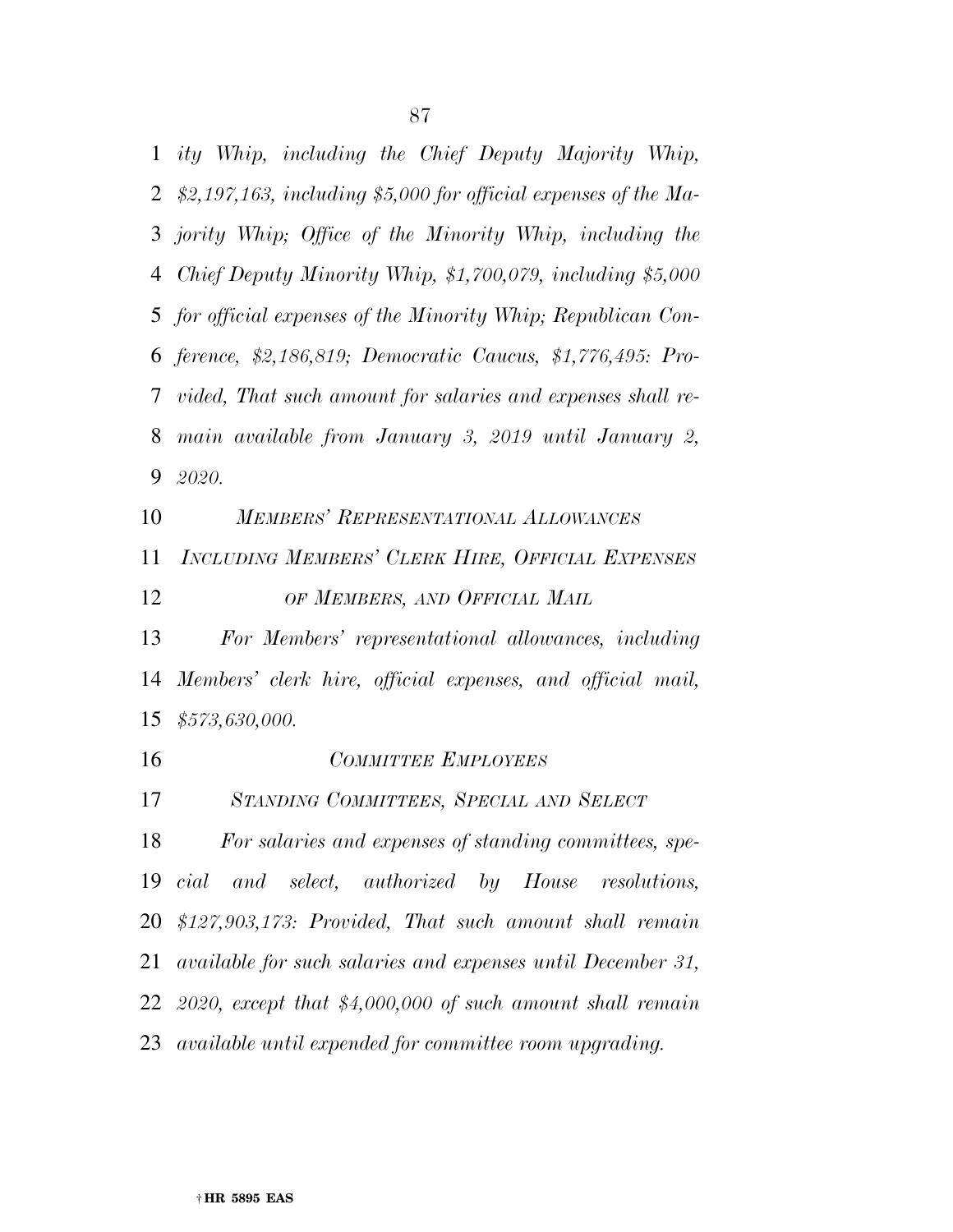*ity Whip, including the Chief Deputy Majority Whip, \$2,197,163, including \$5,000 for official expenses of the Ma- jority Whip; Office of the Minority Whip, including the Chief Deputy Minority Whip, \$1,700,079, including \$5,000 for official expenses of the Minority Whip; Republican Con- ference, \$2,186,819; Democratic Caucus, \$1,776,495: Pro- vided, That such amount for salaries and expenses shall re- main available from January 3, 2019 until January 2, 2020.* 

*MEMBERS' REPRESENTATIONAL ALLOWANCES*

 *INCLUDING MEMBERS' CLERK HIRE, OFFICIAL EXPENSES OF MEMBERS, AND OFFICIAL MAIL*

 *For Members' representational allowances, including Members' clerk hire, official expenses, and official mail, \$573,630,000.* 

*COMMITTEE EMPLOYEES*

*STANDING COMMITTEES, SPECIAL AND SELECT*

 *For salaries and expenses of standing committees, spe- cial and select, authorized by House resolutions, \$127,903,173: Provided, That such amount shall remain available for such salaries and expenses until December 31, 2020, except that \$4,000,000 of such amount shall remain available until expended for committee room upgrading.*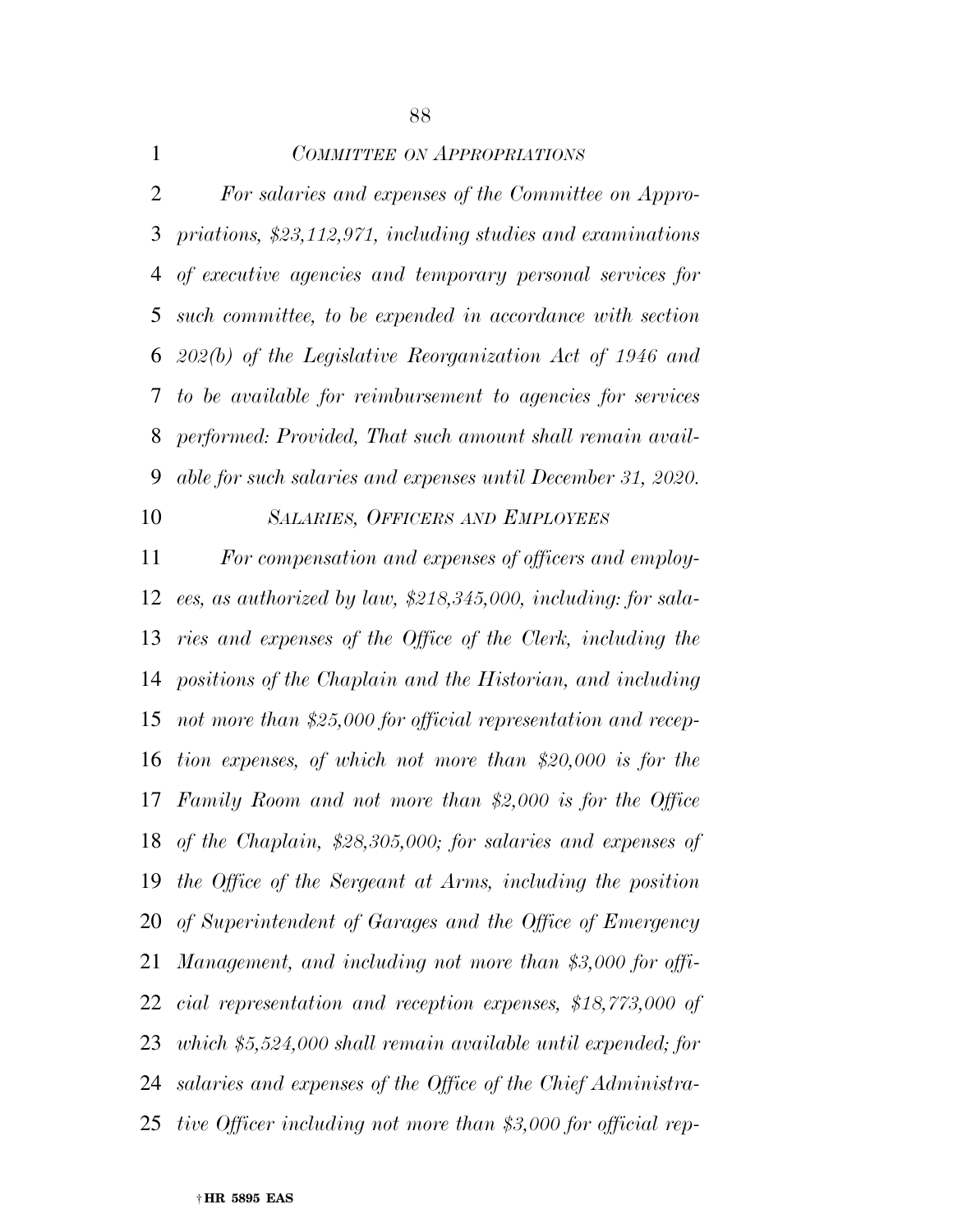|   | COMMITTEE ON APPROPRIATIONS                                    |
|---|----------------------------------------------------------------|
| 2 | For salaries and expenses of the Committee on Appro-           |
|   | 3 priations, \$23,112,971, including studies and examinations  |
|   | 4 of executive agencies and temporary personal services for    |
|   | 5 such committee, to be expended in accordance with section    |
|   | 6 202(b) of the Legislative Reorganization Act of 1946 and     |
|   | 7 to be available for reimbursement to agencies for services   |
|   | 8 performed: Provided, That such amount shall remain avail-    |
|   | 9 able for such salaries and expenses until December 31, 2020. |
|   |                                                                |

*SALARIES, OFFICERS AND EMPLOYEES*

 *For compensation and expenses of officers and employ- ees, as authorized by law, \$218,345,000, including: for sala- ries and expenses of the Office of the Clerk, including the positions of the Chaplain and the Historian, and including not more than \$25,000 for official representation and recep- tion expenses, of which not more than \$20,000 is for the Family Room and not more than \$2,000 is for the Office of the Chaplain, \$28,305,000; for salaries and expenses of the Office of the Sergeant at Arms, including the position of Superintendent of Garages and the Office of Emergency Management, and including not more than \$3,000 for offi- cial representation and reception expenses, \$18,773,000 of which \$5,524,000 shall remain available until expended; for salaries and expenses of the Office of the Chief Administra-tive Officer including not more than \$3,000 for official rep-*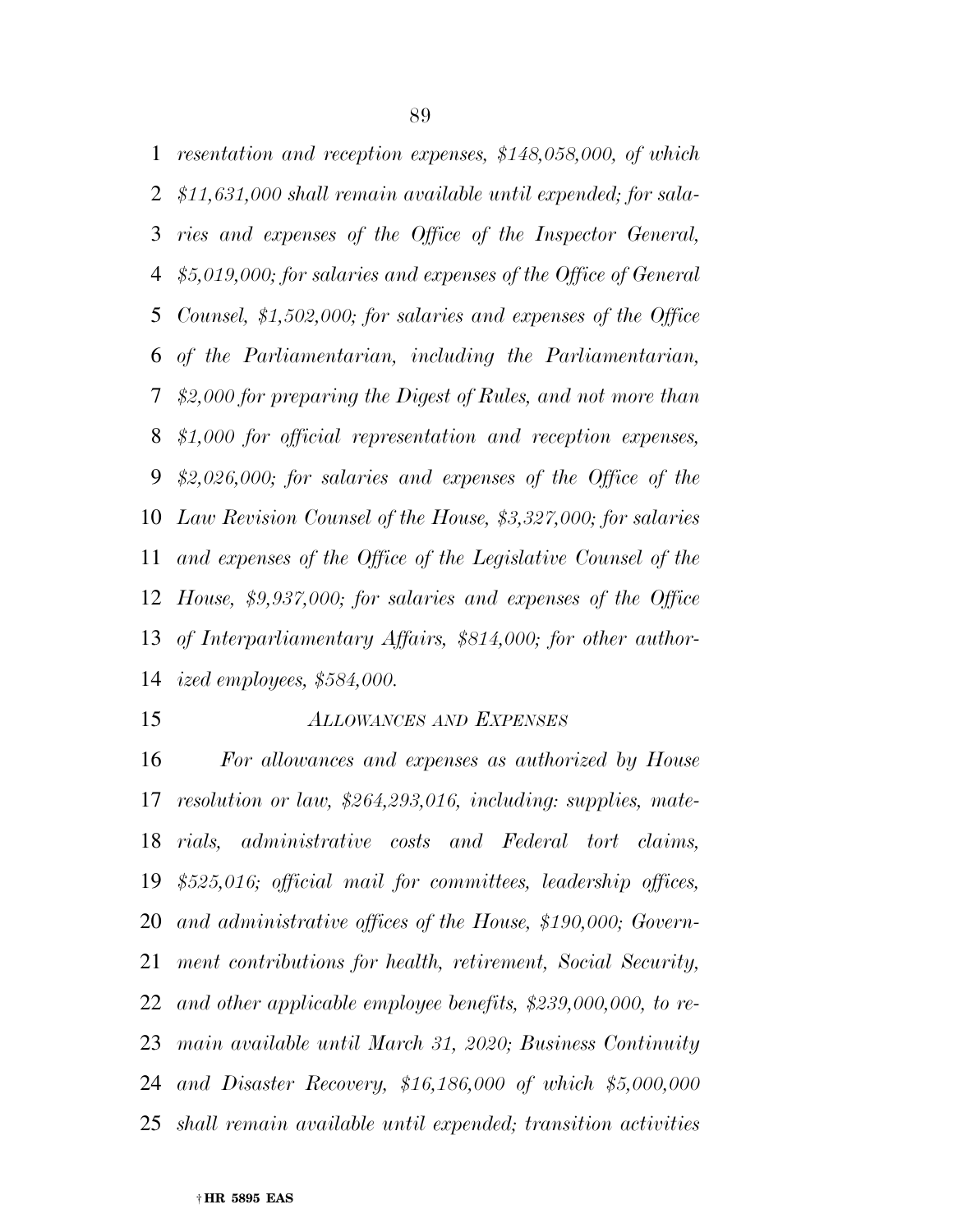*resentation and reception expenses, \$148,058,000, of which \$11,631,000 shall remain available until expended; for sala- ries and expenses of the Office of the Inspector General, \$5,019,000; for salaries and expenses of the Office of General Counsel, \$1,502,000; for salaries and expenses of the Office of the Parliamentarian, including the Parliamentarian, \$2,000 for preparing the Digest of Rules, and not more than \$1,000 for official representation and reception expenses, \$2,026,000; for salaries and expenses of the Office of the Law Revision Counsel of the House, \$3,327,000; for salaries and expenses of the Office of the Legislative Counsel of the House, \$9,937,000; for salaries and expenses of the Office of Interparliamentary Affairs, \$814,000; for other author-ized employees, \$584,000.* 

## *ALLOWANCES AND EXPENSES*

 *For allowances and expenses as authorized by House resolution or law, \$264,293,016, including: supplies, mate- rials, administrative costs and Federal tort claims, \$525,016; official mail for committees, leadership offices, and administrative offices of the House, \$190,000; Govern- ment contributions for health, retirement, Social Security, and other applicable employee benefits, \$239,000,000, to re- main available until March 31, 2020; Business Continuity and Disaster Recovery, \$16,186,000 of which \$5,000,000 shall remain available until expended; transition activities*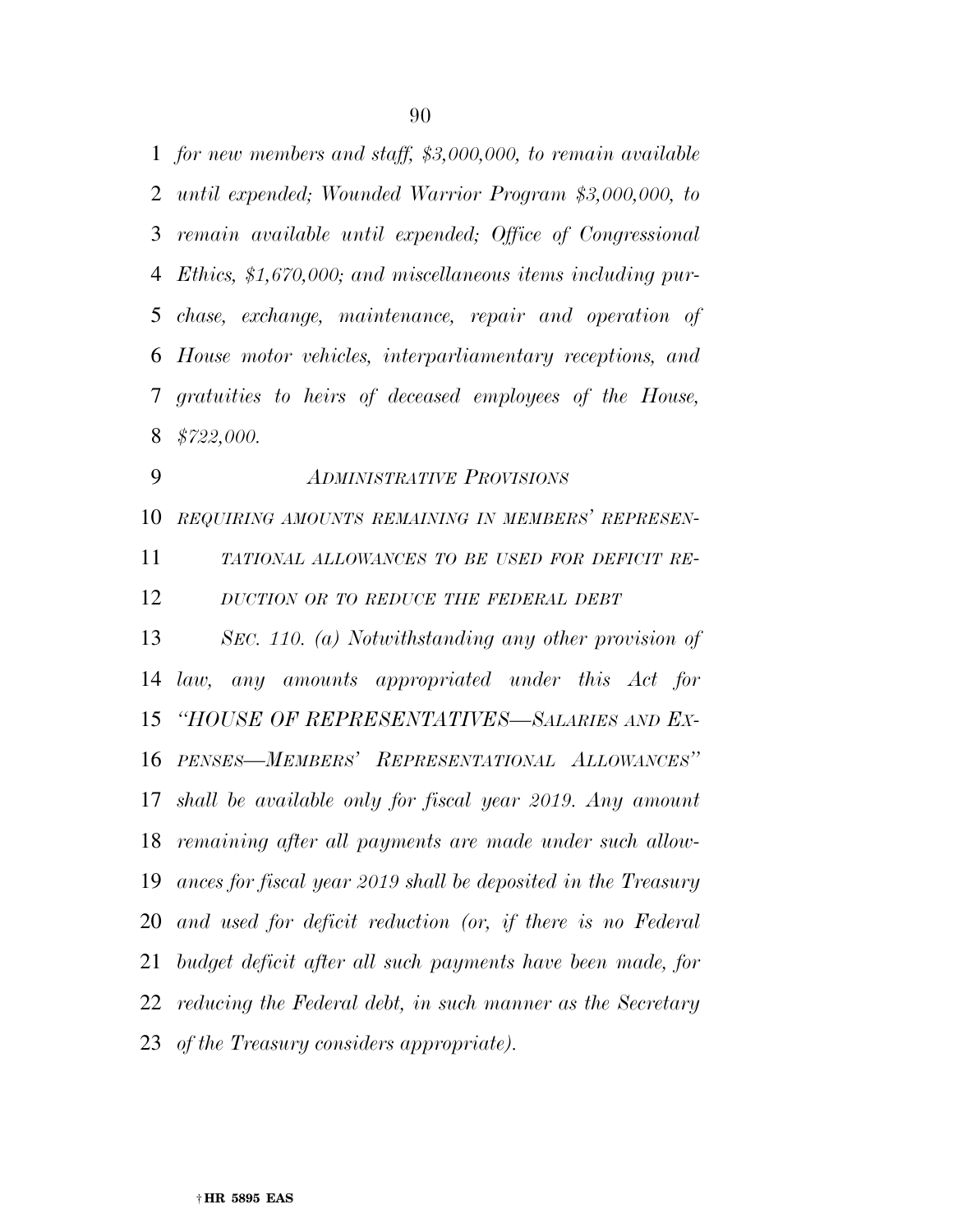*for new members and staff, \$3,000,000, to remain available until expended; Wounded Warrior Program \$3,000,000, to remain available until expended; Office of Congressional Ethics, \$1,670,000; and miscellaneous items including pur- chase, exchange, maintenance, repair and operation of House motor vehicles, interparliamentary receptions, and gratuities to heirs of deceased employees of the House, \$722,000. ADMINISTRATIVE PROVISIONS REQUIRING AMOUNTS REMAINING IN MEMBERS' REPRESEN-TATIONAL ALLOWANCES TO BE USED FOR DEFICIT RE-*

*DUCTION OR TO REDUCE THE FEDERAL DEBT*

 *SEC. 110. (a) Notwithstanding any other provision of law, any amounts appropriated under this Act for ''HOUSE OF REPRESENTATIVES—SALARIES AND EX- PENSES—MEMBERS' REPRESENTATIONAL ALLOWANCES'' shall be available only for fiscal year 2019. Any amount remaining after all payments are made under such allow- ances for fiscal year 2019 shall be deposited in the Treasury and used for deficit reduction (or, if there is no Federal budget deficit after all such payments have been made, for reducing the Federal debt, in such manner as the Secretary of the Treasury considers appropriate).*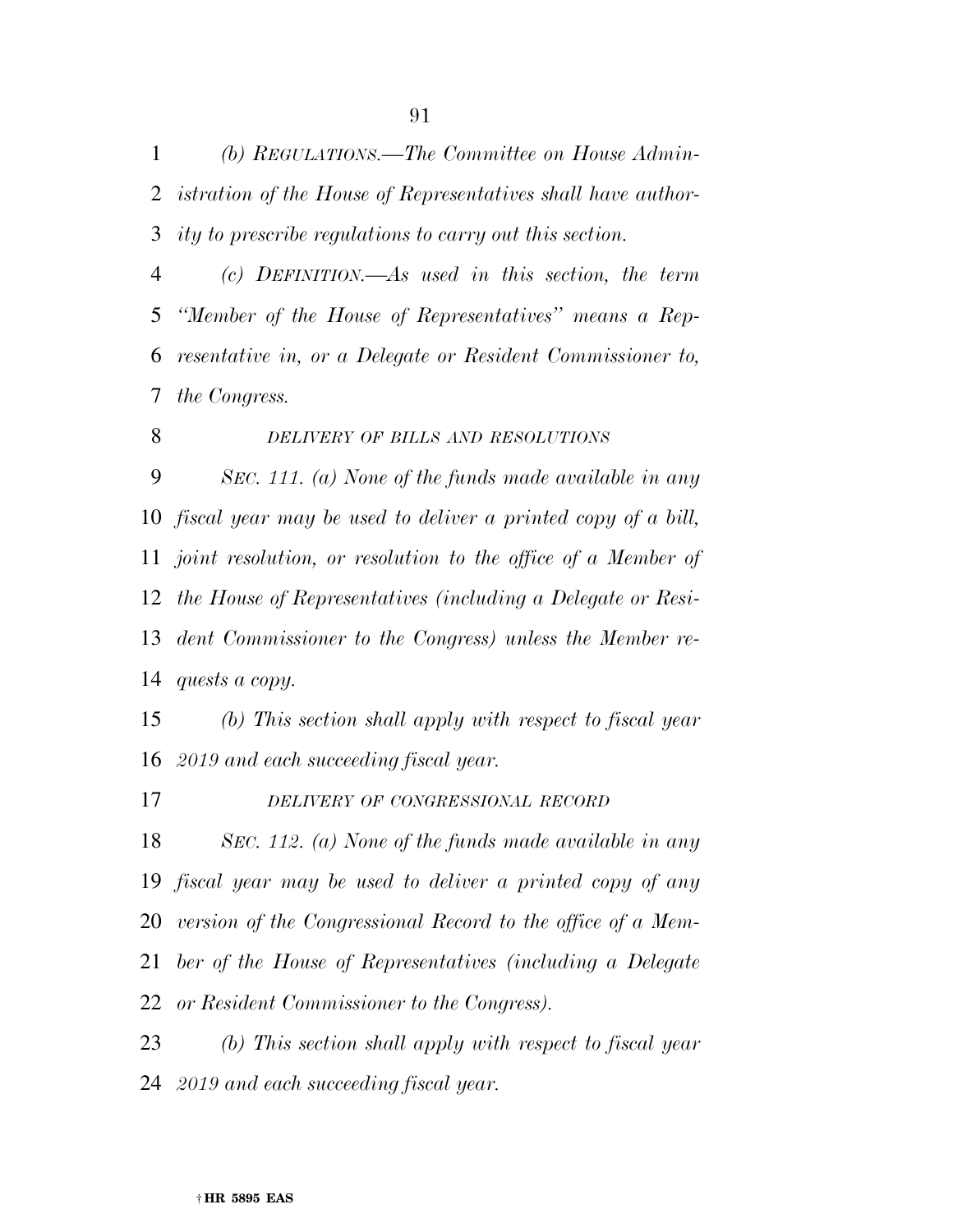*(b) REGULATIONS.—The Committee on House Admin- istration of the House of Representatives shall have author-ity to prescribe regulations to carry out this section.* 

 *(c) DEFINITION.—As used in this section, the term ''Member of the House of Representatives'' means a Rep- resentative in, or a Delegate or Resident Commissioner to, the Congress.* 

*DELIVERY OF BILLS AND RESOLUTIONS*

 *SEC. 111. (a) None of the funds made available in any fiscal year may be used to deliver a printed copy of a bill, joint resolution, or resolution to the office of a Member of the House of Representatives (including a Delegate or Resi- dent Commissioner to the Congress) unless the Member re-quests a copy.* 

 *(b) This section shall apply with respect to fiscal year 2019 and each succeeding fiscal year.* 

*DELIVERY OF CONGRESSIONAL RECORD*

 *SEC. 112. (a) None of the funds made available in any fiscal year may be used to deliver a printed copy of any version of the Congressional Record to the office of a Mem- ber of the House of Representatives (including a Delegate or Resident Commissioner to the Congress).* 

 *(b) This section shall apply with respect to fiscal year 2019 and each succeeding fiscal year.*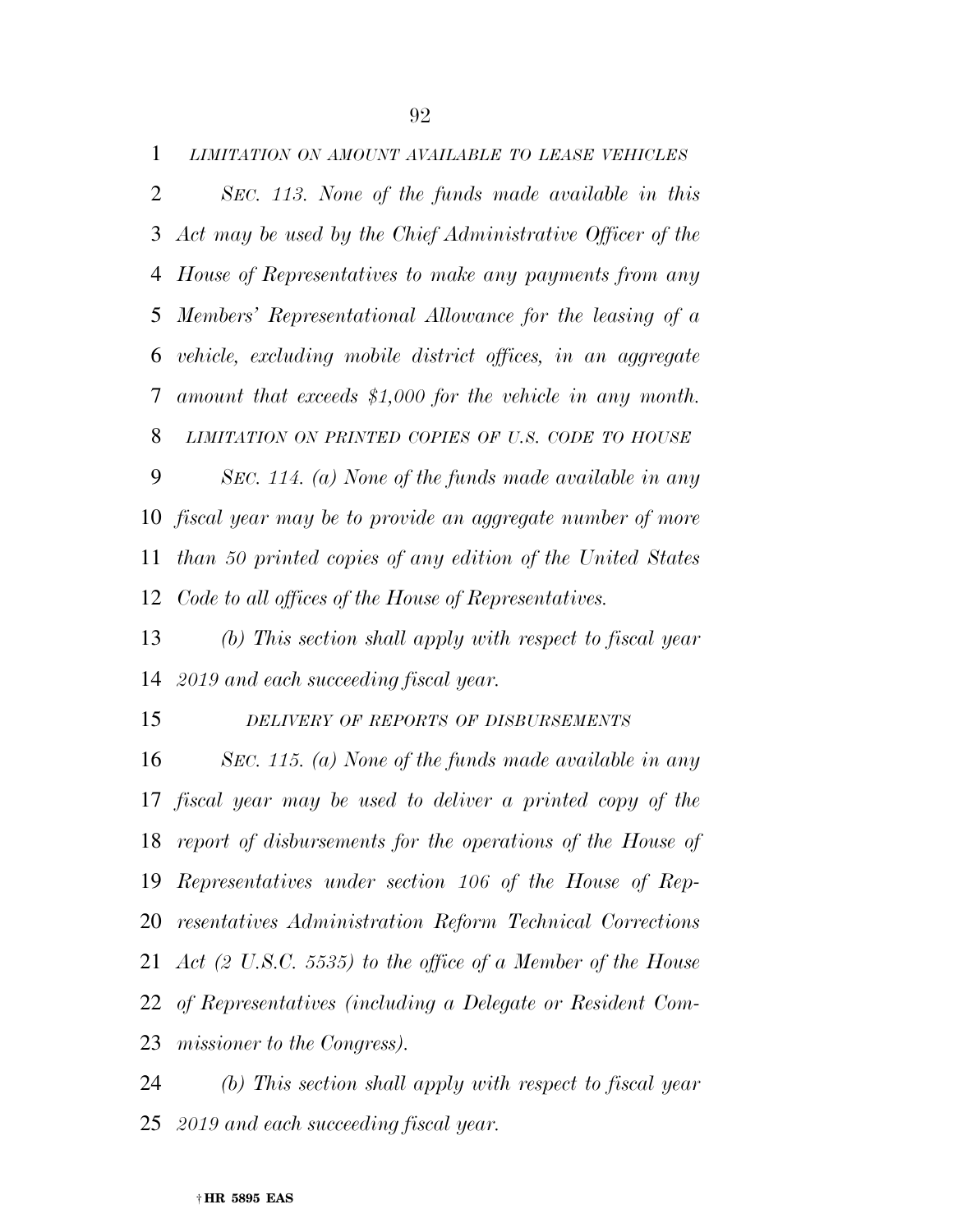*LIMITATION ON AMOUNT AVAILABLE TO LEASE VEHICLES SEC. 113. None of the funds made available in this Act may be used by the Chief Administrative Officer of the House of Representatives to make any payments from any Members' Representational Allowance for the leasing of a vehicle, excluding mobile district offices, in an aggregate amount that exceeds \$1,000 for the vehicle in any month. LIMITATION ON PRINTED COPIES OF U.S. CODE TO HOUSE SEC. 114. (a) None of the funds made available in any fiscal year may be to provide an aggregate number of more than 50 printed copies of any edition of the United States Code to all offices of the House of Representatives.* 

 *(b) This section shall apply with respect to fiscal year 2019 and each succeeding fiscal year.* 

*DELIVERY OF REPORTS OF DISBURSEMENTS*

 *SEC. 115. (a) None of the funds made available in any fiscal year may be used to deliver a printed copy of the report of disbursements for the operations of the House of Representatives under section 106 of the House of Rep- resentatives Administration Reform Technical Corrections Act (2 U.S.C. 5535) to the office of a Member of the House of Representatives (including a Delegate or Resident Com-missioner to the Congress).* 

 *(b) This section shall apply with respect to fiscal year 2019 and each succeeding fiscal year.*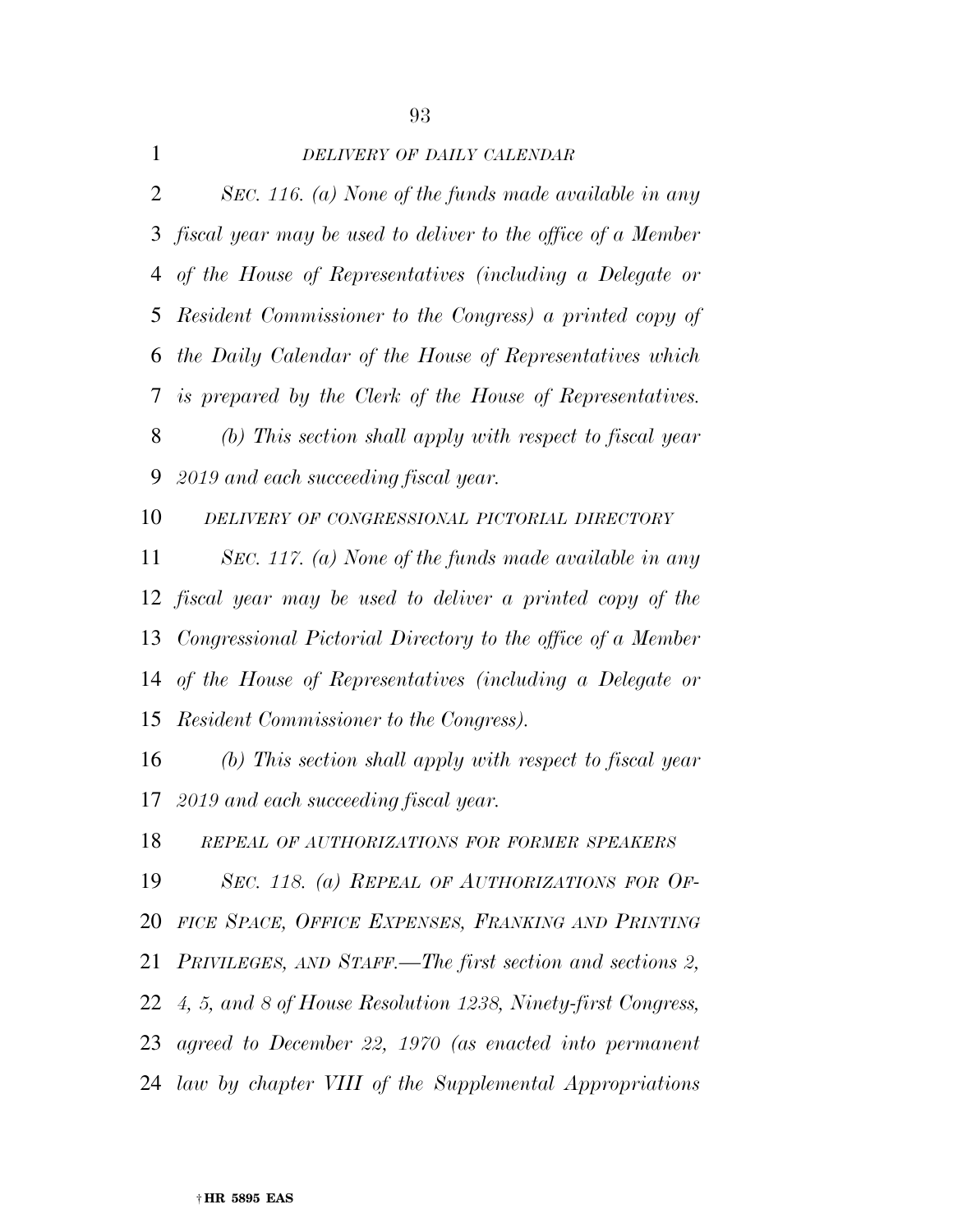*DELIVERY OF DAILY CALENDAR SEC. 116. (a) None of the funds made available in any fiscal year may be used to deliver to the office of a Member of the House of Representatives (including a Delegate or Resident Commissioner to the Congress) a printed copy of the Daily Calendar of the House of Representatives which is prepared by the Clerk of the House of Representatives. (b) This section shall apply with respect to fiscal year 2019 and each succeeding fiscal year. DELIVERY OF CONGRESSIONAL PICTORIAL DIRECTORY SEC. 117. (a) None of the funds made available in any fiscal year may be used to deliver a printed copy of the Congressional Pictorial Directory to the office of a Member of the House of Representatives (including a Delegate or Resident Commissioner to the Congress). (b) This section shall apply with respect to fiscal year 2019 and each succeeding fiscal year.* 

*REPEAL OF AUTHORIZATIONS FOR FORMER SPEAKERS*

 *SEC. 118. (a) REPEAL OF AUTHORIZATIONS FOR OF- FICE SPACE, OFFICE EXPENSES, FRANKING AND PRINTING PRIVILEGES, AND STAFF.—The first section and sections 2, 4, 5, and 8 of House Resolution 1238, Ninety-first Congress, agreed to December 22, 1970 (as enacted into permanent law by chapter VIII of the Supplemental Appropriations*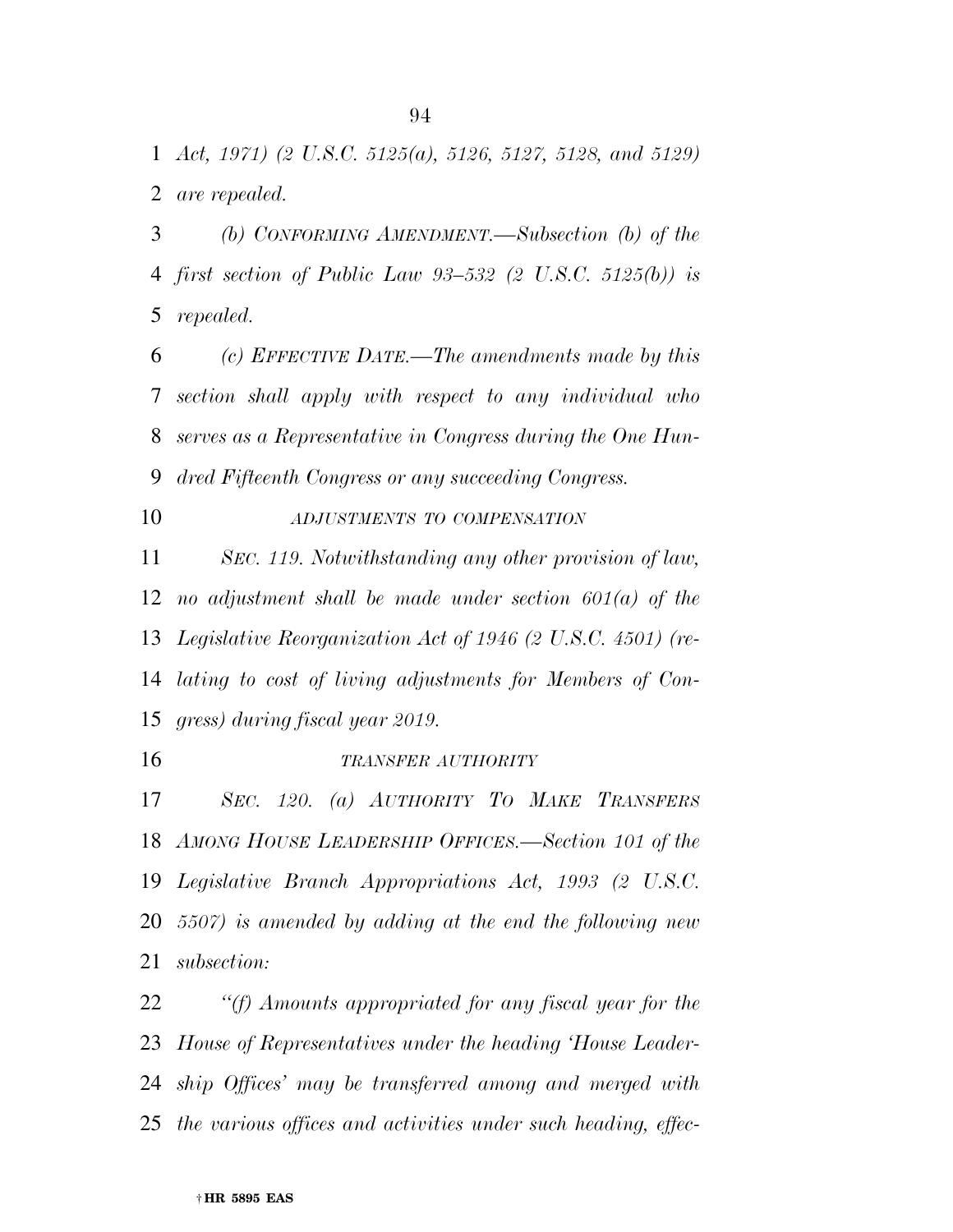*Act, 1971) (2 U.S.C. 5125(a), 5126, 5127, 5128, and 5129) are repealed.* 

 *(b) CONFORMING AMENDMENT.—Subsection (b) of the first section of Public Law 93–532 (2 U.S.C. 5125(b)) is repealed.* 

 *(c) EFFECTIVE DATE.—The amendments made by this section shall apply with respect to any individual who serves as a Representative in Congress during the One Hun-dred Fifteenth Congress or any succeeding Congress.* 

*ADJUSTMENTS TO COMPENSATION*

 *SEC. 119. Notwithstanding any other provision of law, no adjustment shall be made under section 601(a) of the Legislative Reorganization Act of 1946 (2 U.S.C. 4501) (re- lating to cost of living adjustments for Members of Con-gress) during fiscal year 2019.* 

#### *TRANSFER AUTHORITY*

 *SEC. 120. (a) AUTHORITY TO MAKE TRANSFERS AMONG HOUSE LEADERSHIP OFFICES.—Section 101 of the Legislative Branch Appropriations Act, 1993 (2 U.S.C. 5507) is amended by adding at the end the following new subsection:* 

 *''(f) Amounts appropriated for any fiscal year for the House of Representatives under the heading 'House Leader- ship Offices' may be transferred among and merged with the various offices and activities under such heading, effec-*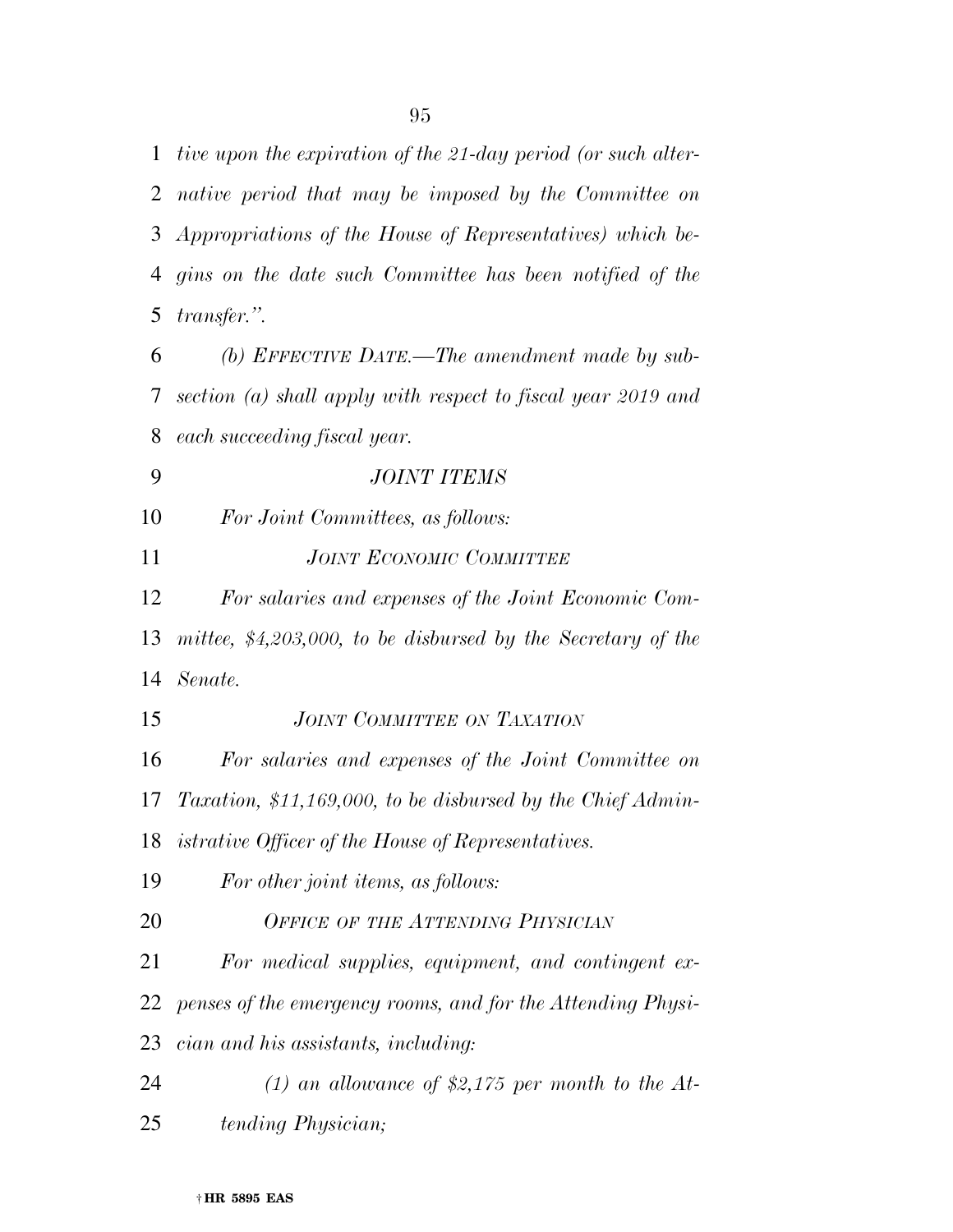*tive upon the expiration of the 21-day period (or such alter- native period that may be imposed by the Committee on Appropriations of the House of Representatives) which be- gins on the date such Committee has been notified of the transfer.''.* 

 *(b) EFFECTIVE DATE.—The amendment made by sub- section (a) shall apply with respect to fiscal year 2019 and each succeeding fiscal year.* 

*For Joint Committees, as follows:* 

*JOINT ITEMS* 

*JOINT ECONOMIC COMMITTEE*

 *For salaries and expenses of the Joint Economic Com- mittee, \$4,203,000, to be disbursed by the Secretary of the Senate.* 

 *JOINT COMMITTEE ON TAXATION For salaries and expenses of the Joint Committee on Taxation, \$11,169,000, to be disbursed by the Chief Admin- istrative Officer of the House of Representatives. For other joint items, as follows: OFFICE OF THE ATTENDING PHYSICIAN For medical supplies, equipment, and contingent ex- penses of the emergency rooms, and for the Attending Physi- cian and his assistants, including: (1) an allowance of \$2,175 per month to the At-*

*tending Physician;*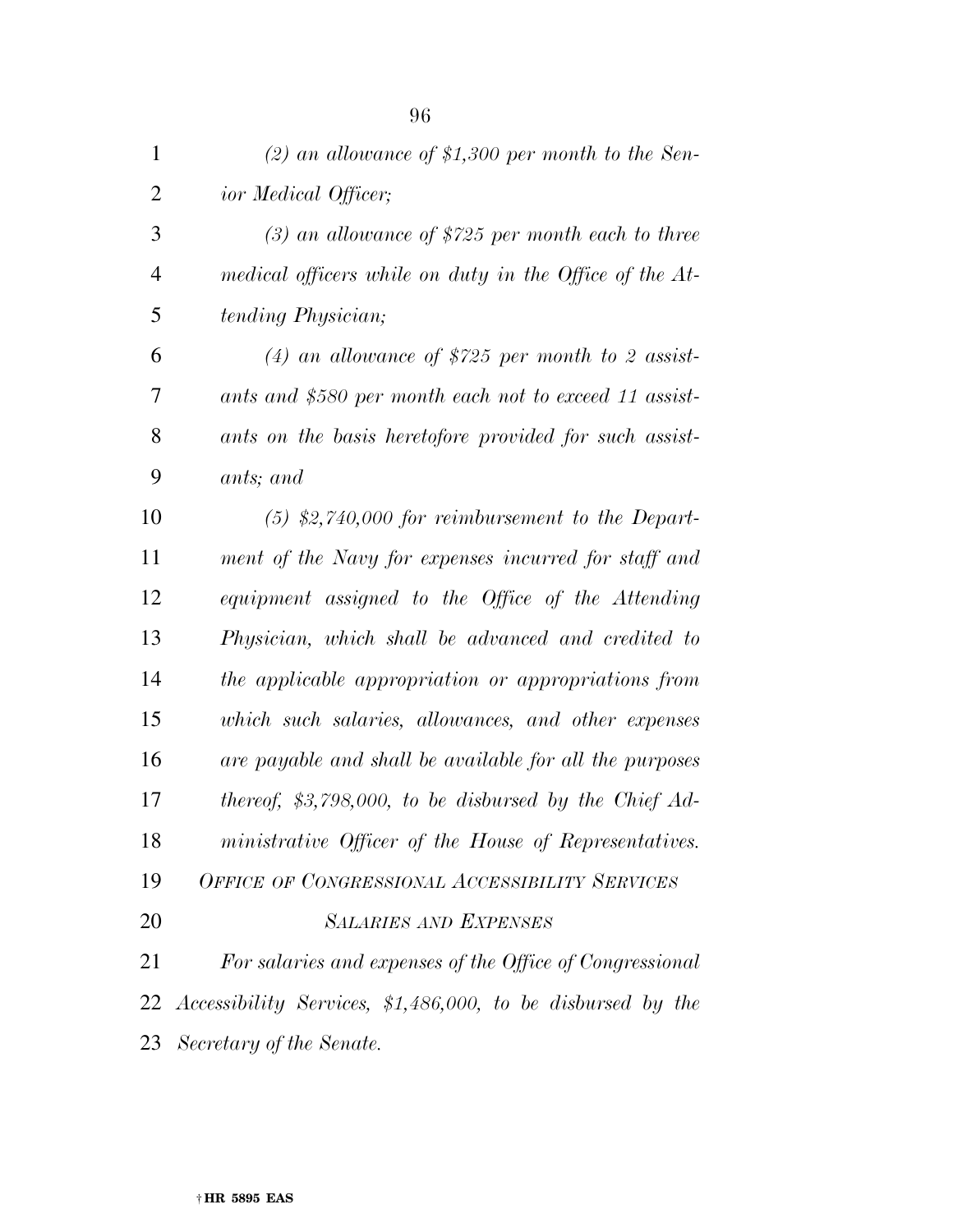| $\mathbf{1}$   | (2) an allowance of \$1,300 per month to the Sen-           |
|----------------|-------------------------------------------------------------|
| 2              | ior Medical Officer;                                        |
| 3              | $(3)$ an allowance of \$725 per month each to three         |
| $\overline{4}$ | medical officers while on duty in the Office of the At-     |
| 5              | tending Physician;                                          |
| 6              | (4) an allowance of \$725 per month to 2 assist-            |
| 7              | ants and \$580 per month each not to exceed 11 assist-      |
| 8              | ants on the basis heretofore provided for such assist-      |
| 9              | ants; and                                                   |
| 10             | $(5)$ \$2,740,000 for reimbursement to the Depart-          |
| 11             | ment of the Navy for expenses incurred for staff and        |
| 12             | equipment assigned to the Office of the Attending           |
| 13             | Physician, which shall be advanced and credited to          |
| 14             | the applicable appropriation or appropriations from         |
| 15             | which such salaries, allowances, and other expenses         |
| 16             | are payable and shall be available for all the purposes     |
| 17             | thereof, \$3,798,000, to be disbursed by the Chief $Ad-$    |
| 18             | ministrative Officer of the House of Representatives.       |
| 19             | <b>OFFICE OF CONGRESSIONAL ACCESSIBILITY SERVICES</b>       |
| 20             | <b>SALARIES AND EXPENSES</b>                                |
| 21             | For salaries and expenses of the Office of Congressional    |
| 22             | Accessibility Services, \$1,486,000, to be disbursed by the |
| 23             | Secretary of the Senate.                                    |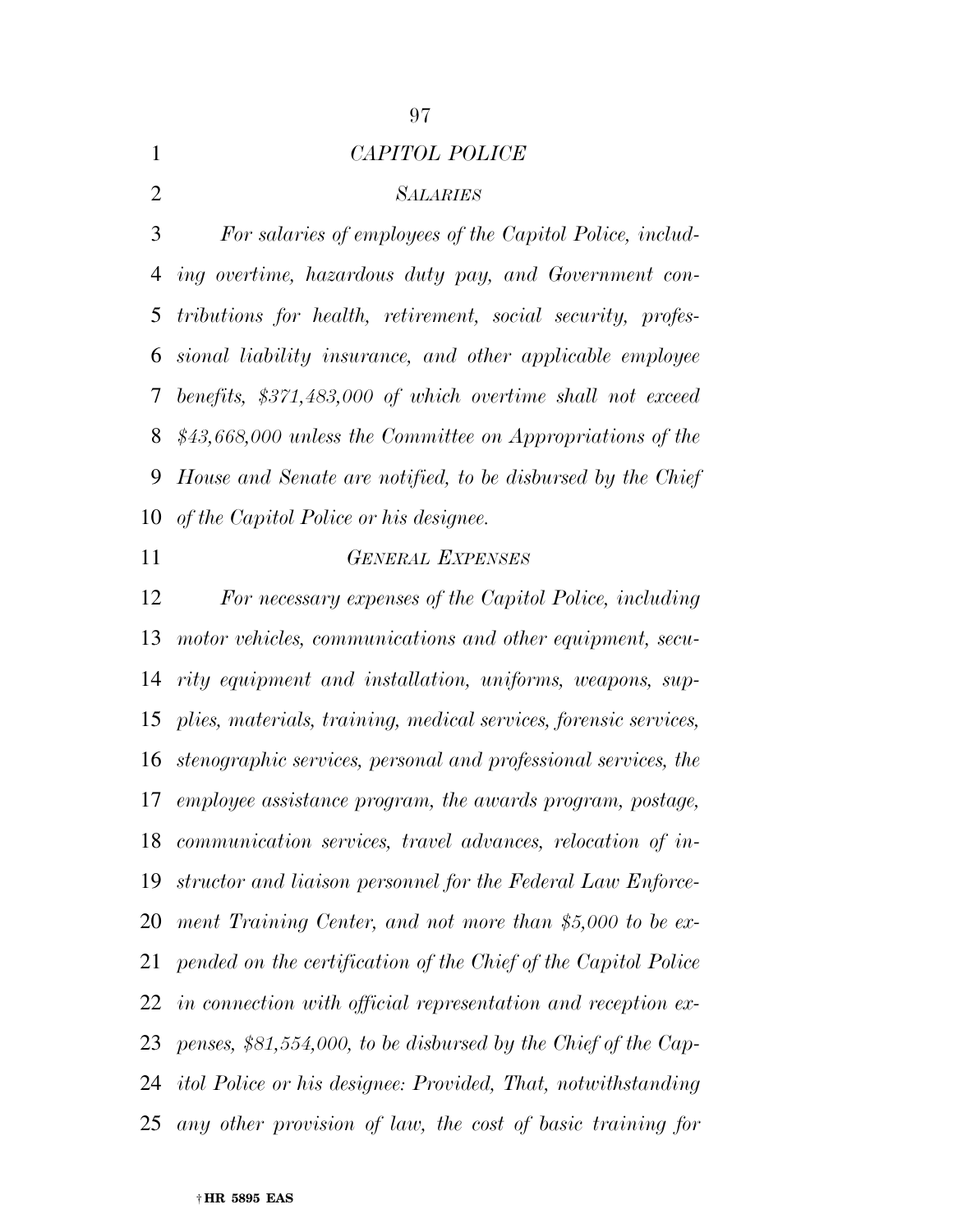## *CAPITOL POLICE*

*SALARIES*

 *For salaries of employees of the Capitol Police, includ- ing overtime, hazardous duty pay, and Government con- tributions for health, retirement, social security, profes- sional liability insurance, and other applicable employee benefits, \$371,483,000 of which overtime shall not exceed \$43,668,000 unless the Committee on Appropriations of the House and Senate are notified, to be disbursed by the Chief of the Capitol Police or his designee.* 

### *GENERAL EXPENSES*

 *For necessary expenses of the Capitol Police, including motor vehicles, communications and other equipment, secu- rity equipment and installation, uniforms, weapons, sup- plies, materials, training, medical services, forensic services, stenographic services, personal and professional services, the employee assistance program, the awards program, postage, communication services, travel advances, relocation of in- structor and liaison personnel for the Federal Law Enforce- ment Training Center, and not more than \$5,000 to be ex- pended on the certification of the Chief of the Capitol Police in connection with official representation and reception ex- penses, \$81,554,000, to be disbursed by the Chief of the Cap- itol Police or his designee: Provided, That, notwithstanding any other provision of law, the cost of basic training for*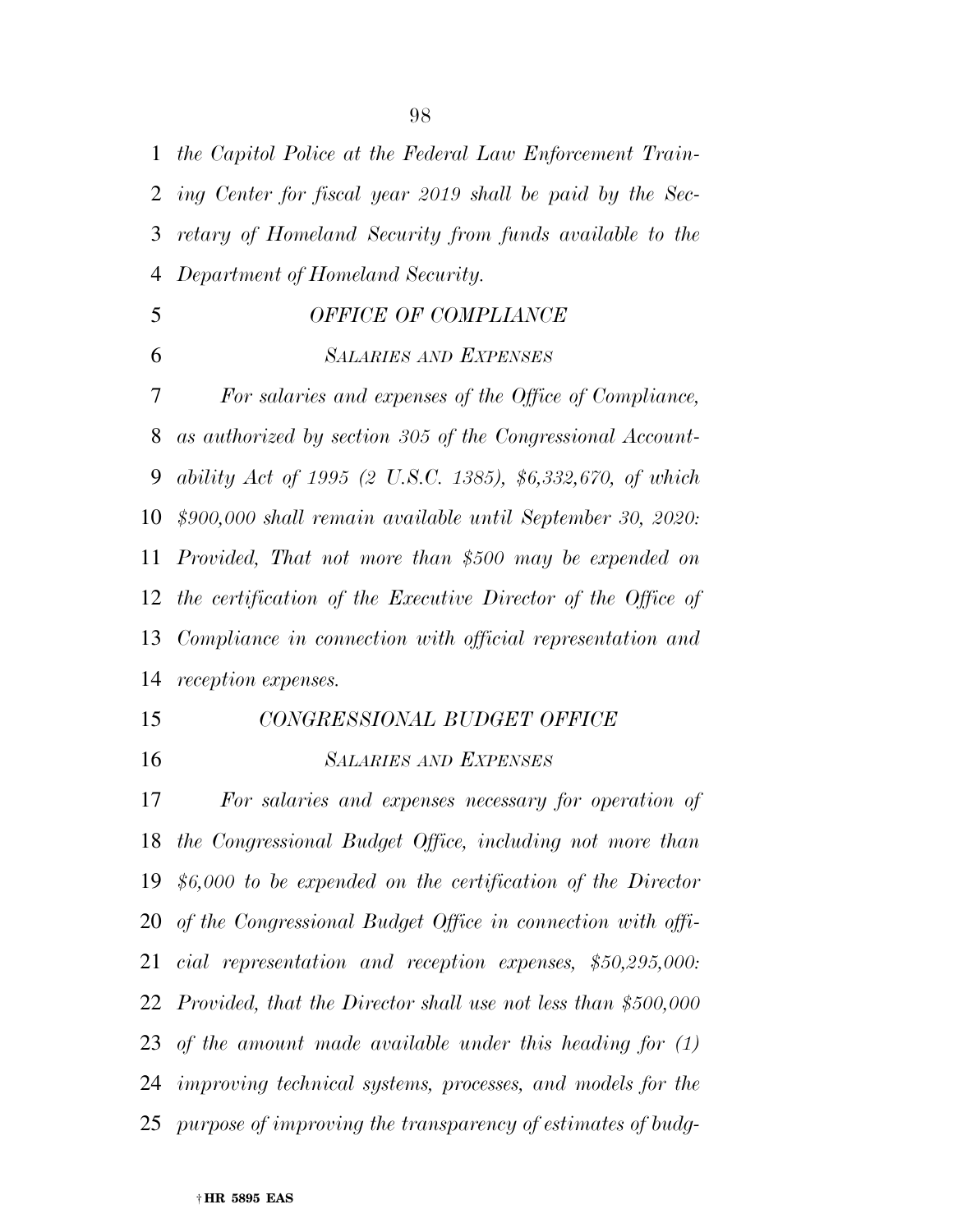*the Capitol Police at the Federal Law Enforcement Train- ing Center for fiscal year 2019 shall be paid by the Sec- retary of Homeland Security from funds available to the Department of Homeland Security. OFFICE OF COMPLIANCE SALARIES AND EXPENSES For salaries and expenses of the Office of Compliance, as authorized by section 305 of the Congressional Account- ability Act of 1995 (2 U.S.C. 1385), \$6,332,670, of which \$900,000 shall remain available until September 30, 2020: Provided, That not more than \$500 may be expended on the certification of the Executive Director of the Office of Compliance in connection with official representation and reception expenses.* 

- *CONGRESSIONAL BUDGET OFFICE*
- 

#### *SALARIES AND EXPENSES*

 *For salaries and expenses necessary for operation of the Congressional Budget Office, including not more than \$6,000 to be expended on the certification of the Director of the Congressional Budget Office in connection with offi- cial representation and reception expenses, \$50,295,000: Provided, that the Director shall use not less than \$500,000 of the amount made available under this heading for (1) improving technical systems, processes, and models for the purpose of improving the transparency of estimates of budg-*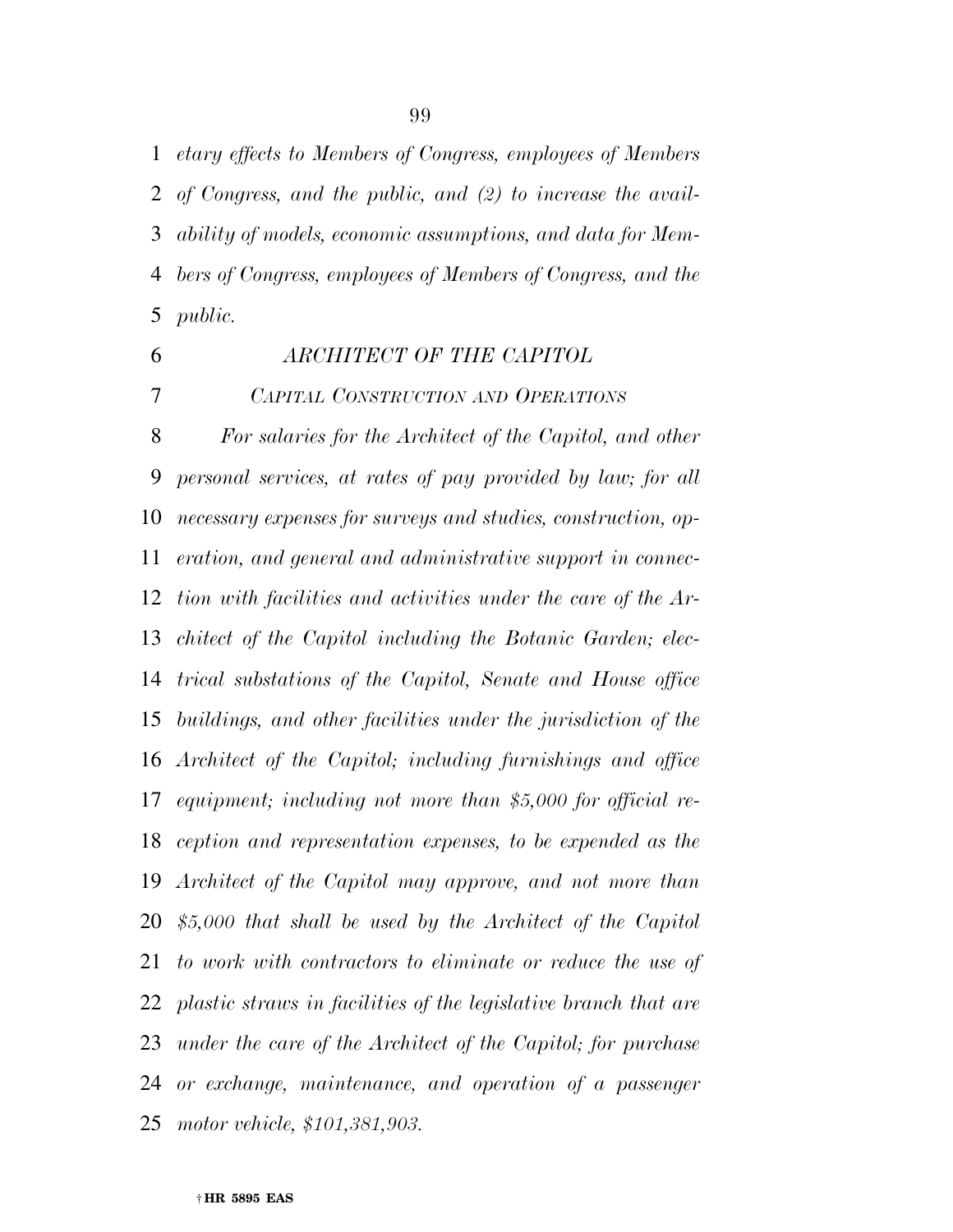*etary effects to Members of Congress, employees of Members of Congress, and the public, and (2) to increase the avail- ability of models, economic assumptions, and data for Mem- bers of Congress, employees of Members of Congress, and the public.* 

## *ARCHITECT OF THE CAPITOL*

 *For salaries for the Architect of the Capitol, and other personal services, at rates of pay provided by law; for all necessary expenses for surveys and studies, construction, op- eration, and general and administrative support in connec- tion with facilities and activities under the care of the Ar- chitect of the Capitol including the Botanic Garden; elec- trical substations of the Capitol, Senate and House office buildings, and other facilities under the jurisdiction of the* 

*CAPITAL CONSTRUCTION AND OPERATIONS*

 *Architect of the Capitol; including furnishings and office equipment; including not more than \$5,000 for official re- ception and representation expenses, to be expended as the Architect of the Capitol may approve, and not more than \$5,000 that shall be used by the Architect of the Capitol to work with contractors to eliminate or reduce the use of plastic straws in facilities of the legislative branch that are under the care of the Architect of the Capitol; for purchase or exchange, maintenance, and operation of a passenger motor vehicle, \$101,381,903.*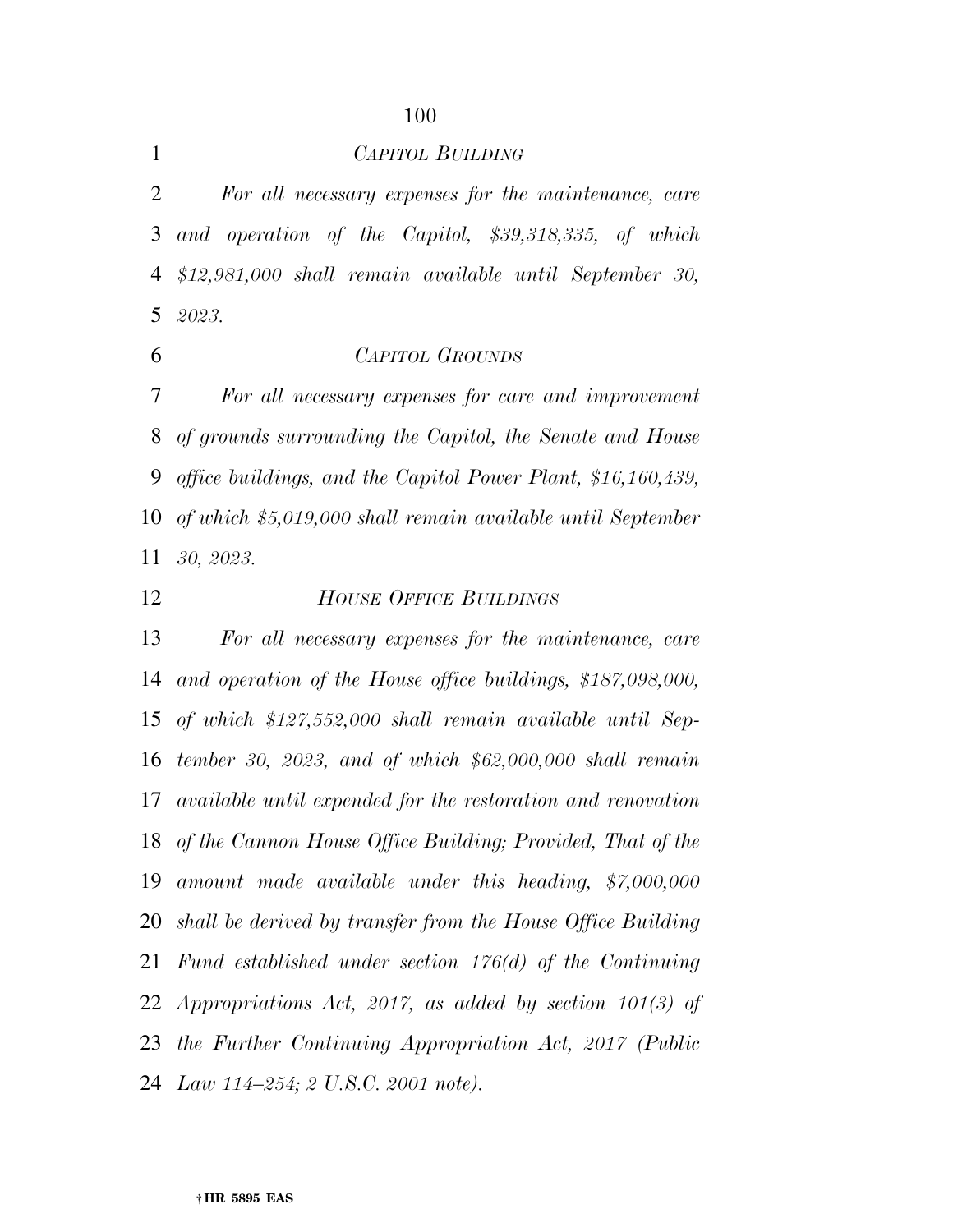*CAPITOL BUILDING*

 *For all necessary expenses for the maintenance, care and operation of the Capitol, \$39,318,335, of which \$12,981,000 shall remain available until September 30, 2023.* 

### *CAPITOL GROUNDS*

 *For all necessary expenses for care and improvement of grounds surrounding the Capitol, the Senate and House office buildings, and the Capitol Power Plant, \$16,160,439, of which \$5,019,000 shall remain available until September 30, 2023.* 

# *HOUSE OFFICE BUILDINGS*

 *For all necessary expenses for the maintenance, care and operation of the House office buildings, \$187,098,000, of which \$127,552,000 shall remain available until Sep- tember 30, 2023, and of which \$62,000,000 shall remain available until expended for the restoration and renovation of the Cannon House Office Building; Provided, That of the amount made available under this heading, \$7,000,000 shall be derived by transfer from the House Office Building Fund established under section 176(d) of the Continuing Appropriations Act, 2017, as added by section 101(3) of the Further Continuing Appropriation Act, 2017 (Public Law 114–254; 2 U.S.C. 2001 note).*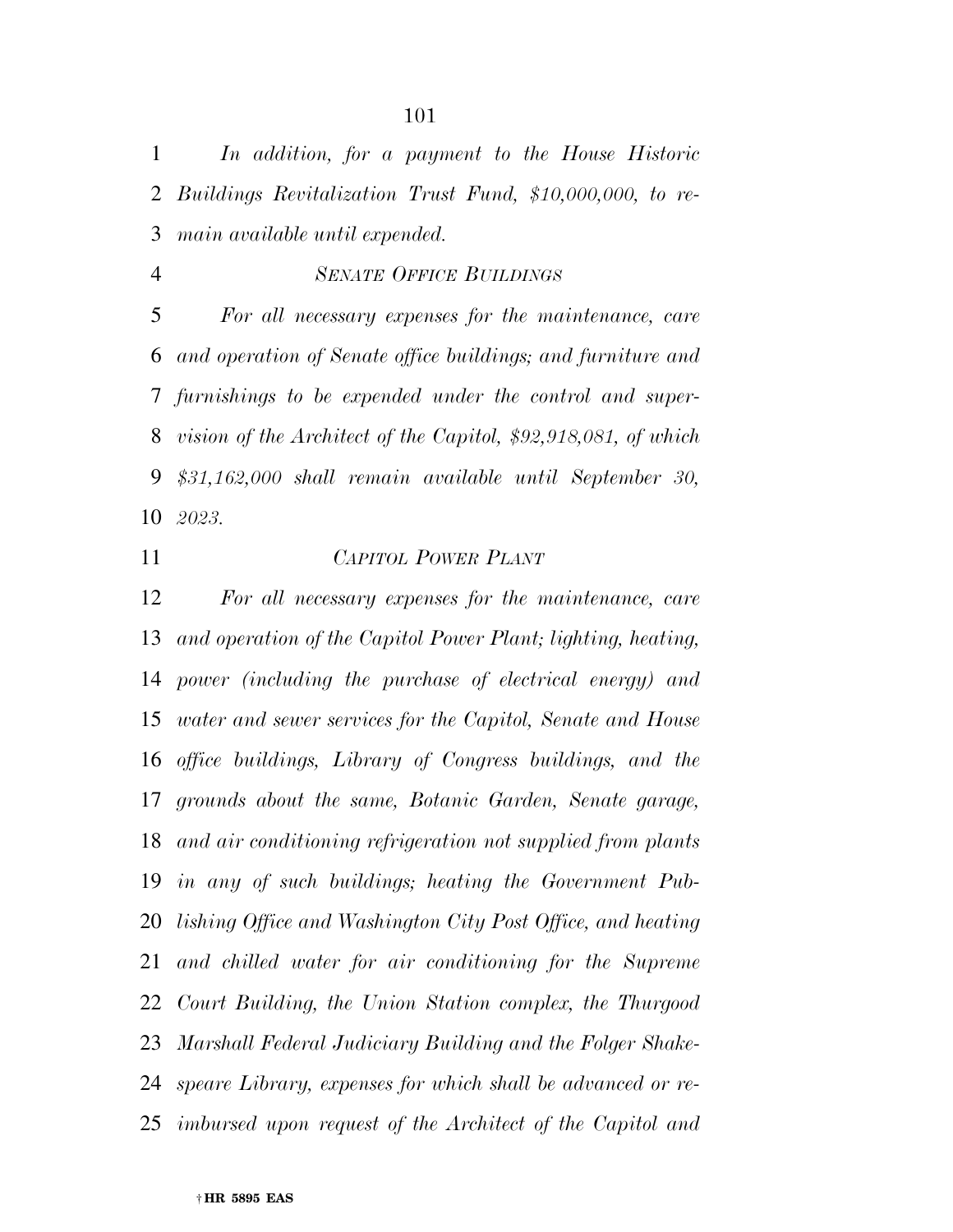*In addition, for a payment to the House Historic Buildings Revitalization Trust Fund, \$10,000,000, to re-main available until expended.* 

*SENATE OFFICE BUILDINGS*

 *For all necessary expenses for the maintenance, care and operation of Senate office buildings; and furniture and furnishings to be expended under the control and super- vision of the Architect of the Capitol, \$92,918,081, of which \$31,162,000 shall remain available until September 30, 2023.* 

## *CAPITOL POWER PLANT*

 *For all necessary expenses for the maintenance, care and operation of the Capitol Power Plant; lighting, heating, power (including the purchase of electrical energy) and water and sewer services for the Capitol, Senate and House office buildings, Library of Congress buildings, and the grounds about the same, Botanic Garden, Senate garage, and air conditioning refrigeration not supplied from plants in any of such buildings; heating the Government Pub- lishing Office and Washington City Post Office, and heating and chilled water for air conditioning for the Supreme Court Building, the Union Station complex, the Thurgood Marshall Federal Judiciary Building and the Folger Shake- speare Library, expenses for which shall be advanced or re-imbursed upon request of the Architect of the Capitol and*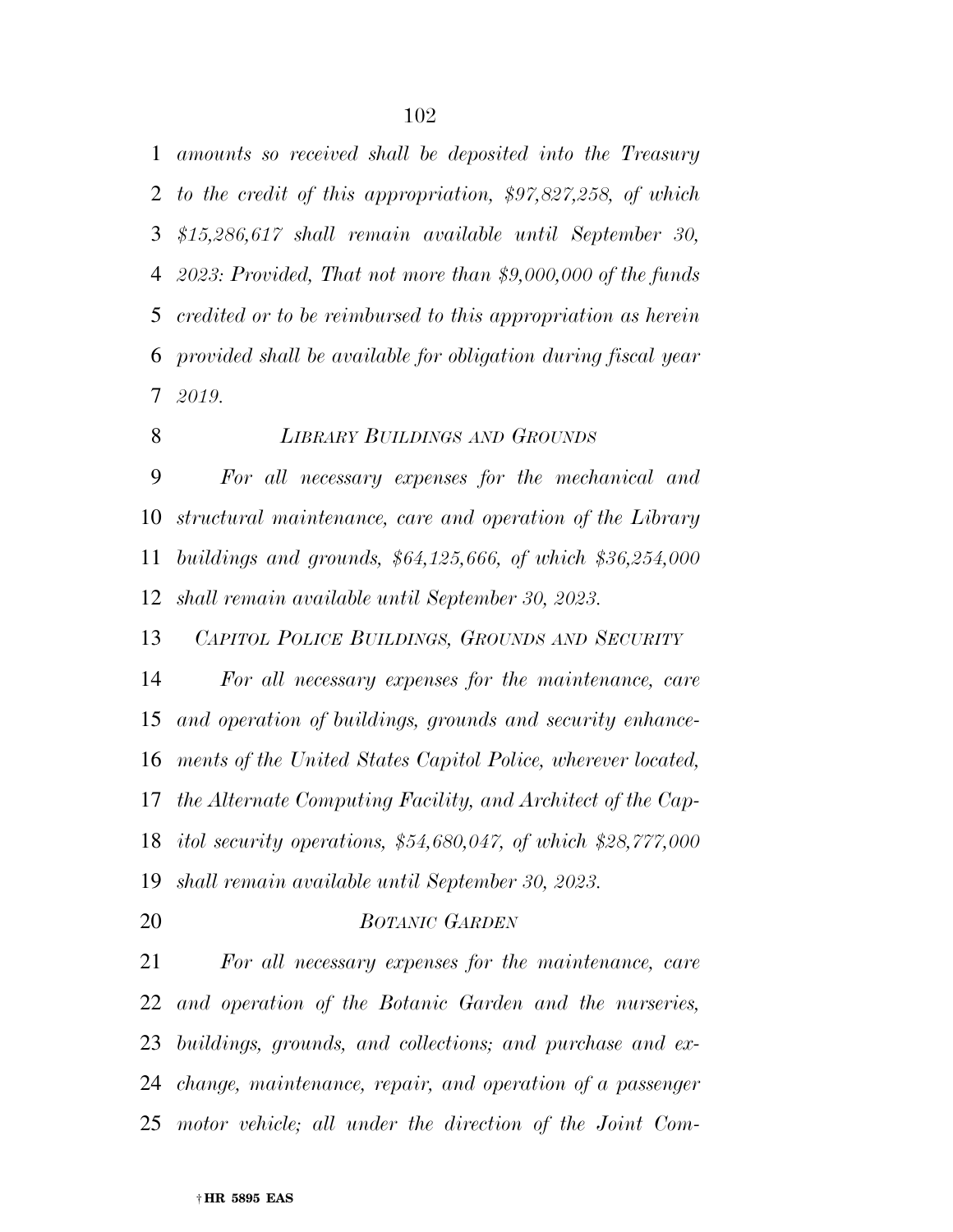*amounts so received shall be deposited into the Treasury to the credit of this appropriation, \$97,827,258, of which \$15,286,617 shall remain available until September 30, 2023: Provided, That not more than \$9,000,000 of the funds credited or to be reimbursed to this appropriation as herein provided shall be available for obligation during fiscal year 2019.* 

*LIBRARY BUILDINGS AND GROUNDS*

 *For all necessary expenses for the mechanical and structural maintenance, care and operation of the Library buildings and grounds, \$64,125,666, of which \$36,254,000 shall remain available until September 30, 2023.* 

*CAPITOL POLICE BUILDINGS, GROUNDS AND SECURITY*

 *For all necessary expenses for the maintenance, care and operation of buildings, grounds and security enhance- ments of the United States Capitol Police, wherever located, the Alternate Computing Facility, and Architect of the Cap- itol security operations, \$54,680,047, of which \$28,777,000 shall remain available until September 30, 2023.* 

#### *BOTANIC GARDEN*

 *For all necessary expenses for the maintenance, care and operation of the Botanic Garden and the nurseries, buildings, grounds, and collections; and purchase and ex- change, maintenance, repair, and operation of a passenger motor vehicle; all under the direction of the Joint Com-*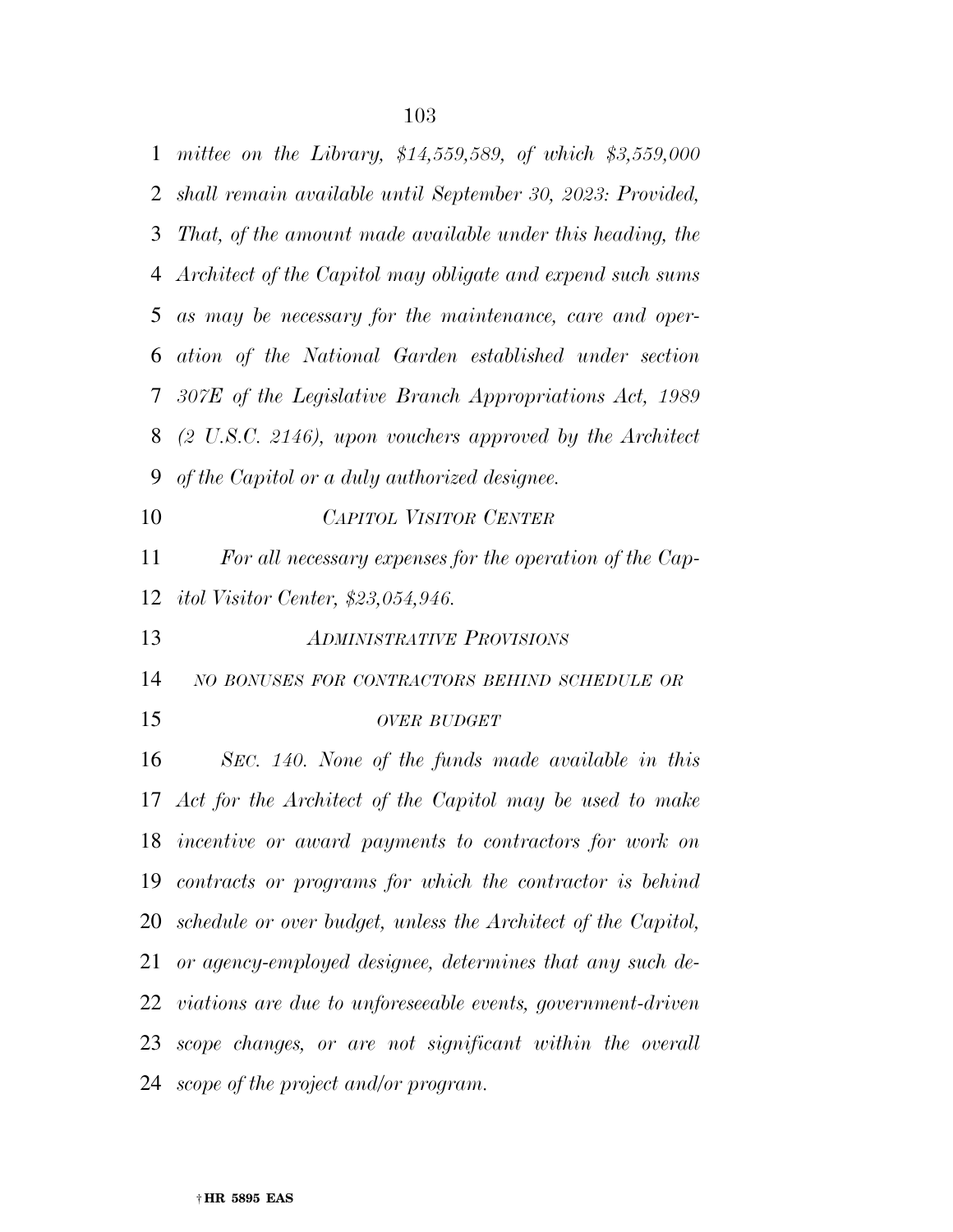*mittee on the Library, \$14,559,589, of which \$3,559,000 shall remain available until September 30, 2023: Provided, That, of the amount made available under this heading, the Architect of the Capitol may obligate and expend such sums as may be necessary for the maintenance, care and oper- ation of the National Garden established under section 307E of the Legislative Branch Appropriations Act, 1989 (2 U.S.C. 2146), upon vouchers approved by the Architect of the Capitol or a duly authorized designee. CAPITOL VISITOR CENTER For all necessary expenses for the operation of the Cap- itol Visitor Center, \$23,054,946. ADMINISTRATIVE PROVISIONS NO BONUSES FOR CONTRACTORS BEHIND SCHEDULE OR OVER BUDGET SEC. 140. None of the funds made available in this Act for the Architect of the Capitol may be used to make incentive or award payments to contractors for work on contracts or programs for which the contractor is behind schedule or over budget, unless the Architect of the Capitol, or agency-employed designee, determines that any such de-viations are due to unforeseeable events, government-driven* 

*scope changes, or are not significant within the overall* 

*scope of the project and/or program.*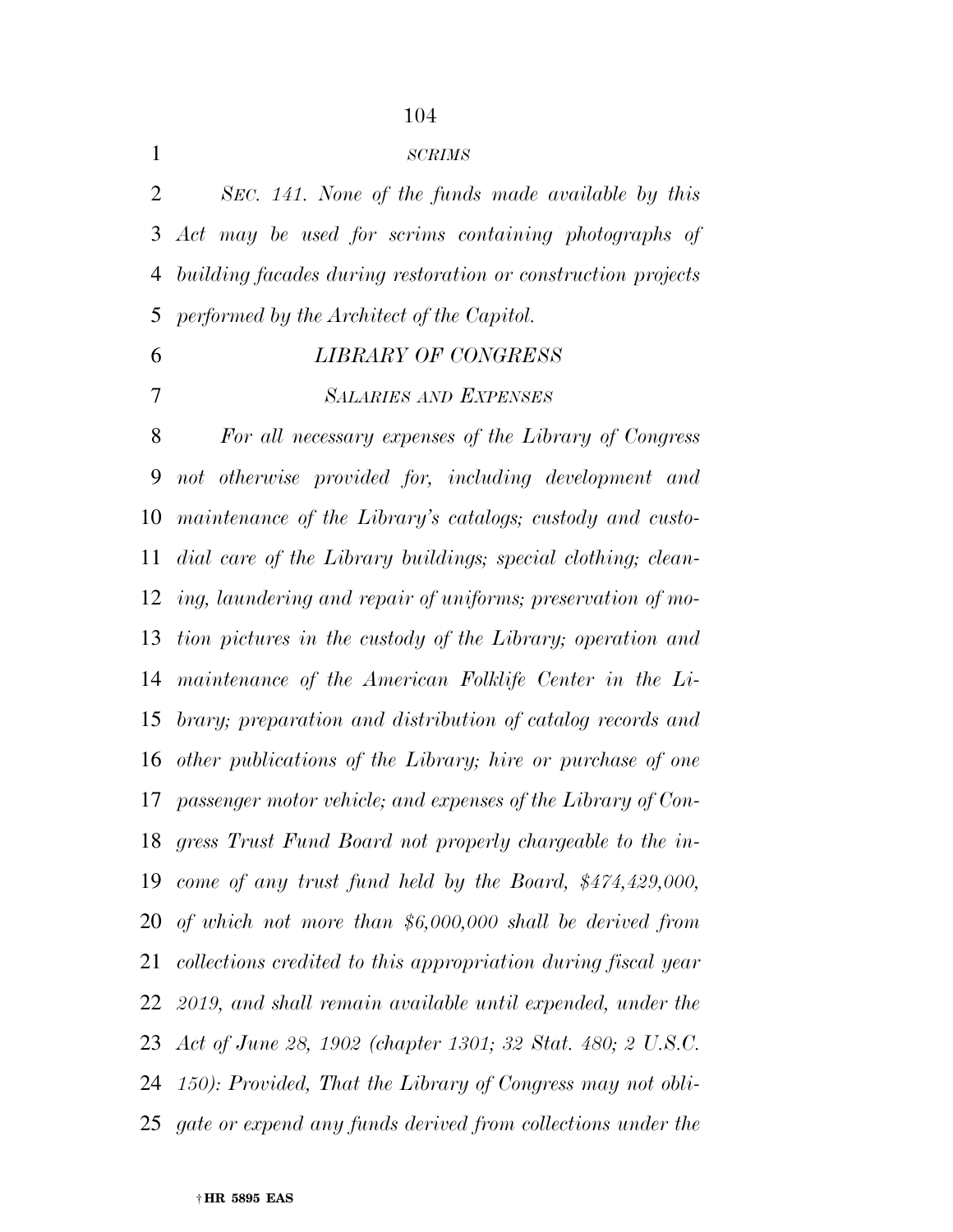*SCRIMS SEC. 141. None of the funds made available by this Act may be used for scrims containing photographs of building facades during restoration or construction projects performed by the Architect of the Capitol. LIBRARY OF CONGRESS SALARIES AND EXPENSES For all necessary expenses of the Library of Congress not otherwise provided for, including development and maintenance of the Library's catalogs; custody and custo- dial care of the Library buildings; special clothing; clean- ing, laundering and repair of uniforms; preservation of mo- tion pictures in the custody of the Library; operation and maintenance of the American Folklife Center in the Li- brary; preparation and distribution of catalog records and other publications of the Library; hire or purchase of one passenger motor vehicle; and expenses of the Library of Con-*

 *gress Trust Fund Board not properly chargeable to the in- come of any trust fund held by the Board, \$474,429,000, of which not more than \$6,000,000 shall be derived from collections credited to this appropriation during fiscal year 2019, and shall remain available until expended, under the Act of June 28, 1902 (chapter 1301; 32 Stat. 480; 2 U.S.C. 150): Provided, That the Library of Congress may not obli-gate or expend any funds derived from collections under the*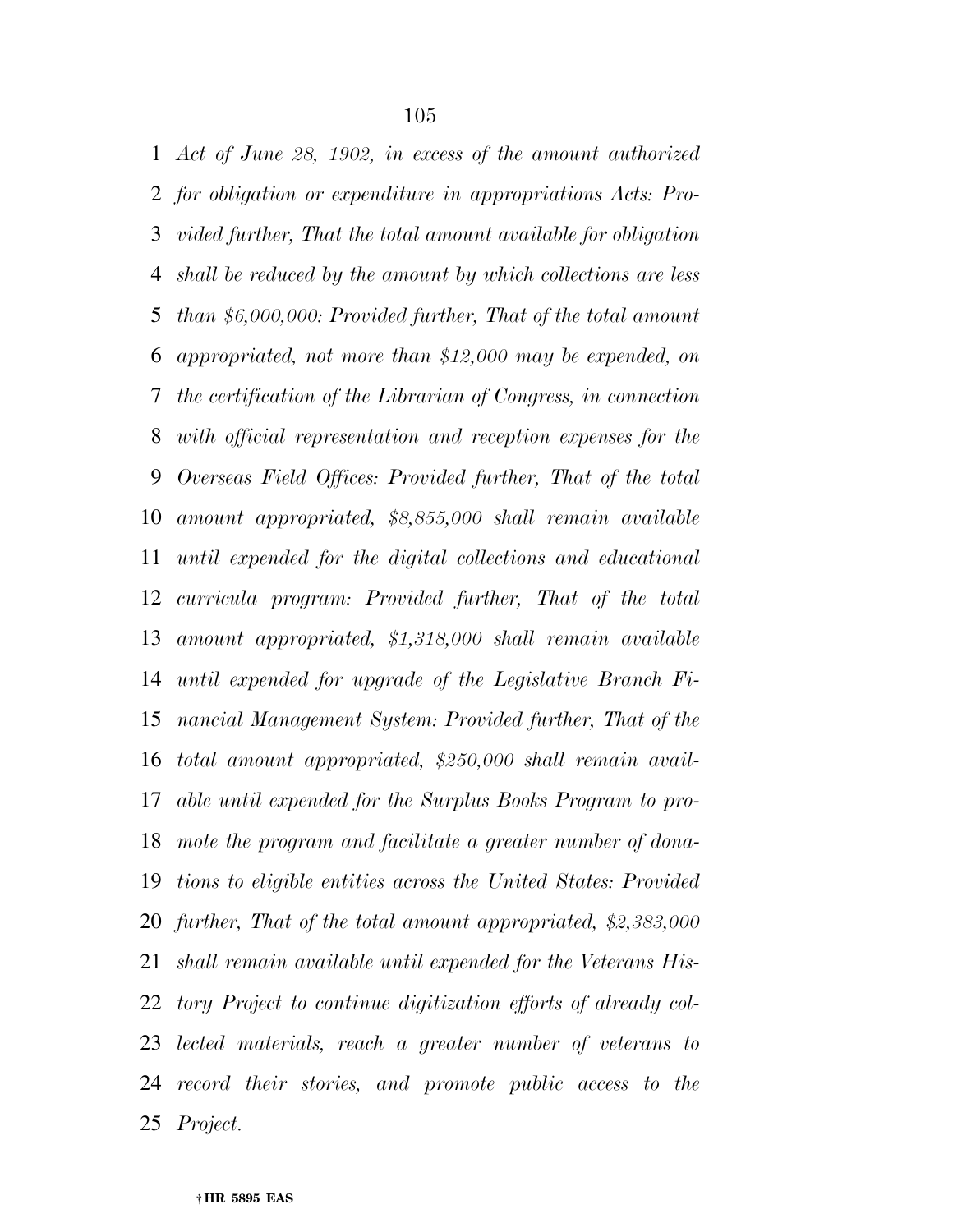*Act of June 28, 1902, in excess of the amount authorized for obligation or expenditure in appropriations Acts: Pro- vided further, That the total amount available for obligation shall be reduced by the amount by which collections are less than \$6,000,000: Provided further, That of the total amount appropriated, not more than \$12,000 may be expended, on the certification of the Librarian of Congress, in connection with official representation and reception expenses for the Overseas Field Offices: Provided further, That of the total amount appropriated, \$8,855,000 shall remain available until expended for the digital collections and educational curricula program: Provided further, That of the total amount appropriated, \$1,318,000 shall remain available until expended for upgrade of the Legislative Branch Fi- nancial Management System: Provided further, That of the total amount appropriated, \$250,000 shall remain avail- able until expended for the Surplus Books Program to pro- mote the program and facilitate a greater number of dona- tions to eligible entities across the United States: Provided further, That of the total amount appropriated, \$2,383,000 shall remain available until expended for the Veterans His- tory Project to continue digitization efforts of already col- lected materials, reach a greater number of veterans to record their stories, and promote public access to the Project.*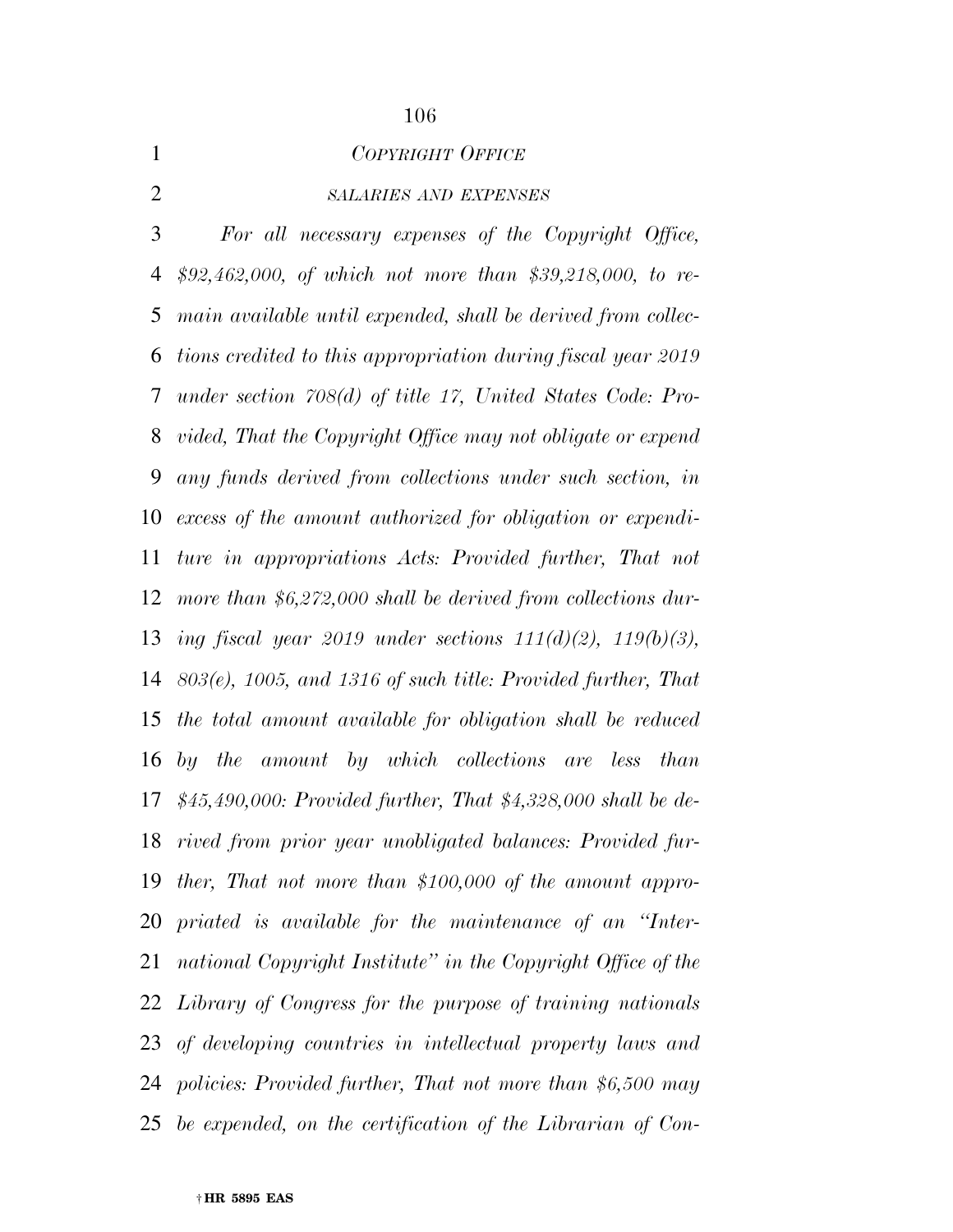*COPYRIGHT OFFICE*

# *SALARIES AND EXPENSES*

 *For all necessary expenses of the Copyright Office, \$92,462,000, of which not more than \$39,218,000, to re- main available until expended, shall be derived from collec- tions credited to this appropriation during fiscal year 2019 under section 708(d) of title 17, United States Code: Pro- vided, That the Copyright Office may not obligate or expend any funds derived from collections under such section, in excess of the amount authorized for obligation or expendi- ture in appropriations Acts: Provided further, That not more than \$6,272,000 shall be derived from collections dur- ing fiscal year 2019 under sections 111(d)(2), 119(b)(3), 803(e), 1005, and 1316 of such title: Provided further, That the total amount available for obligation shall be reduced by the amount by which collections are less than \$45,490,000: Provided further, That \$4,328,000 shall be de- rived from prior year unobligated balances: Provided fur- ther, That not more than \$100,000 of the amount appro- priated is available for the maintenance of an ''Inter- national Copyright Institute'' in the Copyright Office of the Library of Congress for the purpose of training nationals of developing countries in intellectual property laws and policies: Provided further, That not more than \$6,500 may be expended, on the certification of the Librarian of Con-*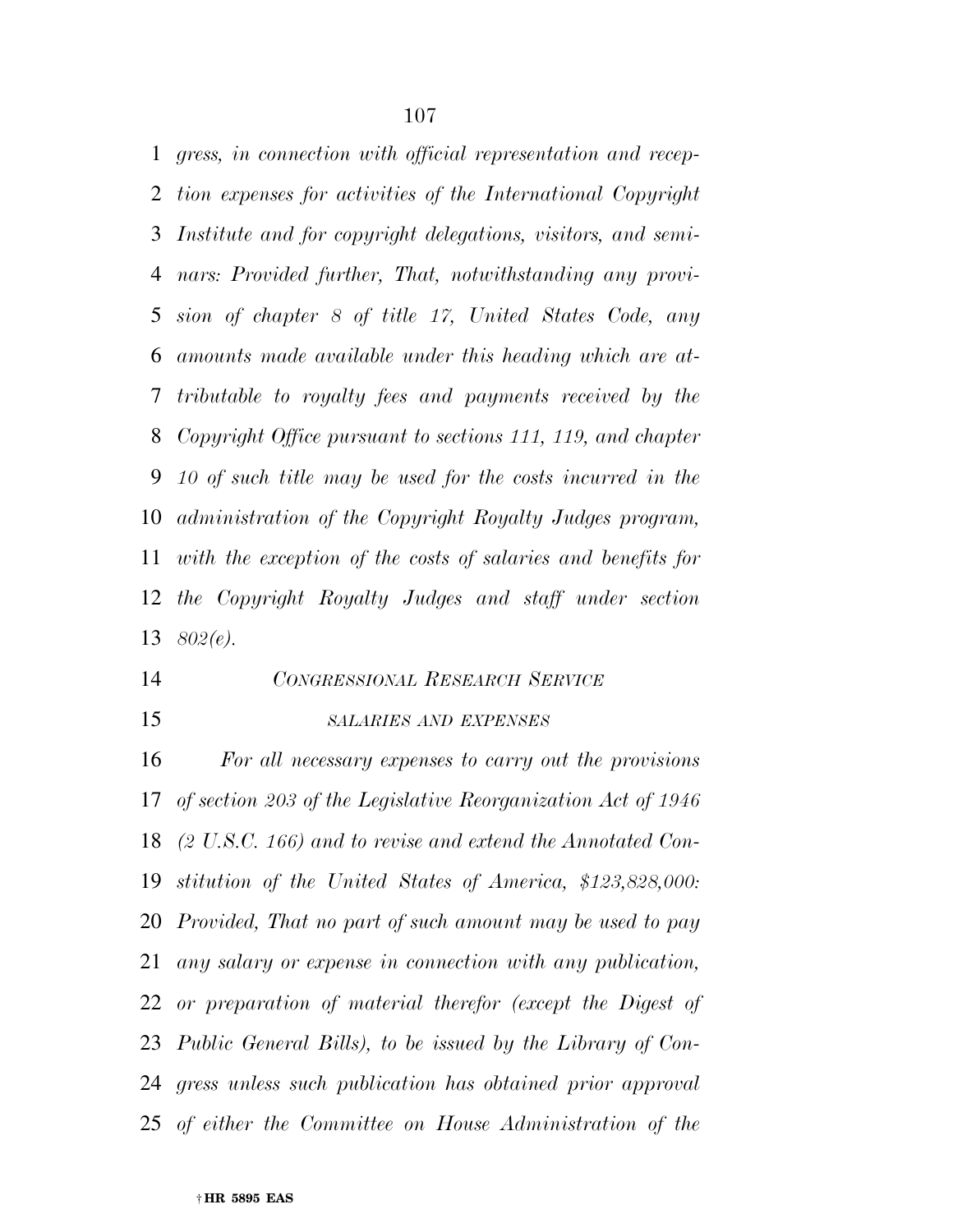*gress, in connection with official representation and recep- tion expenses for activities of the International Copyright Institute and for copyright delegations, visitors, and semi- nars: Provided further, That, notwithstanding any provi- sion of chapter 8 of title 17, United States Code, any amounts made available under this heading which are at- tributable to royalty fees and payments received by the Copyright Office pursuant to sections 111, 119, and chapter 10 of such title may be used for the costs incurred in the administration of the Copyright Royalty Judges program, with the exception of the costs of salaries and benefits for the Copyright Royalty Judges and staff under section 802(e).* 

- *CONGRESSIONAL RESEARCH SERVICE*
- 

# *SALARIES AND EXPENSES*

 *For all necessary expenses to carry out the provisions of section 203 of the Legislative Reorganization Act of 1946 (2 U.S.C. 166) and to revise and extend the Annotated Con- stitution of the United States of America, \$123,828,000: Provided, That no part of such amount may be used to pay any salary or expense in connection with any publication, or preparation of material therefor (except the Digest of Public General Bills), to be issued by the Library of Con- gress unless such publication has obtained prior approval of either the Committee on House Administration of the*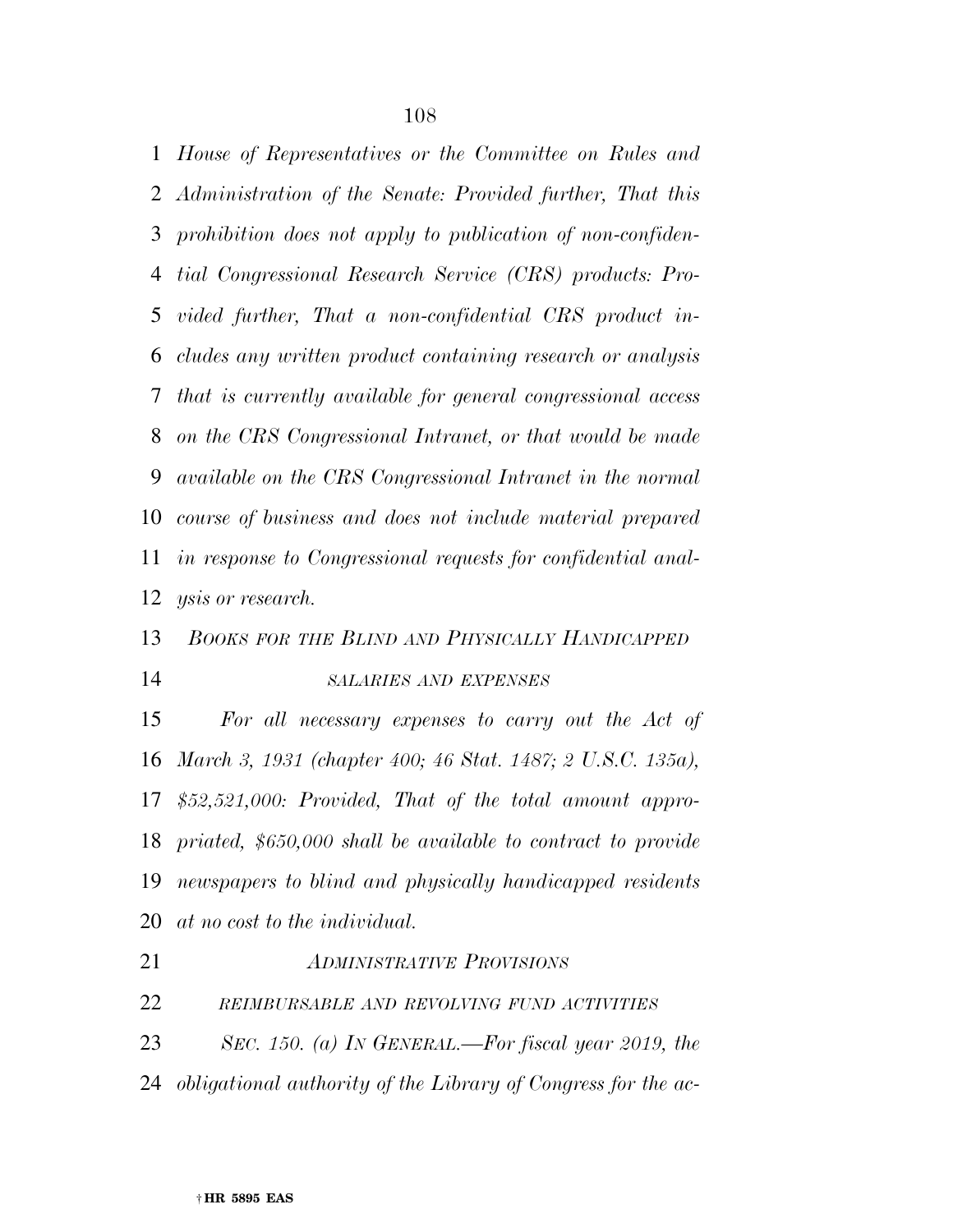*House of Representatives or the Committee on Rules and Administration of the Senate: Provided further, That this prohibition does not apply to publication of non-confiden- tial Congressional Research Service (CRS) products: Pro- vided further, That a non-confidential CRS product in- cludes any written product containing research or analysis that is currently available for general congressional access on the CRS Congressional Intranet, or that would be made available on the CRS Congressional Intranet in the normal course of business and does not include material prepared in response to Congressional requests for confidential anal-ysis or research.* 

 *BOOKS FOR THE BLIND AND PHYSICALLY HANDICAPPED SALARIES AND EXPENSES*

 *For all necessary expenses to carry out the Act of March 3, 1931 (chapter 400; 46 Stat. 1487; 2 U.S.C. 135a), \$52,521,000: Provided, That of the total amount appro- priated, \$650,000 shall be available to contract to provide newspapers to blind and physically handicapped residents at no cost to the individual.* 

 *ADMINISTRATIVE PROVISIONS REIMBURSABLE AND REVOLVING FUND ACTIVITIES SEC. 150. (a) IN GENERAL.—For fiscal year 2019, the obligational authority of the Library of Congress for the ac-*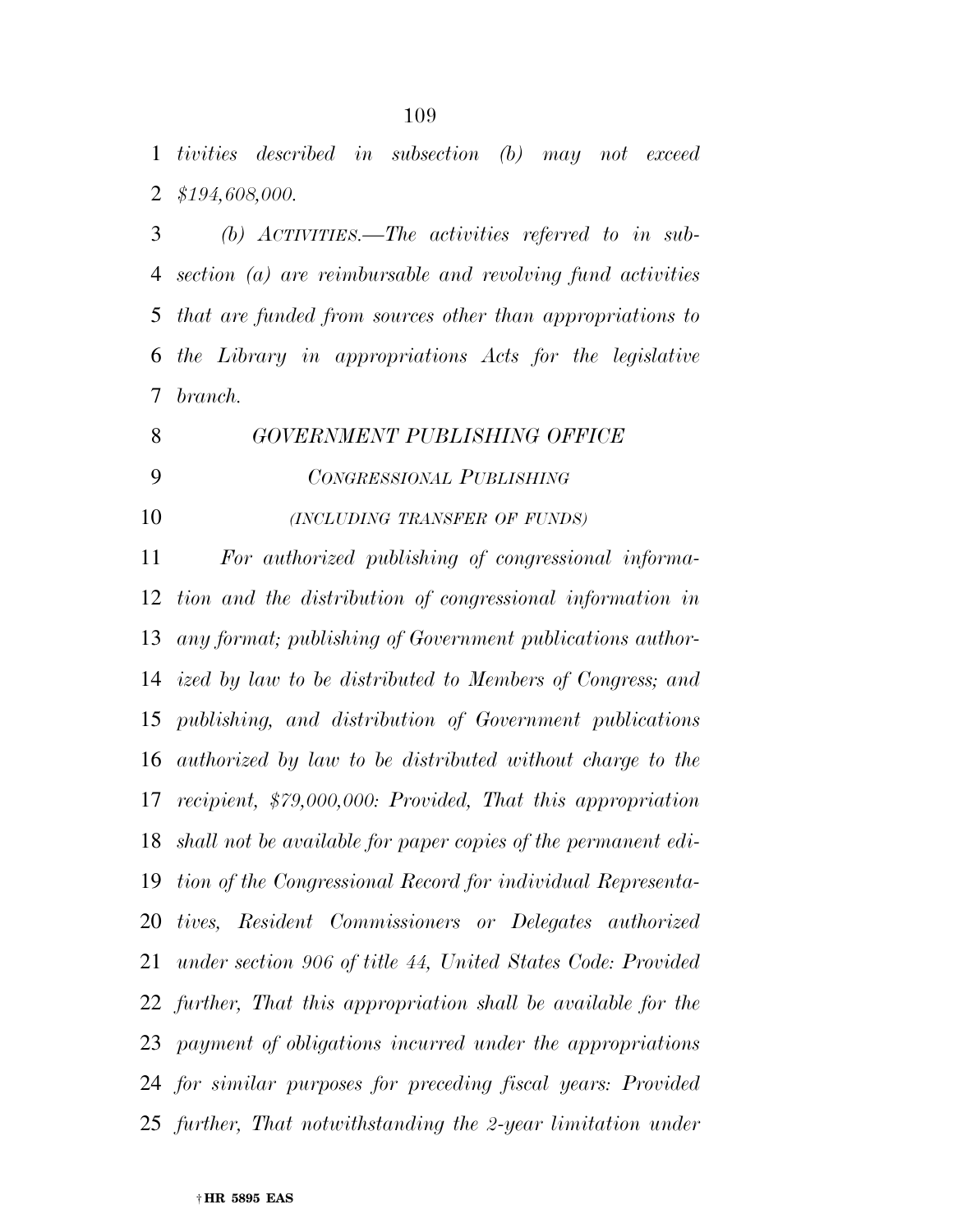*tivities described in subsection (b) may not exceed \$194,608,000.* 

 *(b) ACTIVITIES.—The activities referred to in sub- section (a) are reimbursable and revolving fund activities that are funded from sources other than appropriations to the Library in appropriations Acts for the legislative branch.* 

| GOVERNMENT PUBLISHING OFFICE |
|------------------------------|
| CONGRESSIONAL PUBLISHING     |

*(INCLUDING TRANSFER OF FUNDS)*

 *For authorized publishing of congressional informa- tion and the distribution of congressional information in any format; publishing of Government publications author- ized by law to be distributed to Members of Congress; and publishing, and distribution of Government publications authorized by law to be distributed without charge to the recipient, \$79,000,000: Provided, That this appropriation shall not be available for paper copies of the permanent edi- tion of the Congressional Record for individual Representa- tives, Resident Commissioners or Delegates authorized under section 906 of title 44, United States Code: Provided further, That this appropriation shall be available for the payment of obligations incurred under the appropriations for similar purposes for preceding fiscal years: Provided further, That notwithstanding the 2-year limitation under*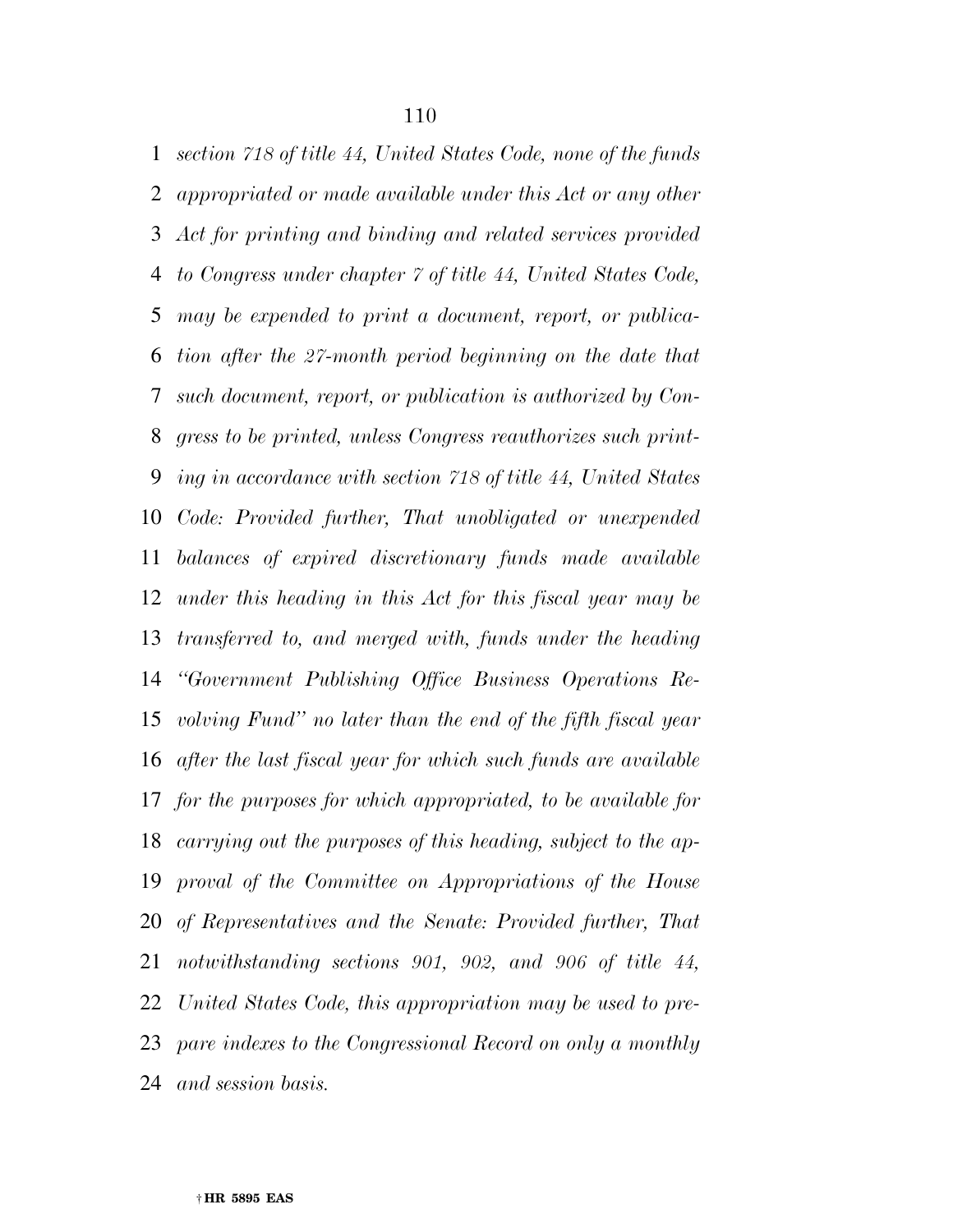*section 718 of title 44, United States Code, none of the funds appropriated or made available under this Act or any other Act for printing and binding and related services provided to Congress under chapter 7 of title 44, United States Code, may be expended to print a document, report, or publica- tion after the 27-month period beginning on the date that such document, report, or publication is authorized by Con- gress to be printed, unless Congress reauthorizes such print- ing in accordance with section 718 of title 44, United States Code: Provided further, That unobligated or unexpended balances of expired discretionary funds made available under this heading in this Act for this fiscal year may be transferred to, and merged with, funds under the heading ''Government Publishing Office Business Operations Re- volving Fund'' no later than the end of the fifth fiscal year after the last fiscal year for which such funds are available for the purposes for which appropriated, to be available for carrying out the purposes of this heading, subject to the ap- proval of the Committee on Appropriations of the House of Representatives and the Senate: Provided further, That notwithstanding sections 901, 902, and 906 of title 44, United States Code, this appropriation may be used to pre- pare indexes to the Congressional Record on only a monthly and session basis.*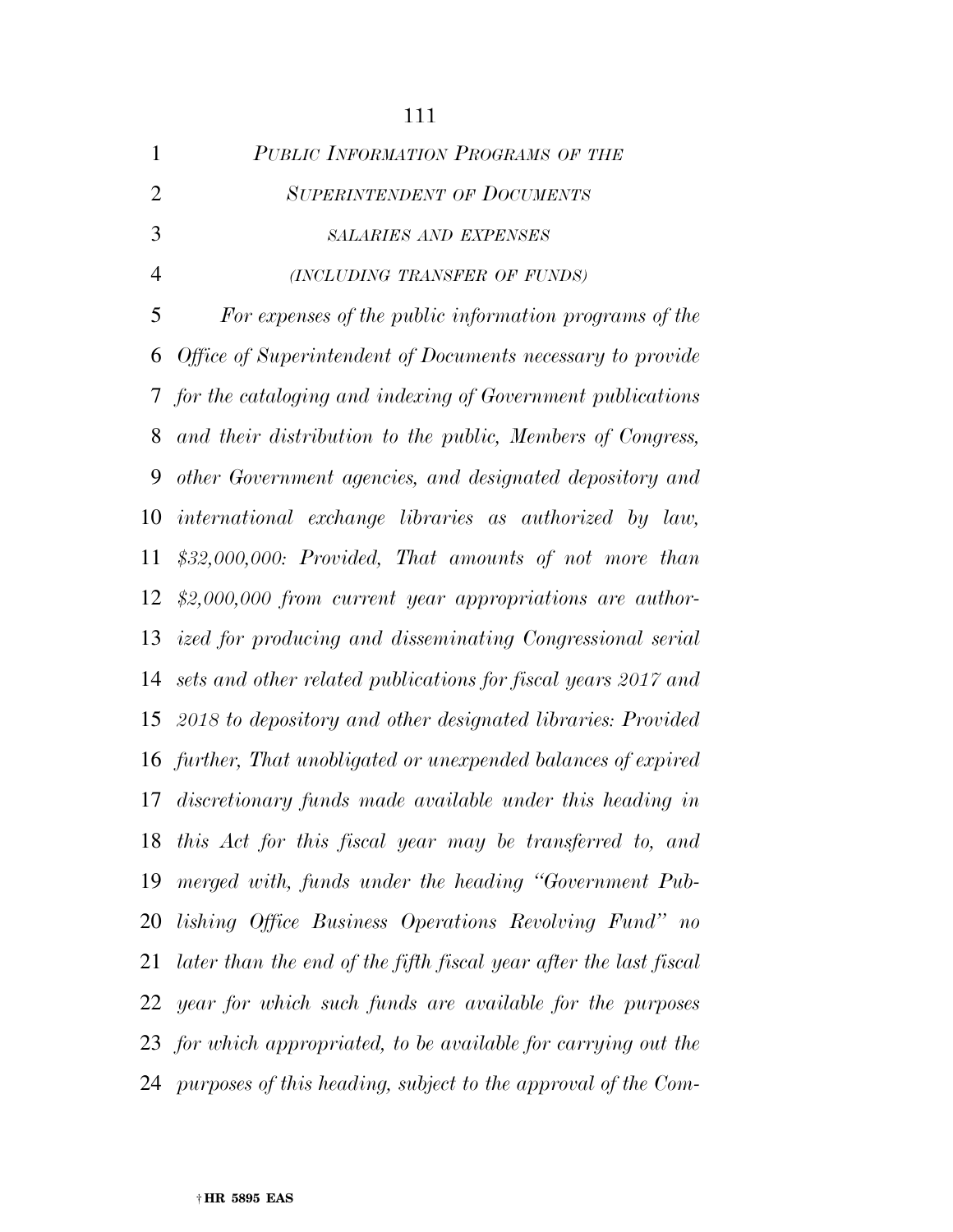| $\mathbf{1}$   | PUBLIC INFORMATION PROGRAMS OF THE                                  |
|----------------|---------------------------------------------------------------------|
| $\overline{2}$ | <b>SUPERINTENDENT OF DOCUMENTS</b>                                  |
| 3              | <b>SALARIES AND EXPENSES</b>                                        |
| $\overline{4}$ | (INCLUDING TRANSFER OF FUNDS)                                       |
| 5              | For expenses of the public information programs of the              |
| 6              | Office of Superintendent of Documents necessary to provide          |
| 7              | for the cataloging and indexing of Government publications          |
| 8              | and their distribution to the public, Members of Congress,          |
| 9              | other Government agencies, and designated depository and            |
| 10             | international exchange libraries as authorized by law,              |
| 11             | $$32,000,000$ : Provided, That amounts of not more than             |
| 12             | $$2,000,000$ from current year appropriations are author-           |
| 13             | ized for producing and disseminating Congressional serial           |
| 14             | sets and other related publications for fiscal years 2017 and       |
| 15             | $2018\ to\ depository\ and\ other\ designated\ libraries: Provided$ |
| 16             | further, That unobligated or unexpended balances of expired         |
| 17             | discretionary funds made available under this heading in            |
| 18             | this Act for this fiscal year may be transferred to, and            |
| 19             | merged with, funds under the heading "Government Pub-               |
| 20             | lishing Office Business Operations Revolving Fund" no               |
| 21             | later than the end of the fifth fiscal year after the last fiscal   |
|                | 22 year for which such funds are available for the purposes         |
|                | 23 for which appropriated, to be available for carrying out the     |
|                | 24 purposes of this heading, subject to the approval of the Com-    |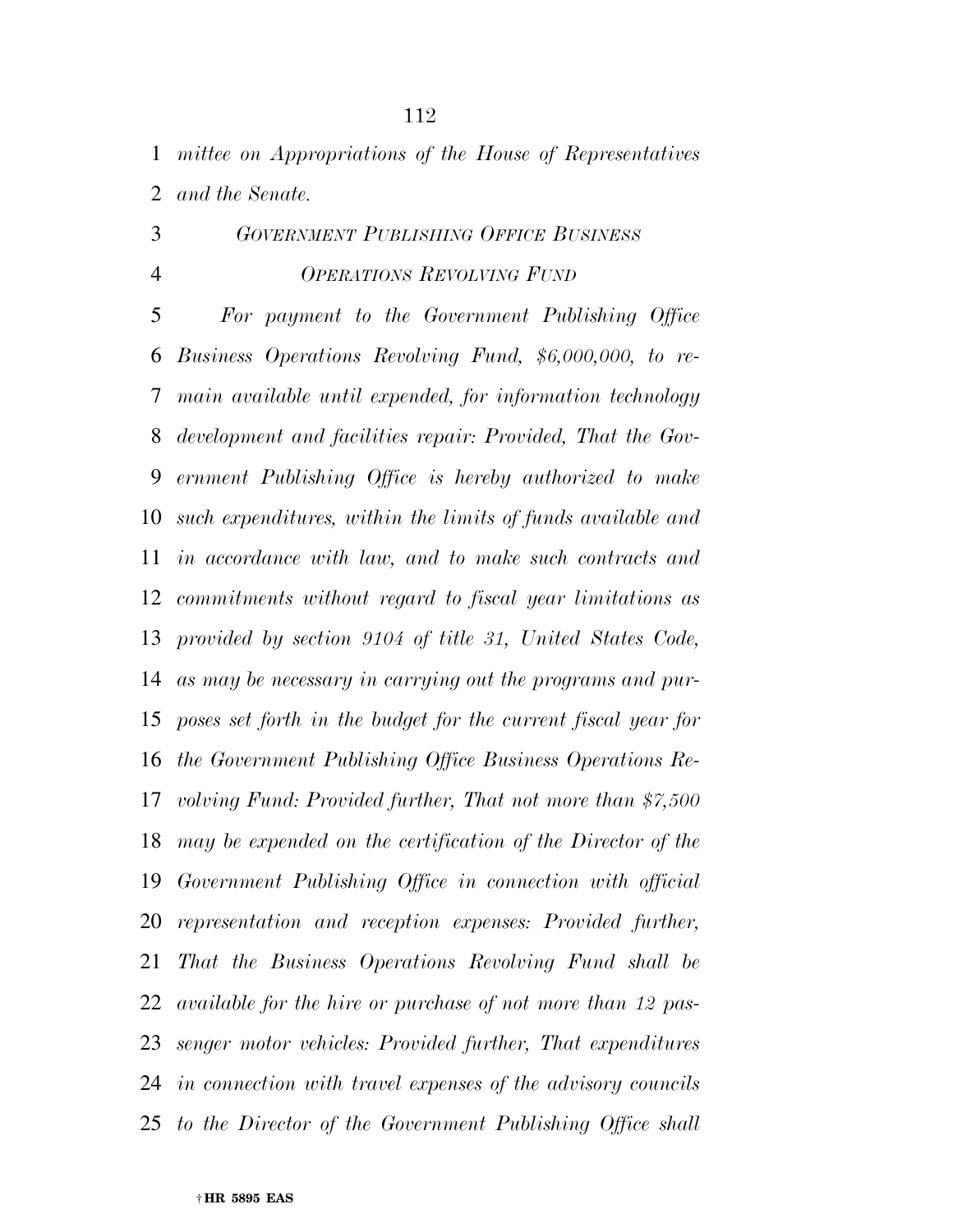*mittee on Appropriations of the House of Representatives and the Senate.* 

 *GOVERNMENT PUBLISHING OFFICE BUSINESS OPERATIONS REVOLVING FUND*

 *For payment to the Government Publishing Office Business Operations Revolving Fund, \$6,000,000, to re- main available until expended, for information technology development and facilities repair: Provided, That the Gov- ernment Publishing Office is hereby authorized to make such expenditures, within the limits of funds available and in accordance with law, and to make such contracts and commitments without regard to fiscal year limitations as provided by section 9104 of title 31, United States Code, as may be necessary in carrying out the programs and pur- poses set forth in the budget for the current fiscal year for the Government Publishing Office Business Operations Re- volving Fund: Provided further, That not more than \$7,500 may be expended on the certification of the Director of the Government Publishing Office in connection with official representation and reception expenses: Provided further, That the Business Operations Revolving Fund shall be available for the hire or purchase of not more than 12 pas- senger motor vehicles: Provided further, That expenditures in connection with travel expenses of the advisory councils to the Director of the Government Publishing Office shall*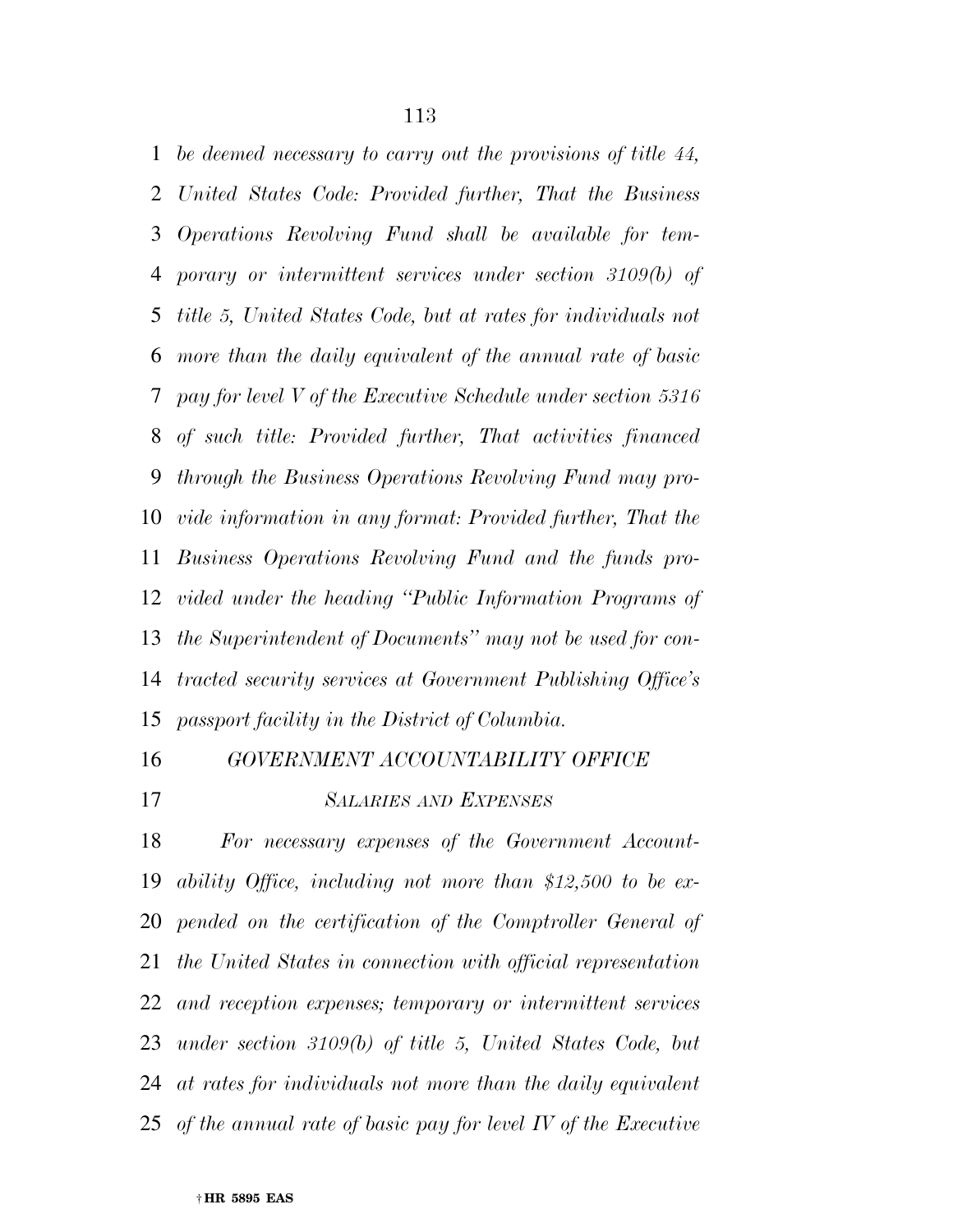*be deemed necessary to carry out the provisions of title 44, United States Code: Provided further, That the Business Operations Revolving Fund shall be available for tem- porary or intermittent services under section 3109(b) of title 5, United States Code, but at rates for individuals not more than the daily equivalent of the annual rate of basic pay for level V of the Executive Schedule under section 5316 of such title: Provided further, That activities financed through the Business Operations Revolving Fund may pro- vide information in any format: Provided further, That the Business Operations Revolving Fund and the funds pro- vided under the heading ''Public Information Programs of the Superintendent of Documents'' may not be used for con- tracted security services at Government Publishing Office's passport facility in the District of Columbia.* 

#### *GOVERNMENT ACCOUNTABILITY OFFICE*

#### *SALARIES AND EXPENSES*

 *For necessary expenses of the Government Account- ability Office, including not more than \$12,500 to be ex-pended on the certification of the Comptroller General of the United States in connection with official representation and reception expenses; temporary or intermittent services under section 3109(b) of title 5, United States Code, but at rates for individuals not more than the daily equivalent of the annual rate of basic pay for level IV of the Executive*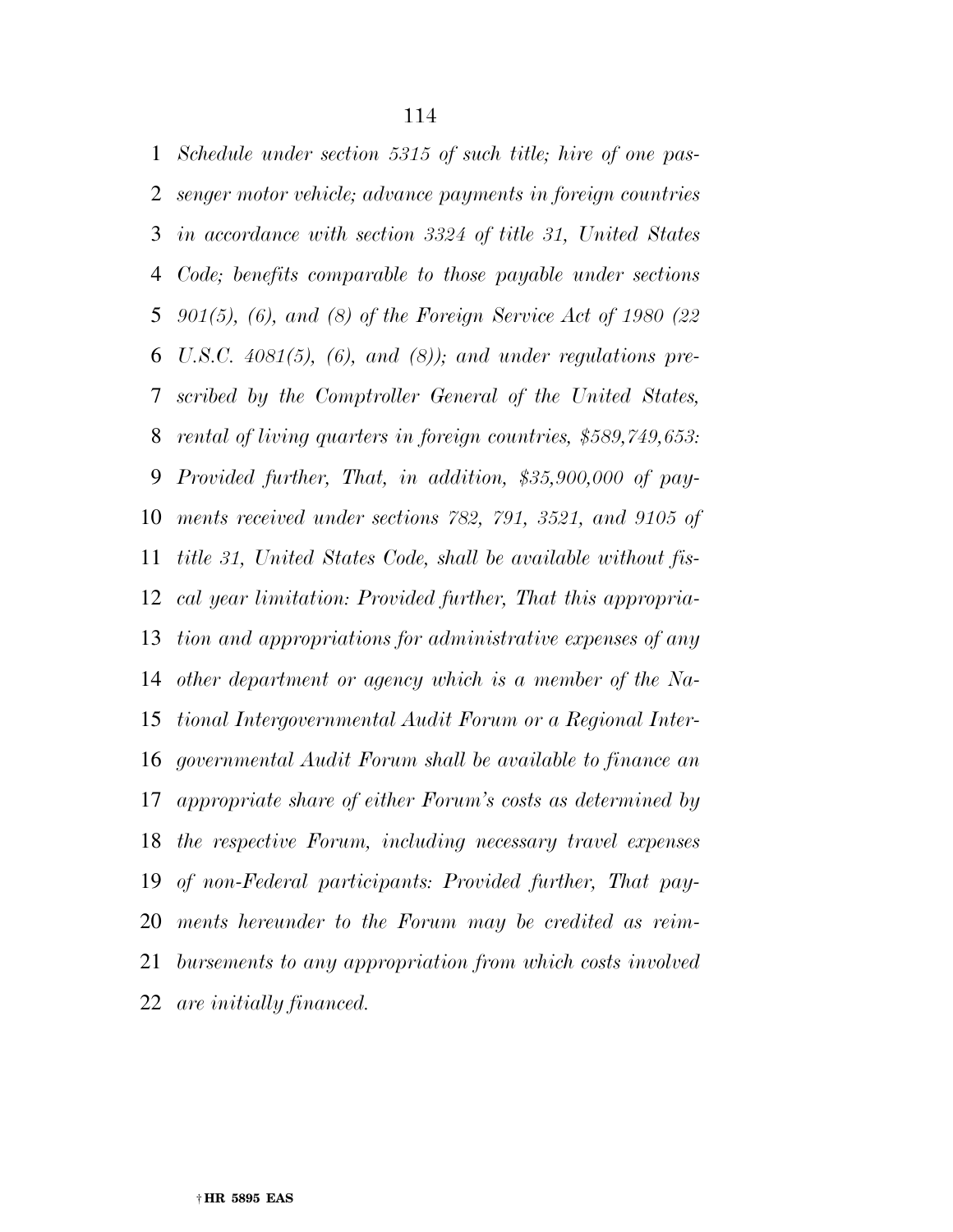*Schedule under section 5315 of such title; hire of one pas- senger motor vehicle; advance payments in foreign countries in accordance with section 3324 of title 31, United States Code; benefits comparable to those payable under sections 901(5), (6), and (8) of the Foreign Service Act of 1980 (22 U.S.C. 4081(5), (6), and (8)); and under regulations pre- scribed by the Comptroller General of the United States, rental of living quarters in foreign countries, \$589,749,653: Provided further, That, in addition, \$35,900,000 of pay- ments received under sections 782, 791, 3521, and 9105 of title 31, United States Code, shall be available without fis- cal year limitation: Provided further, That this appropria- tion and appropriations for administrative expenses of any other department or agency which is a member of the Na- tional Intergovernmental Audit Forum or a Regional Inter- governmental Audit Forum shall be available to finance an appropriate share of either Forum's costs as determined by the respective Forum, including necessary travel expenses of non-Federal participants: Provided further, That pay- ments hereunder to the Forum may be credited as reim- bursements to any appropriation from which costs involved are initially financed.*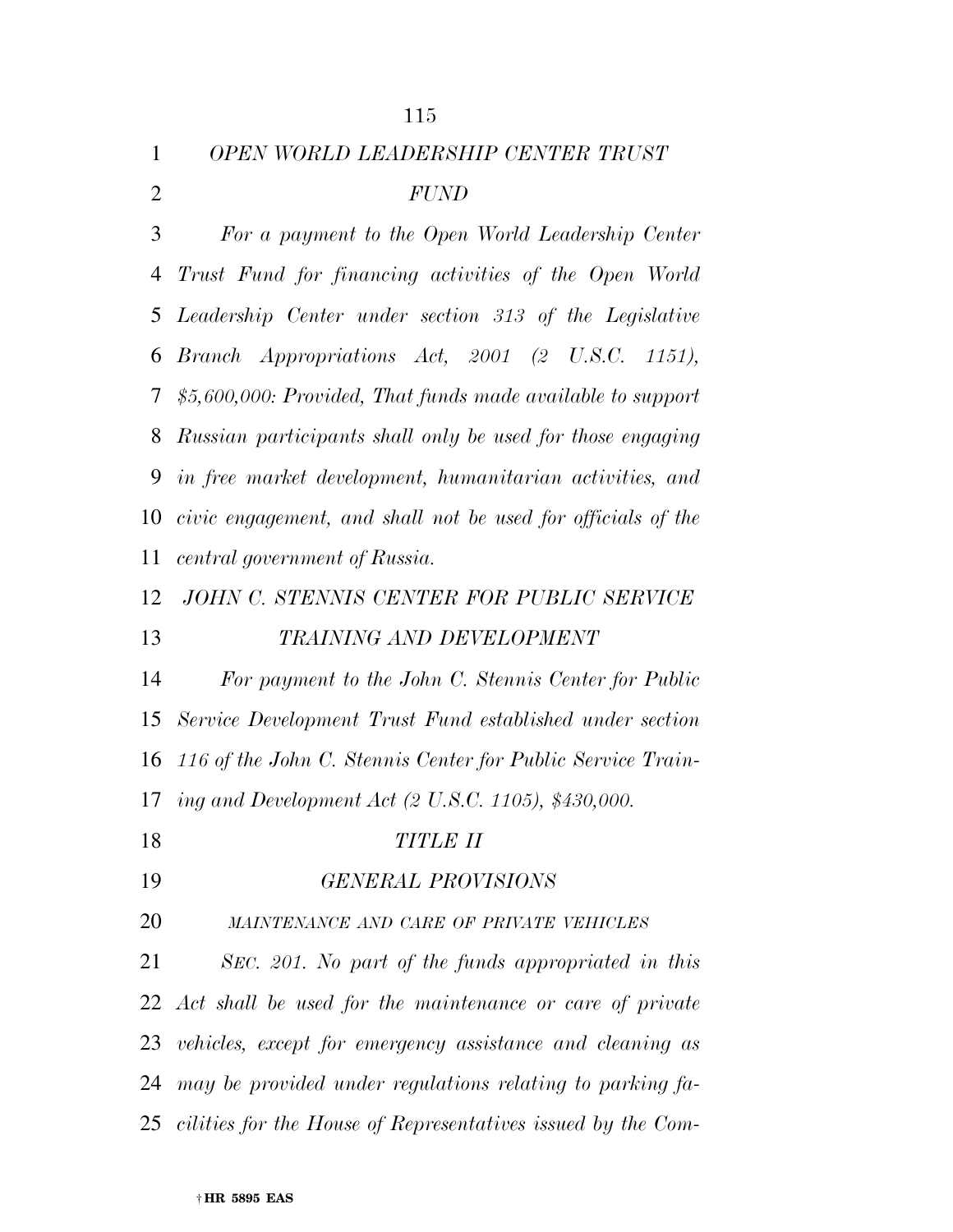| $\mathbf{1}$   | OPEN WORLD LEADERSHIP CENTER TRUST                              |
|----------------|-----------------------------------------------------------------|
| $\overline{2}$ | <b>FUND</b>                                                     |
| 3              | For a payment to the Open World Leadership Center               |
| 4              | Trust Fund for financing activities of the Open World           |
| 5              | Leadership Center under section 313 of the Legislative          |
| 6              | Branch Appropriations Act, 2001 (2 U.S.C. 1151),                |
| 7              | \$5,600,000: Provided, That funds made available to support     |
| 8              | Russian participants shall only be used for those engaging      |
| 9              | in free market development, humanitarian activities, and        |
| 10             | civic engagement, and shall not be used for officials of the    |
| 11             | central government of Russia.                                   |
| 12             | JOHN C. STENNIS CENTER FOR PUBLIC SERVICE                       |
| 13             | TRAINING AND DEVELOPMENT                                        |
| 14             | For payment to the John C. Stennis Center for Public            |
| 15             | Service Development Trust Fund established under section        |
| 16             | 116 of the John C. Stennis Center for Public Service Train-     |
| 17             | ing and Development Act $(2 \text{ U.S.C. } 1105)$ , \$430,000. |
| 18             | <b>TITLE II</b>                                                 |
| 19             | <b>GENERAL PROVISIONS</b>                                       |
| 20             | MAINTENANCE AND CARE OF PRIVATE VEHICLES                        |
| 21             | SEC. 201. No part of the funds appropriated in this             |
| 22             | Act shall be used for the maintenance or care of private        |
| 23             | vehicles, except for emergency assistance and cleaning as       |
| 24             | may be provided under regulations relating to parking fa-       |
|                | 25 cilities for the House of Representatives issued by the Com- |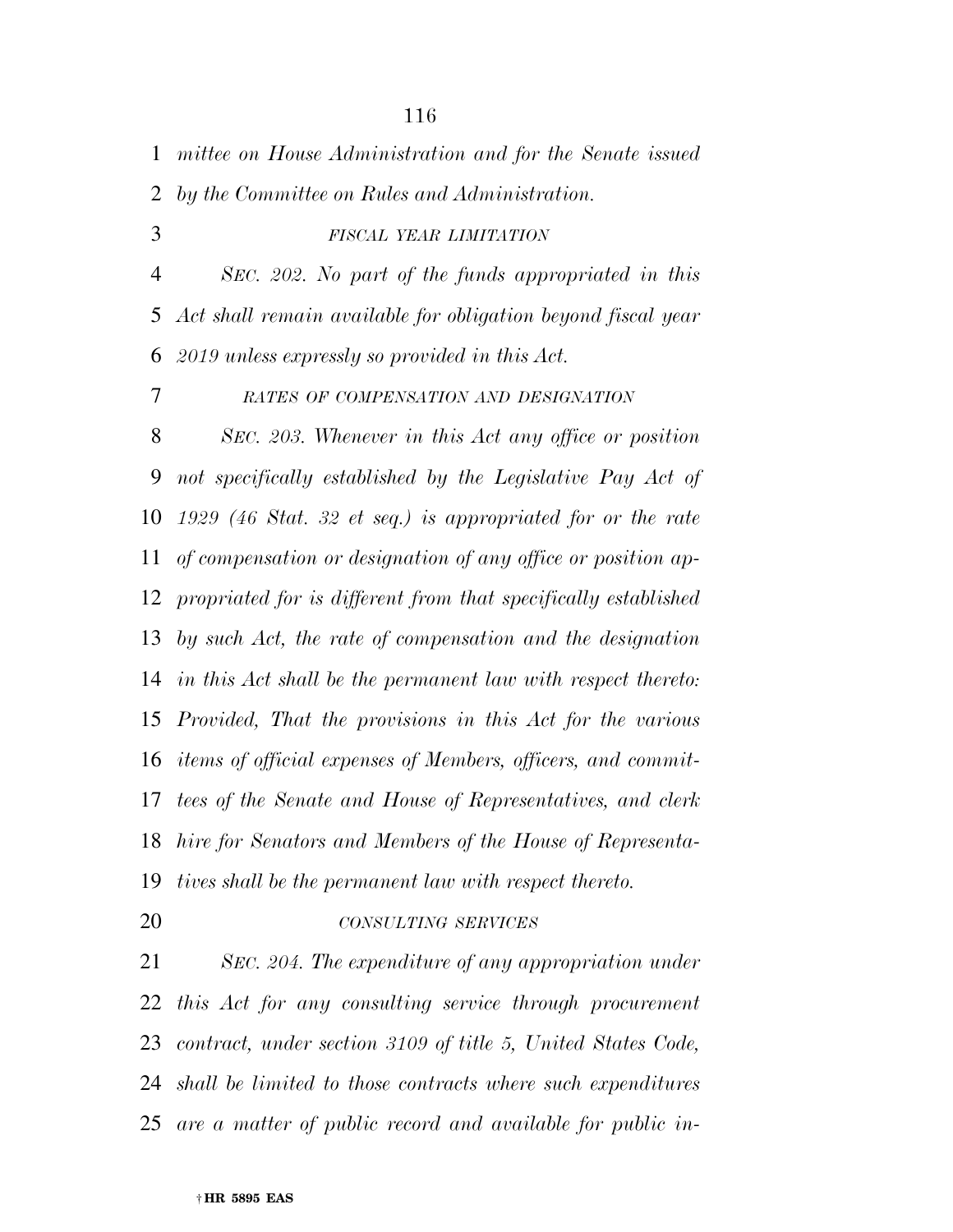*mittee on House Administration and for the Senate issued by the Committee on Rules and Administration.* 

*FISCAL YEAR LIMITATION*

 *SEC. 202. No part of the funds appropriated in this Act shall remain available for obligation beyond fiscal year 2019 unless expressly so provided in this Act.* 

# *RATES OF COMPENSATION AND DESIGNATION*

 *SEC. 203. Whenever in this Act any office or position not specifically established by the Legislative Pay Act of 1929 (46 Stat. 32 et seq.) is appropriated for or the rate of compensation or designation of any office or position ap- propriated for is different from that specifically established by such Act, the rate of compensation and the designation in this Act shall be the permanent law with respect thereto: Provided, That the provisions in this Act for the various items of official expenses of Members, officers, and commit- tees of the Senate and House of Representatives, and clerk hire for Senators and Members of the House of Representa-tives shall be the permanent law with respect thereto.* 

#### *CONSULTING SERVICES*

 *SEC. 204. The expenditure of any appropriation under this Act for any consulting service through procurement contract, under section 3109 of title 5, United States Code, shall be limited to those contracts where such expenditures are a matter of public record and available for public in-*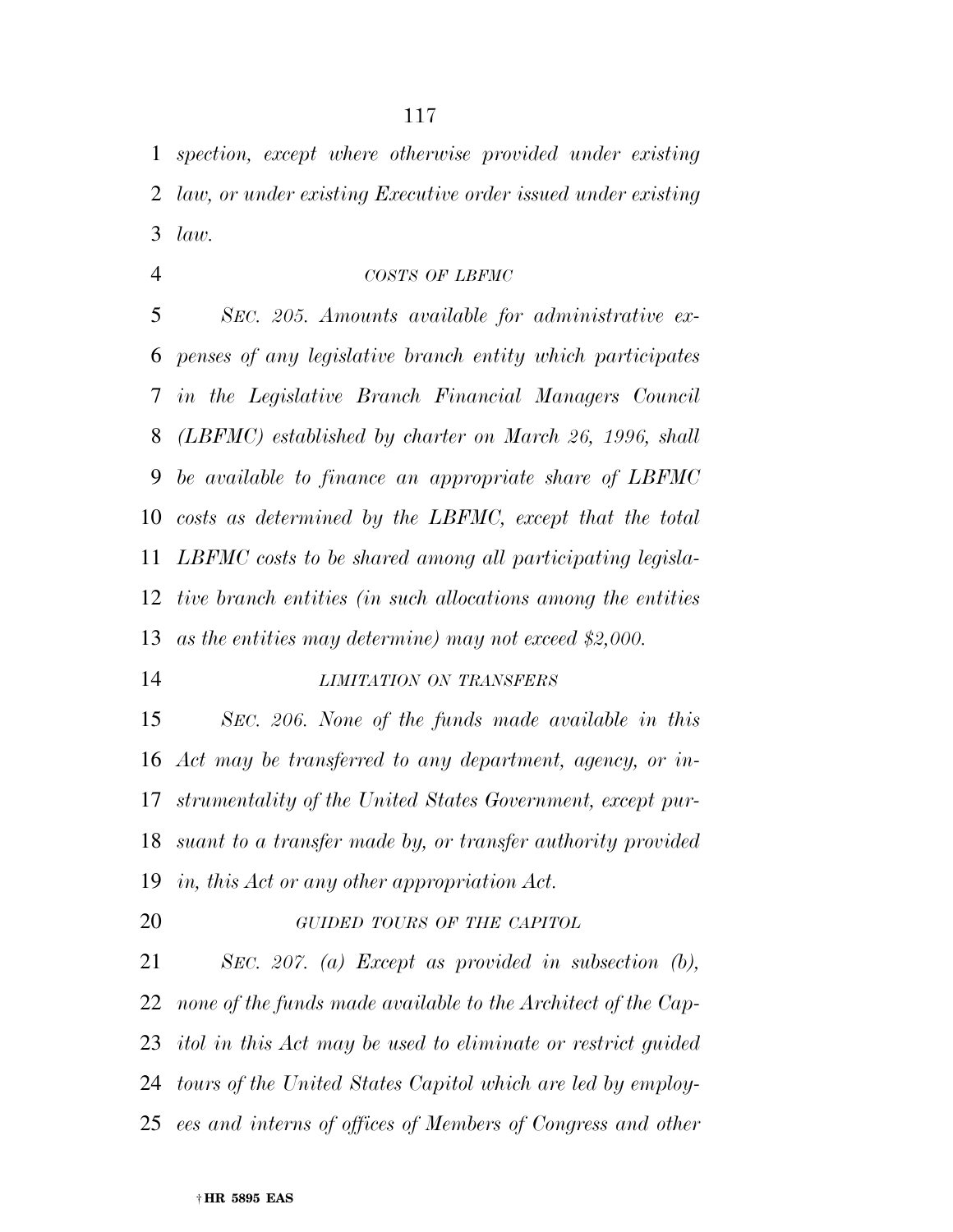*spection, except where otherwise provided under existing law, or under existing Executive order issued under existing law.* 

# *COSTS OF LBFMC*

 *SEC. 205. Amounts available for administrative ex- penses of any legislative branch entity which participates in the Legislative Branch Financial Managers Council (LBFMC) established by charter on March 26, 1996, shall be available to finance an appropriate share of LBFMC costs as determined by the LBFMC, except that the total LBFMC costs to be shared among all participating legisla- tive branch entities (in such allocations among the entities as the entities may determine) may not exceed \$2,000.* 

#### *LIMITATION ON TRANSFERS*

 *SEC. 206. None of the funds made available in this Act may be transferred to any department, agency, or in- strumentality of the United States Government, except pur- suant to a transfer made by, or transfer authority provided in, this Act or any other appropriation Act.* 

*GUIDED TOURS OF THE CAPITOL*

 *SEC. 207. (a) Except as provided in subsection (b), none of the funds made available to the Architect of the Cap- itol in this Act may be used to eliminate or restrict guided tours of the United States Capitol which are led by employ-ees and interns of offices of Members of Congress and other*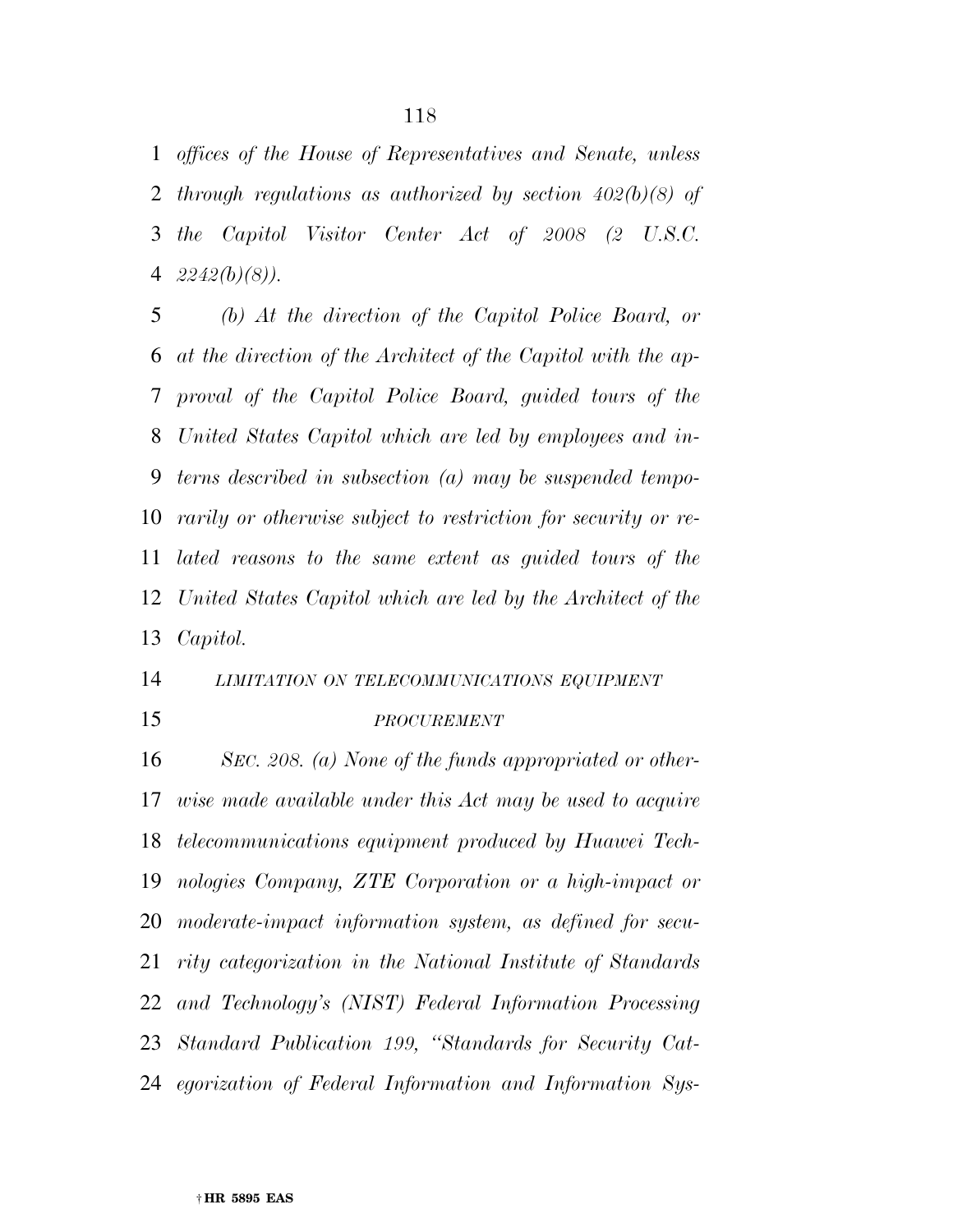*offices of the House of Representatives and Senate, unless through regulations as authorized by section 402(b)(8) of the Capitol Visitor Center Act of 2008 (2 U.S.C. 2242(b)(8)).* 

 *(b) At the direction of the Capitol Police Board, or at the direction of the Architect of the Capitol with the ap- proval of the Capitol Police Board, guided tours of the United States Capitol which are led by employees and in- terns described in subsection (a) may be suspended tempo- rarily or otherwise subject to restriction for security or re- lated reasons to the same extent as guided tours of the United States Capitol which are led by the Architect of the Capitol.* 

*LIMITATION ON TELECOMMUNICATIONS EQUIPMENT*

*PROCUREMENT*

 *SEC. 208. (a) None of the funds appropriated or other- wise made available under this Act may be used to acquire telecommunications equipment produced by Huawei Tech- nologies Company, ZTE Corporation or a high-impact or moderate-impact information system, as defined for secu- rity categorization in the National Institute of Standards and Technology's (NIST) Federal Information Processing Standard Publication 199, ''Standards for Security Cat-egorization of Federal Information and Information Sys-*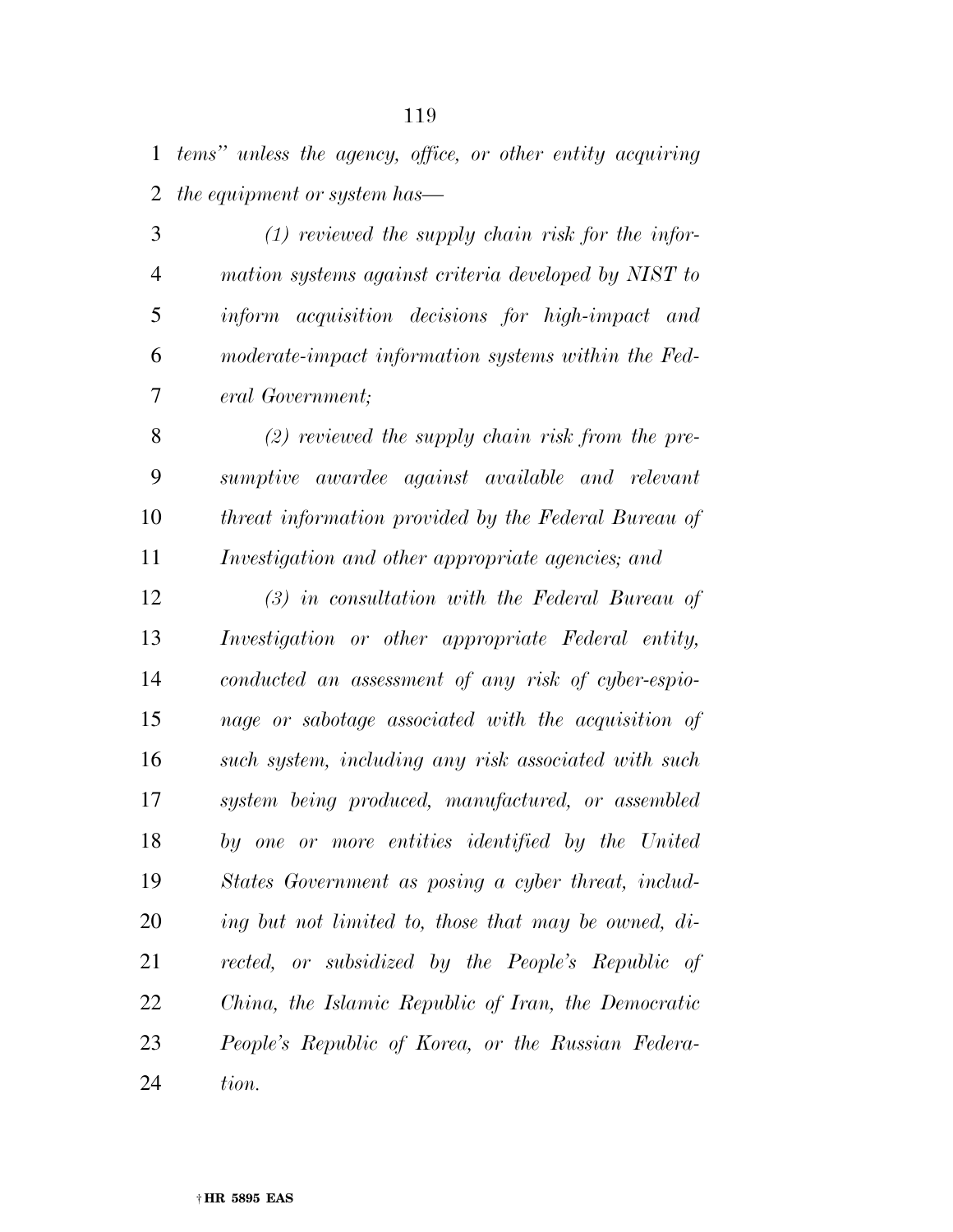*tems'' unless the agency, office, or other entity acquiring the equipment or system has—* 

 *(1) reviewed the supply chain risk for the infor- mation systems against criteria developed by NIST to inform acquisition decisions for high-impact and moderate-impact information systems within the Fed-eral Government;* 

 *(2) reviewed the supply chain risk from the pre- sumptive awardee against available and relevant threat information provided by the Federal Bureau of Investigation and other appropriate agencies; and* 

 *(3) in consultation with the Federal Bureau of Investigation or other appropriate Federal entity, conducted an assessment of any risk of cyber-espio- nage or sabotage associated with the acquisition of such system, including any risk associated with such system being produced, manufactured, or assembled by one or more entities identified by the United States Government as posing a cyber threat, includ- ing but not limited to, those that may be owned, di- rected, or subsidized by the People's Republic of China, the Islamic Republic of Iran, the Democratic People's Republic of Korea, or the Russian Federa-tion.*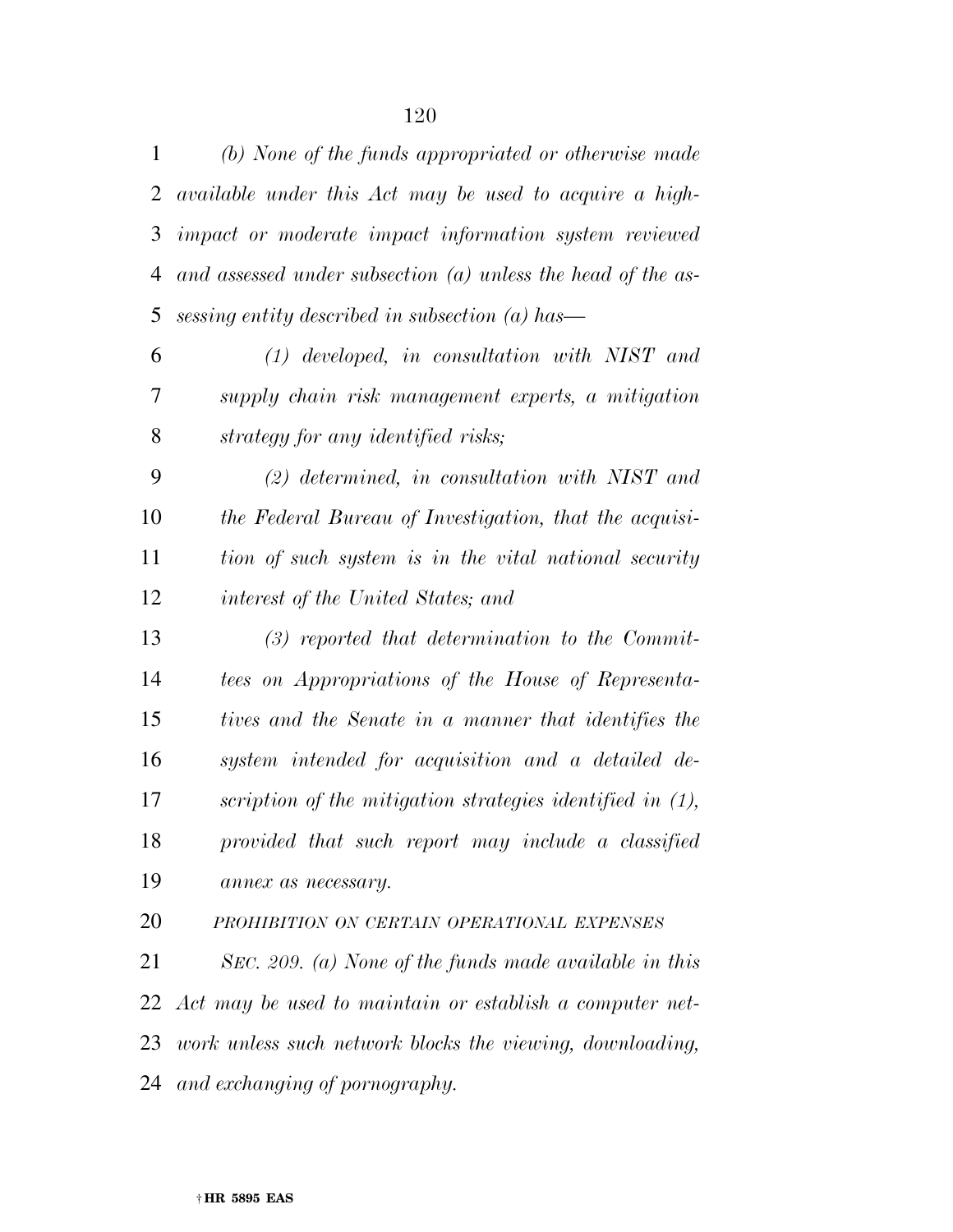| 1  | (b) None of the funds appropriated or otherwise made           |
|----|----------------------------------------------------------------|
| 2  | available under this Act may be used to acquire a high-        |
| 3  | impact or moderate impact information system reviewed          |
| 4  | and assessed under subsection $(a)$ unless the head of the as- |
| 5  | sessing entity described in subsection (a) has—                |
| 6  | $(1)$ developed, in consultation with NIST and                 |
| 7  | supply chain risk management experts, a mitigation             |
| 8  | strategy for any identified risks;                             |
| 9  | $(2)$ determined, in consultation with NIST and                |
| 10 | the Federal Bureau of Investigation, that the acquisi-         |
| 11 | tion of such system is in the vital national security          |
| 12 | interest of the United States; and                             |
| 13 | $(3)$ reported that determination to the Commit-               |
| 14 | tees on Appropriations of the House of Representa-             |
| 15 | tives and the Senate in a manner that identifies the           |
| 16 | system intended for acquisition and a detailed de-             |
| 17 | scription of the mitigation strategies identified in (1),      |
| 18 | provided that such report may include a classified             |
| 19 | annex as necessary.                                            |
| 20 | PROHIBITION ON CERTAIN OPERATIONAL EXPENSES                    |
| 21 | SEC. 209. (a) None of the funds made available in this         |
| 22 | Act may be used to maintain or establish a computer net-       |
|    |                                                                |

*work unless such network blocks the viewing, downloading,* 

*and exchanging of pornography.*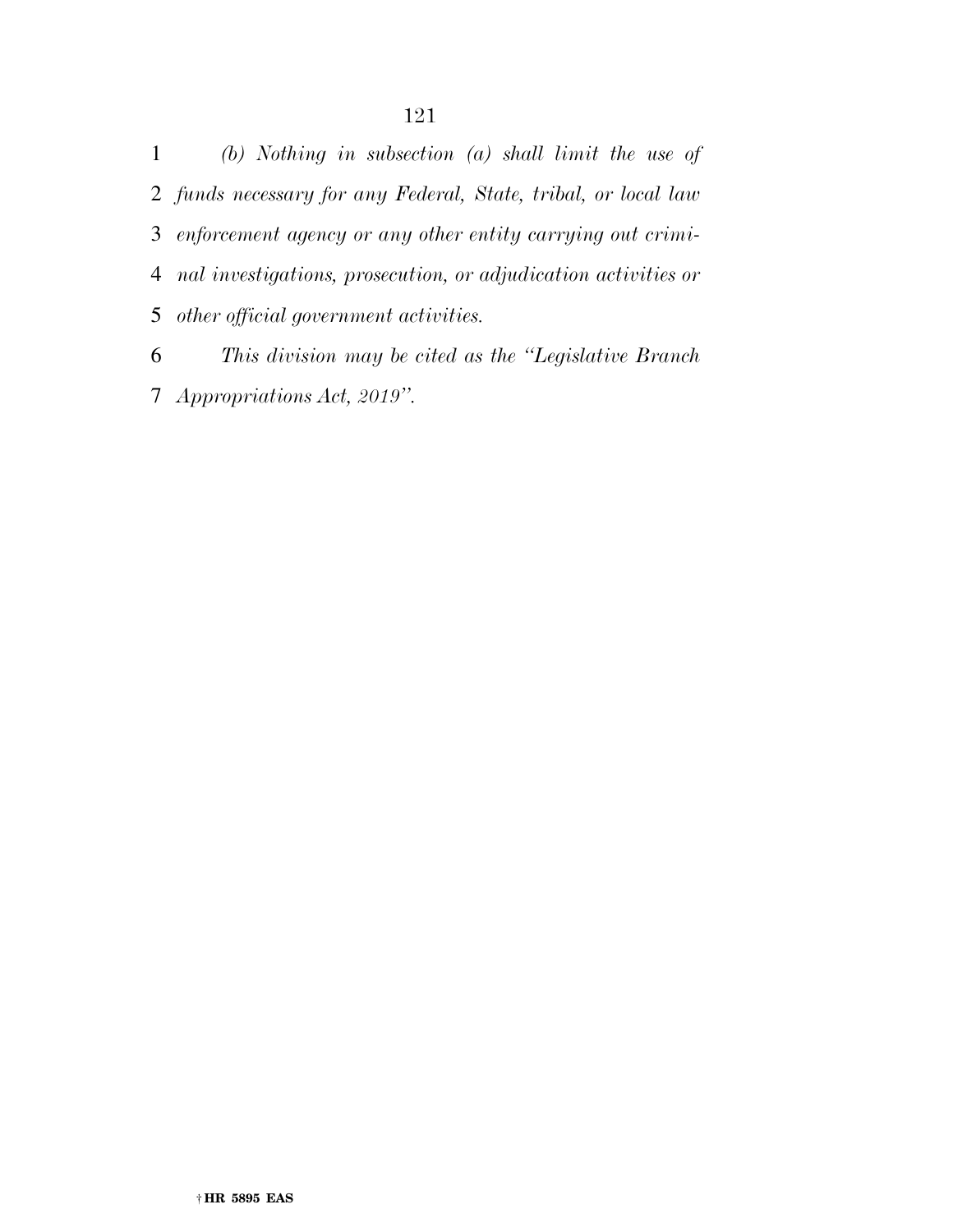*(b) Nothing in subsection (a) shall limit the use of funds necessary for any Federal, State, tribal, or local law enforcement agency or any other entity carrying out crimi- nal investigations, prosecution, or adjudication activities or other official government activities.* 

 *This division may be cited as the ''Legislative Branch Appropriations Act, 2019''.*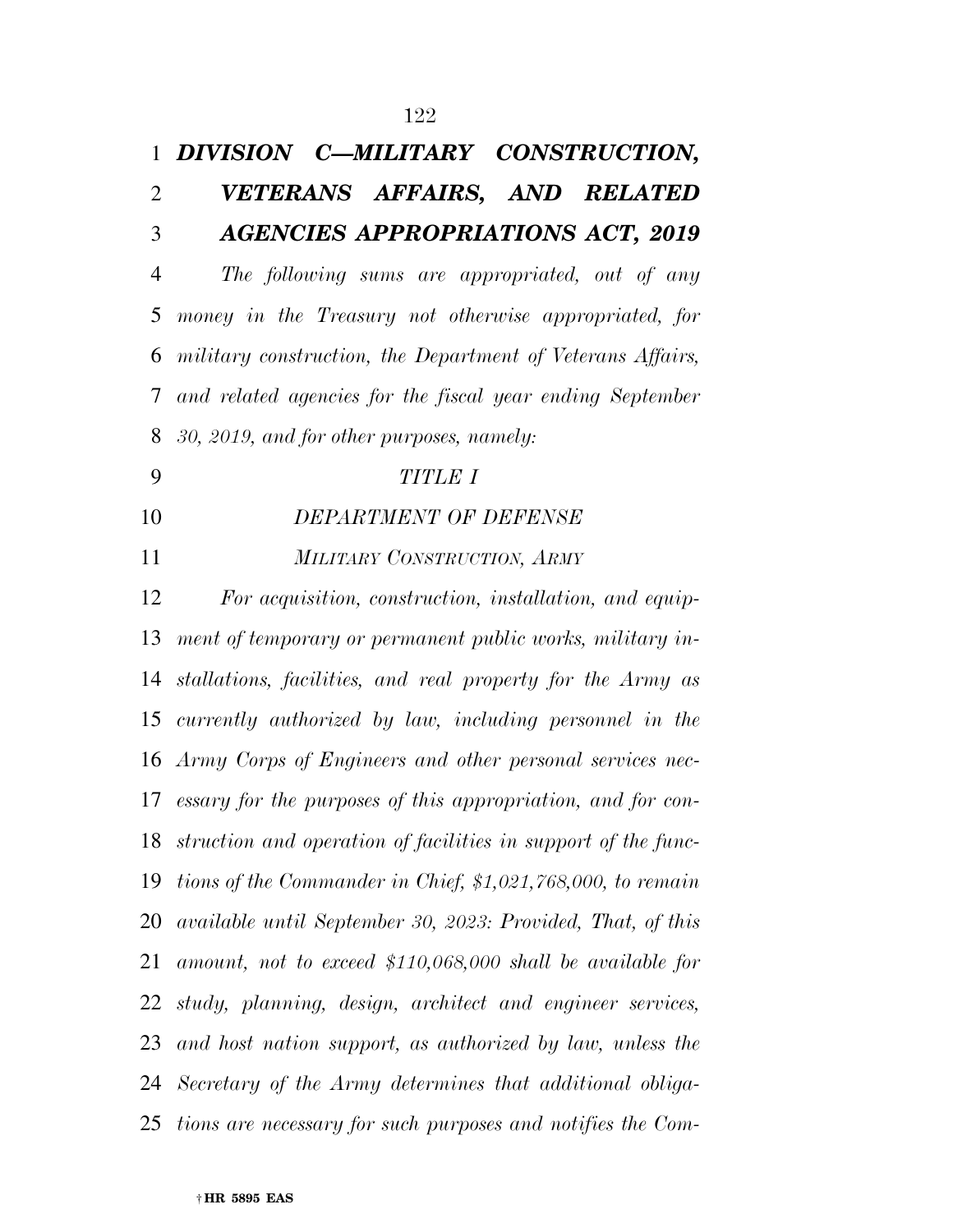# *DIVISION C—MILITARY CONSTRUCTION, VETERANS AFFAIRS, AND RELATED AGENCIES APPROPRIATIONS ACT, 2019*

 *The following sums are appropriated, out of any money in the Treasury not otherwise appropriated, for military construction, the Department of Veterans Affairs, and related agencies for the fiscal year ending September 30, 2019, and for other purposes, namely:* 

#### *TITLE I*

# *DEPARTMENT OF DEFENSE*

*MILITARY CONSTRUCTION, ARMY*

 *For acquisition, construction, installation, and equip- ment of temporary or permanent public works, military in- stallations, facilities, and real property for the Army as currently authorized by law, including personnel in the Army Corps of Engineers and other personal services nec- essary for the purposes of this appropriation, and for con- struction and operation of facilities in support of the func- tions of the Commander in Chief, \$1,021,768,000, to remain available until September 30, 2023: Provided, That, of this amount, not to exceed \$110,068,000 shall be available for study, planning, design, architect and engineer services, and host nation support, as authorized by law, unless the Secretary of the Army determines that additional obliga-tions are necessary for such purposes and notifies the Com-*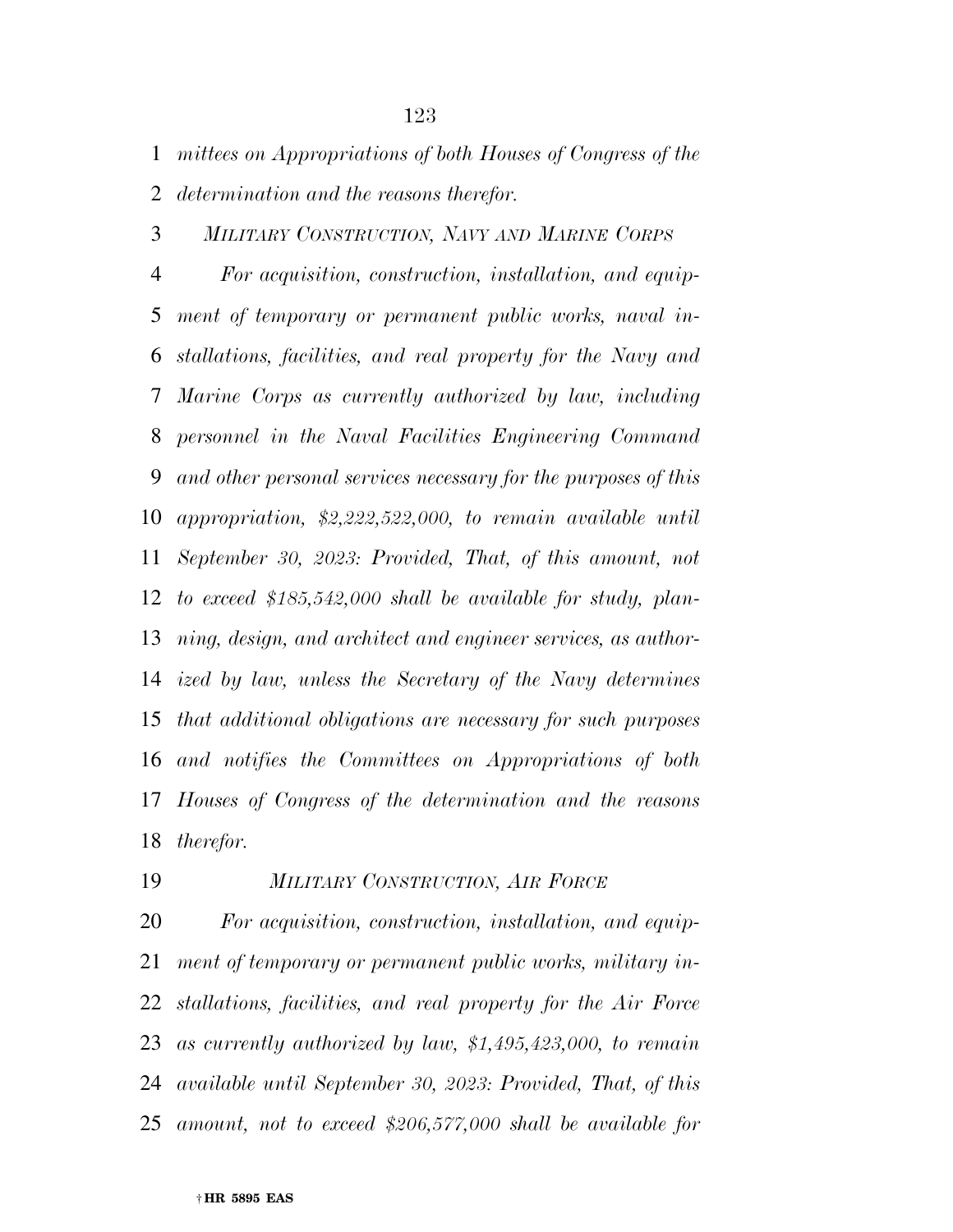*mittees on Appropriations of both Houses of Congress of the* 

*determination and the reasons therefor.* 

*MILITARY CONSTRUCTION, NAVY AND MARINE CORPS*

 *For acquisition, construction, installation, and equip- ment of temporary or permanent public works, naval in- stallations, facilities, and real property for the Navy and Marine Corps as currently authorized by law, including personnel in the Naval Facilities Engineering Command and other personal services necessary for the purposes of this appropriation, \$2,222,522,000, to remain available until September 30, 2023: Provided, That, of this amount, not to exceed \$185,542,000 shall be available for study, plan- ning, design, and architect and engineer services, as author- ized by law, unless the Secretary of the Navy determines that additional obligations are necessary for such purposes and notifies the Committees on Appropriations of both Houses of Congress of the determination and the reasons therefor.* 

*MILITARY CONSTRUCTION, AIR FORCE*

 *For acquisition, construction, installation, and equip- ment of temporary or permanent public works, military in- stallations, facilities, and real property for the Air Force as currently authorized by law, \$1,495,423,000, to remain available until September 30, 2023: Provided, That, of this amount, not to exceed \$206,577,000 shall be available for*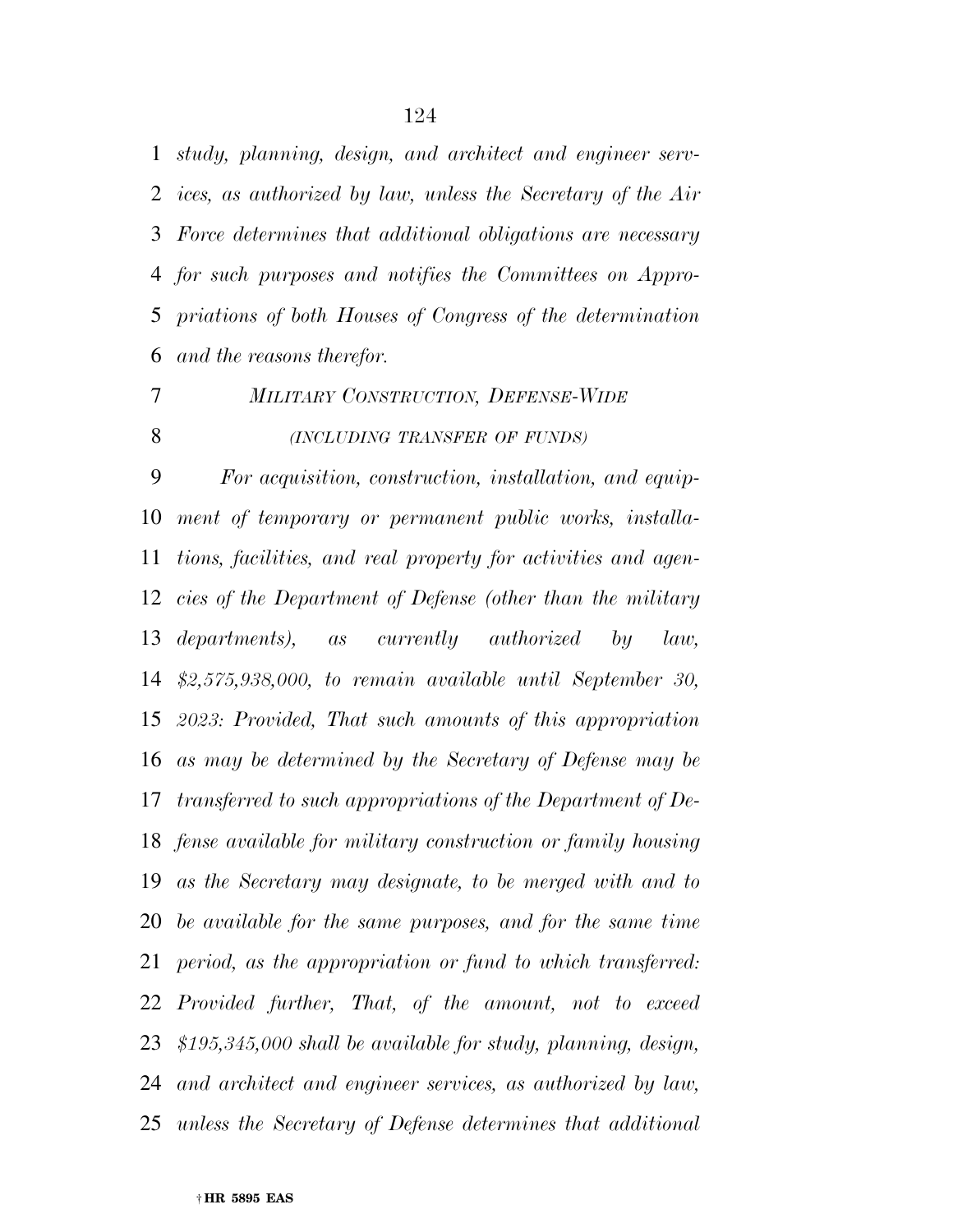*study, planning, design, and architect and engineer serv- ices, as authorized by law, unless the Secretary of the Air Force determines that additional obligations are necessary for such purposes and notifies the Committees on Appro- priations of both Houses of Congress of the determination and the reasons therefor.* 

*MILITARY CONSTRUCTION, DEFENSE-WIDE*

*(INCLUDING TRANSFER OF FUNDS)*

 *For acquisition, construction, installation, and equip- ment of temporary or permanent public works, installa- tions, facilities, and real property for activities and agen- cies of the Department of Defense (other than the military departments), as currently authorized by law, \$2,575,938,000, to remain available until September 30, 2023: Provided, That such amounts of this appropriation as may be determined by the Secretary of Defense may be transferred to such appropriations of the Department of De- fense available for military construction or family housing as the Secretary may designate, to be merged with and to be available for the same purposes, and for the same time period, as the appropriation or fund to which transferred: Provided further, That, of the amount, not to exceed \$195,345,000 shall be available for study, planning, design, and architect and engineer services, as authorized by law, unless the Secretary of Defense determines that additional*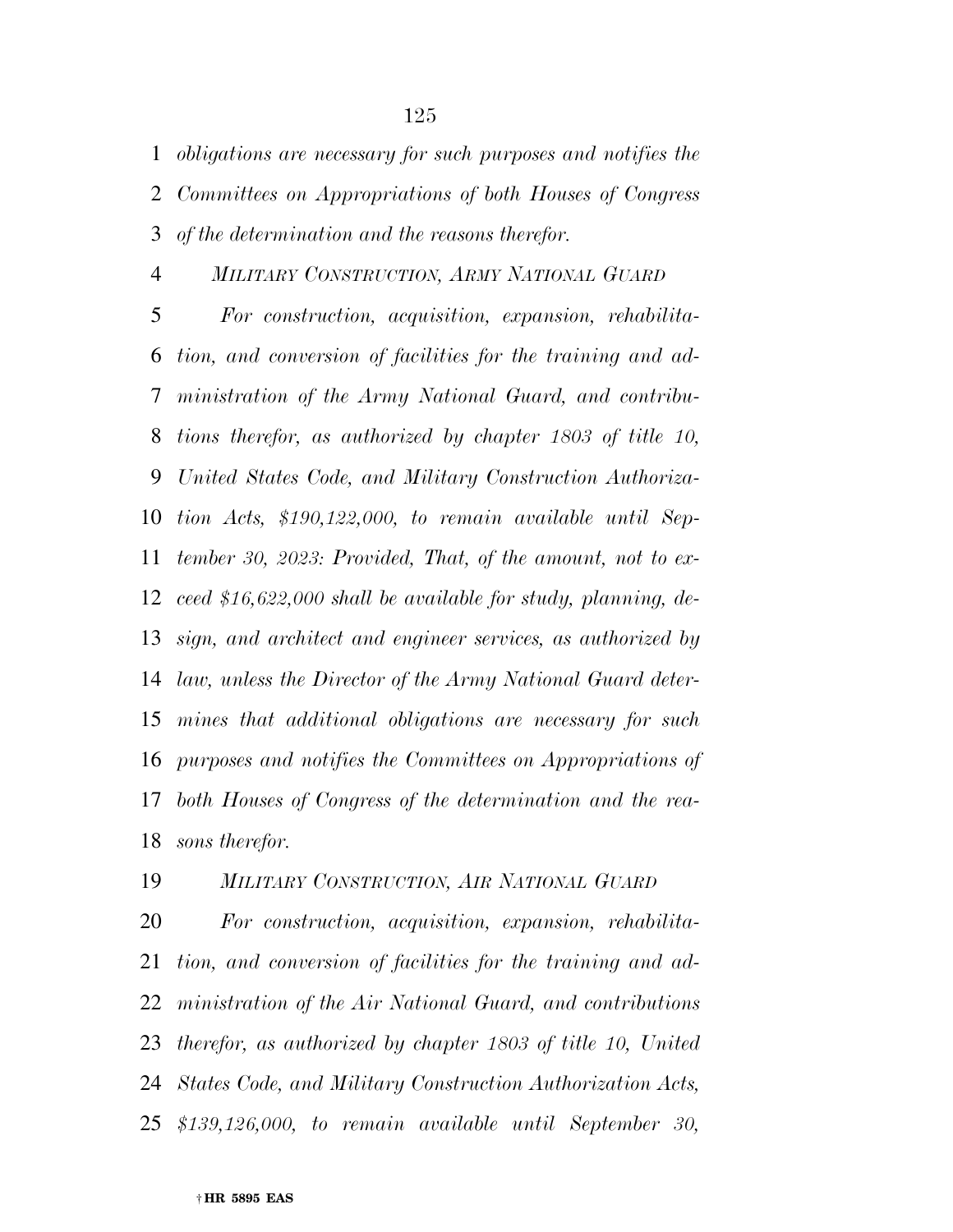*obligations are necessary for such purposes and notifies the Committees on Appropriations of both Houses of Congress of the determination and the reasons therefor.* 

*MILITARY CONSTRUCTION, ARMY NATIONAL GUARD*

 *For construction, acquisition, expansion, rehabilita- tion, and conversion of facilities for the training and ad- ministration of the Army National Guard, and contribu- tions therefor, as authorized by chapter 1803 of title 10, United States Code, and Military Construction Authoriza- tion Acts, \$190,122,000, to remain available until Sep- tember 30, 2023: Provided, That, of the amount, not to ex- ceed \$16,622,000 shall be available for study, planning, de- sign, and architect and engineer services, as authorized by law, unless the Director of the Army National Guard deter- mines that additional obligations are necessary for such purposes and notifies the Committees on Appropriations of both Houses of Congress of the determination and the rea-sons therefor.* 

*MILITARY CONSTRUCTION, AIR NATIONAL GUARD*

 *For construction, acquisition, expansion, rehabilita- tion, and conversion of facilities for the training and ad- ministration of the Air National Guard, and contributions therefor, as authorized by chapter 1803 of title 10, United States Code, and Military Construction Authorization Acts, \$139,126,000, to remain available until September 30,*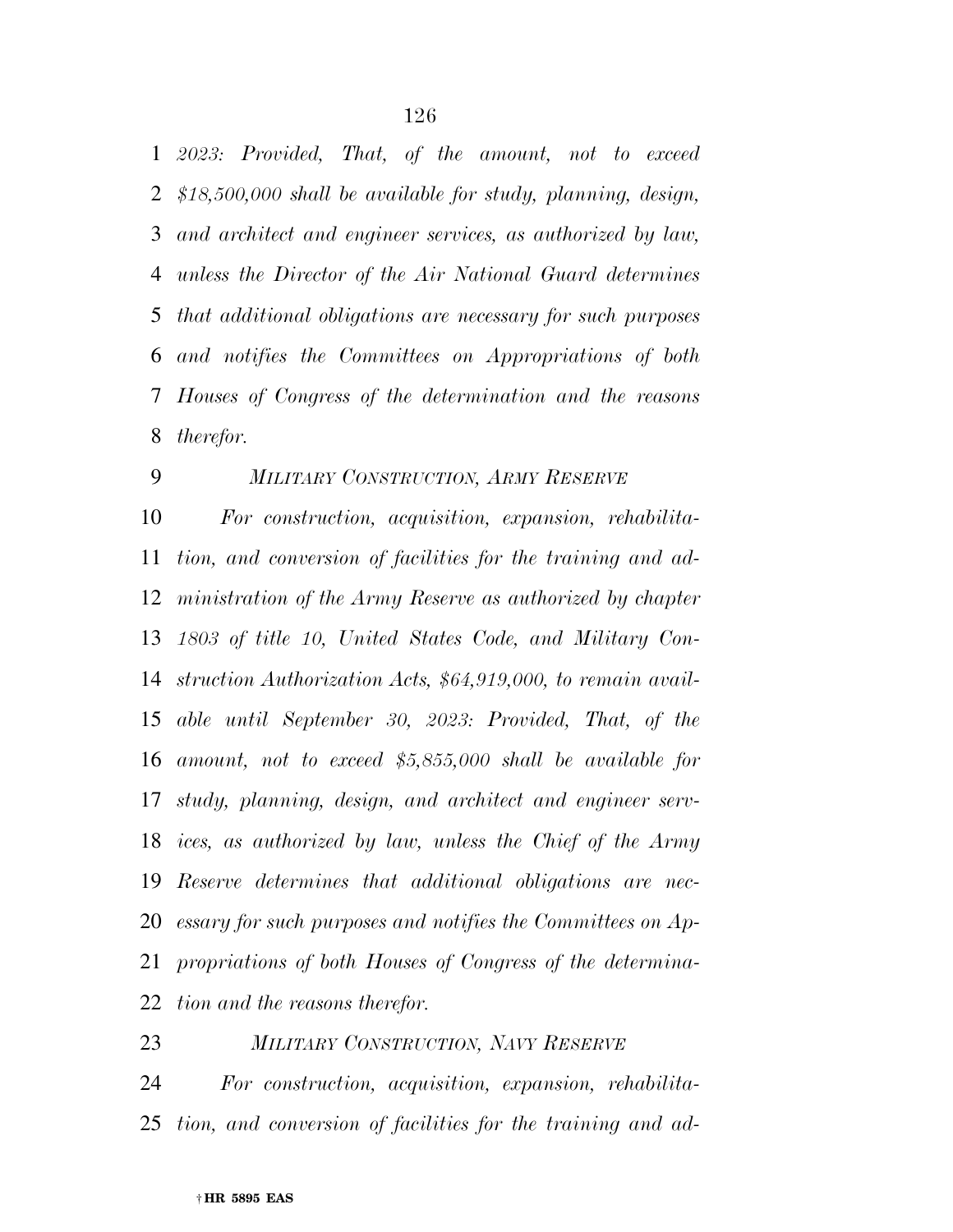*2023: Provided, That, of the amount, not to exceed \$18,500,000 shall be available for study, planning, design, and architect and engineer services, as authorized by law, unless the Director of the Air National Guard determines that additional obligations are necessary for such purposes and notifies the Committees on Appropriations of both Houses of Congress of the determination and the reasons therefor.* 

#### *MILITARY CONSTRUCTION, ARMY RESERVE*

 *For construction, acquisition, expansion, rehabilita- tion, and conversion of facilities for the training and ad- ministration of the Army Reserve as authorized by chapter 1803 of title 10, United States Code, and Military Con- struction Authorization Acts, \$64,919,000, to remain avail- able until September 30, 2023: Provided, That, of the amount, not to exceed \$5,855,000 shall be available for study, planning, design, and architect and engineer serv- ices, as authorized by law, unless the Chief of the Army Reserve determines that additional obligations are nec- essary for such purposes and notifies the Committees on Ap- propriations of both Houses of Congress of the determina-tion and the reasons therefor.* 

*MILITARY CONSTRUCTION, NAVY RESERVE*

 *For construction, acquisition, expansion, rehabilita-tion, and conversion of facilities for the training and ad-*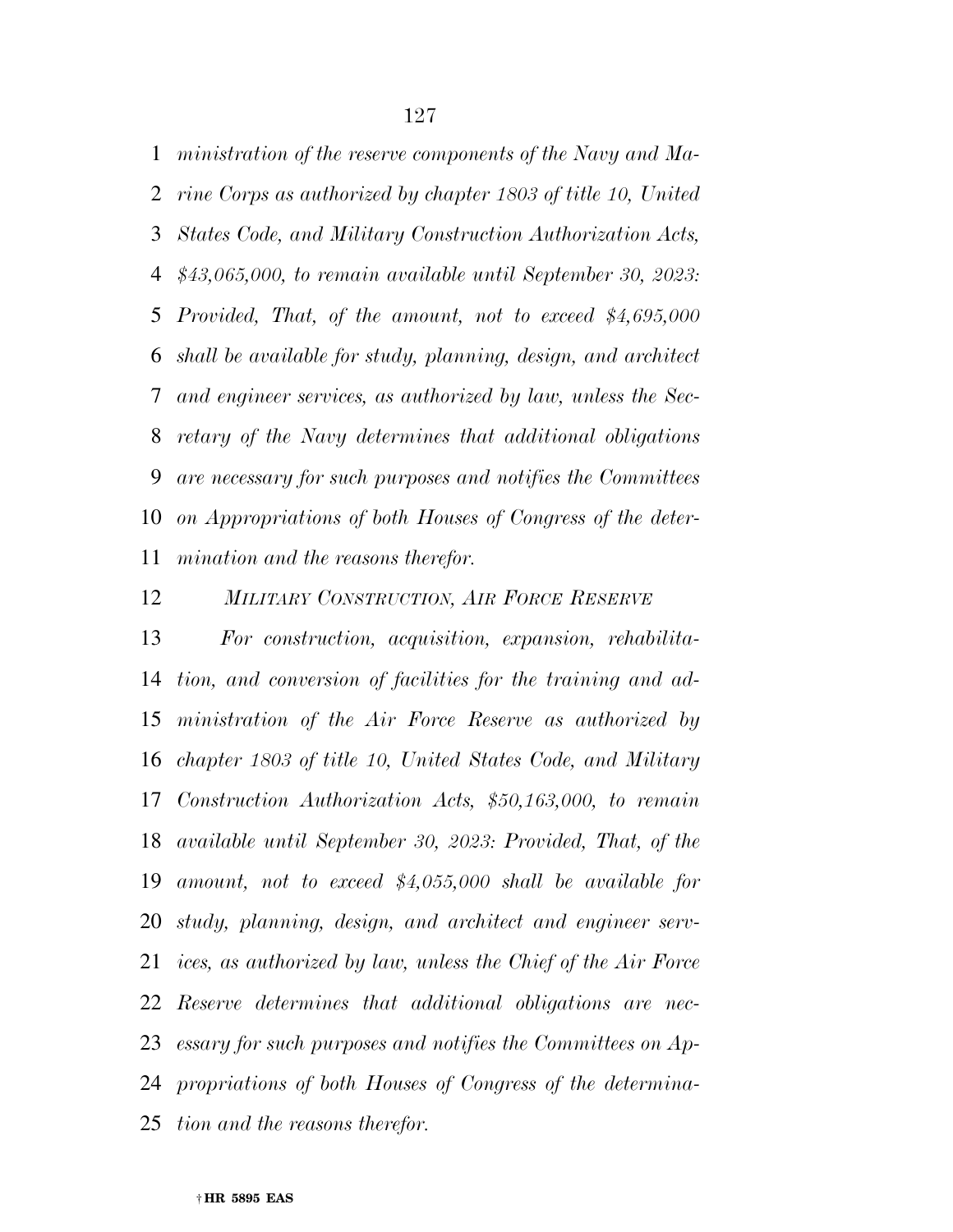*ministration of the reserve components of the Navy and Ma- rine Corps as authorized by chapter 1803 of title 10, United States Code, and Military Construction Authorization Acts, \$43,065,000, to remain available until September 30, 2023: Provided, That, of the amount, not to exceed \$4,695,000 shall be available for study, planning, design, and architect and engineer services, as authorized by law, unless the Sec- retary of the Navy determines that additional obligations are necessary for such purposes and notifies the Committees on Appropriations of both Houses of Congress of the deter-mination and the reasons therefor.* 

*MILITARY CONSTRUCTION, AIR FORCE RESERVE*

 *For construction, acquisition, expansion, rehabilita- tion, and conversion of facilities for the training and ad- ministration of the Air Force Reserve as authorized by chapter 1803 of title 10, United States Code, and Military Construction Authorization Acts, \$50,163,000, to remain available until September 30, 2023: Provided, That, of the amount, not to exceed \$4,055,000 shall be available for study, planning, design, and architect and engineer serv- ices, as authorized by law, unless the Chief of the Air Force Reserve determines that additional obligations are nec- essary for such purposes and notifies the Committees on Ap- propriations of both Houses of Congress of the determina-tion and the reasons therefor.*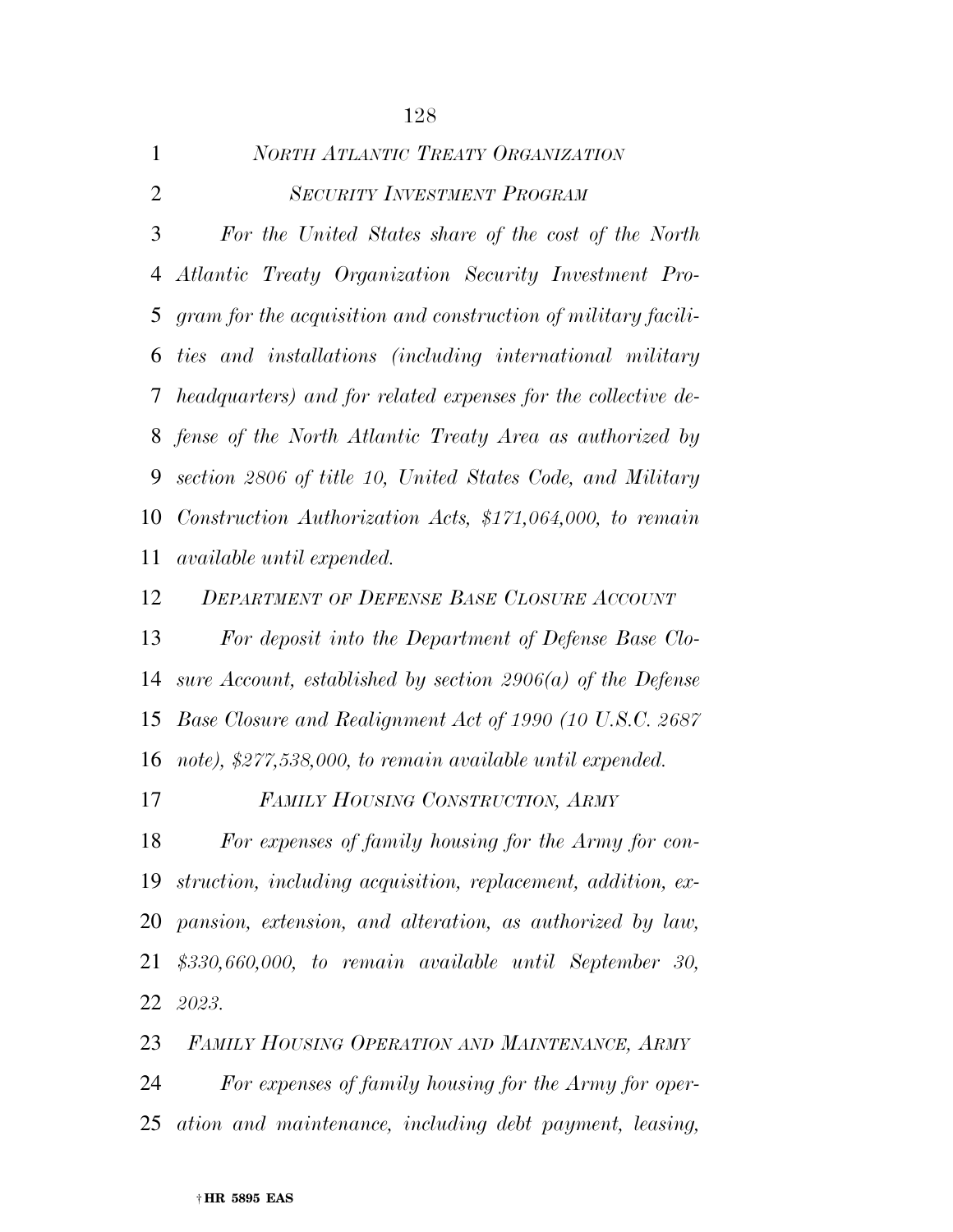| $\mathbf{1}$   | NORTH ATLANTIC TREATY ORGANIZATION                              |
|----------------|-----------------------------------------------------------------|
| $\overline{2}$ | <b>SECURITY INVESTMENT PROGRAM</b>                              |
| 3              | For the United States share of the cost of the North            |
|                | 4 Atlantic Treaty Organization Security Investment Pro-         |
|                | 5 gram for the acquisition and construction of military facili- |
|                | 6 ties and installations (including international military      |
|                | 7 headquarters) and for related expenses for the collective de- |
|                | 8 fense of the North Atlantic Treaty Area as authorized by      |
|                | 9 section 2806 of title 10, United States Code, and Military    |
|                | 10 Construction Authorization Acts, \$171,064,000, to remain    |
|                | 11 <i>available until expended.</i>                             |

*DEPARTMENT OF DEFENSE BASE CLOSURE ACCOUNT*

 *For deposit into the Department of Defense Base Clo- sure Account, established by section 2906(a) of the Defense Base Closure and Realignment Act of 1990 (10 U.S.C. 2687 note), \$277,538,000, to remain available until expended.* 

*FAMILY HOUSING CONSTRUCTION, ARMY*

 *For expenses of family housing for the Army for con- struction, including acquisition, replacement, addition, ex- pansion, extension, and alteration, as authorized by law, \$330,660,000, to remain available until September 30, 2023.* 

 *FAMILY HOUSING OPERATION AND MAINTENANCE, ARMY For expenses of family housing for the Army for oper-ation and maintenance, including debt payment, leasing,*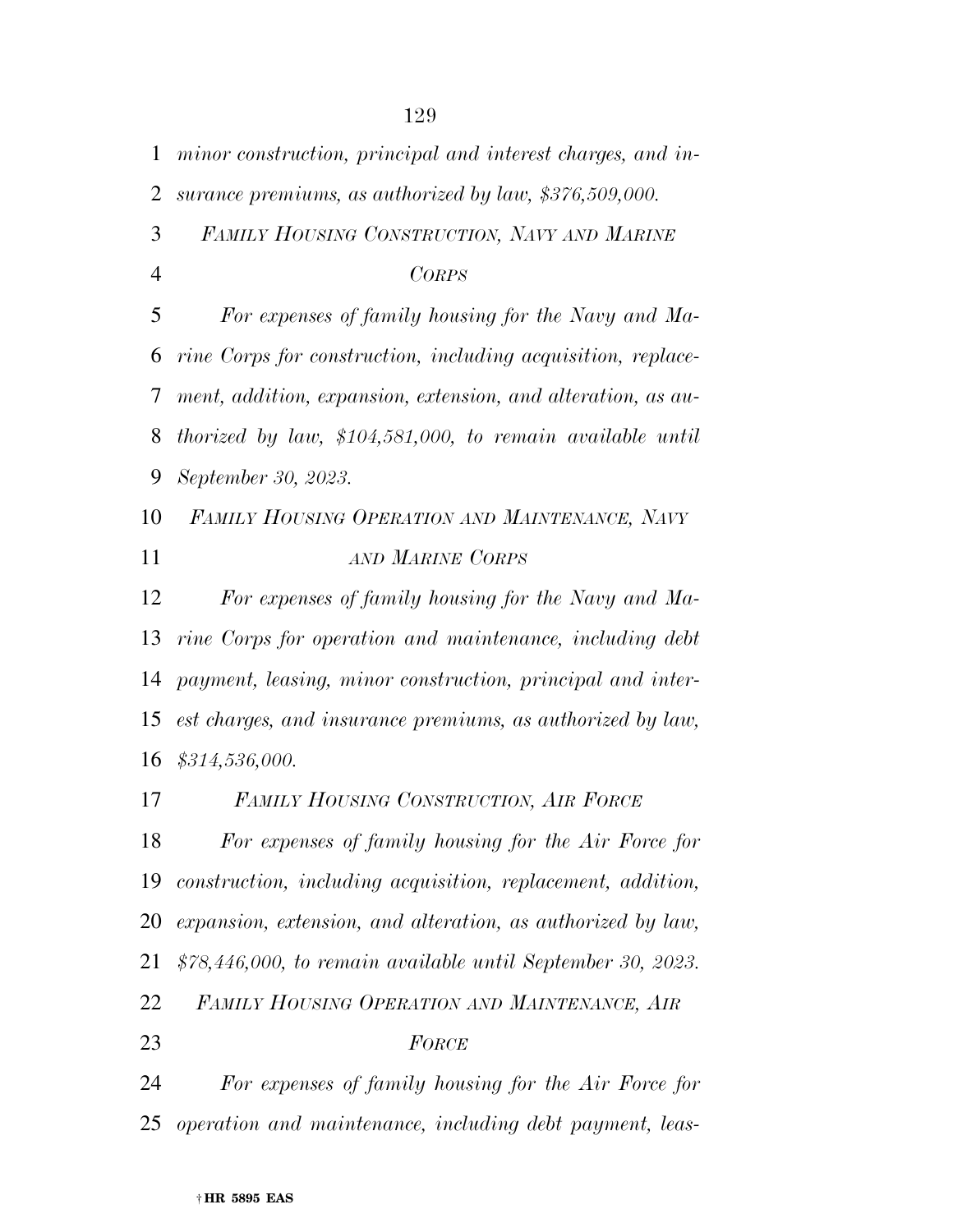*minor construction, principal and interest charges, and in- surance premiums, as authorized by law, \$376,509,000. FAMILY HOUSING CONSTRUCTION, NAVY AND MARINE CORPS For expenses of family housing for the Navy and Ma- rine Corps for construction, including acquisition, replace- ment, addition, expansion, extension, and alteration, as au- thorized by law, \$104,581,000, to remain available until September 30, 2023. FAMILY HOUSING OPERATION AND MAINTENANCE, NAVY AND MARINE CORPS For expenses of family housing for the Navy and Ma- rine Corps for operation and maintenance, including debt payment, leasing, minor construction, principal and inter- est charges, and insurance premiums, as authorized by law, \$314,536,000. FAMILY HOUSING CONSTRUCTION, AIR FORCE For expenses of family housing for the Air Force for construction, including acquisition, replacement, addition, expansion, extension, and alteration, as authorized by law, \$78,446,000, to remain available until September 30, 2023. FAMILY HOUSING OPERATION AND MAINTENANCE, AIR FORCE For expenses of family housing for the Air Force for* 

*operation and maintenance, including debt payment, leas-*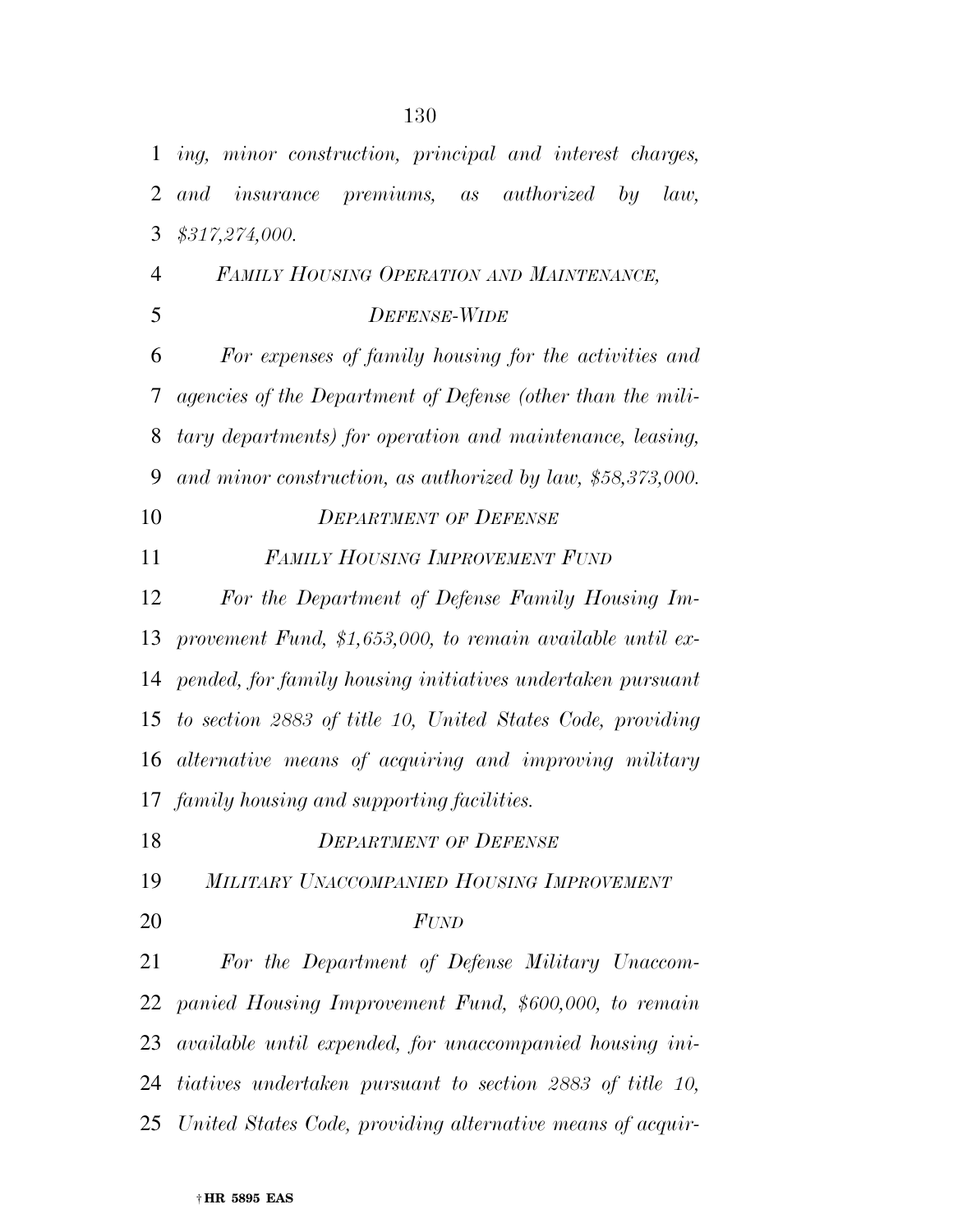*ing, minor construction, principal and interest charges, and insurance premiums, as authorized by law, \$317,274,000. FAMILY HOUSING OPERATION AND MAINTENANCE, DEFENSE-WIDE For expenses of family housing for the activities and agencies of the Department of Defense (other than the mili- tary departments) for operation and maintenance, leasing, and minor construction, as authorized by law, \$58,373,000. DEPARTMENT OF DEFENSE FAMILY HOUSING IMPROVEMENT FUND For the Department of Defense Family Housing Im- provement Fund, \$1,653,000, to remain available until ex- pended, for family housing initiatives undertaken pursuant to section 2883 of title 10, United States Code, providing alternative means of acquiring and improving military family housing and supporting facilities. DEPARTMENT OF DEFENSE MILITARY UNACCOMPANIED HOUSING IMPROVEMENT FUND For the Department of Defense Military Unaccom- panied Housing Improvement Fund, \$600,000, to remain available until expended, for unaccompanied housing ini- tiatives undertaken pursuant to section 2883 of title 10, United States Code, providing alternative means of acquir-*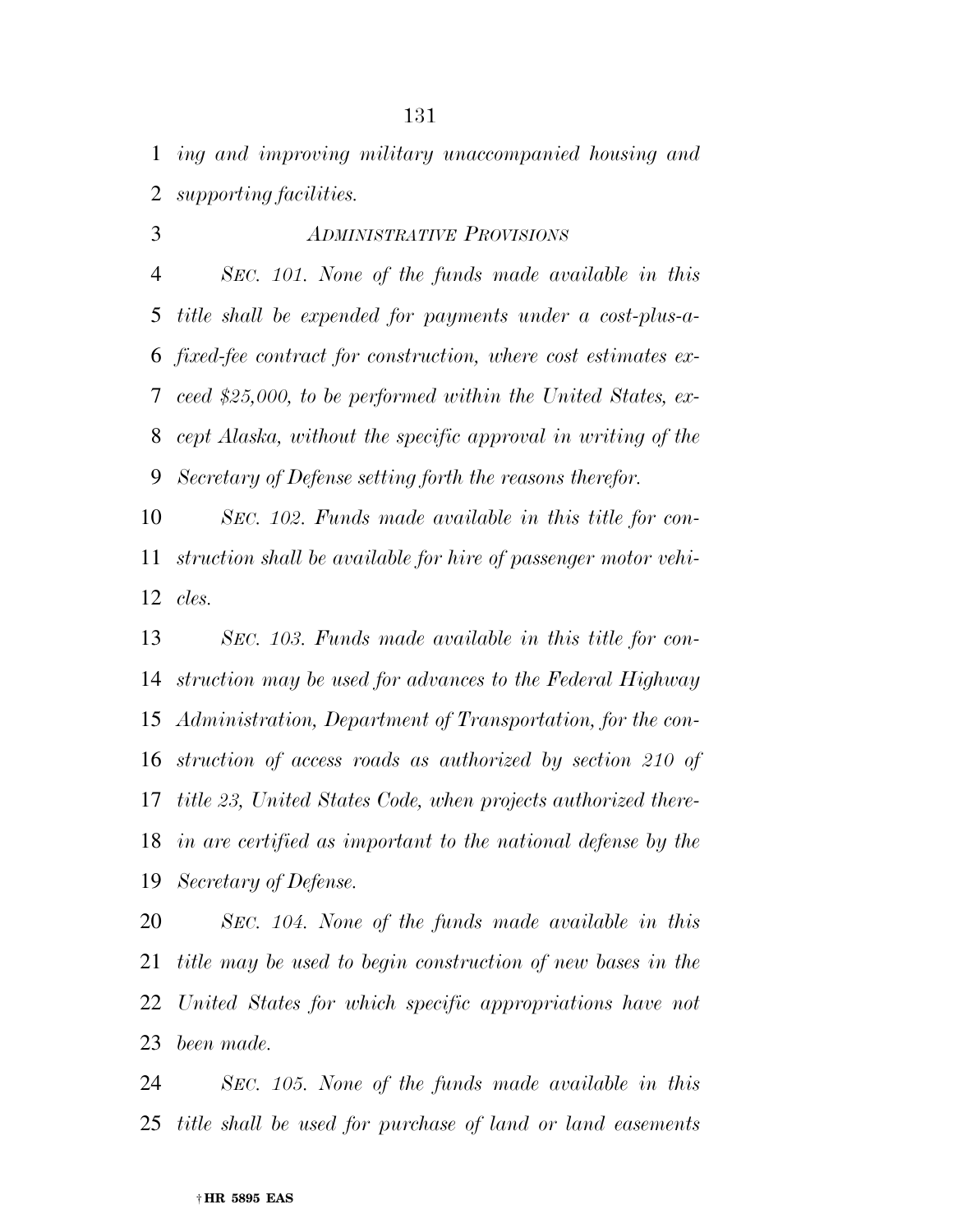*ing and improving military unaccompanied housing and supporting facilities.* 

*ADMINISTRATIVE PROVISIONS*

 *SEC. 101. None of the funds made available in this title shall be expended for payments under a cost-plus-a- fixed-fee contract for construction, where cost estimates ex- ceed \$25,000, to be performed within the United States, ex- cept Alaska, without the specific approval in writing of the Secretary of Defense setting forth the reasons therefor.* 

 *SEC. 102. Funds made available in this title for con- struction shall be available for hire of passenger motor vehi-cles.* 

 *SEC. 103. Funds made available in this title for con- struction may be used for advances to the Federal Highway Administration, Department of Transportation, for the con- struction of access roads as authorized by section 210 of title 23, United States Code, when projects authorized there- in are certified as important to the national defense by the Secretary of Defense.* 

 *SEC. 104. None of the funds made available in this title may be used to begin construction of new bases in the United States for which specific appropriations have not been made.* 

 *SEC. 105. None of the funds made available in this title shall be used for purchase of land or land easements*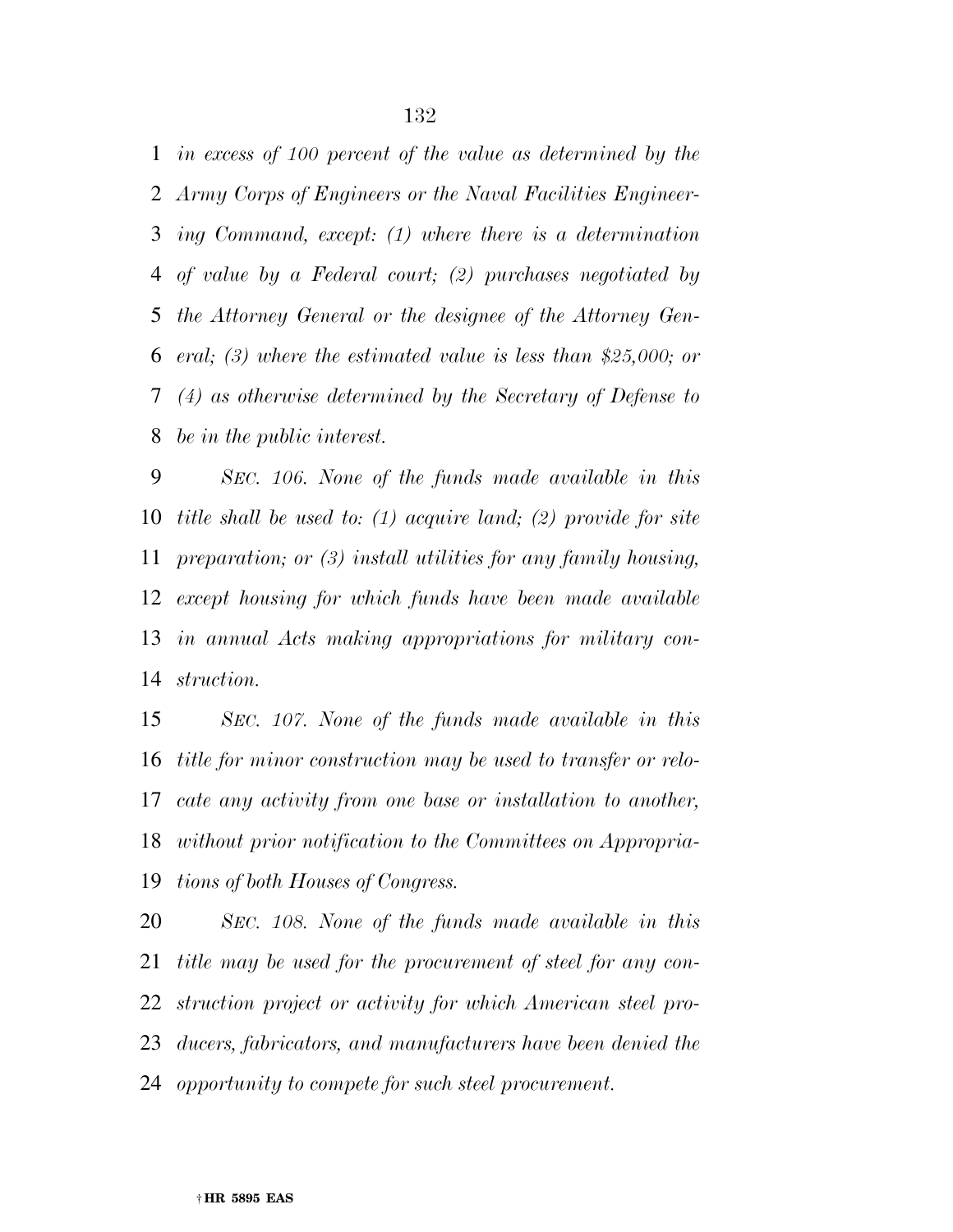*in excess of 100 percent of the value as determined by the Army Corps of Engineers or the Naval Facilities Engineer- ing Command, except: (1) where there is a determination of value by a Federal court; (2) purchases negotiated by the Attorney General or the designee of the Attorney Gen- eral; (3) where the estimated value is less than \$25,000; or (4) as otherwise determined by the Secretary of Defense to be in the public interest.* 

 *SEC. 106. None of the funds made available in this title shall be used to: (1) acquire land; (2) provide for site preparation; or (3) install utilities for any family housing, except housing for which funds have been made available in annual Acts making appropriations for military con-struction.* 

 *SEC. 107. None of the funds made available in this title for minor construction may be used to transfer or relo- cate any activity from one base or installation to another, without prior notification to the Committees on Appropria-tions of both Houses of Congress.* 

 *SEC. 108. None of the funds made available in this title may be used for the procurement of steel for any con- struction project or activity for which American steel pro- ducers, fabricators, and manufacturers have been denied the opportunity to compete for such steel procurement.*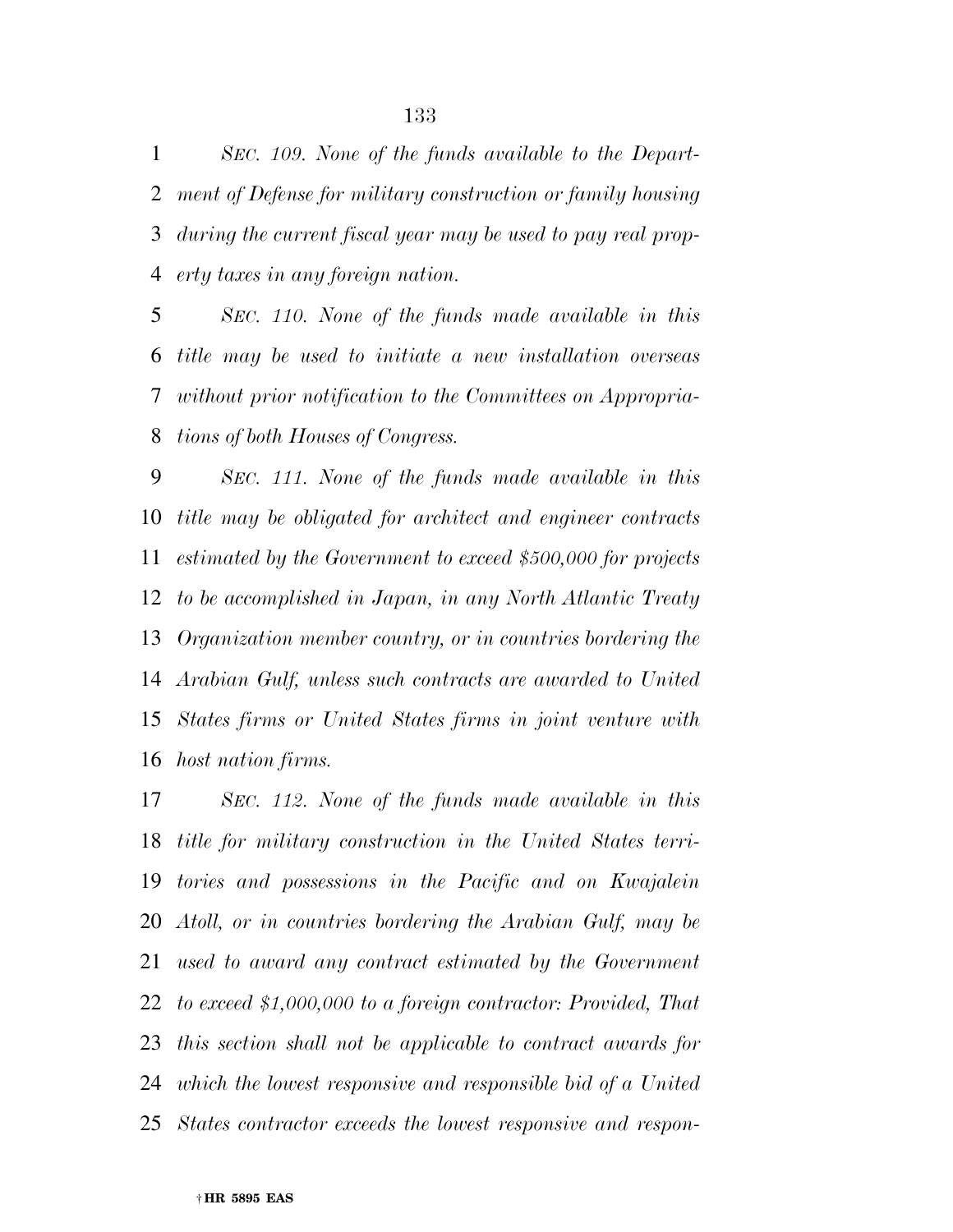*SEC. 109. None of the funds available to the Depart- ment of Defense for military construction or family housing during the current fiscal year may be used to pay real prop-erty taxes in any foreign nation.* 

 *SEC. 110. None of the funds made available in this title may be used to initiate a new installation overseas without prior notification to the Committees on Appropria-tions of both Houses of Congress.* 

 *SEC. 111. None of the funds made available in this title may be obligated for architect and engineer contracts estimated by the Government to exceed \$500,000 for projects to be accomplished in Japan, in any North Atlantic Treaty Organization member country, or in countries bordering the Arabian Gulf, unless such contracts are awarded to United States firms or United States firms in joint venture with host nation firms.* 

 *SEC. 112. None of the funds made available in this title for military construction in the United States terri- tories and possessions in the Pacific and on Kwajalein Atoll, or in countries bordering the Arabian Gulf, may be used to award any contract estimated by the Government to exceed \$1,000,000 to a foreign contractor: Provided, That this section shall not be applicable to contract awards for which the lowest responsive and responsible bid of a United States contractor exceeds the lowest responsive and respon-*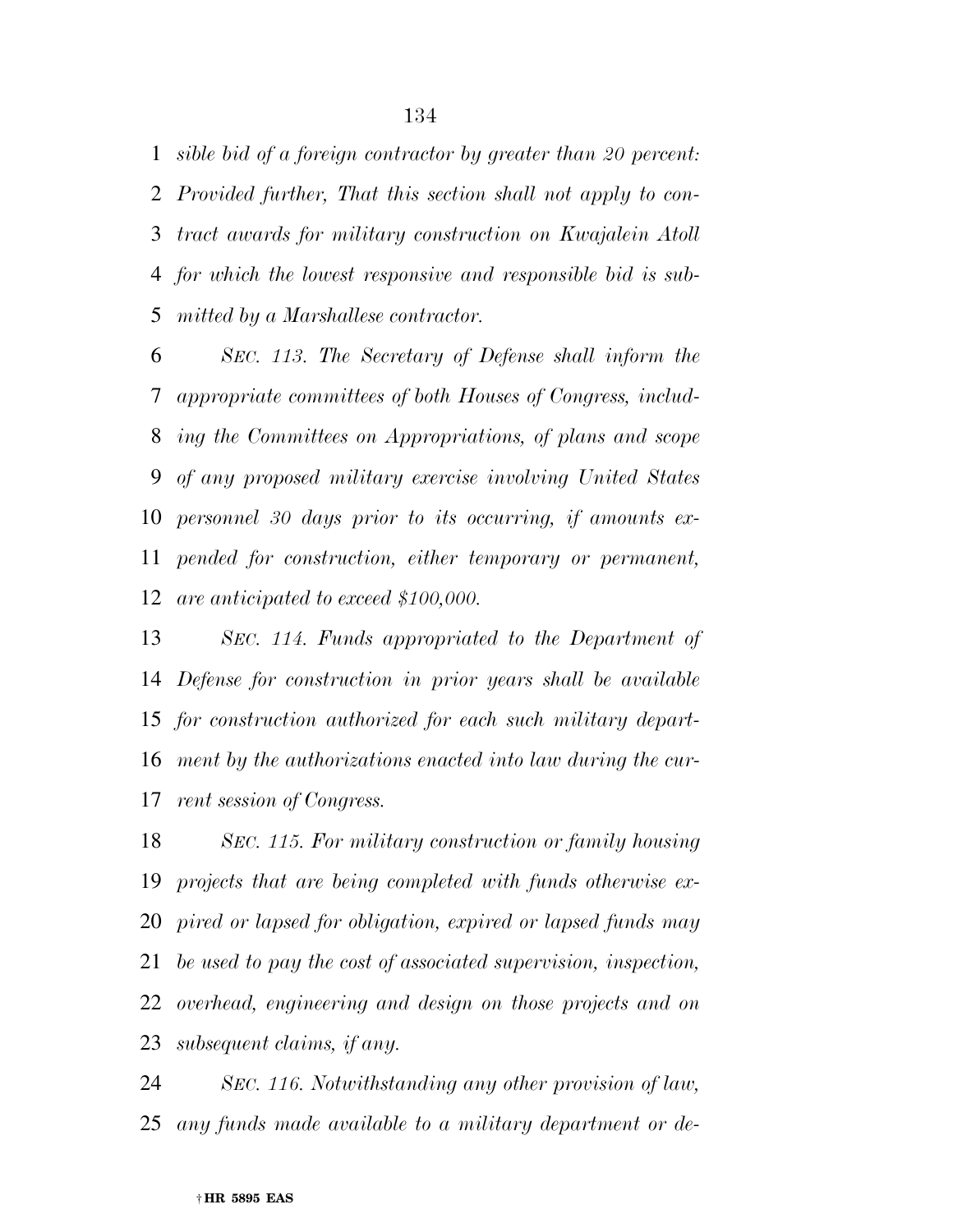*sible bid of a foreign contractor by greater than 20 percent: Provided further, That this section shall not apply to con- tract awards for military construction on Kwajalein Atoll for which the lowest responsive and responsible bid is sub-mitted by a Marshallese contractor.* 

 *SEC. 113. The Secretary of Defense shall inform the appropriate committees of both Houses of Congress, includ- ing the Committees on Appropriations, of plans and scope of any proposed military exercise involving United States personnel 30 days prior to its occurring, if amounts ex- pended for construction, either temporary or permanent, are anticipated to exceed \$100,000.* 

 *SEC. 114. Funds appropriated to the Department of Defense for construction in prior years shall be available for construction authorized for each such military depart- ment by the authorizations enacted into law during the cur-rent session of Congress.* 

 *SEC. 115. For military construction or family housing projects that are being completed with funds otherwise ex- pired or lapsed for obligation, expired or lapsed funds may be used to pay the cost of associated supervision, inspection, overhead, engineering and design on those projects and on subsequent claims, if any.* 

 *SEC. 116. Notwithstanding any other provision of law, any funds made available to a military department or de-*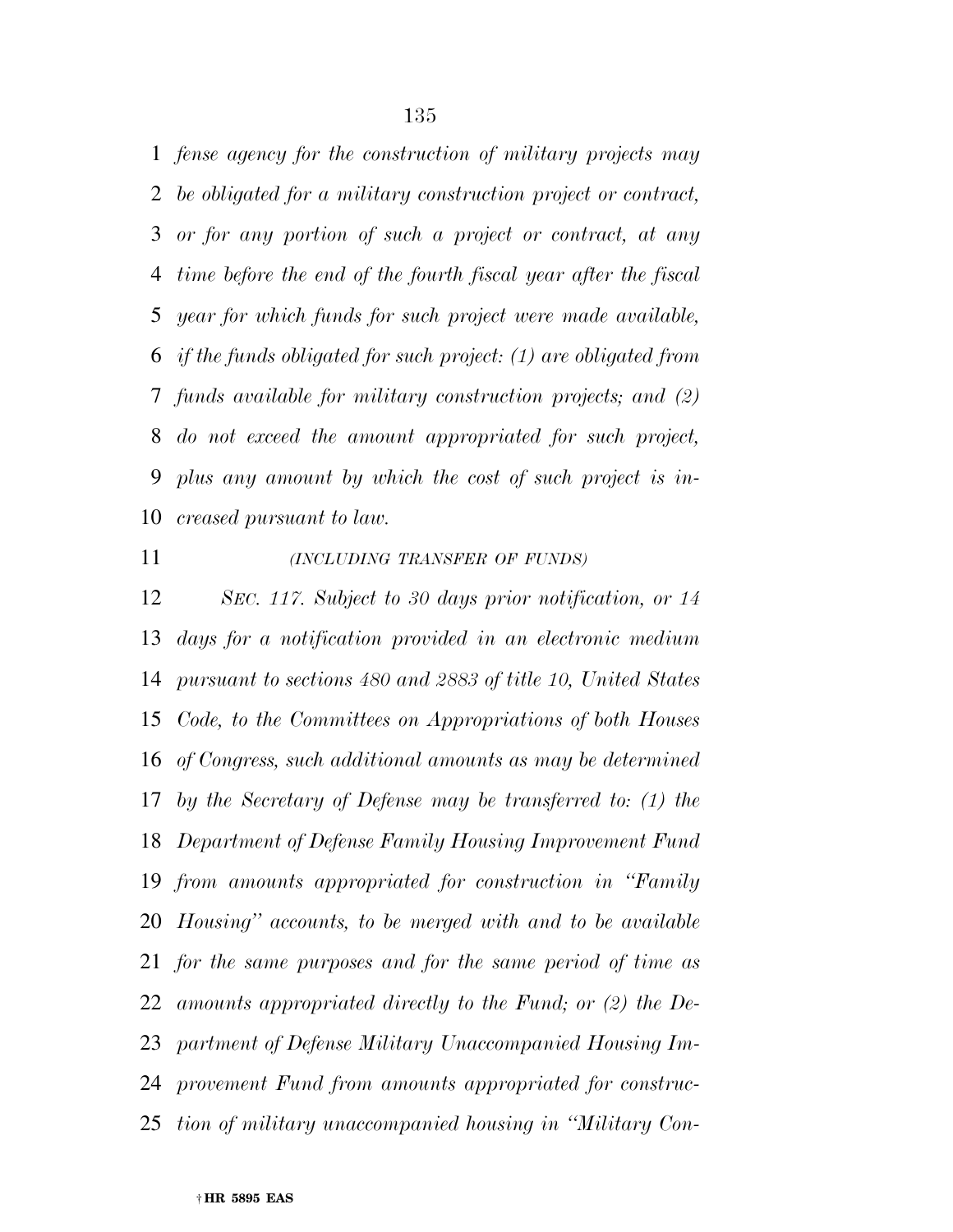*fense agency for the construction of military projects may be obligated for a military construction project or contract, or for any portion of such a project or contract, at any time before the end of the fourth fiscal year after the fiscal year for which funds for such project were made available, if the funds obligated for such project: (1) are obligated from funds available for military construction projects; and (2) do not exceed the amount appropriated for such project, plus any amount by which the cost of such project is in-creased pursuant to law.* 

# *(INCLUDING TRANSFER OF FUNDS)*

 *SEC. 117. Subject to 30 days prior notification, or 14 days for a notification provided in an electronic medium pursuant to sections 480 and 2883 of title 10, United States Code, to the Committees on Appropriations of both Houses of Congress, such additional amounts as may be determined by the Secretary of Defense may be transferred to: (1) the Department of Defense Family Housing Improvement Fund from amounts appropriated for construction in ''Family Housing'' accounts, to be merged with and to be available for the same purposes and for the same period of time as amounts appropriated directly to the Fund; or (2) the De- partment of Defense Military Unaccompanied Housing Im- provement Fund from amounts appropriated for construc-tion of military unaccompanied housing in ''Military Con-*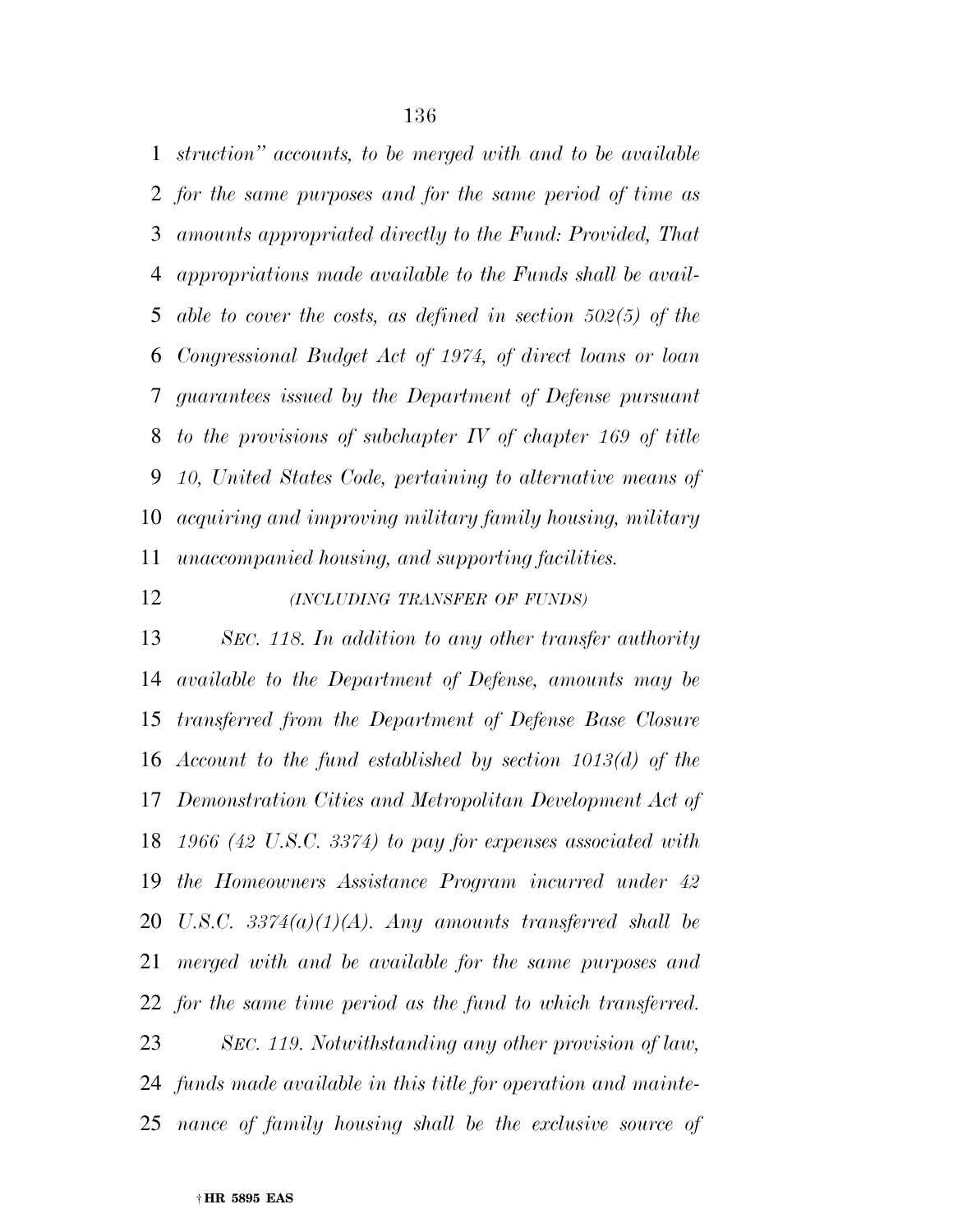*struction'' accounts, to be merged with and to be available for the same purposes and for the same period of time as amounts appropriated directly to the Fund: Provided, That appropriations made available to the Funds shall be avail- able to cover the costs, as defined in section 502(5) of the Congressional Budget Act of 1974, of direct loans or loan guarantees issued by the Department of Defense pursuant to the provisions of subchapter IV of chapter 169 of title 10, United States Code, pertaining to alternative means of acquiring and improving military family housing, military unaccompanied housing, and supporting facilities.* 

### *(INCLUDING TRANSFER OF FUNDS)*

 *SEC. 118. In addition to any other transfer authority available to the Department of Defense, amounts may be transferred from the Department of Defense Base Closure Account to the fund established by section 1013(d) of the Demonstration Cities and Metropolitan Development Act of 1966 (42 U.S.C. 3374) to pay for expenses associated with the Homeowners Assistance Program incurred under 42 U.S.C. 3374(a)(1)(A). Any amounts transferred shall be merged with and be available for the same purposes and for the same time period as the fund to which transferred. SEC. 119. Notwithstanding any other provision of law, funds made available in this title for operation and mainte-nance of family housing shall be the exclusive source of*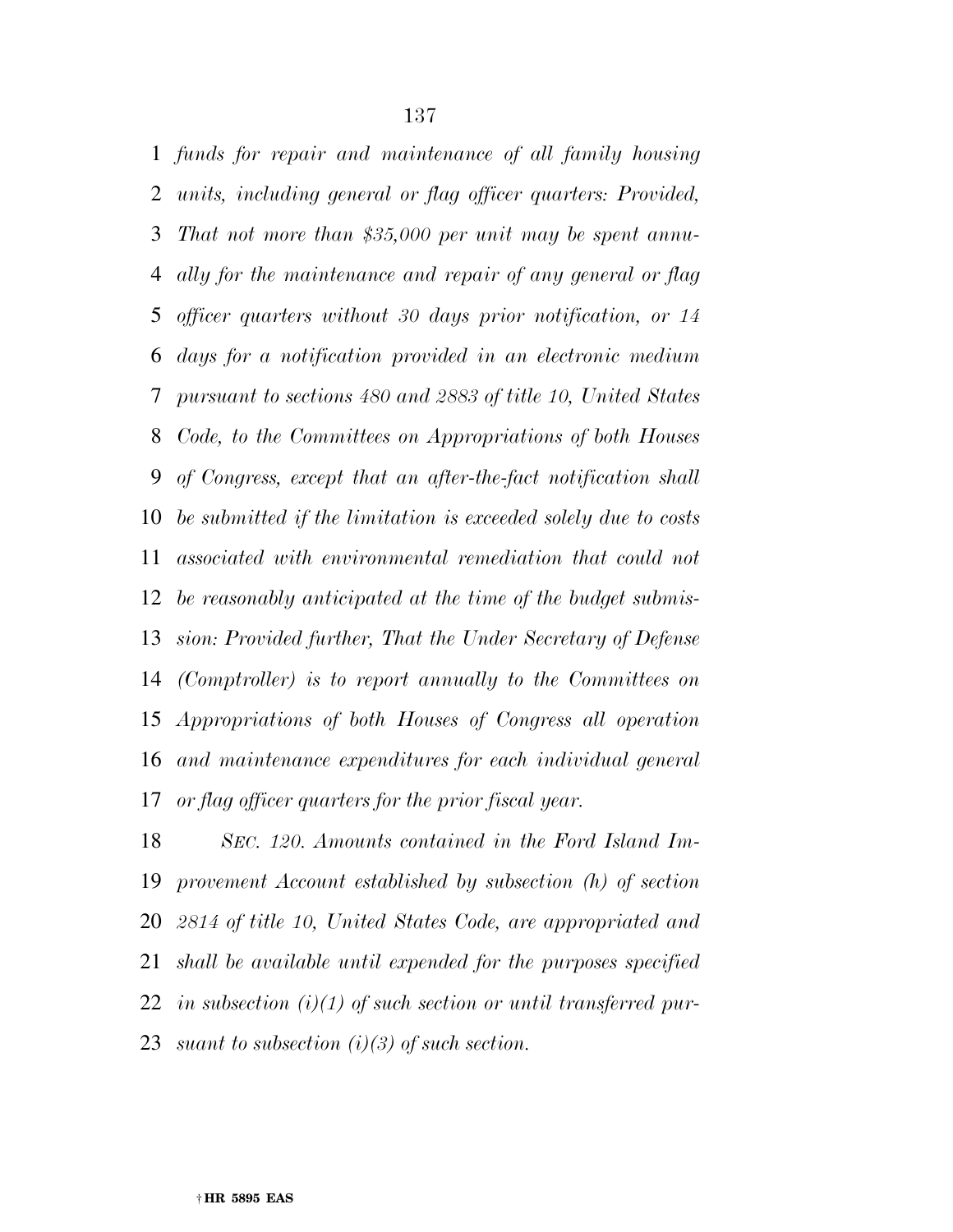*funds for repair and maintenance of all family housing units, including general or flag officer quarters: Provided, That not more than \$35,000 per unit may be spent annu- ally for the maintenance and repair of any general or flag officer quarters without 30 days prior notification, or 14 days for a notification provided in an electronic medium pursuant to sections 480 and 2883 of title 10, United States Code, to the Committees on Appropriations of both Houses of Congress, except that an after-the-fact notification shall be submitted if the limitation is exceeded solely due to costs associated with environmental remediation that could not be reasonably anticipated at the time of the budget submis- sion: Provided further, That the Under Secretary of Defense (Comptroller) is to report annually to the Committees on Appropriations of both Houses of Congress all operation and maintenance expenditures for each individual general or flag officer quarters for the prior fiscal year.* 

 *SEC. 120. Amounts contained in the Ford Island Im- provement Account established by subsection (h) of section 2814 of title 10, United States Code, are appropriated and shall be available until expended for the purposes specified in subsection (i)(1) of such section or until transferred pur-suant to subsection (i)(3) of such section.*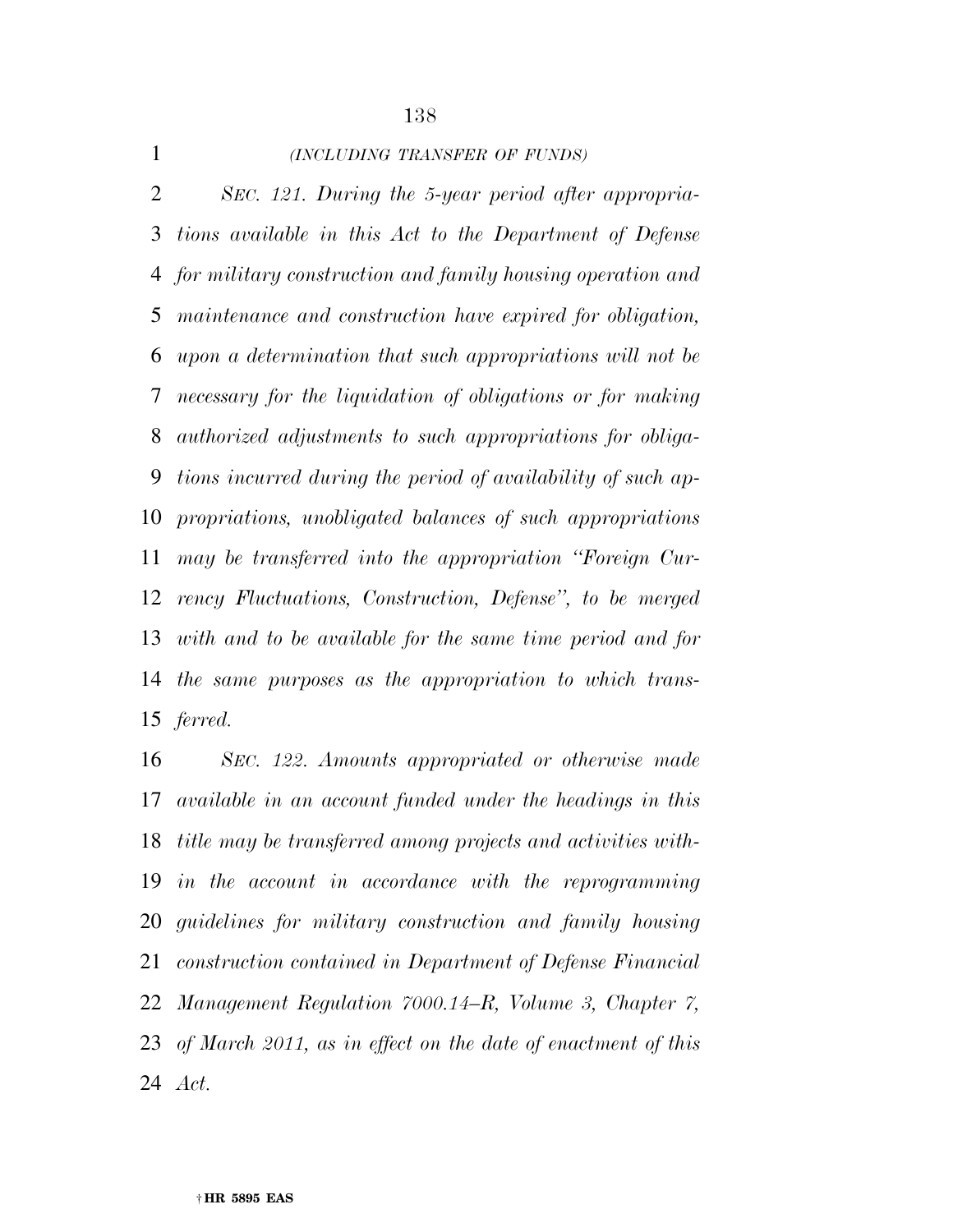### *(INCLUDING TRANSFER OF FUNDS)*

 *SEC. 121. During the 5-year period after appropria- tions available in this Act to the Department of Defense for military construction and family housing operation and maintenance and construction have expired for obligation, upon a determination that such appropriations will not be necessary for the liquidation of obligations or for making authorized adjustments to such appropriations for obliga- tions incurred during the period of availability of such ap- propriations, unobligated balances of such appropriations may be transferred into the appropriation ''Foreign Cur- rency Fluctuations, Construction, Defense'', to be merged with and to be available for the same time period and for the same purposes as the appropriation to which trans-ferred.* 

 *SEC. 122. Amounts appropriated or otherwise made available in an account funded under the headings in this title may be transferred among projects and activities with- in the account in accordance with the reprogramming guidelines for military construction and family housing construction contained in Department of Defense Financial Management Regulation 7000.14–R, Volume 3, Chapter 7, of March 2011, as in effect on the date of enactment of this Act.*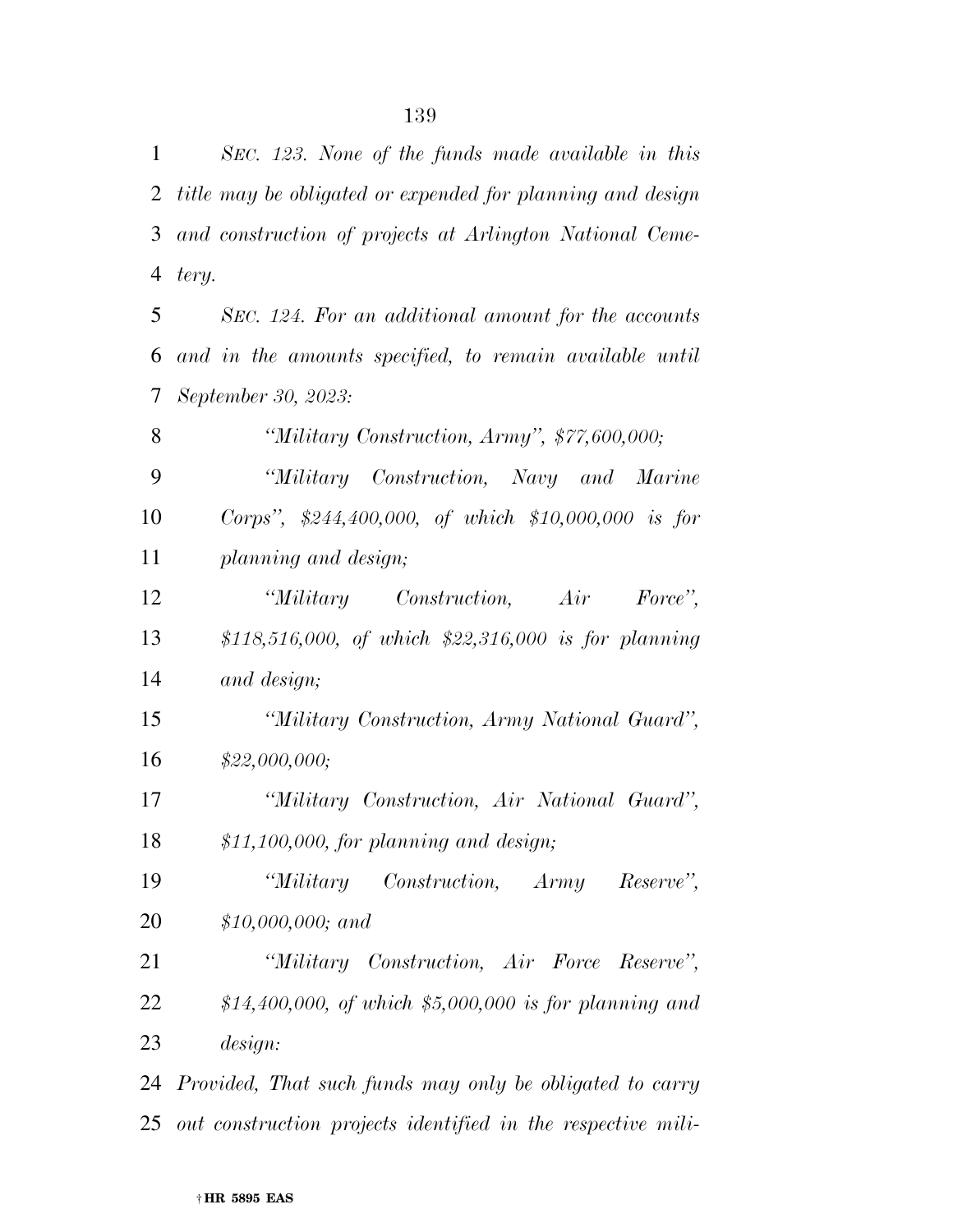*SEC. 123. None of the funds made available in this title may be obligated or expended for planning and design and construction of projects at Arlington National Ceme-tery.* 

 *SEC. 124. For an additional amount for the accounts and in the amounts specified, to remain available until September 30, 2023:* 

| 8  | "Military Construction, Army", \$77,600,000;             |
|----|----------------------------------------------------------|
| 9  | "Military Construction, Navy and Marine                  |
| 10 | Corps", \$244,400,000, of which \$10,000,000 is for      |
| 11 | planning and design;                                     |
| 12 | "Military Construction, Air<br>$Force$ <sup>"</sup> ,    |
| 13 | \$118,516,000, of which \$22,316,000 is for planning     |
| 14 | and design;                                              |
| 15 | "Military Construction, Army National Guard",            |
| 16 | \$22,000,000;                                            |
| 17 | "Military Construction, Air National Guard",             |
| 18 | \$11,100,000, for planning and design;                   |
| 19 | "Military Construction, Army Reserve",                   |
| 20 | $$10,000,000;$ and                                       |
| 21 | "Military Construction, Air Force Reserve",              |
| 22 | \$14,400,000, of which \$5,000,000 is for planning and   |
| 23 | design:                                                  |
| 24 | Provided, That such funds may only be obligated to carry |
|    |                                                          |

*out construction projects identified in the respective mili-*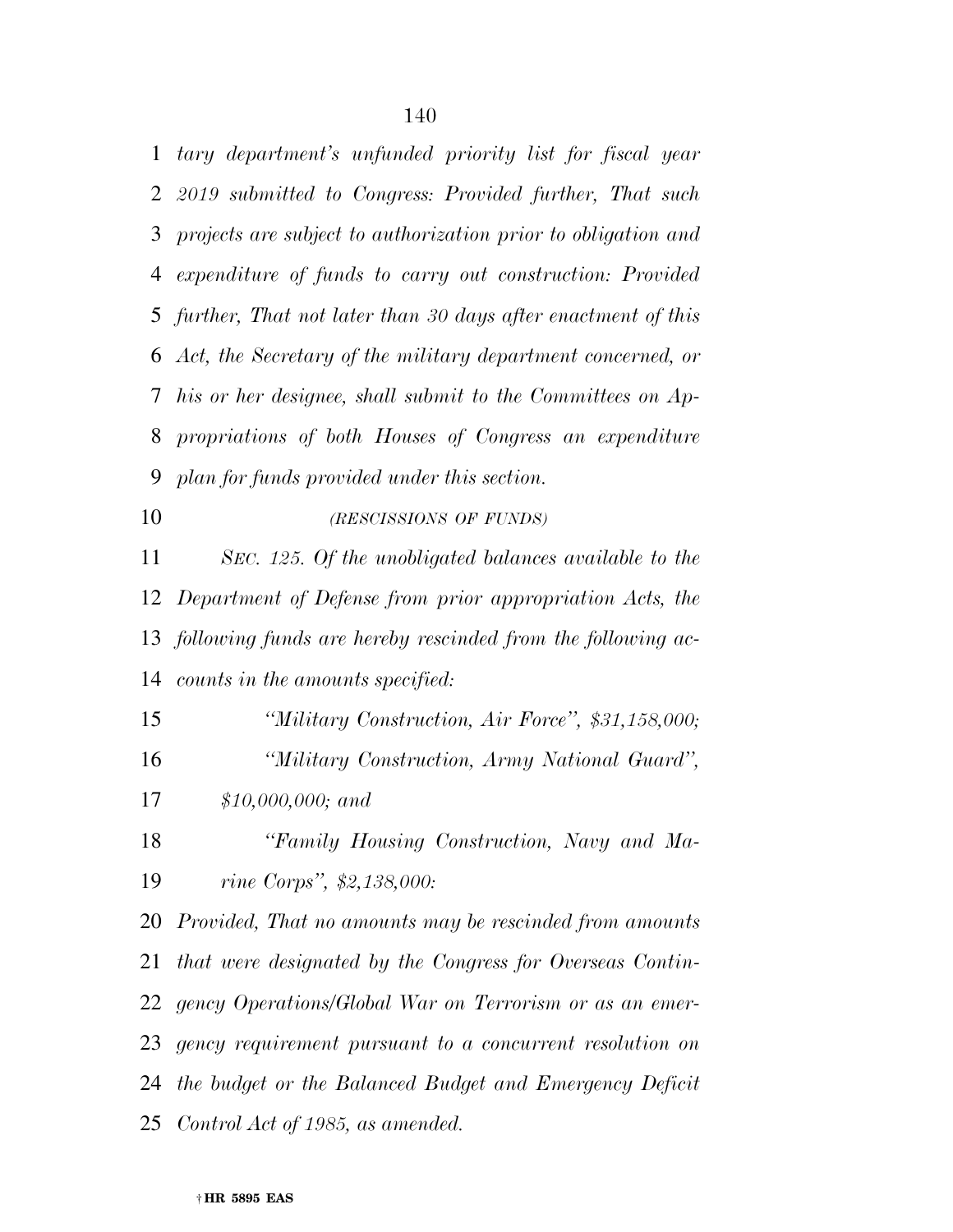*tary department's unfunded priority list for fiscal year 2019 submitted to Congress: Provided further, That such projects are subject to authorization prior to obligation and expenditure of funds to carry out construction: Provided further, That not later than 30 days after enactment of this Act, the Secretary of the military department concerned, or his or her designee, shall submit to the Committees on Ap- propriations of both Houses of Congress an expenditure plan for funds provided under this section.* 

*(RESCISSIONS OF FUNDS)*

 *SEC. 125. Of the unobligated balances available to the Department of Defense from prior appropriation Acts, the following funds are hereby rescinded from the following ac-counts in the amounts specified:* 

 *''Military Construction, Air Force'', \$31,158,000; ''Military Construction, Army National Guard'', \$10,000,000; and* 

 *''Family Housing Construction, Navy and Ma-rine Corps'', \$2,138,000:* 

 *Provided, That no amounts may be rescinded from amounts that were designated by the Congress for Overseas Contin- gency Operations/Global War on Terrorism or as an emer- gency requirement pursuant to a concurrent resolution on the budget or the Balanced Budget and Emergency Deficit Control Act of 1985, as amended.*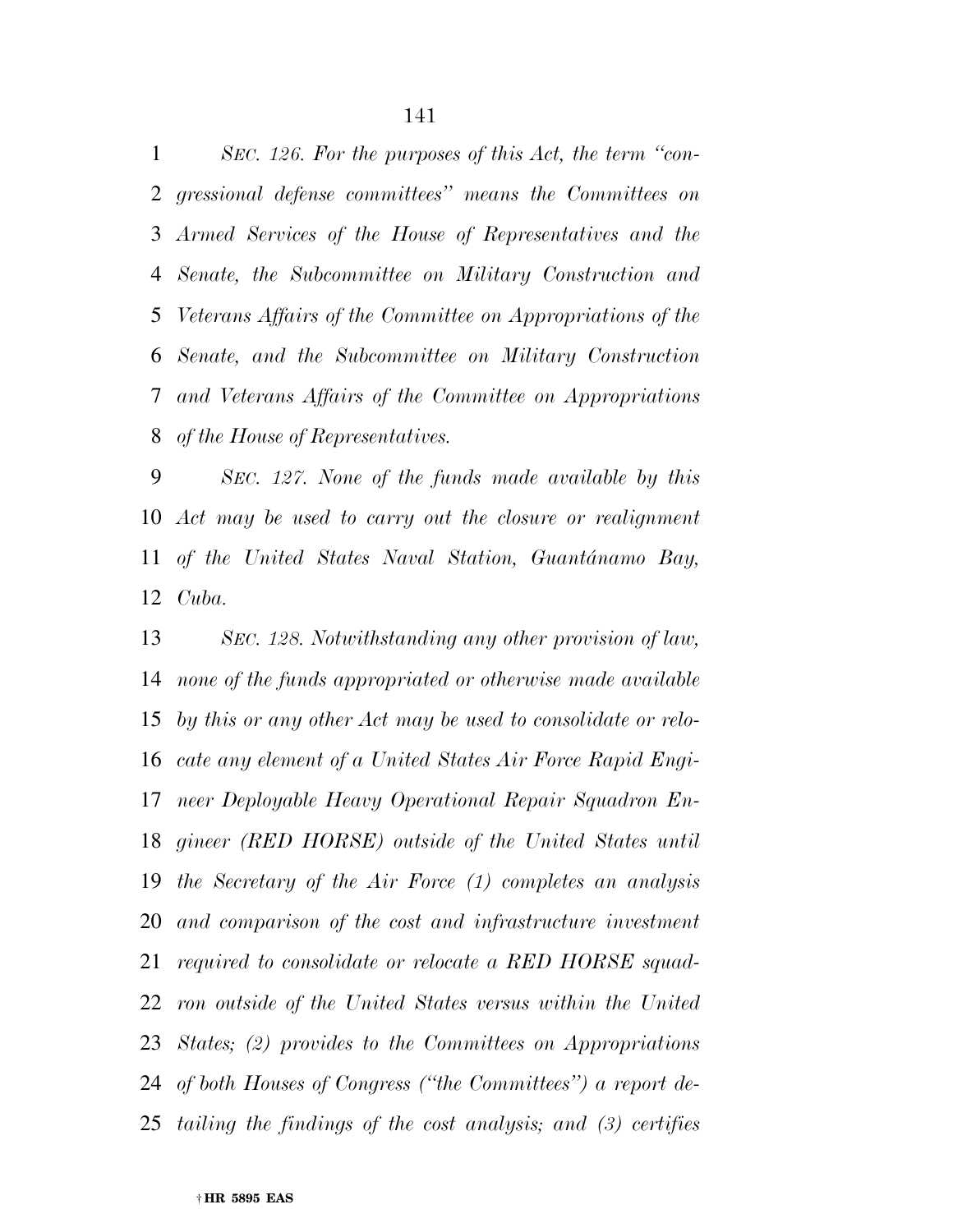*SEC. 126. For the purposes of this Act, the term ''con- gressional defense committees'' means the Committees on Armed Services of the House of Representatives and the Senate, the Subcommittee on Military Construction and Veterans Affairs of the Committee on Appropriations of the Senate, and the Subcommittee on Military Construction and Veterans Affairs of the Committee on Appropriations of the House of Representatives.* 

 *SEC. 127. None of the funds made available by this Act may be used to carry out the closure or realignment of the United States Naval Station, Guantánamo Bay, Cuba.* 

 *SEC. 128. Notwithstanding any other provision of law, none of the funds appropriated or otherwise made available by this or any other Act may be used to consolidate or relo- cate any element of a United States Air Force Rapid Engi- neer Deployable Heavy Operational Repair Squadron En- gineer (RED HORSE) outside of the United States until the Secretary of the Air Force (1) completes an analysis and comparison of the cost and infrastructure investment required to consolidate or relocate a RED HORSE squad- ron outside of the United States versus within the United States; (2) provides to the Committees on Appropriations of both Houses of Congress (''the Committees'') a report de-tailing the findings of the cost analysis; and (3) certifies*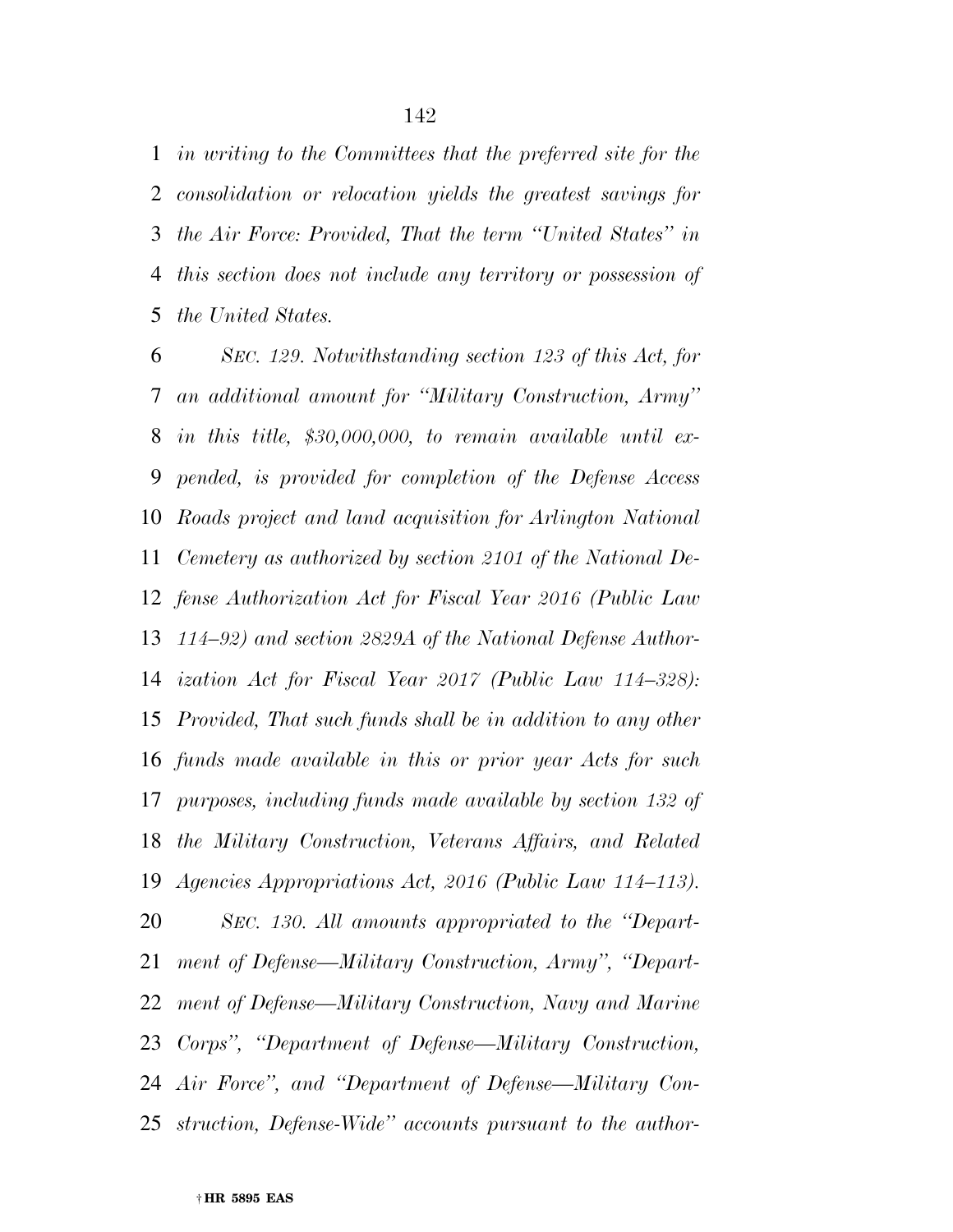*in writing to the Committees that the preferred site for the consolidation or relocation yields the greatest savings for the Air Force: Provided, That the term ''United States'' in this section does not include any territory or possession of the United States.* 

 *SEC. 129. Notwithstanding section 123 of this Act, for an additional amount for ''Military Construction, Army'' in this title, \$30,000,000, to remain available until ex- pended, is provided for completion of the Defense Access Roads project and land acquisition for Arlington National Cemetery as authorized by section 2101 of the National De- fense Authorization Act for Fiscal Year 2016 (Public Law 114–92) and section 2829A of the National Defense Author- ization Act for Fiscal Year 2017 (Public Law 114–328): Provided, That such funds shall be in addition to any other funds made available in this or prior year Acts for such purposes, including funds made available by section 132 of the Military Construction, Veterans Affairs, and Related Agencies Appropriations Act, 2016 (Public Law 114–113). SEC. 130. All amounts appropriated to the ''Depart- ment of Defense—Military Construction, Army'', ''Depart- ment of Defense—Military Construction, Navy and Marine Corps'', ''Department of Defense—Military Construction, Air Force'', and ''Department of Defense—Military Con-struction, Defense-Wide'' accounts pursuant to the author-*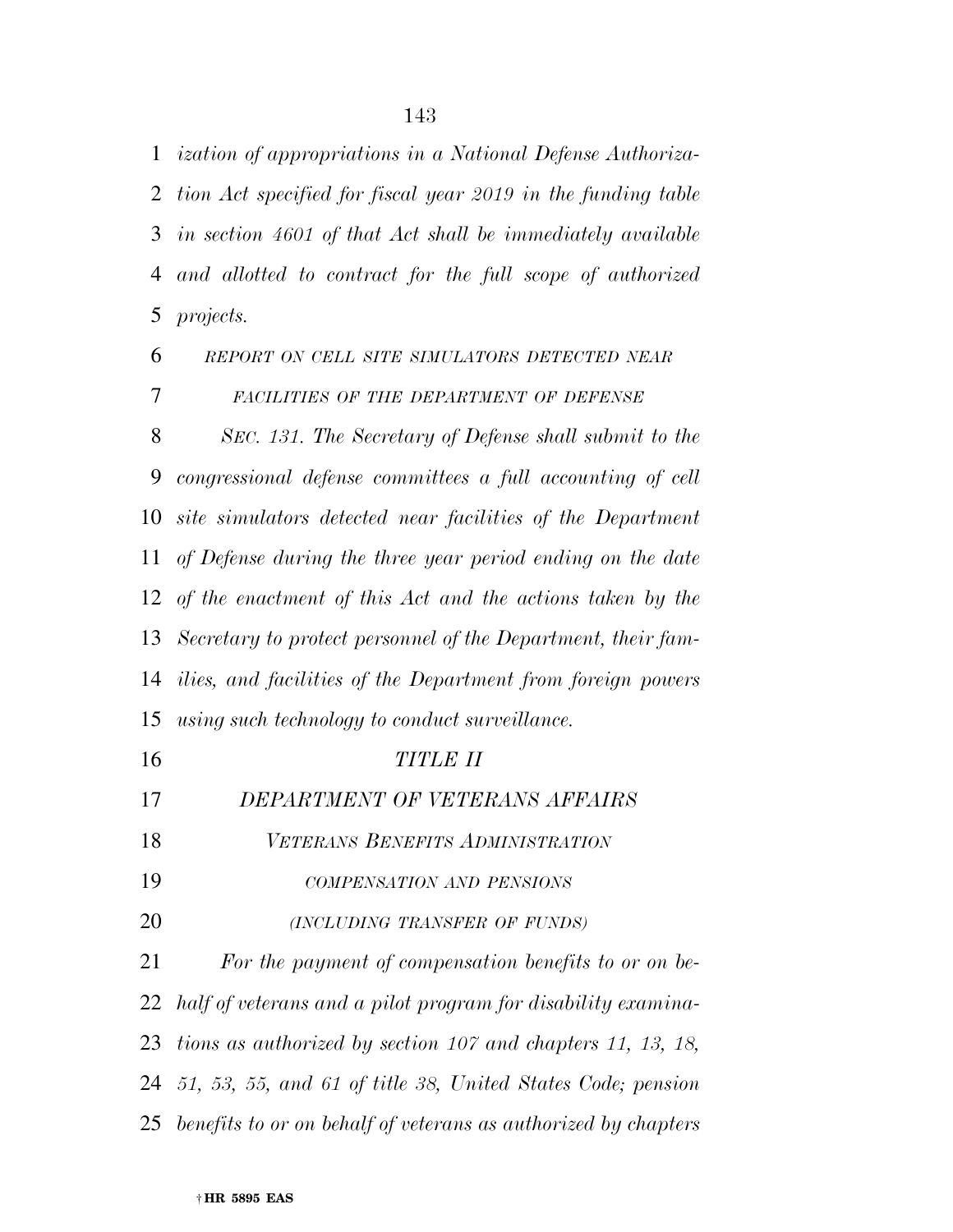*ization of appropriations in a National Defense Authoriza- tion Act specified for fiscal year 2019 in the funding table in section 4601 of that Act shall be immediately available and allotted to contract for the full scope of authorized projects.* 

 *REPORT ON CELL SITE SIMULATORS DETECTED NEAR FACILITIES OF THE DEPARTMENT OF DEFENSE*

 *SEC. 131. The Secretary of Defense shall submit to the congressional defense committees a full accounting of cell site simulators detected near facilities of the Department of Defense during the three year period ending on the date of the enactment of this Act and the actions taken by the Secretary to protect personnel of the Department, their fam- ilies, and facilities of the Department from foreign powers using such technology to conduct surveillance.* 

 *TITLE II DEPARTMENT OF VETERANS AFFAIRS VETERANS BENEFITS ADMINISTRATION COMPENSATION AND PENSIONS (INCLUDING TRANSFER OF FUNDS) For the payment of compensation benefits to or on be- half of veterans and a pilot program for disability examina- tions as authorized by section 107 and chapters 11, 13, 18, 51, 53, 55, and 61 of title 38, United States Code; pension benefits to or on behalf of veterans as authorized by chapters*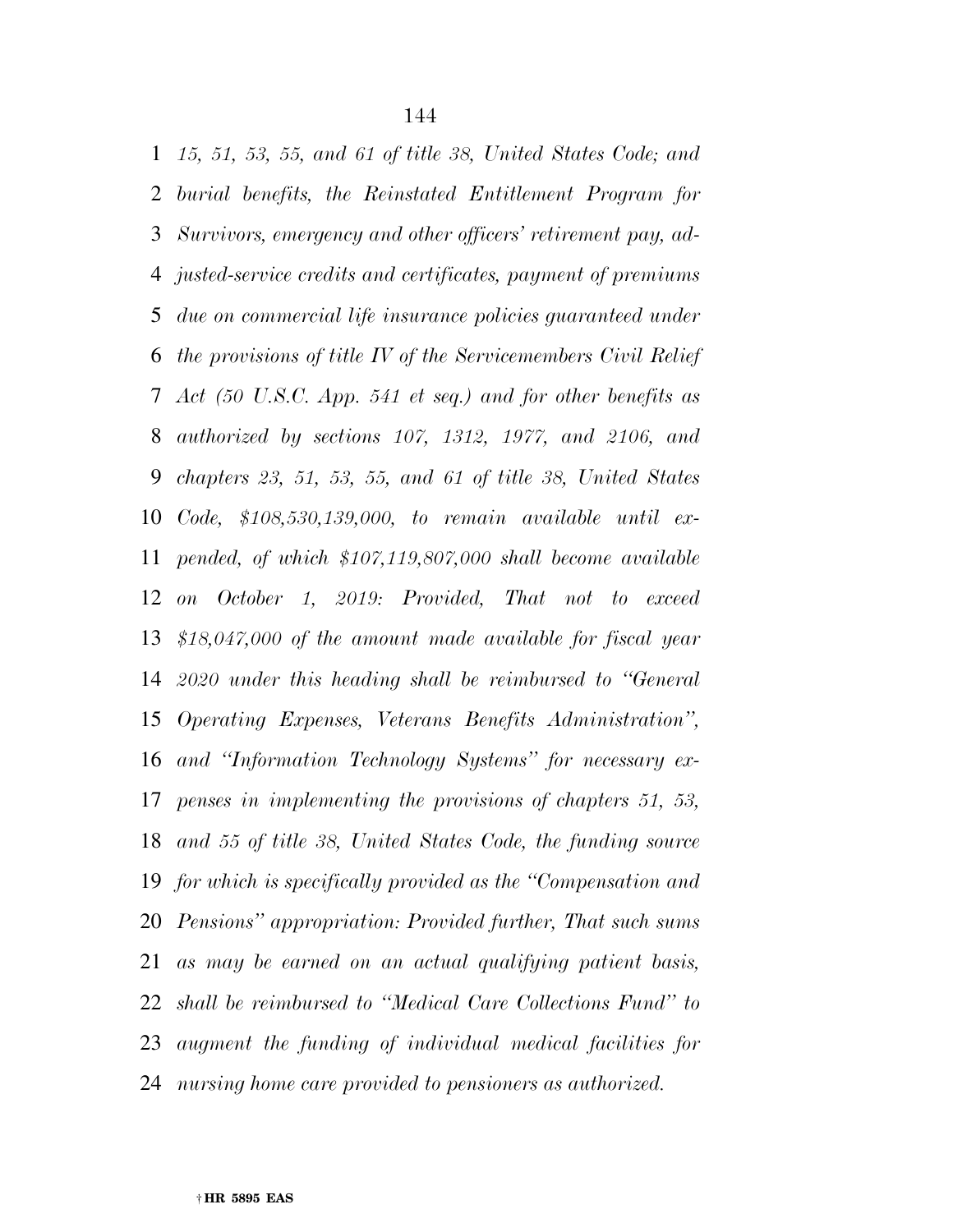*15, 51, 53, 55, and 61 of title 38, United States Code; and burial benefits, the Reinstated Entitlement Program for Survivors, emergency and other officers' retirement pay, ad- justed-service credits and certificates, payment of premiums due on commercial life insurance policies guaranteed under the provisions of title IV of the Servicemembers Civil Relief Act (50 U.S.C. App. 541 et seq.) and for other benefits as authorized by sections 107, 1312, 1977, and 2106, and chapters 23, 51, 53, 55, and 61 of title 38, United States Code, \$108,530,139,000, to remain available until ex- pended, of which \$107,119,807,000 shall become available on October 1, 2019: Provided, That not to exceed \$18,047,000 of the amount made available for fiscal year 2020 under this heading shall be reimbursed to ''General Operating Expenses, Veterans Benefits Administration'', and ''Information Technology Systems'' for necessary ex- penses in implementing the provisions of chapters 51, 53, and 55 of title 38, United States Code, the funding source for which is specifically provided as the ''Compensation and Pensions'' appropriation: Provided further, That such sums as may be earned on an actual qualifying patient basis, shall be reimbursed to ''Medical Care Collections Fund'' to augment the funding of individual medical facilities for nursing home care provided to pensioners as authorized.*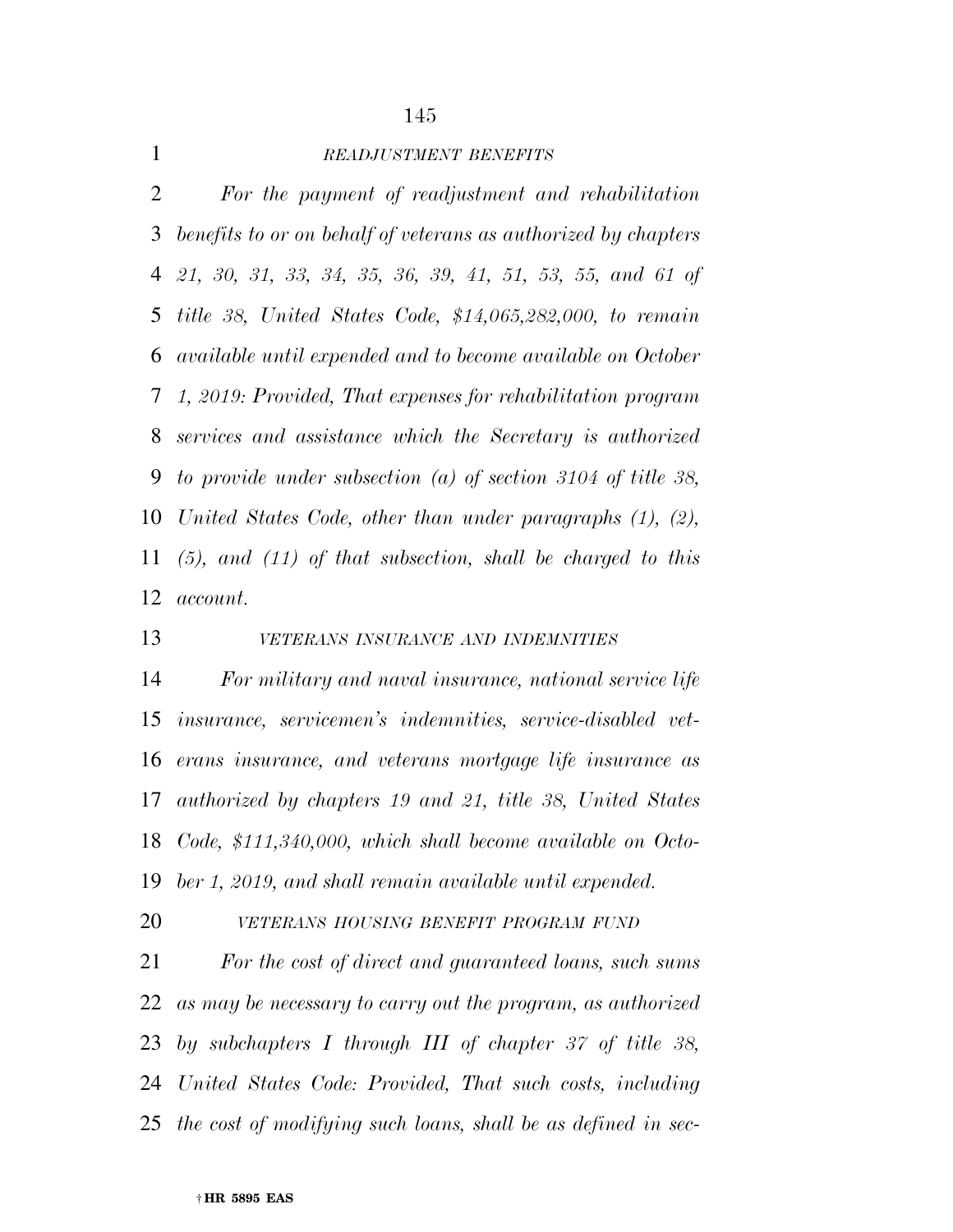*READJUSTMENT BENEFITS*

 *For the payment of readjustment and rehabilitation benefits to or on behalf of veterans as authorized by chapters 21, 30, 31, 33, 34, 35, 36, 39, 41, 51, 53, 55, and 61 of title 38, United States Code, \$14,065,282,000, to remain available until expended and to become available on October 1, 2019: Provided, That expenses for rehabilitation program services and assistance which the Secretary is authorized to provide under subsection (a) of section 3104 of title 38, United States Code, other than under paragraphs (1), (2), (5), and (11) of that subsection, shall be charged to this account.* 

## *VETERANS INSURANCE AND INDEMNITIES*

 *For military and naval insurance, national service life insurance, servicemen's indemnities, service-disabled vet- erans insurance, and veterans mortgage life insurance as authorized by chapters 19 and 21, title 38, United States Code, \$111,340,000, which shall become available on Octo-ber 1, 2019, and shall remain available until expended.* 

*VETERANS HOUSING BENEFIT PROGRAM FUND*

 *For the cost of direct and guaranteed loans, such sums as may be necessary to carry out the program, as authorized by subchapters I through III of chapter 37 of title 38, United States Code: Provided, That such costs, including the cost of modifying such loans, shall be as defined in sec-*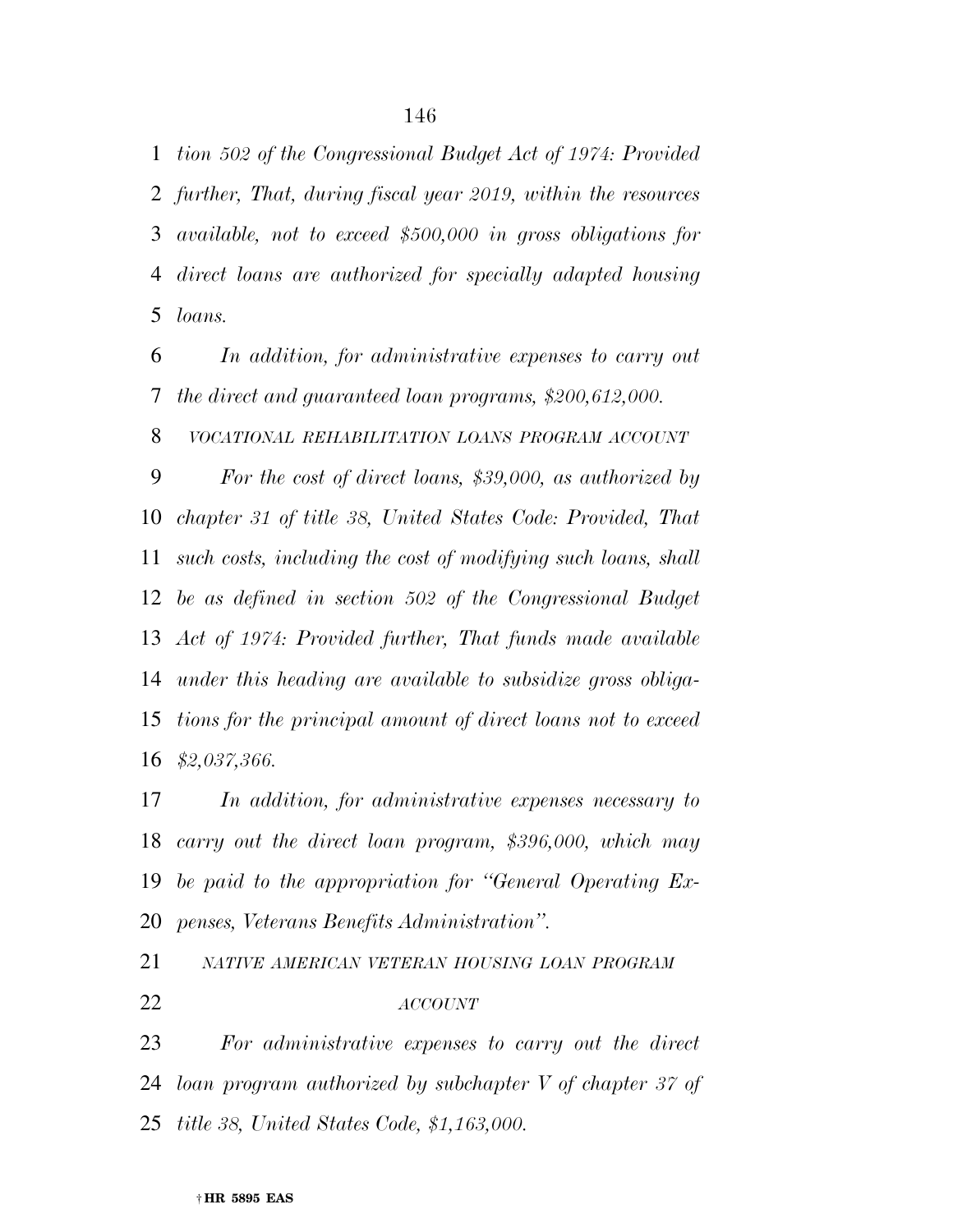*tion 502 of the Congressional Budget Act of 1974: Provided further, That, during fiscal year 2019, within the resources available, not to exceed \$500,000 in gross obligations for direct loans are authorized for specially adapted housing loans.* 

 *In addition, for administrative expenses to carry out the direct and guaranteed loan programs, \$200,612,000.* 

*VOCATIONAL REHABILITATION LOANS PROGRAM ACCOUNT*

 *For the cost of direct loans, \$39,000, as authorized by chapter 31 of title 38, United States Code: Provided, That such costs, including the cost of modifying such loans, shall be as defined in section 502 of the Congressional Budget Act of 1974: Provided further, That funds made available under this heading are available to subsidize gross obliga- tions for the principal amount of direct loans not to exceed \$2,037,366.* 

 *In addition, for administrative expenses necessary to carry out the direct loan program, \$396,000, which may be paid to the appropriation for ''General Operating Ex-penses, Veterans Benefits Administration''.* 

 *NATIVE AMERICAN VETERAN HOUSING LOAN PROGRAM ACCOUNT*

 *For administrative expenses to carry out the direct loan program authorized by subchapter V of chapter 37 of title 38, United States Code, \$1,163,000.*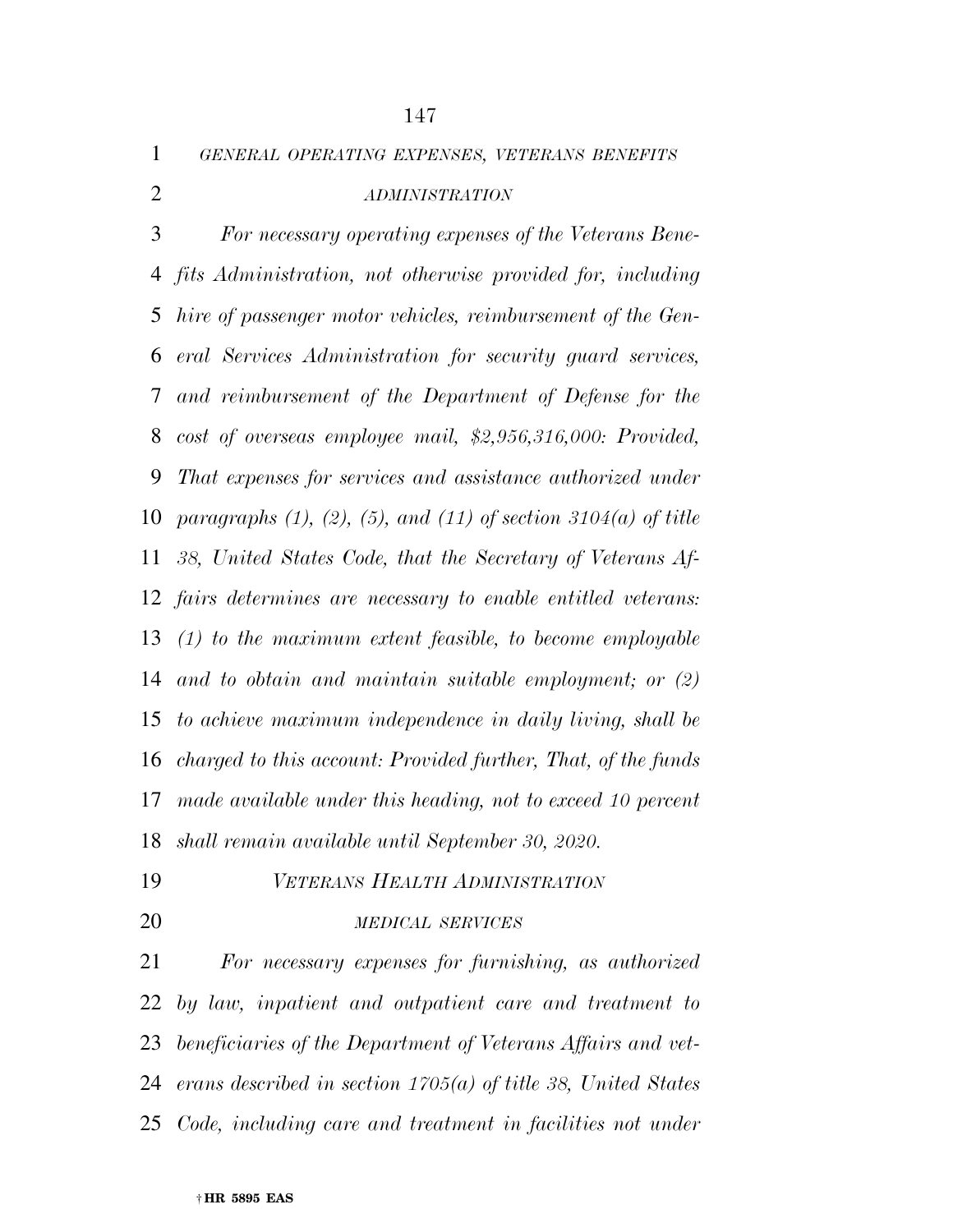*GENERAL OPERATING EXPENSES, VETERANS BENEFITS*

# *ADMINISTRATION*

 *For necessary operating expenses of the Veterans Bene- fits Administration, not otherwise provided for, including hire of passenger motor vehicles, reimbursement of the Gen- eral Services Administration for security guard services, and reimbursement of the Department of Defense for the cost of overseas employee mail, \$2,956,316,000: Provided, That expenses for services and assistance authorized under paragraphs (1), (2), (5), and (11) of section 3104(a) of title 38, United States Code, that the Secretary of Veterans Af- fairs determines are necessary to enable entitled veterans: (1) to the maximum extent feasible, to become employable and to obtain and maintain suitable employment; or (2) to achieve maximum independence in daily living, shall be charged to this account: Provided further, That, of the funds made available under this heading, not to exceed 10 percent shall remain available until September 30, 2020.* 

- *VETERANS HEALTH ADMINISTRATION*
- 

## *MEDICAL SERVICES*

 *For necessary expenses for furnishing, as authorized by law, inpatient and outpatient care and treatment to beneficiaries of the Department of Veterans Affairs and vet- erans described in section 1705(a) of title 38, United States Code, including care and treatment in facilities not under*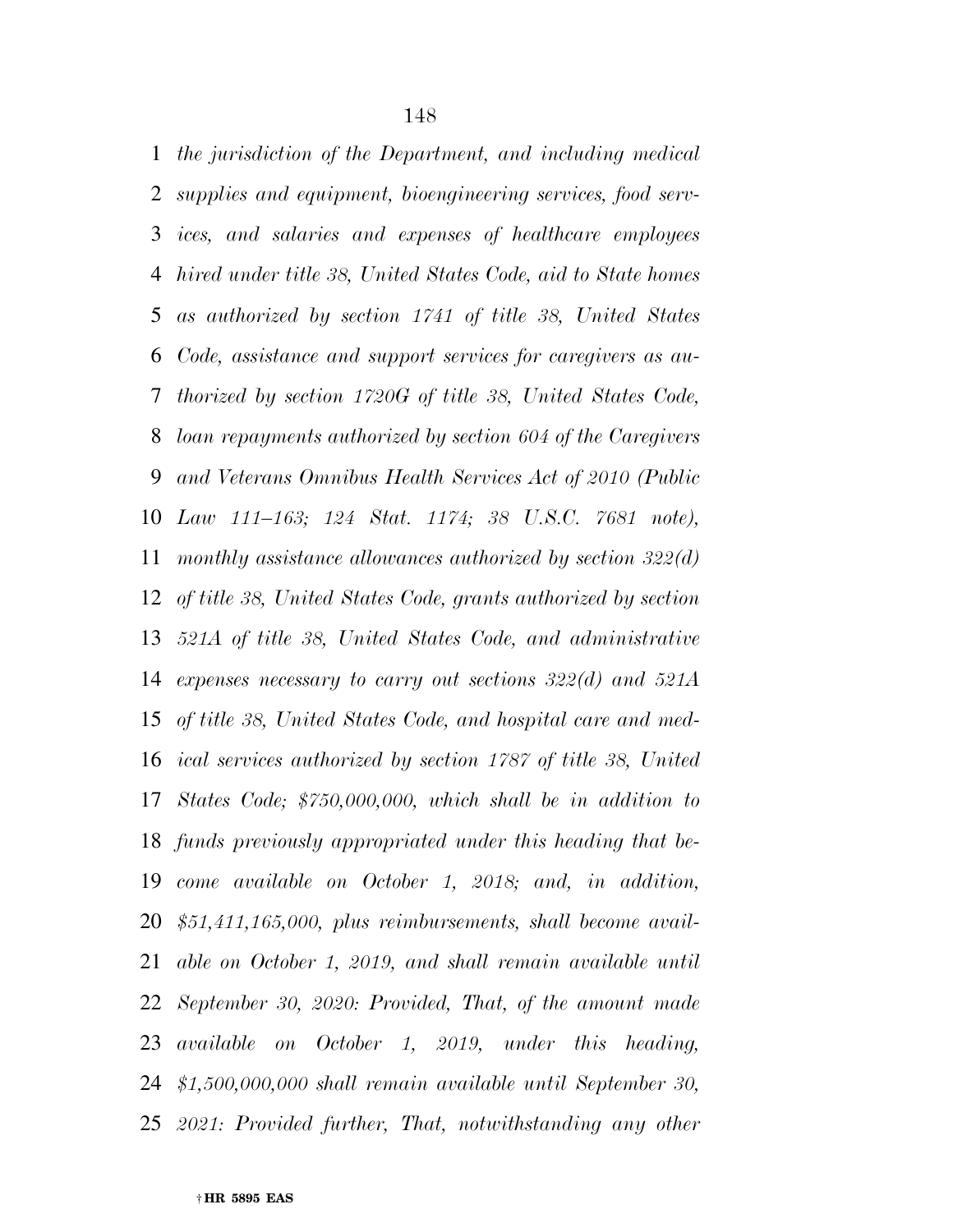*the jurisdiction of the Department, and including medical supplies and equipment, bioengineering services, food serv- ices, and salaries and expenses of healthcare employees hired under title 38, United States Code, aid to State homes as authorized by section 1741 of title 38, United States Code, assistance and support services for caregivers as au- thorized by section 1720G of title 38, United States Code, loan repayments authorized by section 604 of the Caregivers and Veterans Omnibus Health Services Act of 2010 (Public Law 111–163; 124 Stat. 1174; 38 U.S.C. 7681 note), monthly assistance allowances authorized by section 322(d) of title 38, United States Code, grants authorized by section 521A of title 38, United States Code, and administrative expenses necessary to carry out sections 322(d) and 521A of title 38, United States Code, and hospital care and med- ical services authorized by section 1787 of title 38, United States Code; \$750,000,000, which shall be in addition to funds previously appropriated under this heading that be- come available on October 1, 2018; and, in addition, \$51,411,165,000, plus reimbursements, shall become avail- able on October 1, 2019, and shall remain available until September 30, 2020: Provided, That, of the amount made available on October 1, 2019, under this heading, \$1,500,000,000 shall remain available until September 30, 2021: Provided further, That, notwithstanding any other*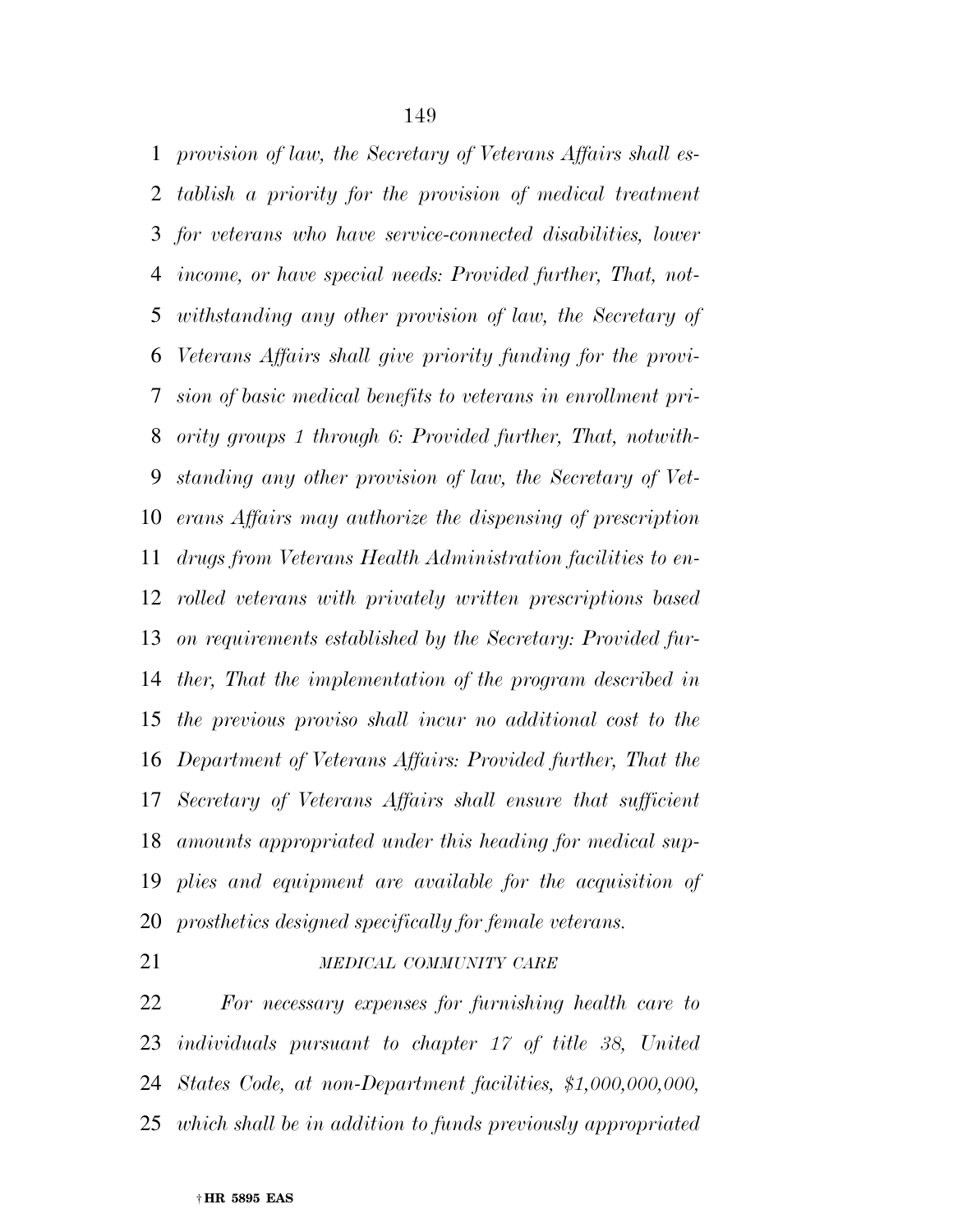*provision of law, the Secretary of Veterans Affairs shall es- tablish a priority for the provision of medical treatment for veterans who have service-connected disabilities, lower income, or have special needs: Provided further, That, not- withstanding any other provision of law, the Secretary of Veterans Affairs shall give priority funding for the provi- sion of basic medical benefits to veterans in enrollment pri- ority groups 1 through 6: Provided further, That, notwith- standing any other provision of law, the Secretary of Vet- erans Affairs may authorize the dispensing of prescription drugs from Veterans Health Administration facilities to en- rolled veterans with privately written prescriptions based on requirements established by the Secretary: Provided fur- ther, That the implementation of the program described in the previous proviso shall incur no additional cost to the Department of Veterans Affairs: Provided further, That the Secretary of Veterans Affairs shall ensure that sufficient amounts appropriated under this heading for medical sup- plies and equipment are available for the acquisition of prosthetics designed specifically for female veterans.* 

# *MEDICAL COMMUNITY CARE*

 *For necessary expenses for furnishing health care to individuals pursuant to chapter 17 of title 38, United States Code, at non-Department facilities, \$1,000,000,000, which shall be in addition to funds previously appropriated*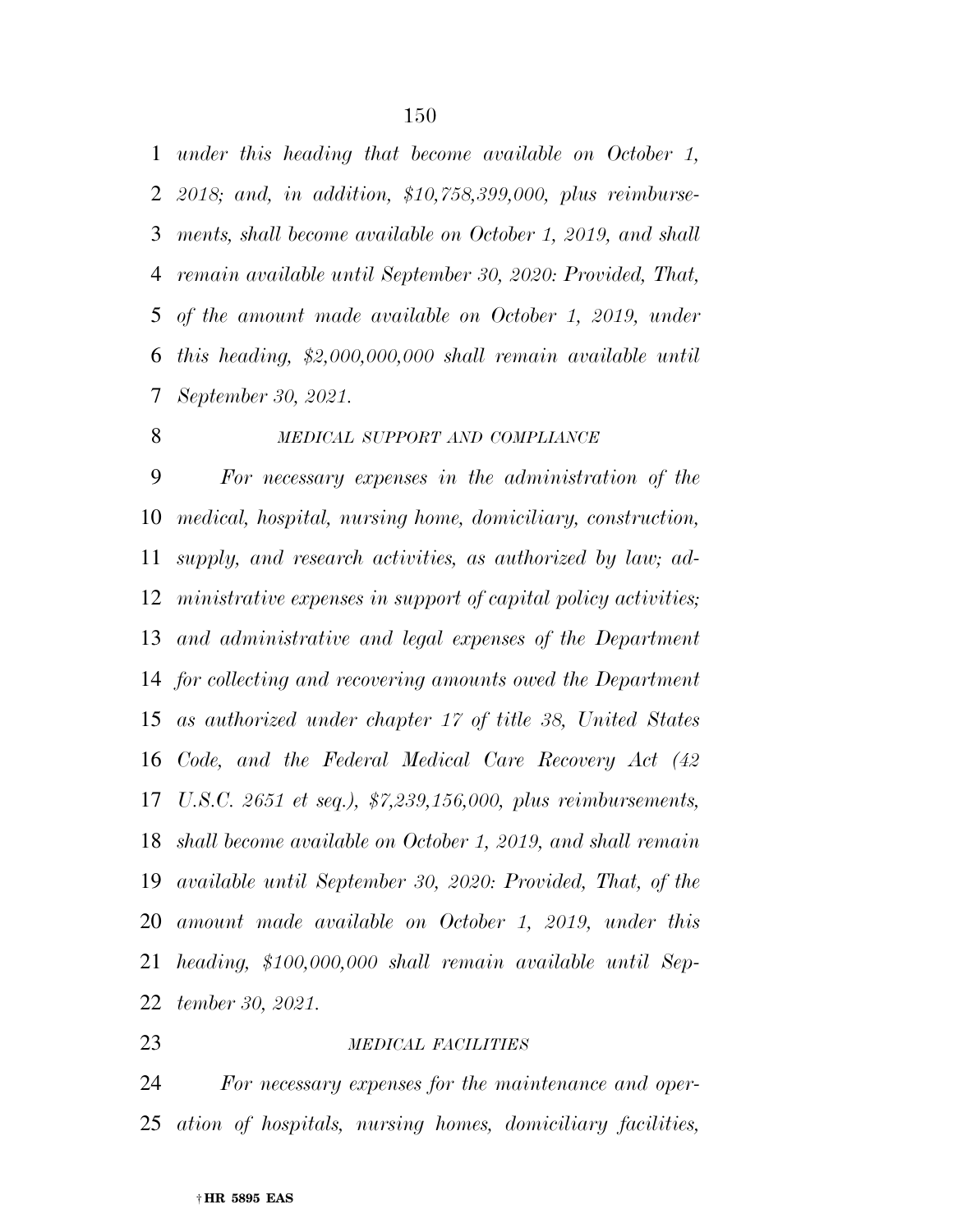*under this heading that become available on October 1, 2018; and, in addition, \$10,758,399,000, plus reimburse- ments, shall become available on October 1, 2019, and shall remain available until September 30, 2020: Provided, That, of the amount made available on October 1, 2019, under this heading, \$2,000,000,000 shall remain available until September 30, 2021.* 

# *MEDICAL SUPPORT AND COMPLIANCE*

 *For necessary expenses in the administration of the medical, hospital, nursing home, domiciliary, construction, supply, and research activities, as authorized by law; ad- ministrative expenses in support of capital policy activities; and administrative and legal expenses of the Department for collecting and recovering amounts owed the Department as authorized under chapter 17 of title 38, United States Code, and the Federal Medical Care Recovery Act (42 U.S.C. 2651 et seq.), \$7,239,156,000, plus reimbursements, shall become available on October 1, 2019, and shall remain available until September 30, 2020: Provided, That, of the amount made available on October 1, 2019, under this heading, \$100,000,000 shall remain available until Sep-tember 30, 2021.* 

## *MEDICAL FACILITIES*

 *For necessary expenses for the maintenance and oper-ation of hospitals, nursing homes, domiciliary facilities,*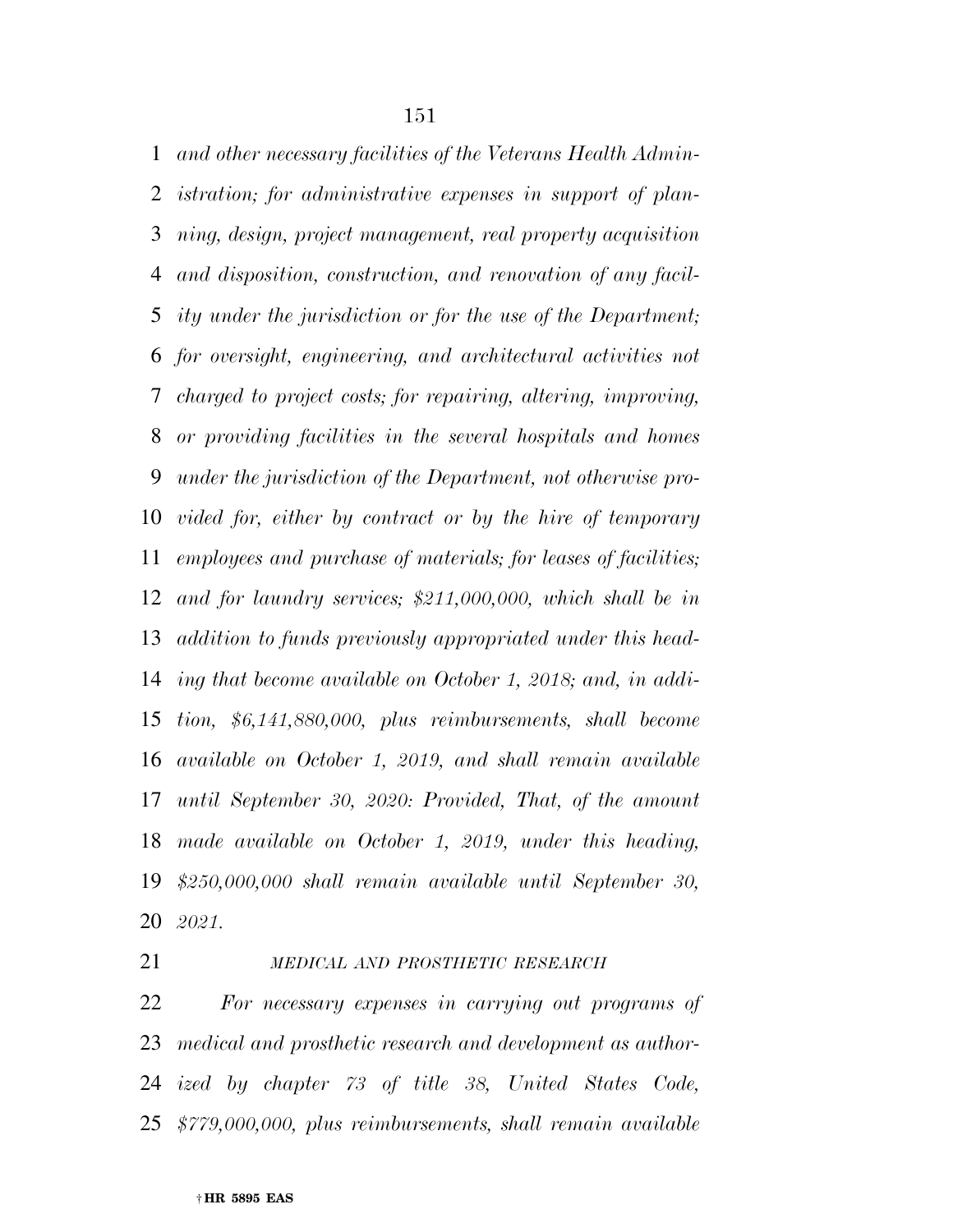*and other necessary facilities of the Veterans Health Admin- istration; for administrative expenses in support of plan- ning, design, project management, real property acquisition and disposition, construction, and renovation of any facil- ity under the jurisdiction or for the use of the Department; for oversight, engineering, and architectural activities not charged to project costs; for repairing, altering, improving, or providing facilities in the several hospitals and homes under the jurisdiction of the Department, not otherwise pro- vided for, either by contract or by the hire of temporary employees and purchase of materials; for leases of facilities; and for laundry services; \$211,000,000, which shall be in addition to funds previously appropriated under this head- ing that become available on October 1, 2018; and, in addi- tion, \$6,141,880,000, plus reimbursements, shall become available on October 1, 2019, and shall remain available until September 30, 2020: Provided, That, of the amount made available on October 1, 2019, under this heading, \$250,000,000 shall remain available until September 30, 2021.* 

# *MEDICAL AND PROSTHETIC RESEARCH*

 *For necessary expenses in carrying out programs of medical and prosthetic research and development as author- ized by chapter 73 of title 38, United States Code, \$779,000,000, plus reimbursements, shall remain available*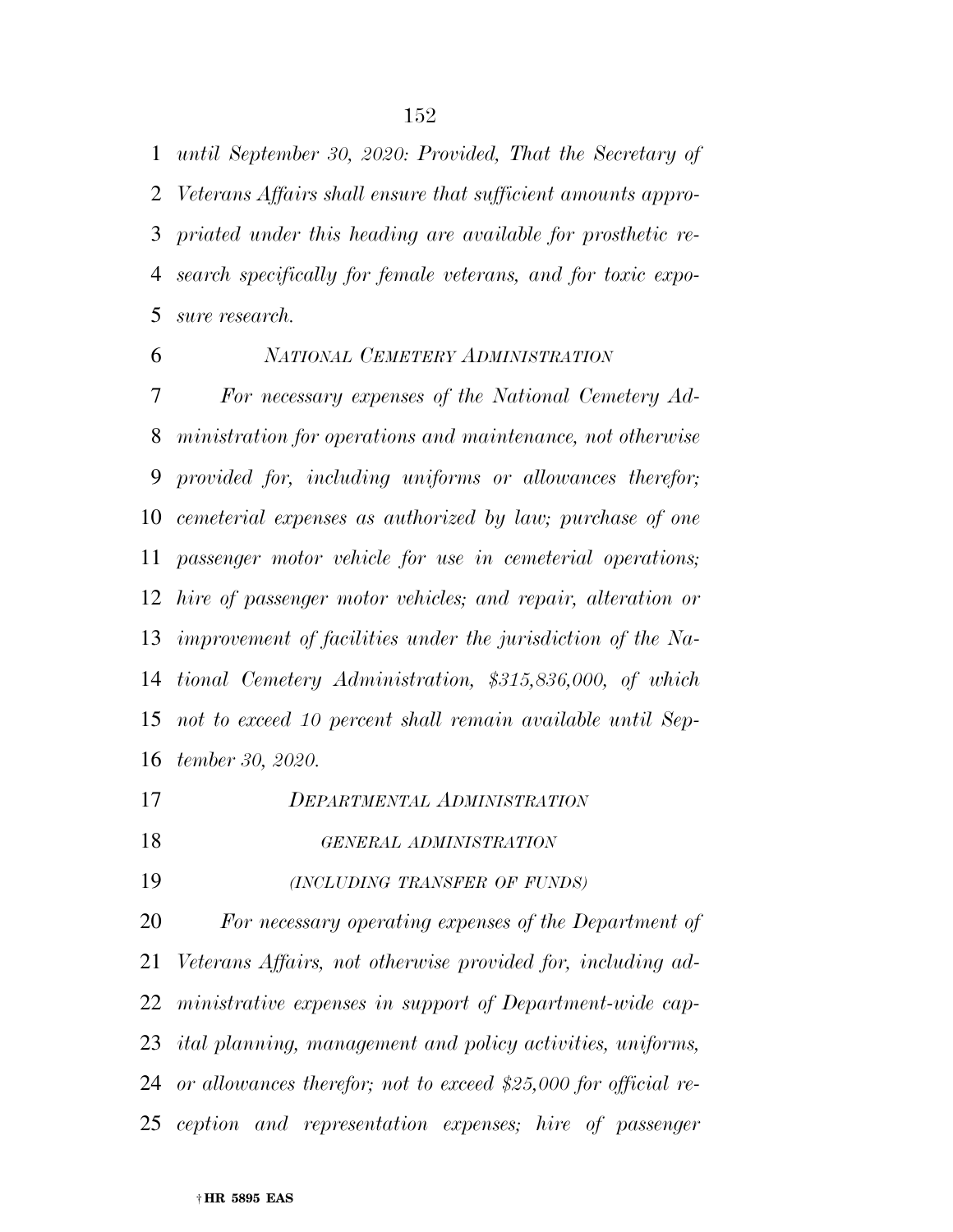*until September 30, 2020: Provided, That the Secretary of Veterans Affairs shall ensure that sufficient amounts appro- priated under this heading are available for prosthetic re- search specifically for female veterans, and for toxic expo-sure research.* 

## *NATIONAL CEMETERY ADMINISTRATION*

 *For necessary expenses of the National Cemetery Ad- ministration for operations and maintenance, not otherwise provided for, including uniforms or allowances therefor; cemeterial expenses as authorized by law; purchase of one passenger motor vehicle for use in cemeterial operations; hire of passenger motor vehicles; and repair, alteration or improvement of facilities under the jurisdiction of the Na- tional Cemetery Administration, \$315,836,000, of which not to exceed 10 percent shall remain available until Sep-tember 30, 2020.* 

*DEPARTMENTAL ADMINISTRATION*

# *GENERAL ADMINISTRATION*

*(INCLUDING TRANSFER OF FUNDS)*

 *For necessary operating expenses of the Department of Veterans Affairs, not otherwise provided for, including ad- ministrative expenses in support of Department-wide cap- ital planning, management and policy activities, uniforms, or allowances therefor; not to exceed \$25,000 for official re-ception and representation expenses; hire of passenger*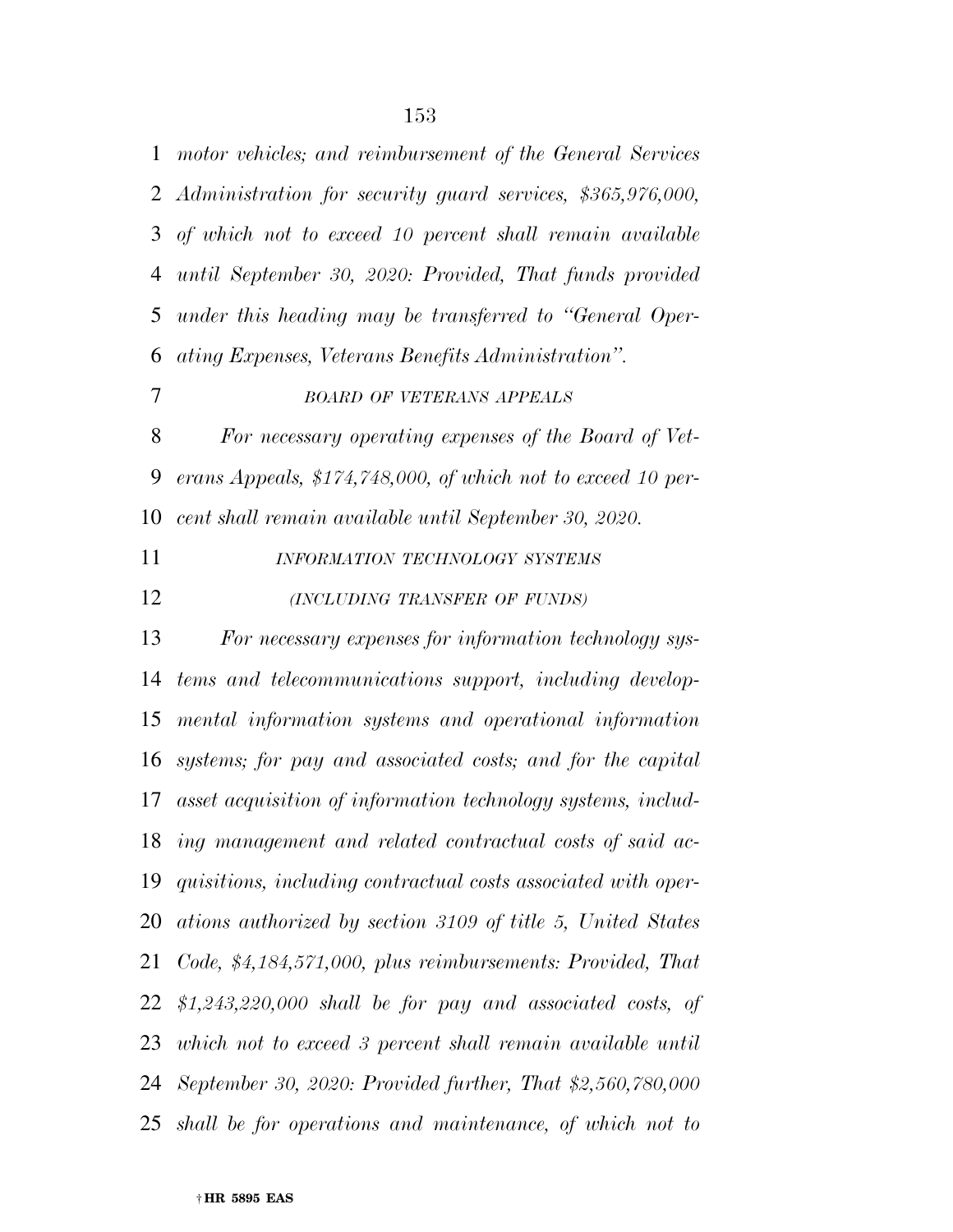| 1  | motor vehicles; and reimbursement of the General Services      |
|----|----------------------------------------------------------------|
| 2  | Administration for security guard services, \$365,976,000,     |
| 3  | of which not to exceed 10 percent shall remain available       |
| 4  | until September 30, 2020: Provided, That funds provided        |
| 5  | under this heading may be transferred to "General Oper-        |
| 6  | ating Expenses, Veterans Benefits Administration".             |
| 7  | <b>BOARD OF VETERANS APPEALS</b>                               |
| 8  | For necessary operating expenses of the Board of Vet-          |
| 9  | erans Appeals, $$174,748,000$ , of which not to exceed 10 per- |
| 10 | cent shall remain available until September 30, 2020.          |
| 11 | INFORMATION TECHNOLOGY SYSTEMS                                 |
| 12 | (INCLUDING TRANSFER OF FUNDS)                                  |
| 13 | For necessary expenses for information technology sys-         |
| 14 | tems and telecommunications support, including develop-        |
| 15 | mental information systems and operational information         |
| 16 | systems; for pay and associated costs; and for the capital     |
| 17 | asset acquisition of information technology systems, includ-   |
|    | 18 ing management and related contractual costs of said ac-    |
| 19 | quisitions, including contractual costs associated with oper-  |
| 20 | ations authorized by section 3109 of title 5, United States    |
| 21 | Code, \$4,184,571,000, plus reimbursements: Provided, That     |
| 22 | $$1,243,220,000$ shall be for pay and associated costs, of     |
| 23 | which not to exceed 3 percent shall remain available until     |
| 24 | September 30, 2020: Provided further, That \$2,560,780,000     |
| 25 | shall be for operations and maintenance, of which not to       |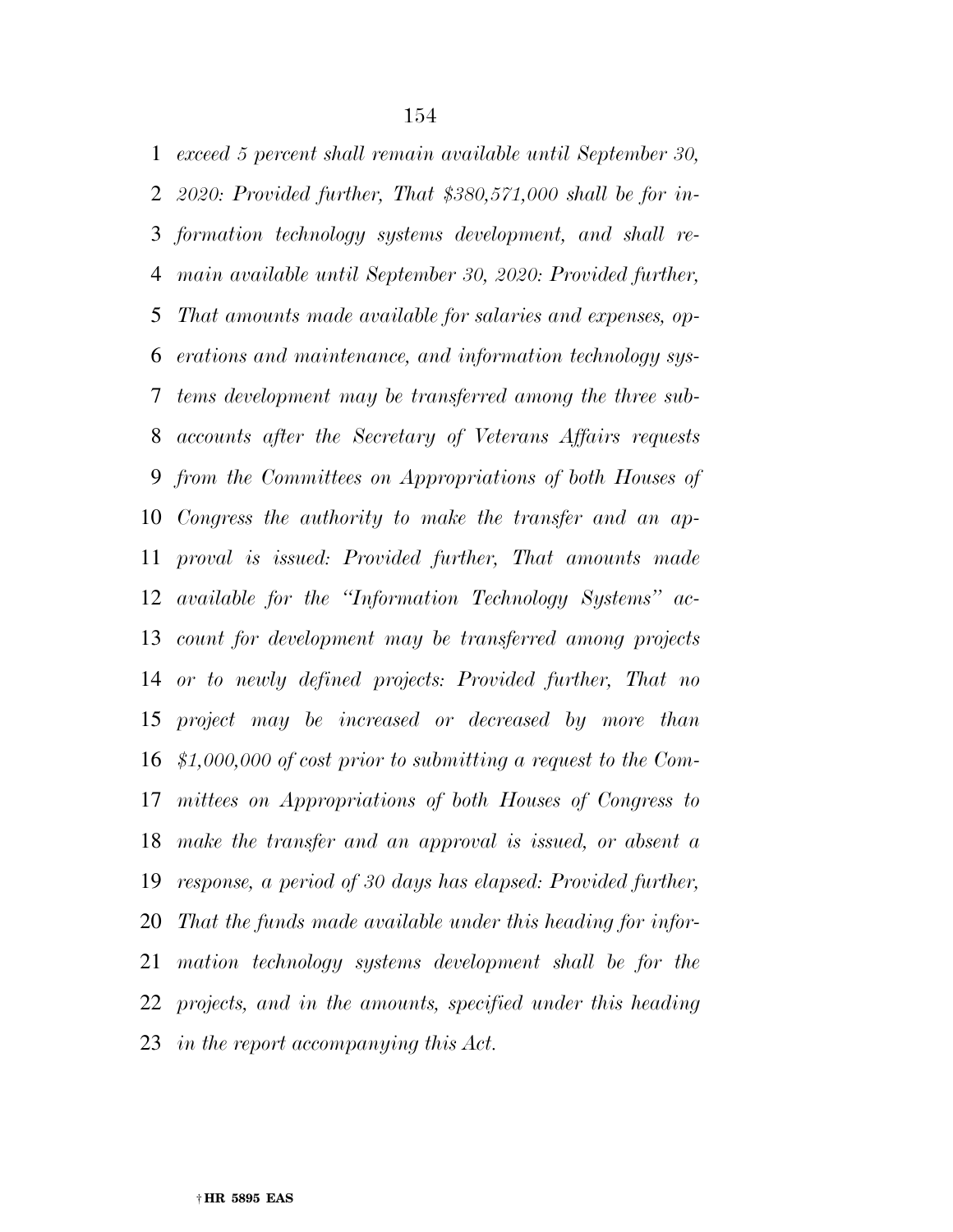*exceed 5 percent shall remain available until September 30, 2020: Provided further, That \$380,571,000 shall be for in- formation technology systems development, and shall re- main available until September 30, 2020: Provided further, That amounts made available for salaries and expenses, op- erations and maintenance, and information technology sys- tems development may be transferred among the three sub- accounts after the Secretary of Veterans Affairs requests from the Committees on Appropriations of both Houses of Congress the authority to make the transfer and an ap- proval is issued: Provided further, That amounts made available for the ''Information Technology Systems'' ac- count for development may be transferred among projects or to newly defined projects: Provided further, That no project may be increased or decreased by more than \$1,000,000 of cost prior to submitting a request to the Com- mittees on Appropriations of both Houses of Congress to make the transfer and an approval is issued, or absent a response, a period of 30 days has elapsed: Provided further, That the funds made available under this heading for infor- mation technology systems development shall be for the projects, and in the amounts, specified under this heading in the report accompanying this Act.*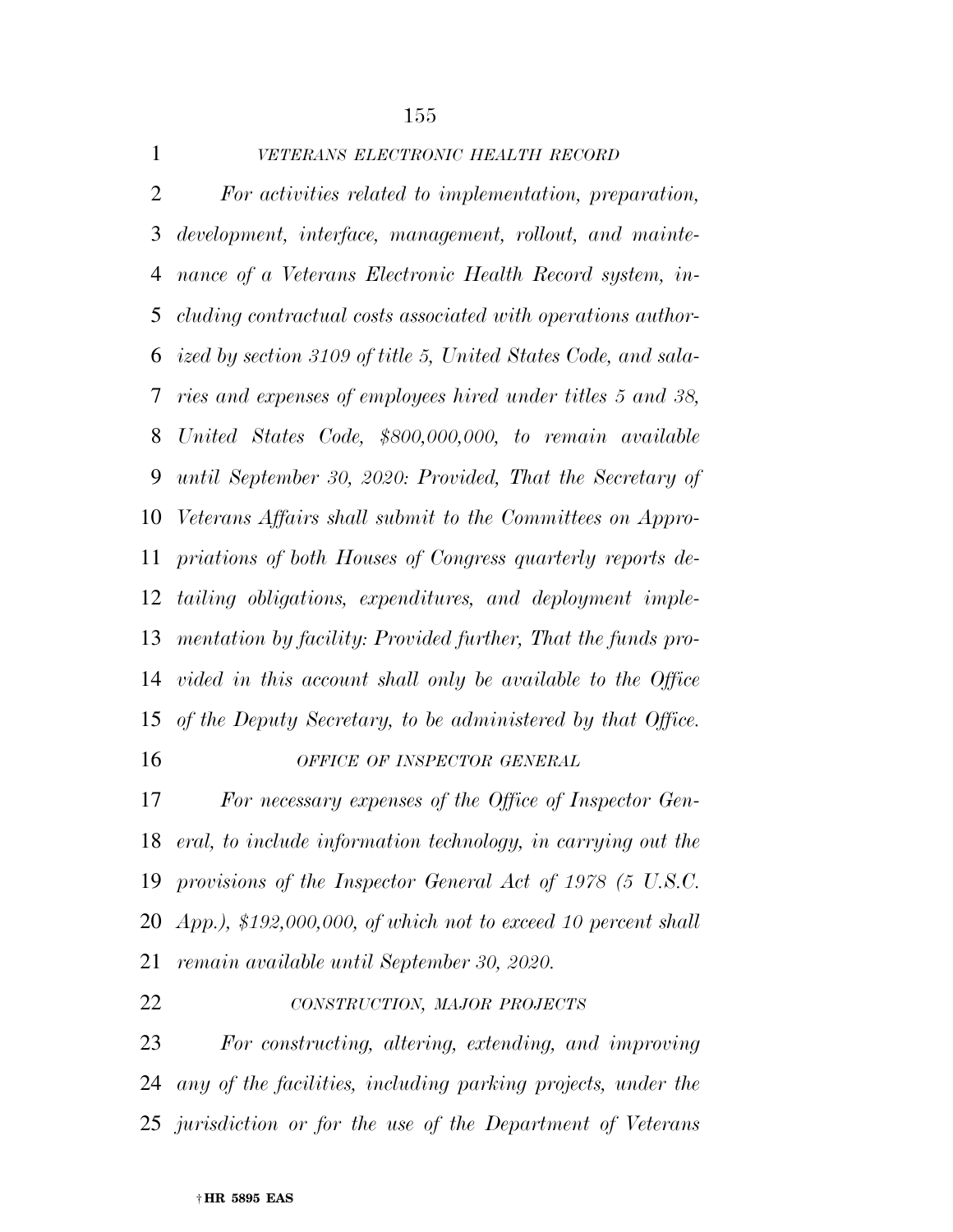| $\mathbf{1}$   | VETERANS ELECTRONIC HEALTH RECORD                              |
|----------------|----------------------------------------------------------------|
| $\overline{2}$ | For activities related to implementation, preparation,         |
| 3              | development, interface, management, rollout, and mainte-       |
| $\overline{4}$ | nance of a Veterans Electronic Health Record system, in-       |
| 5              | cluding contractual costs associated with operations author-   |
| 6              | ized by section 3109 of title 5, United States Code, and sala- |
| 7              | ries and expenses of employees hired under titles 5 and 38,    |
| 8              | United States Code, \$800,000,000, to remain available         |
| 9              | until September 30, 2020: Provided, That the Secretary of      |
| 10             | Veterans Affairs shall submit to the Committees on Appro-      |
| 11             | priations of both Houses of Congress quarterly reports de-     |
| 12             | tailing obligations, expenditures, and deployment imple-       |
| 13             | mentation by facility: Provided further, That the funds pro-   |
| 14             | vided in this account shall only be available to the Office    |
|                | 15 of the Deputy Secretary, to be administered by that Office. |
| 16             | OFFICE OF INSPECTOR GENERAL                                    |

 *For necessary expenses of the Office of Inspector Gen- eral, to include information technology, in carrying out the provisions of the Inspector General Act of 1978 (5 U.S.C. App.), \$192,000,000, of which not to exceed 10 percent shall remain available until September 30, 2020.* 

*CONSTRUCTION, MAJOR PROJECTS*

 *For constructing, altering, extending, and improving any of the facilities, including parking projects, under the jurisdiction or for the use of the Department of Veterans*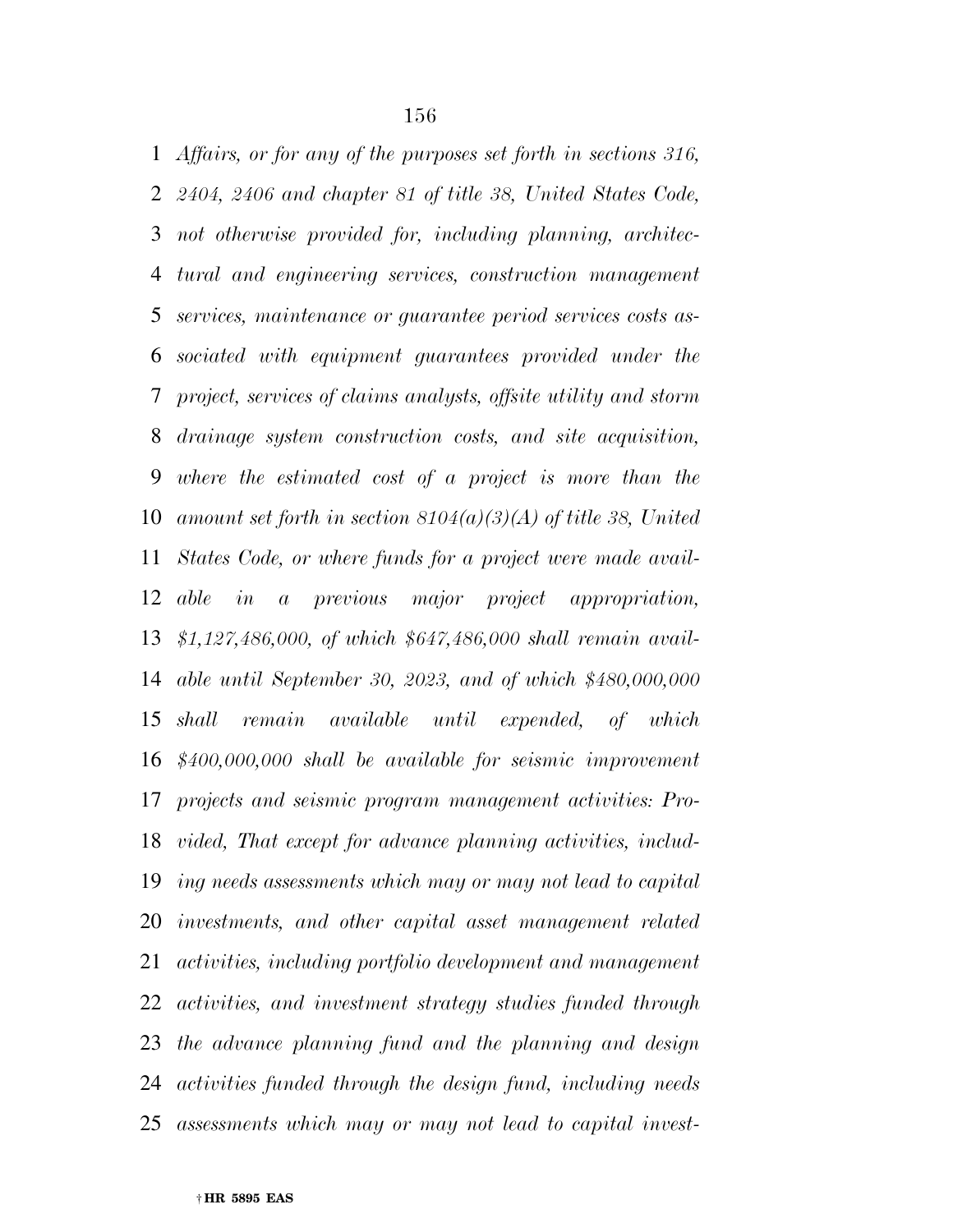*Affairs, or for any of the purposes set forth in sections 316, 2404, 2406 and chapter 81 of title 38, United States Code, not otherwise provided for, including planning, architec- tural and engineering services, construction management services, maintenance or guarantee period services costs as- sociated with equipment guarantees provided under the project, services of claims analysts, offsite utility and storm drainage system construction costs, and site acquisition, where the estimated cost of a project is more than the amount set forth in section 8104(a)(3)(A) of title 38, United States Code, or where funds for a project were made avail- able in a previous major project appropriation, \$1,127,486,000, of which \$647,486,000 shall remain avail- able until September 30, 2023, and of which \$480,000,000 shall remain available until expended, of which \$400,000,000 shall be available for seismic improvement projects and seismic program management activities: Pro- vided, That except for advance planning activities, includ- ing needs assessments which may or may not lead to capital investments, and other capital asset management related activities, including portfolio development and management activities, and investment strategy studies funded through the advance planning fund and the planning and design activities funded through the design fund, including needs assessments which may or may not lead to capital invest-*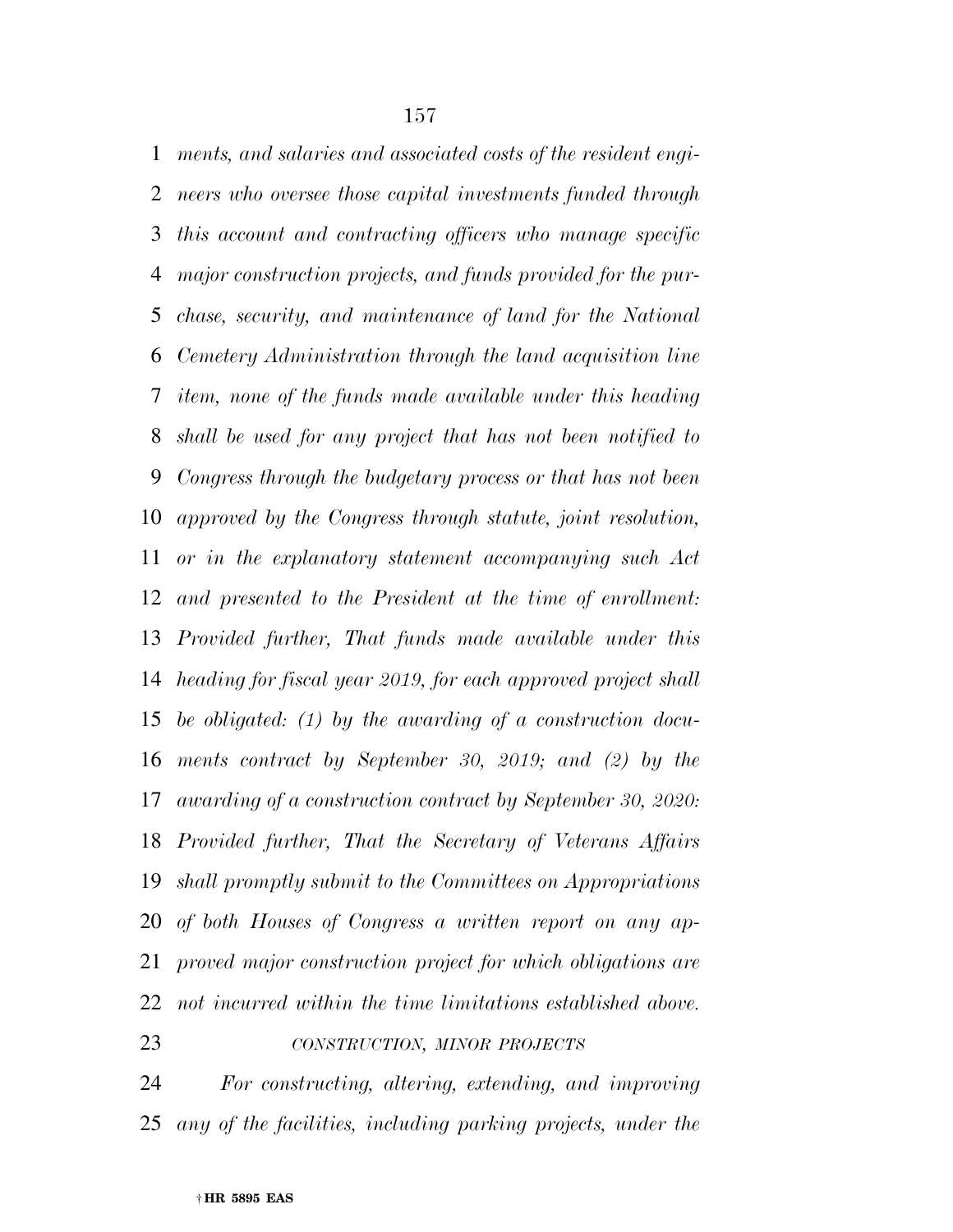*ments, and salaries and associated costs of the resident engi- neers who oversee those capital investments funded through this account and contracting officers who manage specific major construction projects, and funds provided for the pur- chase, security, and maintenance of land for the National Cemetery Administration through the land acquisition line item, none of the funds made available under this heading shall be used for any project that has not been notified to Congress through the budgetary process or that has not been approved by the Congress through statute, joint resolution, or in the explanatory statement accompanying such Act and presented to the President at the time of enrollment: Provided further, That funds made available under this heading for fiscal year 2019, for each approved project shall be obligated: (1) by the awarding of a construction docu- ments contract by September 30, 2019; and (2) by the awarding of a construction contract by September 30, 2020: Provided further, That the Secretary of Veterans Affairs shall promptly submit to the Committees on Appropriations of both Houses of Congress a written report on any ap- proved major construction project for which obligations are not incurred within the time limitations established above.* 

*CONSTRUCTION, MINOR PROJECTS*

 *For constructing, altering, extending, and improving any of the facilities, including parking projects, under the*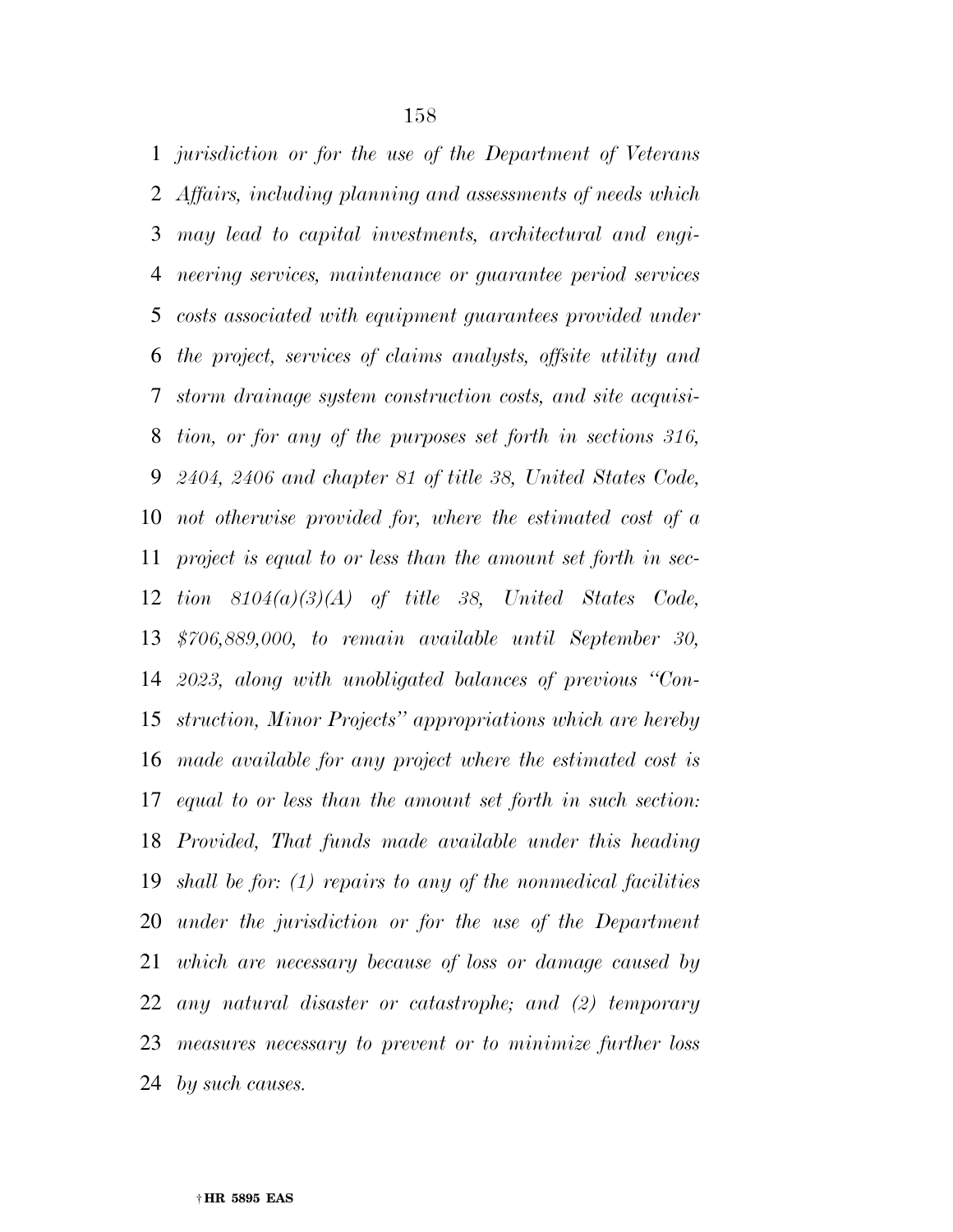*jurisdiction or for the use of the Department of Veterans Affairs, including planning and assessments of needs which may lead to capital investments, architectural and engi- neering services, maintenance or guarantee period services costs associated with equipment guarantees provided under the project, services of claims analysts, offsite utility and storm drainage system construction costs, and site acquisi- tion, or for any of the purposes set forth in sections 316, 2404, 2406 and chapter 81 of title 38, United States Code, not otherwise provided for, where the estimated cost of a project is equal to or less than the amount set forth in sec- tion 8104(a)(3)(A) of title 38, United States Code, \$706,889,000, to remain available until September 30, 2023, along with unobligated balances of previous ''Con- struction, Minor Projects'' appropriations which are hereby made available for any project where the estimated cost is equal to or less than the amount set forth in such section: Provided, That funds made available under this heading shall be for: (1) repairs to any of the nonmedical facilities under the jurisdiction or for the use of the Department which are necessary because of loss or damage caused by any natural disaster or catastrophe; and (2) temporary measures necessary to prevent or to minimize further loss by such causes.*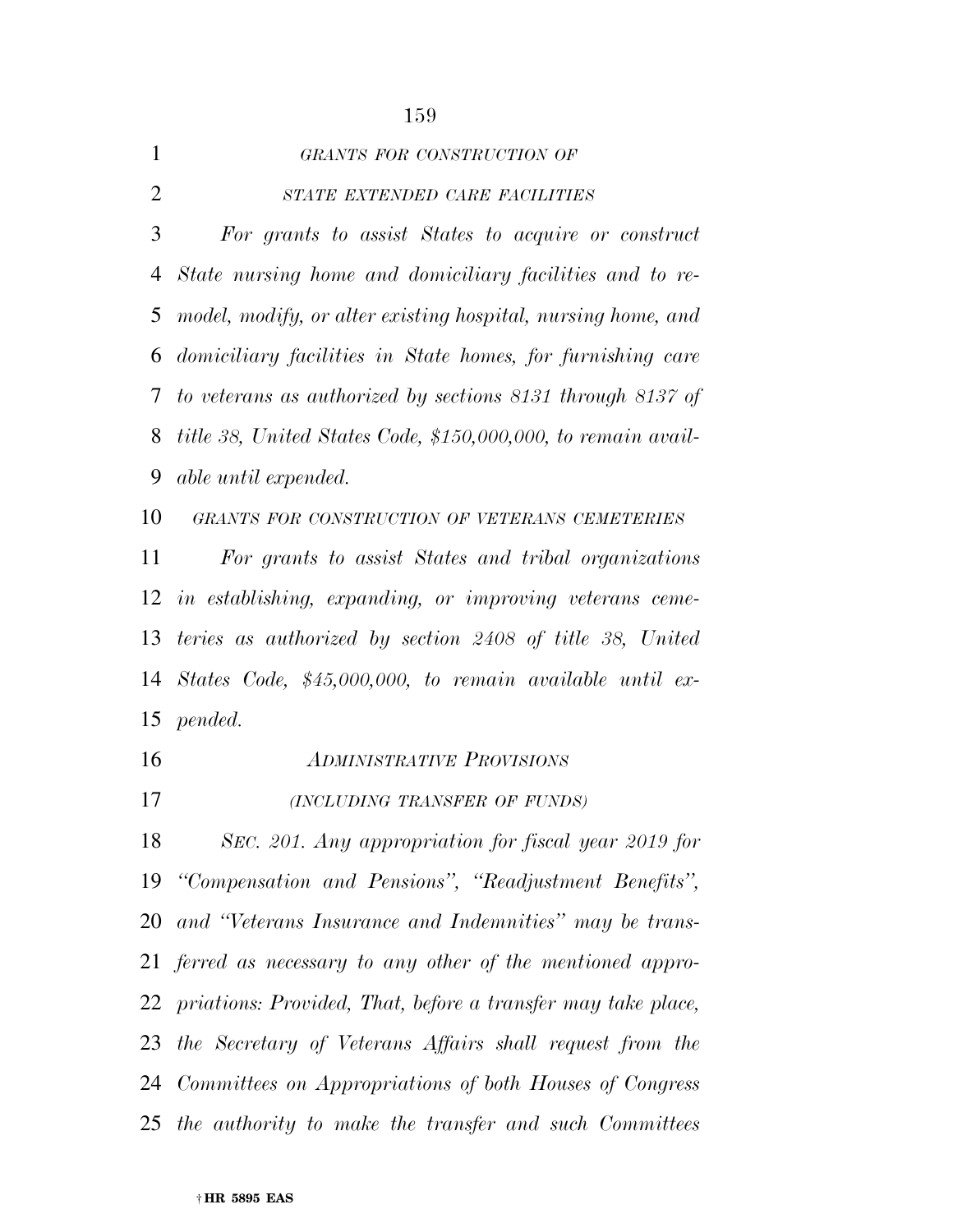| $\mathbf{1}$   | GRANTS FOR CONSTRUCTION OF                                      |
|----------------|-----------------------------------------------------------------|
| $\overline{2}$ | STATE EXTENDED CARE FACILITIES                                  |
| 3              | For grants to assist States to acquire or construct             |
| 4              | State nursing home and domiciliary facilities and to re-        |
| 5              | model, modify, or alter existing hospital, nursing home, and    |
| 6              | domiciliary facilities in State homes, for furnishing care      |
| 7              | to veterans as authorized by sections 8131 through 8137 of      |
| 8              | title 38, United States Code, \$150,000,000, to remain avail-   |
| 9              | able until expended.                                            |
| 10             | GRANTS FOR CONSTRUCTION OF VETERANS CEMETERIES                  |
| 11             | For grants to assist States and tribal organizations            |
| 12             | in establishing, expanding, or improving veterans ceme-         |
| 13             | teries as authorized by section 2408 of title 38, United        |
|                | 14 States Code, \$45,000,000, to remain available until ex-     |
|                | $15$ pended.                                                    |
| 16             | <b>ADMINISTRATIVE PROVISIONS</b>                                |
| 17             | (INCLUDING TRANSFER OF FUNDS)                                   |
| 18             | SEC. 201. Any appropriation for fiscal year 2019 for            |
| 19             | "Compensation and Pensions", "Readjustment Benefits",           |
| 20             | and "Veterans Insurance and Indemnities" may be trans-          |
|                | 21 ferred as necessary to any other of the mentioned appro-     |
|                | 22 priations: Provided, That, before a transfer may take place, |
|                | 23 the Secretary of Veterans Affairs shall request from the     |
|                | 24 Committees on Appropriations of both Houses of Congress      |
| 25             | the authority to make the transfer and such Committees          |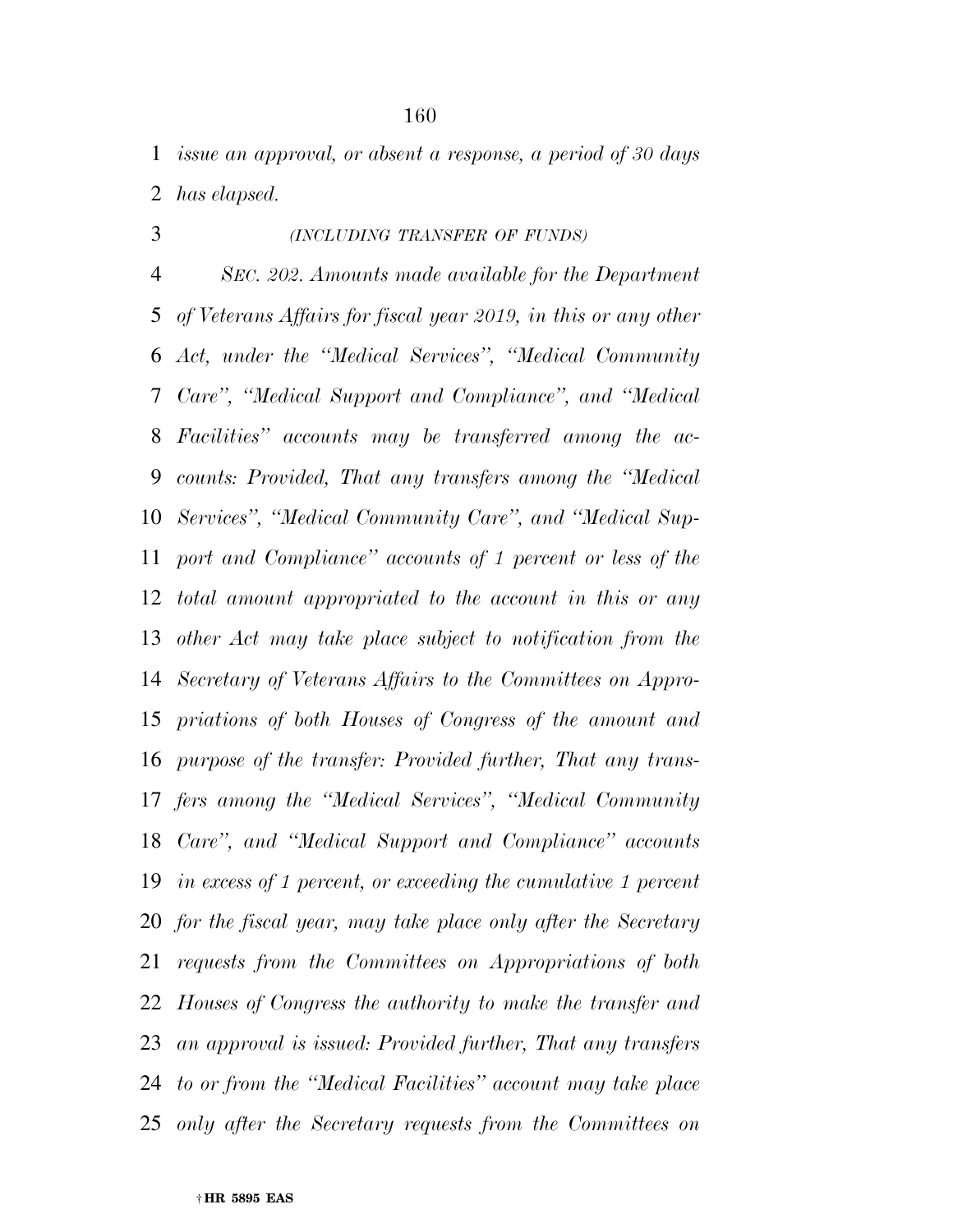*issue an approval, or absent a response, a period of 30 days has elapsed.* 

# *(INCLUDING TRANSFER OF FUNDS)*

 *SEC. 202. Amounts made available for the Department of Veterans Affairs for fiscal year 2019, in this or any other Act, under the ''Medical Services'', ''Medical Community Care'', ''Medical Support and Compliance'', and ''Medical Facilities'' accounts may be transferred among the ac- counts: Provided, That any transfers among the ''Medical Services'', ''Medical Community Care'', and ''Medical Sup- port and Compliance'' accounts of 1 percent or less of the total amount appropriated to the account in this or any other Act may take place subject to notification from the Secretary of Veterans Affairs to the Committees on Appro- priations of both Houses of Congress of the amount and purpose of the transfer: Provided further, That any trans- fers among the ''Medical Services'', ''Medical Community Care'', and ''Medical Support and Compliance'' accounts in excess of 1 percent, or exceeding the cumulative 1 percent for the fiscal year, may take place only after the Secretary requests from the Committees on Appropriations of both Houses of Congress the authority to make the transfer and an approval is issued: Provided further, That any transfers to or from the ''Medical Facilities'' account may take place only after the Secretary requests from the Committees on*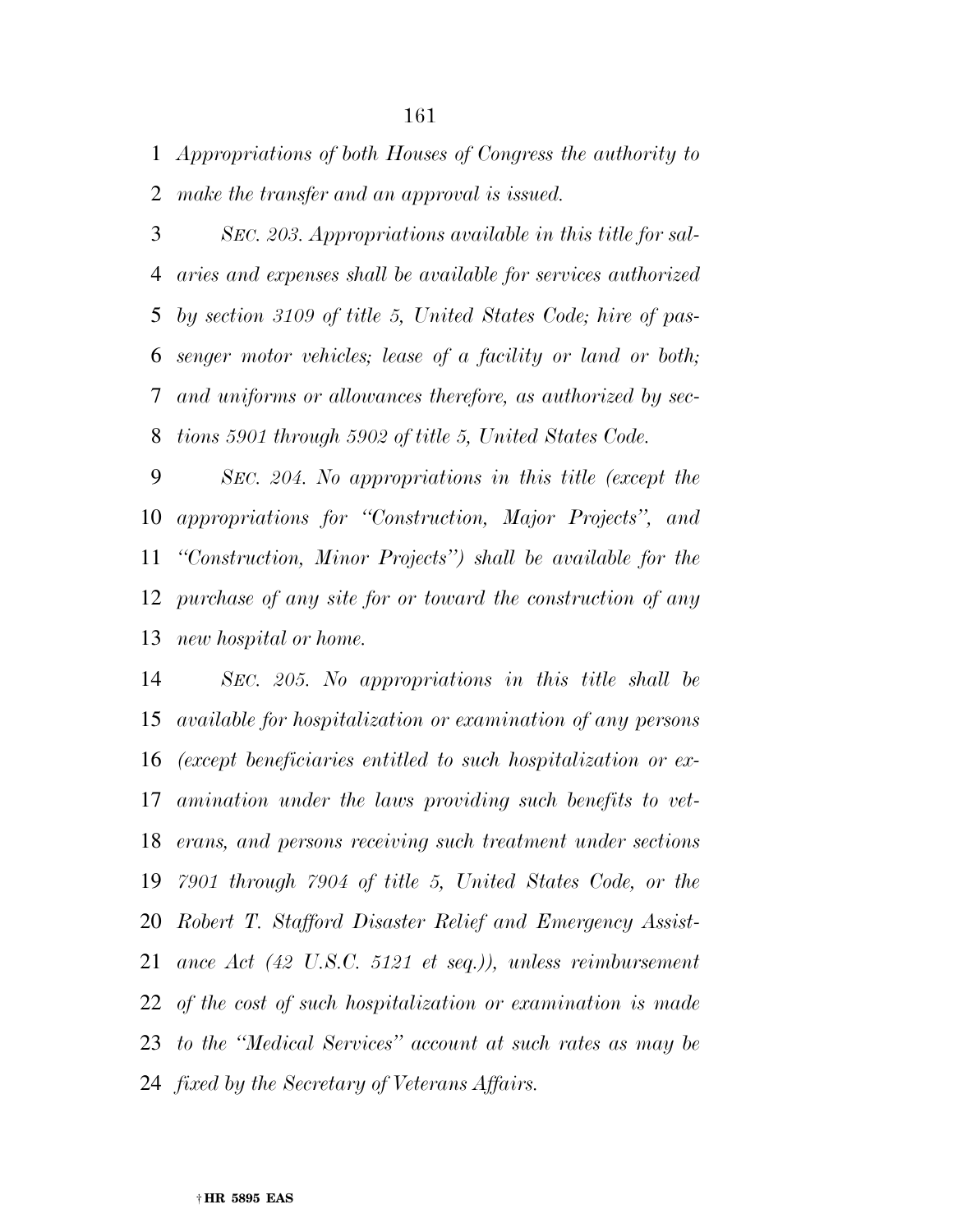*Appropriations of both Houses of Congress the authority to make the transfer and an approval is issued.* 

 *SEC. 203. Appropriations available in this title for sal- aries and expenses shall be available for services authorized by section 3109 of title 5, United States Code; hire of pas- senger motor vehicles; lease of a facility or land or both; and uniforms or allowances therefore, as authorized by sec-tions 5901 through 5902 of title 5, United States Code.* 

 *SEC. 204. No appropriations in this title (except the appropriations for ''Construction, Major Projects'', and ''Construction, Minor Projects'') shall be available for the purchase of any site for or toward the construction of any new hospital or home.* 

 *SEC. 205. No appropriations in this title shall be available for hospitalization or examination of any persons (except beneficiaries entitled to such hospitalization or ex- amination under the laws providing such benefits to vet- erans, and persons receiving such treatment under sections 7901 through 7904 of title 5, United States Code, or the Robert T. Stafford Disaster Relief and Emergency Assist- ance Act (42 U.S.C. 5121 et seq.)), unless reimbursement of the cost of such hospitalization or examination is made to the ''Medical Services'' account at such rates as may be fixed by the Secretary of Veterans Affairs.*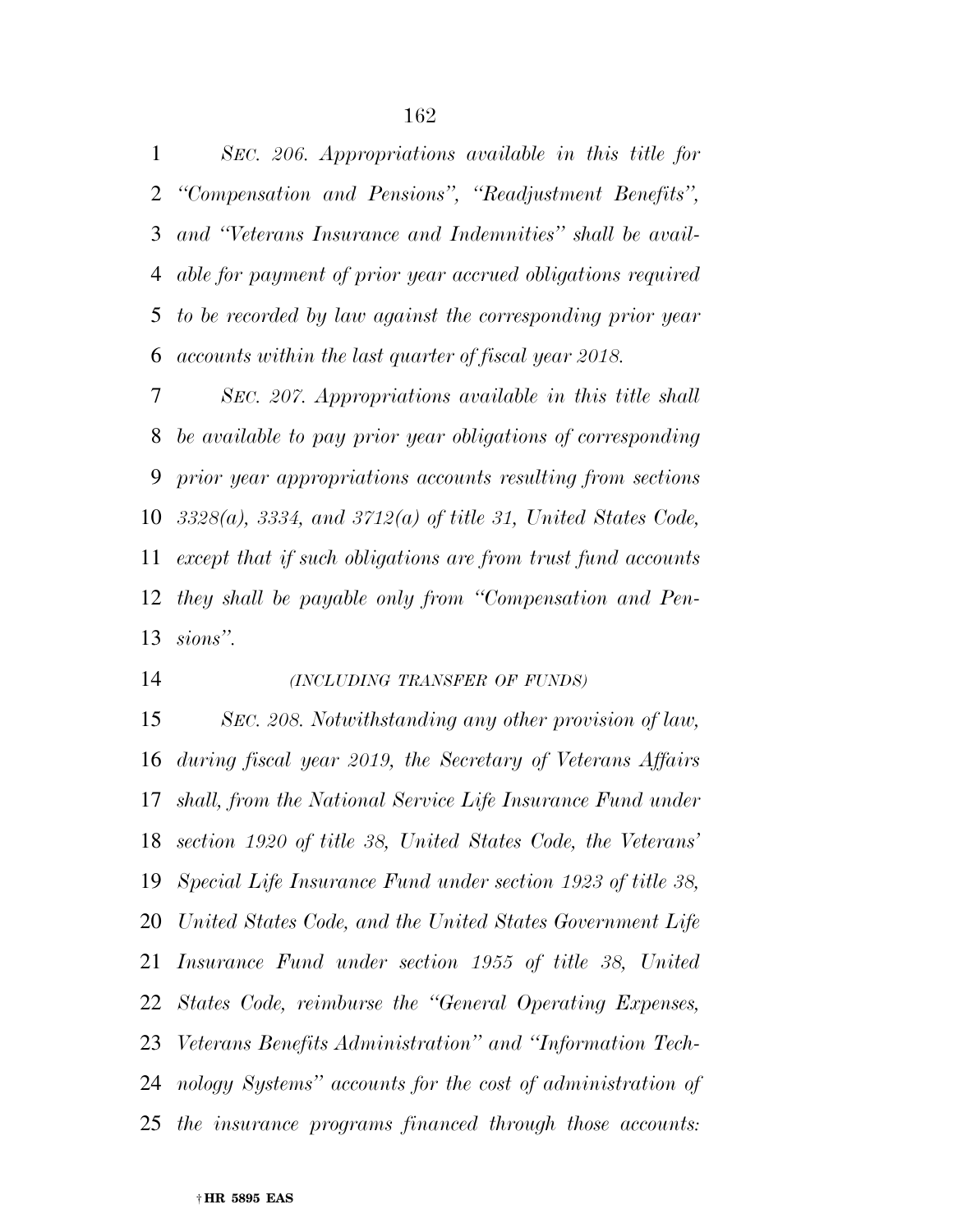*SEC. 206. Appropriations available in this title for ''Compensation and Pensions'', ''Readjustment Benefits'', and ''Veterans Insurance and Indemnities'' shall be avail- able for payment of prior year accrued obligations required to be recorded by law against the corresponding prior year accounts within the last quarter of fiscal year 2018.* 

 *SEC. 207. Appropriations available in this title shall be available to pay prior year obligations of corresponding prior year appropriations accounts resulting from sections 3328(a), 3334, and 3712(a) of title 31, United States Code, except that if such obligations are from trust fund accounts they shall be payable only from ''Compensation and Pen-sions''.* 

*(INCLUDING TRANSFER OF FUNDS)*

 *SEC. 208. Notwithstanding any other provision of law, during fiscal year 2019, the Secretary of Veterans Affairs shall, from the National Service Life Insurance Fund under section 1920 of title 38, United States Code, the Veterans' Special Life Insurance Fund under section 1923 of title 38, United States Code, and the United States Government Life Insurance Fund under section 1955 of title 38, United States Code, reimburse the ''General Operating Expenses, Veterans Benefits Administration'' and ''Information Tech- nology Systems'' accounts for the cost of administration of the insurance programs financed through those accounts:*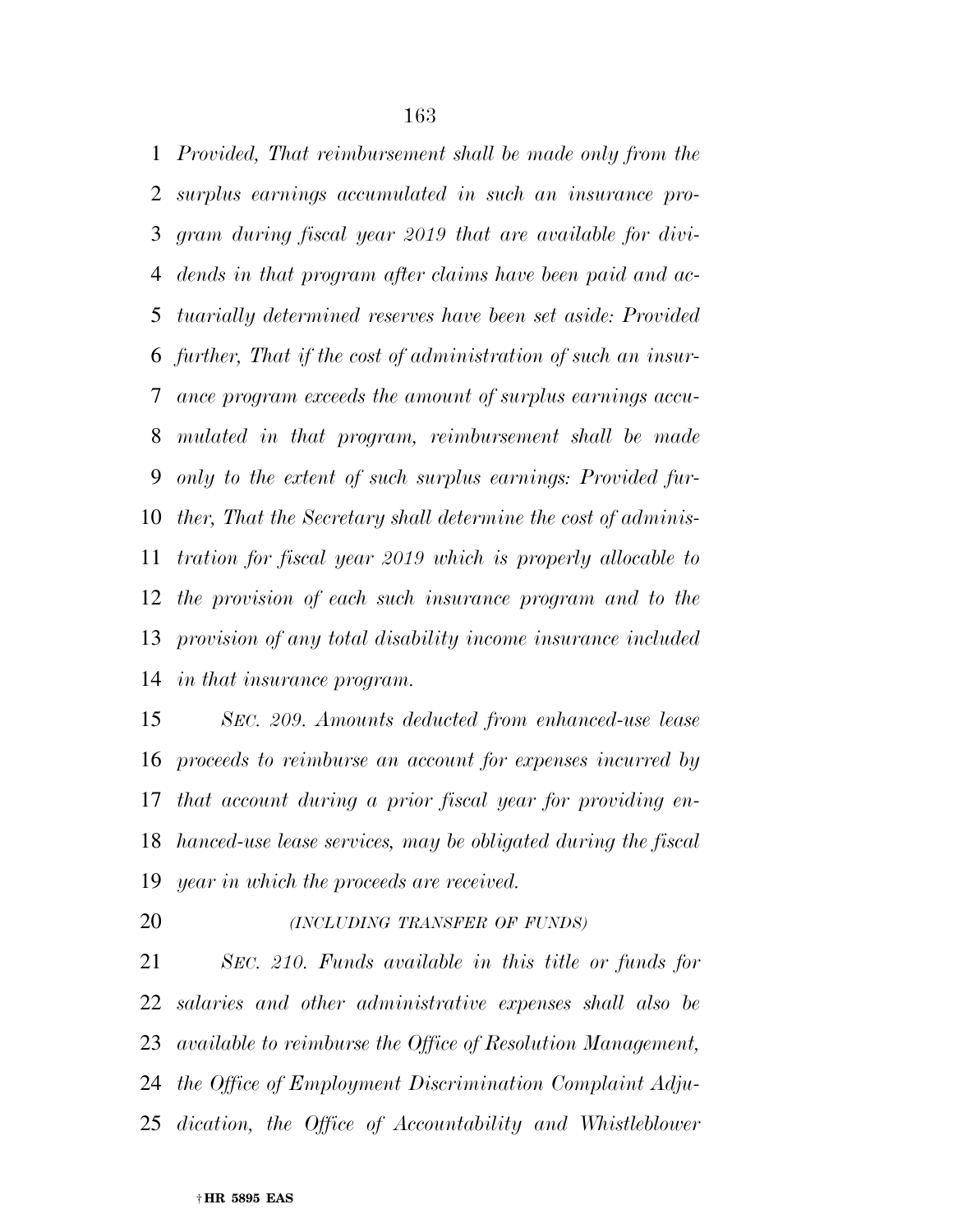*Provided, That reimbursement shall be made only from the surplus earnings accumulated in such an insurance pro- gram during fiscal year 2019 that are available for divi- dends in that program after claims have been paid and ac- tuarially determined reserves have been set aside: Provided further, That if the cost of administration of such an insur- ance program exceeds the amount of surplus earnings accu- mulated in that program, reimbursement shall be made only to the extent of such surplus earnings: Provided fur- ther, That the Secretary shall determine the cost of adminis- tration for fiscal year 2019 which is properly allocable to the provision of each such insurance program and to the provision of any total disability income insurance included in that insurance program.* 

 *SEC. 209. Amounts deducted from enhanced-use lease proceeds to reimburse an account for expenses incurred by that account during a prior fiscal year for providing en- hanced-use lease services, may be obligated during the fiscal year in which the proceeds are received.* 

## *(INCLUDING TRANSFER OF FUNDS)*

 *SEC. 210. Funds available in this title or funds for salaries and other administrative expenses shall also be available to reimburse the Office of Resolution Management, the Office of Employment Discrimination Complaint Adju-dication, the Office of Accountability and Whistleblower*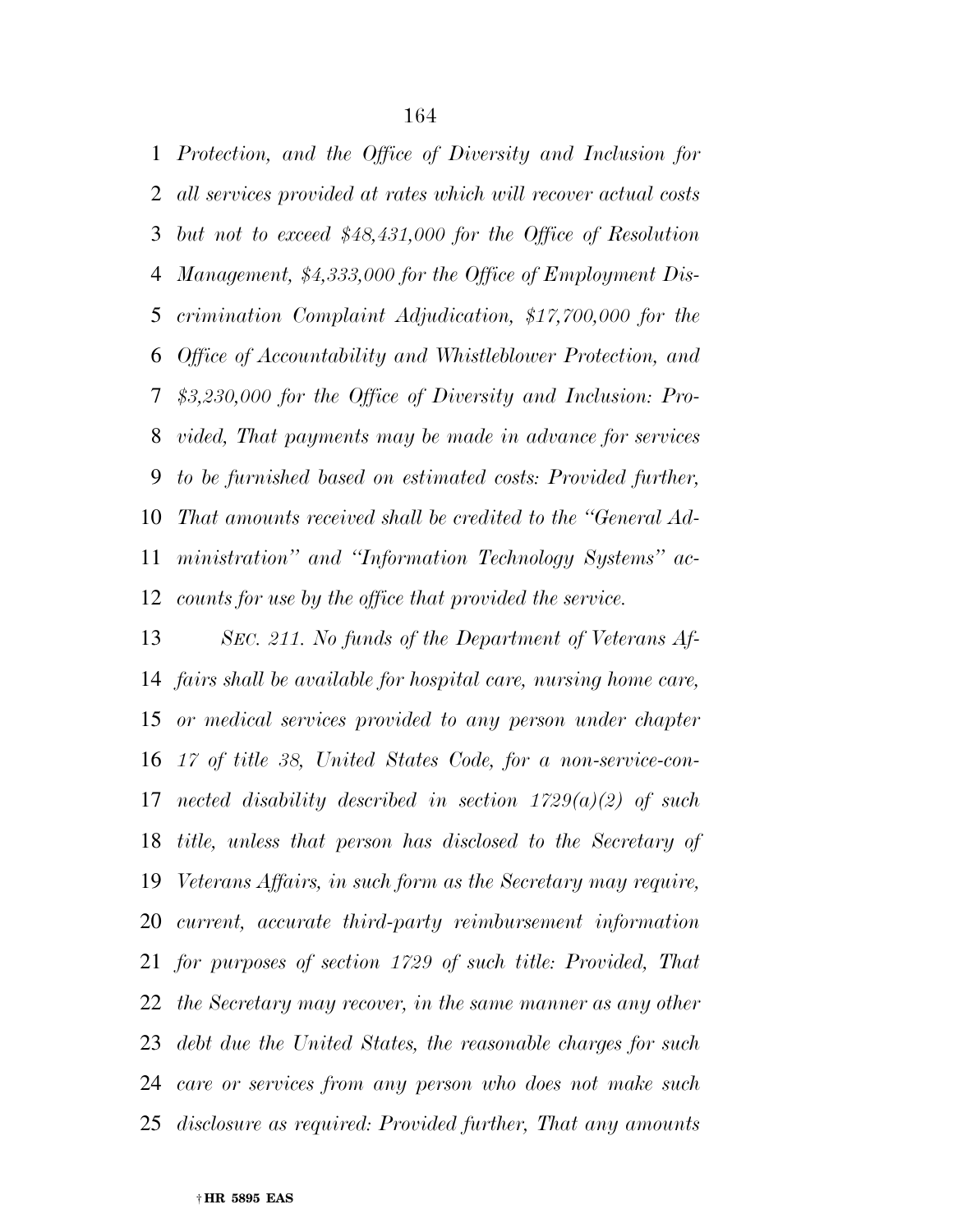*Protection, and the Office of Diversity and Inclusion for all services provided at rates which will recover actual costs but not to exceed \$48,431,000 for the Office of Resolution Management, \$4,333,000 for the Office of Employment Dis- crimination Complaint Adjudication, \$17,700,000 for the Office of Accountability and Whistleblower Protection, and \$3,230,000 for the Office of Diversity and Inclusion: Pro- vided, That payments may be made in advance for services to be furnished based on estimated costs: Provided further, That amounts received shall be credited to the ''General Ad- ministration'' and ''Information Technology Systems'' ac-counts for use by the office that provided the service.* 

 *SEC. 211. No funds of the Department of Veterans Af- fairs shall be available for hospital care, nursing home care, or medical services provided to any person under chapter 17 of title 38, United States Code, for a non-service-con- nected disability described in section 1729(a)(2) of such title, unless that person has disclosed to the Secretary of Veterans Affairs, in such form as the Secretary may require, current, accurate third-party reimbursement information for purposes of section 1729 of such title: Provided, That the Secretary may recover, in the same manner as any other debt due the United States, the reasonable charges for such care or services from any person who does not make such disclosure as required: Provided further, That any amounts*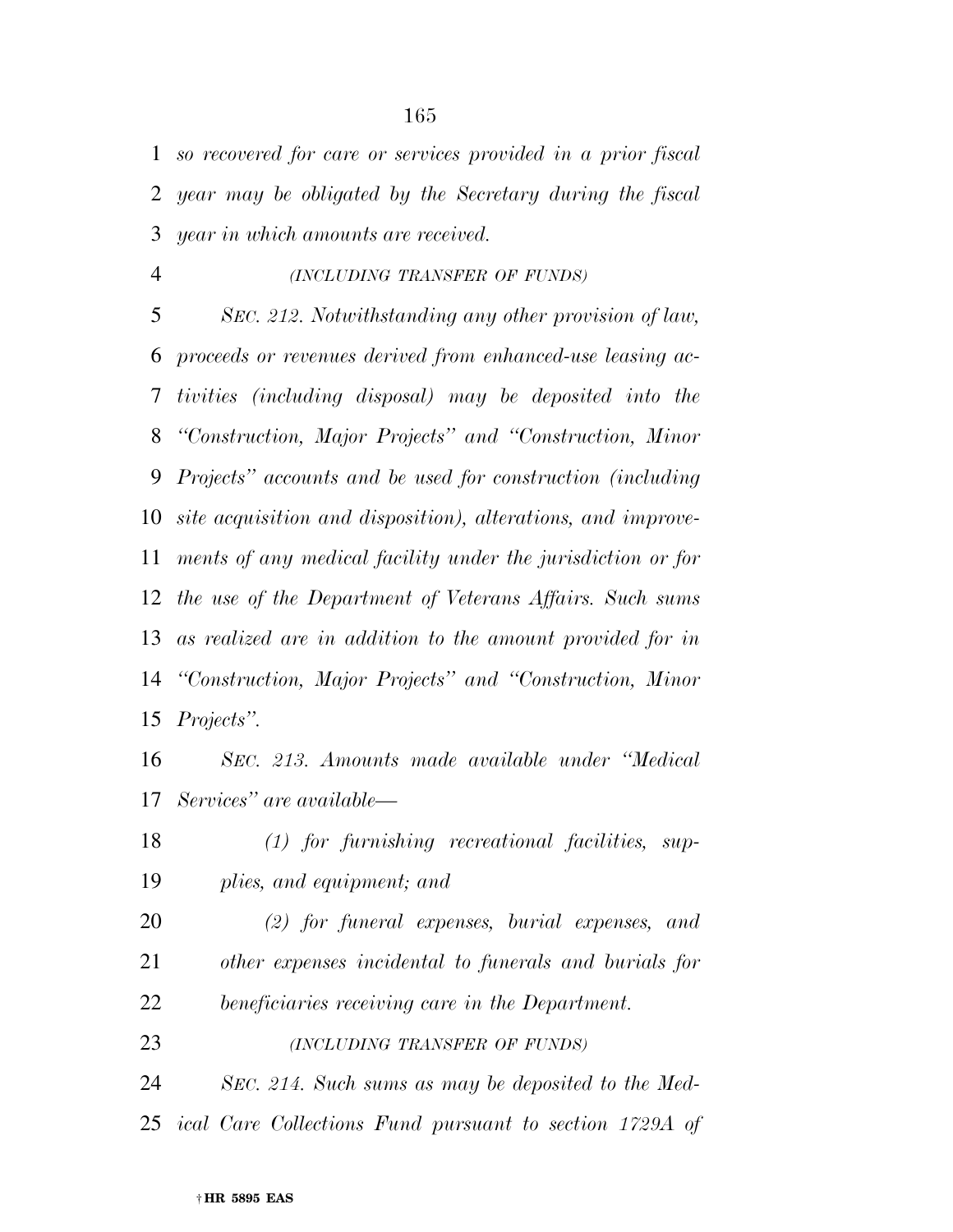*so recovered for care or services provided in a prior fiscal year may be obligated by the Secretary during the fiscal year in which amounts are received.* 

*(INCLUDING TRANSFER OF FUNDS)*

 *SEC. 212. Notwithstanding any other provision of law, proceeds or revenues derived from enhanced-use leasing ac- tivities (including disposal) may be deposited into the ''Construction, Major Projects'' and ''Construction, Minor Projects'' accounts and be used for construction (including site acquisition and disposition), alterations, and improve- ments of any medical facility under the jurisdiction or for the use of the Department of Veterans Affairs. Such sums as realized are in addition to the amount provided for in ''Construction, Major Projects'' and ''Construction, Minor Projects''.* 

- *SEC. 213. Amounts made available under ''Medical Services'' are available—*
- *(1) for furnishing recreational facilities, sup-plies, and equipment; and*
- *(2) for funeral expenses, burial expenses, and other expenses incidental to funerals and burials for beneficiaries receiving care in the Department.*
- *(INCLUDING TRANSFER OF FUNDS)*
- *SEC. 214. Such sums as may be deposited to the Med-*
- *ical Care Collections Fund pursuant to section 1729A of*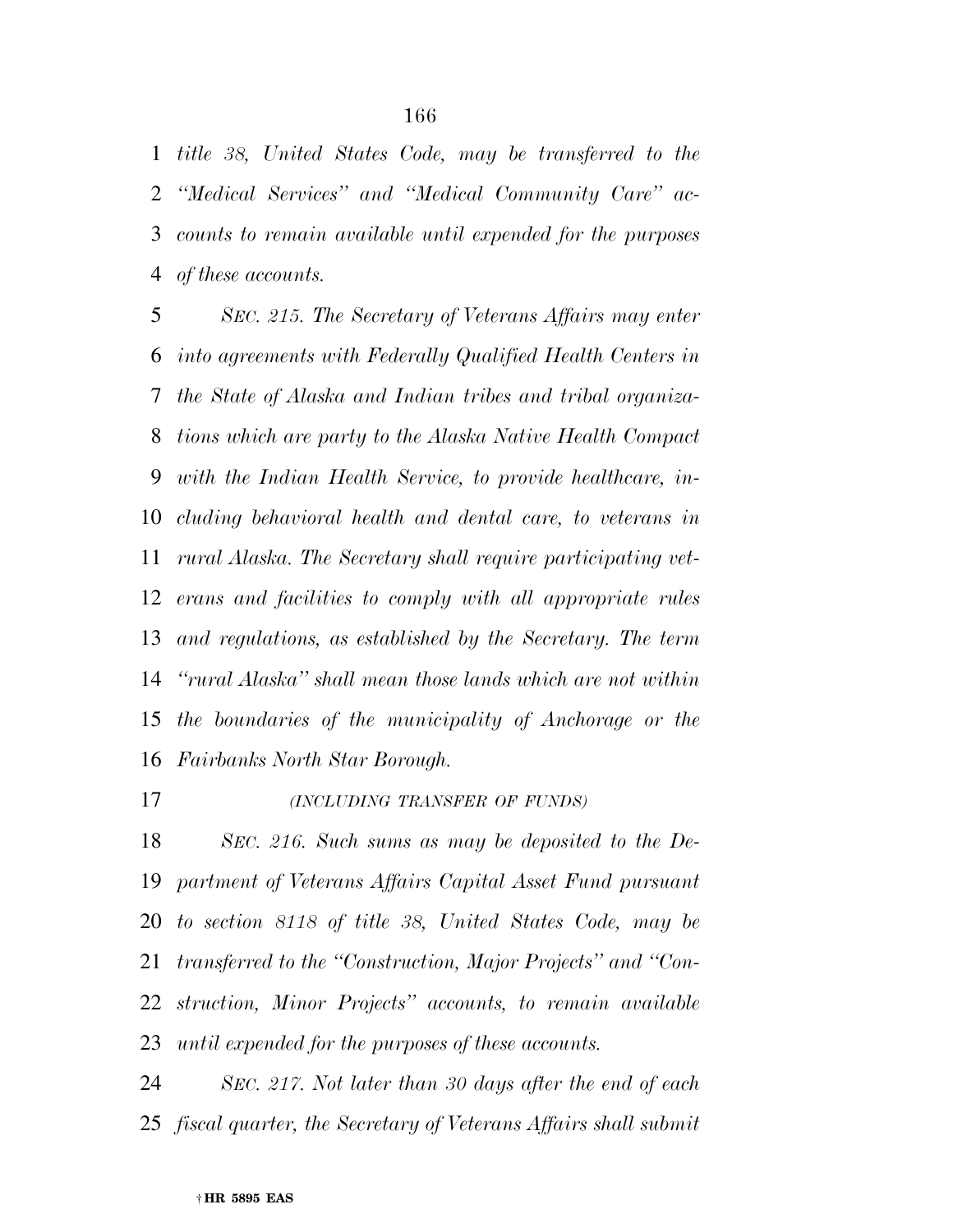*title 38, United States Code, may be transferred to the ''Medical Services'' and ''Medical Community Care'' ac- counts to remain available until expended for the purposes of these accounts.* 

 *SEC. 215. The Secretary of Veterans Affairs may enter into agreements with Federally Qualified Health Centers in the State of Alaska and Indian tribes and tribal organiza- tions which are party to the Alaska Native Health Compact with the Indian Health Service, to provide healthcare, in- cluding behavioral health and dental care, to veterans in rural Alaska. The Secretary shall require participating vet- erans and facilities to comply with all appropriate rules and regulations, as established by the Secretary. The term ''rural Alaska'' shall mean those lands which are not within the boundaries of the municipality of Anchorage or the Fairbanks North Star Borough.* 

*(INCLUDING TRANSFER OF FUNDS)*

 *SEC. 216. Such sums as may be deposited to the De- partment of Veterans Affairs Capital Asset Fund pursuant to section 8118 of title 38, United States Code, may be transferred to the ''Construction, Major Projects'' and ''Con- struction, Minor Projects'' accounts, to remain available until expended for the purposes of these accounts.* 

 *SEC. 217. Not later than 30 days after the end of each fiscal quarter, the Secretary of Veterans Affairs shall submit*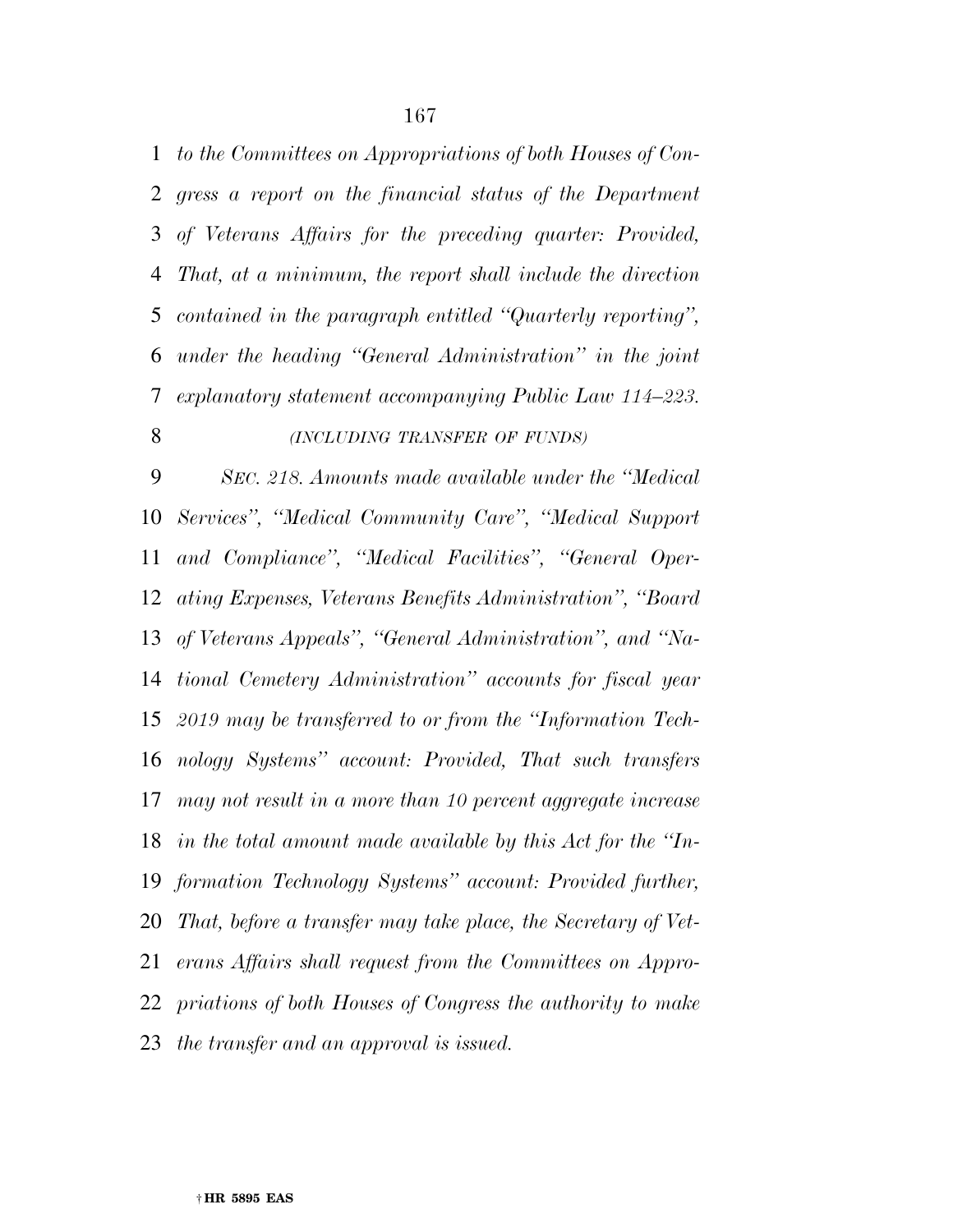*to the Committees on Appropriations of both Houses of Con- gress a report on the financial status of the Department of Veterans Affairs for the preceding quarter: Provided, That, at a minimum, the report shall include the direction contained in the paragraph entitled ''Quarterly reporting'', under the heading ''General Administration'' in the joint explanatory statement accompanying Public Law 114–223.* 

# *(INCLUDING TRANSFER OF FUNDS)*

 *SEC. 218. Amounts made available under the ''Medical Services'', ''Medical Community Care'', ''Medical Support and Compliance'', ''Medical Facilities'', ''General Oper- ating Expenses, Veterans Benefits Administration'', ''Board of Veterans Appeals'', ''General Administration'', and ''Na- tional Cemetery Administration'' accounts for fiscal year 2019 may be transferred to or from the ''Information Tech- nology Systems'' account: Provided, That such transfers may not result in a more than 10 percent aggregate increase in the total amount made available by this Act for the ''In- formation Technology Systems'' account: Provided further, That, before a transfer may take place, the Secretary of Vet- erans Affairs shall request from the Committees on Appro- priations of both Houses of Congress the authority to make the transfer and an approval is issued.*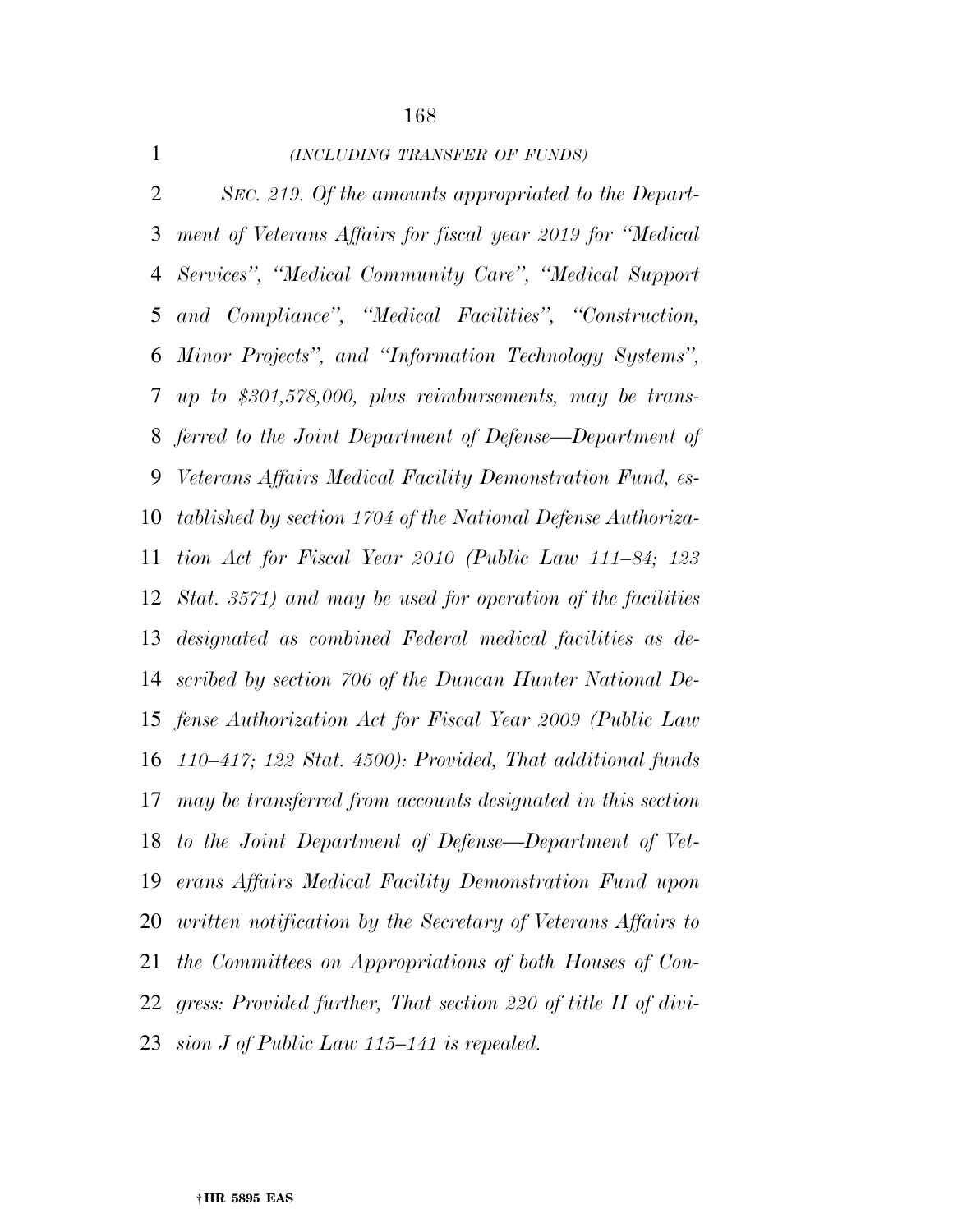| $\mathbf{1}$ | (INCLUDING TRANSFER OF FUNDS)                                     |
|--------------|-------------------------------------------------------------------|
| 2            | SEC. 219. Of the amounts appropriated to the Depart-              |
| 3            | ment of Veterans Affairs for fiscal year 2019 for "Medical        |
| 4            | Services", "Medical Community Care", "Medical Support             |
| 5            | and Compliance", "Medical Facilities", "Construction,             |
| 6            | Minor Projects", and "Information Technology Systems",            |
| 7            | up to $$301,578,000, plus$ reimbursements, may be trans-          |
|              | 8 ferred to the Joint Department of Defense—Department of         |
| 9            | Veterans Affairs Medical Facility Demonstration Fund, es-         |
| 10           | tablished by section 1704 of the National Defense Authoriza-      |
| 11           | tion Act for Fiscal Year 2010 (Public Law 111–84; 123             |
| 12           | Stat. 3571) and may be used for operation of the facilities       |
| 13           | designated as combined Federal medical facilities as de-          |
| 14           | scribed by section 706 of the Duncan Hunter National De-          |
|              | 15 fense Authorization Act for Fiscal Year 2009 (Public Law       |
| 16           | $110-417$ ; $122$ Stat. $4500$ ): Provided, That additional funds |
| 17           | may be transferred from accounts designated in this section       |
|              | 18 to the Joint Department of Defense—Department of Vet-          |
| 19           | erans Affairs Medical Facility Demonstration Fund upon            |
| 20           | written notification by the Secretary of Veterans Affairs to      |
| 21           | the Committees on Appropriations of both Houses of Con-           |
| 22           | gress: Provided further, That section 220 of title II of divi-    |
| 23           | sion $J$ of Public Law 115–141 is repealed.                       |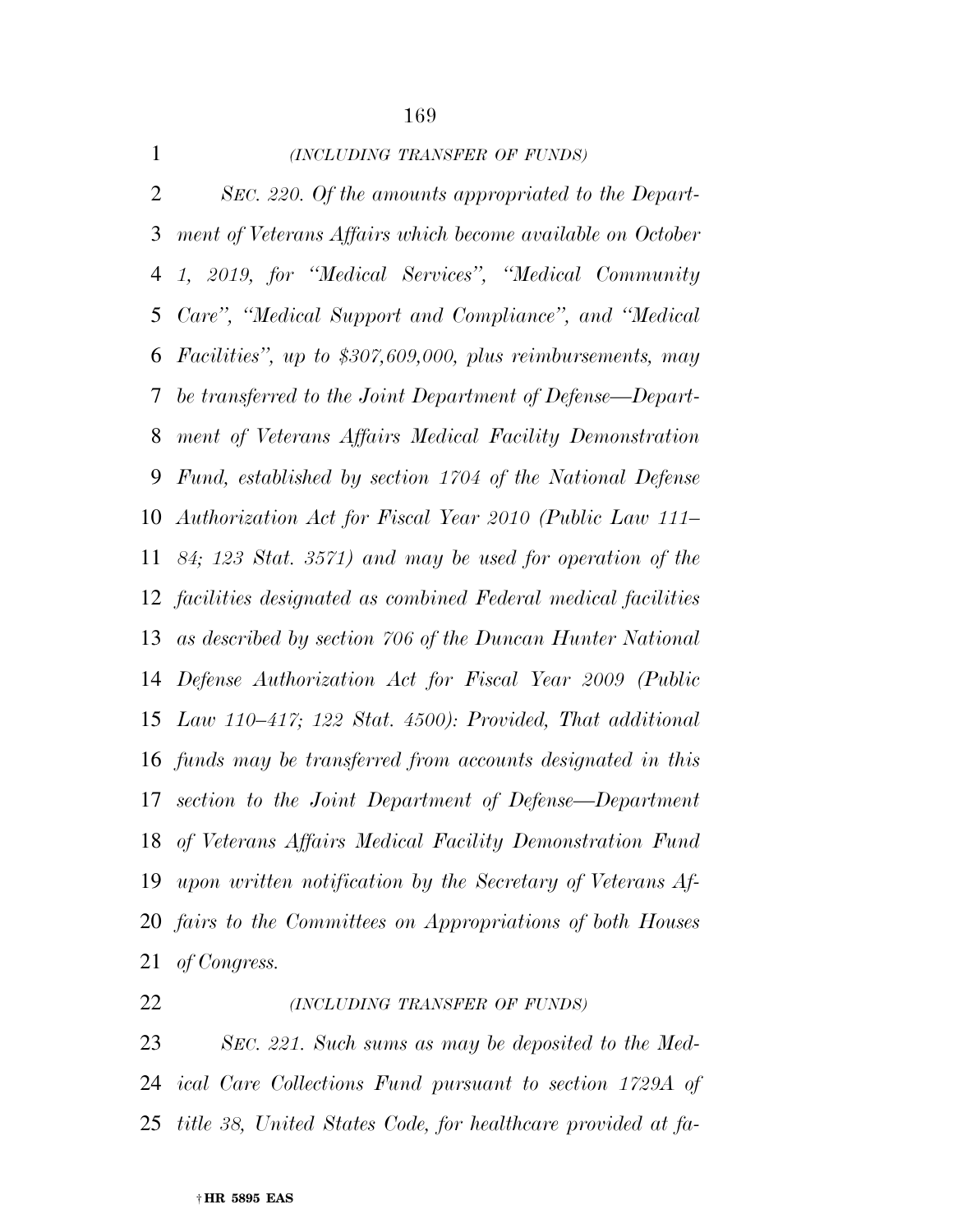| $\mathbf{1}$   | (INCLUDING TRANSFER OF FUNDS)                                      |
|----------------|--------------------------------------------------------------------|
| $\overline{2}$ | SEC. 220. Of the amounts appropriated to the Depart-               |
| 3              | ment of Veterans Affairs which become available on October         |
| 4              | 1, 2019, for "Medical Services", "Medical Community                |
| 5              | Care", "Medical Support and Compliance", and "Medical              |
| 6              | <i>Facilities</i> ", up to \$307,609,000, plus reimbursements, may |
| $\tau$         | be transferred to the Joint Department of Defense—Depart-          |
| 8              | ment of Veterans Affairs Medical Facility Demonstration            |
| 9              | Fund, established by section 1704 of the National Defense          |
|                | 10 Authorization Act for Fiscal Year 2010 (Public Law 111–         |
| 11             | 84; 123 Stat. 3571) and may be used for operation of the           |
|                | 12 facilities designated as combined Federal medical facilities    |
|                | 13 as described by section 706 of the Duncan Hunter National       |
|                | 14 Defense Authorization Act for Fiscal Year 2009 (Public          |
|                | 15 Law 110–417; 122 Stat. 4500): Provided, That additional         |
|                | 16 funds may be transferred from accounts designated in this       |
| 17             | section to the Joint Department of Defense—Department              |
|                | 18 of Veterans Affairs Medical Facility Demonstration Fund         |
| 19             | upon written notification by the Secretary of Veterans Af-         |
| 20             | fairs to the Committees on Appropriations of both Houses           |
| 21             | of Congress.                                                       |
|                |                                                                    |

# *(INCLUDING TRANSFER OF FUNDS)*

 *SEC. 221. Such sums as may be deposited to the Med- ical Care Collections Fund pursuant to section 1729A of title 38, United States Code, for healthcare provided at fa-*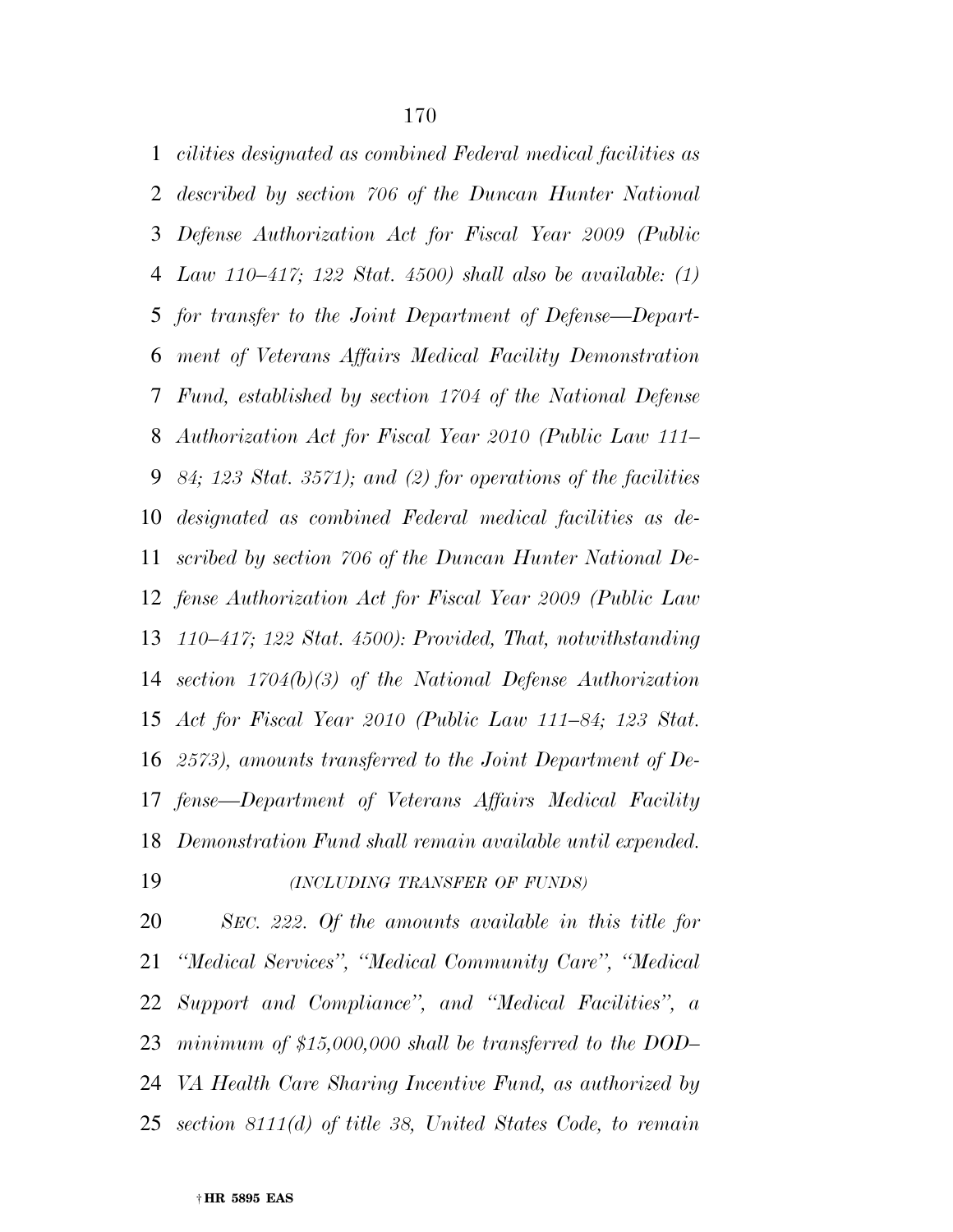*cilities designated as combined Federal medical facilities as described by section 706 of the Duncan Hunter National Defense Authorization Act for Fiscal Year 2009 (Public Law 110–417; 122 Stat. 4500) shall also be available: (1) for transfer to the Joint Department of Defense—Depart- ment of Veterans Affairs Medical Facility Demonstration Fund, established by section 1704 of the National Defense Authorization Act for Fiscal Year 2010 (Public Law 111– 84; 123 Stat. 3571); and (2) for operations of the facilities designated as combined Federal medical facilities as de- scribed by section 706 of the Duncan Hunter National De- fense Authorization Act for Fiscal Year 2009 (Public Law 110–417; 122 Stat. 4500): Provided, That, notwithstanding section 1704(b)(3) of the National Defense Authorization Act for Fiscal Year 2010 (Public Law 111–84; 123 Stat. 2573), amounts transferred to the Joint Department of De- fense—Department of Veterans Affairs Medical Facility Demonstration Fund shall remain available until expended. (INCLUDING TRANSFER OF FUNDS)*

 *SEC. 222. Of the amounts available in this title for ''Medical Services'', ''Medical Community Care'', ''Medical Support and Compliance'', and ''Medical Facilities'', a minimum of \$15,000,000 shall be transferred to the DOD– VA Health Care Sharing Incentive Fund, as authorized by section 8111(d) of title 38, United States Code, to remain*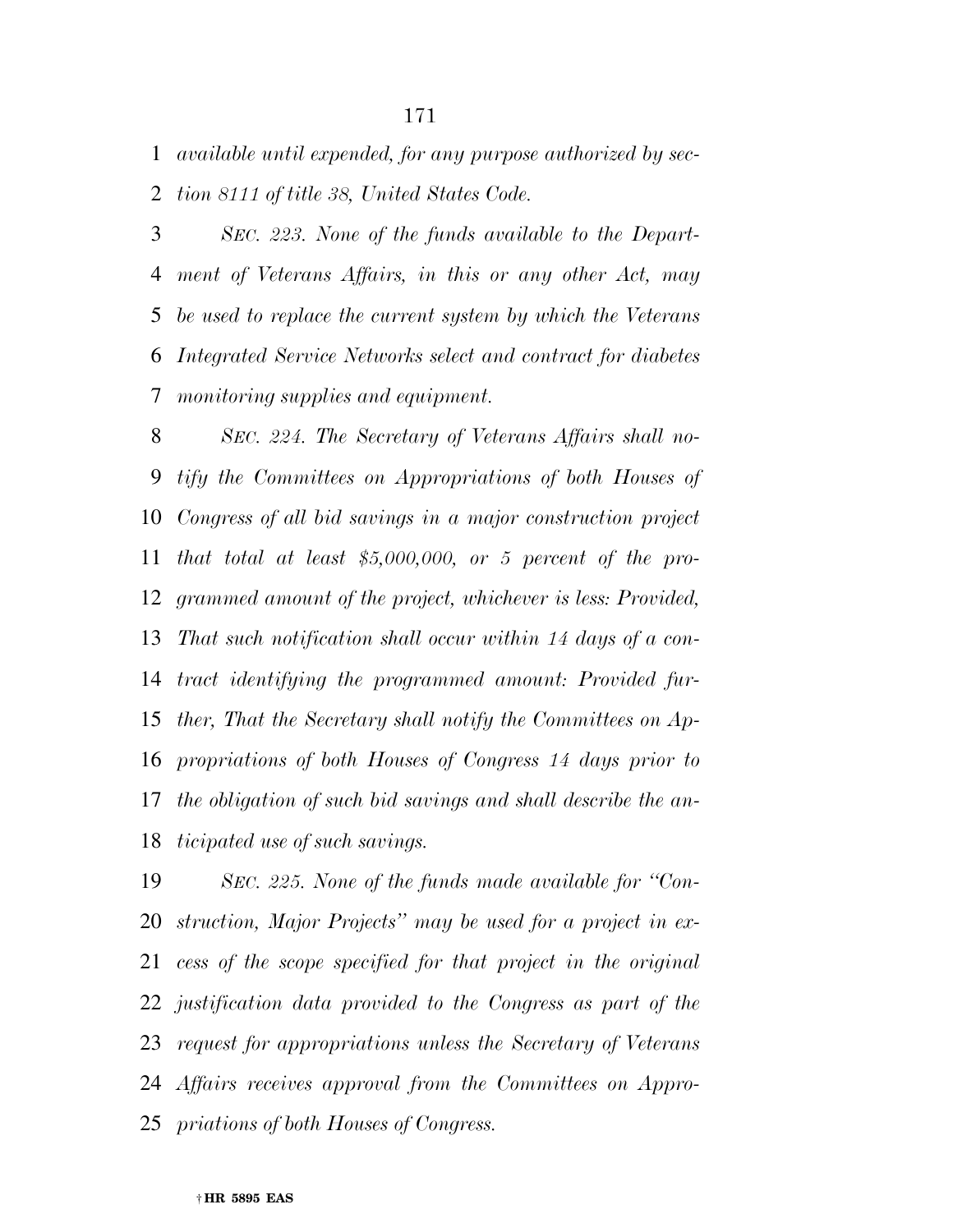*available until expended, for any purpose authorized by sec-*

*tion 8111 of title 38, United States Code.* 

 *SEC. 223. None of the funds available to the Depart- ment of Veterans Affairs, in this or any other Act, may be used to replace the current system by which the Veterans Integrated Service Networks select and contract for diabetes monitoring supplies and equipment.* 

 *SEC. 224. The Secretary of Veterans Affairs shall no- tify the Committees on Appropriations of both Houses of Congress of all bid savings in a major construction project that total at least \$5,000,000, or 5 percent of the pro- grammed amount of the project, whichever is less: Provided, That such notification shall occur within 14 days of a con- tract identifying the programmed amount: Provided fur- ther, That the Secretary shall notify the Committees on Ap- propriations of both Houses of Congress 14 days prior to the obligation of such bid savings and shall describe the an-ticipated use of such savings.* 

 *SEC. 225. None of the funds made available for ''Con- struction, Major Projects'' may be used for a project in ex- cess of the scope specified for that project in the original justification data provided to the Congress as part of the request for appropriations unless the Secretary of Veterans Affairs receives approval from the Committees on Appro-priations of both Houses of Congress.*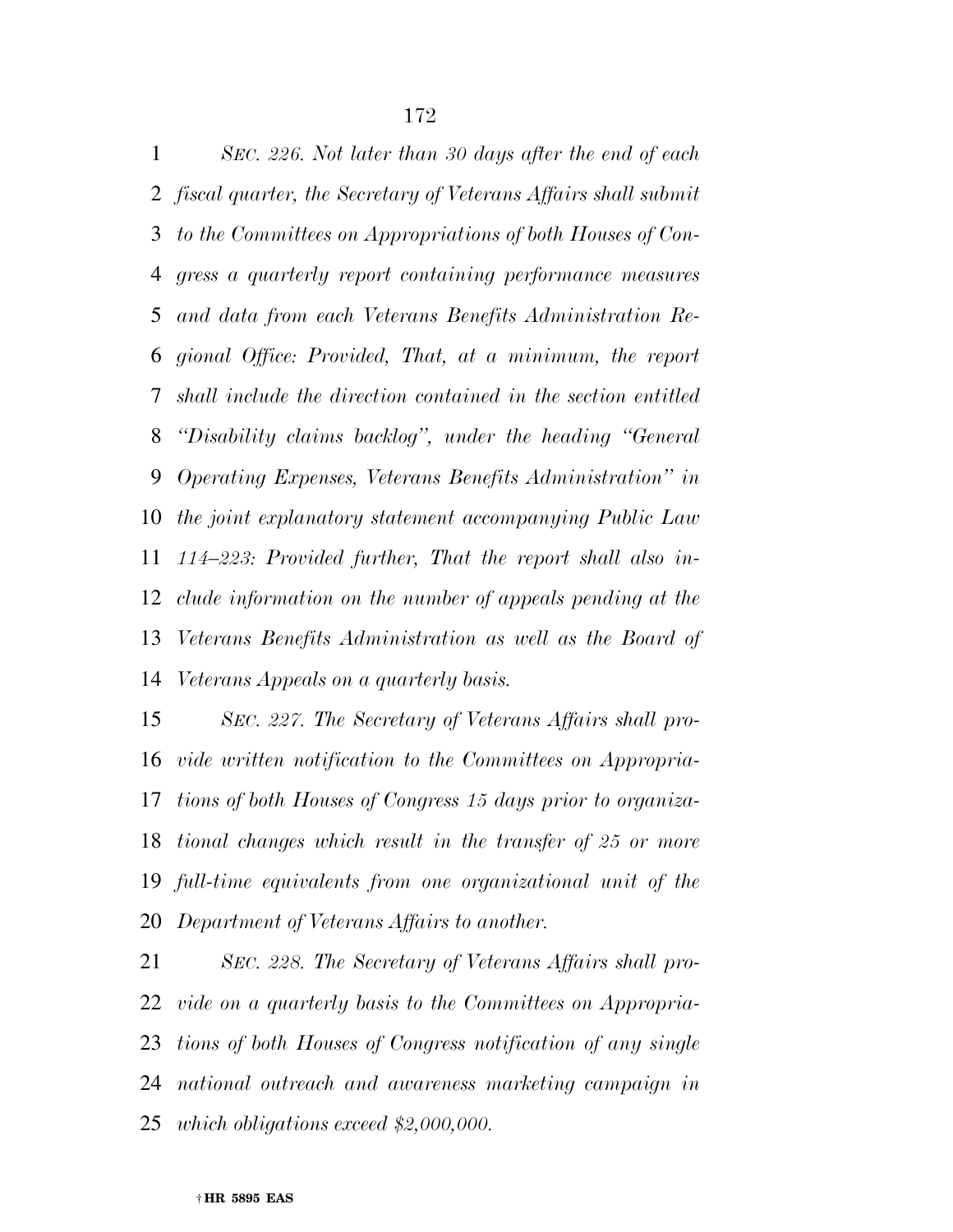*SEC. 226. Not later than 30 days after the end of each fiscal quarter, the Secretary of Veterans Affairs shall submit to the Committees on Appropriations of both Houses of Con- gress a quarterly report containing performance measures and data from each Veterans Benefits Administration Re- gional Office: Provided, That, at a minimum, the report shall include the direction contained in the section entitled ''Disability claims backlog'', under the heading ''General Operating Expenses, Veterans Benefits Administration'' in the joint explanatory statement accompanying Public Law 114–223: Provided further, That the report shall also in- clude information on the number of appeals pending at the Veterans Benefits Administration as well as the Board of Veterans Appeals on a quarterly basis.* 

 *SEC. 227. The Secretary of Veterans Affairs shall pro- vide written notification to the Committees on Appropria- tions of both Houses of Congress 15 days prior to organiza- tional changes which result in the transfer of 25 or more full-time equivalents from one organizational unit of the Department of Veterans Affairs to another.* 

 *SEC. 228. The Secretary of Veterans Affairs shall pro- vide on a quarterly basis to the Committees on Appropria- tions of both Houses of Congress notification of any single national outreach and awareness marketing campaign in which obligations exceed \$2,000,000.*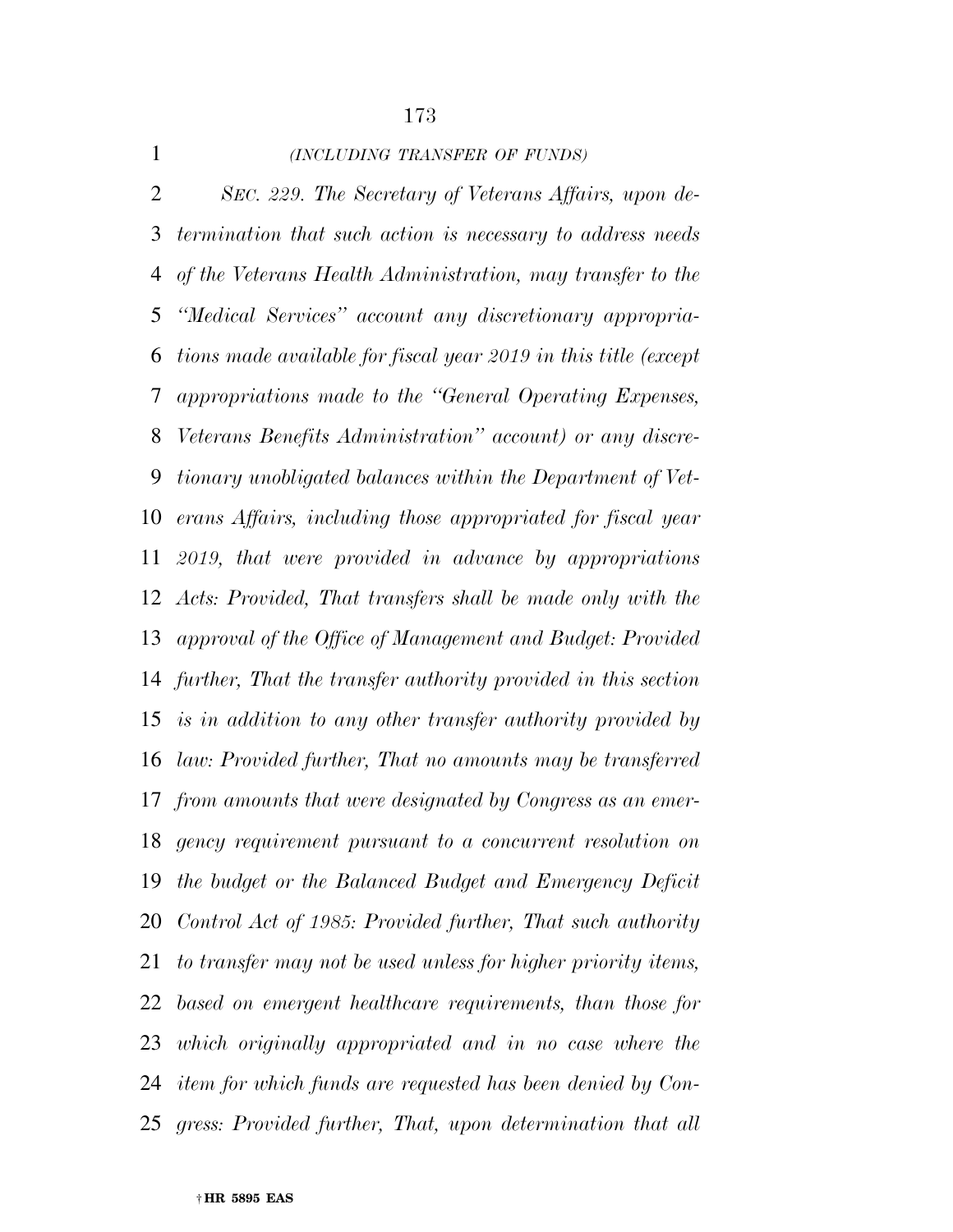| $\mathbf{1}$   | (INCLUDING TRANSFER OF FUNDS)                                     |
|----------------|-------------------------------------------------------------------|
| $\overline{2}$ | SEC. 229. The Secretary of Veterans Affairs, upon de-             |
| 3              | termination that such action is necessary to address needs        |
| 4              | of the Veterans Health Administration, may transfer to the        |
| 5              | "Medical Services" account any discretionary appropria-           |
| 6              | tions made available for fiscal year 2019 in this title (except   |
| 7              | appropriations made to the "General Operating Expenses,           |
| 8              | Veterans Benefits Administration" account) or any discre-         |
| 9              | tionary unobligated balances within the Department of Vet-        |
| 10             | erans Affairs, including those appropriated for fiscal year       |
| 11             | 2019, that were provided in advance by appropriations             |
|                | 12 Acts: Provided, That transfers shall be made only with the     |
| 13             | approval of the Office of Management and Budget: Provided         |
|                | 14 further, That the transfer authority provided in this section  |
|                | 15 is in addition to any other transfer authority provided by     |
| 16             | law: Provided further, That no amounts may be transferred         |
| 17             | from amounts that were designated by Congress as an emer-         |
| 18             | gency requirement pursuant to a concurrent resolution on          |
| 19             | the budget or the Balanced Budget and Emergency Deficit           |
| 20             | Control Act of 1985: Provided further, That such authority        |
| 21             | to transfer may not be used unless for higher priority items,     |
| 22             | based on emergent healthcare requirements, than those for         |
| 23             | which originally appropriated and in no case where the            |
| 24             | <i>item for which funds are requested has been denied by Con-</i> |
| 25             | gress: Provided further, That, upon determination that all        |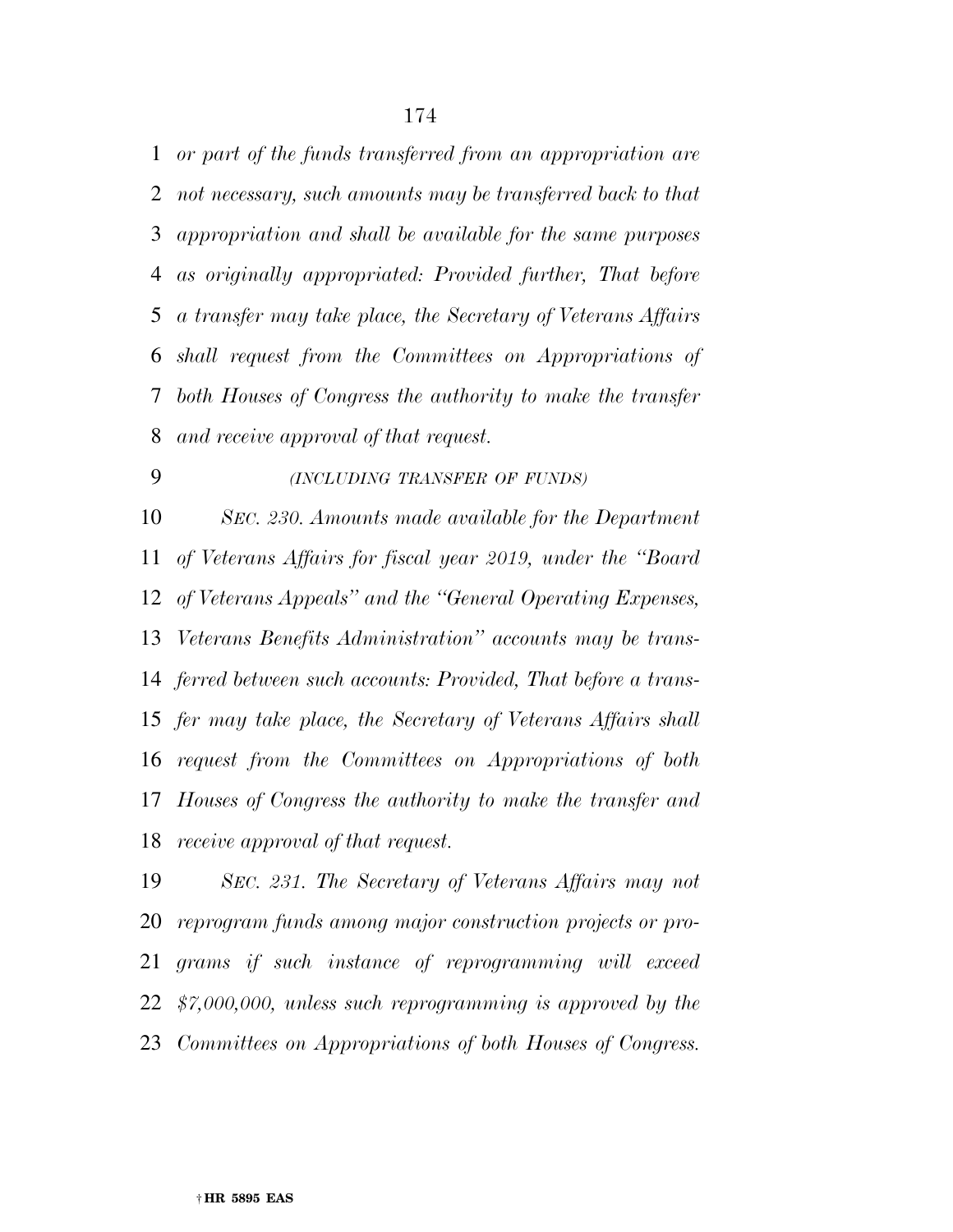*or part of the funds transferred from an appropriation are not necessary, such amounts may be transferred back to that appropriation and shall be available for the same purposes as originally appropriated: Provided further, That before a transfer may take place, the Secretary of Veterans Affairs shall request from the Committees on Appropriations of both Houses of Congress the authority to make the transfer and receive approval of that request.* 

# *(INCLUDING TRANSFER OF FUNDS)*

 *SEC. 230. Amounts made available for the Department of Veterans Affairs for fiscal year 2019, under the ''Board of Veterans Appeals'' and the ''General Operating Expenses, Veterans Benefits Administration'' accounts may be trans- ferred between such accounts: Provided, That before a trans- fer may take place, the Secretary of Veterans Affairs shall request from the Committees on Appropriations of both Houses of Congress the authority to make the transfer and receive approval of that request.* 

 *SEC. 231. The Secretary of Veterans Affairs may not reprogram funds among major construction projects or pro- grams if such instance of reprogramming will exceed \$7,000,000, unless such reprogramming is approved by the Committees on Appropriations of both Houses of Congress.*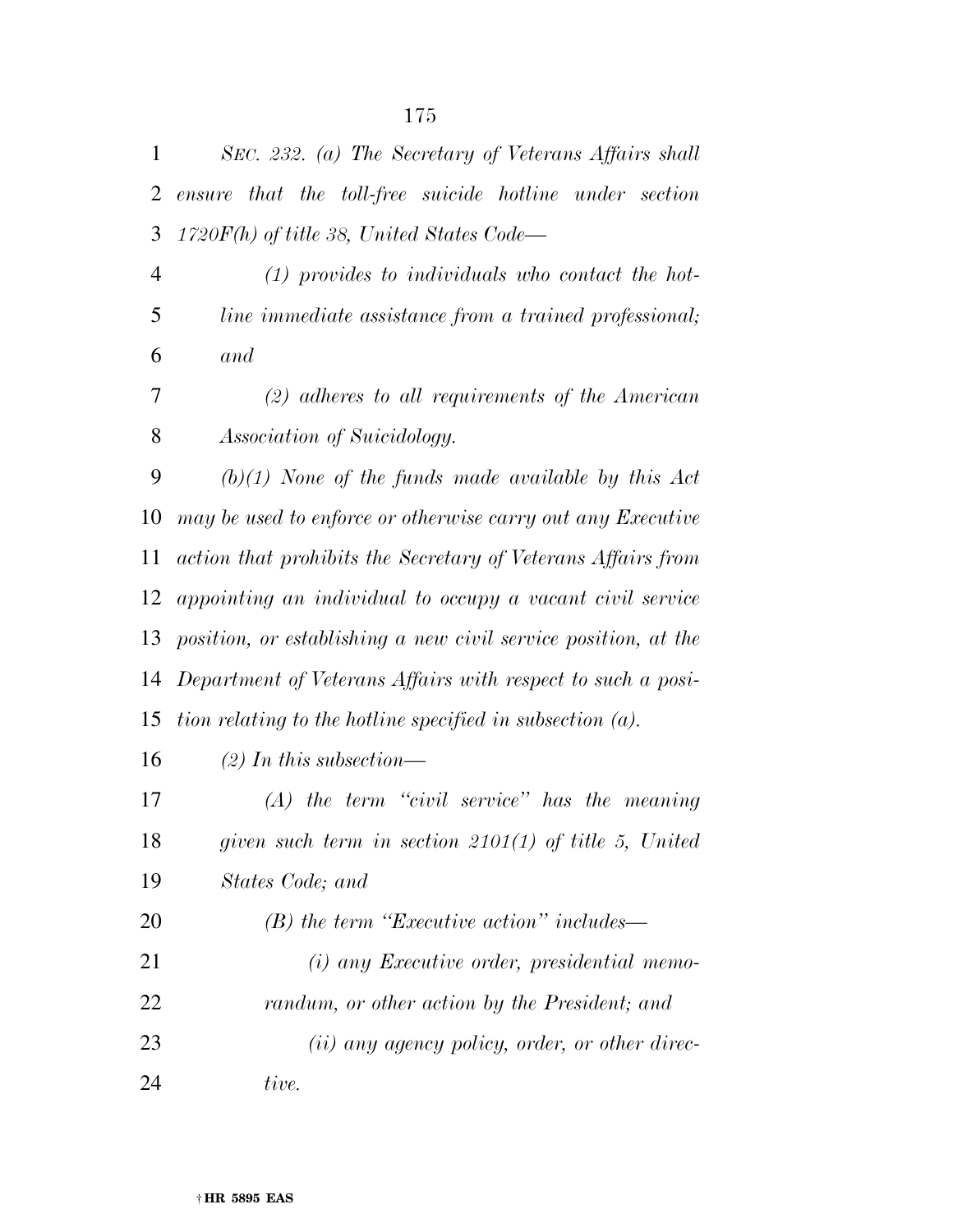| $\mathbf{1}$   | SEC. 232. (a) The Secretary of Veterans Affairs shall          |
|----------------|----------------------------------------------------------------|
| 2              | ensure that the toll-free suicide hotline under section        |
| 3              | $1720F(h)$ of title 38, United States Code—                    |
| $\overline{4}$ | $(1)$ provides to individuals who contact the hot-             |
| 5              | line immediate assistance from a trained professional;         |
| 6              | and                                                            |
| 7              | $(2)$ adheres to all requirements of the American              |
| 8              | Association of Suicidology.                                    |
| 9              | $(b)(1)$ None of the funds made available by this Act          |
| 10             | may be used to enforce or otherwise carry out any Executive    |
| 11             | action that prohibits the Secretary of Veterans Affairs from   |
| 12             | appointing an individual to occupy a vacant civil service      |
| 13             | position, or establishing a new civil service position, at the |
| 14             | Department of Veterans Affairs with respect to such a posi-    |
| 15             | tion relating to the hotline specified in subsection $(a)$ .   |
| 16             | $(2)$ In this subsection—                                      |
| 17             | $(A)$ the term "civil service" has the meaning                 |
| 18             | given such term in section $2101(1)$ of title 5, United        |
| 19             | States Code; and                                               |
| 20             | $(B)$ the term "Executive action" includes—                    |
| 21             | (i) any Executive order, presidential memo-                    |
| 22             | randum, or other action by the President; and                  |
| 23             | ( <i>ii</i> ) any agency policy, order, or other direc-        |
| 24             | tive.                                                          |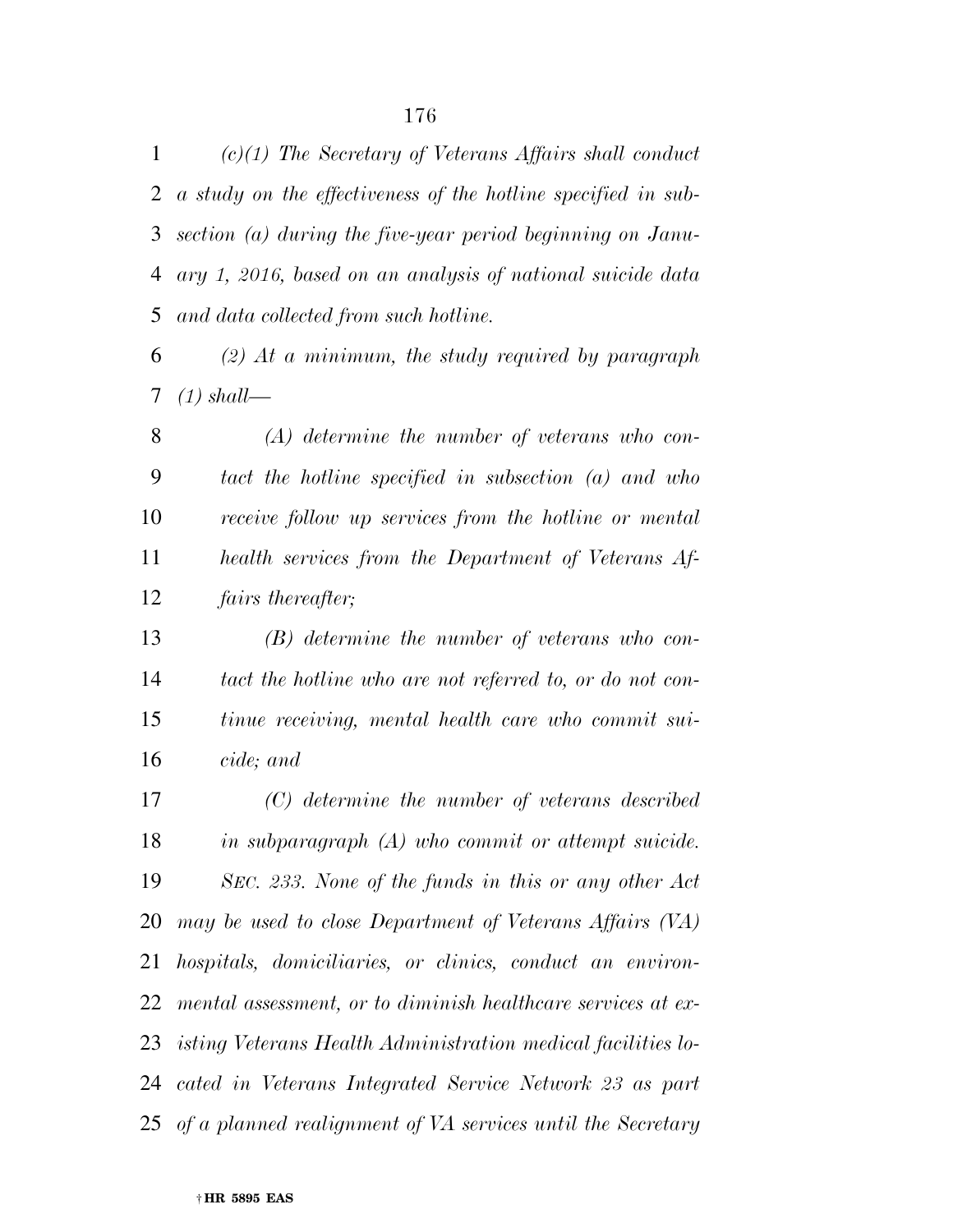*(c)(1) The Secretary of Veterans Affairs shall conduct a study on the effectiveness of the hotline specified in sub- section (a) during the five-year period beginning on Janu- ary 1, 2016, based on an analysis of national suicide data and data collected from such hotline.* 

 *(2) At a minimum, the study required by paragraph (1) shall—* 

 *(A) determine the number of veterans who con- tact the hotline specified in subsection (a) and who receive follow up services from the hotline or mental health services from the Department of Veterans Af-fairs thereafter;* 

 *(B) determine the number of veterans who con- tact the hotline who are not referred to, or do not con- tinue receiving, mental health care who commit sui-cide; and* 

 *(C) determine the number of veterans described in subparagraph (A) who commit or attempt suicide. SEC. 233. None of the funds in this or any other Act may be used to close Department of Veterans Affairs (VA) hospitals, domiciliaries, or clinics, conduct an environ- mental assessment, or to diminish healthcare services at ex- isting Veterans Health Administration medical facilities lo- cated in Veterans Integrated Service Network 23 as part of a planned realignment of VA services until the Secretary*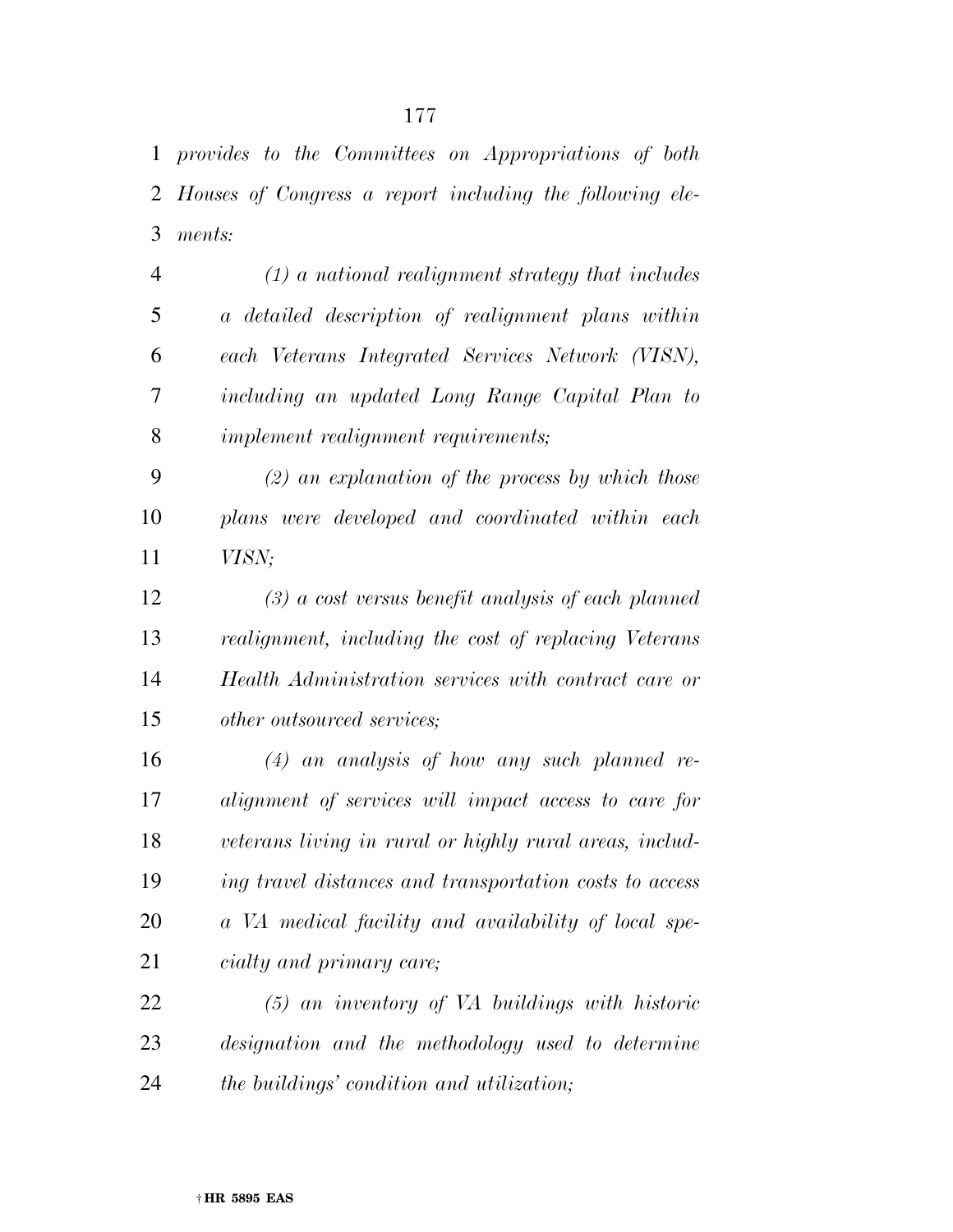*provides to the Committees on Appropriations of both Houses of Congress a report including the following ele-ments:* 

 *(1) a national realignment strategy that includes a detailed description of realignment plans within each Veterans Integrated Services Network (VISN), including an updated Long Range Capital Plan to implement realignment requirements;* 

 *(2) an explanation of the process by which those plans were developed and coordinated within each VISN;* 

 *(3) a cost versus benefit analysis of each planned realignment, including the cost of replacing Veterans Health Administration services with contract care or other outsourced services;* 

 *(4) an analysis of how any such planned re- alignment of services will impact access to care for veterans living in rural or highly rural areas, includ- ing travel distances and transportation costs to access a VA medical facility and availability of local spe-cialty and primary care;* 

 *(5) an inventory of VA buildings with historic designation and the methodology used to determine the buildings' condition and utilization;*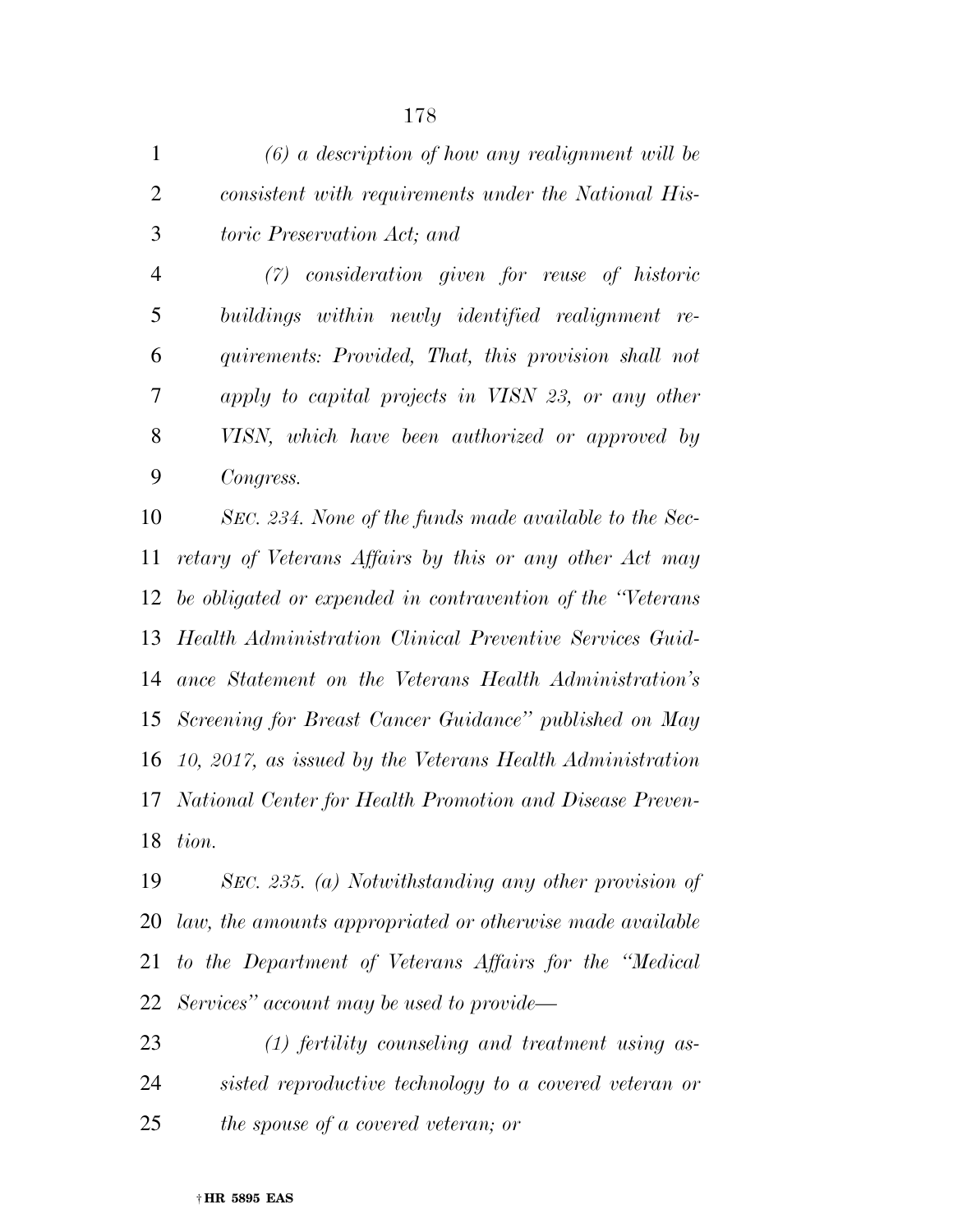|               | $(6)$ a description of how any realignment will be   |
|---------------|------------------------------------------------------|
|               | consistent with requirements under the National His- |
| $\mathcal{F}$ | <i>toric Preservation Act; and</i>                   |

 *(7) consideration given for reuse of historic buildings within newly identified realignment re- quirements: Provided, That, this provision shall not apply to capital projects in VISN 23, or any other VISN, which have been authorized or approved by Congress.* 

 *SEC. 234. None of the funds made available to the Sec- retary of Veterans Affairs by this or any other Act may be obligated or expended in contravention of the ''Veterans Health Administration Clinical Preventive Services Guid- ance Statement on the Veterans Health Administration's Screening for Breast Cancer Guidance'' published on May 10, 2017, as issued by the Veterans Health Administration National Center for Health Promotion and Disease Preven-tion.* 

 *SEC. 235. (a) Notwithstanding any other provision of law, the amounts appropriated or otherwise made available to the Department of Veterans Affairs for the ''Medical Services'' account may be used to provide—* 

 *(1) fertility counseling and treatment using as- sisted reproductive technology to a covered veteran or the spouse of a covered veteran; or*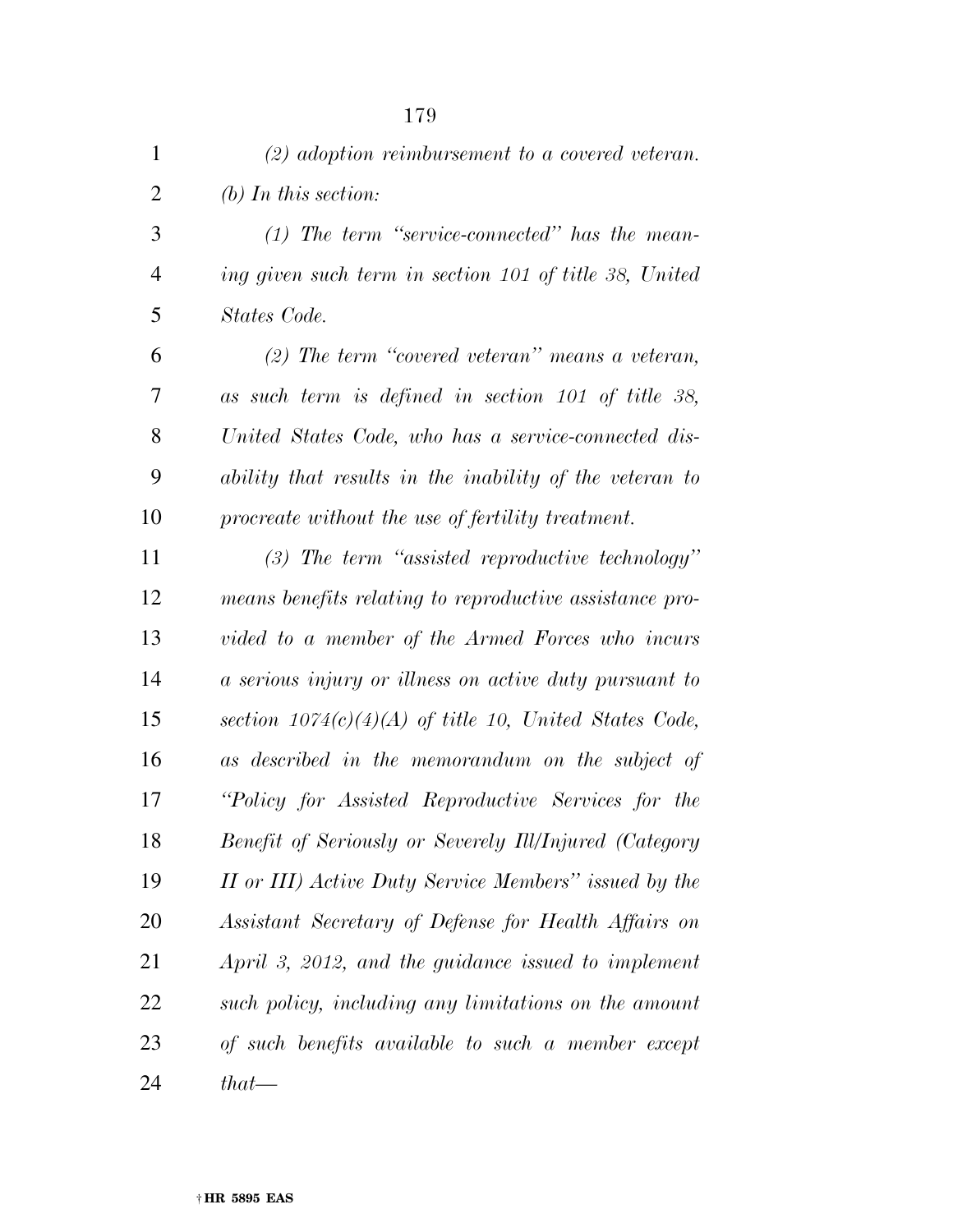| $\mathbf{1}$   | $(2)$ adoption reimbursement to a covered veteran.       |
|----------------|----------------------------------------------------------|
| $\overline{2}$ | $(b)$ In this section:                                   |
| 3              | $(1)$ The term "service-connected" has the mean-         |
| $\overline{4}$ | ing given such term in section 101 of title 38, United   |
| 5              | States Code.                                             |
| 6              | $(2)$ The term "covered veteran" means a veteran,        |
| 7              | as such term is defined in section $101$ of title 38,    |
| 8              | United States Code, who has a service-connected dis-     |
| 9              | ability that results in the inability of the veteran to  |
| 10             | procreate without the use of fertility treatment.        |
| 11             | $(3)$ The term "assisted reproductive technology"        |
| 12             | means benefits relating to reproductive assistance pro-  |
| 13             | vided to a member of the Armed Forces who incurs         |
| 14             | a serious injury or illness on active duty pursuant to   |
| 15             | section $1074(c)(4)(A)$ of title 10, United States Code, |
| 16             | as described in the memorandum on the subject of         |
| 17             | "Policy for Assisted Reproductive Services for the       |
| 18             | Benefit of Seriously or Severely Ill/Injured (Category   |
| 19             | II or III) Active Duty Service Members" issued by the    |
| 20             | Assistant Secretary of Defense for Health Affairs on     |
| 21             | April 3, 2012, and the guidance issued to implement      |
| 22             | such policy, including any limitations on the amount     |
| 23             | of such benefits available to such a member except       |
| 24             | $that$ —                                                 |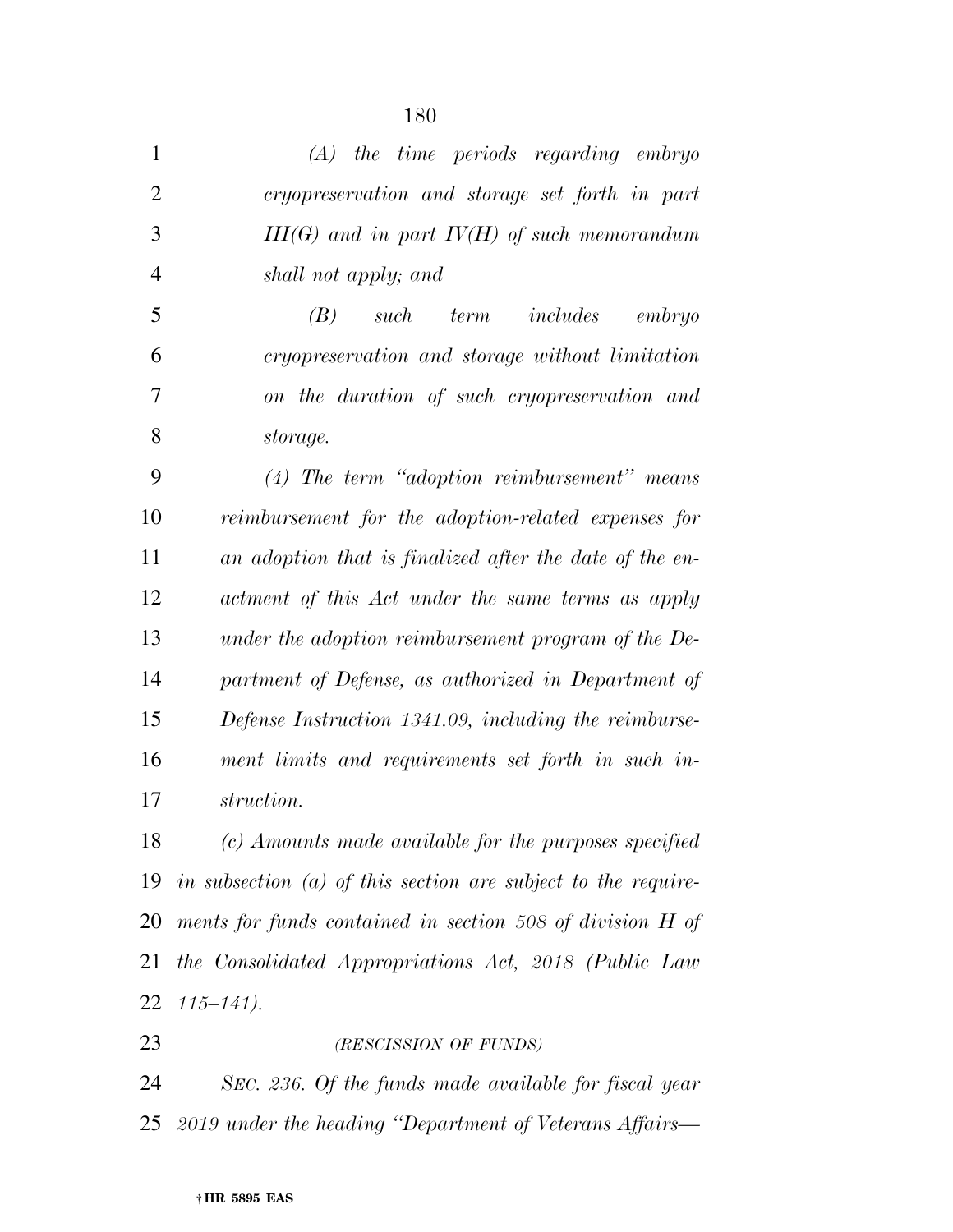| $\mathbf{1}$   | $(A)$ the time periods regarding embryo                         |
|----------------|-----------------------------------------------------------------|
| $\overline{2}$ | cryopreservation and storage set forth in part                  |
| 3              | $III(G)$ and in part $IV(H)$ of such memorandum                 |
| $\overline{4}$ | shall not apply; and                                            |
| 5              | (B)<br>such term includes<br>embryo                             |
| 6              | cryopreservation and storage without limitation                 |
| 7              | on the duration of such cryopreservation and                    |
| 8              | storage.                                                        |
| 9              | $(4)$ The term "adoption reimbursement" means                   |
| 10             | reimbursement for the adoption-related expenses for             |
| 11             | an adoption that is finalized after the date of the en-         |
| 12             | actment of this Act under the same terms as apply               |
| 13             | under the adoption reimbursement program of the De-             |
| 14             | partment of Defense, as authorized in Department of             |
| 15             | Defense Instruction 1341.09, including the reimburse-           |
| 16             | ment limits and requirements set forth in such in-              |
| 17             | struction.                                                      |
| 18             | (c) Amounts made available for the purposes specified           |
| 19             | in subsection $(a)$ of this section are subject to the require- |
| 20             | ments for funds contained in section 508 of division H of       |
|                |                                                                 |

 *the Consolidated Appropriations Act, 2018 (Public Law 115–141).* 

*(RESCISSION OF FUNDS)*

 *SEC. 236. Of the funds made available for fiscal year 2019 under the heading ''Department of Veterans Affairs—*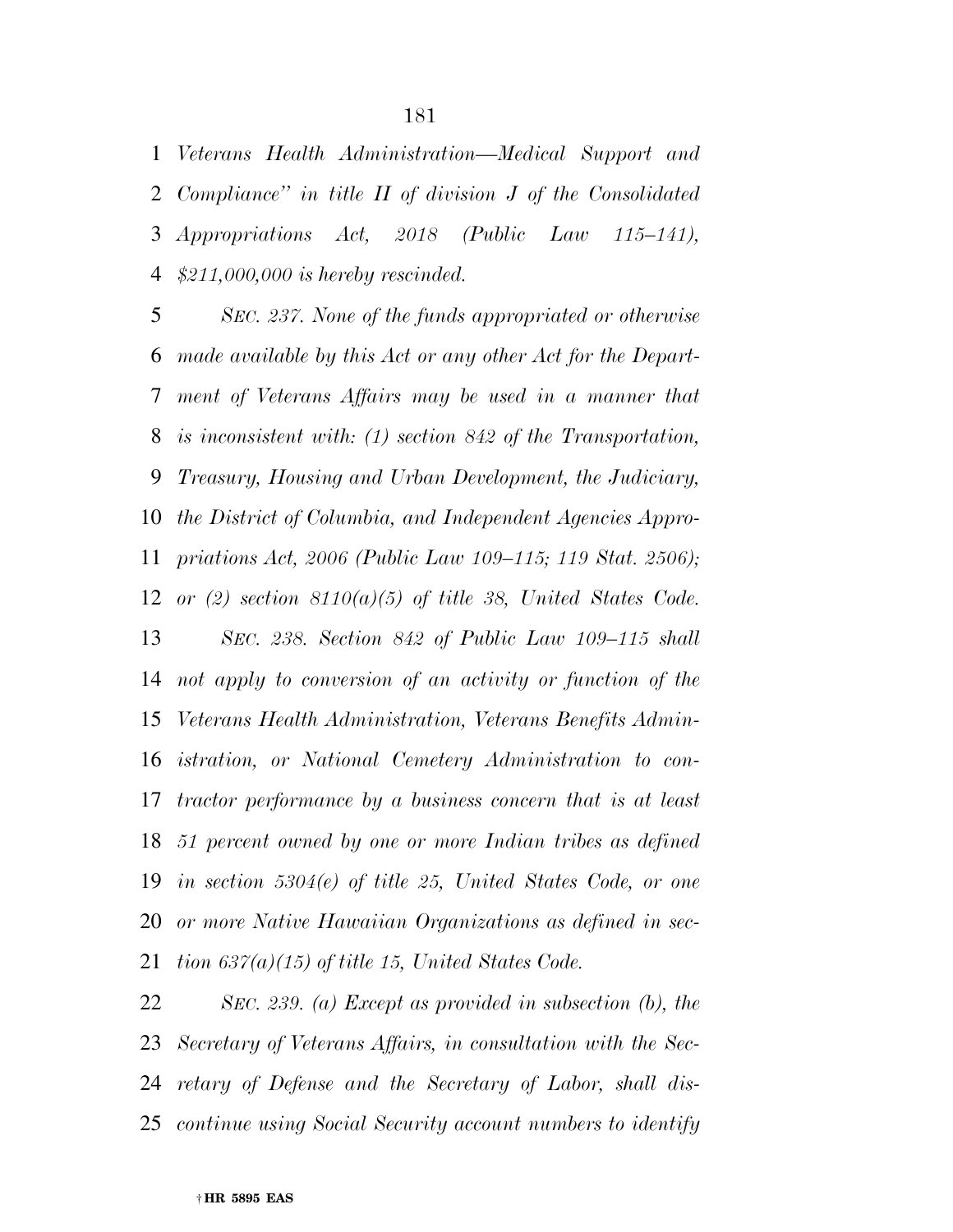*Veterans Health Administration—Medical Support and Compliance'' in title II of division J of the Consolidated Appropriations Act, 2018 (Public Law 115–141), \$211,000,000 is hereby rescinded.* 

 *SEC. 237. None of the funds appropriated or otherwise made available by this Act or any other Act for the Depart- ment of Veterans Affairs may be used in a manner that is inconsistent with: (1) section 842 of the Transportation, Treasury, Housing and Urban Development, the Judiciary, the District of Columbia, and Independent Agencies Appro- priations Act, 2006 (Public Law 109–115; 119 Stat. 2506); or (2) section 8110(a)(5) of title 38, United States Code. SEC. 238. Section 842 of Public Law 109–115 shall not apply to conversion of an activity or function of the Veterans Health Administration, Veterans Benefits Admin- istration, or National Cemetery Administration to con- tractor performance by a business concern that is at least 51 percent owned by one or more Indian tribes as defined in section 5304(e) of title 25, United States Code, or one or more Native Hawaiian Organizations as defined in sec-tion 637(a)(15) of title 15, United States Code.* 

 *SEC. 239. (a) Except as provided in subsection (b), the Secretary of Veterans Affairs, in consultation with the Sec- retary of Defense and the Secretary of Labor, shall dis-continue using Social Security account numbers to identify*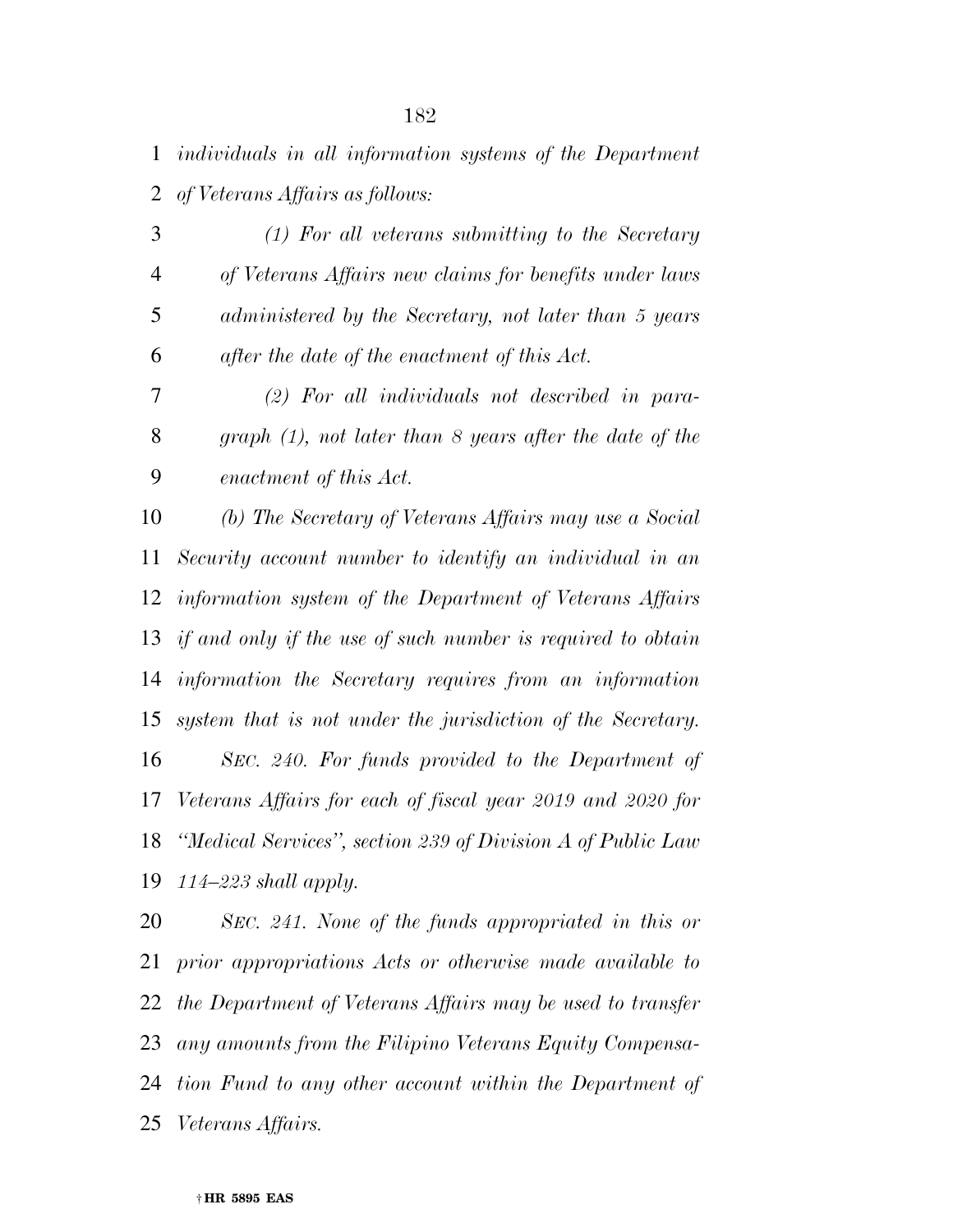*individuals in all information systems of the Department of Veterans Affairs as follows:* 

 *(1) For all veterans submitting to the Secretary of Veterans Affairs new claims for benefits under laws administered by the Secretary, not later than 5 years after the date of the enactment of this Act.* 

 *(2) For all individuals not described in para- graph (1), not later than 8 years after the date of the enactment of this Act.* 

 *(b) The Secretary of Veterans Affairs may use a Social Security account number to identify an individual in an information system of the Department of Veterans Affairs if and only if the use of such number is required to obtain information the Secretary requires from an information system that is not under the jurisdiction of the Secretary. SEC. 240. For funds provided to the Department of Veterans Affairs for each of fiscal year 2019 and 2020 for ''Medical Services'', section 239 of Division A of Public Law 114–223 shall apply.* 

 *SEC. 241. None of the funds appropriated in this or prior appropriations Acts or otherwise made available to the Department of Veterans Affairs may be used to transfer any amounts from the Filipino Veterans Equity Compensa- tion Fund to any other account within the Department of Veterans Affairs.*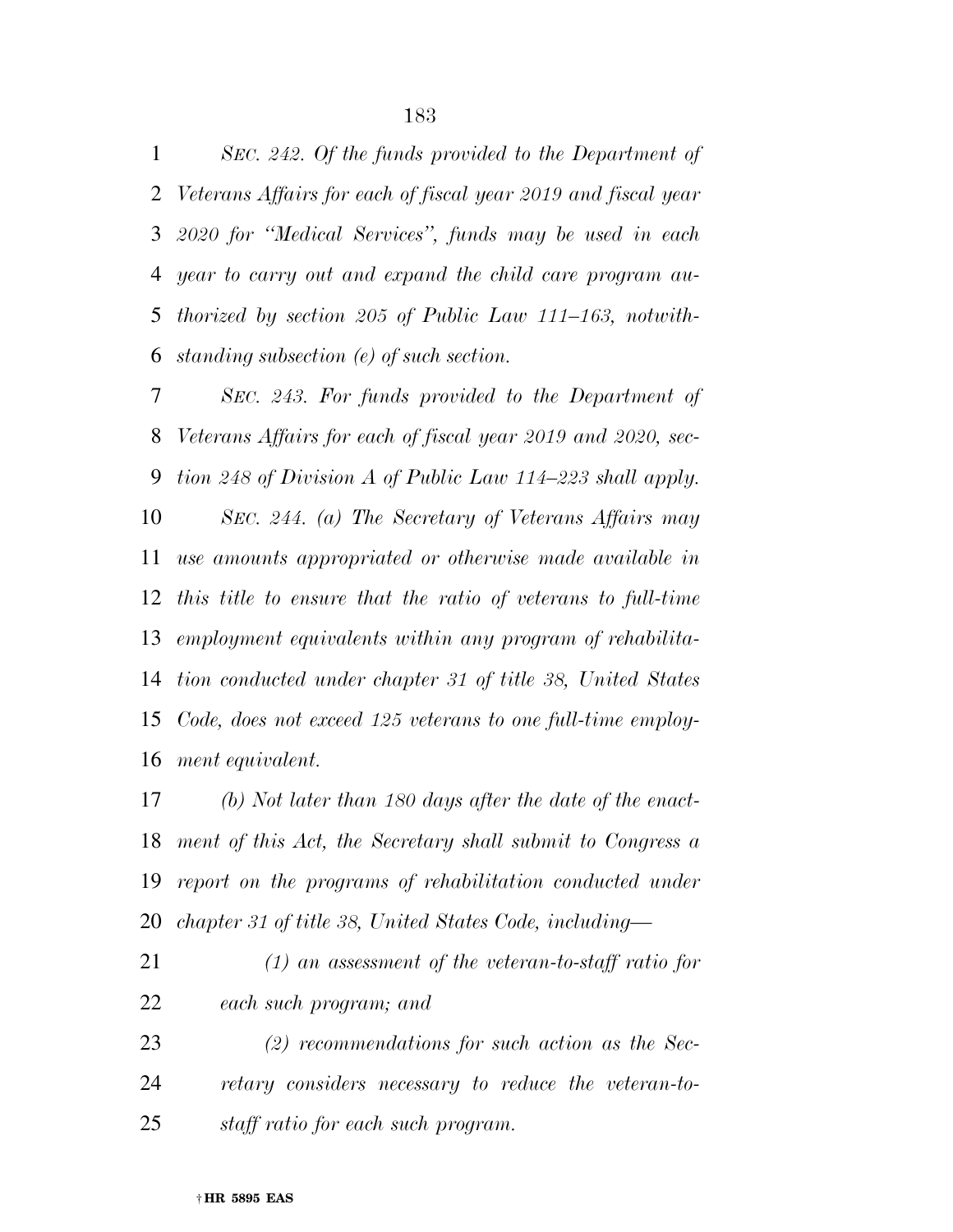*SEC. 242. Of the funds provided to the Department of Veterans Affairs for each of fiscal year 2019 and fiscal year 2020 for ''Medical Services'', funds may be used in each year to carry out and expand the child care program au- thorized by section 205 of Public Law 111–163, notwith-standing subsection (e) of such section.* 

 *SEC. 243. For funds provided to the Department of Veterans Affairs for each of fiscal year 2019 and 2020, sec- tion 248 of Division A of Public Law 114–223 shall apply. SEC. 244. (a) The Secretary of Veterans Affairs may use amounts appropriated or otherwise made available in this title to ensure that the ratio of veterans to full-time employment equivalents within any program of rehabilita- tion conducted under chapter 31 of title 38, United States Code, does not exceed 125 veterans to one full-time employ-ment equivalent.* 

 *(b) Not later than 180 days after the date of the enact- ment of this Act, the Secretary shall submit to Congress a report on the programs of rehabilitation conducted under chapter 31 of title 38, United States Code, including—* 

- *(1) an assessment of the veteran-to-staff ratio for each such program; and*
- *(2) recommendations for such action as the Sec- retary considers necessary to reduce the veteran-to-staff ratio for each such program.*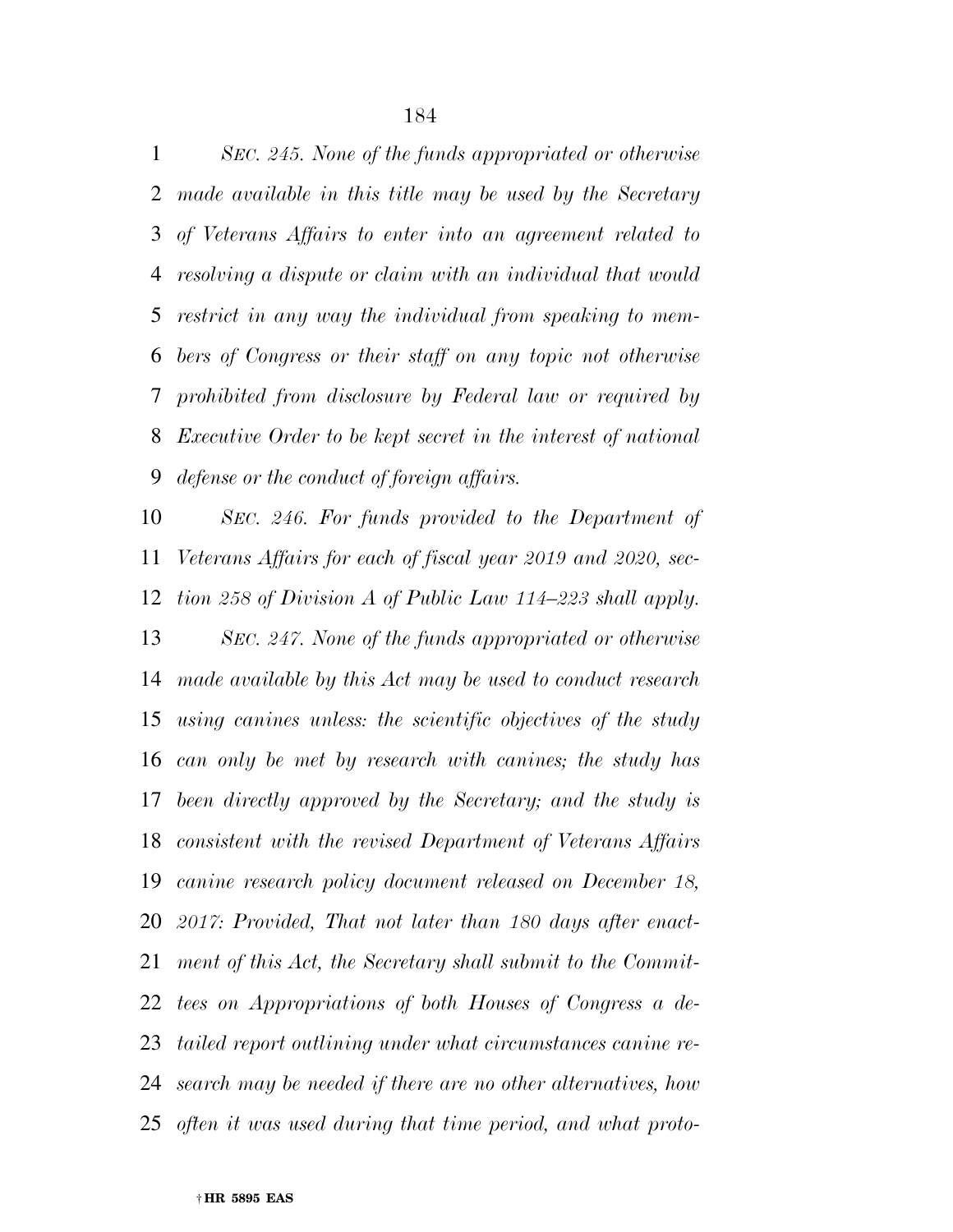*SEC. 245. None of the funds appropriated or otherwise made available in this title may be used by the Secretary of Veterans Affairs to enter into an agreement related to resolving a dispute or claim with an individual that would restrict in any way the individual from speaking to mem- bers of Congress or their staff on any topic not otherwise prohibited from disclosure by Federal law or required by Executive Order to be kept secret in the interest of national defense or the conduct of foreign affairs.* 

 *SEC. 246. For funds provided to the Department of Veterans Affairs for each of fiscal year 2019 and 2020, sec- tion 258 of Division A of Public Law 114–223 shall apply. SEC. 247. None of the funds appropriated or otherwise made available by this Act may be used to conduct research using canines unless: the scientific objectives of the study can only be met by research with canines; the study has been directly approved by the Secretary; and the study is consistent with the revised Department of Veterans Affairs canine research policy document released on December 18, 2017: Provided, That not later than 180 days after enact- ment of this Act, the Secretary shall submit to the Commit- tees on Appropriations of both Houses of Congress a de- tailed report outlining under what circumstances canine re- search may be needed if there are no other alternatives, how often it was used during that time period, and what proto-*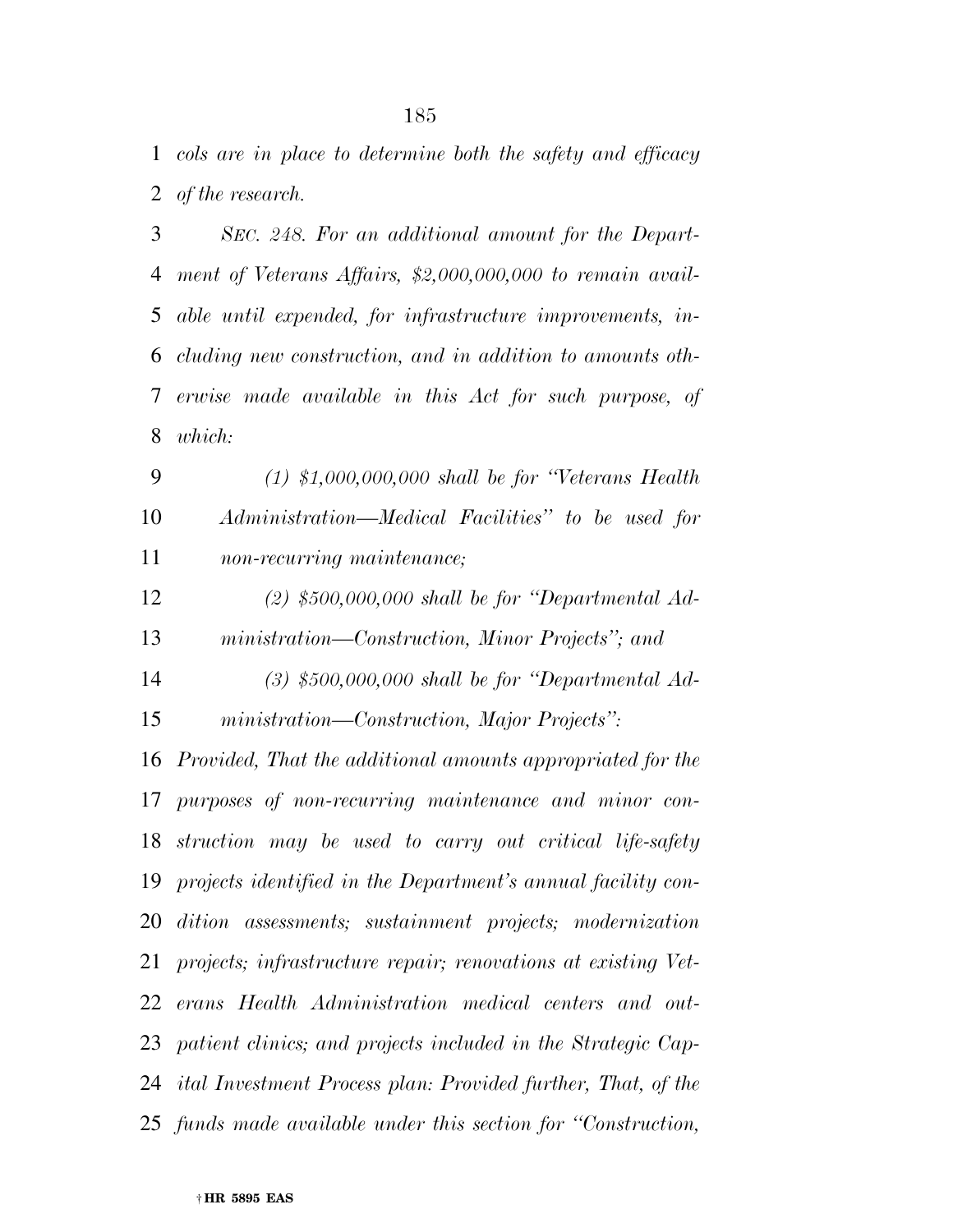*cols are in place to determine both the safety and efficacy of the research.* 

 *SEC. 248. For an additional amount for the Depart- ment of Veterans Affairs, \$2,000,000,000 to remain avail- able until expended, for infrastructure improvements, in- cluding new construction, and in addition to amounts oth- erwise made available in this Act for such purpose, of which:* 

 *(1) \$1,000,000,000 shall be for ''Veterans Health Administration—Medical Facilities'' to be used for non-recurring maintenance;* 

 *(2) \$500,000,000 shall be for ''Departmental Ad-ministration—Construction, Minor Projects''; and* 

*(3) \$500,000,000 shall be for ''Departmental Ad-*

*ministration—Construction, Major Projects'':* 

 *Provided, That the additional amounts appropriated for the purposes of non-recurring maintenance and minor con- struction may be used to carry out critical life-safety projects identified in the Department's annual facility con- dition assessments; sustainment projects; modernization projects; infrastructure repair; renovations at existing Vet- erans Health Administration medical centers and out- patient clinics; and projects included in the Strategic Cap- ital Investment Process plan: Provided further, That, of the funds made available under this section for ''Construction,*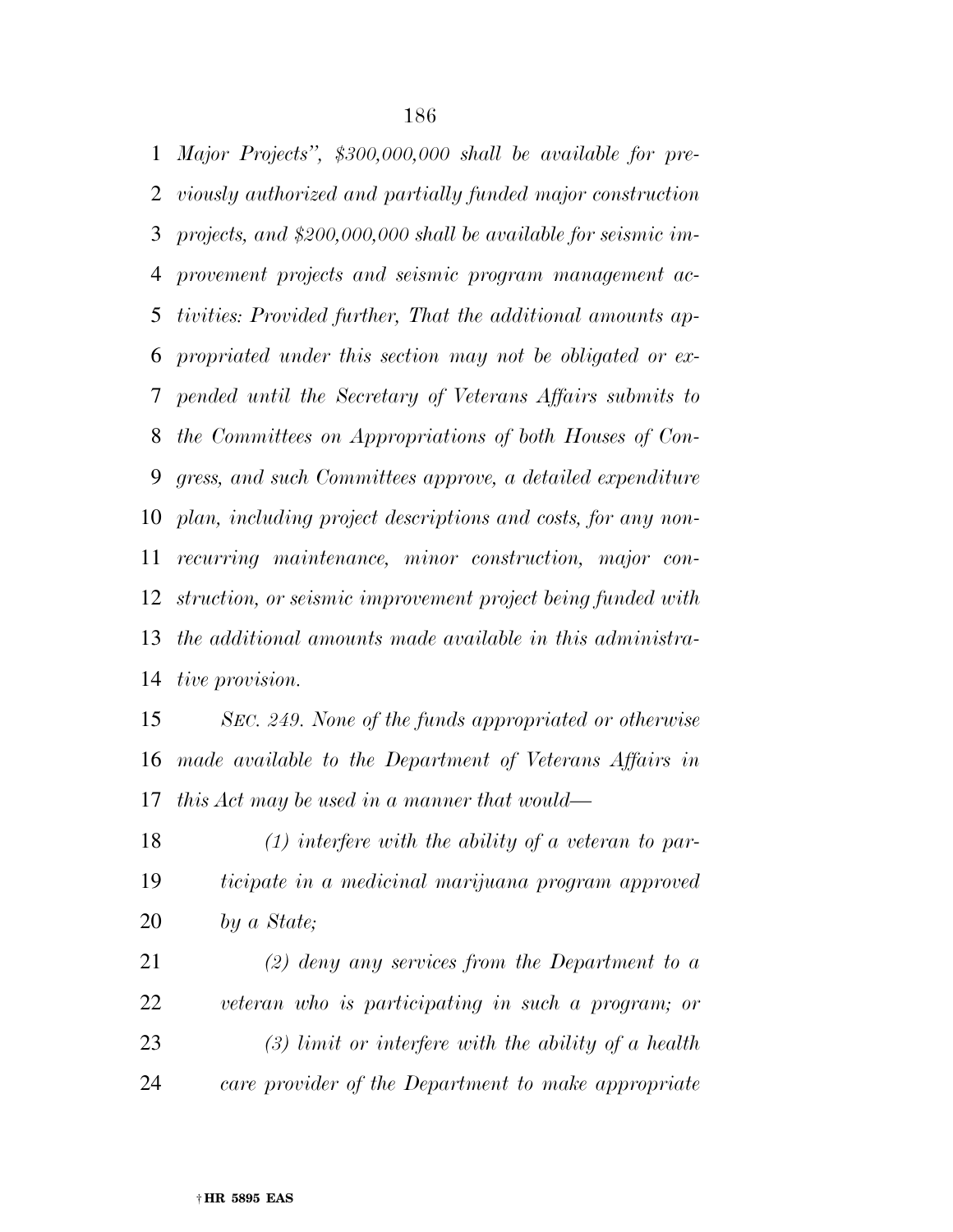*Major Projects'', \$300,000,000 shall be available for pre- viously authorized and partially funded major construction projects, and \$200,000,000 shall be available for seismic im- provement projects and seismic program management ac- tivities: Provided further, That the additional amounts ap- propriated under this section may not be obligated or ex- pended until the Secretary of Veterans Affairs submits to the Committees on Appropriations of both Houses of Con- gress, and such Committees approve, a detailed expenditure plan, including project descriptions and costs, for any non- recurring maintenance, minor construction, major con- struction, or seismic improvement project being funded with the additional amounts made available in this administra-tive provision.* 

 *SEC. 249. None of the funds appropriated or otherwise made available to the Department of Veterans Affairs in this Act may be used in a manner that would—* 

 *(1) interfere with the ability of a veteran to par- ticipate in a medicinal marijuana program approved by a State;* 

 *(2) deny any services from the Department to a veteran who is participating in such a program; or (3) limit or interfere with the ability of a health care provider of the Department to make appropriate*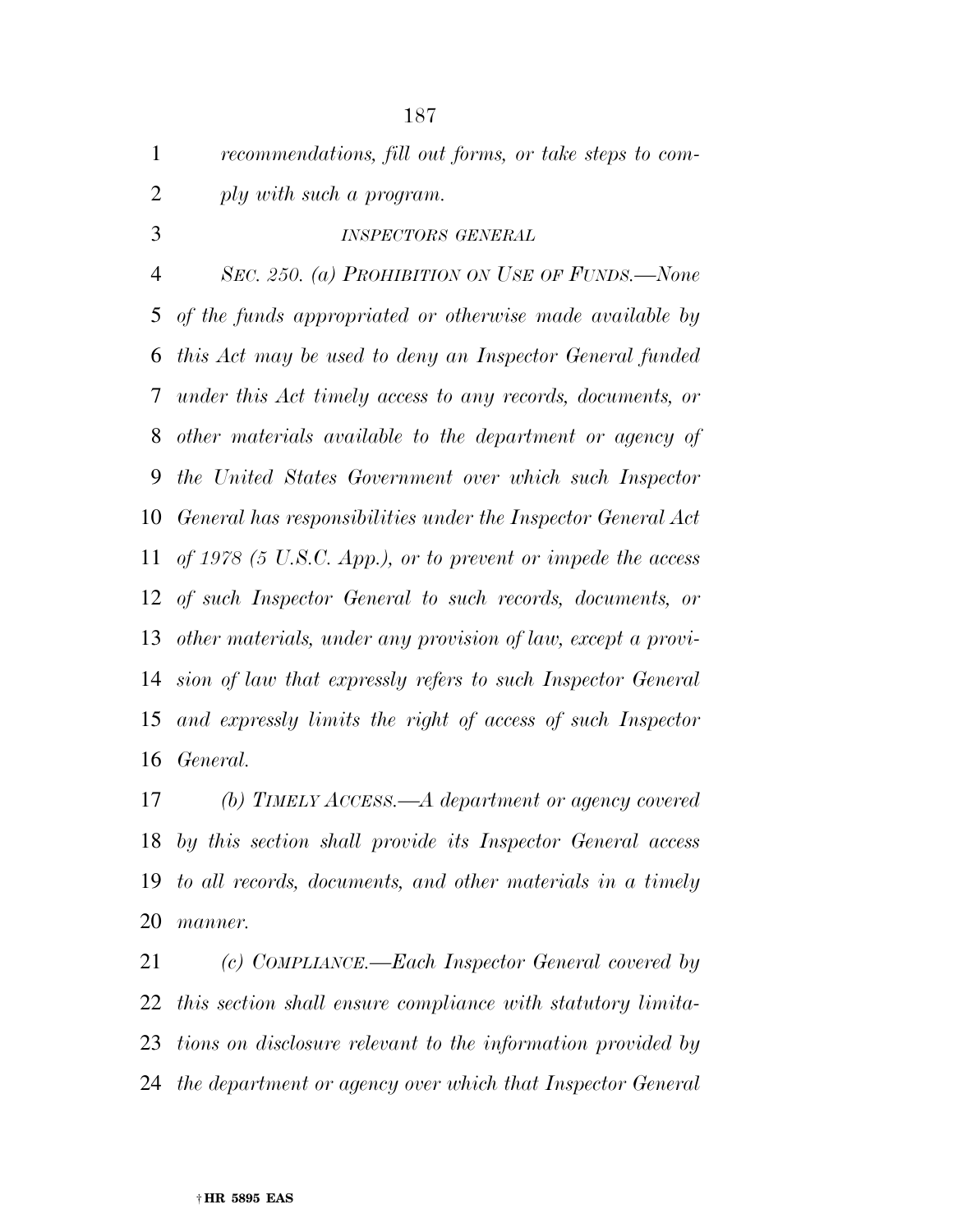*recommendations, fill out forms, or take steps to com-ply with such a program.* 

## *INSPECTORS GENERAL*

 *SEC. 250. (a) PROHIBITION ON USE OF FUNDS.—None of the funds appropriated or otherwise made available by this Act may be used to deny an Inspector General funded under this Act timely access to any records, documents, or other materials available to the department or agency of the United States Government over which such Inspector General has responsibilities under the Inspector General Act of 1978 (5 U.S.C. App.), or to prevent or impede the access of such Inspector General to such records, documents, or other materials, under any provision of law, except a provi- sion of law that expressly refers to such Inspector General and expressly limits the right of access of such Inspector General.* 

 *(b) TIMELY ACCESS.—A department or agency covered by this section shall provide its Inspector General access to all records, documents, and other materials in a timely manner.* 

 *(c) COMPLIANCE.—Each Inspector General covered by this section shall ensure compliance with statutory limita- tions on disclosure relevant to the information provided by the department or agency over which that Inspector General*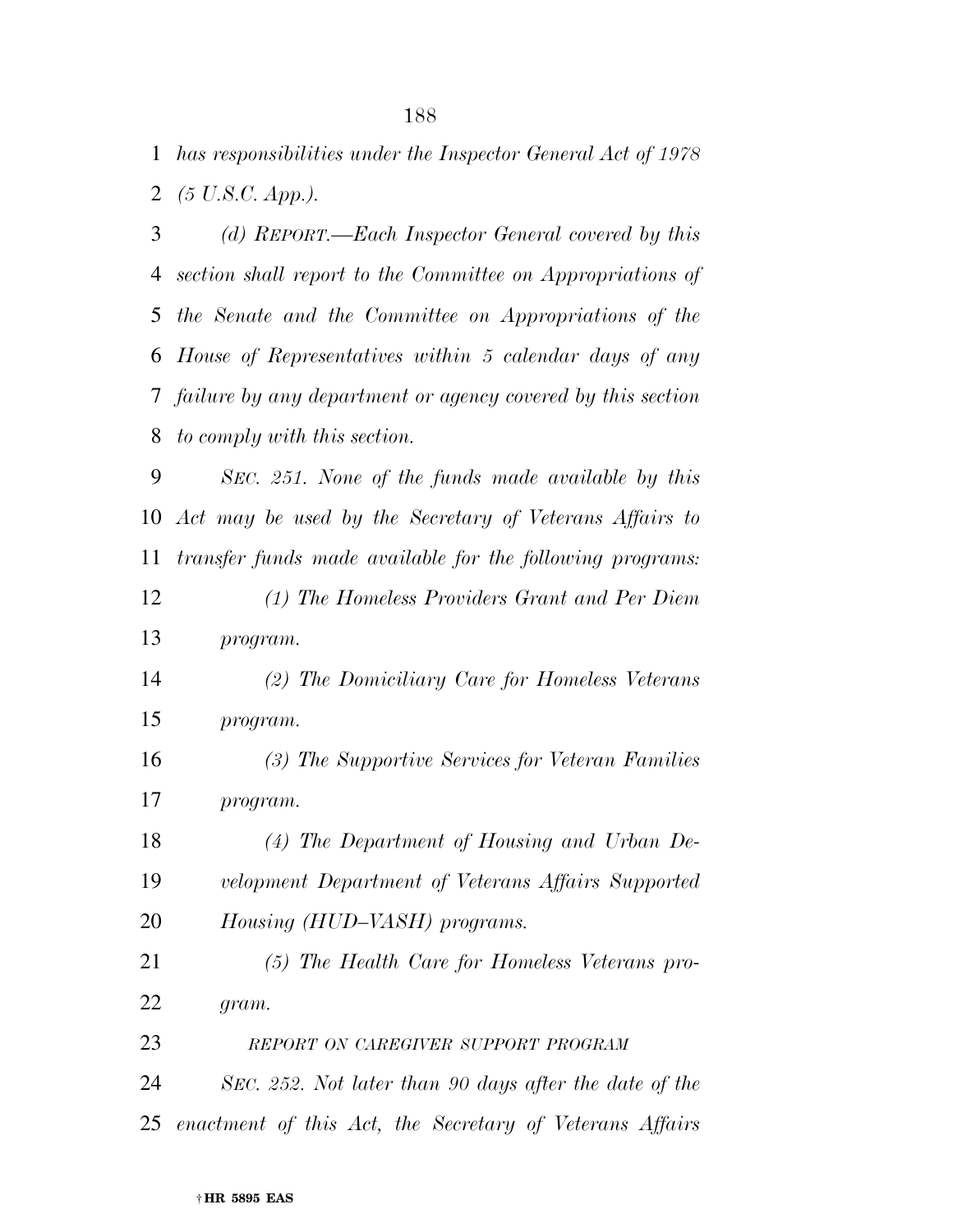*has responsibilities under the Inspector General Act of 1978 (5 U.S.C. App.).* 

 *(d) REPORT.—Each Inspector General covered by this section shall report to the Committee on Appropriations of the Senate and the Committee on Appropriations of the House of Representatives within 5 calendar days of any failure by any department or agency covered by this section to comply with this section.* 

 *SEC. 251. None of the funds made available by this Act may be used by the Secretary of Veterans Affairs to transfer funds made available for the following programs:* 

 *(1) The Homeless Providers Grant and Per Diem program.* 

 *(2) The Domiciliary Care for Homeless Veterans program.* 

 *(3) The Supportive Services for Veteran Families program.* 

 *(4) The Department of Housing and Urban De- velopment Department of Veterans Affairs Supported Housing (HUD–VASH) programs.* 

- *(5) The Health Care for Homeless Veterans pro-gram.*
- *REPORT ON CAREGIVER SUPPORT PROGRAM*
- *SEC. 252. Not later than 90 days after the date of the*
- *enactment of this Act, the Secretary of Veterans Affairs*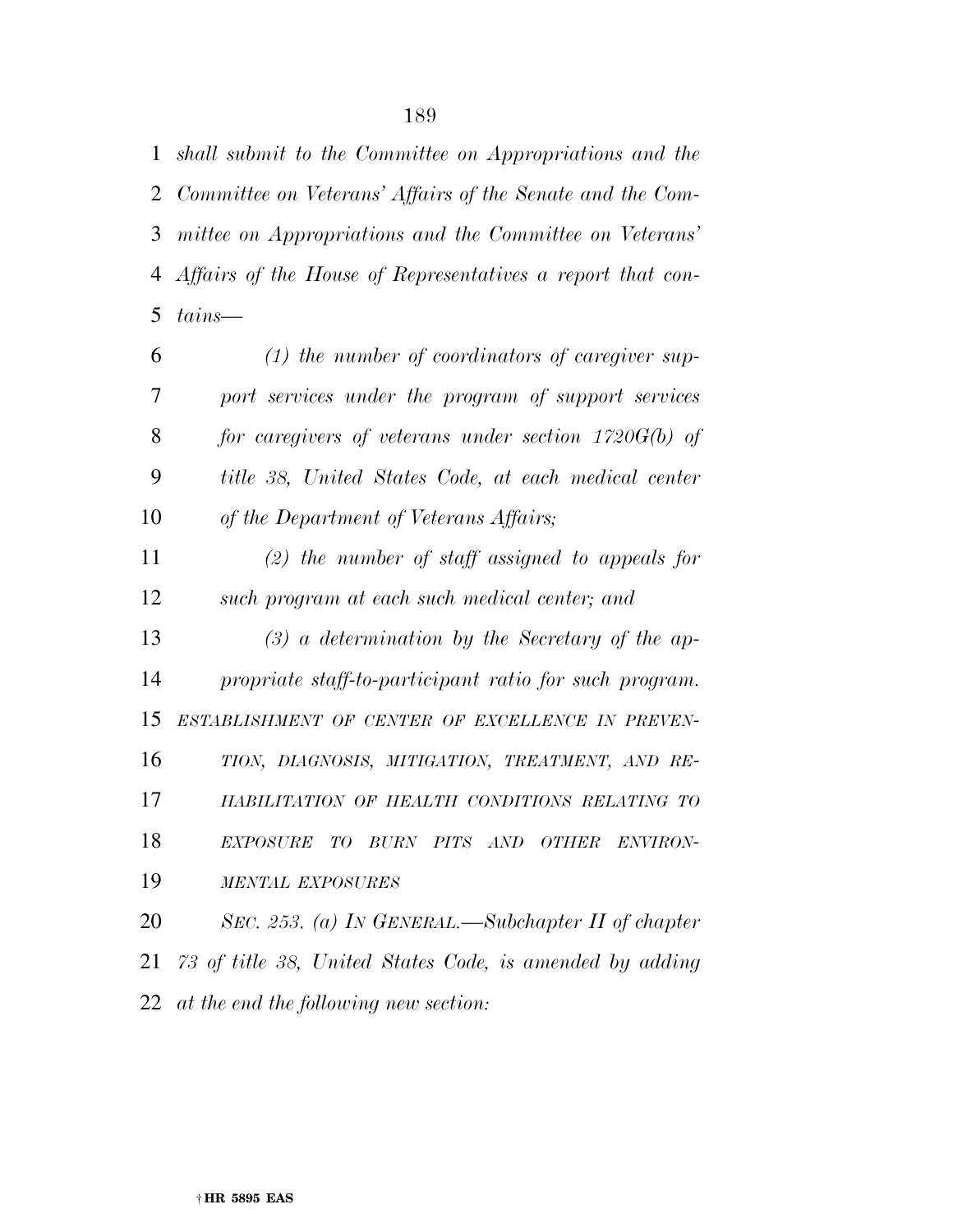*shall submit to the Committee on Appropriations and the Committee on Veterans' Affairs of the Senate and the Com- mittee on Appropriations and the Committee on Veterans' Affairs of the House of Representatives a report that con-tains—* 

 *(1) the number of coordinators of caregiver sup- port services under the program of support services for caregivers of veterans under section 1720G(b) of title 38, United States Code, at each medical center of the Department of Veterans Affairs;* 

 *(2) the number of staff assigned to appeals for such program at each such medical center; and* 

 *(3) a determination by the Secretary of the ap- propriate staff-to-participant ratio for such program. ESTABLISHMENT OF CENTER OF EXCELLENCE IN PREVEN- TION, DIAGNOSIS, MITIGATION, TREATMENT, AND RE- HABILITATION OF HEALTH CONDITIONS RELATING TO EXPOSURE TO BURN PITS AND OTHER ENVIRON-MENTAL EXPOSURES*

 *SEC. 253. (a) IN GENERAL.—Subchapter II of chapter 73 of title 38, United States Code, is amended by adding at the end the following new section:*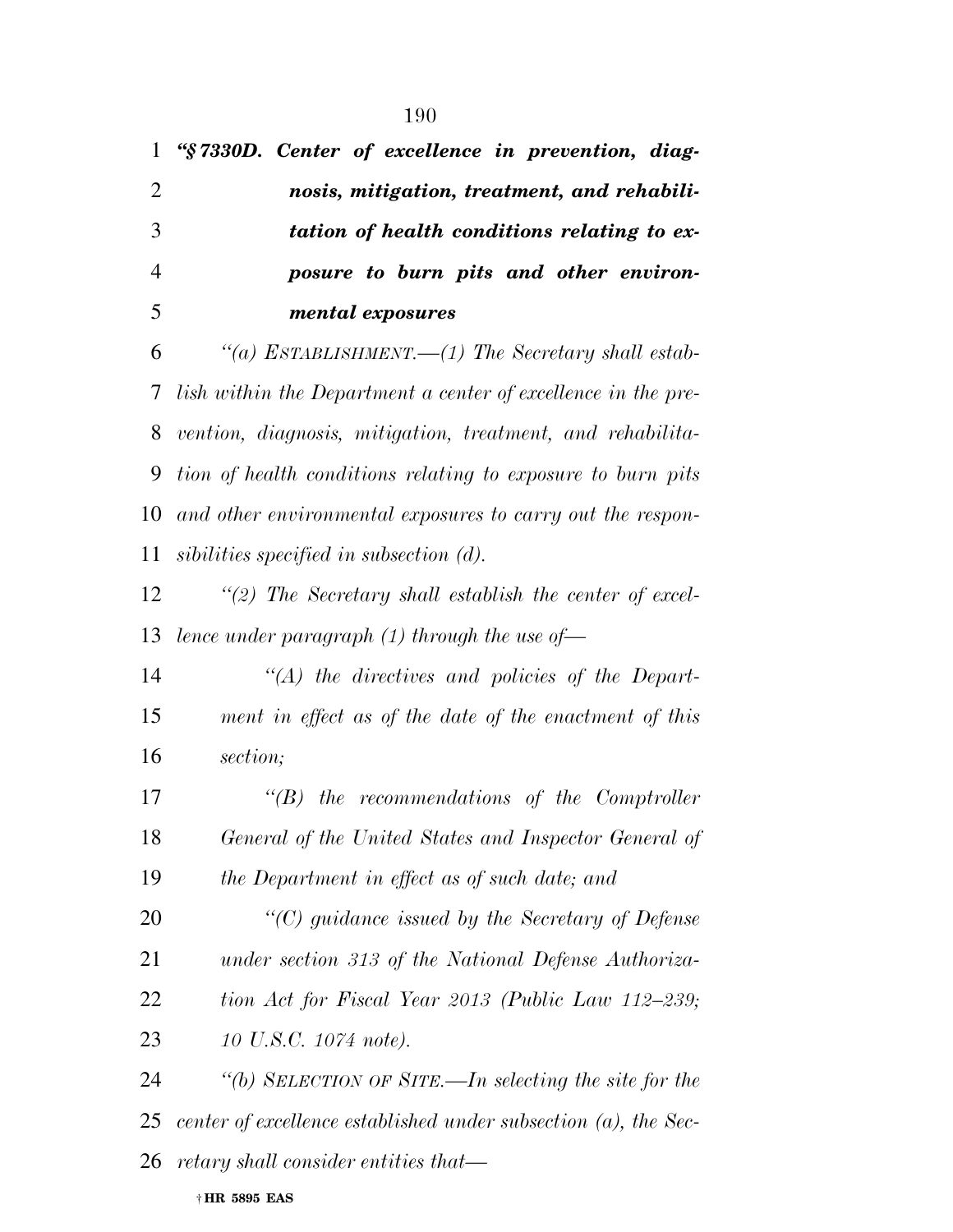| $\mathbf{1}$   | "§7330D. Center of excellence in prevention, diag-                 |
|----------------|--------------------------------------------------------------------|
| $\overline{2}$ | nosis, mitigation, treatment, and rehabili-                        |
| 3              | tation of health conditions relating to ex-                        |
| 4              | posure to burn pits and other environ-                             |
| 5              | mental exposures                                                   |
| 6              | "(a) ESTABLISHMENT.— $(1)$ The Secretary shall estab-              |
| 7              | lish within the Department a center of excellence in the pre-      |
| 8              | vention, diagnosis, mitigation, treatment, and rehabilita-         |
| 9              | tion of health conditions relating to exposure to burn pits        |
| 10             | and other environmental exposures to carry out the respon-         |
| 11             | sibilities specified in subsection $(d)$ .                         |
| 12             | $\lq(2)$ The Secretary shall establish the center of excel-        |
| 13             | lence under paragraph $(1)$ through the use of-                    |
| 14             | $\lq (A)$ the directives and policies of the Depart-               |
| 15             | ment in effect as of the date of the enactment of this             |
| 16             | section;                                                           |
| 17             | $\lq\lq(B)$ the recommendations of the Comptroller                 |
| 18             | General of the United States and Inspector General of              |
| 19             | the Department in effect as of such date; and                      |
| 20             | $\lq\lq C$ guidance issued by the Secretary of Defense             |
| 21             | under section 313 of the National Defense Authoriza-               |
| 22             | tion Act for Fiscal Year 2013 (Public Law 112–239;                 |
| 23             | 10 U.S.C. 1074 note).                                              |
| 24             | "(b) SELECTION OF SITE.—In selecting the site for the              |
| 25             | center of excellence established under subsection $(a)$ , the Sec- |
| 26             | retary shall consider entities that—                               |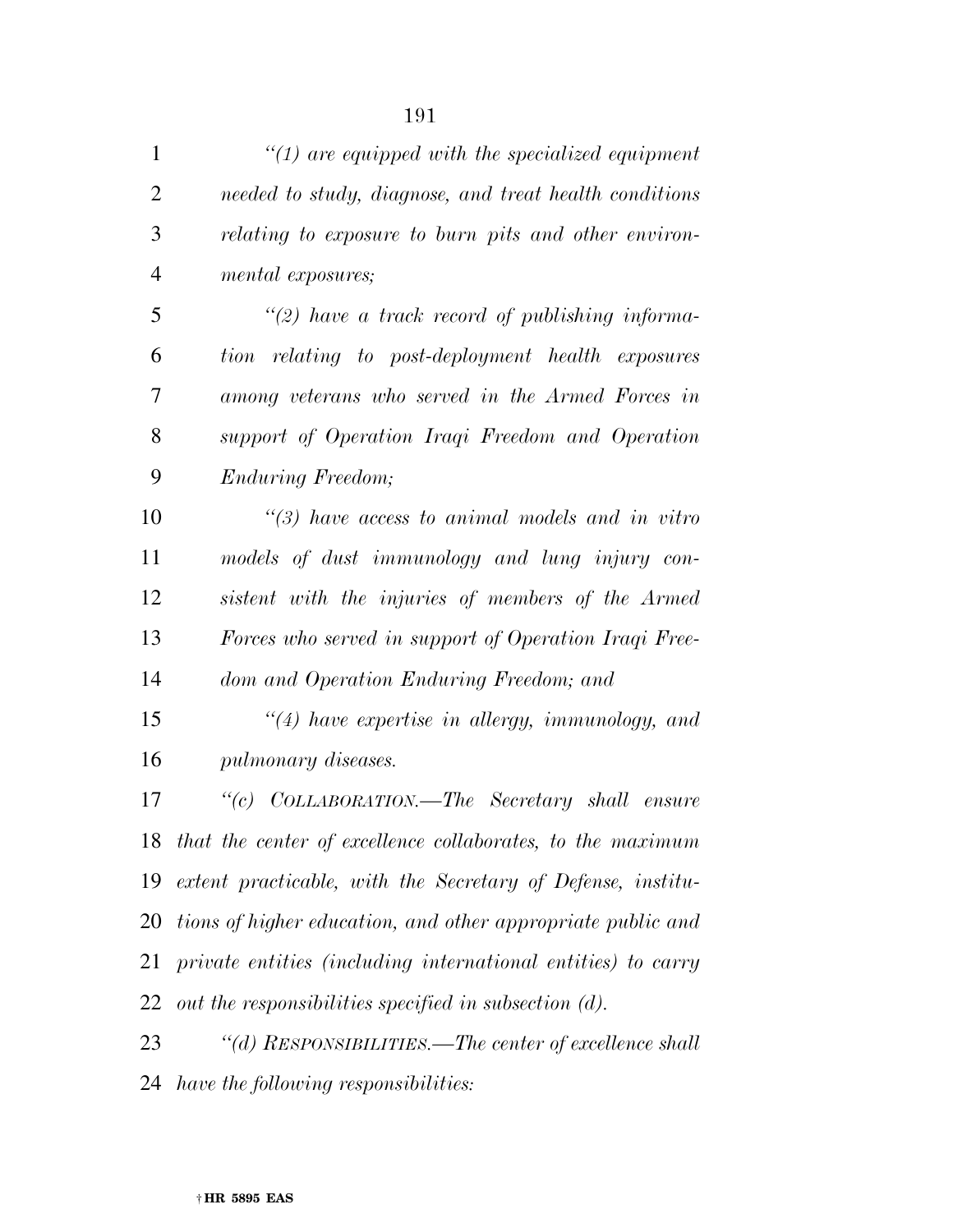| $\mathbf{1}$   | $\lq(1)$ are equipped with the specialized equipment         |
|----------------|--------------------------------------------------------------|
| $\overline{2}$ | needed to study, diagnose, and treat health conditions       |
| 3              | relating to exposure to burn pits and other environ-         |
| $\overline{4}$ | mental exposures;                                            |
| 5              | $\lq(2)$ have a track record of publishing informa-          |
| 6              | tion relating to post-deployment health exposures            |
| 7              | among veterans who served in the Armed Forces in             |
| 8              | support of Operation Iraqi Freedom and Operation             |
| 9              | <b>Enduring Freedom;</b>                                     |
| 10             | $\lq(3)$ have access to animal models and in vitro           |
| 11             | models of dust immunology and lung injury con-               |
| 12             | sistent with the injuries of members of the Armed            |
| 13             | Forces who served in support of Operation Iraqi Free-        |
| 14             | dom and Operation Enduring Freedom; and                      |
| 15             | $\lq(4)$ have expertise in allergy, immunology, and          |
| 16             | pulmonary diseases.                                          |
| 17             | COLLABORATION.—The Secretary shall ensure<br>``(c)           |
| 18             | that the center of excellence collaborates, to the maximum   |
| 19             | extent practicable, with the Secretary of Defense, institu-  |
| 20             | tions of higher education, and other appropriate public and  |
| 21             | private entities (including international entities) to carry |
| 22             | out the responsibilities specified in subsection (d).        |
| 23             | "(d) RESPONSIBILITIES.—The center of excellence shall        |
| 24             | have the following responsibilities:                         |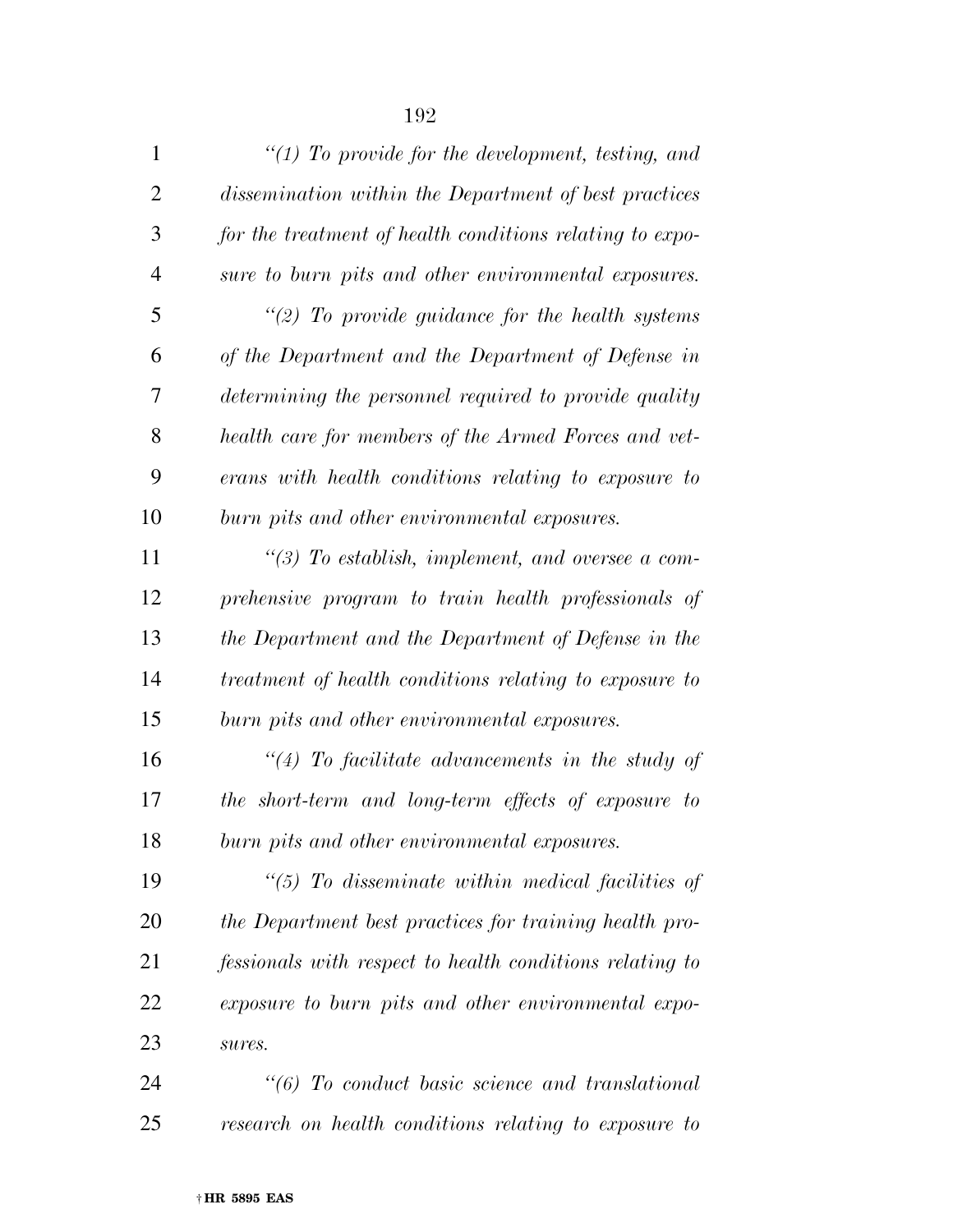| 1              | $\lq(1)$ To provide for the development, testing, and    |
|----------------|----------------------------------------------------------|
| $\overline{2}$ | dissemination within the Department of best practices    |
| 3              | for the treatment of health conditions relating to expo- |
| $\overline{4}$ | sure to burn pits and other environmental exposures.     |
| 5              | "(2) To provide guidance for the health systems          |
| 6              | of the Department and the Department of Defense in       |
| 7              | determining the personnel required to provide quality    |
| 8              | health care for members of the Armed Forces and vet-     |
| 9              | erans with health conditions relating to exposure to     |
| 10             | burn pits and other environmental exposures.             |
| 11             | $\lq(3)$ To establish, implement, and oversee a com-     |
| 12             | prehensive program to train health professionals of      |
| 13             | the Department and the Department of Defense in the      |
| 14             | treatment of health conditions relating to exposure to   |
| 15             | burn pits and other environmental exposures.             |
| 16             | $\lq(4)$ To facilitate advancements in the study of      |
| 17             | the short-term and long-term effects of exposure to      |
| 18             | burn pits and other environmental exposures.             |
| 19             | $\lq(5)$ To disseminate within medical facilities of     |
| 20             | the Department best practices for training health pro-   |
| 21             | fessionals with respect to health conditions relating to |
| 22             | exposure to burn pits and other environmental expo-      |
| 23             | sures.                                                   |
| 24             | "(6) To conduct basic science and translational          |
| 25             | research on health conditions relating to exposure to    |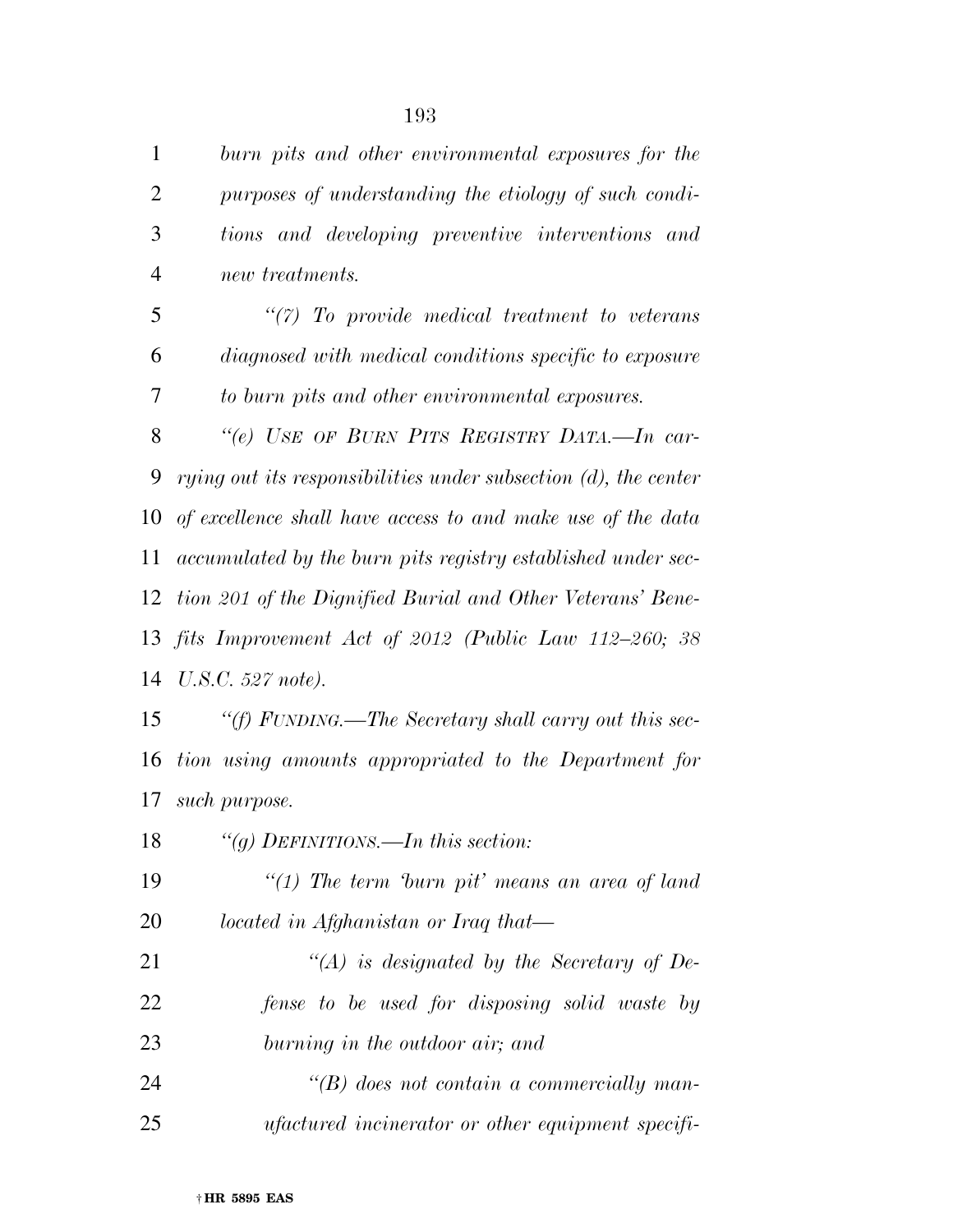*burn pits and other environmental exposures for the purposes of understanding the etiology of such condi- tions and developing preventive interventions and new treatments.* 

 *''(7) To provide medical treatment to veterans diagnosed with medical conditions specific to exposure to burn pits and other environmental exposures.* 

 *''(e) USE OF BURN PITS REGISTRY DATA.—In car- rying out its responsibilities under subsection (d), the center of excellence shall have access to and make use of the data accumulated by the burn pits registry established under sec- tion 201 of the Dignified Burial and Other Veterans' Bene- fits Improvement Act of 2012 (Public Law 112–260; 38 U.S.C. 527 note).* 

 *''(f) FUNDING.—The Secretary shall carry out this sec- tion using amounts appropriated to the Department for such purpose.* 

| 18 | "(q) DEFINITIONS.—In this section:                       |
|----|----------------------------------------------------------|
| 19 | "(1) The term 'burn pit' means an area of land           |
| 20 | located in Afghanistan or Iraq that—                     |
| 21 | "(A) is designated by the Secretary of De-               |
| 22 | fense to be used for disposing solid waste by            |
| 23 | burning in the outdoor air; and                          |
| 24 | $\lq\lq B$ does not contain a commercially man-          |
| 25 | <i>ufactured incinerator or other equipment specifi-</i> |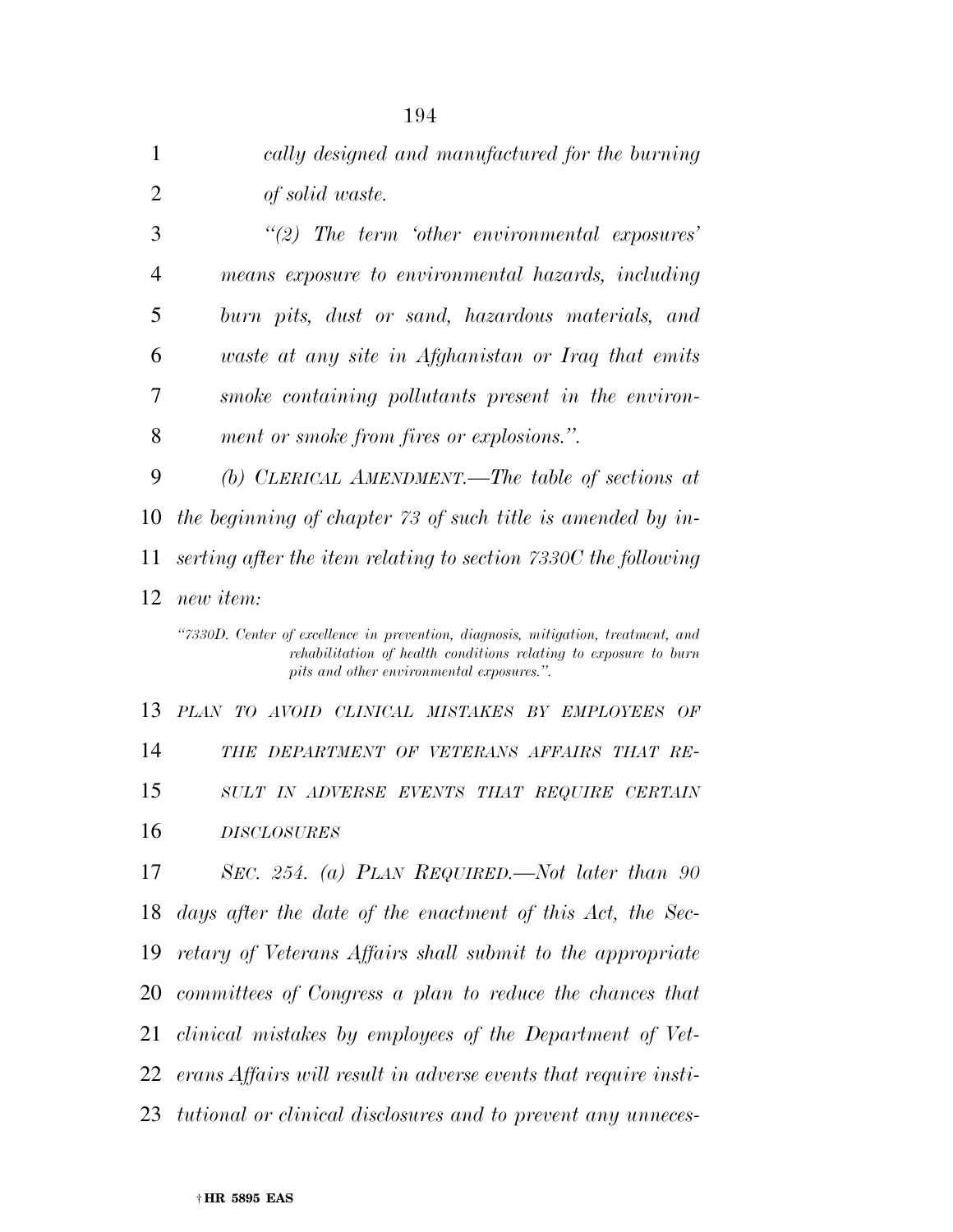| 1              | cally designed and manufactured for the burning                                                                                                                                                    |
|----------------|----------------------------------------------------------------------------------------------------------------------------------------------------------------------------------------------------|
| $\overline{2}$ | of solid waste.                                                                                                                                                                                    |
| 3              | $\lq(2)$ The term 'other environmental exposures'                                                                                                                                                  |
| 4              | means exposure to environmental hazards, including                                                                                                                                                 |
| 5              | burn pits, dust or sand, hazardous materials, and                                                                                                                                                  |
| 6              | waste at any site in Afghanistan or Iraq that emits                                                                                                                                                |
| 7              | smoke containing pollutants present in the environ-                                                                                                                                                |
| 8              | ment or smoke from fires or explosions.".                                                                                                                                                          |
| 9              | (b) CLERICAL AMENDMENT.—The table of sections at                                                                                                                                                   |
| 10             | the beginning of chapter 73 of such title is amended by in-                                                                                                                                        |
| 11             | serting after the item relating to section 7330C the following                                                                                                                                     |
| 12             | new item:                                                                                                                                                                                          |
|                | "7330D. Center of excellence in prevention, diagnosis, mitigation, treatment, and<br>rehabilitation of health conditions relating to exposure to burn<br>pits and other environmental exposures.". |
| 13             | PLAN TO AVOID CLINICAL MISTAKES BY EMPLOYEES OF                                                                                                                                                    |
| 14             | THE DEPARTMENT OF VETERANS AFFAIRS THAT RE-                                                                                                                                                        |
| 15             | SULT IN ADVERSE EVENTS THAT REQUIRE CERTAIN                                                                                                                                                        |
| 16             | <b>DISCLOSURES</b>                                                                                                                                                                                 |
| 17             | SEC. 254. (a) PLAN REQUIRED.—Not later than 90                                                                                                                                                     |
| 18             | days after the date of the enactment of this Act, the Sec-                                                                                                                                         |
| 19             | retary of Veterans Affairs shall submit to the appropriate                                                                                                                                         |
|                | 20 committees of Congress a plan to reduce the chances that                                                                                                                                        |
| 21             | clinical mistakes by employees of the Department of Vet-                                                                                                                                           |
| 22             | erans Affairs will result in adverse events that require insti-                                                                                                                                    |
| 23             | tutional or clinical disclosures and to prevent any unneces-                                                                                                                                       |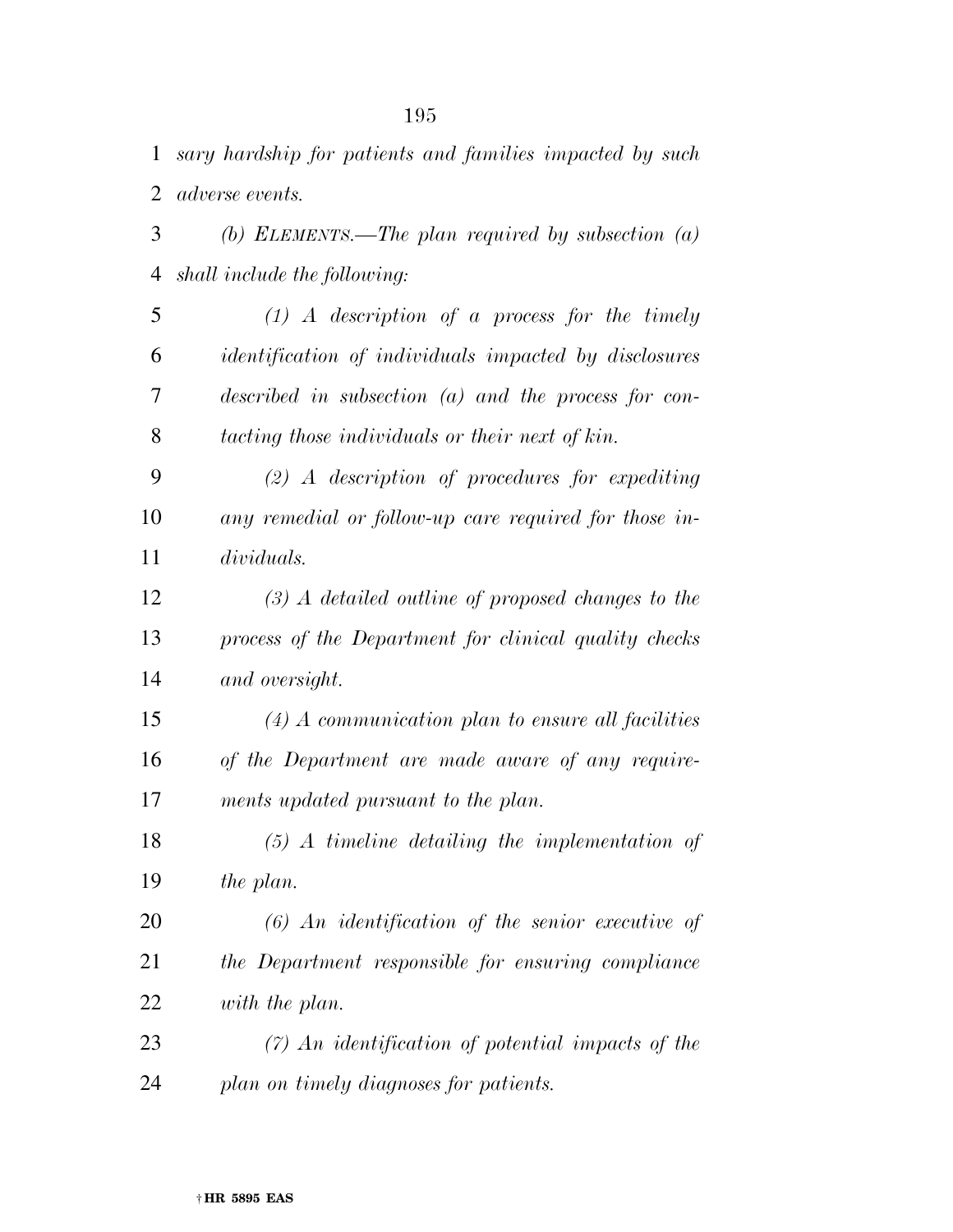| $\mathbf{1}$ | sary hardship for patients and families impacted by such     |
|--------------|--------------------------------------------------------------|
| 2            | adverse events.                                              |
| 3            | (b) ELEMENTS.—The plan required by subsection $(a)$          |
| 4            | shall include the following:                                 |
| 5            | $(1)$ A description of a process for the timely              |
| 6            | <i>identification of individuals impacted by disclosures</i> |
| 7            | described in subsection $(a)$ and the process for con-       |
| 8            | tacting those individuals or their next of kin.              |
| 9            | $(2)$ A description of procedures for expediting             |
| 10           | any remedial or follow-up care required for those in-        |
| 11           | dividuals.                                                   |
| 12           | $(3)$ A detailed outline of proposed changes to the          |
| 13           | process of the Department for clinical quality checks        |
| 14           | and oversight.                                               |
| 15           | $(4)$ A communication plan to ensure all facilities          |
| 16           | of the Department are made aware of any require-             |
| 17           | ments updated pursuant to the plan.                          |
| 18           | $(5)$ A timeline detailing the implementation of             |
| 19           | the plan.                                                    |
| 20           | $(6)$ An identification of the senior executive of           |
| 21           | the Department responsible for ensuring compliance           |
| 22           | with the plan.                                               |
| 23           | $(7)$ An identification of potential impacts of the          |
| 24           | plan on timely diagnoses for patients.                       |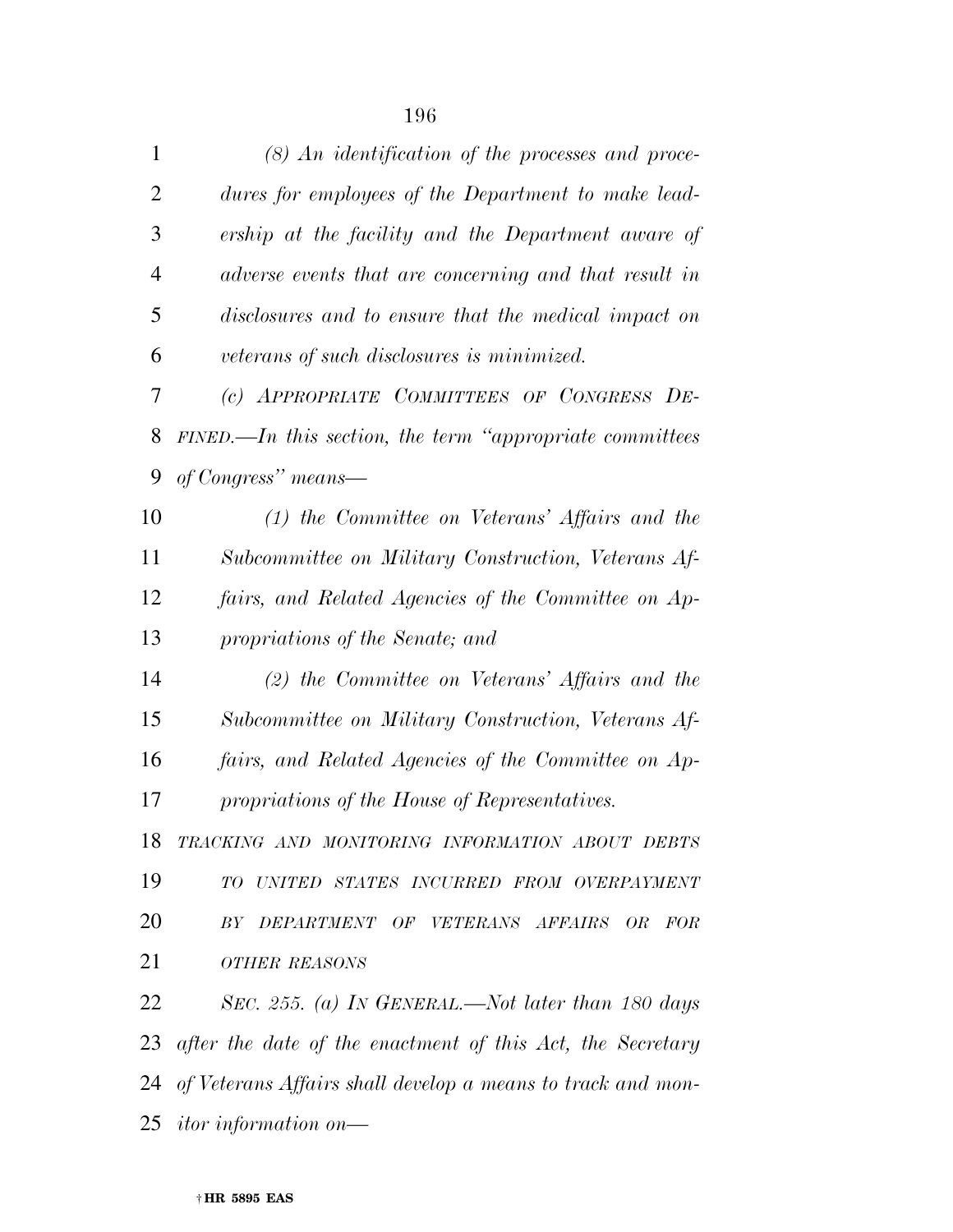| $\mathbf{1}$   | $(8)$ An identification of the processes and proce-            |
|----------------|----------------------------------------------------------------|
| $\overline{2}$ | dures for employees of the Department to make lead-            |
| 3              | ership at the facility and the Department aware of             |
| $\overline{4}$ | adverse events that are concerning and that result in          |
| 5              | disclosures and to ensure that the medical impact on           |
| 6              | veterans of such disclosures is minimized.                     |
| 7              | (c) APPROPRIATE COMMITTEES OF CONGRESS DE-                     |
| 8              | $FINED$ —In this section, the term "appropriate committees"    |
| 9              | of Congress" means—                                            |
| 10             | $(1)$ the Committee on Veterans' Affairs and the               |
| 11             | Subcommittee on Military Construction, Veterans Af-            |
| 12             | fairs, and Related Agencies of the Committee on Ap-            |
| 13             | propriations of the Senate; and                                |
| 14             | $(2)$ the Committee on Veterans' Affairs and the               |
| 15             | Subcommittee on Military Construction, Veterans Af-            |
| 16             | fairs, and Related Agencies of the Committee on Ap-            |
| 17             | propriations of the House of Representatives.                  |
| 18             | TRACKING AND MONITORING INFORMATION ABOUT DEBTS                |
| 19             | TO UNITED STATES INCURRED FROM OVERPAYMENT                     |
| 20             | BY DEPARTMENT OF VETERANS AFFAIRS OR<br><b>FOR</b>             |
| 21             | OTHER REASONS                                                  |
| 22             | SEC. 255. (a) IN GENERAL.—Not later than 180 days              |
| 23             | after the date of the enactment of this Act, the Secretary     |
|                | 24 of Veterans Affairs shall develop a means to track and mon- |
|                | 25 <i>itor information on</i> —                                |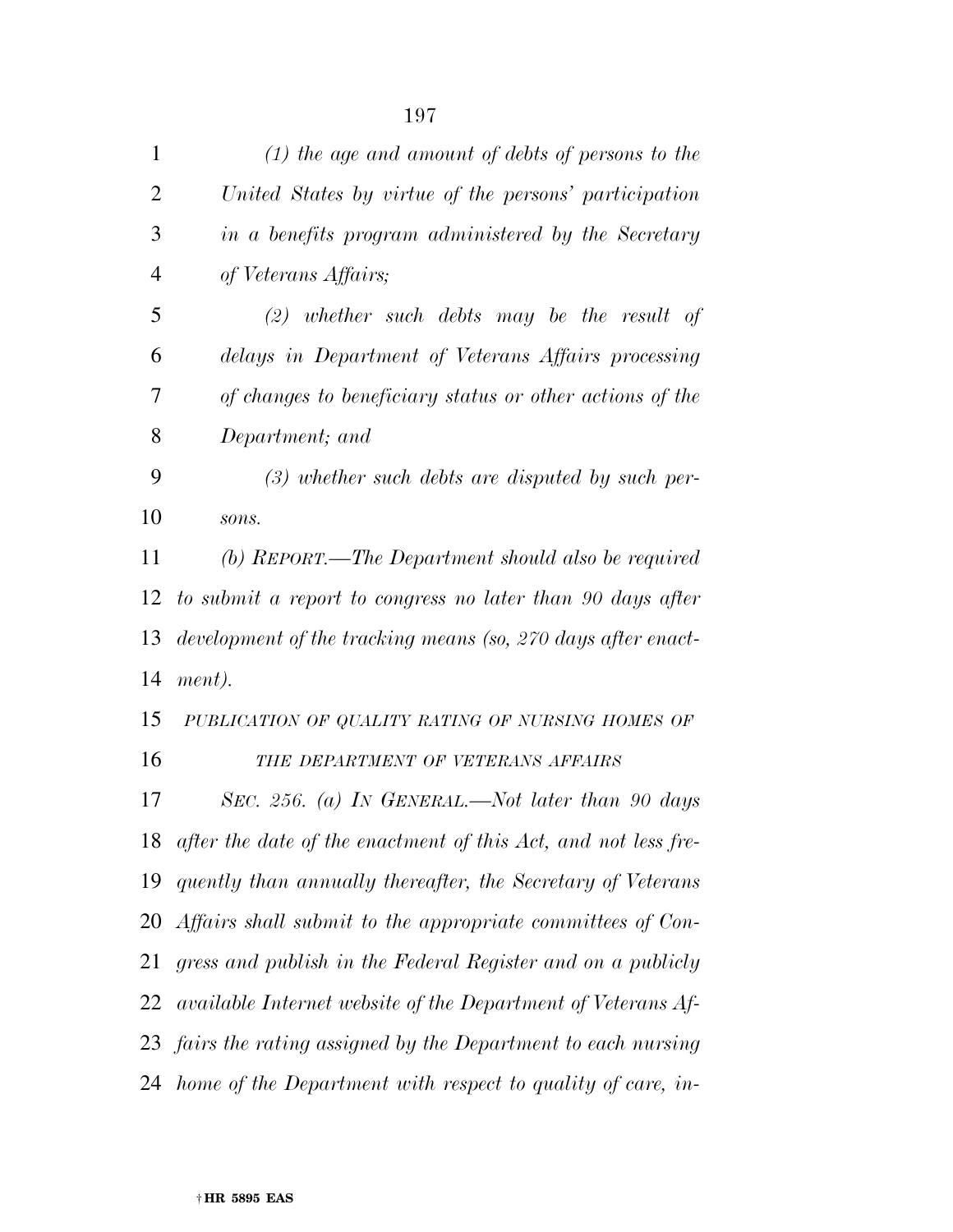| 1              | $(1)$ the age and amount of debts of persons to the                 |
|----------------|---------------------------------------------------------------------|
| $\overline{2}$ | United States by virtue of the persons' participation               |
| 3              | in a benefits program administered by the Secretary                 |
| $\overline{4}$ | of Veterans Affairs;                                                |
| 5              | $(2)$ whether such debts may be the result of                       |
| 6              | delays in Department of Veterans Affairs processing                 |
| 7              | of changes to beneficiary status or other actions of the            |
| 8              | Department; and                                                     |
| 9              | $(3)$ whether such debts are disputed by such per-                  |
| 10             | sons.                                                               |
| 11             | (b) REPORT.—The Department should also be required                  |
| 12             | to submit a report to congress no later than 90 days after          |
| 13             | development of the tracking means (so, 270 days after enact-        |
| 14             | ment).                                                              |
| 15             | PUBLICATION OF QUALITY RATING OF NURSING HOMES OF                   |
| 16             | THE DEPARTMENT OF VETERANS AFFAIRS                                  |
| 17             | SEC. 256. (a) In GENERAL.—Not later than 90 days                    |
|                | 18 after the date of the enactment of this Act, and not less fre-   |
|                | 19 quently than annually thereafter, the Secretary of Veterans      |
| 20             | Affairs shall submit to the appropriate committees of Con-          |
| 21             | gress and publish in the Federal Register and on a publicly         |
| 22             | <i>available Internet website of the Department of Veterans Af-</i> |
|                | 23 fairs the rating assigned by the Department to each nursing      |
| 24             | home of the Department with respect to quality of care, in-         |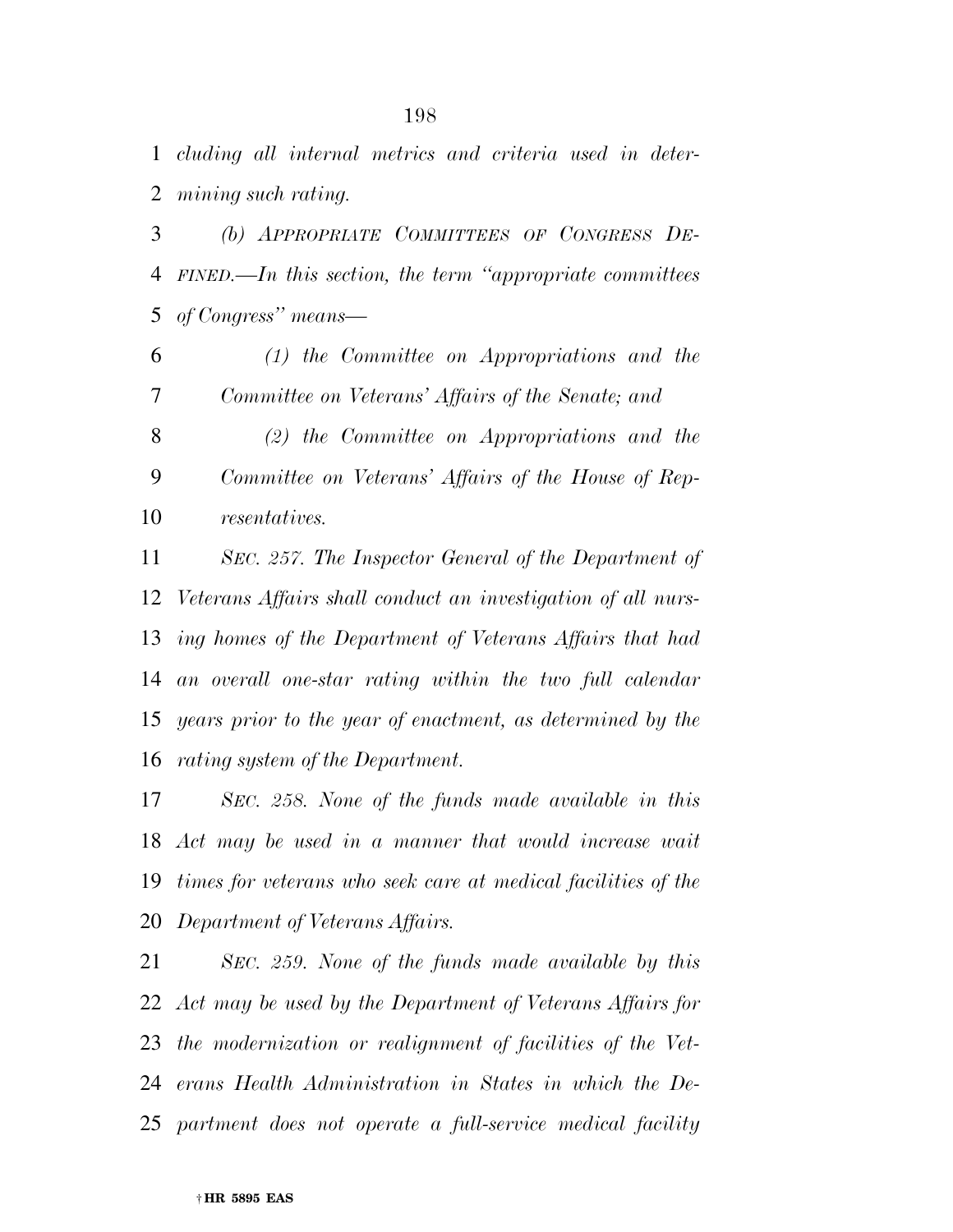*cluding all internal metrics and criteria used in deter-mining such rating.* 

 *(b) APPROPRIATE COMMITTEES OF CONGRESS DE- FINED.—In this section, the term ''appropriate committees of Congress'' means—* 

 *(1) the Committee on Appropriations and the Committee on Veterans' Affairs of the Senate; and* 

 *(2) the Committee on Appropriations and the Committee on Veterans' Affairs of the House of Rep-resentatives.* 

 *SEC. 257. The Inspector General of the Department of Veterans Affairs shall conduct an investigation of all nurs- ing homes of the Department of Veterans Affairs that had an overall one-star rating within the two full calendar years prior to the year of enactment, as determined by the rating system of the Department.* 

 *SEC. 258. None of the funds made available in this Act may be used in a manner that would increase wait times for veterans who seek care at medical facilities of the Department of Veterans Affairs.* 

 *SEC. 259. None of the funds made available by this Act may be used by the Department of Veterans Affairs for the modernization or realignment of facilities of the Vet- erans Health Administration in States in which the De-partment does not operate a full-service medical facility*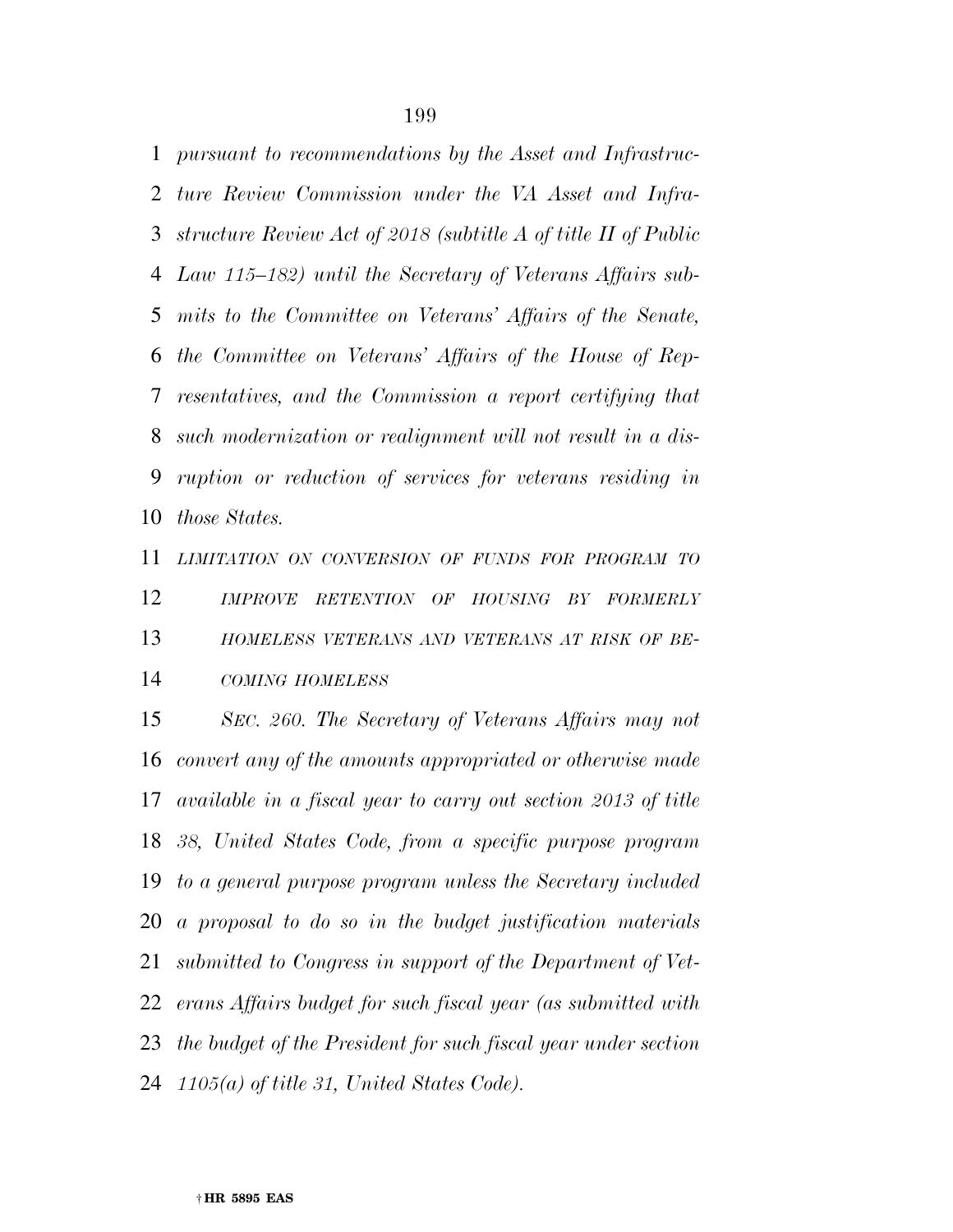*pursuant to recommendations by the Asset and Infrastruc- ture Review Commission under the VA Asset and Infra- structure Review Act of 2018 (subtitle A of title II of Public Law 115–182) until the Secretary of Veterans Affairs sub- mits to the Committee on Veterans' Affairs of the Senate, the Committee on Veterans' Affairs of the House of Rep- resentatives, and the Commission a report certifying that such modernization or realignment will not result in a dis- ruption or reduction of services for veterans residing in those States.* 

 *LIMITATION ON CONVERSION OF FUNDS FOR PROGRAM TO IMPROVE RETENTION OF HOUSING BY FORMERLY HOMELESS VETERANS AND VETERANS AT RISK OF BE-COMING HOMELESS*

 *SEC. 260. The Secretary of Veterans Affairs may not convert any of the amounts appropriated or otherwise made available in a fiscal year to carry out section 2013 of title 38, United States Code, from a specific purpose program to a general purpose program unless the Secretary included a proposal to do so in the budget justification materials submitted to Congress in support of the Department of Vet- erans Affairs budget for such fiscal year (as submitted with the budget of the President for such fiscal year under section 1105(a) of title 31, United States Code).*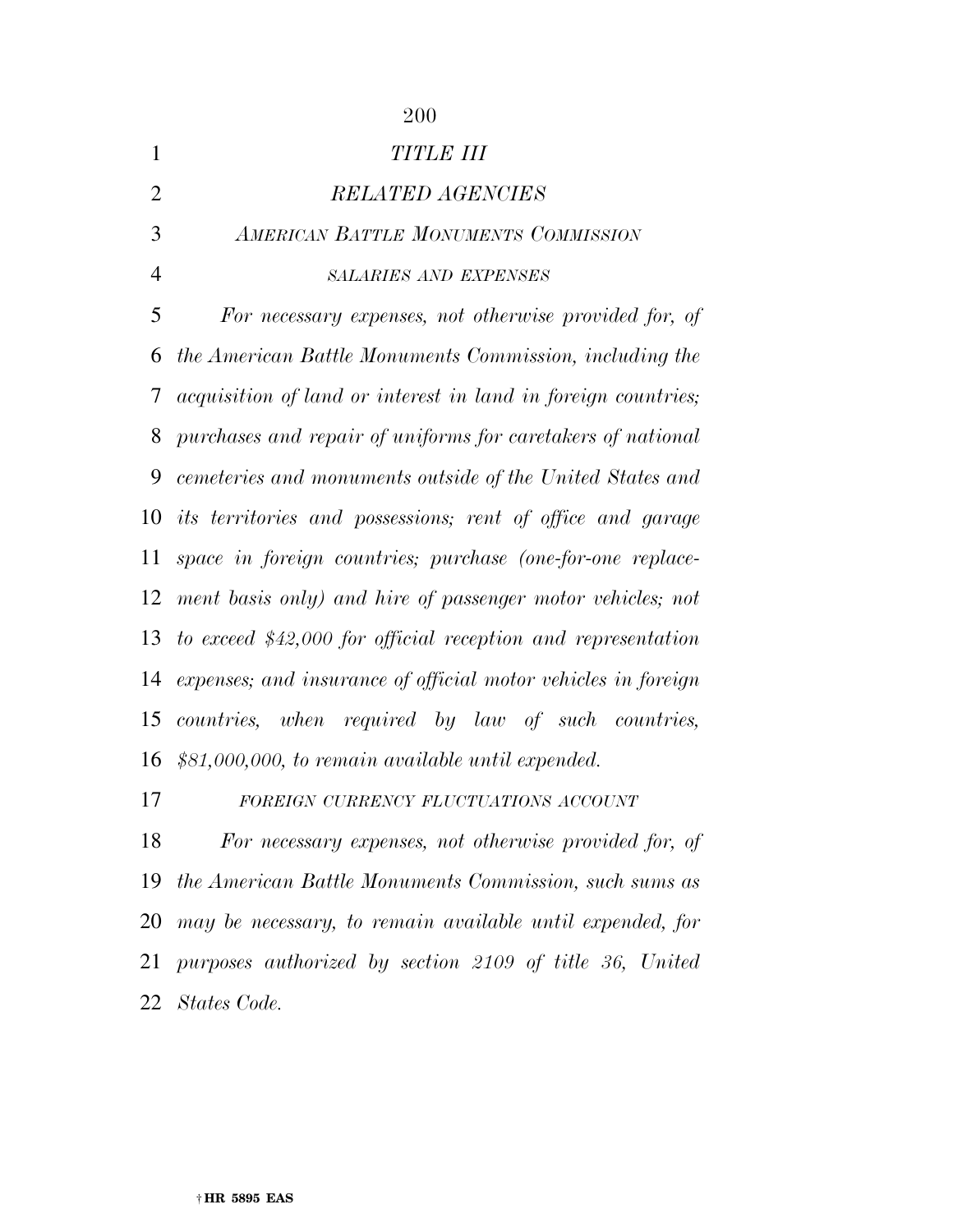| 1              | <b>TITLE III</b>                                                     |
|----------------|----------------------------------------------------------------------|
| $\overline{2}$ | <b>RELATED AGENCIES</b>                                              |
| 3              | <b>AMERICAN BATTLE MONUMENTS COMMISSION</b>                          |
| $\overline{4}$ | <b>SALARIES AND EXPENSES</b>                                         |
| 5              | For necessary expenses, not otherwise provided for, of               |
| 6              | the American Battle Monuments Commission, including the              |
| 7              | <i>acquisition of land or interest in land in foreign countries;</i> |
| 8              | purchases and repair of uniforms for caretakers of national          |
| 9              | cemeteries and monuments outside of the United States and            |
| 10             | its territories and possessions; rent of office and garage           |
| 11             | space in foreign countries; purchase (one-for-one replace-           |
| 12             | ment basis only) and hire of passenger motor vehicles; not           |
| 13             | to exceed $$42,000$ for official reception and representation        |
| 14             | expenses; and insurance of official motor vehicles in foreign        |
| 15             | countries, when required by law of such countries,                   |
| 16             | $$81,000,000,$ to remain available until expended.                   |
| 17             | FOREIGN CURRENCY FLUCTUATIONS ACCOUNT                                |

 *For necessary expenses, not otherwise provided for, of the American Battle Monuments Commission, such sums as may be necessary, to remain available until expended, for purposes authorized by section 2109 of title 36, United States Code.*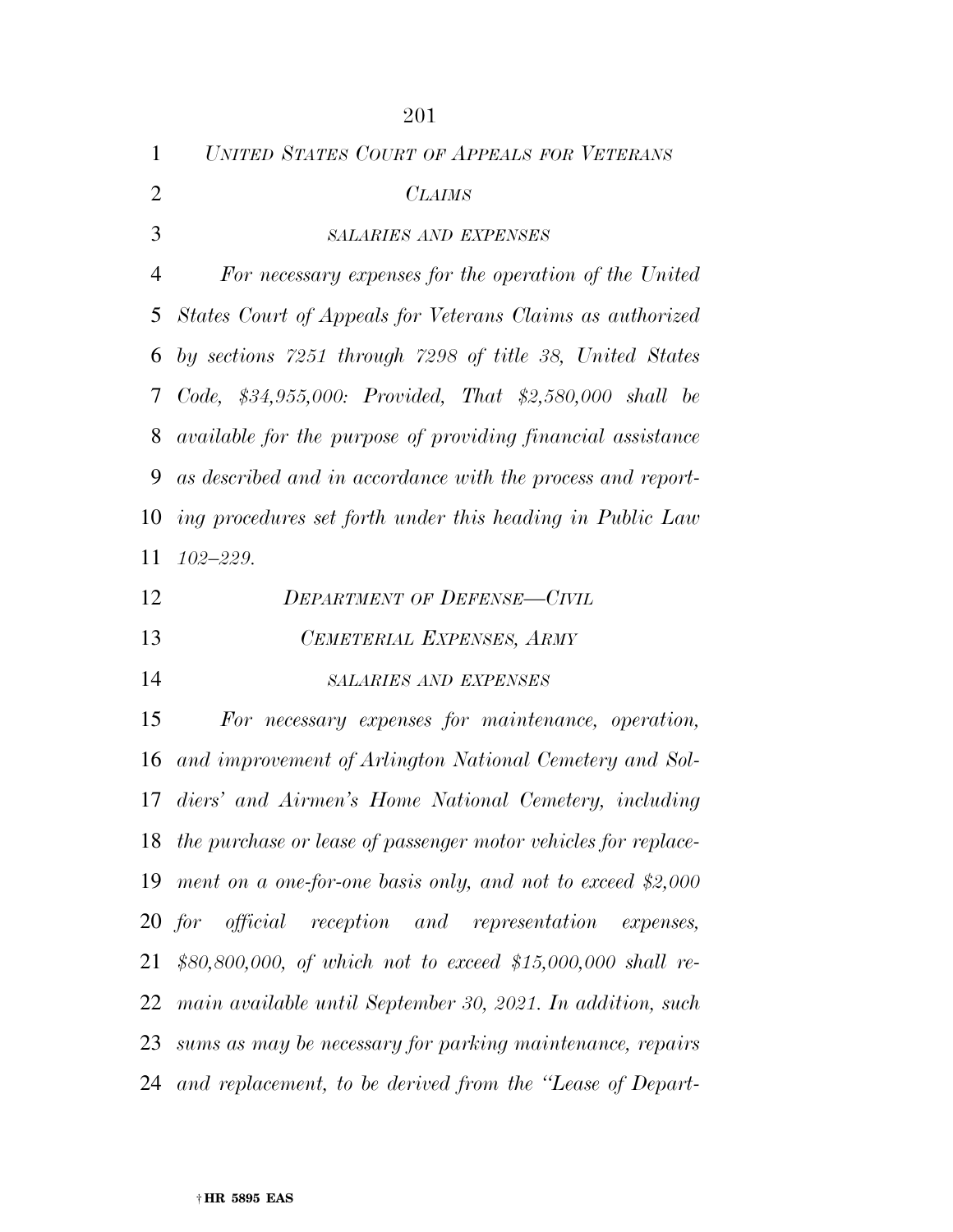| $\mathbf{1}$   | UNITED STATES COURT OF APPEALS FOR VETERANS                        |
|----------------|--------------------------------------------------------------------|
| $\overline{2}$ | <b>CLAIMS</b>                                                      |
| 3              | <b>SALARIES AND EXPENSES</b>                                       |
| $\overline{4}$ | For necessary expenses for the operation of the United             |
| 5              | States Court of Appeals for Veterans Claims as authorized          |
| 6              | by sections 7251 through 7298 of title 38, United States           |
| 7              | $Code, $34,955,000: Provided, That $2,580,000 shall be$            |
| 8              | <i>available for the purpose of providing financial assistance</i> |
| 9              | as described and in accordance with the process and report-        |
| 10             | ing procedures set forth under this heading in Public Law          |
| 11             | $102 - 229.$                                                       |
| 12             | <b>DEPARTMENT OF DEFENSE-CIVIL</b>                                 |
| 13             | CEMETERIAL EXPENSES, ARMY                                          |
| 14             | <b>SALARIES AND EXPENSES</b>                                       |
| 15             | For necessary expenses for maintenance, operation,                 |
| 16             | and improvement of Arlington National Cemetery and Sol-            |
|                |                                                                    |
| 17             | diers' and Airmen's Home National Cemetery, including              |
| 18             | the purchase or lease of passenger motor vehicles for replace-     |
| 19             | ment on a one-for-one basis only, and not to exceed \$2,000        |
|                | 20 for official reception and representation expenses,             |
| 21             | \$80,800,000, of which not to exceed \$15,000,000 shall re-        |
| 22             | main available until September 30, 2021. In addition, such         |
| 23             | sums as may be necessary for parking maintenance, repairs          |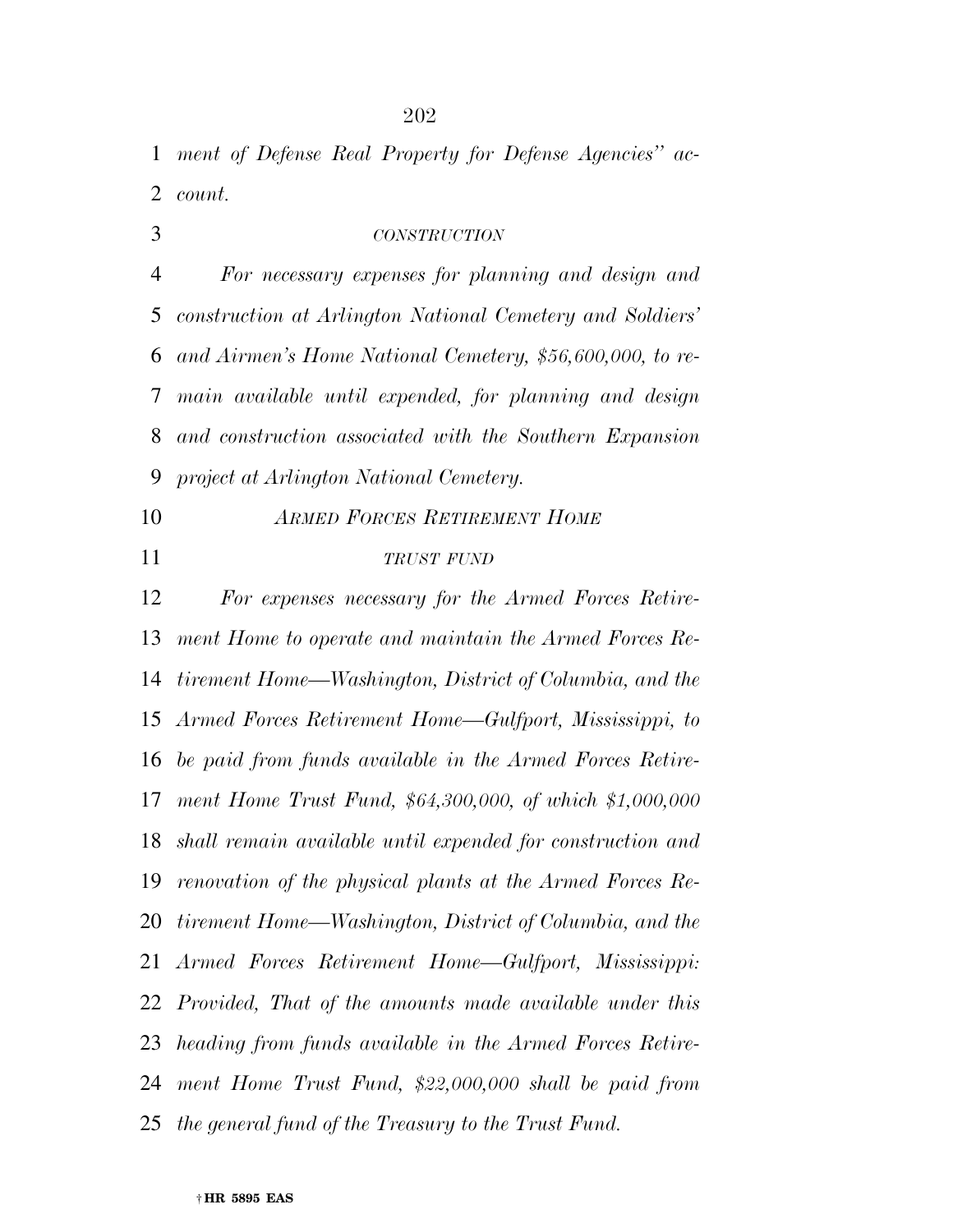*ment of Defense Real Property for Defense Agencies'' ac-count.* 

# *CONSTRUCTION*

 *For necessary expenses for planning and design and construction at Arlington National Cemetery and Soldiers' and Airmen's Home National Cemetery, \$56,600,000, to re- main available until expended, for planning and design and construction associated with the Southern Expansion project at Arlington National Cemetery.* 

*ARMED FORCES RETIREMENT HOME*

### *TRUST FUND*

 *For expenses necessary for the Armed Forces Retire- ment Home to operate and maintain the Armed Forces Re- tirement Home—Washington, District of Columbia, and the Armed Forces Retirement Home—Gulfport, Mississippi, to be paid from funds available in the Armed Forces Retire- ment Home Trust Fund, \$64,300,000, of which \$1,000,000 shall remain available until expended for construction and renovation of the physical plants at the Armed Forces Re- tirement Home—Washington, District of Columbia, and the Armed Forces Retirement Home—Gulfport, Mississippi: Provided, That of the amounts made available under this heading from funds available in the Armed Forces Retire- ment Home Trust Fund, \$22,000,000 shall be paid from the general fund of the Treasury to the Trust Fund.*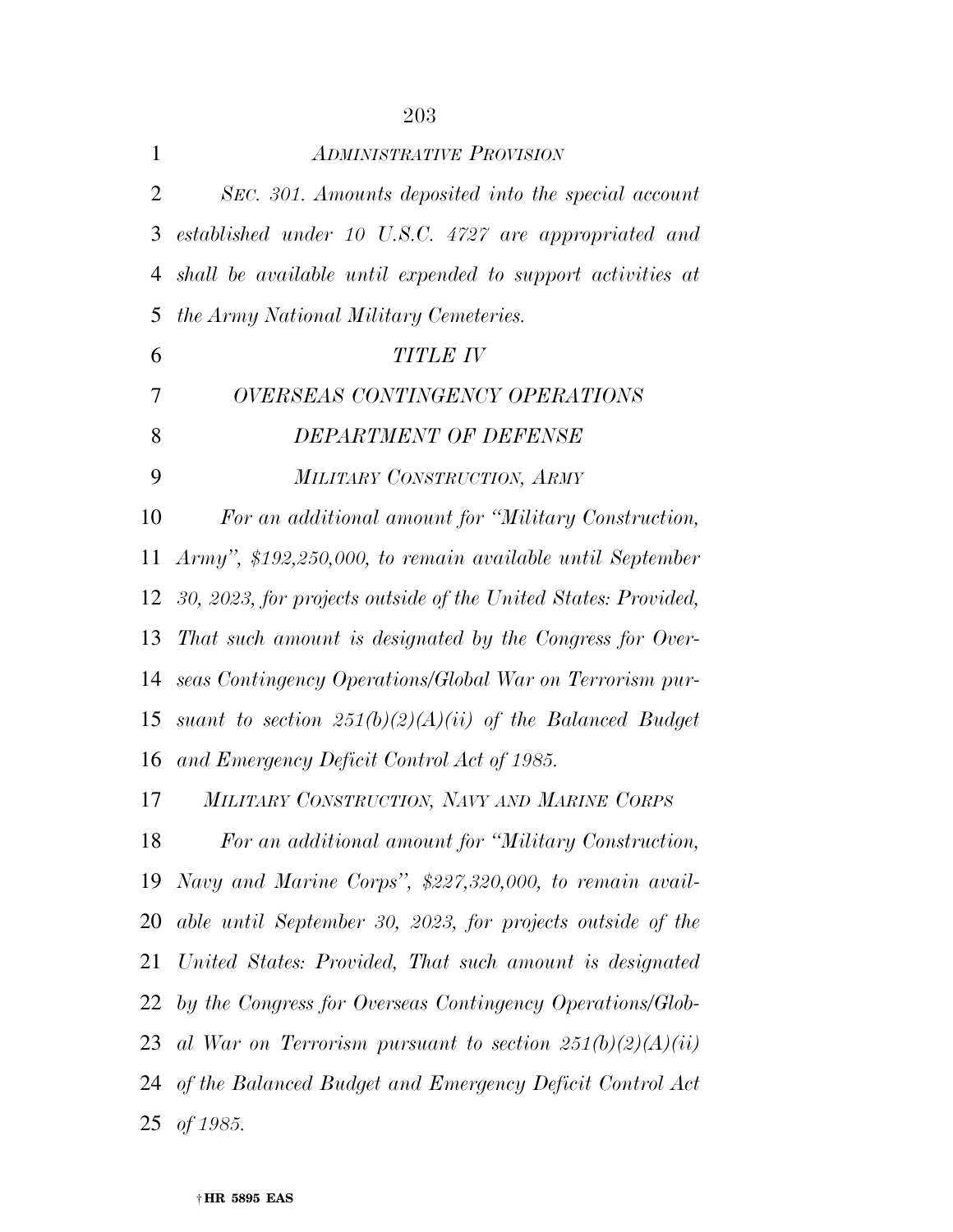| $\mathbf{1}$   | <b>ADMINISTRATIVE PROVISION</b>                                |
|----------------|----------------------------------------------------------------|
| $\overline{2}$ | SEC. 301. Amounts deposited into the special account           |
| 3              | established under 10 U.S.C. 4727 are appropriated and          |
| 4              | shall be available until expended to support activities at     |
| 5              | <i>the Army National Military Cemeteries.</i>                  |
| 6              | <b>TITLE IV</b>                                                |
| 7              | <b>OVERSEAS CONTINGENCY OPERATIONS</b>                         |
| 8              | DEPARTMENT OF DEFENSE                                          |
| 9              | MILITARY CONSTRUCTION, ARMY                                    |
| 10             | For an additional amount for "Military Construction,           |
| 11             | Army", \$192,250,000, to remain available until September      |
| 12             | 30, 2023, for projects outside of the United States: Provided, |
| 13             | That such amount is designated by the Congress for Over-       |
| 14             | seas Contingency Operations/Global War on Terrorism pur-       |
| 15             | suant to section $251(b)(2)(A)(ii)$ of the Balanced Budget     |
| 16             | and Emergency Deficit Control Act of 1985.                     |
| 17             | MILITARY CONSTRUCTION, NAVY AND MARINE CORPS                   |
| 18             | For an additional amount for "Military Construction,           |
| 19             | Navy and Marine Corps", \$227,320,000, to remain avail-        |
| 20             | able until September 30, 2023, for projects outside of the     |
| 21             | United States: Provided, That such amount is designated        |
| 22             | by the Congress for Overseas Contingency Operations/Glob-      |
| 23             | al War on Terrorism pursuant to section $251(b)(2)(A)(ii)$     |
| 24             | of the Balanced Budget and Emergency Deficit Control Act       |
| 25             | of 1985.                                                       |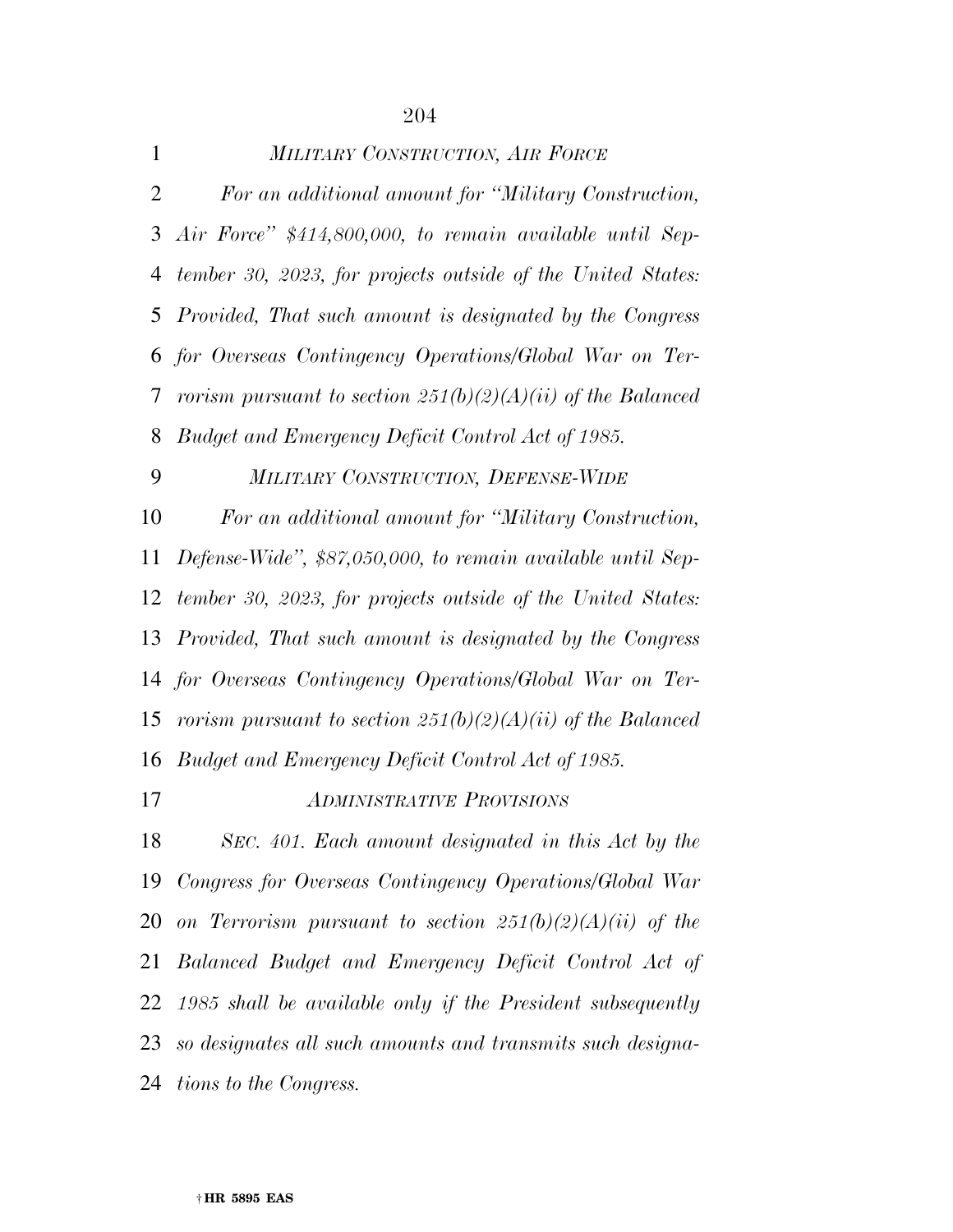| $\mathbf{1}$   | MILITARY CONSTRUCTION, AIR FORCE                              |
|----------------|---------------------------------------------------------------|
| $\overline{2}$ | For an additional amount for "Military Construction,          |
| 3              | Air Force" \$414,800,000, to remain available until Sep-      |
| 4              | tember 30, 2023, for projects outside of the United States:   |
| 5              | Provided, That such amount is designated by the Congress      |
| 6              | for Overseas Contingency Operations/Global War on Ter-        |
| 7              | rorism pursuant to section $251(b)(2)(A)(ii)$ of the Balanced |
| 8              | Budget and Emergency Deficit Control Act of 1985.             |
| 9              | MILITARY CONSTRUCTION, DEFENSE-WIDE                           |
| 10             | For an additional amount for "Military Construction,          |
| 11             | Defense-Wide", \$87,050,000, to remain available until Sep-   |
| 12             | tember 30, 2023, for projects outside of the United States:   |
|                | 13 Provided, That such amount is designated by the Congress   |
|                | 14 for Overseas Contingency Operations/Global War on Ter-     |
| 15             | rorism pursuant to section $251(b)(2)(A)(ii)$ of the Balanced |
| 16             | Budget and Emergency Deficit Control Act of 1985.             |
| 17             | <b>ADMINISTRATIVE PROVISIONS</b>                              |
| 18             | SEC. 401. Each amount designated in this Act by the           |
| 19             | Congress for Overseas Contingency Operations/Global War       |
| 20             | on Terrorism pursuant to section $251(b)(2)(A)(ii)$ of the    |
| 21             | Balanced Budget and Emergency Deficit Control Act of          |
| 22             | 1985 shall be available only if the President subsequently    |
| 23             | so designates all such amounts and transmits such designa-    |
| 24             | <i>tions to the Congress.</i>                                 |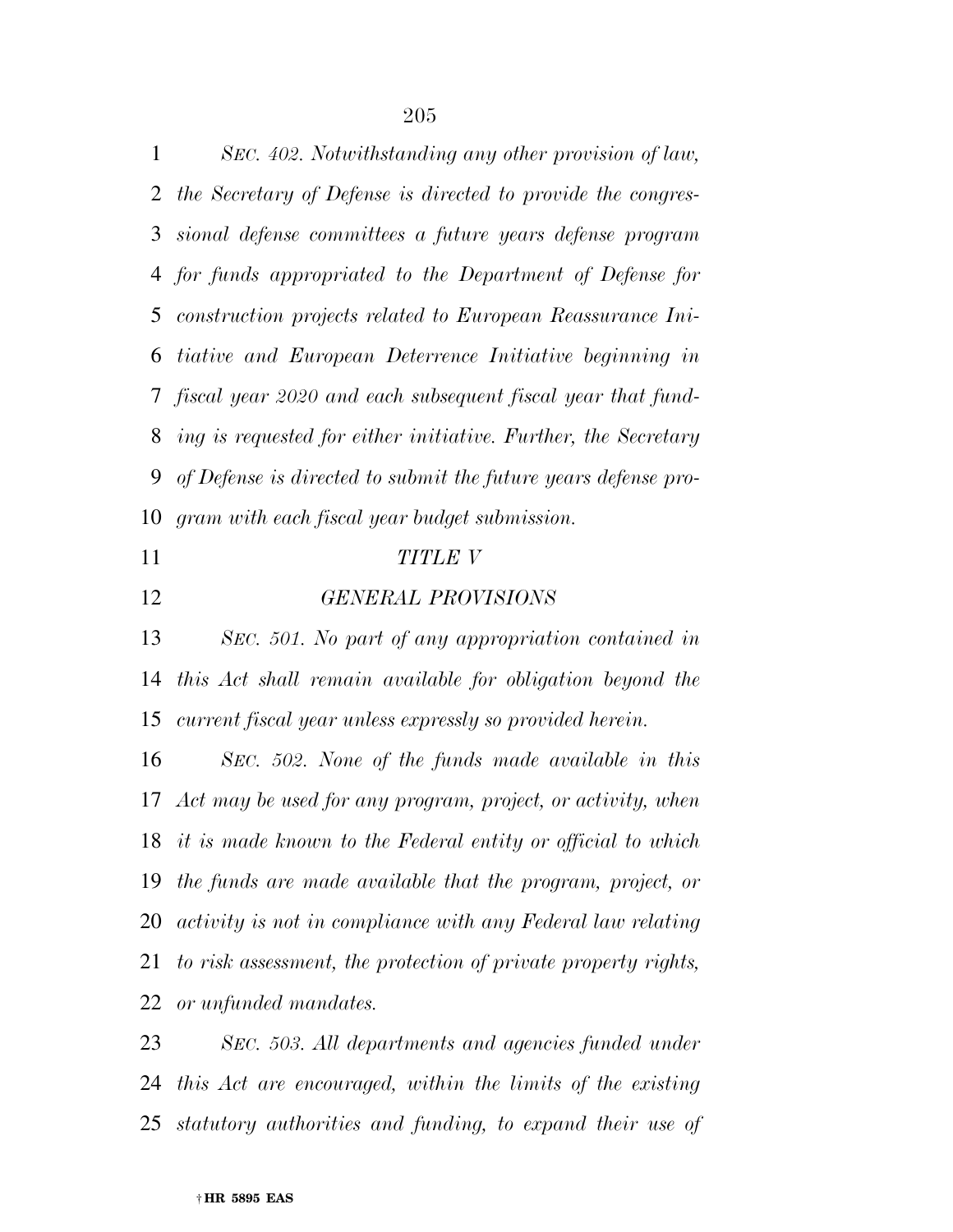*SEC. 402. Notwithstanding any other provision of law, the Secretary of Defense is directed to provide the congres- sional defense committees a future years defense program for funds appropriated to the Department of Defense for construction projects related to European Reassurance Ini- tiative and European Deterrence Initiative beginning in fiscal year 2020 and each subsequent fiscal year that fund- ing is requested for either initiative. Further, the Secretary of Defense is directed to submit the future years defense pro-gram with each fiscal year budget submission.* 

*TITLE V* 

*GENERAL PROVISIONS* 

 *SEC. 501. No part of any appropriation contained in this Act shall remain available for obligation beyond the current fiscal year unless expressly so provided herein.* 

 *SEC. 502. None of the funds made available in this Act may be used for any program, project, or activity, when it is made known to the Federal entity or official to which the funds are made available that the program, project, or activity is not in compliance with any Federal law relating to risk assessment, the protection of private property rights, or unfunded mandates.* 

 *SEC. 503. All departments and agencies funded under this Act are encouraged, within the limits of the existing statutory authorities and funding, to expand their use of*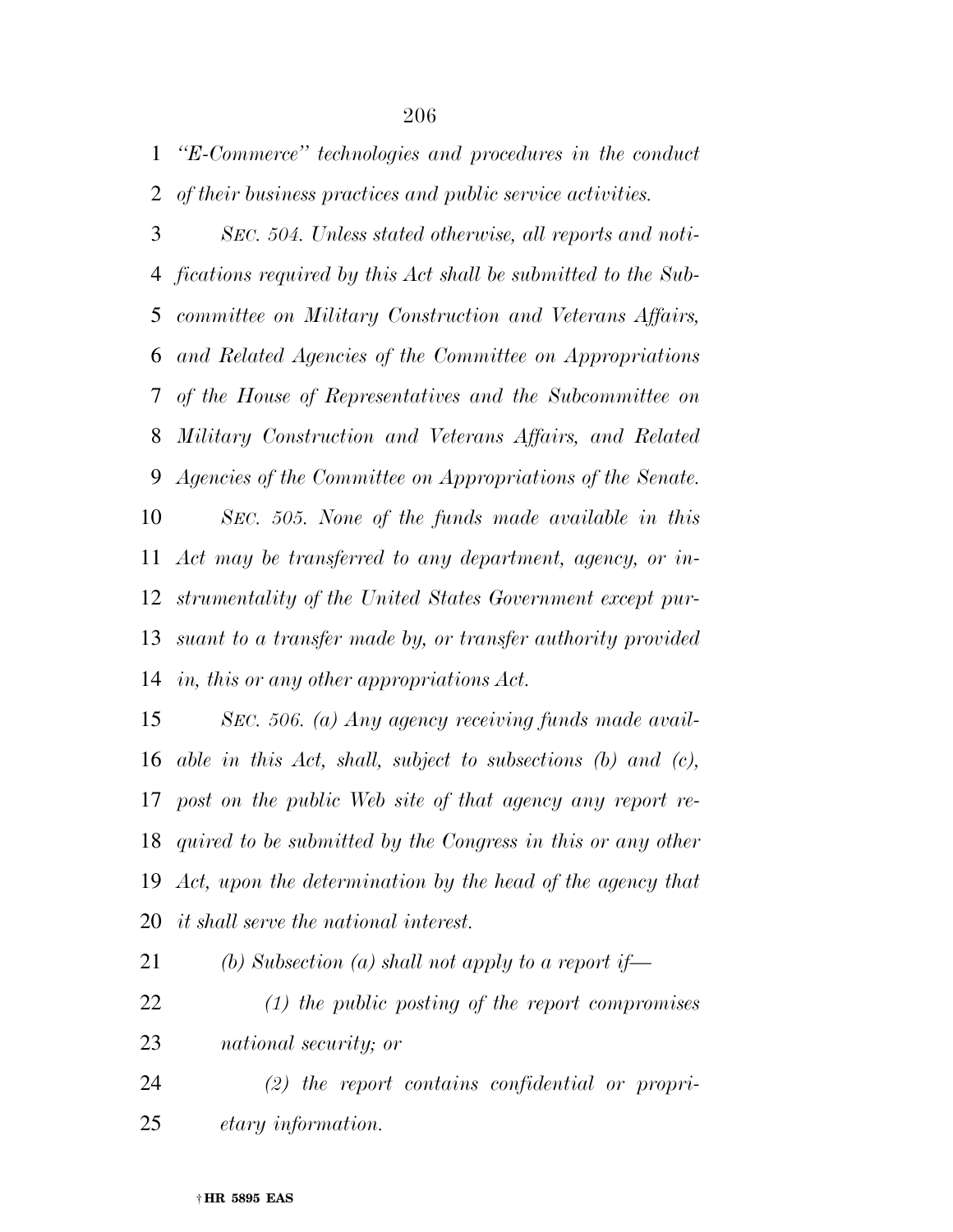*''E-Commerce'' technologies and procedures in the conduct of their business practices and public service activities.* 

 *SEC. 504. Unless stated otherwise, all reports and noti- fications required by this Act shall be submitted to the Sub- committee on Military Construction and Veterans Affairs, and Related Agencies of the Committee on Appropriations of the House of Representatives and the Subcommittee on Military Construction and Veterans Affairs, and Related Agencies of the Committee on Appropriations of the Senate. SEC. 505. None of the funds made available in this Act may be transferred to any department, agency, or in- strumentality of the United States Government except pur- suant to a transfer made by, or transfer authority provided in, this or any other appropriations Act.* 

 *SEC. 506. (a) Any agency receiving funds made avail- able in this Act, shall, subject to subsections (b) and (c), post on the public Web site of that agency any report re- quired to be submitted by the Congress in this or any other Act, upon the determination by the head of the agency that it shall serve the national interest.* 

- *(b) Subsection (a) shall not apply to a report if— (1) the public posting of the report compromises national security; or*
- *(2) the report contains confidential or propri-etary information.*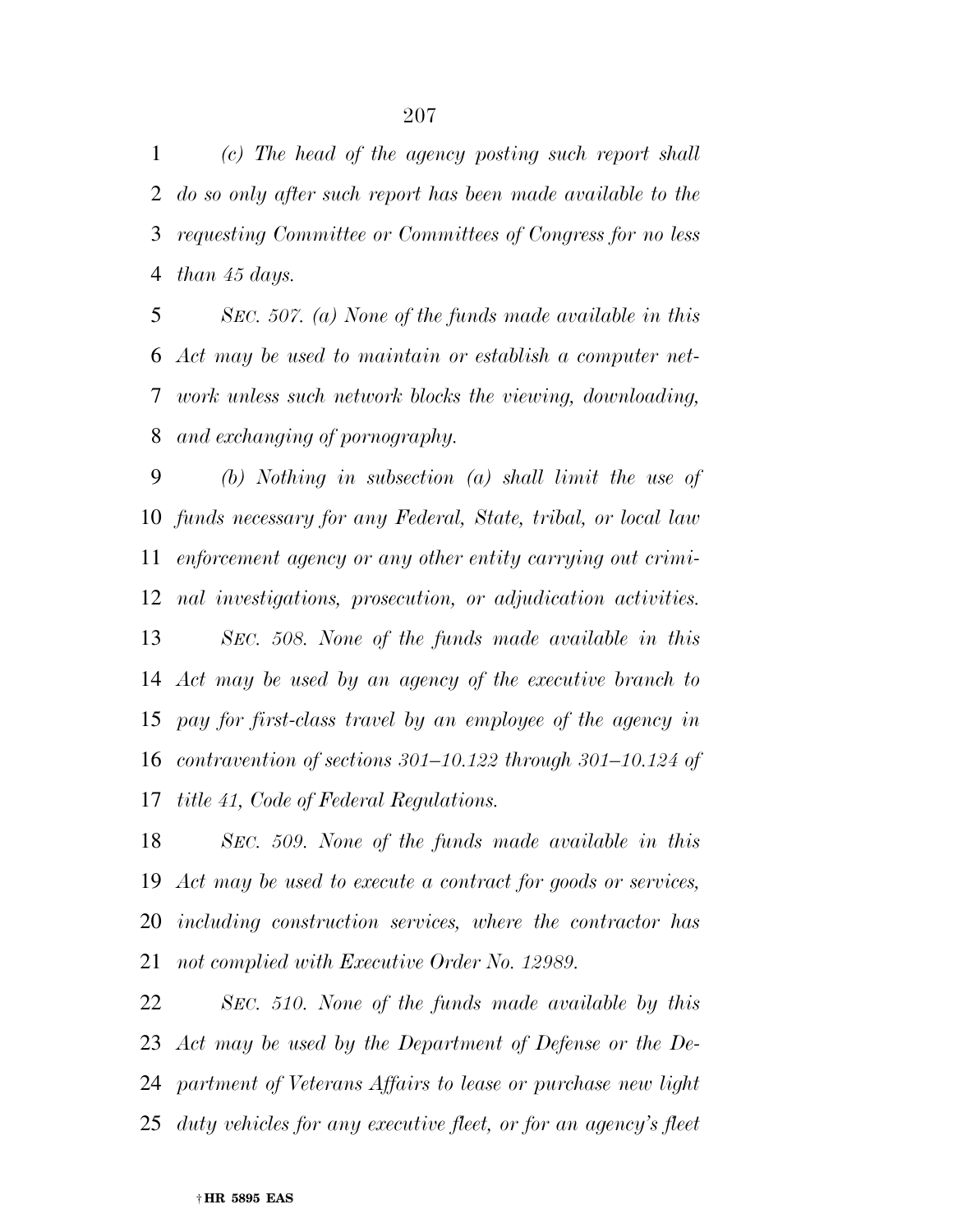*(c) The head of the agency posting such report shall do so only after such report has been made available to the requesting Committee or Committees of Congress for no less than 45 days.* 

 *SEC. 507. (a) None of the funds made available in this Act may be used to maintain or establish a computer net- work unless such network blocks the viewing, downloading, and exchanging of pornography.* 

 *(b) Nothing in subsection (a) shall limit the use of funds necessary for any Federal, State, tribal, or local law enforcement agency or any other entity carrying out crimi- nal investigations, prosecution, or adjudication activities. SEC. 508. None of the funds made available in this Act may be used by an agency of the executive branch to pay for first-class travel by an employee of the agency in contravention of sections 301–10.122 through 301–10.124 of title 41, Code of Federal Regulations.* 

 *SEC. 509. None of the funds made available in this Act may be used to execute a contract for goods or services, including construction services, where the contractor has not complied with Executive Order No. 12989.* 

 *SEC. 510. None of the funds made available by this Act may be used by the Department of Defense or the De- partment of Veterans Affairs to lease or purchase new light duty vehicles for any executive fleet, or for an agency's fleet*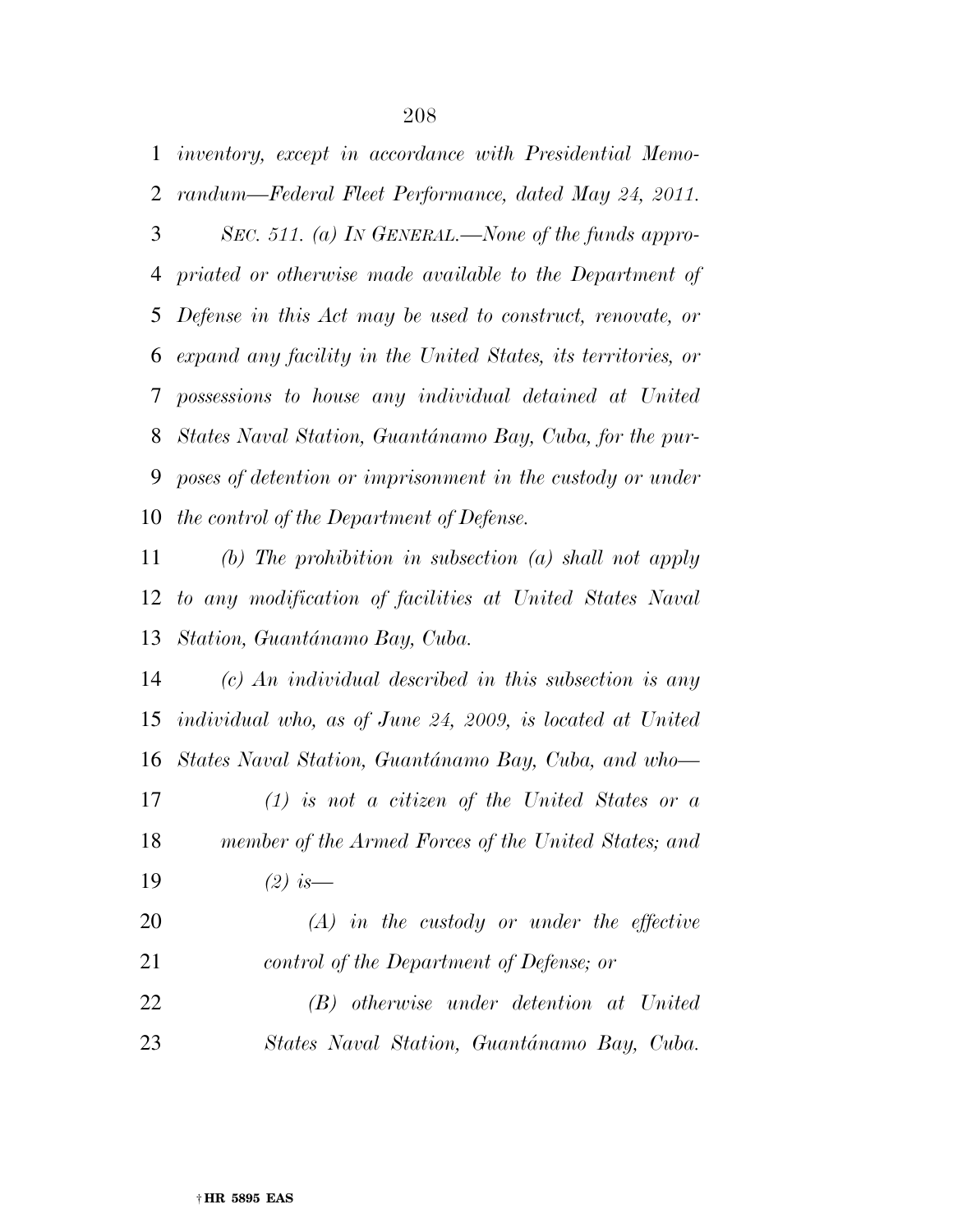*inventory, except in accordance with Presidential Memo- randum—Federal Fleet Performance, dated May 24, 2011. SEC. 511. (a) IN GENERAL.—None of the funds appro- priated or otherwise made available to the Department of Defense in this Act may be used to construct, renovate, or expand any facility in the United States, its territories, or possessions to house any individual detained at United States Naval Station, Guantánamo Bay, Cuba, for the pur- poses of detention or imprisonment in the custody or under the control of the Department of Defense.* 

 *(b) The prohibition in subsection (a) shall not apply to any modification of facilities at United States Naval Station, Guanta´namo Bay, Cuba.* 

 *(c) An individual described in this subsection is any individual who, as of June 24, 2009, is located at United States Naval Station, Guanta´namo Bay, Cuba, and who— (1) is not a citizen of the United States or a member of the Armed Forces of the United States; and (2) is— (A) in the custody or under the effective* 

*control of the Department of Defense; or* 

 *(B) otherwise under detention at United States Naval Station, Guanta´namo Bay, Cuba.*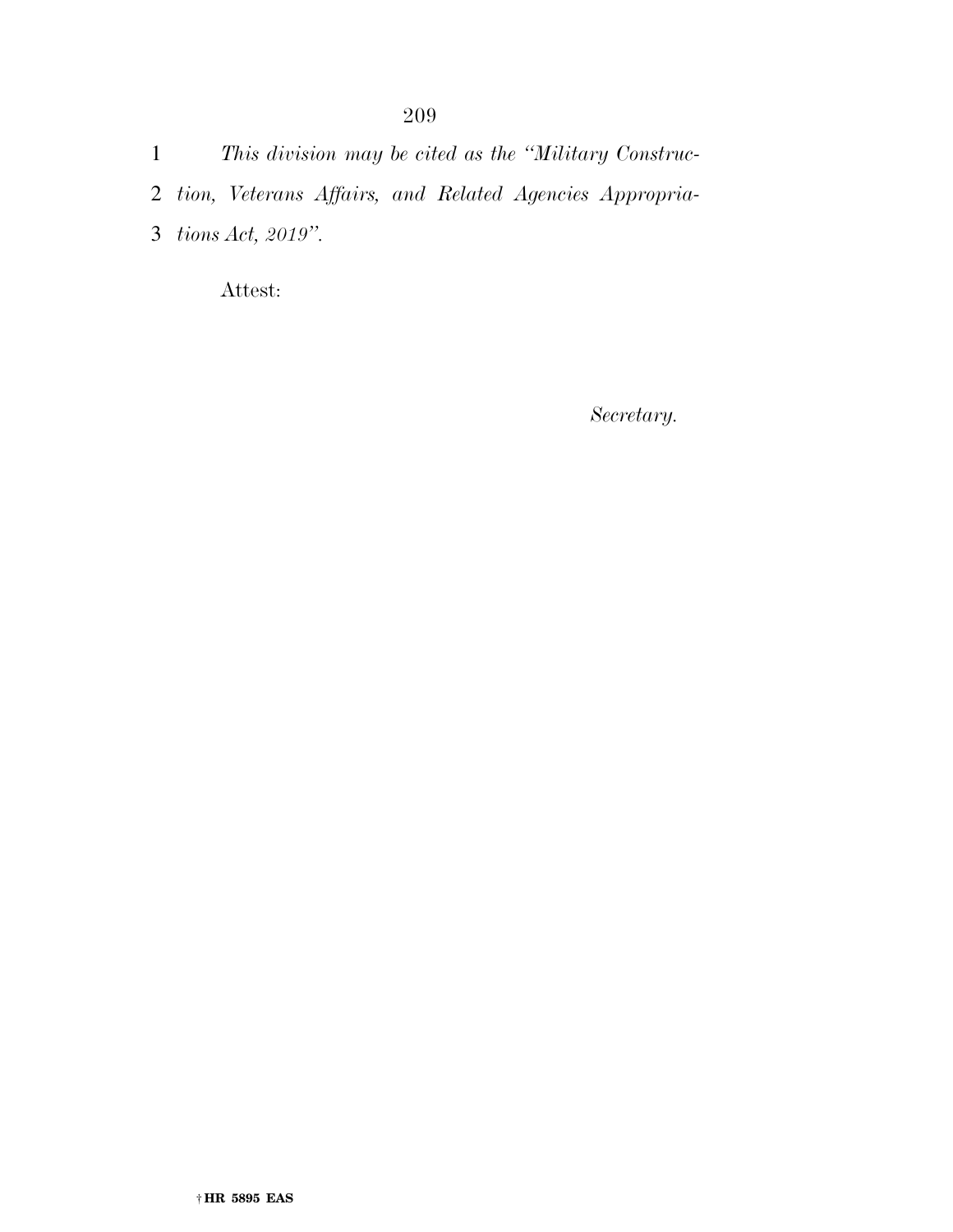- 2 *tion, Veterans Affairs, and Related Agencies Appropria-*
- 3 *tions Act, 2019''.*

Attest:

*Secretary.*